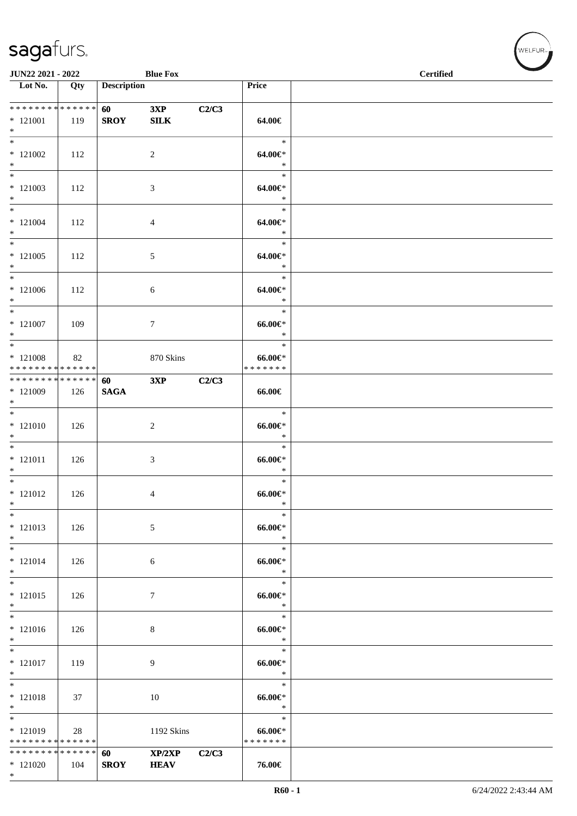| JUN22 2021 - 2022                                      |     |                                        | <b>Blue Fox</b>       |       |                                        | <b>Certified</b> |
|--------------------------------------------------------|-----|----------------------------------------|-----------------------|-------|----------------------------------------|------------------|
| $\overline{\phantom{1}}$ Lot No.                       | Qty | <b>Description</b>                     |                       |       | Price                                  |                  |
| * * * * * * * * * * * * * *<br>$*121001$<br>$\ast$     | 119 | <b>60</b> and <b>60</b><br><b>SROY</b> | 3XP<br>${\bf SILK}$   | C2/C3 | 64.00€                                 |                  |
| $*$<br>$*121002$<br>$*$                                | 112 |                                        | $\overline{2}$        |       | $\ast$<br>64.00€*<br>$\ast$            |                  |
| $*$<br>$*121003$<br>$*$                                | 112 |                                        | $\mathfrak{Z}$        |       | $\ast$<br>$64.00 \in$<br>$\ast$        |                  |
| $*$<br>$*121004$<br>$*$                                | 112 |                                        | $\overline{4}$        |       | $\ast$<br>64.00€*<br>$\ast$            |                  |
| $\overline{\phantom{0}}$<br>$*121005$<br>$*$           | 112 |                                        | $5\,$                 |       | $\ast$<br>64.00€*<br>$\ast$            |                  |
| $*$<br>$*121006$<br>$*$                                | 112 |                                        | 6                     |       | $\ast$<br>64.00€*<br>$\ast$            |                  |
| $*$<br>$*121007$<br>$\ast$<br>$\overline{\phantom{0}}$ | 109 |                                        | $\tau$                |       | $\ast$<br>$66.00 \in$<br>$\ast$        |                  |
| $*121008$<br>* * * * * * * * * * * * * *               | 82  |                                        | 870 Skins             |       | $\ast$<br>$66.00 \in$<br>* * * * * * * |                  |
| ******** <mark>******</mark><br>* 121009<br>$*$        | 126 | 60<br><b>SAGA</b>                      | 3XP                   | C2/C3 | 66.00€                                 |                  |
| $\overline{\phantom{0}}$<br>$* 121010$<br>$\ast$       | 126 |                                        | $\sqrt{2}$            |       | $\ast$<br>$66.00 \in$<br>$\ast$        |                  |
| $*$<br>$* 121011$<br>$*$                               | 126 |                                        | 3                     |       | $\ast$<br>$66.00 \in$<br>$\ast$        |                  |
| $*$<br>$* 121012$<br>$*$                               | 126 |                                        | 4                     |       | $\ast$<br>$66.00 \in$<br>$\ast$        |                  |
| $\ast$<br>$* 121013$<br>$\ast$                         | 126 |                                        | 5                     |       | $\ast$<br>$66.00 \text{e}$<br>$\ast$   |                  |
| $\ast$<br>$* 121014$<br>$*$                            | 126 |                                        | 6                     |       | $\ast$<br>$66.00 \text{e}$<br>$\ast$   |                  |
| $\ast$<br>$* 121015$<br>$*$                            | 126 |                                        | 7                     |       | $\ast$<br>$66.00 \text{e}$<br>$\ast$   |                  |
| $\overline{\ast}$<br>$* 121016$<br>$*$                 | 126 |                                        | $\,8\,$               |       | $\ast$<br>$66.00 \text{E}^*$<br>$\ast$ |                  |
| $\overline{\ast}$<br>$* 121017$<br>$*$                 | 119 |                                        | 9                     |       | $\ast$<br>$66.00 \in$<br>$\ast$        |                  |
| $\ast$<br>$* 121018$<br>$*$                            | 37  |                                        | 10                    |       | $\ast$<br>$66.00 \text{e}$<br>$\ast$   |                  |
| $\ast$<br>* 121019<br>* * * * * * * * * * * * * *      | 28  |                                        | 1192 Skins            |       | $\ast$<br>$66.00 \in$<br>* * * * * * * |                  |
| * * * * * * * * * * * * * *<br>$*121020$<br>$*$        | 104 | 60<br><b>SROY</b>                      | XP/2XP<br><b>HEAV</b> | C2/C3 | 76.00€                                 |                  |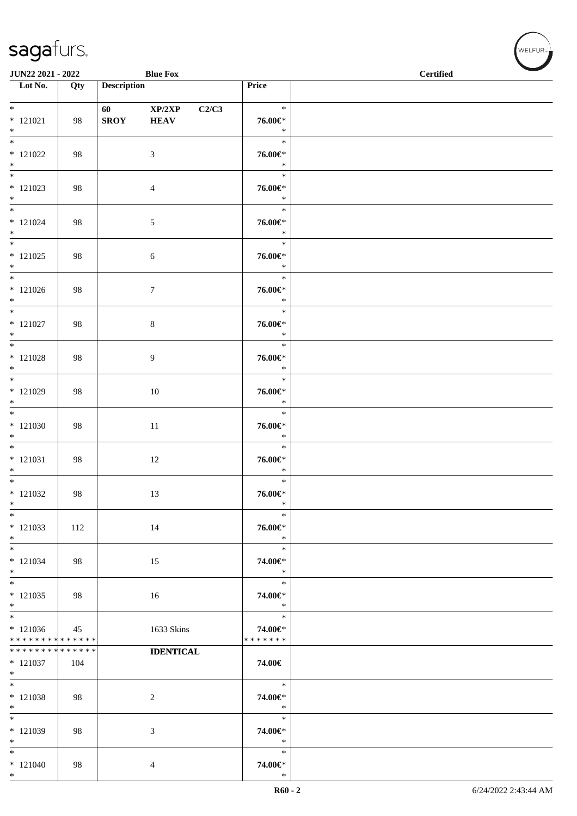| JUN22 2021 - 2022                        |                    |                                                                                                                                                                                                                                                | <b>Blue Fox</b>       |       |                                    | $\overline{\phantom{a}}$<br><b>Certified</b> |
|------------------------------------------|--------------------|------------------------------------------------------------------------------------------------------------------------------------------------------------------------------------------------------------------------------------------------|-----------------------|-------|------------------------------------|----------------------------------------------|
| $\overline{\phantom{1}}$ Lot No.         | Qty                | <b>Description</b>                                                                                                                                                                                                                             |                       |       | Price                              |                                              |
| $*$<br>$* 121021$<br>$*$                 | 98                 | 60 — 100 — 100 — 100 — 100 — 100 — 100 — 100 — 100 — 100 — 100 — 100 — 100 — 100 — 100 — 100 — 100 — 100 — 100 — 100 — 100 — 100 — 100 — 100 — 100 — 100 — 100 — 100 — 100 — 100 — 100 — 100 — 100 — 100 — 100 — 100 — 100 — 10<br><b>SROY</b> | XP/2XP<br><b>HEAV</b> | C2/C3 | $\ast$<br>76.00€*<br>$\ast$        |                                              |
| $*121022$<br>$*$                         | 98                 |                                                                                                                                                                                                                                                | $\mathfrak{Z}$        |       | $\ast$<br>76.00€*<br>$\ast$        |                                              |
| $*$<br>$*121023$<br>$*$                  | 98                 |                                                                                                                                                                                                                                                | 4                     |       | $\ast$<br>76.00€*<br>$\ast$        |                                              |
| $*$<br>$* 121024$<br>$*$                 | 98                 |                                                                                                                                                                                                                                                | $\sqrt{5}$            |       | $\ast$<br>76.00€*<br>$\ast$        |                                              |
| $*$<br>$*$ 121025<br>$*$                 | 98                 |                                                                                                                                                                                                                                                | 6                     |       | $\ast$<br>76.00€*<br>$\ast$        |                                              |
| $*$<br>$*121026$<br>$*$                  | 98                 |                                                                                                                                                                                                                                                | 7                     |       | $\ast$<br>76.00€*<br>$\ast$        |                                              |
| $*$<br>$*$ 121027<br>$*$                 | 98                 |                                                                                                                                                                                                                                                | $\,8\,$               |       | $\ast$<br>76.00€*<br>$\ast$        |                                              |
| $\overline{\ast}$<br>$* 121028$<br>$*$   | 98                 |                                                                                                                                                                                                                                                | 9                     |       | $\ast$<br>76.00€*<br>$\ast$        |                                              |
| $*$<br>$*121029$<br>$*$                  | 98                 |                                                                                                                                                                                                                                                | 10                    |       | $\ast$<br>76.00€*<br>$\ast$        |                                              |
| $\overline{\ }$<br>$*121030$<br>$*$      | 98                 |                                                                                                                                                                                                                                                | $11\,$                |       | $\ast$<br>76.00€*<br>$\ast$        |                                              |
| $*$<br>$* 121031$<br>$*$                 | 98                 |                                                                                                                                                                                                                                                | 12                    |       | $\ast$<br>76.00€*<br>$\ast$        |                                              |
| $*$<br>$*121032$<br>$*$                  | 98                 |                                                                                                                                                                                                                                                | 13                    |       | $\ast$<br>76.00€*<br>$\ast$        |                                              |
| $*$<br>$*121033$<br>$*$                  | 112                |                                                                                                                                                                                                                                                | 14                    |       | $\ast$<br>76.00€*<br>$\ast$        |                                              |
| $*$<br>$* 121034$<br>$*$                 | 98                 |                                                                                                                                                                                                                                                | 15                    |       | $\ast$<br>74.00€*<br>$\ast$        |                                              |
| $*$<br>$*121035$<br>$*$                  | 98                 |                                                                                                                                                                                                                                                | 16                    |       | $\ast$<br>74.00€*<br>$\ast$        |                                              |
| $*121036$<br>* * * * * * * * * * * * * * | 45                 |                                                                                                                                                                                                                                                | 1633 Skins            |       | $\ast$<br>74.00€*<br>* * * * * * * |                                              |
| * * * * * * * *<br>$* 121037$<br>$*$     | * * * * * *<br>104 |                                                                                                                                                                                                                                                | <b>IDENTICAL</b>      |       | 74.00€                             |                                              |
| $*$<br>* 121038<br>$*$                   | 98                 |                                                                                                                                                                                                                                                | $\overline{c}$        |       | $\ast$<br>74.00€*<br>$\ast$        |                                              |
| $*$<br>$* 121039$<br>$*$                 | 98                 |                                                                                                                                                                                                                                                | 3                     |       | $\ast$<br>74.00€*<br>$\ast$        |                                              |
| $*$<br>$*121040$<br>$*$                  | 98                 |                                                                                                                                                                                                                                                | 4                     |       | $\ast$<br>74.00€*<br>$\ast$        |                                              |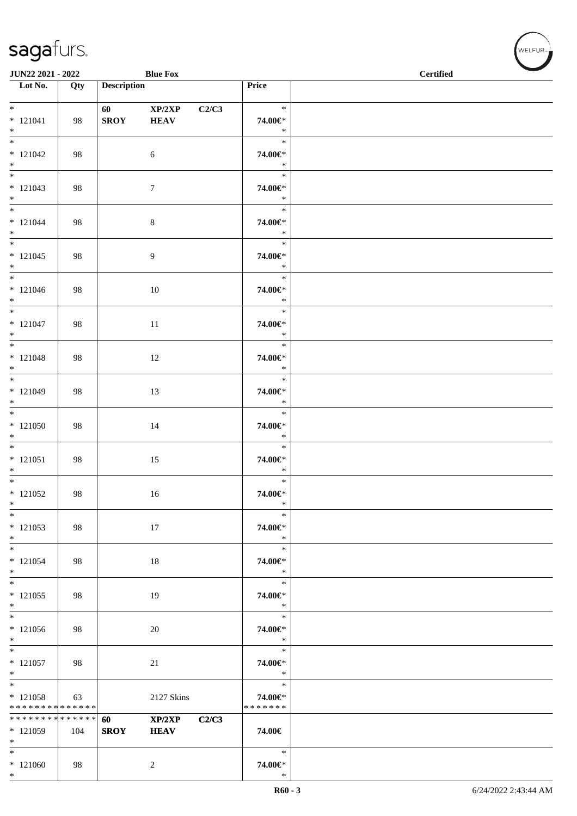\*

| JUN22 2021 - 2022                                 |                  |                                                                                                                                                                                                                                                | <b>Blue Fox</b>       |       |                                    | $\sim$<br><b>Certified</b> |
|---------------------------------------------------|------------------|------------------------------------------------------------------------------------------------------------------------------------------------------------------------------------------------------------------------------------------------|-----------------------|-------|------------------------------------|----------------------------|
| $\overline{\phantom{1}}$ Lot No.                  | $\overline{Qty}$ | <b>Description</b>                                                                                                                                                                                                                             |                       |       | Price                              |                            |
| $*$<br>$* 121041$<br>$*$                          | 98               | 60 — 100 — 100 — 100 — 100 — 100 — 100 — 100 — 100 — 100 — 100 — 100 — 100 — 100 — 100 — 100 — 100 — 100 — 100 — 100 — 100 — 100 — 100 — 100 — 100 — 100 — 100 — 100 — 100 — 100 — 100 — 100 — 100 — 100 — 100 — 100 — 100 — 10<br><b>SROY</b> | XP/2XP<br><b>HEAV</b> | C2/C3 | $\ast$<br>74.00€*<br>$\ast$        |                            |
| $* 121042$<br>$*$                                 | 98               |                                                                                                                                                                                                                                                | $\sqrt{6}$            |       | $\ast$<br>74.00€*<br>$\ast$        |                            |
| $*$<br>$* 121043$<br>$*$                          | 98               |                                                                                                                                                                                                                                                | $\tau$                |       | $\ast$<br>74.00€*<br>$\ast$        |                            |
| $*$<br>$* 121044$<br>$*$                          | 98               |                                                                                                                                                                                                                                                | $\,8\,$               |       | $\ast$<br>74.00€*<br>$\ast$        |                            |
| $*$<br>$* 121045$<br>$*$                          | 98               |                                                                                                                                                                                                                                                | 9                     |       | $\ast$<br>74.00€*<br>$\ast$        |                            |
| $*$<br>$*121046$<br>$*$                           | 98               |                                                                                                                                                                                                                                                | 10                    |       | $\ast$<br>74.00€*<br>$\ast$        |                            |
| $*$<br>$* 121047$<br>$*$                          | 98               |                                                                                                                                                                                                                                                | 11                    |       | $\ast$<br>74.00€*<br>$\ast$        |                            |
| $\overline{\ast}$<br>$* 121048$<br>$*$            | 98               |                                                                                                                                                                                                                                                | 12                    |       | $\ast$<br>74.00€*<br>$\ast$        |                            |
| $*$<br>$*121049$<br>$*$                           | 98               |                                                                                                                                                                                                                                                | 13                    |       | $\ast$<br>74.00€*<br>$\ast$        |                            |
| $*$<br>$*121050$<br>$*$                           | 98               |                                                                                                                                                                                                                                                | 14                    |       | $\ast$<br>74.00€*<br>$\ast$        |                            |
| $*$<br>$* 121051$<br>$*$                          | 98               |                                                                                                                                                                                                                                                | 15                    |       | $\ast$<br>74.00€*<br>$\ast$        |                            |
| $*$<br>$*121052$<br>$*$                           | 98               |                                                                                                                                                                                                                                                | 16                    |       | $\ast$<br>74.00€*<br>$\ast$        |                            |
| $*$<br>$* 121053$<br>$*$                          | 98               |                                                                                                                                                                                                                                                | 17                    |       | $\ast$<br>74.00€*<br>$\ast$        |                            |
| $*$<br>$* 121054$<br>$*$                          | 98               |                                                                                                                                                                                                                                                | 18                    |       | $\ast$<br>74.00€*<br>$\ast$        |                            |
| $*$<br>$*121055$<br>$*$                           | 98               |                                                                                                                                                                                                                                                | 19                    |       | $\ast$<br>74.00€*<br>$\ast$        |                            |
| $* 121056$<br>$*$                                 | 98               |                                                                                                                                                                                                                                                | 20                    |       | $\ast$<br>74.00€*<br>$\ast$        |                            |
| $\overline{\phantom{0}}$<br>$* 121057$<br>$*$     | 98               |                                                                                                                                                                                                                                                | 21                    |       | $\ast$<br>74.00€*<br>$\ast$        |                            |
| $*$<br>$*121058$<br>* * * * * * * * * * * * * * * | 63               |                                                                                                                                                                                                                                                | 2127 Skins            |       | $\ast$<br>74.00€*<br>* * * * * * * |                            |
| * * * * * * * * * * * * * * *<br>$*121059$<br>$*$ | 104              | 60<br><b>SROY</b>                                                                                                                                                                                                                              | XP/2XP<br><b>HEAV</b> | C2/C3 | 74.00€                             |                            |
| $*$<br>$*121060$<br>$*$                           | 98               |                                                                                                                                                                                                                                                | $\overline{c}$        |       | $\ast$<br>74.00€*<br>$\ast$        |                            |

 $(\forall ELFUR_{\text{max}})$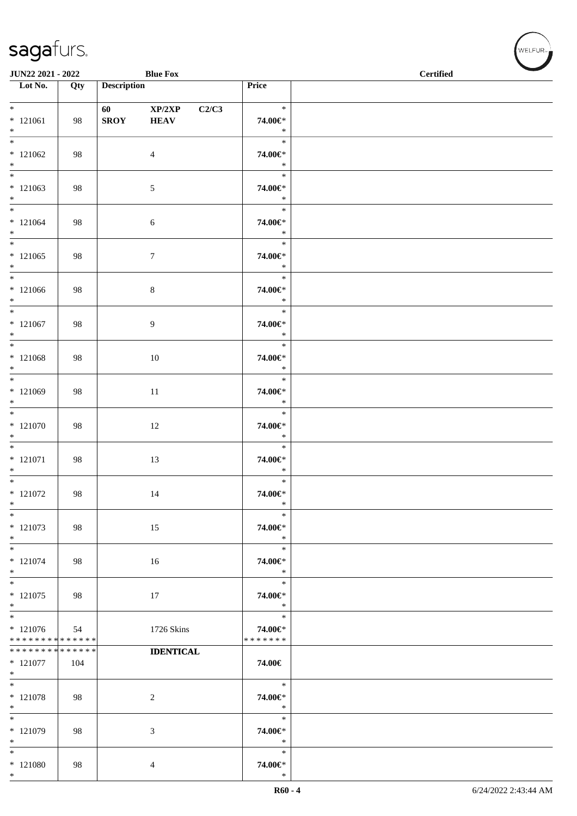| JUN22 2021 - 2022                             |                    |                                                                                                                                                                                                                                                | <b>Blue Fox</b>       |       |                                       | $\sim$<br><b>Certified</b> |
|-----------------------------------------------|--------------------|------------------------------------------------------------------------------------------------------------------------------------------------------------------------------------------------------------------------------------------------|-----------------------|-------|---------------------------------------|----------------------------|
| $\overline{\phantom{1}}$ Lot No.              | Qty                | <b>Description</b>                                                                                                                                                                                                                             |                       | Price |                                       |                            |
| $*$<br>$*121061$<br>$*$                       | 98                 | 60 — 100 — 100 — 100 — 100 — 100 — 100 — 100 — 100 — 100 — 100 — 100 — 100 — 100 — 100 — 100 — 100 — 100 — 100 — 100 — 100 — 100 — 100 — 100 — 100 — 100 — 100 — 100 — 100 — 100 — 100 — 100 — 100 — 100 — 100 — 100 — 100 — 10<br><b>SROY</b> | XP/2XP<br><b>HEAV</b> | C2/C3 | $\ast$<br>74.00€*<br>$\ast$           |                            |
| $*121062$<br>$*$                              | 98                 |                                                                                                                                                                                                                                                | $\overline{4}$        |       | $\ast$<br>74.00€*<br>$\ast$           |                            |
| $*$<br>$*121063$<br>$*$                       | 98                 |                                                                                                                                                                                                                                                | $\mathfrak{S}$        |       | $\ast$<br>74.00€*<br>$\ast$           |                            |
| $*$<br>$* 121064$<br>$*$                      | 98                 |                                                                                                                                                                                                                                                | 6                     |       | $\ast$<br>74.00€*<br>$\ast$           |                            |
| $*121065$<br>$*$                              | 98                 |                                                                                                                                                                                                                                                | $\boldsymbol{7}$      |       | $\ast$<br>74.00€*<br>$\ast$           |                            |
| $*$<br>$*121066$<br>$*$                       | 98                 |                                                                                                                                                                                                                                                | $\,8\,$               |       | $\ast$<br>74.00€*<br>$\ast$           |                            |
| $*$<br>$*121067$<br>$*$                       | 98                 |                                                                                                                                                                                                                                                | 9                     |       | $\ast$<br>74.00€*<br>$\ast$           |                            |
| $* 121068$<br>$*$                             | 98                 |                                                                                                                                                                                                                                                | 10                    |       | $\ast$<br>74.00€*<br>$\ast$           |                            |
| $*$<br>$*121069$<br>$*$                       | 98                 |                                                                                                                                                                                                                                                | 11                    |       | $\ast$<br>74.00€*<br>$\ast$           |                            |
| $* 121070$<br>$*$                             | 98                 |                                                                                                                                                                                                                                                | 12                    |       | $\ast$<br>74.00€*<br>$\ast$           |                            |
| $*$<br>$* 121071$<br>$*$<br>$\overline{\ast}$ | 98                 |                                                                                                                                                                                                                                                | 13                    |       | $\ast$<br>74.00€*<br>$\ast$           |                            |
| $* 121072$<br>$*$                             | 98                 |                                                                                                                                                                                                                                                | 14                    |       | $\ast$<br>74.00€*<br>$\ast$           |                            |
| $\ast$<br>$* 121073$<br>$\ast$                | 98                 |                                                                                                                                                                                                                                                | 15                    |       | $\ast$<br>74.00€*<br>$\ast$           |                            |
| $*$<br>$* 121074$<br>$*$<br>$*$               | 98                 |                                                                                                                                                                                                                                                | 16                    |       | $\ast$<br>74.00€*<br>$\ast$           |                            |
| $* 121075$<br>$*$<br>$*$                      | 98                 |                                                                                                                                                                                                                                                | 17                    |       | $\ast$<br>74.00€*<br>$\ast$<br>$\ast$ |                            |
| $* 121076$<br>* * * * * * * * * * * * * *     | 54                 |                                                                                                                                                                                                                                                | 1726 Skins            |       | 74.00€*<br>* * * * * * *              |                            |
| * * * * * * * *<br>$*121077$<br>$*$           | * * * * * *<br>104 |                                                                                                                                                                                                                                                | <b>IDENTICAL</b>      |       | 74.00€                                |                            |
| $*$<br>* 121078<br>$*$                        | 98                 |                                                                                                                                                                                                                                                | $\overline{c}$        |       | $\ast$<br>74.00€*<br>$\ast$           |                            |
| $*$<br>$*121079$<br>$*$                       | 98                 |                                                                                                                                                                                                                                                | 3                     |       | $\ast$<br>74.00€*<br>$\ast$           |                            |
| $*$<br>$*121080$<br>$*$                       | 98                 |                                                                                                                                                                                                                                                | 4                     |       | $\ast$<br>74.00€*<br>$\ast$           |                            |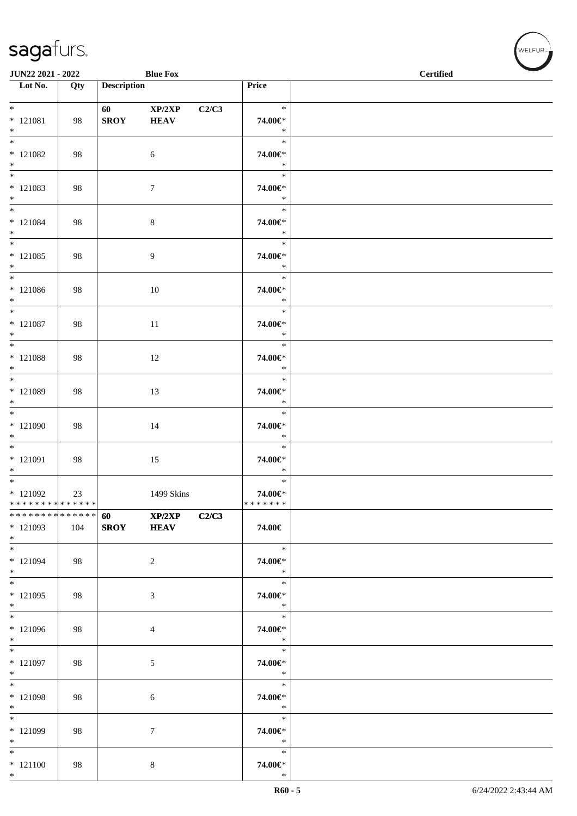| JUN22 2021 - 2022                                |                  |                                                                                                                                                                                                                                                | <b>Blue Fox</b>       |       |                                    | $\sim$<br><b>Certified</b> |
|--------------------------------------------------|------------------|------------------------------------------------------------------------------------------------------------------------------------------------------------------------------------------------------------------------------------------------|-----------------------|-------|------------------------------------|----------------------------|
| $\overline{\phantom{1}}$ Lot No.                 | $\overline{Qty}$ | <b>Description</b>                                                                                                                                                                                                                             |                       |       | Price                              |                            |
| $*$<br>$* 121081$<br>$*$                         | 98               | 60 — 100 — 100 — 100 — 100 — 100 — 100 — 100 — 100 — 100 — 100 — 100 — 100 — 100 — 100 — 100 — 100 — 100 — 100 — 100 — 100 — 100 — 100 — 100 — 100 — 100 — 100 — 100 — 100 — 100 — 100 — 100 — 100 — 100 — 100 — 100 — 100 — 10<br><b>SROY</b> | XP/2XP<br><b>HEAV</b> | C2/C3 | $\ast$<br>74.00€*<br>$\ast$        |                            |
| $*$ 121082<br>$*$                                | 98               |                                                                                                                                                                                                                                                | $\sqrt{6}$            |       | $\ast$<br>74.00€*<br>$\ast$        |                            |
| $*$<br>$* 121083$<br>$*$                         | 98               |                                                                                                                                                                                                                                                | $\tau$                |       | $\ast$<br>74.00€*<br>$\ast$        |                            |
| $*$<br>$* 121084$<br>$*$                         | 98               |                                                                                                                                                                                                                                                | $\,8\,$               |       | $\ast$<br>$74.00 \in$<br>$\ast$    |                            |
| $*$<br>$* 121085$<br>$*$                         | 98               |                                                                                                                                                                                                                                                | 9                     |       | $\ast$<br>74.00€*<br>$\ast$        |                            |
| $*$<br>$*121086$<br>$*$                          | 98               |                                                                                                                                                                                                                                                | 10                    |       | $\ast$<br>74.00€*<br>$\ast$        |                            |
| $*$<br>$* 121087$<br>$*$<br>$\overline{\ast}$    | 98               |                                                                                                                                                                                                                                                | $11\,$                |       | $\ast$<br>74.00€*<br>$\ast$        |                            |
| $* 121088$<br>$*$                                | 98               |                                                                                                                                                                                                                                                | 12                    |       | $\ast$<br>74.00€*<br>$\ast$        |                            |
| $*$<br>* 121089<br>$*$                           | 98               |                                                                                                                                                                                                                                                | 13                    |       | $\ast$<br>74.00€*<br>$\ast$        |                            |
| $*121090$<br>$*$                                 | 98               |                                                                                                                                                                                                                                                | 14                    |       | $\ast$<br>74.00€*<br>$\ast$        |                            |
| $*$<br>$* 121091$<br>$*$<br>$*$                  | 98               |                                                                                                                                                                                                                                                | 15                    |       | $\ast$<br>74.00€*<br>$\ast$        |                            |
| $*121092$<br>* * * * * * * * * * * * * * *       | 23               |                                                                                                                                                                                                                                                | 1499 Skins            |       | $\ast$<br>74.00€*<br>* * * * * * * |                            |
| * * * * * * * * * * * * * * *<br>* 121093<br>$*$ | 104              | 60<br><b>SROY</b>                                                                                                                                                                                                                              | XP/2XP<br><b>HEAV</b> | C2/C3 | 74.00€                             |                            |
| $*$<br>$* 121094$<br>$*$                         | 98               |                                                                                                                                                                                                                                                | 2                     |       | $\ast$<br>74.00€*<br>$\ast$        |                            |
| $*$<br>$*121095$<br>$*$                          | 98               |                                                                                                                                                                                                                                                | 3                     |       | $\ast$<br>74.00€*<br>$\ast$        |                            |
| $*$<br>* 121096<br>$*$                           | 98               |                                                                                                                                                                                                                                                | 4                     |       | $\ast$<br>74.00€*<br>$\ast$        |                            |
| $*$<br>* 121097<br>$*$                           | 98               |                                                                                                                                                                                                                                                | 5                     |       | $\ast$<br>74.00€*<br>$\ast$        |                            |
| $*$<br>* 121098<br>$*$                           | 98               |                                                                                                                                                                                                                                                | 6                     |       | $\ast$<br>74.00€*<br>$\ast$        |                            |
| $*$<br>* 121099<br>$*$                           | 98               |                                                                                                                                                                                                                                                | $\tau$                |       | $\ast$<br>74.00€*<br>$\ast$        |                            |
| $*$<br>$* 121100$<br>$*$                         | 98               |                                                                                                                                                                                                                                                | 8                     |       | $\ast$<br>74.00€*<br>$\ast$        |                            |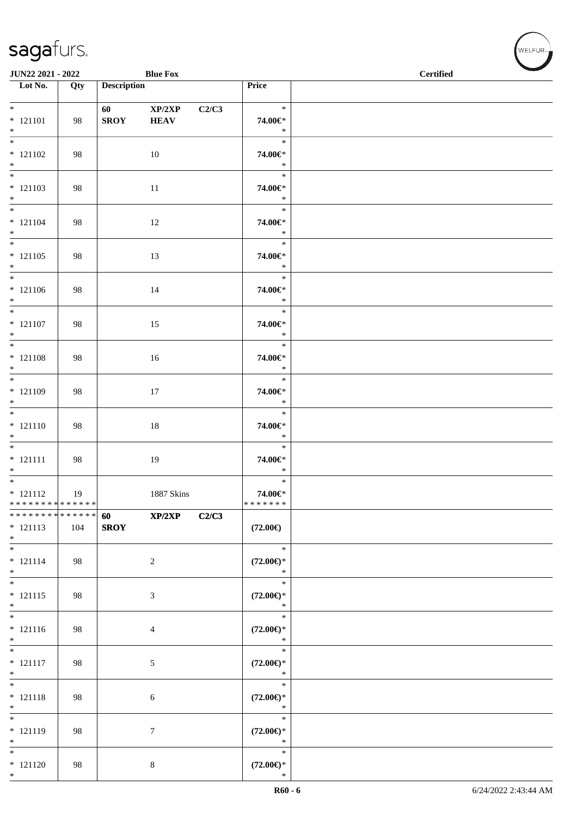| JUN22 2021 - 2022                                                       |     |                       | <b>Blue Fox</b>       |       |                                         | <b>Certified</b> | <b>Contract Contract Contract Contract Contract Contract Contract Contract Contract Contract Contract Contract Contract Contract Contract Contract Contract Contract Contract Contract Contract Contract Contract Contract Contr</b> |
|-------------------------------------------------------------------------|-----|-----------------------|-----------------------|-------|-----------------------------------------|------------------|--------------------------------------------------------------------------------------------------------------------------------------------------------------------------------------------------------------------------------------|
| Lot No.                                                                 | Qty | <b>Description</b>    |                       |       | Price                                   |                  |                                                                                                                                                                                                                                      |
| $*$                                                                     |     |                       |                       |       | $\ast$                                  |                  |                                                                                                                                                                                                                                      |
| $* 121101$<br>$*$                                                       | 98  | 60 100<br><b>SROY</b> | XP/2XP<br><b>HEAV</b> | C2/C3 | 74.00€*<br>$\ast$                       |                  |                                                                                                                                                                                                                                      |
| $\overline{\ast}$<br>$* 121102$<br>$*$                                  | 98  |                       | 10                    |       | $\ast$<br>74.00€*<br>$\ast$             |                  |                                                                                                                                                                                                                                      |
| $* 121103$<br>$*$                                                       | 98  |                       | 11                    |       | $\ast$<br>74.00€*<br>$\ast$             |                  |                                                                                                                                                                                                                                      |
| $*$<br>$* 121104$<br>$*$                                                | 98  |                       | 12                    |       | $\ast$<br>74.00€*<br>$\ast$             |                  |                                                                                                                                                                                                                                      |
| $*$<br>$* 121105$<br>$*$                                                | 98  |                       | 13                    |       | $\ast$<br>74.00€*<br>$\ast$             |                  |                                                                                                                                                                                                                                      |
| $*$<br>$* 121106$<br>$*$                                                | 98  |                       | 14                    |       | $\ast$<br>74.00€*<br>$\ast$             |                  |                                                                                                                                                                                                                                      |
| $*$<br>$* 121107$<br>$*$                                                | 98  |                       | 15                    |       | $\ast$<br>74.00€*<br>$\ast$             |                  |                                                                                                                                                                                                                                      |
| $* 121108$<br>$*$                                                       | 98  |                       | 16                    |       | $\ast$<br>74.00€*<br>$\ast$             |                  |                                                                                                                                                                                                                                      |
| $* 121109$<br>$*$                                                       | 98  |                       | 17                    |       | $\ast$<br>74.00€*<br>$\ast$             |                  |                                                                                                                                                                                                                                      |
| $* 121110$<br>$*$                                                       | 98  |                       | 18                    |       | $\ast$<br>74.00€*<br>$\ast$             |                  |                                                                                                                                                                                                                                      |
| $*$<br>$* 121111$<br>$*$                                                | 98  |                       | 19                    |       | $\ast$<br>74.00€*<br>$\ast$             |                  |                                                                                                                                                                                                                                      |
| $\overline{\phantom{0}}$<br>$* 121112$<br>* * * * * * * * * * * * * * * | 19  |                       | 1887 Skins            |       | $\ast$<br>74.00€*<br>* * * * * * *      |                  |                                                                                                                                                                                                                                      |
| * * * * * * * * * * * * * * *<br>$* 121113$<br>$*$                      | 104 | 60<br><b>SROY</b>     | XP/2XP                | C2/C3 | $(72.00\epsilon)$                       |                  |                                                                                                                                                                                                                                      |
| $*$<br>$* 121114$<br>$*$                                                | 98  |                       | $\overline{c}$        |       | $\ast$<br>$(72.00\epsilon)$ *<br>$\ast$ |                  |                                                                                                                                                                                                                                      |
| $\overline{\ast}$<br>$* 121115$<br>$*$                                  | 98  |                       | 3                     |       | $\ast$<br>$(72.00\epsilon)$ *<br>$\ast$ |                  |                                                                                                                                                                                                                                      |
| $\overline{\phantom{0}}$<br>$* 121116$<br>$*$                           | 98  |                       | 4                     |       | $\ast$<br>$(72.00\epsilon)$ *<br>$\ast$ |                  |                                                                                                                                                                                                                                      |
| $*$<br>$* 121117$<br>$*$                                                | 98  |                       | 5                     |       | $\ast$<br>$(72.00\epsilon)$ *<br>$\ast$ |                  |                                                                                                                                                                                                                                      |
| $*$<br>$* 121118$<br>$*$                                                | 98  |                       | 6                     |       | $\ast$<br>$(72.00\epsilon)$ *<br>$\ast$ |                  |                                                                                                                                                                                                                                      |
| $*$<br>$* 121119$<br>$*$                                                | 98  |                       | 7                     |       | $\ast$<br>$(72.00\epsilon)$ *<br>$\ast$ |                  |                                                                                                                                                                                                                                      |
| $*$<br>$* 121120$<br>$*$                                                | 98  |                       | 8                     |       | $\ast$<br>$(72.00\epsilon)$ *<br>$\ast$ |                  |                                                                                                                                                                                                                                      |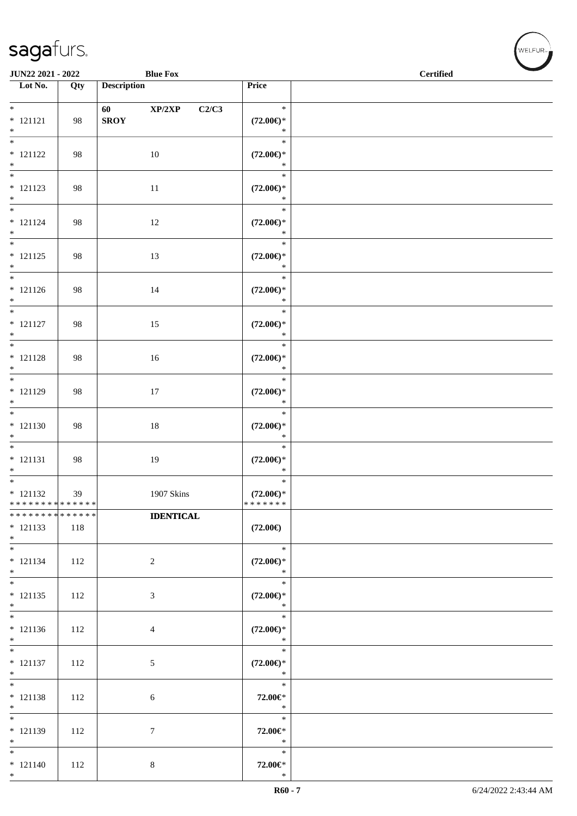| JUN22 2021 - 2022                                                       |                    | <b>Blue Fox</b>                  |                                                  | $\operatorname{\bf \mathbf{Certified}}$ |  |
|-------------------------------------------------------------------------|--------------------|----------------------------------|--------------------------------------------------|-----------------------------------------|--|
| $\overline{\phantom{1}}$ Lot No.                                        | Qty                | <b>Description</b>               | Price                                            |                                         |  |
| $\overline{\phantom{0}}$<br>$* 121121$<br>$*$                           | 98                 | XP/2XP<br>60 — 10<br><b>SROY</b> | $\ast$<br>C2/C3<br>$(72.00\epsilon)$ *<br>$\ast$ |                                         |  |
| $\overline{\ast}$<br>$* 121122$<br>$*$                                  | 98                 | 10                               | $\ast$<br>$(72.00\epsilon)$ *<br>$\ast$          |                                         |  |
| $* 121123$<br>$*$                                                       | 98                 | 11                               | $\ast$<br>$(72.00\epsilon)$ *<br>$\ast$          |                                         |  |
| $*$<br>$* 121124$<br>$*$                                                | 98                 | 12                               | $\ast$<br>$(72.00\epsilon)$ *<br>$\ast$          |                                         |  |
| $\overline{\ }$<br>$* 121125$<br>$*$                                    | 98                 | 13                               | $\ast$<br>$(72.00\epsilon)$ *<br>$\ast$          |                                         |  |
| $*$<br>$* 121126$<br>$*$                                                | 98                 | 14                               | $\ast$<br>$(72.00\epsilon)$ *<br>$\ast$          |                                         |  |
| $\overline{\phantom{0}}$<br>$* 121127$<br>$*$                           | 98                 | 15                               | $\ast$<br>$(72.00\epsilon)$ *<br>$\ast$          |                                         |  |
| $\overline{\phantom{0}}$<br>$* 121128$<br>$*$                           | 98                 | $16\,$                           | $\ast$<br>$(72.00\epsilon)$ *<br>$\ast$          |                                         |  |
| $*$<br>$* 121129$<br>$*$                                                | 98                 | 17                               | $\ast$<br>$(72.00\epsilon)$ *<br>$\ast$          |                                         |  |
| $\overline{\phantom{0}}$<br>$* 121130$<br>$*$                           | 98                 | $18\,$                           | $\ast$<br>$(72.00\epsilon)$ *<br>$\ast$          |                                         |  |
| $\overline{\phantom{0}}$<br>$* 121131$<br>$*$                           | 98                 | 19                               | $\ast$<br>$(72.00\epsilon)$ *<br>$\ast$          |                                         |  |
| $\overline{\phantom{0}}$<br>$* 121132$<br>* * * * * * * * * * * * * * * | 39                 | 1907 Skins                       | $\ast$<br>$(72.00\epsilon)$ *<br>*******         |                                         |  |
| * * * * * * * *<br>$* 121133$<br>$*$                                    | * * * * * *<br>118 | <b>IDENTICAL</b>                 | $(72.00\epsilon)$                                |                                         |  |
| $*$<br>$* 121134$<br>$*$                                                | 112                | $\overline{c}$                   | $\ast$<br>$(72.00\epsilon)$ *<br>$\ast$          |                                         |  |
| $*$<br>$* 121135$<br>$*$                                                | 112                | 3                                | $\ast$<br>$(72.00\epsilon)$ *<br>$\ast$          |                                         |  |
| $\overline{\phantom{0}}$<br>$* 121136$<br>$*$                           | 112                | 4                                | $\ast$<br>$(72.00\epsilon)$ *<br>$\ast$          |                                         |  |
| $*$<br>$* 121137$<br>$*$                                                | 112                | $\mathfrak{S}$                   | $\ast$<br>$(72.00\epsilon)$ *<br>$\ast$          |                                         |  |
| $*$<br>$* 121138$<br>$*$                                                | 112                | 6                                | $\ast$<br>72.00€*<br>$\ast$                      |                                         |  |
| $*$<br>$* 121139$<br>$*$                                                | 112                | 7                                | $\ast$<br>72.00€*<br>$\ast$                      |                                         |  |
| $*$<br>$* 121140$<br>$*$                                                | 112                | 8                                | $\ast$<br>72.00€*<br>$\ast$                      |                                         |  |

 $(w$ ELFUR<sub><sup>n</sub></sub></sub></sup>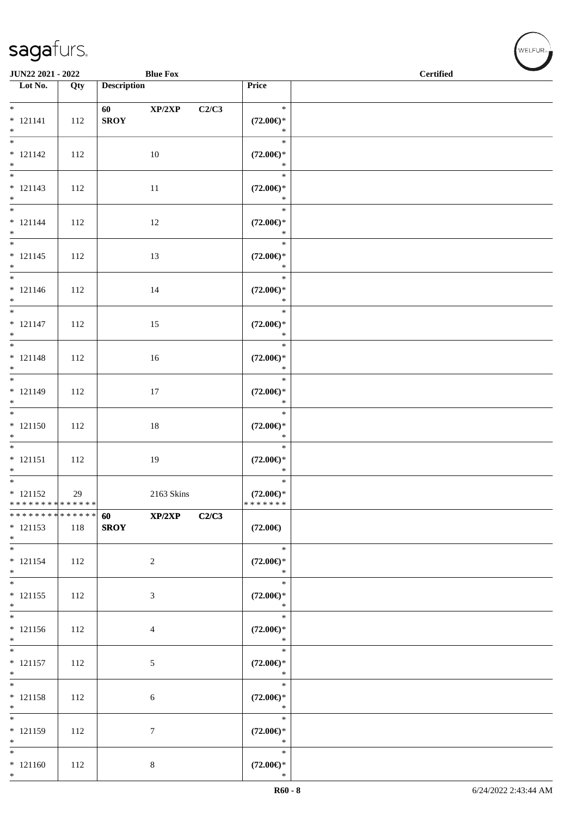| JUN22 2021 - 2022                                  |     |                    | <b>Blue Fox</b> |       |                                          | $\operatorname{Certified}$ | <b>Contract Contract Contract Contract Contract Contract Contract Contract Contract Contract Contract Contract Contract Contract Contract Contract Contract Contract Contract Contract Contract Contract Contract Contract Contr</b> |
|----------------------------------------------------|-----|--------------------|-----------------|-------|------------------------------------------|----------------------------|--------------------------------------------------------------------------------------------------------------------------------------------------------------------------------------------------------------------------------------|
| Lot No.                                            | Qty | <b>Description</b> |                 | Price |                                          |                            |                                                                                                                                                                                                                                      |
| $*$<br>$* 121141$<br>$*$                           | 112 | 60<br><b>SROY</b>  | XP/2XP          | C2/C3 | $\ast$<br>$(72.00\epsilon)$ *<br>$\ast$  |                            |                                                                                                                                                                                                                                      |
| $\overline{\ast}$<br>$* 121142$<br>$*$             | 112 |                    | 10              |       | $\ast$<br>$(72.00\epsilon)$ *<br>$\ast$  |                            |                                                                                                                                                                                                                                      |
| $* 121143$<br>$*$                                  | 112 |                    | 11              |       | $\ast$<br>$(72.00\epsilon)$ *<br>$\ast$  |                            |                                                                                                                                                                                                                                      |
| $*$<br>$* 121144$<br>$*$                           | 112 |                    | 12              |       | $\ast$<br>$(72.00\epsilon)$ *<br>$\ast$  |                            |                                                                                                                                                                                                                                      |
| $* 121145$<br>$*$                                  | 112 |                    | 13              |       | $\ast$<br>$(72.00\epsilon)$ *<br>$\ast$  |                            |                                                                                                                                                                                                                                      |
| $*$<br>$* 121146$<br>$*$                           | 112 |                    | 14              |       | $\ast$<br>$(72.00\epsilon)$ *<br>$\ast$  |                            |                                                                                                                                                                                                                                      |
| $*$<br>$* 121147$<br>$*$                           | 112 |                    | 15              |       | $\ast$<br>$(72.00\epsilon)$ *<br>$\ast$  |                            |                                                                                                                                                                                                                                      |
| $* 121148$<br>$*$                                  | 112 |                    | 16              |       | $\ast$<br>$(72.00\epsilon)$ *<br>$\ast$  |                            |                                                                                                                                                                                                                                      |
| * 121149<br>$*$                                    | 112 |                    | $17\,$          |       | $\ast$<br>$(72.00\epsilon)$ *<br>$\ast$  |                            |                                                                                                                                                                                                                                      |
| $* 121150$<br>$*$                                  | 112 |                    | 18              |       | $\ast$<br>$(72.00\epsilon)$ *<br>$\ast$  |                            |                                                                                                                                                                                                                                      |
| $* 121151$<br>$*$                                  | 112 |                    | 19              |       | $\ast$<br>$(72.00\epsilon)$ *<br>$\ast$  |                            |                                                                                                                                                                                                                                      |
| $* 121152$<br>* * * * * * * * * * * * * * *        | 29  |                    | 2163 Skins      |       | $\ast$<br>$(72.00\epsilon)$ *<br>******* |                            |                                                                                                                                                                                                                                      |
| * * * * * * * * * * * * * * *<br>$* 121153$<br>$*$ | 118 | 60<br><b>SROY</b>  | XP/2XP          | C2/C3 | $(72.00\epsilon)$                        |                            |                                                                                                                                                                                                                                      |
| $*$<br>$* 121154$<br>$*$                           | 112 |                    | $\sqrt{2}$      |       | $\ast$<br>$(72.00\epsilon)$ *<br>$\ast$  |                            |                                                                                                                                                                                                                                      |
| $* 121155$<br>$*$                                  | 112 |                    | $\mathfrak{Z}$  |       | $\ast$<br>$(72.00\epsilon)$ *<br>$\ast$  |                            |                                                                                                                                                                                                                                      |
| $\overline{\phantom{0}}$<br>$* 121156$<br>$*$      | 112 |                    | $\overline{4}$  |       | $\ast$<br>$(72.00\epsilon)$ *<br>$\ast$  |                            |                                                                                                                                                                                                                                      |
| $*$<br>$* 121157$<br>$*$                           | 112 |                    | $\sqrt{5}$      |       | $\ast$<br>$(72.00\epsilon)$ *<br>$\ast$  |                            |                                                                                                                                                                                                                                      |
| $*$<br>$* 121158$<br>$*$                           | 112 |                    | 6               |       | $\ast$<br>$(72.00\epsilon)$ *<br>$\ast$  |                            |                                                                                                                                                                                                                                      |
| $\ast$<br>$* 121159$<br>$*$                        | 112 |                    | 7               |       | $\ast$<br>$(72.00\epsilon)$ *<br>$\ast$  |                            |                                                                                                                                                                                                                                      |
| $*$<br>$* 121160$<br>$*$                           | 112 |                    | $8\,$           |       | $\ast$<br>$(72.00\epsilon)$ *<br>$\ast$  |                            |                                                                                                                                                                                                                                      |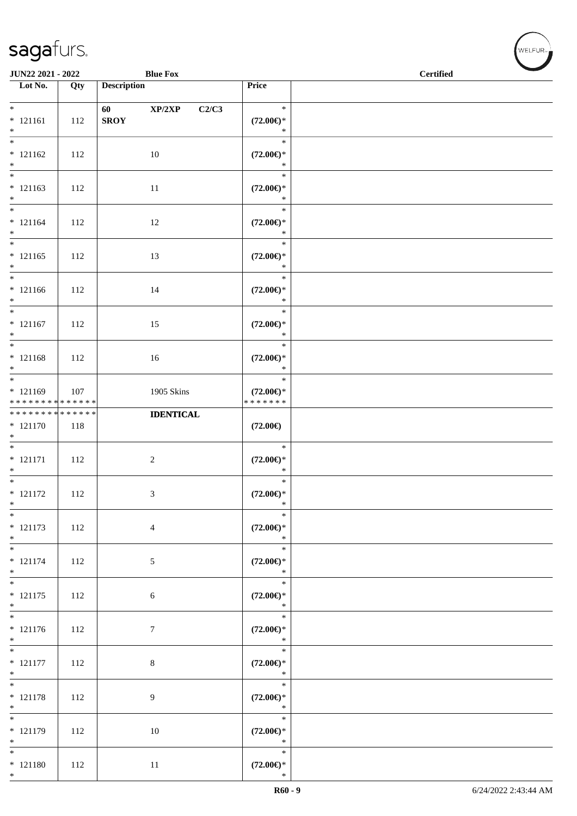| JUN22 2021 - 2022                                |     |                    | <b>Blue Fox</b>  |                                                | <b>Certified</b> |
|--------------------------------------------------|-----|--------------------|------------------|------------------------------------------------|------------------|
| Lot No.                                          | Qty | <b>Description</b> |                  | Price                                          |                  |
| $*$<br>$* 121161$<br>$*$                         | 112 | 60<br><b>SROY</b>  | XP/2XP<br>C2/C3  | $\ast$<br>$(72.00\epsilon)$ *<br>$\ast$        |                  |
| $\overline{\phantom{0}}$<br>$* 121162$<br>$*$    | 112 |                    | 10               | $\ast$<br>$(72.00\epsilon)$ *<br>$\ast$        |                  |
| $*$<br>$* 121163$<br>$*$                         | 112 |                    | 11               | $\ast$<br>$(72.00\epsilon)$ *<br>$\ast$        |                  |
| $* 121164$<br>$*$                                | 112 |                    | 12               | $\ast$<br>$(72.00\epsilon)$ *<br>$\ast$        |                  |
| $* 121165$<br>$*$                                | 112 |                    | 13               | $\ast$<br>$(72.00\epsilon)$ *<br>$\ast$        |                  |
| $*$<br>$* 121166$<br>$*$                         | 112 |                    | 14               | $\ast$<br>$(72.00\epsilon)$ *<br>$\ast$        |                  |
| $*$<br>$* 121167$<br>$*$                         | 112 |                    | 15               | $\ast$<br>$(72.00\epsilon)$ *<br>$\ast$        |                  |
| $* 121168$<br>$*$                                | 112 |                    | 16               | $\ast$<br>$(72.00\epsilon)$ *<br>$\ast$        |                  |
| $* 121169$<br>* * * * * * * * * * * * * *        | 107 |                    | 1905 Skins       | $\ast$<br>$(72.00\epsilon)$ *<br>* * * * * * * |                  |
| * * * * * * * * * * * * * *<br>$* 121170$<br>$*$ | 118 |                    | <b>IDENTICAL</b> | $(72.00\epsilon)$                              |                  |
| $* 121171$<br>$*$                                | 112 |                    | $\sqrt{2}$       | $\ast$<br>$(72.00\epsilon)$ *<br>$\ast$        |                  |
| $*$<br>$* 121172$<br>$\ast$                      | 112 |                    | 3                | $\ast$<br>$(72.00\epsilon)$ *<br>$\ast$        |                  |
| $\overline{\phantom{0}}$<br>$* 121173$<br>$*$    | 112 |                    | $\overline{4}$   | $\ast$<br>$(72.00\epsilon)$ *<br>$\ast$        |                  |
| $*$<br>$* 121174$<br>$*$                         | 112 |                    | $\sqrt{5}$       | $\ast$<br>$(72.00\epsilon)$ *<br>$\ast$        |                  |
| $*$<br>$* 121175$<br>$*$                         | 112 |                    | 6                | $\ast$<br>$(72.00\epsilon)$ *<br>$\ast$        |                  |
| $* 121176$<br>$*$                                | 112 |                    | $\boldsymbol{7}$ | $\ast$<br>$(72.00\epsilon)$ *<br>$\ast$        |                  |
| $\overline{\phantom{0}}$<br>$* 121177$<br>$*$    | 112 |                    | $8\,$            | $\ast$<br>$(72.00\epsilon)$ *<br>$\ast$        |                  |
| $* 121178$<br>$*$                                | 112 |                    | 9                | $\ast$<br>$(72.00\epsilon)$ *<br>$\ast$        |                  |
| $* 121179$<br>$*$                                | 112 |                    | 10               | $\ast$<br>$(72.00\epsilon)$ *<br>$\ast$        |                  |
| $*$<br>$* 121180$<br>$*$                         | 112 |                    | 11               | $\ast$<br>$(72.00\epsilon)$ *<br>$\ast$        |                  |

 $(w$ ELFUR<sub><sup>n</sub></sub></sub></sup>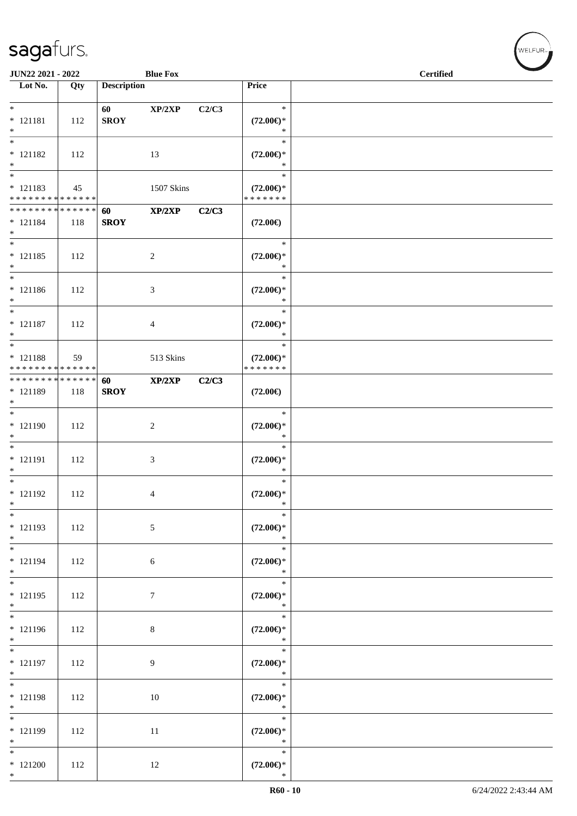| JUN22 2021 - 2022                                            |     |                    | <b>Blue Fox</b> |       |                                                | <b>Certified</b> |
|--------------------------------------------------------------|-----|--------------------|-----------------|-------|------------------------------------------------|------------------|
| $\overline{\phantom{1}}$ Lot No.                             | Qty | <b>Description</b> |                 |       | <b>Price</b>                                   |                  |
| $*$                                                          |     | 60                 | XP/2XP          | C2/C3 | $\ast$                                         |                  |
| $* 121181$<br>$*$                                            | 112 | <b>SROY</b>        |                 |       | $(72.00\epsilon)$ *<br>$\ast$                  |                  |
| $\overline{\phantom{0}}$<br>$* 121182$<br>$*$                | 112 |                    | 13              |       | $\ast$<br>$(72.00\epsilon)$ *<br>$\ast$        |                  |
| $* 121183$<br>* * * * * * * * * * * * * *                    | 45  |                    | 1507 Skins      |       | $\ast$<br>$(72.00\epsilon)$ *<br>* * * * * * * |                  |
| * * * * * * * * * * * * * * *<br>$* 121184$<br>$*$           | 118 | 60<br><b>SROY</b>  | XP/2XP          | C2/C3 | $(72.00\epsilon)$                              |                  |
| $\overline{\phantom{0}}$<br>$* 121185$<br>$*$                | 112 |                    | $\sqrt{2}$      |       | $\ast$<br>$(72.00\epsilon)$ *<br>$\ast$        |                  |
| $*$<br>$* 121186$<br>$*$                                     | 112 |                    | 3               |       | $\ast$<br>$(72.00\epsilon)$ *<br>$\ast$        |                  |
| $*$<br>$* 121187$<br>$*$                                     | 112 |                    | 4               |       | $\ast$<br>$(72.00\epsilon)$ *<br>$\ast$        |                  |
| $\overline{\ }$<br>$* 121188$<br>* * * * * * * * * * * * * * | 59  |                    | 513 Skins       |       | $\ast$<br>$(72.00\epsilon)$ *<br>* * * * * * * |                  |
| * * * * * * * * * * * * * * *<br>* 121189<br>$*$             | 118 | 60<br><b>SROY</b>  | XP/2XP          | C2/C3 | $(72.00\epsilon)$                              |                  |
| * 121190<br>$\ast$                                           | 112 |                    | $\sqrt{2}$      |       | $\ast$<br>$(72.00\epsilon)$ *<br>$\ast$        |                  |
| $*$<br>* 121191<br>$*$                                       | 112 |                    | 3               |       | $\ast$<br>$(72.00\epsilon)$ *<br>$\ast$        |                  |
| $*$<br>$* 121192$<br>$*$                                     | 112 |                    | 4               |       | $\ast$<br>$(72.00\epsilon)$ *<br>$\ast$        |                  |
| $\ast$<br>* 121193<br>$*$                                    | 112 |                    | $\sqrt{5}$      |       | $\ast$<br>$(72.00\epsilon)$ *<br>$\ast$        |                  |
| $*$<br>$* 121194$<br>$*$                                     | 112 |                    | 6               |       | $\ast$<br>$(72.00\epsilon)$ *<br>$\ast$        |                  |
| $*$<br>$* 121195$<br>$*$                                     | 112 |                    | $\tau$          |       | $\ast$<br>$(72.00\epsilon)$ *<br>$\ast$        |                  |
| * 121196<br>$\ast$                                           | 112 |                    | $8\,$           |       | $\ast$<br>$(72.00\epsilon)$ *<br>$\ast$        |                  |
| $\overline{\ast}$<br>$* 121197$<br>$*$                       | 112 |                    | 9               |       | $\ast$<br>$(72.00\epsilon)$ *<br>$\ast$        |                  |
| $*$<br>$* 121198$<br>$*$                                     | 112 |                    | 10              |       | $\ast$<br>$(72.00\epsilon)$ *<br>$\ast$        |                  |
| * 121199<br>$*$                                              | 112 |                    | 11              |       | $\ast$<br>$(72.00\epsilon)$ *<br>$\ast$        |                  |
| $\ast$<br>$*121200$<br>$*$                                   | 112 |                    | 12              |       | $\ast$<br>$(72.00\epsilon)$ *<br>$\ast$        |                  |

、<br>WELFUR<sub>™</sub>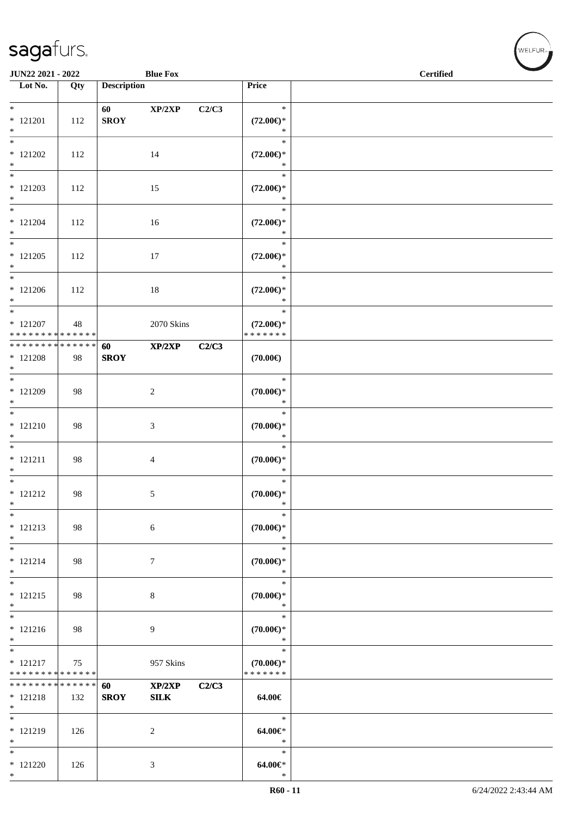| <b>JUN22 2021 - 2022</b>                   |     |                    | <b>Blue Fox</b> |       |                                      | <b>Certified</b> |
|--------------------------------------------|-----|--------------------|-----------------|-------|--------------------------------------|------------------|
| Lot $No.$                                  | Qty | <b>Description</b> |                 |       | Price                                |                  |
|                                            |     |                    |                 |       |                                      |                  |
| $*$                                        |     | 60                 | XP/2XP          | C2/C3 | $\ast$                               |                  |
| $* 121201$                                 | 112 | <b>SROY</b>        |                 |       | $(72.00\epsilon)$ *                  |                  |
| $*$<br>$\overline{\ast}$                   |     |                    |                 |       | $\ast$<br>$\ast$                     |                  |
| $* 121202$                                 | 112 |                    | 14              |       | $(72.00\epsilon)$ *                  |                  |
| $*$                                        |     |                    |                 |       | $\ast$                               |                  |
| $\overline{\ast}$                          |     |                    |                 |       | $\ast$                               |                  |
| $* 121203$                                 | 112 |                    | 15              |       | $(72.00\epsilon)$ *                  |                  |
| $*$<br>$*$                                 |     |                    |                 |       | $\ast$<br>$\ast$                     |                  |
| $* 121204$                                 | 112 |                    | 16              |       | $(72.00\epsilon)$ *                  |                  |
| $*$                                        |     |                    |                 |       | $\ast$                               |                  |
|                                            |     |                    |                 |       | $\ast$                               |                  |
| $* 121205$                                 | 112 |                    | 17              |       | $(72.00\epsilon)$ *                  |                  |
| $*$                                        |     |                    |                 |       | $\ast$                               |                  |
| $*$                                        |     |                    |                 |       | $\ast$                               |                  |
| $* 121206$<br>$*$                          | 112 |                    | $18\,$          |       | $(72.00\epsilon)$ *<br>$\ast$        |                  |
| $\ast$                                     |     |                    |                 |       | $\ast$                               |                  |
| $* 121207$                                 | 48  |                    | 2070 Skins      |       | $(72.00\epsilon)$ *                  |                  |
| * * * * * * * * * * * * * *                |     |                    |                 |       | * * * * * * *                        |                  |
| * * * * * * * * <mark>* * * * * * *</mark> |     | 60                 | XP/2XP          | C2/C3 |                                      |                  |
| $*121208$<br>$*$                           | 98  | <b>SROY</b>        |                 |       | $(70.00\epsilon)$                    |                  |
| $*$                                        |     |                    |                 |       | $\ast$                               |                  |
| * 121209                                   | 98  |                    | 2               |       | $(70.00\epsilon)$ *                  |                  |
| $*$                                        |     |                    |                 |       | $\ast$                               |                  |
| $*$                                        |     |                    |                 |       | $\ast$                               |                  |
| $* 121210$<br>$\ast$                       | 98  |                    | 3               |       | $(70.00 \in )^*$<br>$\ast$           |                  |
| $\overline{\phantom{0}}$                   |     |                    |                 |       | $\ast$                               |                  |
| $* 121211$                                 | 98  |                    | $\overline{4}$  |       | $(70.00\epsilon)$ *                  |                  |
| $*$                                        |     |                    |                 |       | $\ast$                               |                  |
| $*$                                        |     |                    |                 |       | $\ast$                               |                  |
| $* 121212$                                 | 98  |                    | 5               |       | $(70.00\epsilon)$ *                  |                  |
| $\ast$<br>$\ast$                           |     |                    |                 |       | $\ast$<br>$\ast$                     |                  |
| $* 121213$                                 | 98  |                    | $\sqrt{6}$      |       | $(70.00\epsilon)$ *                  |                  |
| $\ast$                                     |     |                    |                 |       | $\ast$                               |                  |
| $*$                                        |     |                    |                 |       | $\ast$                               |                  |
| $* 121214$                                 | 98  |                    | $\tau$          |       | $(70.00\epsilon)$ *                  |                  |
| $*$                                        |     |                    |                 |       | $\ast$                               |                  |
| $*$<br>$* 121215$                          |     |                    |                 |       | $\ast$                               |                  |
| $\ast$                                     | 98  |                    | 8               |       | $(70.00\epsilon)$ *<br>$\ast$        |                  |
| $*$                                        |     |                    |                 |       | $\ast$                               |                  |
| $* 121216$                                 | 98  |                    | 9               |       | $(70.00\epsilon)$ *                  |                  |
| $\ast$                                     |     |                    |                 |       | $\ast$                               |                  |
|                                            |     |                    |                 |       | $\ast$                               |                  |
| $* 121217$<br>* * * * * * * * * * * * * *  | 75  |                    | 957 Skins       |       | $(70.00\epsilon)$ *<br>* * * * * * * |                  |
| * * * * * * * * * * * * * * *              |     | 60                 | XP/2XP          | C2/C3 |                                      |                  |
| $* 121218$                                 | 132 | <b>SROY</b>        | SLK             |       | 64.00€                               |                  |
| $*$                                        |     |                    |                 |       |                                      |                  |
| $*$                                        |     |                    |                 |       | $\ast$                               |                  |
| * 121219<br>$*$                            | 126 |                    | $\overline{2}$  |       | $64.00 \in$<br>$\ast$                |                  |
| $*$                                        |     |                    |                 |       | $\ast$                               |                  |
| $* 121220$                                 | 126 |                    | 3               |       | $64.00 \in$                          |                  |
| $*$                                        |     |                    |                 |       | $\ast$                               |                  |

WELFUR-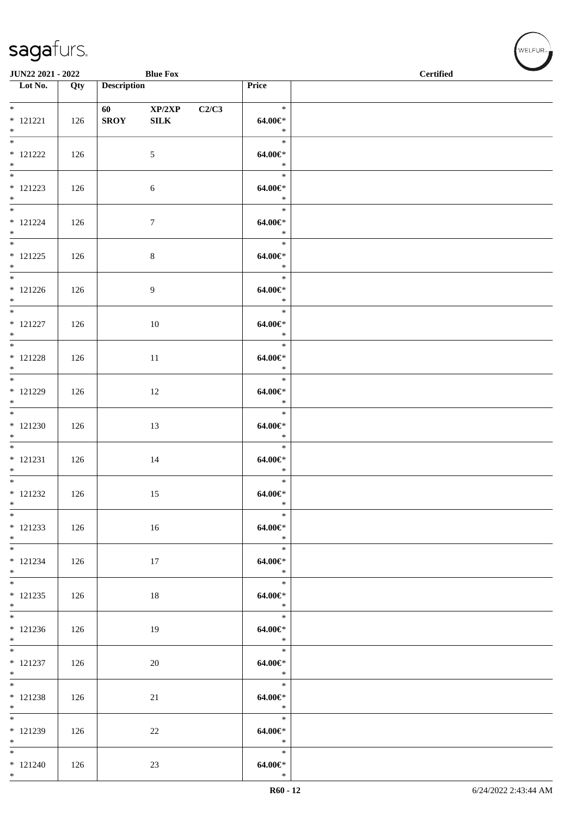| JUN22 2021 - 2022                      |     |                       | <b>Blue Fox</b>        |       |                                 | <b>Contract Contract Contract Contract Contract Contract Contract Contract Contract Contract Contract Contract Contract Contract Contract Contract Contract Contract Contract Contract Contract Contract Contract Contract Contr</b><br>$\operatorname{\bf \mathbf{Certified}}$ |  |
|----------------------------------------|-----|-----------------------|------------------------|-------|---------------------------------|---------------------------------------------------------------------------------------------------------------------------------------------------------------------------------------------------------------------------------------------------------------------------------|--|
| $\overline{\phantom{1}}$ Lot No.       | Qty | <b>Description</b>    |                        |       | Price                           |                                                                                                                                                                                                                                                                                 |  |
| $*$<br>$* 121221$<br>$*$               | 126 | 60 100<br><b>SROY</b> | XP/2XP<br>${\bf SILK}$ | C2/C3 | $\ast$<br>64.00€*<br>$\ast$     |                                                                                                                                                                                                                                                                                 |  |
| $*$<br>$* 121222$<br>$*$               | 126 |                       | 5                      |       | $\ast$<br>$64.00 \in$<br>$\ast$ |                                                                                                                                                                                                                                                                                 |  |
| $\overline{\ast}$<br>$* 121223$<br>$*$ | 126 |                       | 6                      |       | $\ast$<br>$64.00 \in$<br>$\ast$ |                                                                                                                                                                                                                                                                                 |  |
| $*$<br>$* 121224$<br>$*$               | 126 |                       | $\tau$                 |       | $\ast$<br>$64.00 \in$<br>$\ast$ |                                                                                                                                                                                                                                                                                 |  |
| $*$ and $*$<br>$* 121225$<br>$*$       | 126 |                       | $\,8\,$                |       | $\ast$<br>$64.00 \in$<br>$\ast$ |                                                                                                                                                                                                                                                                                 |  |
| $*$<br>$* 121226$<br>$*$               | 126 |                       | 9                      |       | $\ast$<br>64.00€*<br>$\ast$     |                                                                                                                                                                                                                                                                                 |  |
| $* 121227$<br>$*$                      | 126 |                       | 10                     |       | $\ast$<br>64.00€*<br>$\ast$     |                                                                                                                                                                                                                                                                                 |  |
| $* 121228$<br>$*$                      | 126 |                       | $11\,$                 |       | $\ast$<br>64.00€*<br>$\ast$     |                                                                                                                                                                                                                                                                                 |  |
| $*$<br>$* 121229$<br>$*$               | 126 |                       | 12                     |       | $\ast$<br>$64.00 \in$<br>$\ast$ |                                                                                                                                                                                                                                                                                 |  |
| $*$<br>$*121230$<br>$*$                | 126 |                       | 13                     |       | $\ast$<br>$64.00 \in$<br>$\ast$ |                                                                                                                                                                                                                                                                                 |  |
| $*$<br>$* 121231$<br>$*$               | 126 |                       | 14                     |       | $\ast$<br>$64.00 \in$<br>$\ast$ |                                                                                                                                                                                                                                                                                 |  |
| $*$<br>$* 121232$<br>$*$               | 126 |                       | 15                     |       | $\ast$<br>$64.00 \in$<br>$\ast$ |                                                                                                                                                                                                                                                                                 |  |
| $*$<br>$* 121233$<br>$*$               | 126 |                       | 16                     |       | $\ast$<br>64.00€*<br>$\ast$     |                                                                                                                                                                                                                                                                                 |  |
| $*$<br>$* 121234$<br>$*$               | 126 |                       | 17                     |       | $\ast$<br>$64.00 \in$<br>$\ast$ |                                                                                                                                                                                                                                                                                 |  |
| $*$<br>$* 121235$<br>$*$               | 126 |                       | 18                     |       | $\ast$<br>$64.00 \in$<br>$\ast$ |                                                                                                                                                                                                                                                                                 |  |
| $* 121236$<br>$*$                      | 126 |                       | 19                     |       | $\ast$<br>64.00€*<br>$\ast$     |                                                                                                                                                                                                                                                                                 |  |
| $*$<br>$* 121237$<br>$*$               | 126 |                       | 20                     |       | $\ast$<br>$64.00 \in$<br>$*$    |                                                                                                                                                                                                                                                                                 |  |
| $*$<br>$* 121238$<br>$*$               | 126 |                       | 21                     |       | $\ast$<br>64.00€*<br>$\ast$     |                                                                                                                                                                                                                                                                                 |  |
| * 121239<br>$*$                        | 126 |                       | 22                     |       | $\ast$<br>64.00€*<br>$\ast$     |                                                                                                                                                                                                                                                                                 |  |
| $*$<br>$* 121240$<br>$*$               | 126 |                       | 23                     |       | $\ast$<br>$64.00 \in$<br>$\ast$ |                                                                                                                                                                                                                                                                                 |  |

、<br>WELFUR<sub>™</sub>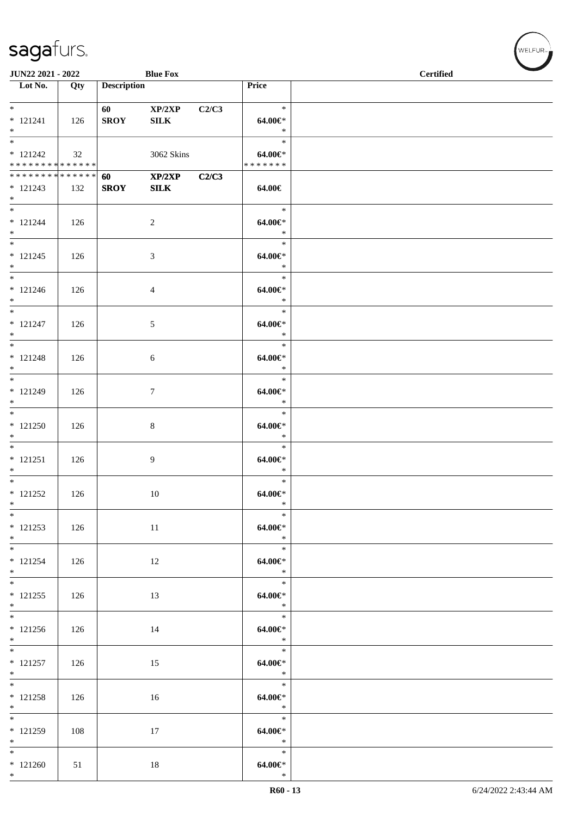| JUN22 2021 - 2022                                  |     |                    | <b>Blue Fox</b>        |       |                                        | <b>Certified</b> |
|----------------------------------------------------|-----|--------------------|------------------------|-------|----------------------------------------|------------------|
| $\overline{\phantom{1}}$ Lot No.                   | Qty | <b>Description</b> |                        |       | Price                                  |                  |
| $* 121241$<br>$*$                                  | 126 | 60<br><b>SROY</b>  | XP/2XP<br>${\bf SILK}$ | C2/C3 | $\ast$<br>64.00€*<br>$\ast$            |                  |
| $* 121242$<br>* * * * * * * * * * * * * * *        | 32  |                    | 3062 Skins             |       | $\ast$<br>$64.00 \in$<br>* * * * * * * |                  |
| * * * * * * * * * * * * * * *<br>$* 121243$<br>$*$ | 132 | 60<br><b>SROY</b>  | XP/2XP<br><b>SILK</b>  | C2/C3 | 64.00€                                 |                  |
| $*$<br>$* 121244$<br>$*$                           | 126 |                    | $\overline{c}$         |       | $\ast$<br>$64.00 \in$<br>$\ast$        |                  |
| $\overline{\phantom{1}}$<br>$* 121245$<br>$*$      | 126 |                    | 3                      |       | $\ast$<br>$64.00 \in$<br>$\ast$        |                  |
| $*$<br>$* 121246$<br>$*$                           | 126 |                    | 4                      |       | $\ast$<br>64.00€*<br>$\ast$            |                  |
| $*$<br>$* 121247$<br>$*$                           | 126 |                    | 5                      |       | $\ast$<br>64.00€*<br>$\ast$            |                  |
| $* 121248$<br>$*$                                  | 126 |                    | 6                      |       | $\ast$<br>64.00€*<br>$\ast$            |                  |
| $*$<br>$* 121249$<br>$*$                           | 126 |                    | $\tau$                 |       | $\ast$<br>$64.00 \in$<br>$\ast$        |                  |
| $* 121250$<br>$*$                                  | 126 |                    | $\,8\,$                |       | $\ast$<br>64.00€*<br>$\ast$            |                  |
| $* 121251$<br>$*$                                  | 126 |                    | 9                      |       | $\ast$<br>$64.00 \in$<br>$\ast$        |                  |
| $*$<br>$* 121252$<br>$*$                           | 126 |                    | 10                     |       | $\ast$<br>$64.00 \in$<br>$\ast$        |                  |
| $*$<br>$* 121253$<br>$*$ $-$                       | 126 |                    | 11                     |       | $\ast$<br>64.00€*<br>$\ast$            |                  |
| $*$<br>$* 121254$<br>$*$                           | 126 |                    | 12                     |       | $\ast$<br>$64.00 \in$<br>$\ast$        |                  |
| $* 121255$<br>$*$                                  | 126 |                    | 13                     |       | $\ast$<br>$64.00 \in$<br>$\ast$        |                  |
| $* 121256$<br>$*$                                  | 126 |                    | 14                     |       | $\ast$<br>$64.00 \in$<br>$\ast$        |                  |
| $* 121257$<br>$*$<br>$*$                           | 126 |                    | 15                     |       | $\ast$<br>$64.00 \in$<br>$\ast$        |                  |
| $* 121258$<br>$*$ $-$                              | 126 |                    | 16                     |       | $\ast$<br>64.00€*<br>$\ast$            |                  |
| $* 121259$<br>$*$                                  | 108 |                    | 17                     |       | $\ast$<br>64.00€*<br>$\ast$            |                  |
| $*$<br>$*121260$<br>$*$                            | 51  |                    | 18                     |       | $\ast$<br>$64.00 \in$<br>$\ast$        |                  |

、<br>WELFUR<sub>™</sub>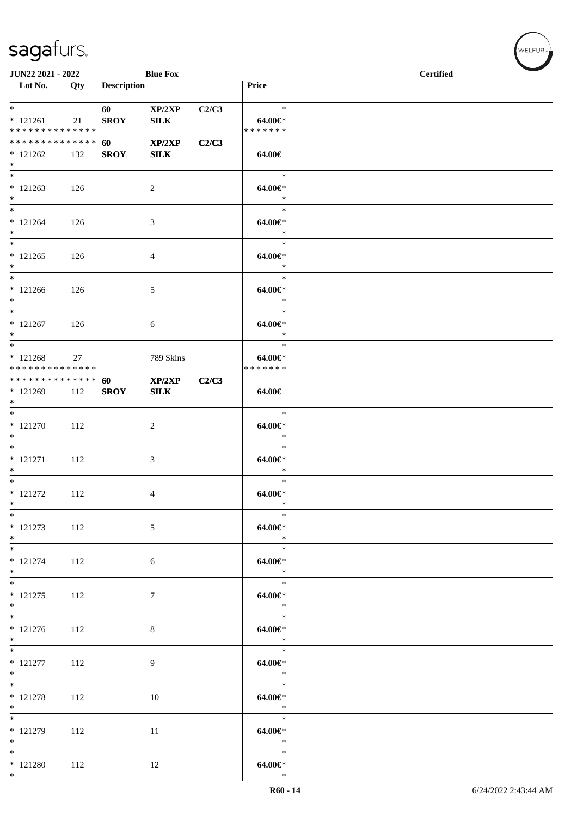| JUN22 2021 - 2022                                  |     |                        | <b>Blue Fox</b>        |       |                                          | <b>Certified</b> |
|----------------------------------------------------|-----|------------------------|------------------------|-------|------------------------------------------|------------------|
| Lot No.                                            | Qty | <b>Description</b>     |                        |       | Price                                    |                  |
| $*$<br>$* 121261$<br>* * * * * * * * * * * * * *   | 21  | 60 — 10<br><b>SROY</b> | XP/2XP<br><b>SILK</b>  | C2/C3 | $\ast$<br>64.00 $\in$ *<br>* * * * * * * |                  |
| * * * * * * * * * * * * * * *<br>$* 121262$<br>$*$ | 132 | 60<br><b>SROY</b>      | XP/2XP<br>${\bf SILK}$ | C2/C3 | 64.00€                                   |                  |
| $* 121263$<br>$*$                                  | 126 |                        | $\overline{c}$         |       | $\ast$<br>64.00€*<br>$\ast$              |                  |
| $*$<br>$* 121264$<br>$*$                           | 126 |                        | 3                      |       | $\ast$<br>64.00€*<br>$\ast$              |                  |
| $*$<br>$* 121265$<br>$*$                           | 126 |                        | 4                      |       | $\ast$<br>64.00€*<br>$\ast$              |                  |
| $*$<br>$* 121266$<br>$*$                           | 126 |                        | 5                      |       | $\ast$<br>64.00€*<br>$\ast$              |                  |
| $*$<br>$* 121267$<br>$*$<br>$*$                    | 126 |                        | 6                      |       | $\ast$<br>64.00€*<br>$\ast$              |                  |
| $* 121268$<br>* * * * * * * * * * * * * *          | 27  |                        | 789 Skins              |       | $\ast$<br>64.00€*<br>* * * * * * *       |                  |
| ******** <mark>******</mark><br>* 121269<br>$*$    | 112 | 60<br><b>SROY</b>      | XP/2XP<br>SLK          | C2/C3 | 64.00€                                   |                  |
| $* 121270$<br>$*$                                  | 112 |                        | $\overline{c}$         |       | $\ast$<br>64.00€*<br>$\ast$              |                  |
| $*$<br>$* 121271$<br>$*$                           | 112 |                        | 3                      |       | $\ast$<br>64.00€*<br>$\ast$              |                  |
| $* 121272$<br>$*$                                  | 112 |                        | 4                      |       | $\ast$<br>$64.00 \in$<br>$\ast$          |                  |
| $*$<br>$* 121273$<br>$*$                           | 112 |                        | 5                      |       | $\ast$<br>64.00€*<br>$\ast$              |                  |
| $*$<br>$* 121274$<br>$*$<br>$*$                    | 112 |                        | 6                      |       | $\ast$<br>$64.00 \in$<br>$\ast$          |                  |
| $* 121275$<br>$*$                                  | 112 |                        | $\overline{7}$         |       | $\ast$<br>64.00€*<br>$\ast$              |                  |
| $* 121276$<br>$*$                                  | 112 |                        | 8                      |       | $\ast$<br>$64.00 \in$<br>$\ast$          |                  |
| $\overline{\ast}$<br>$* 121277$<br>$*$             | 112 |                        | 9                      |       | $\ast$<br>64.00€*<br>$\ast$              |                  |
| $* 121278$<br>$*$                                  | 112 |                        | 10                     |       | $\ast$<br>64.00€*<br>$\ast$              |                  |
| $*$<br>$* 121279$<br>$*$                           | 112 |                        | 11                     |       | $\ast$<br>64.00€*<br>$\ast$              |                  |
| $*$<br>$*$ 121280<br>$*$                           | 112 |                        | 12                     |       | $\ast$<br>$64.00 \in$<br>$\ast$          |                  |

WELFUR<sub><sup>N</sup></sub>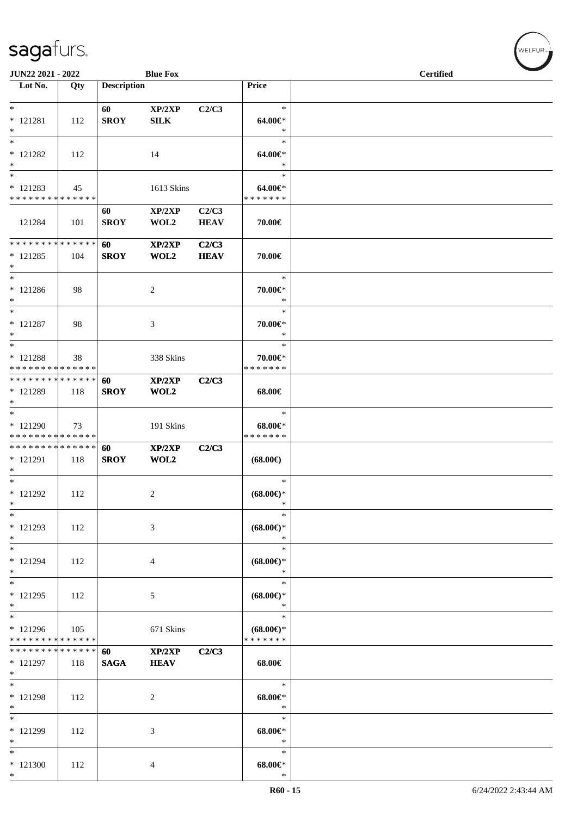| JUN22 2021 - 2022                                            |     |                    | <b>Blue Fox</b>       |                      |                                      | <b>Certified</b> |
|--------------------------------------------------------------|-----|--------------------|-----------------------|----------------------|--------------------------------------|------------------|
| Lot No.                                                      | Qty | <b>Description</b> |                       |                      | Price                                |                  |
|                                                              |     |                    |                       |                      |                                      |                  |
| $*$<br>$* 121281$                                            | 112 | 60<br><b>SROY</b>  | XP/2XP<br><b>SILK</b> | C2/C3                | $\ast$<br>64.00€*                    |                  |
| $\ast$                                                       |     |                    |                       |                      | $\ast$                               |                  |
| $\ast$                                                       |     |                    |                       |                      | $\ast$                               |                  |
| $* 121282$<br>$\ast$                                         | 112 |                    | 14                    |                      | 64.00€*<br>$\ast$                    |                  |
| $\ast$                                                       |     |                    |                       |                      | $\ast$                               |                  |
| * 121283                                                     | 45  |                    | 1613 Skins            |                      | 64.00€*                              |                  |
| * * * * * * * * * * * * * *                                  |     |                    |                       |                      | * * * * * * *                        |                  |
| 121284                                                       | 101 | 60<br><b>SROY</b>  | XP/2XP<br>WOL2        | C2/C3<br><b>HEAV</b> | 70.00€                               |                  |
| * * * * * * * * * * * * * *                                  |     | 60                 | XP/2XP                | C2/C3                |                                      |                  |
| $* 121285$                                                   | 104 | <b>SROY</b>        | WOL2                  | <b>HEAV</b>          | 70.00€                               |                  |
| $*$<br>$\ast$                                                |     |                    |                       |                      | $\ast$                               |                  |
| $* 121286$                                                   | 98  |                    | $\overline{c}$        |                      | 70.00€*                              |                  |
| $*$                                                          |     |                    |                       |                      | $\ast$                               |                  |
| $*$                                                          |     |                    |                       |                      | $\ast$                               |                  |
| $* 121287$<br>$*$                                            | 98  |                    | 3                     |                      | 70.00€*<br>$\ast$                    |                  |
| $*$                                                          |     |                    |                       |                      | $\ast$                               |                  |
| * 121288                                                     | 38  |                    | 338 Skins             |                      | 70.00€*                              |                  |
| * * * * * * * * * * * * * *<br>* * * * * * * * * * * * * * * |     |                    |                       |                      | * * * * * * *                        |                  |
| * 121289                                                     | 118 | 60<br><b>SROY</b>  | XP/2XP<br>WOL2        | C2/C3                | 68.00€                               |                  |
| $\ast$                                                       |     |                    |                       |                      |                                      |                  |
| $*$                                                          |     |                    |                       |                      | $\ast$                               |                  |
| * 121290<br>* * * * * * * * * * * * * *                      | 73  |                    | 191 Skins             |                      | $68.00 \in$<br>* * * * * * *         |                  |
| **************                                               |     | 60                 | XP/2XP                | C2/C3                |                                      |                  |
| * 121291                                                     | 118 | <b>SROY</b>        | WOL2                  |                      | $(68.00\epsilon)$                    |                  |
| $*$<br>$\ast$                                                |     |                    |                       |                      | $\ast$                               |                  |
| $* 121292$                                                   | 112 |                    | 2                     |                      | $(68.00\epsilon)$ *                  |                  |
| $\ast$                                                       |     |                    |                       |                      | $\ast$                               |                  |
| $\ast$                                                       |     |                    |                       |                      | $\ast$                               |                  |
| $* 121293$<br>$*$                                            | 112 |                    | 3                     |                      | $(68.00\epsilon)$ *<br>$\ast$        |                  |
| $*$                                                          |     |                    |                       |                      | $\ast$                               |                  |
| $* 121294$                                                   | 112 |                    | 4                     |                      | $(68.00\epsilon)$ *                  |                  |
| $*$<br>$*$                                                   |     |                    |                       |                      | $\ast$<br>$\ast$                     |                  |
| $* 121295$                                                   | 112 |                    | 5                     |                      | $(68.00\epsilon)$ *                  |                  |
| $*$                                                          |     |                    |                       |                      | $\ast$                               |                  |
| $\overline{\phantom{0}}$                                     |     |                    |                       |                      | $\ast$                               |                  |
| * 121296<br>* * * * * * * * * * * * * *                      | 105 |                    | 671 Skins             |                      | $(68.00\epsilon)$ *<br>* * * * * * * |                  |
| * * * * * * * * * * * * * *                                  |     | 60                 | XP/2XP                | C2/C3                |                                      |                  |
| * 121297                                                     | 118 | <b>SAGA</b>        | <b>HEAV</b>           |                      | $68.00\in$                           |                  |
| $*$<br>$\overline{\ast}$                                     |     |                    |                       |                      | $\ast$                               |                  |
| * 121298                                                     | 112 |                    | $\overline{c}$        |                      | $68.00 \in$                          |                  |
| $*$                                                          |     |                    |                       |                      | $\ast$                               |                  |
| $\ast$                                                       |     |                    |                       |                      | $\ast$                               |                  |
| $* 121299$<br>$\ast$                                         | 112 |                    | 3                     |                      | $68.00 \in$<br>$\ast$                |                  |
| $\ast$                                                       |     |                    |                       |                      | $\ast$                               |                  |
| $*121300$                                                    | 112 |                    | 4                     |                      | $68.00 \in$                          |                  |
| $*$                                                          |     |                    |                       |                      | $\ast$                               |                  |

√<br>WELFUR<sub>™</sub>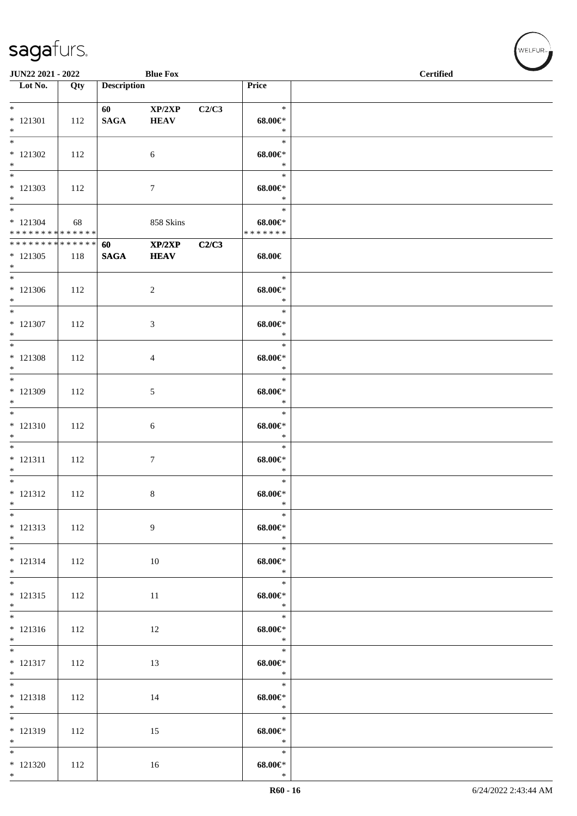| JUN22 2021 - 2022                                               |     |                        | <b>Blue Fox</b>       |       |                                        | <b>Certified</b> |
|-----------------------------------------------------------------|-----|------------------------|-----------------------|-------|----------------------------------------|------------------|
| Lot No.                                                         | Qty | <b>Description</b>     |                       |       | Price                                  |                  |
| $*$<br>$* 121301$<br>$*$                                        | 112 | 60 — 10<br><b>SAGA</b> | XP/2XP<br><b>HEAV</b> | C2/C3 | $\ast$<br>$68.00 \in$<br>$\ast$        |                  |
| $\overline{\phantom{0}}$<br>$* 121302$<br>$*$                   | 112 |                        | $\sqrt{6}$            |       | $\ast$<br>$68.00 \in$ *<br>$\ast$      |                  |
| $\overline{\phantom{0}}$<br>$* 121303$<br>$*$<br>$*$            | 112 |                        | $7\phantom{.0}$       |       | $\ast$<br>$68.00 \in$<br>$\ast$        |                  |
| $* 121304$<br>* * * * * * * * * * * * * *                       | 68  |                        | 858 Skins             |       | $\ast$<br>$68.00 \in$<br>* * * * * * * |                  |
| * * * * * * * * <mark>* * * * * * *</mark><br>$* 121305$<br>$*$ | 118 | 60<br>$\mathbf{SAGA}$  | XP/2XP<br><b>HEAV</b> | C2/C3 | 68.00€                                 |                  |
| $*$<br>$*121306$<br>$*$                                         | 112 |                        | $\sqrt{2}$            |       | $\ast$<br>$68.00 \in$<br>$\ast$        |                  |
| $*$<br>$* 121307$<br>$*$                                        | 112 |                        | 3                     |       | $\ast$<br>$68.00 \in$<br>$\ast$        |                  |
| $* 121308$<br>$*$                                               | 112 |                        | 4                     |       | $\ast$<br>$68.00 \in$<br>$\ast$        |                  |
| $*$<br>$*121309$<br>$*$                                         | 112 |                        | 5                     |       | $\ast$<br>$68.00 \in$<br>$\ast$        |                  |
| $*$<br>$* 121310$<br>$*$                                        | 112 |                        | 6                     |       | $\ast$<br>$68.00 \in$<br>$\ast$        |                  |
| $* 121311$<br>$*$                                               | 112 |                        | 7                     |       | $\ast$<br>$68.00 \in$<br>$\ast$        |                  |
| $*$<br>$* 121312$<br>$*$                                        | 112 |                        | 8                     |       | $\ast$<br>$68.00 \in$<br>$\ast$        |                  |
| $*$<br>$* 121313$<br>$*$                                        | 112 |                        | 9                     |       | $\ast$<br>$68.00 \in$<br>$\ast$        |                  |
| $*$ and $*$<br>$* 121314$<br>$*$                                | 112 |                        | 10                    |       | $\ast$<br>$68.00 \in$<br>$\ast$        |                  |
| $*$<br>$* 121315$<br>$*$                                        | 112 |                        | 11                    |       | $\ast$<br>$68.00 \in$<br>$\ast$        |                  |
| $* 121316$<br>$*$                                               | 112 |                        | 12                    |       | $\ast$<br>$68.00 \in$<br>$\ast$        |                  |
| $*$<br>$* 121317$<br>$*$                                        | 112 |                        | 13                    |       | $\ast$<br>$68.00 \in$<br>$\ast$        |                  |
| $*$<br>$* 121318$<br>$*$                                        | 112 |                        | 14                    |       | $\ast$<br>$68.00 \in$<br>$\ast$        |                  |
| $\overline{\ast}$<br>$* 121319$<br>$*$                          | 112 |                        | 15                    |       | $\ast$<br>$68.00 \in$<br>$*$           |                  |
| $*121320$<br>$*$                                                | 112 |                        | 16                    |       | $\ast$<br>$68.00 \in$<br>$\ast$        |                  |

WELFUR<sub><sup>N</sub></sub></sub></sup>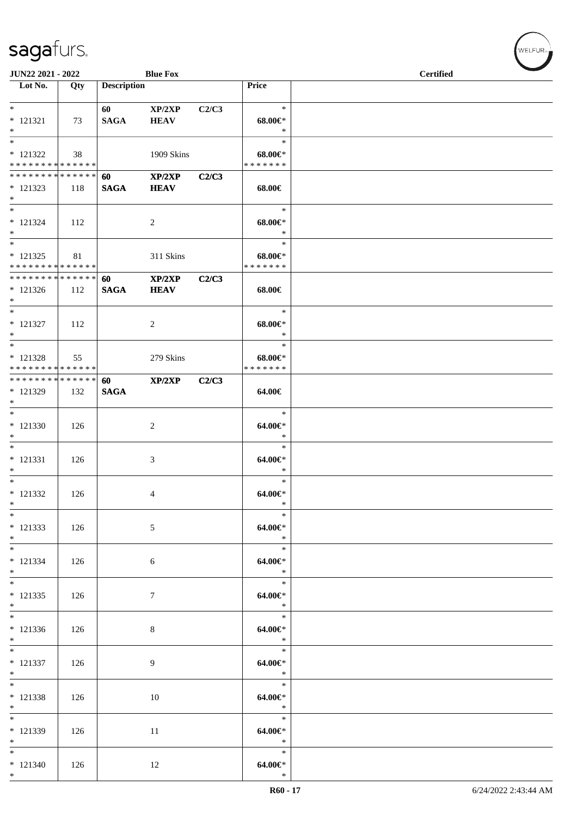| JUN22 2021 - 2022                                  |     |                    | <b>Blue Fox</b>             |       |                                        | <b>Certified</b> |
|----------------------------------------------------|-----|--------------------|-----------------------------|-------|----------------------------------------|------------------|
| $\overline{\phantom{1}}$ Lot No.                   | Qty | <b>Description</b> |                             |       | Price                                  |                  |
| $*$<br>$* 121321$<br>$*$                           | 73  | 60<br><b>SAGA</b>  | XP/2XP<br><b>HEAV</b>       | C2/C3 | $\ast$<br>$68.00 \in$<br>$\ast$        |                  |
| $*$<br>$* 121322$<br>* * * * * * * * * * * * * * * | 38  |                    | 1909 Skins                  |       | $\ast$<br>$68.00 \in$<br>* * * * * * * |                  |
| * * * * * * * * * * * * * * *<br>$* 121323$<br>$*$ | 118 | 60<br><b>SAGA</b>  | XP/2XP<br><b>HEAV</b>       | C2/C3 | 68.00€                                 |                  |
| $*$<br>$* 121324$<br>$*$                           | 112 |                    | 2                           |       | $\ast$<br>$68.00 \in$<br>$\ast$        |                  |
| $*$<br>$* 121325$<br>* * * * * * * * * * * * * *   | 81  |                    | 311 Skins                   |       | $\ast$<br>$68.00 \in$<br>* * * * * * * |                  |
| * * * * * * * * * * * * * * *<br>$* 121326$<br>$*$ | 112 | 60<br><b>SAGA</b>  | XP/2XP<br><b>HEAV</b>       | C2/C3 | 68.00€                                 |                  |
| $*$<br>$* 121327$<br>$*$                           | 112 |                    | 2                           |       | $\ast$<br>$68.00 \in$<br>$\ast$        |                  |
| $*$<br>$* 121328$<br>* * * * * * * * * * * * * *   | 55  |                    | 279 Skins                   |       | $\ast$<br>$68.00 \in$<br>* * * * * * * |                  |
| * * * * * * * * * * * * * * *<br>* 121329<br>$*$   | 132 | 60<br><b>SAGA</b>  | XP/2XP                      | C2/C3 | 64.00€                                 |                  |
| $*$<br>$* 121330$<br>$*$                           | 126 |                    | 2                           |       | $\ast$<br>64.00€*<br>$\ast$            |                  |
| $*$<br>$* 121331$<br>$*$                           | 126 |                    | $\ensuremath{\mathfrak{Z}}$ |       | $\ast$<br>64.00€*<br>$\ast$            |                  |
| $*$<br>* 121332<br>$*$                             | 126 |                    | 4                           |       | $\ast$<br>64.00€*<br>$\ast$            |                  |
| $*$<br>* 121333<br>$*$                             | 126 |                    | 5                           |       | $\ast$<br>$64.00 \in$<br>$\ast$        |                  |
| $*$<br>$* 121334$<br>$*$                           | 126 |                    | 6                           |       | $\ast$<br>64.00€*<br>$\ast$            |                  |
| $*$<br>$* 121335$<br>$*$                           | 126 |                    | 7                           |       | $\ast$<br>64.00€*<br>$\ast$            |                  |
| $* 121336$<br>$*$                                  | 126 |                    | $\,8\,$                     |       | $\ast$<br>$64.00 \in$<br>$\ast$        |                  |
| $*$<br>$* 121337$<br>$*$                           | 126 |                    | 9                           |       | $\ast$<br>$64.00 \in$<br>$\ast$        |                  |
| $*$<br>$* 121338$<br>$*$                           | 126 |                    | 10                          |       | $\ast$<br>64.00€*<br>$\ast$            |                  |
| $\overline{\ }$<br>* 121339<br>$*$                 | 126 |                    | 11                          |       | $\ast$<br>64.00€*<br>$\ast$            |                  |
| $*$<br>$* 121340$<br>$*$                           | 126 |                    | 12                          |       | $\ast$<br>64.00€*<br>$\ast$            |                  |

V<br>WELFUR<sub>™</sub>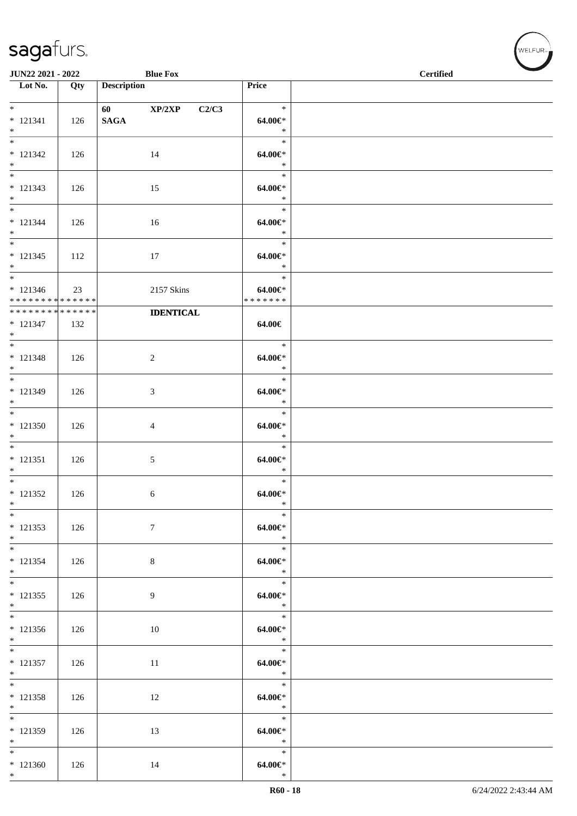| JUN22 2021 - 2022                                               |     |                          | <b>Blue Fox</b>  |                                    | <b>Certified</b> |  |  |  |
|-----------------------------------------------------------------|-----|--------------------------|------------------|------------------------------------|------------------|--|--|--|
| $\overline{\phantom{1}}$ Lot No.                                | Qty | <b>Description</b>       |                  | Price                              |                  |  |  |  |
| $*$<br>$* 121341$<br>$*$                                        | 126 | 60 XP/2XP<br><b>SAGA</b> | C2/C3            | $\ast$<br>64.00€*<br>$\ast$        |                  |  |  |  |
| $* 121342$<br>$*$<br>$\overline{\ast}$                          | 126 |                          | 14               | $\ast$<br>64.00€*<br>$\ast$        |                  |  |  |  |
| $* 121343$<br>$*$                                               | 126 |                          | 15               | $\ast$<br>64.00€*<br>$\ast$        |                  |  |  |  |
| $*$<br>$* 121344$<br>$*$                                        | 126 |                          | 16               | $\ast$<br>$64.00 \in$<br>$\ast$    |                  |  |  |  |
| $*$<br>$* 121345$<br>$*$                                        | 112 |                          | 17               | $\ast$<br>64.00€*<br>$\ast$        |                  |  |  |  |
| $*$<br>$* 121346$<br>* * * * * * * * <mark>* * * * * * *</mark> | 23  |                          | 2157 Skins       | $\ast$<br>64.00€*<br>* * * * * * * |                  |  |  |  |
| ******** <mark>******</mark><br>$* 121347$<br>$*$               | 132 |                          | <b>IDENTICAL</b> | 64.00€                             |                  |  |  |  |
| $* 121348$<br>$*$                                               | 126 | $\overline{c}$           |                  | $\ast$<br>$64.00 \in$<br>$\ast$    |                  |  |  |  |
| $*$<br>$* 121349$<br>$*$                                        | 126 | 3                        |                  | $\ast$<br>$64.00 \in$<br>$\ast$    |                  |  |  |  |
| $*121350$<br>$*$                                                | 126 | 4                        |                  | $\ast$<br>64.00€*<br>$\ast$        |                  |  |  |  |
| $* 121351$<br>$*$                                               | 126 | 5                        |                  | $\ast$<br>$64.00 \in$<br>$\ast$    |                  |  |  |  |
| $*$<br>$* 121352$<br>$*$                                        | 126 | 6                        |                  | $\ast$<br>$64.00 \in$<br>$\ast$    |                  |  |  |  |
| $*$<br>$* 121353$<br>$*$                                        | 126 | $\tau$                   |                  | $\ast$<br>64.00€*<br>$\ast$        |                  |  |  |  |
| $*$<br>* 121354<br>$*$                                          | 126 | 8                        |                  | $\ast$<br>$64.00 \in$<br>$\ast$    |                  |  |  |  |
| $*$<br>$* 121355$<br>$*$                                        | 126 | 9                        |                  | $\ast$<br>64.00€*<br>$\ast$        |                  |  |  |  |
| $\overline{\ast}$<br>$* 121356$<br>$*$                          | 126 |                          | 10               | $\ast$<br>$64.00 \in$<br>$\ast$    |                  |  |  |  |
| $* 121357$<br>$*$                                               | 126 |                          | 11               | $\ast$<br>$64.00 \in$<br>$\ast$    |                  |  |  |  |
| $*$<br>$* 121358$<br>$*$                                        | 126 |                          | 12               | $\ast$<br>$64.00 \in$<br>$\ast$    |                  |  |  |  |
| $* 121359$<br>$*$                                               | 126 |                          | 13               | $\ast$<br>64.00€*<br>$\ast$        |                  |  |  |  |
| $*$<br>$*121360$<br>$*$                                         | 126 |                          | 14               | $\ast$<br>$64.00 \in$<br>$\ast$    |                  |  |  |  |

、<br>WELFUR<sub>™</sub>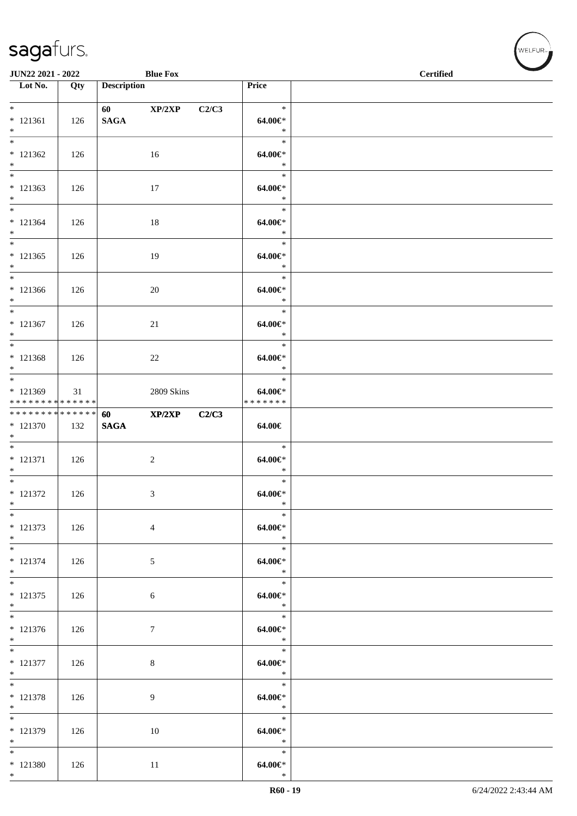| JUN22 2021 - 2022                                 |     |                    | <b>Blue Fox</b> |       |                                    | <b>Certified</b> |
|---------------------------------------------------|-----|--------------------|-----------------|-------|------------------------------------|------------------|
| $\overline{\phantom{1}}$ Lot No.                  | Qty | <b>Description</b> |                 |       | Price                              |                  |
| $*$<br>$* 121361$<br>$*$                          | 126 | $\mathbf{SAGA}$    | 60 XP/2XP       | C2/C3 | $\ast$<br>64.00€*<br>$\ast$        |                  |
| $* 121362$<br>$*$                                 | 126 |                    | 16              |       | $\ast$<br>64.00€*<br>$\ast$        |                  |
| $*$<br>$* 121363$<br>$*$                          | 126 |                    | 17              |       | $\ast$<br>64.00€*<br>$\ast$        |                  |
| $*$<br>$* 121364$<br>$*$                          | 126 |                    | 18              |       | $\ast$<br>64.00€*<br>$\ast$        |                  |
| $*$<br>$* 121365$<br>$*$                          | 126 |                    | 19              |       | $\ast$<br>64.00€*<br>$\ast$        |                  |
| $*$<br>$* 121366$<br>$*$                          | 126 |                    | 20              |       | $\ast$<br>$64.00 \in$<br>$\ast$    |                  |
| $*$<br>$* 121367$<br>$*$                          | 126 |                    | 21              |       | $\ast$<br>64.00€*<br>$\ast$        |                  |
| $\overline{\ast}$<br>$* 121368$<br>$*$            | 126 |                    | 22              |       | $\ast$<br>64.00€*<br>$\ast$        |                  |
| $*$<br>* 121369<br>* * * * * * * * * * * * * *    | 31  |                    | 2809 Skins      |       | $\ast$<br>64.00€*<br>* * * * * * * |                  |
| ******** <mark>******</mark><br>$* 121370$<br>$*$ | 132 | 60<br><b>SAGA</b>  | XP/2XP          | C2/C3 | 64.00€                             |                  |
| $* 121371$<br>$*$                                 | 126 |                    | $\overline{c}$  |       | $\ast$<br>$64.00 \in$<br>$\ast$    |                  |
| $*$<br>$* 121372$<br>$*$                          | 126 |                    | 3               |       | $\ast$<br>$64.00 \in$<br>$\ast$    |                  |
| $*$<br>* 121373<br>$*$                            | 126 |                    | $\overline{4}$  |       | $\ast$<br>64.00€*<br>$\ast$        |                  |
| $*$<br>$* 121374$<br>$*$                          | 126 |                    | 5               |       | $\ast$<br>$64.00 \in$<br>$\ast$    |                  |
| $*$<br>$* 121375$<br>$*$                          | 126 |                    | $\sqrt{6}$      |       | $\ast$<br>$64.00 \in$<br>$\ast$    |                  |
| $* 121376$<br>$*$                                 | 126 |                    | $\tau$          |       | $\ast$<br>64.00€*<br>$\ast$        |                  |
| $*$<br>$* 121377$<br>$*$                          | 126 |                    | $\,8\,$         |       | $\ast$<br>$64.00 \in$<br>$\ast$    |                  |
| $*$<br>$* 121378$<br>$*$                          | 126 |                    | 9               |       | $\ast$<br>64.00€*<br>$\ast$        |                  |
| $*$<br>* 121379<br>$*$                            | 126 |                    | 10              |       | $\ast$<br>64.00€*<br>$\ast$        |                  |
| $*$<br>$* 121380$<br>$*$                          | 126 |                    | 11              |       | $\ast$<br>$64.00 \in$<br>$\ast$    |                  |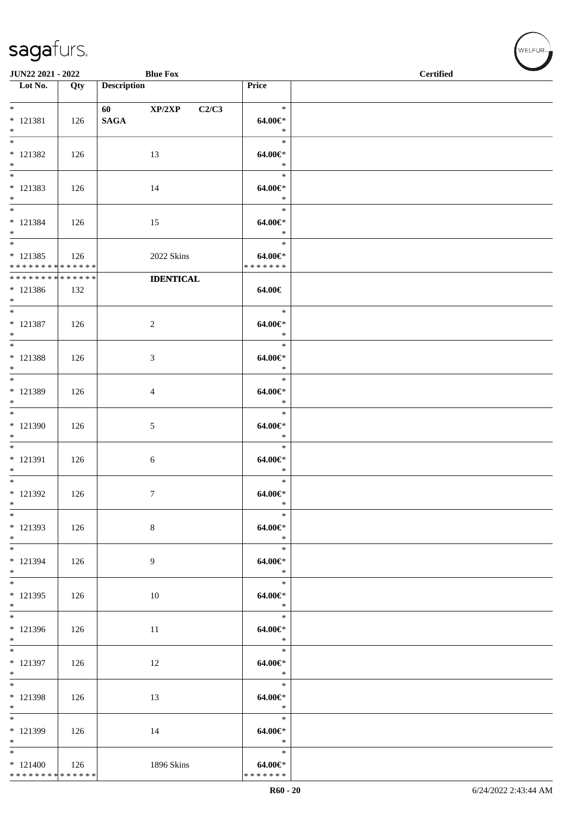| JUN22 2021 - 2022                  |     |                                                                                                                                                                                                                                                | <b>Blue Fox</b>  |                       | <b>Certified</b> |
|------------------------------------|-----|------------------------------------------------------------------------------------------------------------------------------------------------------------------------------------------------------------------------------------------------|------------------|-----------------------|------------------|
| $\overline{\phantom{1}}$ Lot No.   | Qty | <b>Description</b>                                                                                                                                                                                                                             |                  | Price                 |                  |
| $*$                                |     |                                                                                                                                                                                                                                                |                  | $\ast$                |                  |
| $* 121381$                         | 126 | 60 — 100 — 100 — 100 — 100 — 100 — 100 — 100 — 100 — 100 — 100 — 100 — 100 — 100 — 100 — 100 — 100 — 100 — 100 — 100 — 100 — 100 — 100 — 100 — 100 — 100 — 100 — 100 — 100 — 100 — 100 — 100 — 100 — 100 — 100 — 100 — 100 — 10<br><b>SAGA</b> | XP/2XP<br>C2/C3  | $64.00 \in$           |                  |
| $\ast$                             |     |                                                                                                                                                                                                                                                |                  | $\ast$                |                  |
| $\overline{\phantom{a}^*}$         |     |                                                                                                                                                                                                                                                |                  | $\ast$                |                  |
| $* 121382$                         | 126 |                                                                                                                                                                                                                                                | 13               | 64.00€*               |                  |
| $*$<br>$\overline{\phantom{0}}$    |     |                                                                                                                                                                                                                                                |                  | $\ast$<br>$\ast$      |                  |
| $* 121383$                         | 126 |                                                                                                                                                                                                                                                | 14               | $64.00 \in$           |                  |
| $\ast$                             |     |                                                                                                                                                                                                                                                |                  | $\ast$                |                  |
| $\overline{\phantom{0}}$           |     |                                                                                                                                                                                                                                                |                  | $\ast$                |                  |
| $* 121384$<br>$*$                  | 126 |                                                                                                                                                                                                                                                | 15               | 64.00€*<br>$\ast$     |                  |
| $\overline{\phantom{a}^*}$         |     |                                                                                                                                                                                                                                                |                  | $\ast$                |                  |
| $* 121385$                         | 126 |                                                                                                                                                                                                                                                | 2022 Skins       | $64.00 \in$           |                  |
| * * * * * * * * * * * * * *        |     |                                                                                                                                                                                                                                                |                  | * * * * * * *         |                  |
| **************<br>$* 121386$       | 132 |                                                                                                                                                                                                                                                | <b>IDENTICAL</b> | 64.00€                |                  |
| $*$                                |     |                                                                                                                                                                                                                                                |                  |                       |                  |
| $\ast$                             |     |                                                                                                                                                                                                                                                |                  | $\ast$                |                  |
| $* 121387$                         | 126 |                                                                                                                                                                                                                                                | $\overline{c}$   | 64.00€*               |                  |
| $*$<br>$\overline{\phantom{0}}$    |     |                                                                                                                                                                                                                                                |                  | $\ast$<br>$\ast$      |                  |
| $* 121388$                         | 126 |                                                                                                                                                                                                                                                | 3                | 64.00€*               |                  |
| $*$                                |     |                                                                                                                                                                                                                                                |                  | $\ast$                |                  |
| $*$                                |     |                                                                                                                                                                                                                                                |                  | $\ast$                |                  |
| * 121389<br>$\ast$                 | 126 |                                                                                                                                                                                                                                                | $\overline{4}$   | $64.00 \in$<br>$\ast$ |                  |
| $\overline{\phantom{0}}$           |     |                                                                                                                                                                                                                                                |                  | $\ast$                |                  |
| * 121390                           | 126 |                                                                                                                                                                                                                                                | $\mathfrak{S}$   | $64.00 \in$           |                  |
| $\ast$<br>$\overline{\phantom{0}}$ |     |                                                                                                                                                                                                                                                |                  | $\ast$                |                  |
| $* 121391$                         |     |                                                                                                                                                                                                                                                |                  | $\ast$<br>64.00€*     |                  |
| $\ast$                             | 126 |                                                                                                                                                                                                                                                | 6                | $\ast$                |                  |
| $*$                                |     |                                                                                                                                                                                                                                                |                  | $\ast$                |                  |
| * 121392                           | 126 |                                                                                                                                                                                                                                                | $\tau$           | $64.00 \in$ *         |                  |
| $\ast$<br>$\ast$                   |     |                                                                                                                                                                                                                                                |                  | $\ast$<br>$\ast$      |                  |
| $* 121393$                         | 126 |                                                                                                                                                                                                                                                | 8                | 64.00€*               |                  |
| $*$                                |     |                                                                                                                                                                                                                                                |                  | $\ast$                |                  |
| $\overline{\phantom{0}}$           |     |                                                                                                                                                                                                                                                |                  | $\ast$                |                  |
| $* 121394$<br>$*$                  | 126 |                                                                                                                                                                                                                                                | 9                | 64.00€*<br>$\ast$     |                  |
| $*$                                |     |                                                                                                                                                                                                                                                |                  | $\ast$                |                  |
| $* 121395$                         | 126 |                                                                                                                                                                                                                                                | 10               | 64.00€*               |                  |
| $*$<br>$\overline{\phantom{0}}$    |     |                                                                                                                                                                                                                                                |                  | $\ast$                |                  |
| * 121396                           |     |                                                                                                                                                                                                                                                |                  | $\ast$<br>$64.00 \in$ |                  |
| $\ast$                             | 126 |                                                                                                                                                                                                                                                | 11               | $\ast$                |                  |
| $\overline{\phantom{0}}$           |     |                                                                                                                                                                                                                                                |                  | $\ast$                |                  |
| * 121397                           | 126 |                                                                                                                                                                                                                                                | 12               | 64.00€*               |                  |
| $*$<br>$*$                         |     |                                                                                                                                                                                                                                                |                  | $*$<br>$\ast$         |                  |
| * 121398                           | 126 |                                                                                                                                                                                                                                                | 13               | 64.00€*               |                  |
| $*$                                |     |                                                                                                                                                                                                                                                |                  | $\ast$                |                  |
| $\ast$                             |     |                                                                                                                                                                                                                                                |                  | $\ast$                |                  |
| $* 121399$<br>$\ast$               | 126 |                                                                                                                                                                                                                                                | 14               | 64.00€*<br>$\ast$     |                  |
| $\overline{\phantom{0}}$           |     |                                                                                                                                                                                                                                                |                  | $\ast$                |                  |
| $*121400$                          | 126 |                                                                                                                                                                                                                                                | 1896 Skins       | 64.00€*               |                  |
| ******** <mark>******</mark>       |     |                                                                                                                                                                                                                                                |                  | * * * * * * *         |                  |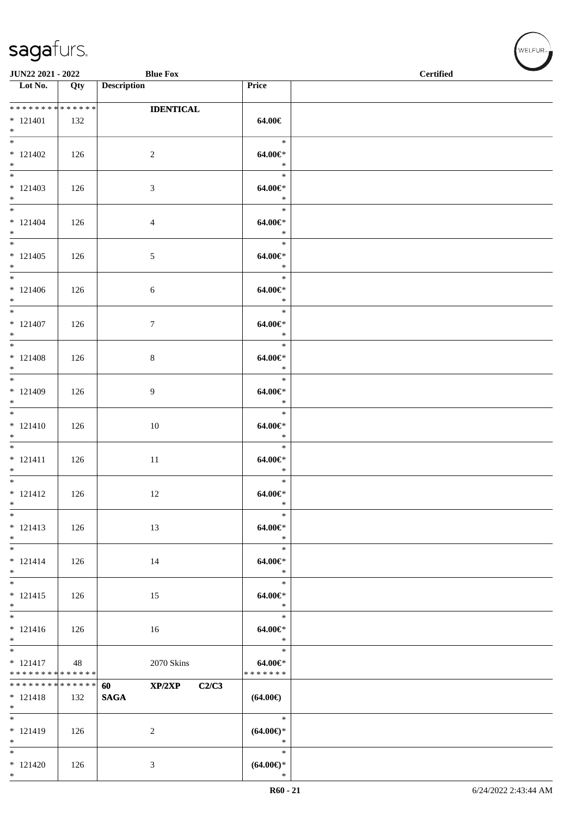\*

| JUN22 2021 - 2022                                                             |     | <b>Blue Fox</b>                          |                                       | <b>Certified</b> |
|-------------------------------------------------------------------------------|-----|------------------------------------------|---------------------------------------|------------------|
| $\overline{\phantom{1}}$ Lot No.                                              | Qty | <b>Description</b>                       | Price                                 |                  |
| * * * * * * * * * * * * * *<br>$* 121401$<br>$*$                              | 132 | <b>IDENTICAL</b>                         | 64.00€                                |                  |
| $* 121402$<br>$*$                                                             | 126 | $\overline{c}$                           | $\ast$<br>$64.00 \text{eV}$<br>$\ast$ |                  |
| $* 121403$<br>$*$                                                             | 126 | $\mathfrak{Z}$                           | $\ast$<br>64.00€*<br>$\ast$           |                  |
| $\overline{\ast}$<br>$* 121404$<br>$*$                                        | 126 | $\overline{4}$                           | $\ast$<br>64.00€*<br>$\ast$           |                  |
| $*$<br>$* 121405$<br>$*$                                                      | 126 | $\mathfrak{S}$                           | $\ast$<br>64.00€*<br>$\ast$           |                  |
| $*$<br>$* 121406$<br>$*$                                                      | 126 | $\sqrt{6}$                               | $\ast$<br>64.00€*<br>$\ast$           |                  |
| $\overline{\phantom{0}}$<br>$* 121407$<br>$\ast$                              | 126 | $\tau$                                   | $\ast$<br>$64.00 \in$<br>$\ast$       |                  |
| $* 121408$<br>$*$<br>$*$                                                      | 126 | $\,8\,$                                  | $\ast$<br>64.00€*<br>$\ast$           |                  |
| $* 121409$<br>$*$                                                             | 126 | 9                                        | $\ast$<br>$64.00 \in$<br>$\ast$       |                  |
| $\overline{\ast}$<br>$* 121410$<br>$\ast$                                     | 126 | 10                                       | $\ast$<br>$64.00 \in$<br>$\ast$       |                  |
| $*$<br>$* 121411$<br>$*$                                                      | 126 | 11                                       | $\ast$<br>64.00€*<br>$\ast$           |                  |
| $\overline{\ast}$<br>$* 121412$<br>$*$                                        | 126 | 12                                       | $\ast$<br>$64.00 \in$<br>$\ast$       |                  |
| $\ast$<br>$* 121413$<br>$\ast$<br>$\overline{\phantom{0}}$                    | 126 | 13                                       | $\ast$<br>$64.00 \in$<br>$\ast$       |                  |
| $* 121414$<br>$*$                                                             | 126 | 14                                       | $\ast$<br>$64.00 \in$<br>$\ast$       |                  |
| $* 121415$<br>$\ast$<br>$\frac{1}{1}$                                         | 126 | 15                                       | $\ast$<br>$64.00 \in$<br>$\ast$       |                  |
| $* 121416$<br>$*$<br>$\overline{\phantom{0}}$                                 | 126 | 16                                       | $\ast$<br>$64.00 \in$<br>$\ast$       |                  |
| $* 121417$<br>* * * * * * * * * * * * * *                                     | 48  | $2070~\rm{Skins}$                        | $\ast$<br>64.00€*<br>* * * * * * *    |                  |
| ******** <mark>******</mark><br>$* 121418$<br>$*$<br>$\overline{\phantom{0}}$ | 132 | XP/2XP<br>C2/C3<br>60<br>$\mathbf{SAGA}$ | $(64.00\epsilon)$                     |                  |
| $* 121419$<br>$\ast$                                                          | 126 | $\overline{c}$                           | $\ast$<br>$(64.00ε)$ *<br>$\ast$      |                  |
| $\overline{\phantom{0}}$<br>$* 121420$<br>$*$                                 | 126 | 3                                        | $\ast$<br>$(64.00ε)$ *<br>$\ast$      |                  |

 $(\forall ELFUR_{\text{max}})$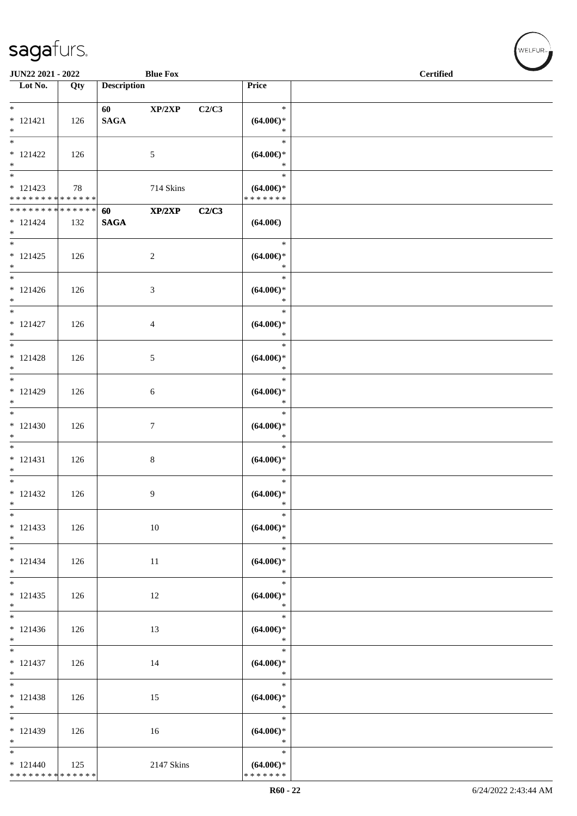| JUN22 2021 - 2022                                                        |     |                        | <b>Blue Fox</b> |       |                                                | <b>Certified</b> |  |
|--------------------------------------------------------------------------|-----|------------------------|-----------------|-------|------------------------------------------------|------------------|--|
| $\overline{\phantom{1}}$ Lot No.                                         | Qty | <b>Description</b>     |                 |       | Price                                          |                  |  |
| $\overline{\ast}$<br>$* 121421$<br>$\ast$                                | 126 | 60 — 10<br><b>SAGA</b> | XP/2XP          | C2/C3 | $\ast$<br>$(64.00ε)$ *<br>$\ast$               |                  |  |
| $\overline{\ast}$<br>$* 121422$<br>$\ast$                                | 126 |                        | $\mathfrak{S}$  |       | $\ast$<br>$(64.00ε)$ *<br>$\ast$               |                  |  |
| $*$<br>$* 121423$<br>******** <mark>******</mark>                        | 78  |                        | 714 Skins       |       | $\ast$<br>$(64.00ε)$ *<br>* * * * * * *        |                  |  |
| * * * * * * * * * * * * * *<br>$* 121424$<br>$*$                         | 132 | 60<br>$\mathbf{SAGA}$  | XP/2XP          | C2/C3 | $(64.00\epsilon)$                              |                  |  |
| $\overline{\ast}$<br>$* 121425$<br>$*$                                   | 126 |                        | $\overline{c}$  |       | $\ast$<br>$(64.00ε)$ *<br>$\ast$               |                  |  |
| $*$<br>$* 121426$<br>$*$                                                 | 126 |                        | $\mathfrak{Z}$  |       | $\ast$<br>$(64.00\epsilon)$ *<br>$\ast$        |                  |  |
| $\overline{\phantom{0}}$<br>$* 121427$<br>$\ast$                         | 126 |                        | $\overline{4}$  |       | $\ast$<br>$(64.00ε)$ *<br>$\ast$               |                  |  |
| $\overline{\phantom{a}^*}$<br>$* 121428$<br>$\ast$                       | 126 |                        | $\sqrt{5}$      |       | $\ast$<br>$(64.00ε)$ *<br>$\ast$               |                  |  |
| $\ast$<br>$* 121429$<br>$\ast$                                           | 126 |                        | 6               |       | $\ast$<br>$(64.00ε)$ *<br>$\ast$               |                  |  |
| $\frac{1}{*}$<br>$* 121430$<br>$\ast$                                    | 126 |                        | $\tau$          |       | $\ast$<br>$(64.00ε)$ *<br>$\ast$               |                  |  |
| $\overline{\phantom{a}^*}$<br>$* 121431$<br>$\ast$                       | 126 |                        | $\,8\,$         |       | $\ast$<br>$(64.00ε)$ *<br>$\ast$               |                  |  |
| $*$<br>$* 121432$<br>$\ast$                                              | 126 |                        | 9               |       | $\ast$<br>$(64.00\epsilon)$ *<br>$\ast$        |                  |  |
| $\ast$<br>$* 121433$<br>$\ast$<br>$_{\ast}$                              | 126 |                        | 10              |       | $\ast$<br>$(64.00\epsilon)$ *<br>$\ast$        |                  |  |
| $* 121434$<br>$\ast$                                                     | 126 |                        | 11              |       | $\ast$<br>$(64.00ε)$ *<br>$\ast$               |                  |  |
| $\ast$<br>$* 121435$<br>$\ast$<br>$\overline{\phantom{a}^*}$             | 126 |                        | 12              |       | $\ast$<br>$(64.00ε)$ *<br>$\ast$               |                  |  |
| $* 121436$<br>$\ast$                                                     | 126 |                        | 13              |       | $\ast$<br>$(64.00ε)$ *<br>$\ast$               |                  |  |
| $_{\ast}^{-}$<br>$* 121437$<br>$\ast$                                    | 126 |                        | 14              |       | $\ast$<br>$(64.00\epsilon)$ *<br>$\ast$        |                  |  |
| $\overline{\phantom{1}}$<br>$* 121438$<br>$\ast$<br>$\frac{1}{*}$        | 126 |                        | 15              |       | $\ast$<br>$(64.00ε)$ *<br>$\ast$               |                  |  |
| $* 121439$<br>$\ast$                                                     | 126 |                        | 16              |       | $\ast$<br>$(64.00ε)$ *<br>$\ast$               |                  |  |
| $\overline{\phantom{a}^*}$<br>$* 121440$<br>******** <mark>******</mark> | 125 |                        | 2147 Skins      |       | $\ast$<br>$(64.00\epsilon)$ *<br>* * * * * * * |                  |  |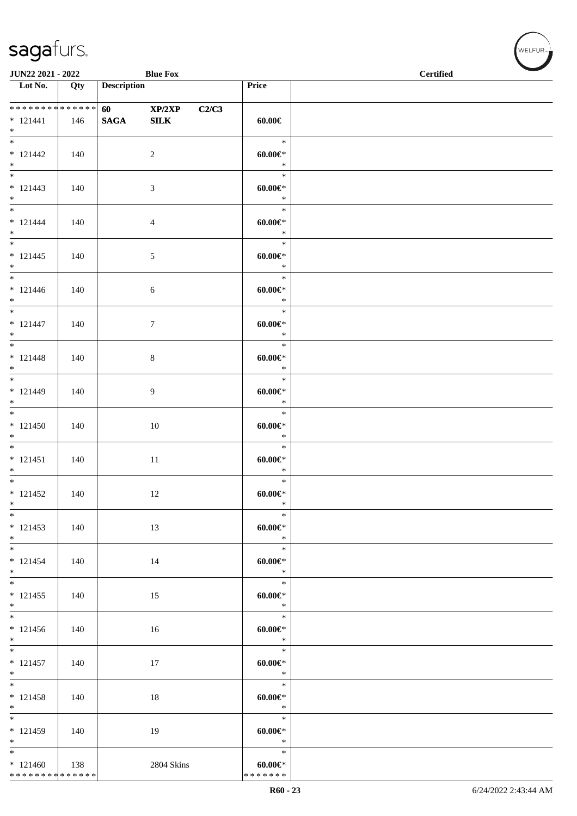| JUN22 2021 - 2022                                                         |     |                    | <b>Blue Fox</b>           |       |                                           | <b>STATE</b><br><b>Certified</b> |  |
|---------------------------------------------------------------------------|-----|--------------------|---------------------------|-------|-------------------------------------------|----------------------------------|--|
| $\overline{\phantom{1}}$ Lot No.                                          | Qty | <b>Description</b> |                           |       | Price                                     |                                  |  |
| **************<br>$* 121441$<br>$*$                                       | 146 | <b>SAGA</b>        | 60 XP/2XP<br>${\bf SILK}$ | C2/C3 | $60.00 \in$                               |                                  |  |
| $\overline{\phantom{0}}$<br>$* 121442$<br>$*$<br>$\overline{\phantom{0}}$ | 140 |                    | $\overline{c}$            |       | $\ast$<br>$60.00 \in$<br>$\ast$           |                                  |  |
| $* 121443$<br>$*$<br>$*$                                                  | 140 |                    | $\mathfrak{Z}$            |       | $\ast$<br>$60.00 \in$<br>$\ast$<br>$\ast$ |                                  |  |
| $* 121444$<br>$*$                                                         | 140 |                    | $\overline{4}$            |       | $60.00 \in$<br>$\ast$                     |                                  |  |
| $*$<br>$* 121445$<br>$*$<br>$\overline{\phantom{0}}$                      | 140 |                    | $\sqrt{5}$                |       | $\ast$<br>$60.00 \in$<br>$\ast$           |                                  |  |
| $* 121446$<br>$*$<br>$\begin{array}{c} \hline \ast \end{array}$           | 140 |                    | $\sqrt{6}$                |       | $\ast$<br>$60.00 \in$<br>$\ast$           |                                  |  |
| $* 121447$<br>$\ast$<br>$\overline{\phantom{0}}$                          | 140 |                    | $\tau$                    |       | $\ast$<br>$60.00 \in$<br>$\ast$           |                                  |  |
| $* 121448$<br>$*$                                                         | 140 |                    | $\,8\,$                   |       | $\ast$<br>$60.00 \in$<br>$\ast$           |                                  |  |
| $* 121449$<br>$*$<br>$\overline{\phantom{0}}$                             | 140 |                    | $\overline{9}$            |       | $\ast$<br>$60.00 \in$<br>$\ast$           |                                  |  |
| $* 121450$<br>$*$                                                         | 140 |                    | 10                        |       | $\ast$<br>$60.00 \in$<br>$\ast$           |                                  |  |
| $\ast$<br>$* 121451$<br>$*$<br>$\overline{\phantom{0}}$                   | 140 |                    | 11                        |       | $\ast$<br>$60.00 \in$<br>$\ast$           |                                  |  |
| $* 121452$<br>$\ast$                                                      | 140 |                    | 12                        |       | $\ast$<br>$60.00 \in$<br>$\ast$           |                                  |  |
| $\ast$<br>$* 121453$<br>$*$                                               | 140 |                    | 13                        |       | $\ast$<br>$60.00 \in$<br>$\ast$           |                                  |  |
| $*$<br>$* 121454$<br>$\ast$<br>$\overline{\phantom{0}}$                   | 140 |                    | 14                        |       | $\ast$<br>$60.00 \in$<br>$\ast$           |                                  |  |
| $* 121455$<br>$*$<br>$\overline{\phantom{0}}$                             | 140 |                    | 15                        |       | $\ast$<br>$60.00 \in$<br>$\ast$           |                                  |  |
| $* 121456$<br>$*$                                                         | 140 |                    | 16                        |       | $\ast$<br>$60.00 \in$<br>$\ast$           |                                  |  |
| $*$<br>$* 121457$<br>$*$                                                  | 140 |                    | 17                        |       | $\ast$<br>$60.00 \in$<br>$\ast$           |                                  |  |
| $*$<br>$* 121458$<br>$*$                                                  | 140 |                    | 18                        |       | $\ast$<br>$60.00 \in$<br>$\ast$           |                                  |  |
| $\overline{\phantom{0}}$<br>$* 121459$<br>$*$                             | 140 |                    | 19                        |       | $\ast$<br>$60.00 \in$<br>$\ast$           |                                  |  |
| $*$<br>$*121460$<br>******** <mark>******</mark>                          | 138 |                    | 2804 Skins                |       | $\ast$<br>$60.00 \in$<br>* * * * * * *    |                                  |  |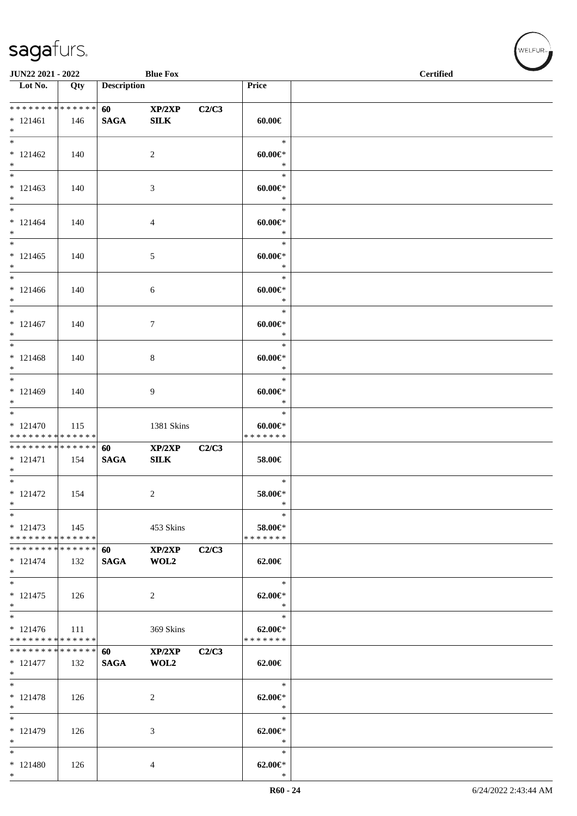| JUN22 2021 - 2022                                    |       |                                        | <b>Blue Fox</b>       |       |                                          | <b>Certified</b> |
|------------------------------------------------------|-------|----------------------------------------|-----------------------|-------|------------------------------------------|------------------|
| $\overline{\phantom{1}}$ Lot No.                     | Qty   | <b>Description</b>                     |                       |       | Price                                    |                  |
| ******** <mark>******</mark><br>$* 121461$<br>$*$    | 146   | <b>60</b> and <b>60</b><br><b>SAGA</b> | XP/2XP<br><b>SILK</b> | C2/C3 | $60.00 \in$                              |                  |
| $\overline{\phantom{0}}$<br>$* 121462$<br>$*$        | 140   |                                        | $\overline{2}$        |       | $\ast$<br>$60.00 \in$<br>$\ast$          |                  |
| $*$<br>$* 121463$<br>$*$                             | 140   |                                        | 3                     |       | $\ast$<br>$60.00 \in$<br>$\ast$          |                  |
| $* 121464$<br>$*$<br>$\overline{\phantom{0}}$        | 140   |                                        | $\overline{4}$        |       | $\ast$<br>$60.00 \in$<br>$\ast$          |                  |
| $* 121465$<br>$*$                                    | 140   |                                        | 5                     |       | $\ast$<br>$60.00 \in$<br>$\ast$          |                  |
| $*$<br>$* 121466$<br>$*$                             | 140   |                                        | 6                     |       | $\ast$<br>$60.00 \in$<br>$\ast$          |                  |
| $\ast$<br>$* 121467$<br>$*$                          | 140   |                                        | 7                     |       | $\ast$<br>$60.00 \in$ *<br>$\ast$        |                  |
| $\overline{\phantom{0}}$<br>$* 121468$<br>$*$        | 140   |                                        | 8                     |       | $\ast$<br>$60.00 \in$<br>$\ast$          |                  |
| $*$<br>$* 121469$<br>$*$                             | 140   |                                        | 9                     |       | $\ast$<br>$60.00 \in$<br>$\ast$          |                  |
| $* 121470$<br>* * * * * * * * * * * * * *            | 115   |                                        | 1381 Skins            |       | $\ast$<br>$60.00 \in$<br>* * * * * * *   |                  |
| * * * * * * * * * * * * * *<br>$* 121471$<br>$*$     | 154   | 60<br><b>SAGA</b>                      | XP/2XP<br>SLK         | C2/C3 | 58.00€                                   |                  |
| $*$<br>$* 121472$<br>$*$                             | 154   |                                        | $\overline{c}$        |       | $\ast$<br>$58.00 \in$ *<br>$\ast$        |                  |
| $*$<br>$* 121473$<br>* * * * * * * * * * * * * *     | 145   |                                        | 453 Skins             |       | $\ast$<br>58.00€*<br>* * * * * * *       |                  |
| * * * * * * * * * * * * * *<br>$* 121474$<br>$\ast$  | 132   | 60<br><b>SAGA</b>                      | XP/2XP<br>WOL2        | C2/C3 | 62.00€                                   |                  |
| $*$<br>$* 121475$<br>$*$<br>$\overline{\phantom{0}}$ | 126   |                                        | 2                     |       | $\ast$<br>$62.00 \in$ *<br>$\ast$        |                  |
| $* 121476$<br>* * * * * * * * * * * * * *            | - 111 |                                        | 369 Skins             |       | $\ast$<br>$62.00 \in$ *<br>* * * * * * * |                  |
| * * * * * * * * * * * * * *<br>$* 121477$<br>$*$     | 132   | 60<br><b>SAGA</b>                      | XP/2XP<br>WOL2        | C2/C3 | 62.00€                                   |                  |
| $*$<br>$* 121478$<br>$\ast$                          | 126   |                                        | 2                     |       | $\ast$<br>$62.00 \in$ *<br>$\ast$        |                  |
| $*$<br>* 121479<br>$*$                               | 126   |                                        | 3                     |       | $\ast$<br>$62.00 \in$ *<br>$\ast$        |                  |
| $\ast$<br>* 121480<br>$*$                            | 126   |                                        | 4                     |       | $\ast$<br>$62.00 \in$ *<br>$\ast$        |                  |

WELFUR<sub><sup>N</sup></sub>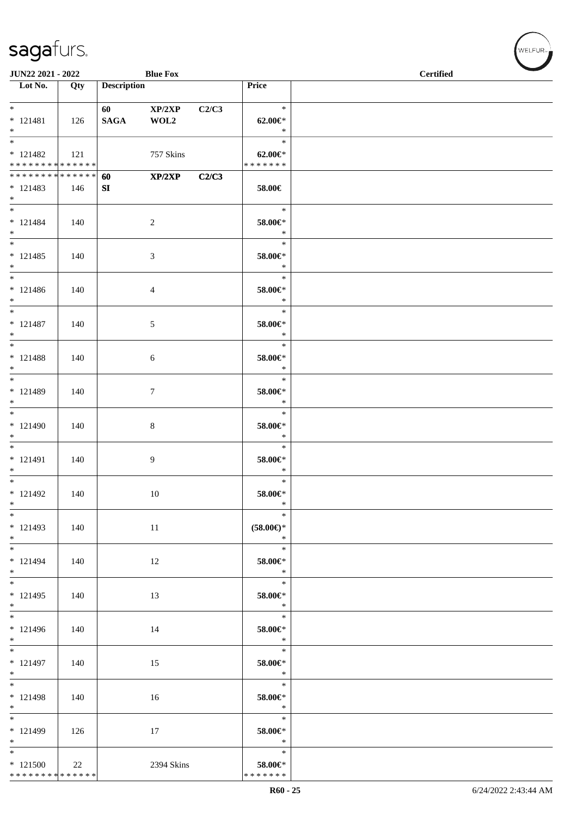| JUN22 2021 - 2022                                                |     |                    | <b>Blue Fox</b> |       |                                          | <b>Certified</b> |  |
|------------------------------------------------------------------|-----|--------------------|-----------------|-------|------------------------------------------|------------------|--|
| Lot No.                                                          | Qty | <b>Description</b> |                 |       | Price                                    |                  |  |
| $*$<br>$* 121481$<br>$*$                                         | 126 | <b>SAGA</b>        | XP/2XP<br>WOL2  | C2/C3 | $\ast$<br>$62.00 \in$ *<br>$\ast$        |                  |  |
| $\overline{\ast}$<br>$* 121482$<br>* * * * * * * * * * * * * * * | 121 |                    | 757 Skins       |       | $\ast$<br>$62.00 \in$ *<br>* * * * * * * |                  |  |
| * * * * * * * * * * * * * * *<br>$* 121483$<br>$*$               | 146 | 60<br>SI           | XP/2XP          | C2/C3 | 58.00€                                   |                  |  |
| $*$<br>$* 121484$<br>$*$                                         | 140 |                    | $\overline{c}$  |       | $\ast$<br>58.00€*<br>$\ast$              |                  |  |
| $*$<br>$* 121485$<br>$*$                                         | 140 |                    | 3               |       | $\ast$<br>58.00€*<br>$\ast$              |                  |  |
| $*$<br>$* 121486$<br>$*$                                         | 140 |                    | 4               |       | $\ast$<br>58.00€*<br>$\ast$              |                  |  |
| $*$<br>$* 121487$<br>$*$                                         | 140 |                    | 5               |       | $\ast$<br>58.00€*<br>$\ast$              |                  |  |
| $*$<br>$* 121488$<br>$*$                                         | 140 |                    | $\sqrt{6}$      |       | $\ast$<br>58.00€*<br>$\ast$              |                  |  |
| $*$<br>* 121489<br>$*$                                           | 140 |                    | $\tau$          |       | $\ast$<br>58.00€*<br>$\ast$              |                  |  |
| $*$<br>$* 121490$<br>$*$                                         | 140 |                    | $\,8\,$         |       | $\ast$<br>58.00€*<br>$\ast$              |                  |  |
| $*$<br>$* 121491$<br>$*$                                         | 140 |                    | 9               |       | $\ast$<br>58.00€*<br>$\ast$              |                  |  |
| $*$<br>$* 121492$<br>$*$                                         | 140 |                    | 10              |       | $\ast$<br>58.00€*<br>$\ast$              |                  |  |
| $*$<br>$* 121493$<br>$*$                                         | 140 |                    | 11              |       | $\ast$<br>$(58.00\epsilon)$ *<br>$\ast$  |                  |  |
| $*$<br>$* 121494$<br>$*$                                         | 140 |                    | 12              |       | $\ast$<br>58.00€*<br>$\ast$              |                  |  |
| $*$<br>$* 121495$<br>$*$                                         | 140 |                    | 13              |       | $\ast$<br>58.00€*<br>$\ast$              |                  |  |
| $* 121496$<br>$*$                                                | 140 |                    | 14              |       | $\ast$<br>58.00€*<br>$\ast$              |                  |  |
| $*$<br>$* 121497$<br>$*$                                         | 140 |                    | 15              |       | $\ast$<br>58.00€*<br>$\ast$              |                  |  |
| $*$<br>$* 121498$<br>$*$                                         | 140 |                    | 16              |       | $\ast$<br>58.00€*<br>$\ast$              |                  |  |
| * 121499<br>$*$                                                  | 126 |                    | 17              |       | $\ast$<br>58.00€*<br>$\ast$              |                  |  |
| $*$<br>$*121500$<br>******** <mark>******</mark>                 | 22  |                    | 2394 Skins      |       | $\ast$<br>58.00€*<br>* * * * * * *       |                  |  |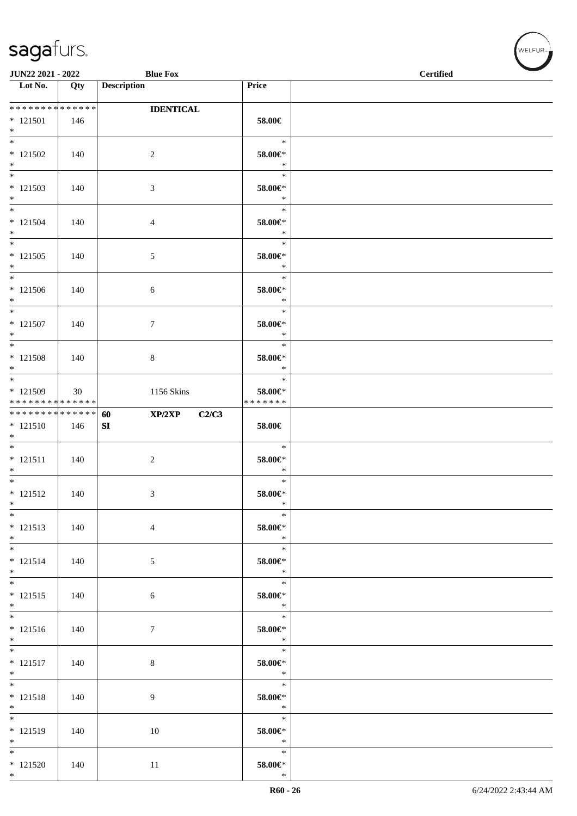| <b>Blue Fox</b><br>JUN22 2021 - 2022                                |     |                                     |                                        | <b>Certified</b> |  |  |  |
|---------------------------------------------------------------------|-----|-------------------------------------|----------------------------------------|------------------|--|--|--|
| $\overline{\phantom{1}}$ Lot No.                                    | Qty | <b>Description</b>                  | Price                                  |                  |  |  |  |
| **************<br>$*121501$<br>$*$                                  | 146 | <b>IDENTICAL</b>                    | 58.00€                                 |                  |  |  |  |
| $\overline{\phantom{0}}$<br>$* 121502$<br>$*$                       | 140 | $\overline{c}$                      | $\ast$<br>58.00€*<br>$\ast$            |                  |  |  |  |
| $*$<br>$* 121503$<br>$*$                                            | 140 | 3                                   | $\ast$<br>$58.00 \text{E}^*$<br>$\ast$ |                  |  |  |  |
| $\overline{\ast}$<br>$* 121504$<br>$*$                              | 140 | $\overline{4}$                      | $\ast$<br>58.00€*<br>$\ast$            |                  |  |  |  |
| $\overline{\phantom{0}}$<br>$* 121505$<br>$*$                       | 140 | $\sqrt{5}$                          | $\ast$<br>58.00€*<br>$\ast$            |                  |  |  |  |
| $*$<br>$* 121506$<br>$*$                                            | 140 | $\sqrt{6}$                          | $\ast$<br>58.00€*<br>$\ast$            |                  |  |  |  |
| $\overline{\phantom{0}}$<br>$* 121507$<br>$*$                       | 140 | 7                                   | $\ast$<br>58.00€*<br>$\ast$            |                  |  |  |  |
| $\overline{\phantom{0}}$<br>$* 121508$<br>$\ast$                    | 140 | 8                                   | $\ast$<br>58.00€*<br>$\ast$            |                  |  |  |  |
| $\overline{\phantom{0}}$<br>* 121509<br>* * * * * * * * * * * * * * | 30  | 1156 Skins                          | $\ast$<br>58.00€*<br>* * * * * * *     |                  |  |  |  |
| ******** <mark>******</mark><br>$* 121510$<br>$*$                   | 146 | XP/2XP<br>C2/C3<br>60<br>${\bf SI}$ | 58.00€                                 |                  |  |  |  |
| $\overline{\phantom{0}}$<br>$* 121511$<br>$*$                       | 140 | $\sqrt{2}$                          | $\ast$<br>58.00€*<br>$\ast$            |                  |  |  |  |
| $*$<br>$* 121512$<br>$\ast$                                         | 140 | 3                                   | $\ast$<br>58.00€*<br>$\ast$            |                  |  |  |  |
| $\ast$<br>$* 121513$<br>$*$                                         | 140 | $\overline{4}$                      | $\ast$<br>58.00€*<br>$\ast$            |                  |  |  |  |
| $\overline{\phantom{0}}$<br>$* 121514$<br>$*$                       | 140 | $\mathfrak{S}$                      | $\ast$<br>58.00€*<br>$\ast$            |                  |  |  |  |
| $*$<br>$* 121515$<br>$*$                                            | 140 | 6                                   | $\ast$<br>$58.00 \in$ *<br>$\ast$      |                  |  |  |  |
| $* 121516$<br>$*$                                                   | 140 | $\boldsymbol{7}$                    | $\ast$<br>58.00€*<br>$\ast$            |                  |  |  |  |
| $\overline{\phantom{0}}$<br>$* 121517$<br>$*$                       | 140 | $\,8\,$                             | $\ast$<br>58.00€*<br>$\ast$            |                  |  |  |  |
| $\overline{\ast}$<br>$* 121518$<br>$*$                              | 140 | 9                                   | $\ast$<br>$58.00 \in$ *<br>$\ast$      |                  |  |  |  |
| $\overline{\phantom{0}}$<br>$* 121519$<br>$*$                       | 140 | 10                                  | $\ast$<br>58.00€*<br>$\ast$            |                  |  |  |  |
| $\overline{\phantom{0}}$<br>$* 121520$<br>$*$                       | 140 | 11                                  | $\ast$<br>$58.00 \text{E}^*$<br>$\ast$ |                  |  |  |  |

 $(w$ ELFUR<sub><sup>n</sub></sub></sub></sup>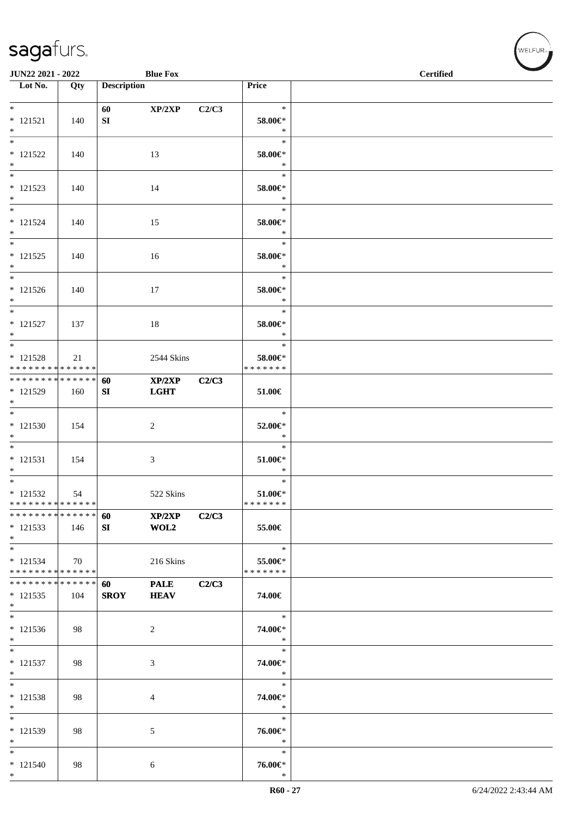| JUN22 2021 - 2022                                               |     |                    | <b>Blue Fox</b>                           |       |                                           | <b>Certified</b> |
|-----------------------------------------------------------------|-----|--------------------|-------------------------------------------|-------|-------------------------------------------|------------------|
| Lot No.                                                         | Qty | <b>Description</b> |                                           |       | Price                                     |                  |
| $*$<br>$* 121521$<br>$*$                                        | 140 | 60<br>SI           | XP/2XP                                    | C2/C3 | $\ast$<br>58.00€*<br>$\ast$               |                  |
| $\overline{\phantom{0}}$<br>$* 121522$<br>$*$                   | 140 |                    | 13                                        |       | $\ast$<br>58.00€*<br>$\ast$               |                  |
| $\overline{\phantom{0}}$<br>$* 121523$<br>$*$                   | 140 |                    | 14                                        |       | $\ast$<br>58.00€*<br>$\ast$               |                  |
| $*$<br>$* 121524$<br>$*$<br>$\overline{\ast}$                   | 140 |                    | 15                                        |       | $\ast$<br>58.00€*<br>$\ast$               |                  |
| $* 121525$<br>$*$                                               | 140 |                    | 16                                        |       | $\ast$<br>58.00€*<br>$\ast$               |                  |
| $*$<br>$* 121526$<br>$*$<br>$*$                                 | 140 |                    | 17                                        |       | $\ast$<br>58.00€*<br>$\ast$               |                  |
| $* 121527$<br>$*$<br>$\overline{\ast}$                          | 137 |                    | 18                                        |       | $\ast$<br>$58.00 \in$<br>$\ast$<br>$\ast$ |                  |
| $* 121528$<br>* * * * * * * * <mark>* * * * * * *</mark>        | 21  |                    | 2544 Skins                                |       | 58.00€*<br>* * * * * * *                  |                  |
| ******** <mark>******</mark><br>* 121529<br>$*$<br>$*$          | 160 | 60<br>SI           | $\mathbf{XP}/2\mathbf{XP}$<br><b>LGHT</b> | C2/C3 | $51.00 \in$                               |                  |
| $* 121530$<br>$*$                                               | 154 |                    | 2                                         |       | $\ast$<br>52.00€*<br>$\ast$               |                  |
| $* 121531$<br>$*$<br>$\overline{\phantom{0}}$                   | 154 |                    | 3                                         |       | $\ast$<br>$51.00 \in$<br>$\ast$<br>$\ast$ |                  |
| $* 121532$<br>* * * * * * * * * * * * * *<br>**************     | 54  |                    | 522 Skins                                 |       | $51.00 \in$<br>*******                    |                  |
| $*121533$<br>$*$                                                | 146 | 60<br>SI           | XP/2XP<br>WOL2                            | C2/C3 | 55.00€                                    |                  |
| $*$<br>$* 121534$<br>* * * * * * * * * * * * * *                | 70  |                    | 216 Skins                                 |       | $\ast$<br>55.00€*<br>* * * * * * *        |                  |
| * * * * * * * * <mark>* * * * * * *</mark><br>$* 121535$<br>$*$ | 104 | 60<br><b>SROY</b>  | <b>PALE</b><br><b>HEAV</b>                | C2/C3 | 74.00€                                    |                  |
| $*$<br>$* 121536$<br>$*$                                        | 98  |                    | 2                                         |       | $\ast$<br>74.00€*<br>$\ast$               |                  |
| $*$<br>$* 121537$<br>$*$                                        | 98  |                    | 3                                         |       | $\ast$<br>74.00€*<br>$\ast$               |                  |
| $*$<br>$* 121538$<br>$*$                                        | 98  |                    | 4                                         |       | $\ast$<br>74.00€*<br>$\ast$               |                  |
| $*$<br>* 121539<br>$\ast$                                       | 98  |                    | 5                                         |       | $\ast$<br>76.00€*<br>$\ast$               |                  |
| $*$<br>$* 121540$<br>$*$                                        | 98  |                    | 6                                         |       | $\ast$<br>76.00€*<br>$\ast$               |                  |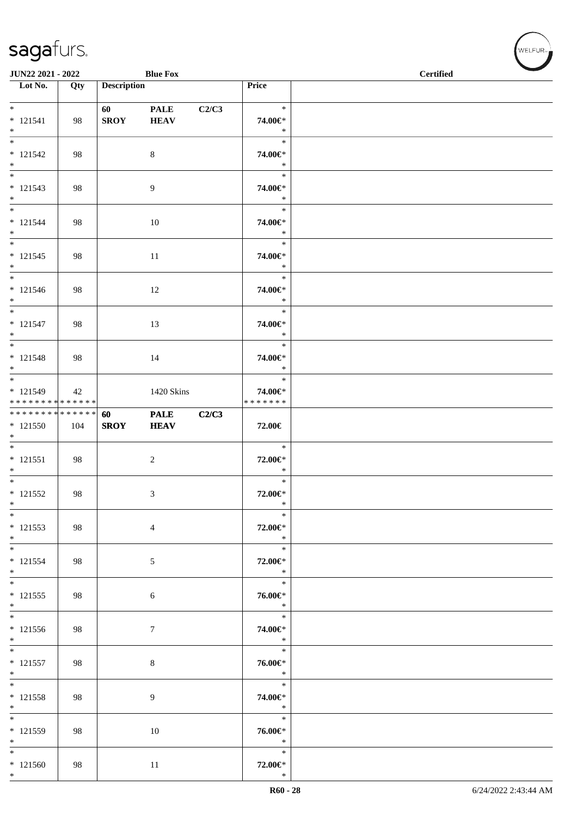| JUN22 2021 - 2022                                    |     |                         | <b>Blue Fox</b>            |       |                                    | <b>Certified</b> |  |
|------------------------------------------------------|-----|-------------------------|----------------------------|-------|------------------------------------|------------------|--|
| Lot No.                                              | Qty | <b>Description</b>      |                            |       | Price                              |                  |  |
| $*$<br>$* 121541$<br>$*$                             | 98  | 60 - 100<br><b>SROY</b> | <b>PALE</b><br><b>HEAV</b> | C2/C3 | $\ast$<br>74.00€*<br>$\ast$        |                  |  |
| $\overline{\ast}$<br>$* 121542$<br>$*$               | 98  |                         | $\,8\,$                    |       | $\ast$<br>74.00€*<br>$\ast$        |                  |  |
| $* 121543$<br>$*$                                    | 98  |                         | $\overline{9}$             |       | $\ast$<br>74.00€*<br>$\ast$        |                  |  |
| $*$<br>$* 121544$<br>$*$                             | 98  |                         | 10                         |       | $\ast$<br>74.00€*<br>$\ast$        |                  |  |
| $*$<br>$* 121545$<br>$*$                             | 98  |                         | 11                         |       | $\ast$<br>74.00€*<br>$\ast$        |                  |  |
| $*$<br>$* 121546$<br>$*$                             | 98  |                         | 12                         |       | $\ast$<br>74.00€*<br>$\ast$        |                  |  |
| $*$<br>$* 121547$<br>$*$                             | 98  |                         | 13                         |       | $\ast$<br>74.00€*<br>$\ast$        |                  |  |
| $* 121548$<br>$*$                                    | 98  |                         | 14                         |       | $\ast$<br>74.00€*<br>$\ast$        |                  |  |
| * 121549<br>* * * * * * * * * * * * * *              | 42  |                         | 1420 Skins                 |       | $\ast$<br>74.00€*<br>* * * * * * * |                  |  |
| ******** <mark>******</mark><br>$*121550$<br>$*$     | 104 | 60<br><b>SROY</b>       | <b>PALE</b><br><b>HEAV</b> | C2/C3 | 72.00€                             |                  |  |
| $*$<br>$* 121551$<br>$*$<br>$*$                      | 98  |                         | $\boldsymbol{2}$           |       | $\ast$<br>72.00€*<br>$\ast$        |                  |  |
| $* 121552$<br>$*$                                    | 98  |                         | 3                          |       | $\ast$<br>72.00€*<br>$\ast$        |                  |  |
| $\ast$<br>$* 121553$<br>$*$                          | 98  |                         | $\overline{4}$             |       | $\ast$<br>72.00€*<br>$\rightarrow$ |                  |  |
| $*$<br>$* 121554$<br>$*$                             | 98  |                         | 5                          |       | $\ast$<br>72.00€*<br>$\ast$        |                  |  |
| $* 121555$<br>$*$                                    | 98  |                         | 6                          |       | $\ast$<br>76.00€*<br>$\ast$        |                  |  |
| $* 121556$<br>$*$                                    | 98  |                         | 7                          |       | $\ast$<br>74.00€*<br>$\ast$        |                  |  |
| $*$<br>$* 121557$<br>$*$                             | 98  |                         | $\,8\,$                    |       | $\ast$<br>76.00€*<br>$\ast$        |                  |  |
| $*$<br>$* 121558$<br>$*$<br>$\overline{\phantom{0}}$ | 98  |                         | 9                          |       | $\ast$<br>74.00€*<br>$\ast$        |                  |  |
| * 121559<br>$*$                                      | 98  |                         | 10                         |       | $\ast$<br>76.00€*<br>$\ast$        |                  |  |
| $*$<br>$* 121560$<br>$*$                             | 98  |                         | 11                         |       | $\ast$<br>72.00€*<br>$\ast$        |                  |  |

V<br>WELFUR<sub>™</sub>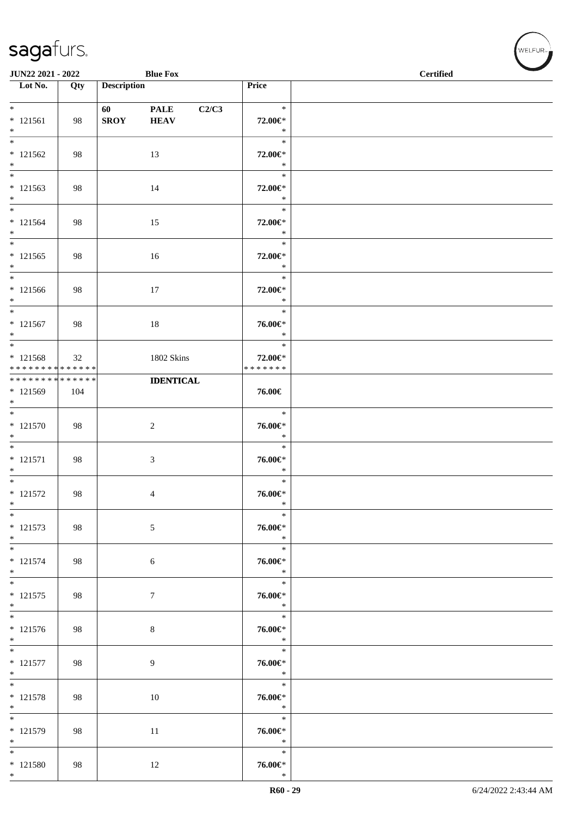| JUN22 2021 - 2022                                       |     |                        | <b>Blue Fox</b>                     |                                    | $\sim$<br><b>Certified</b> |
|---------------------------------------------------------|-----|------------------------|-------------------------------------|------------------------------------|----------------------------|
| $\overline{\phantom{1}}$ Lot No.                        | Qty | <b>Description</b>     |                                     | Price                              |                            |
| $*$<br>$* 121561$<br>$*$                                | 98  | 60 — 10<br><b>SROY</b> | <b>PALE</b><br>C2/C3<br><b>HEAV</b> | $\ast$<br>72.00€*<br>$\ast$        |                            |
| $\overline{\phantom{0}}$<br>$* 121562$<br>$*$           | 98  |                        | 13                                  | $\ast$<br>72.00€*<br>$\ast$        |                            |
| $* 121563$<br>$*$                                       | 98  |                        | 14                                  | $\ast$<br>72.00€*<br>$\ast$        |                            |
| $\overline{\ast}$<br>$* 121564$<br>$*$                  | 98  |                        | 15                                  | $\ast$<br>72.00€*<br>$\ast$        |                            |
| $* 121565$<br>$*$                                       | 98  |                        | 16                                  | $\ast$<br>72.00€*<br>$\ast$        |                            |
| $*$<br>$* 121566$<br>$*$                                | 98  |                        | 17                                  | $\ast$<br>72.00€*<br>$\ast$        |                            |
| $* 121567$<br>$*$                                       | 98  |                        | 18                                  | $\ast$<br>76.00€*<br>$\ast$        |                            |
| $* 121568$<br>* * * * * * * * * * * * * *               | 32  |                        | 1802 Skins                          | $\ast$<br>72.00€*<br>* * * * * * * |                            |
| ******** <mark>******</mark><br>* 121569<br>$*$         | 104 |                        | <b>IDENTICAL</b>                    | 76.00€                             |                            |
| $*$<br>$* 121570$<br>$*$                                | 98  |                        | $\sqrt{2}$                          | $\ast$<br>76.00€*<br>$\ast$        |                            |
| $*$<br>$* 121571$<br>$*$                                | 98  |                        | 3                                   | $\ast$<br>76.00€*<br>$\ast$        |                            |
| $*$<br>$* 121572$<br>$*$                                | 98  |                        | 4                                   | $\ast$<br>76.00€*<br>$\ast$        |                            |
| $\ast$<br>$* 121573$<br>$*$<br>$\overline{\phantom{0}}$ | 98  |                        | $\mathfrak{S}$                      | $\ast$<br>76.00€*<br>$\ast$        |                            |
| $* 121574$<br>$*$                                       | 98  |                        | $\sqrt{6}$                          | $\ast$<br>76.00€*<br>$\ast$        |                            |
| $*$<br>$* 121575$<br>$*$                                | 98  |                        | $\tau$                              | $\ast$<br>76.00€*<br>$\ast$        |                            |
| $*$<br>$* 121576$<br>$*$                                | 98  |                        | $\,8\,$                             | $\ast$<br>76.00€*<br>$\ast$        |                            |
| $* 121577$<br>$*$                                       | 98  |                        | 9                                   | $\ast$<br>76.00€*<br>$\ast$        |                            |
| $*$<br>$* 121578$<br>$*$                                | 98  |                        | 10                                  | $\ast$<br>76.00€*<br>$\ast$        |                            |
| $*$<br>* 121579<br>$*$                                  | 98  |                        | 11                                  | $\ast$<br>76.00€*<br>$\ast$        |                            |
| $*$<br>$* 121580$<br>$*$                                | 98  |                        | 12                                  | $\ast$<br>76.00€*<br>$\ast$        |                            |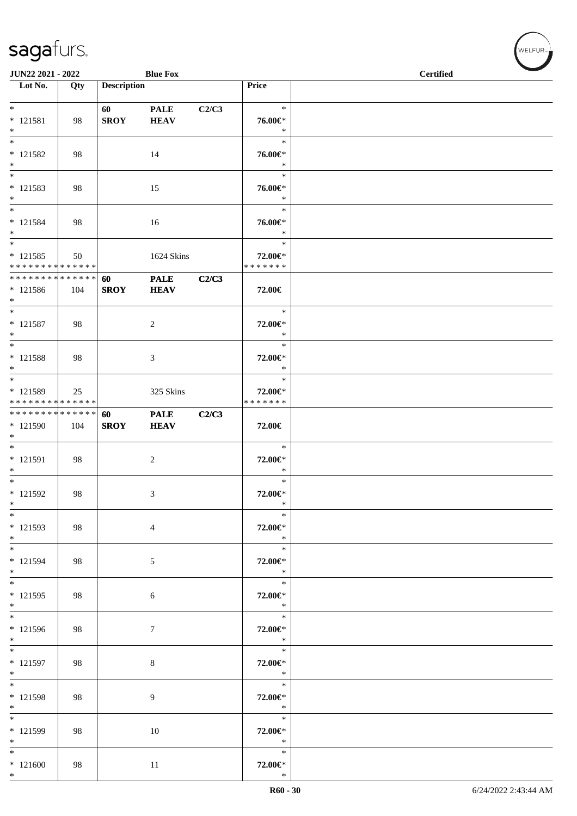| JUN22 2021 - 2022                                              |     |                    | <b>Blue Fox</b>            |       |                                    | <b>Certified</b> |
|----------------------------------------------------------------|-----|--------------------|----------------------------|-------|------------------------------------|------------------|
| $\overline{\phantom{1}}$ Lot No.                               | Qty | <b>Description</b> |                            |       | Price                              |                  |
| $*$<br>$* 121581$<br>$\ast$                                    | 98  | 60<br><b>SROY</b>  | <b>PALE</b><br><b>HEAV</b> | C2/C3 | $\ast$<br>76.00€*<br>$\ast$        |                  |
| $\ast$<br>$* 121582$<br>$\ast$                                 | 98  |                    | 14                         |       | $\ast$<br>76.00€*<br>$\ast$        |                  |
| $\overline{\phantom{0}}$<br>$* 121583$<br>$*$                  | 98  |                    | 15                         |       | $\ast$<br>76.00€*<br>$\ast$        |                  |
| $\ast$<br>$* 121584$<br>$*$                                    | 98  |                    | 16                         |       | $\ast$<br>76.00€*<br>$\ast$        |                  |
| $\overline{\ast}$<br>$* 121585$<br>* * * * * * * * * * * * * * | 50  |                    | 1624 Skins                 |       | $\ast$<br>72.00€*<br>* * * * * * * |                  |
| * * * * * * * * * * * * * * *<br>* 121586<br>$*$               | 104 | 60<br><b>SROY</b>  | <b>PALE</b><br><b>HEAV</b> | C2/C3 | 72.00€                             |                  |
| $*$<br>$* 121587$<br>$*$                                       | 98  |                    | $\overline{c}$             |       | $\ast$<br>72.00€*<br>$\ast$        |                  |
| $*$<br>$* 121588$<br>$*$                                       | 98  |                    | 3                          |       | $\ast$<br>72.00€*<br>$\ast$        |                  |
| * 121589<br>* * * * * * * * * * * * * *                        | 25  |                    | 325 Skins                  |       | $\ast$<br>72.00€*<br>* * * * * * * |                  |
| ******** <mark>******</mark><br>* 121590<br>$*$                | 104 | 60<br><b>SROY</b>  | <b>PALE</b><br><b>HEAV</b> | C2/C3 | 72.00€                             |                  |
| $*$<br>$* 121591$<br>$\ast$                                    | 98  |                    | $\boldsymbol{2}$           |       | $\ast$<br>72.00€*<br>$\ast$        |                  |
| $*$<br>* 121592<br>$\ast$                                      | 98  |                    | 3                          |       | $\ast$<br>72.00€*<br>$\ast$        |                  |
| $\ast$<br>$* 121593$<br>$*$                                    | 98  |                    | $\overline{4}$             |       | $\ast$<br>72.00€*<br>$\ast$        |                  |
| $*$<br>* 121594<br>$*$                                         | 98  |                    | 5                          |       | $\ast$<br>72.00€*<br>$\ast$        |                  |
| $*$<br>$* 121595$<br>$*$                                       | 98  |                    | 6                          |       | $\ast$<br>72.00€*<br>$\ast$        |                  |
| $\overline{\phantom{0}}$<br>* 121596<br>$*$                    | 98  |                    | $\tau$                     |       | $\ast$<br>72.00€*<br>$*$           |                  |
| $\ast$<br>$* 121597$<br>$*$                                    | 98  |                    | $\,8\,$                    |       | $\ast$<br>72.00€*<br>$\ast$        |                  |
| $*$<br>* 121598<br>$*$                                         | 98  |                    | 9                          |       | $\ast$<br>72.00€*<br>$\ast$        |                  |
| $*$<br>* 121599<br>$*$                                         | 98  |                    | 10                         |       | $\ast$<br>72.00€*<br>$\ast$        |                  |
| $\ast$<br>$*121600$<br>$*$                                     | 98  |                    | 11                         |       | $\ast$<br>72.00€*<br>$\ast$        |                  |

V<br>WELFUR<sub>™</sub>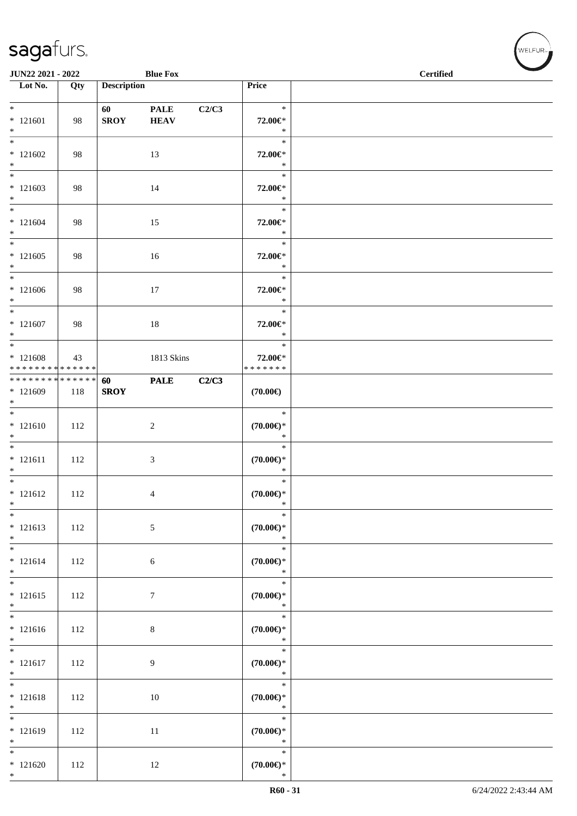| JUN22 2021 - 2022                                |     |                        | <b>Blue Fox</b>            |       |                                         | <b>Contract Contract Contract Contract Contract Contract Contract Contract Contract Contract Contract Contract Contract Contract Contract Contract Contract Contract Contract Contract Contract Contract Contract Contract Contr</b><br><b>Certified</b> |
|--------------------------------------------------|-----|------------------------|----------------------------|-------|-----------------------------------------|----------------------------------------------------------------------------------------------------------------------------------------------------------------------------------------------------------------------------------------------------------|
| $\overline{\phantom{1}}$ Lot No.                 | Qty | <b>Description</b>     |                            |       | Price                                   |                                                                                                                                                                                                                                                          |
| $*$<br>$* 121601$<br>$*$                         | 98  | 60 — 10<br><b>SROY</b> | <b>PALE</b><br><b>HEAV</b> | C2/C3 | $\ast$<br>72.00€*<br>$\ast$             |                                                                                                                                                                                                                                                          |
| $*121602$<br>$*$                                 | 98  |                        | 13                         |       | $\ast$<br>72.00€*<br>$\ast$             |                                                                                                                                                                                                                                                          |
| $*121603$<br>$*$                                 | 98  |                        | 14                         |       | $\ast$<br>72.00€*<br>$\ast$             |                                                                                                                                                                                                                                                          |
| $*$<br>$* 121604$<br>$*$                         | 98  |                        | 15                         |       | $\ast$<br>72.00€*<br>$\ast$             |                                                                                                                                                                                                                                                          |
| $*$<br>$*121605$<br>$*$                          | 98  |                        | 16                         |       | $\ast$<br>72.00€*<br>$\ast$             |                                                                                                                                                                                                                                                          |
| $*$<br>$*121606$<br>$*$<br>$*$                   | 98  |                        | 17                         |       | $\ast$<br>72.00€*<br>$\ast$             |                                                                                                                                                                                                                                                          |
| $* 121607$<br>$*$                                | 98  |                        | $18\,$                     |       | $\ast$<br>72.00€*<br>$\ast$             |                                                                                                                                                                                                                                                          |
| $* 121608$<br>* * * * * * * * * * * * * *        | 43  |                        | 1813 Skins                 |       | $\ast$<br>72.00€*<br>* * * * * * *      |                                                                                                                                                                                                                                                          |
| ******** <mark>******</mark><br>$*121609$<br>$*$ | 118 | 60<br><b>SROY</b>      | <b>PALE</b>                | C2/C3 | $(70.00\epsilon)$                       |                                                                                                                                                                                                                                                          |
| $*$<br>$* 121610$<br>$*$                         | 112 |                        | $\sqrt{2}$                 |       | $\ast$<br>$(70.00\in)^\ast$<br>$\ast$   |                                                                                                                                                                                                                                                          |
| $*$<br>$* 121611$<br>$*$                         | 112 |                        | 3                          |       | $\ast$<br>$(70.00\epsilon)$ *<br>$\ast$ |                                                                                                                                                                                                                                                          |
| $*$<br>$* 121612$<br>$\ast$                      | 112 |                        | 4                          |       | $\ast$<br>$(70.00\epsilon)$ *<br>$\ast$ |                                                                                                                                                                                                                                                          |
| $\ast$<br>$* 121613$<br>$\ast$                   | 112 |                        | $\sqrt{5}$                 |       | $\ast$<br>$(70.00\epsilon)$ *<br>$\ast$ |                                                                                                                                                                                                                                                          |
| $\overline{\ast}$<br>$* 121614$<br>$*$           | 112 |                        | 6                          |       | $\ast$<br>$(70.00\epsilon)$ *<br>$\ast$ |                                                                                                                                                                                                                                                          |
| $\overline{\ast}$<br>$* 121615$<br>$*$           | 112 |                        | $\tau$                     |       | $\ast$<br>$(70.00\in)^\ast$<br>$\ast$   |                                                                                                                                                                                                                                                          |
| $* 121616$<br>$*$                                | 112 |                        | $\,8\,$                    |       | $\ast$<br>$(70.00 \in )^*$<br>$\ast$    |                                                                                                                                                                                                                                                          |
| $*$<br>$* 121617$<br>$*$                         | 112 |                        | 9                          |       | $\ast$<br>$(70.00 \in )^*$<br>$\ast$    |                                                                                                                                                                                                                                                          |
| $*$<br>$* 121618$<br>$*$                         | 112 |                        | 10                         |       | $\ast$<br>$(70.00\epsilon)$ *<br>$\ast$ |                                                                                                                                                                                                                                                          |
| $*$<br>$* 121619$<br>$*$                         | 112 |                        | 11                         |       | $\ast$<br>$(70.00\epsilon)$ *<br>$\ast$ |                                                                                                                                                                                                                                                          |
| $*$<br>$*121620$<br>$*$                          | 112 |                        | 12                         |       | $\ast$<br>$(70.00\epsilon)$ *<br>$\ast$ |                                                                                                                                                                                                                                                          |

V<br>WELFUR<sub>™</sub>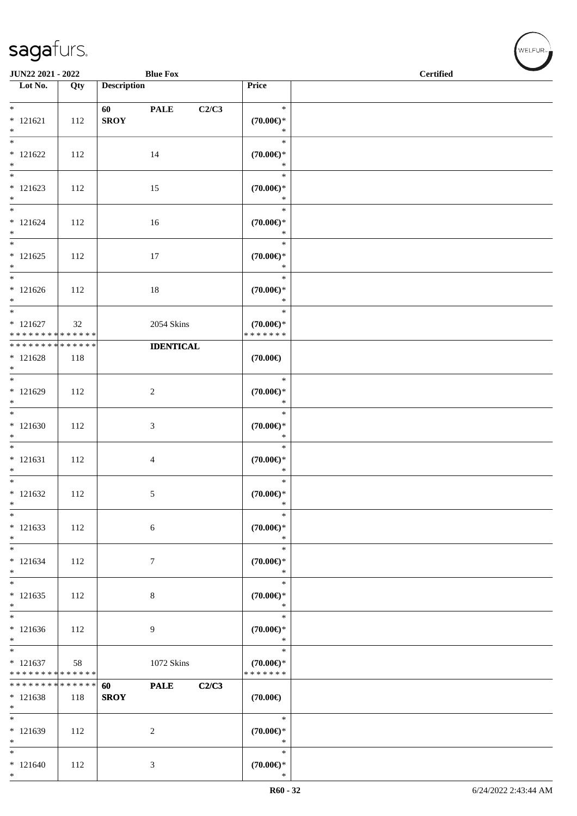| JUN22 2021 - 2022                                                     |     |                    | <b>Blue Fox</b>      |                                                | $\sim$<br><b>Certified</b> |
|-----------------------------------------------------------------------|-----|--------------------|----------------------|------------------------------------------------|----------------------------|
| Lot No.                                                               | Qty | <b>Description</b> |                      | Price                                          |                            |
| $*$<br>$* 121621$<br>$*$                                              | 112 | 60<br><b>SROY</b>  | <b>PALE</b><br>C2/C3 | $\ast$<br>$(70.00\epsilon)$ *<br>$\ast$        |                            |
| $* 121622$<br>$*$                                                     | 112 |                    | 14                   | $\ast$<br>$(70.00\epsilon)$ *<br>$\ast$        |                            |
| $* 121623$<br>$\ast$                                                  | 112 |                    | 15                   | $\ast$<br>$(70.00\epsilon)$ *<br>$\ast$        |                            |
| $*$<br>$* 121624$<br>$*$                                              | 112 |                    | 16                   | $\ast$<br>$(70.00\epsilon)$ *<br>$\ast$        |                            |
| $*$<br>$* 121625$<br>$*$                                              | 112 |                    | 17                   | $\ast$<br>$(70.00\epsilon)$ *<br>$\ast$        |                            |
| $*$<br>$*121626$<br>$*$                                               | 112 |                    | $18\,$               | $\ast$<br>$(70.00\epsilon)$ *<br>$\ast$        |                            |
| $\overline{\phantom{0}}$<br>$* 121627$<br>* * * * * * * * * * * * * * | 32  |                    | 2054 Skins           | $\ast$<br>$(70.00\epsilon)$ *<br>* * * * * * * |                            |
| * * * * * * * * <mark>* * * * * * *</mark><br>$* 121628$<br>$*$       | 118 |                    | <b>IDENTICAL</b>     | $(70.00\epsilon)$                              |                            |
| $*121629$<br>$*$                                                      | 112 |                    | $\sqrt{2}$           | $\ast$<br>$(70.00\in)^\ast$<br>$\ast$          |                            |
| $*$<br>$*121630$<br>$*$                                               | 112 |                    | $\mathfrak{Z}$       | $\ast$<br>$(70.00\epsilon)$ *<br>$\ast$        |                            |
| $*$<br>$* 121631$<br>$*$                                              | 112 |                    | $\overline{4}$       | $\ast$<br>$(70.00\epsilon)$ *<br>$\ast$        |                            |
| $*$<br>$* 121632$<br>$\ast$                                           | 112 |                    | 5                    | $\ast$<br>$(70.00\epsilon)$ *<br>$\ast$        |                            |
| $\ast$<br>$* 121633$<br>$\ast$                                        | 112 |                    | 6                    | $\ast$<br>$(70.00\epsilon)$ *<br>$\ast$        |                            |
| $*$<br>$* 121634$<br>$*$                                              | 112 |                    | $\tau$               | $\ast$<br>$(70.00\epsilon)$ *<br>$\ast$        |                            |
| $*$<br>$*121635$<br>$*$                                               | 112 |                    | $\,8\,$              | $\ast$<br>$(70.00\in)^\ast$<br>$\ast$          |                            |
| $*$<br>$* 121636$<br>$*$                                              | 112 |                    | 9                    | $\ast$<br>$(70.00\in)^\ast$<br>$\ast$          |                            |
| $*$<br>$* 121637$<br>* * * * * * * * * * * * * *                      | 58  |                    | 1072 Skins           | $\ast$<br>$(70.00\epsilon)$ *<br>* * * * * * * |                            |
| * * * * * * * * * * * * * * *<br>$* 121638$<br>$*$                    | 118 | 60<br><b>SROY</b>  | <b>PALE</b><br>C2/C3 | $(70.00\epsilon)$                              |                            |
| $\ast$<br>* 121639<br>$*$                                             | 112 |                    | $\overline{c}$       | $\ast$<br>$(70.00\epsilon)$ *<br>$\ast$        |                            |
| $*$<br>$* 121640$<br>$*$                                              | 112 |                    | 3                    | $\ast$<br>$(70.00\epsilon)$ *<br>$\ast$        |                            |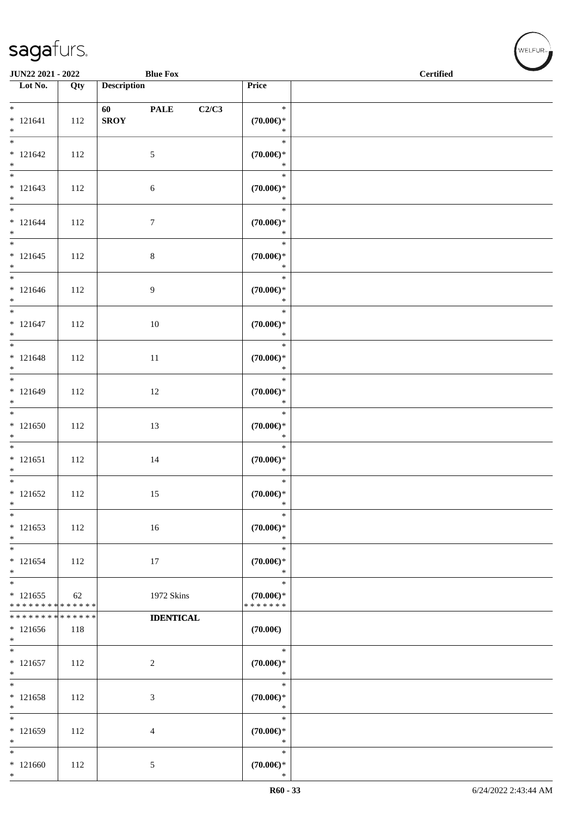\*

| <b>JUN22 2021 - 2022</b>                                 |     |                                                                                                                                                                                                                                                | <b>Blue Fox</b>  |       |                                                | <b>Contract Contract Contract Contract Contract Contract Contract Contract Contract Contract Contract Contract Contract Contract Contract Contract Contract Contract Contract Contract Contract Contract Contract Contract Contr</b><br><b>Certified</b> |
|----------------------------------------------------------|-----|------------------------------------------------------------------------------------------------------------------------------------------------------------------------------------------------------------------------------------------------|------------------|-------|------------------------------------------------|----------------------------------------------------------------------------------------------------------------------------------------------------------------------------------------------------------------------------------------------------------|
| Lot No.                                                  | Qty | <b>Description</b>                                                                                                                                                                                                                             |                  |       | Price                                          |                                                                                                                                                                                                                                                          |
| $*$<br>$* 121641$<br>$*$                                 | 112 | 60 — 100 — 100 — 100 — 100 — 100 — 100 — 100 — 100 — 100 — 100 — 100 — 100 — 100 — 100 — 100 — 100 — 100 — 100 — 100 — 100 — 100 — 100 — 100 — 100 — 100 — 100 — 100 — 100 — 100 — 100 — 100 — 100 — 100 — 100 — 100 — 100 — 10<br><b>SROY</b> | <b>PALE</b>      | C2/C3 | $\ast$<br>$(70.00\epsilon)$ *<br>$\ast$        |                                                                                                                                                                                                                                                          |
| $* 121642$<br>$*$                                        | 112 |                                                                                                                                                                                                                                                | 5                |       | $\ast$<br>$(70.00\epsilon)$ *<br>$\ast$        |                                                                                                                                                                                                                                                          |
| $* 121643$<br>$*$                                        | 112 |                                                                                                                                                                                                                                                | $\sqrt{6}$       |       | $\ast$<br>$(70.00\epsilon)$ *<br>$\ast$        |                                                                                                                                                                                                                                                          |
| $*$<br>$* 121644$<br>$*$                                 | 112 |                                                                                                                                                                                                                                                | $\tau$           |       | $\ast$<br>$(70.00\epsilon)$ *<br>$\ast$        |                                                                                                                                                                                                                                                          |
| $* 121645$<br>$*$                                        | 112 |                                                                                                                                                                                                                                                | $\,8\,$          |       | $\ast$<br>$(70.00\epsilon)$ *<br>$\ast$        |                                                                                                                                                                                                                                                          |
| $* 121646$<br>$*$                                        | 112 |                                                                                                                                                                                                                                                | 9                |       | $\ast$<br>$(70.00\epsilon)$ *<br>$\ast$        |                                                                                                                                                                                                                                                          |
| $*$<br>$* 121647$<br>$*$                                 | 112 |                                                                                                                                                                                                                                                | 10               |       | $\ast$<br>$(70.00\epsilon)$ *<br>$\ast$        |                                                                                                                                                                                                                                                          |
| $\overline{\ast}$<br>$* 121648$<br>$*$                   | 112 |                                                                                                                                                                                                                                                | 11               |       | $\ast$<br>$(70.00\epsilon)$ *<br>$\ast$        |                                                                                                                                                                                                                                                          |
| $* 121649$<br>$*$                                        | 112 |                                                                                                                                                                                                                                                | 12               |       | $\ast$<br>$(70.00\epsilon)$ *<br>$\ast$        |                                                                                                                                                                                                                                                          |
| $*$<br>$*121650$<br>$*$                                  | 112 |                                                                                                                                                                                                                                                | 13               |       | $\ast$<br>$(70.00\epsilon)$ *<br>$\ast$        |                                                                                                                                                                                                                                                          |
| $* 121651$<br>$*$                                        | 112 |                                                                                                                                                                                                                                                | 14               |       | $\ast$<br>$(70.00\epsilon)$ *<br>$\ast$        |                                                                                                                                                                                                                                                          |
| $* 121652$<br>$\ast$                                     | 112 |                                                                                                                                                                                                                                                | 15               |       | $\ast$<br>$(70.00\epsilon)$ *<br>$\ast$        |                                                                                                                                                                                                                                                          |
| $*$<br>$*121653$<br>$\ast$                               | 112 |                                                                                                                                                                                                                                                | 16               |       | $\ast$<br>$(70.00\epsilon)$ *<br>$\ast$        |                                                                                                                                                                                                                                                          |
| $\overline{\phantom{0}}$<br>$* 121654$<br>$*$            | 112 |                                                                                                                                                                                                                                                | 17               |       | $\ast$<br>$(70.00\epsilon)$ *<br>$\ast$        |                                                                                                                                                                                                                                                          |
| $* 121655$<br>* * * * * * * * <mark>* * * * * * *</mark> | 62  |                                                                                                                                                                                                                                                | 1972 Skins       |       | $\ast$<br>$(70.00\epsilon)$ *<br>* * * * * * * |                                                                                                                                                                                                                                                          |
| * * * * * * * * <mark>* * * * * * *</mark><br>$* 121656$ | 118 |                                                                                                                                                                                                                                                | <b>IDENTICAL</b> |       | $(70.00\epsilon)$                              |                                                                                                                                                                                                                                                          |
| $\ast$<br>$*$                                            |     |                                                                                                                                                                                                                                                |                  |       | $\ast$                                         |                                                                                                                                                                                                                                                          |
| $* 121657$<br>$*$<br>$\overline{\ast}$                   | 112 |                                                                                                                                                                                                                                                | $\overline{c}$   |       | $(70.00\epsilon)$ *<br>$\ast$<br>$\ast$        |                                                                                                                                                                                                                                                          |
| $* 121658$<br>$*$                                        | 112 |                                                                                                                                                                                                                                                | 3                |       | $(70.00\epsilon)$ *<br>$\ast$                  |                                                                                                                                                                                                                                                          |
| $*$<br>$* 121659$<br>$\ast$                              | 112 |                                                                                                                                                                                                                                                | $\overline{4}$   |       | $\ast$<br>$(70.00\epsilon)$ *<br>$\ast$        |                                                                                                                                                                                                                                                          |
| $*$<br>$*121660$<br>$*$                                  | 112 |                                                                                                                                                                                                                                                | 5                |       | $\ast$<br>$(70.00\epsilon)$ *<br>$\ast$        |                                                                                                                                                                                                                                                          |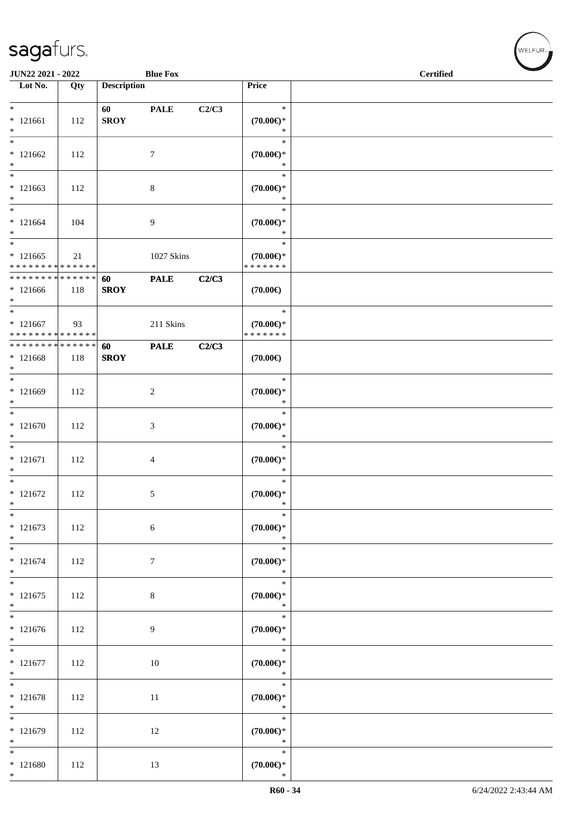| JUN22 2021 - 2022                                              |     |                    | <b>Blue Fox</b>  |       |                                                | <b>Certified</b> |
|----------------------------------------------------------------|-----|--------------------|------------------|-------|------------------------------------------------|------------------|
| Lot No.                                                        | Qty | <b>Description</b> |                  |       | Price                                          |                  |
|                                                                |     |                    |                  |       |                                                |                  |
| $*$<br>$* 121661$<br>$*$                                       | 112 | 60<br><b>SROY</b>  | <b>PALE</b>      | C2/C3 | $\ast$<br>$(70.00\epsilon)$ *<br>$\ast$        |                  |
| $*$<br>$*121662$<br>$*$                                        | 112 |                    | $\tau$           |       | $\ast$<br>$(70.00\epsilon)$ *<br>$\ast$        |                  |
| $\ast$<br>$*121663$<br>$*$                                     | 112 |                    | 8                |       | $\ast$<br>$(70.00 \in )^*$<br>$\ast$           |                  |
| $*$<br>$*121664$<br>$*$                                        | 104 |                    | 9                |       | $\ast$<br>$(70.00\epsilon)$ *<br>$\ast$        |                  |
| $* 121665$<br>* * * * * * * * * * * * * *                      | 21  |                    | 1027 Skins       |       | $\ast$<br>$(70.00\epsilon)$ *<br>* * * * * * * |                  |
| * * * * * * * * * * * * * * *<br>$*121666$<br>$*$              | 118 | 60<br><b>SROY</b>  | <b>PALE</b>      | C2/C3 | $(70.00\epsilon)$                              |                  |
| $*$<br>$*121667$<br>* * * * * * * * <mark>* * * * * * *</mark> | 93  |                    | 211 Skins        |       | $\ast$<br>$(70.00\epsilon)$ *<br>* * * * * * * |                  |
| ******** <mark>******</mark><br>$*121668$<br>$*$               | 118 | 60<br><b>SROY</b>  | <b>PALE</b>      | C2/C3 | $(70.00\epsilon)$                              |                  |
| $*$<br>$*121669$<br>$\ast$                                     | 112 |                    | 2                |       | $\ast$<br>$(70.00\epsilon)$ *<br>$\ast$        |                  |
| $*$<br>$* 121670$<br>$*$                                       | 112 |                    | 3                |       | $\ast$<br>$(70.00\epsilon)$ *<br>$\ast$        |                  |
| $*$<br>$* 121671$<br>$*$                                       | 112 |                    | $\overline{4}$   |       | $\ast$<br>$(70.00\epsilon)$ *<br>$\ast$        |                  |
| $*$<br>$* 121672$<br>$\ast$                                    | 112 |                    | 5                |       | $\ast$<br>$(70.00\epsilon)$ *<br>$\ast$        |                  |
| $*$<br>$* 121673$<br>$*$                                       | 112 |                    | 6                |       | $\ast$<br>$(70.00\epsilon)$ *<br>$\ast$        |                  |
| $*$<br>$* 121674$<br>$*$                                       | 112 |                    | $\boldsymbol{7}$ |       | $\ast$<br>$(70.00\epsilon)$ *<br>$\ast$        |                  |
| $\overline{\mathbf{r}}$<br>$* 121675$<br>$*$                   | 112 |                    | $\,8\,$          |       | $\ast$<br>$(70.00\epsilon)$ *<br>$\ast$        |                  |
| $\overline{\ }$<br>$* 121676$<br>$*$                           | 112 |                    | 9                |       | $\ast$<br>$(70.00 \in )^*$<br>$\ast$           |                  |
| $* 121677$<br>$*$                                              | 112 |                    | 10               |       | $\ast$<br>$(70.00 \in )^*$<br>$\ast$           |                  |
| $* 121678$<br>$*$                                              | 112 |                    | 11               |       | $\ast$<br>$(70.00\epsilon)$ *<br>$\ast$        |                  |
| $* 121679$<br>$*$                                              | 112 |                    | 12               |       | $\ast$<br>$(70.00\epsilon)$ *<br>$\ast$        |                  |
| $*$<br>$* 121680$<br>$*$                                       | 112 |                    | 13               |       | $\ast$<br>$(70.00\epsilon)$ *<br>$\ast$        |                  |

V<br>WELFUR<sub>™</sub>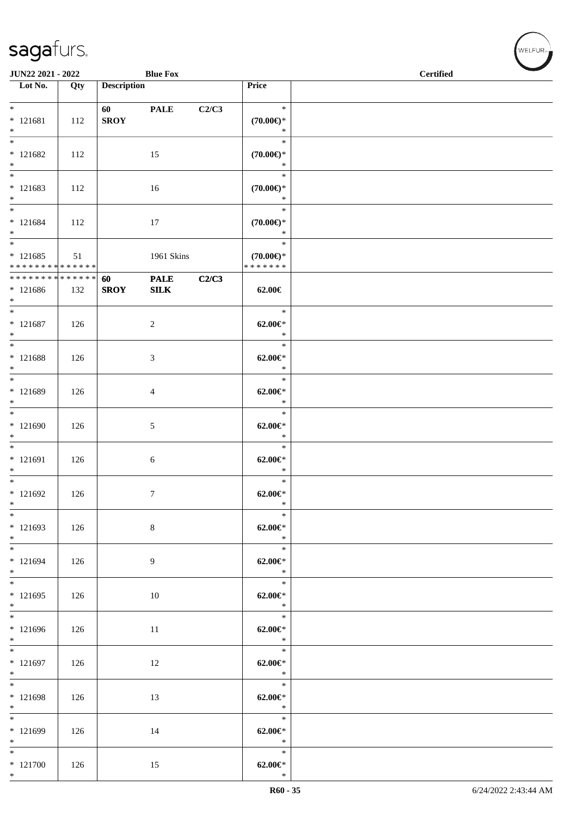| JUN22 2021 - 2022                                                           |     |                    | <b>Blue Fox</b>    |       |                                                | <b>Certified</b> |
|-----------------------------------------------------------------------------|-----|--------------------|--------------------|-------|------------------------------------------------|------------------|
| $\overline{\phantom{1}}$ Lot No.                                            | Qty | <b>Description</b> |                    |       | Price                                          |                  |
| $*$<br>$* 121681$<br>$*$                                                    | 112 | 60<br><b>SROY</b>  | <b>PALE</b>        | C2/C3 | $\ast$<br>$(70.00\epsilon)$ *<br>$\ast$        |                  |
| $\overline{\phantom{0}}$<br>$* 121682$<br>$*$                               | 112 |                    | 15                 |       | $\ast$<br>$(70.00\epsilon)$ *<br>$\ast$        |                  |
| $* 121683$<br>$*$                                                           | 112 |                    | 16                 |       | $\ast$<br>$(70.00\epsilon)$ *<br>$\ast$        |                  |
| $*$<br>$* 121684$<br>$*$                                                    | 112 |                    | 17                 |       | $\ast$<br>$(70.00\epsilon)$ *<br>$\ast$        |                  |
| $\overline{\ }$<br>$* 121685$<br>* * * * * * * * <mark>* * * * * * *</mark> | 51  |                    | 1961 Skins         |       | $\ast$<br>$(70.00\epsilon)$ *<br>* * * * * * * |                  |
| ******** <mark>******</mark><br>$*121686$<br>$*$                            | 132 | 60<br><b>SROY</b>  | <b>PALE</b><br>SLK | C2/C3 | 62.00€                                         |                  |
| $*$<br>$* 121687$<br>$*$                                                    | 126 |                    | $\overline{c}$     |       | $\ast$<br>$62.00 \in$ *<br>$\ast$              |                  |
| $* 121688$<br>$*$                                                           | 126 |                    | 3                  |       | $\ast$<br>$62.00 \in$ *<br>$\ast$              |                  |
| $* 121689$<br>$*$                                                           | 126 |                    | $\overline{4}$     |       | $\ast$<br>$62.00 \in$ *<br>$\ast$              |                  |
| $* 121690$<br>$*$                                                           | 126 |                    | 5                  |       | $\ast$<br>$62.00 \in$ *<br>$\ast$              |                  |
| $*$<br>$* 121691$<br>$*$                                                    | 126 |                    | 6                  |       | $\ast$<br>$62.00 \in$<br>$\ast$                |                  |
| $*$<br>$* 121692$<br>$*$                                                    | 126 |                    | 7                  |       | $\ast$<br>$62.00 \in$ *<br>$\ast$              |                  |
| $*$<br>$* 121693$<br>$*$                                                    | 126 |                    | $\,8\,$            |       | $\ast$<br>$62.00 \in$<br>$\ast$                |                  |
| $*$<br>* 121694<br>$*$                                                      | 126 |                    | 9                  |       | $\ast$<br>$62.00 \in$ *<br>$\ast$              |                  |
| $*$<br>$* 121695$<br>$*$                                                    | 126 |                    | 10                 |       | $\ast$<br>$62.00 \in$ *<br>$\ast$              |                  |
| $\overline{\ast}$<br>$*121696$<br>$*$                                       | 126 |                    | 11                 |       | $\ast$<br>$62.00 \in$ *<br>$\ast$              |                  |
| $*$<br>$* 121697$<br>$*$                                                    | 126 |                    | 12                 |       | $\ast$<br>$62.00 \in$ *<br>$\ast$              |                  |
| $*$<br>$* 121698$<br>$*$                                                    | 126 |                    | 13                 |       | $\ast$<br>$62.00 \in$ *<br>$\ast$              |                  |
| $\overline{\ }$<br>$*121699$<br>$*$                                         | 126 |                    | 14                 |       | $\ast$<br>$62.00 \in$ *<br>$\ast$              |                  |
| $*$<br>$*121700$<br>$*$                                                     | 126 |                    | 15                 |       | $\ast$<br>$62.00 \in$ *<br>$\ast$              |                  |

、<br>WELFUR<sub>™</sub>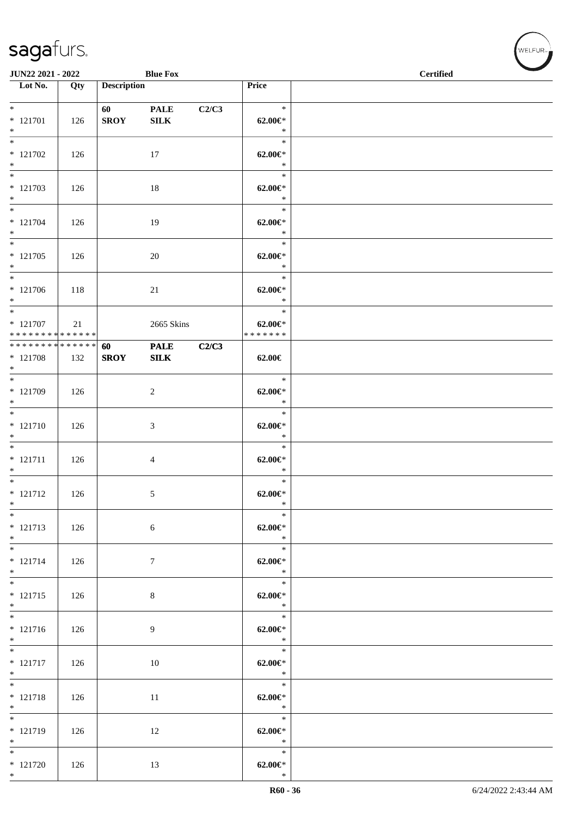| JUN22 2021 - 2022                                               |     |                       | <b>Blue Fox</b>             |       |                                          | <b>Certified</b> |
|-----------------------------------------------------------------|-----|-----------------------|-----------------------------|-------|------------------------------------------|------------------|
| $\overline{\phantom{1}}$ Lot No.                                | Qty | <b>Description</b>    |                             |       | Price                                    |                  |
| $*$<br>$* 121701$<br>$*$                                        | 126 | 60 100<br><b>SROY</b> | <b>PALE</b><br>${\bf SILK}$ | C2/C3 | $\ast$<br>$62.00 \in$ *<br>$\ast$        |                  |
| $* 121702$<br>$*$                                               | 126 |                       | 17                          |       | $\ast$<br>$62.00 \in$<br>$\ast$          |                  |
| $*$<br>$* 121703$<br>$*$                                        | 126 |                       | 18                          |       | $\ast$<br>$62.00 \in$ *<br>$\ast$        |                  |
| $*$<br>$* 121704$<br>$*$                                        | 126 |                       | 19                          |       | $\ast$<br>$62.00 \in$ *<br>$\ast$        |                  |
| $* 121705$<br>$*$                                               | 126 |                       | 20                          |       | $\ast$<br>$62.00 \in$<br>$\ast$          |                  |
| $*$<br>* 121706<br>$*$                                          | 118 |                       | 21                          |       | $\ast$<br>$62.00 \in$<br>$\ast$          |                  |
| $*$<br>$* 121707$<br>* * * * * * * * <mark>* * * * * * *</mark> | 21  |                       | 2665 Skins                  |       | $\ast$<br>$62.00 \in$ *<br>* * * * * * * |                  |
| ******** <mark>******</mark><br>$* 121708$<br>$*$               | 132 | 60<br><b>SROY</b>     | <b>PALE</b><br>${\bf SILK}$ | C2/C3 | 62.00€                                   |                  |
| $*$<br>* 121709<br>$*$                                          | 126 |                       | 2                           |       | $\ast$<br>$62.00 \in$ *<br>$\ast$        |                  |
| $*$<br>$* 121710$<br>$*$                                        | 126 |                       | 3                           |       | $\ast$<br>$62.00 \in$ *<br>$\ast$        |                  |
| $* 121711$<br>$*$                                               | 126 |                       | $\overline{4}$              |       | $\ast$<br>$62.00 \in$<br>$\ast$          |                  |
| $*$<br>$* 121712$<br>$*$                                        | 126 |                       | 5                           |       | $\ast$<br>$62.00 \in$ *<br>$\ast$        |                  |
| $*$<br>$* 121713$<br>$*$                                        | 126 |                       | 6                           |       | $\ast$<br>$62.00 \in$<br>$\ast$          |                  |
| $*$<br>$* 121714$<br>$*$                                        | 126 |                       | $\boldsymbol{7}$            |       | $\ast$<br>$62.00 \in$ *<br>$\ast$        |                  |
| $*$<br>$* 121715$<br>$*$                                        | 126 |                       | $\,8\,$                     |       | $\ast$<br>$62.00 \in$ *<br>$\ast$        |                  |
| $* 121716$<br>$*$                                               | 126 |                       | 9                           |       | $\ast$<br>$62.00 \in$ *<br>$\ast$        |                  |
| $* 121717$<br>$*$                                               | 126 |                       | 10                          |       | $\ast$<br>$62.00 \in$ *<br>$\ast$        |                  |
| $*$<br>$* 121718$<br>$*$                                        | 126 |                       | 11                          |       | $\ast$<br>$62.00 \in$ *<br>$\ast$        |                  |
| $*$<br>$* 121719$<br>$*$                                        | 126 |                       | 12                          |       | $\ast$<br>$62.00 \in$ *<br>$\rightarrow$ |                  |
| $*$<br>$* 121720$<br>$*$                                        | 126 |                       | 13                          |       | $\ast$<br>$62.00 \in$ *<br>$\ast$        |                  |

V<br>WELFUR<sub>™</sub>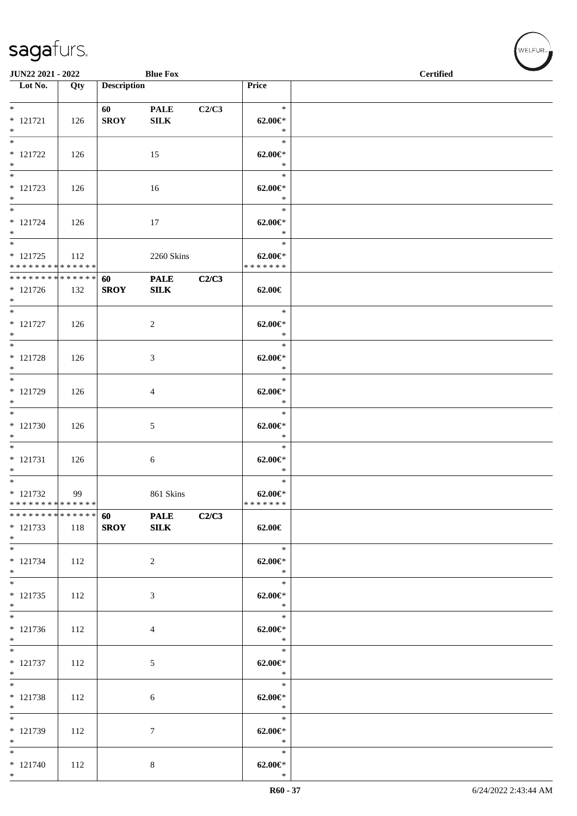| JUN22 2021 - 2022                                                     |     |                    | <b>Blue Fox</b>             |       |                                        | <b>Certified</b> |  |
|-----------------------------------------------------------------------|-----|--------------------|-----------------------------|-------|----------------------------------------|------------------|--|
| $\overline{\phantom{1}}$ Lot No.                                      | Qty | <b>Description</b> |                             |       | Price                                  |                  |  |
|                                                                       |     |                    |                             |       |                                        |                  |  |
| $*$<br>$* 121721$<br>$*$                                              | 126 | 60<br><b>SROY</b>  | <b>PALE</b><br>${\bf SILK}$ | C2/C3 | $\ast$<br>$62.00 \in$ *<br>$\ast$      |                  |  |
| $\overline{\phantom{0}}$<br>$* 121722$<br>$*$                         | 126 |                    | 15                          |       | $\ast$<br>$62.00 \in$ *<br>$\ast$      |                  |  |
| $\overline{\mathbf{r}}$<br>$* 121723$<br>$\ast$                       | 126 |                    | 16                          |       | $\ast$<br>$62.00 \in$ *<br>$\ast$      |                  |  |
| $*$<br>$* 121724$<br>$*$                                              | 126 |                    | 17                          |       | $\ast$<br>$62.00 \in$ *<br>$\ast$      |                  |  |
| $\overline{\phantom{0}}$<br>$* 121725$<br>* * * * * * * * * * * * * * | 112 |                    | 2260 Skins                  |       | $\ast$<br>$62.00 \in$<br>* * * * * * * |                  |  |
| ******** <mark>******</mark><br>$* 121726$<br>$*$                     | 132 | 60<br><b>SROY</b>  | <b>PALE</b><br><b>SILK</b>  | C2/C3 | 62.00€                                 |                  |  |
| $*$<br>$* 121727$<br>$*$                                              | 126 |                    | 2                           |       | $\ast$<br>$62.00 \in$ *<br>$\ast$      |                  |  |
| $\overline{\ast}$<br>$* 121728$<br>$*$                                | 126 |                    | 3                           |       | $\ast$<br>$62.00 \in$ *<br>$\ast$      |                  |  |
| * 121729<br>$*$                                                       | 126 |                    | 4                           |       | $\ast$<br>$62.00 \in$ *<br>$\ast$      |                  |  |
| $*$<br>$* 121730$<br>$*$                                              | 126 |                    | $\mathfrak{S}$              |       | $\ast$<br>$62.00 \in$ *<br>$\ast$      |                  |  |
| $* 121731$<br>$*$                                                     | 126 |                    | 6                           |       | $\ast$<br>$62.00 \in$ *<br>$\ast$      |                  |  |
| $*$<br>$* 121732$<br>* * * * * * * * <mark>* * * * * * *</mark>       | 99  |                    | 861 Skins                   |       | $\ast$<br>$62.00 \in$ *<br>*******     |                  |  |
| * * * * * * * * * * * * * * *<br>* 121733<br>$*$                      | 118 | 60<br><b>SROY</b>  | <b>PALE</b><br>${\bf SILK}$ | C2/C3 | $62.00 \in$                            |                  |  |
| $*$<br>$* 121734$<br>$*$                                              | 112 |                    | 2                           |       | $\ast$<br>$62.00 \in$ *<br>$\ast$      |                  |  |
| $*$<br>$* 121735$<br>$*$                                              | 112 |                    | 3                           |       | $\ast$<br>$62.00 \in$ *<br>$\ast$      |                  |  |
| $*$<br>$* 121736$<br>$*$                                              | 112 |                    | 4                           |       | $\ast$<br>$62.00 \in$<br>$\ast$        |                  |  |
| $\overline{\phantom{0}}$<br>$* 121737$<br>$*$                         | 112 |                    | $\sqrt{5}$                  |       | $\ast$<br>$62.00 \in$ *<br>$\ast$      |                  |  |
| $*$<br>* 121738<br>$*$                                                | 112 |                    | 6                           |       | $\ast$<br>$62.00 \in$ *<br>$\ast$      |                  |  |
| $*$<br>$* 121739$<br>$*$                                              | 112 |                    | 7                           |       | $\ast$<br>$62.00 \in$ *<br>$\ast$      |                  |  |
| $*$<br>$* 121740$<br>$*$                                              | 112 |                    | 8                           |       | $\ast$<br>$62.00 \in$ *<br>$\ast$      |                  |  |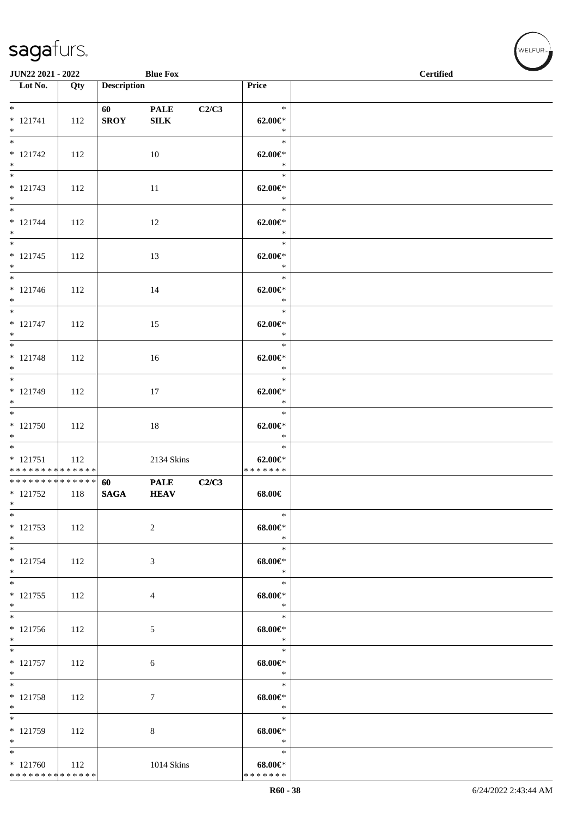| JUN22 2021 - 2022                                               |     |                    | <b>Blue Fox</b>             |       |                                          | <b>Contract Contract Contract Contract Contract Contract Contract Contract Contract Contract Contract Contract Contract Contract Contract Contract Contract Contract Contract Contract Contract Contract Contract Contract Contr</b><br><b>Certified</b> |
|-----------------------------------------------------------------|-----|--------------------|-----------------------------|-------|------------------------------------------|----------------------------------------------------------------------------------------------------------------------------------------------------------------------------------------------------------------------------------------------------------|
| $\overline{\phantom{1}}$ Lot No.                                | Qty | <b>Description</b> |                             |       | Price                                    |                                                                                                                                                                                                                                                          |
| $* 121741$<br>$*$                                               | 112 | 60<br><b>SROY</b>  | <b>PALE</b><br>${\bf SILK}$ | C2/C3 | $\ast$<br>$62.00 \in$ *<br>$\ast$        |                                                                                                                                                                                                                                                          |
| $* 121742$<br>$*$                                               | 112 |                    | 10                          |       | $\ast$<br>$62.00 \in$ *<br>$\ast$        |                                                                                                                                                                                                                                                          |
| $* 121743$<br>$*$                                               | 112 |                    | 11                          |       | $\ast$<br>$62.00 \in$ *<br>$\ast$        |                                                                                                                                                                                                                                                          |
| $*$<br>$* 121744$<br>$*$                                        | 112 |                    | 12                          |       | $\ast$<br>$62.00 \in$ *<br>$\ast$        |                                                                                                                                                                                                                                                          |
| $* 121745$<br>$*$                                               | 112 |                    | 13                          |       | $\ast$<br>$62.00 \in$ *<br>$\ast$        |                                                                                                                                                                                                                                                          |
| $*$<br>$* 121746$<br>$*$                                        | 112 |                    | 14                          |       | $\ast$<br>$62.00 \in$ *<br>$\ast$        |                                                                                                                                                                                                                                                          |
| $*$<br>$* 121747$<br>$*$                                        | 112 |                    | 15                          |       | $\ast$<br>$62.00 \in$ *<br>$\ast$        |                                                                                                                                                                                                                                                          |
| $\overline{\ast}$<br>$* 121748$<br>$*$                          | 112 |                    | 16                          |       | $\ast$<br>$62.00 \in$ *<br>$\ast$        |                                                                                                                                                                                                                                                          |
| $*$<br>$* 121749$<br>$*$                                        | 112 |                    | 17                          |       | $\ast$<br>$62.00 \in$ *<br>$\ast$        |                                                                                                                                                                                                                                                          |
| $*$<br>$* 121750$<br>$*$                                        | 112 |                    | 18                          |       | $\ast$<br>$62.00 \in$ *<br>$\ast$        |                                                                                                                                                                                                                                                          |
| $*$<br>$* 121751$<br>* * * * * * * * <mark>* * * * * * *</mark> | 112 |                    | 2134 Skins                  |       | $\ast$<br>$62.00 \in$ *<br>* * * * * * * |                                                                                                                                                                                                                                                          |
| * * * * * * * * * * * * * * *<br>$* 121752$<br>$*$              | 118 | 60<br><b>SAGA</b>  | <b>PALE</b><br><b>HEAV</b>  | C2/C3 | 68.00€                                   |                                                                                                                                                                                                                                                          |
| $*$<br>$* 121753$<br>$*$                                        | 112 |                    | $\overline{c}$              |       | $\ast$<br>$68.00 \in$ *<br>$\ast$        |                                                                                                                                                                                                                                                          |
| $\overline{\phantom{0}}$<br>$* 121754$<br>$*$                   | 112 |                    | 3                           |       | $\ast$<br>$68.00 \in$<br>$\ast$          |                                                                                                                                                                                                                                                          |
| $*$<br>$* 121755$<br>$*$                                        | 112 |                    | 4                           |       | $\ast$<br>$68.00 \in$<br>$\ast$          |                                                                                                                                                                                                                                                          |
| $* 121756$<br>$*$                                               | 112 |                    | 5                           |       | $\ast$<br>$68.00 \in$<br>$\ast$          |                                                                                                                                                                                                                                                          |
| $\overline{\phantom{0}}$<br>$* 121757$<br>$*$                   | 112 |                    | 6                           |       | $\ast$<br>$68.00 \in$<br>$\ast$          |                                                                                                                                                                                                                                                          |
| $*$<br>* 121758<br>$*$                                          | 112 |                    | 7                           |       | $\ast$<br>$68.00 \in$<br>$\ast$          |                                                                                                                                                                                                                                                          |
| $*$<br>* 121759<br>$*$                                          | 112 |                    | 8                           |       | $\ast$<br>68.00€*<br>$\ast$              |                                                                                                                                                                                                                                                          |
| $*$<br>$* 121760$<br>* * * * * * * * * * * * * *                | 112 |                    | 1014 Skins                  |       | $\ast$<br>$68.00 \in$<br>* * * * * * *   |                                                                                                                                                                                                                                                          |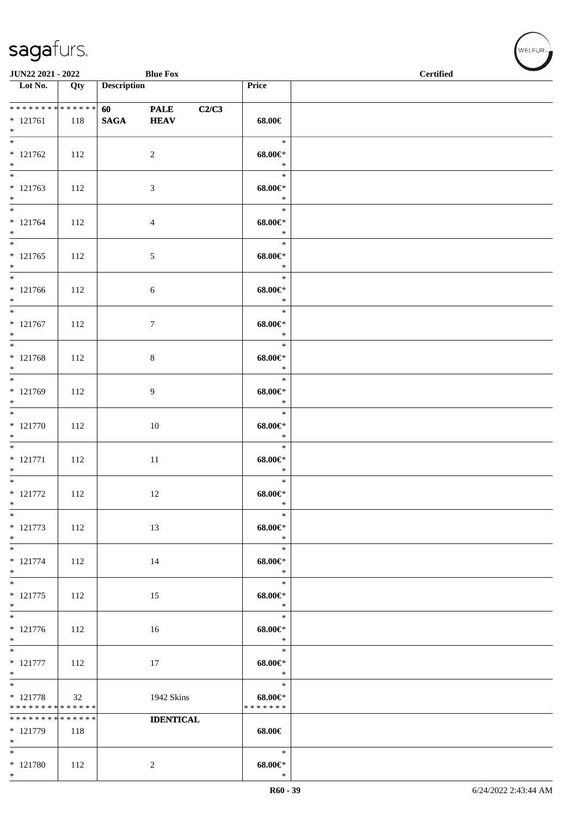| JUN22 2021 - 2022                                  |     |                                        | <b>Blue Fox</b>            |       |                                        | $\sim$<br><b>Certified</b> |
|----------------------------------------------------|-----|----------------------------------------|----------------------------|-------|----------------------------------------|----------------------------|
| $\overline{\phantom{1}}$ Lot No.                   | Qty | <b>Description</b>                     |                            |       | Price                                  |                            |
| * * * * * * * * * * * * * * *<br>$* 121761$<br>$*$ | 118 | <b>60</b> and <b>60</b><br><b>SAGA</b> | <b>PALE</b><br><b>HEAV</b> | C2/C3 | 68.00€                                 |                            |
| $\overline{\phantom{0}}$<br>$* 121762$<br>$*$      | 112 |                                        | $\overline{c}$             |       | $\ast$<br>$68.00 \in$<br>$\ast$        |                            |
| $* 121763$<br>$*$                                  | 112 |                                        | $\mathfrak{Z}$             |       | $\ast$<br>$68.00 \in$<br>$\ast$        |                            |
| $*$<br>$* 121764$<br>$*$                           | 112 |                                        | $\overline{4}$             |       | $\ast$<br>$68.00 \in$<br>$\ast$        |                            |
| $*$<br>$* 121765$<br>$*$                           | 112 |                                        | $\sqrt{5}$                 |       | $\ast$<br>$68.00 \in$<br>$\ast$        |                            |
| $* 121766$<br>$*$                                  | 112 |                                        | 6                          |       | $\ast$<br>$68.00 \in$<br>$\ast$        |                            |
| $*$<br>$* 121767$<br>$\ast$                        | 112 |                                        | $7\phantom{.0}$            |       | $\ast$<br>$68.00 \in$<br>$\ast$        |                            |
| $\overline{\phantom{0}}$<br>$* 121768$<br>$*$      | 112 |                                        | $8\,$                      |       | $\ast$<br>$68.00 \in$<br>$\ast$        |                            |
| * 121769<br>$*$                                    | 112 |                                        | $\overline{9}$             |       | $\ast$<br>$68.00 \in$<br>$\ast$        |                            |
| $* 121770$<br>$*$                                  | 112 |                                        | 10                         |       | $\ast$<br>$68.00 \in$<br>$\ast$        |                            |
| $*$<br>$* 121771$<br>$*$ $-$                       | 112 |                                        | 11                         |       | $\ast$<br>$68.00 \in$<br>$\ast$        |                            |
| $* 121772$<br>$\ast$                               | 112 |                                        | 12                         |       | $\ast$<br>$68.00 \in$<br>∗             |                            |
| $\ast$<br>$* 121773$<br>$*$                        | 112 |                                        | 13                         |       | $\ast$<br>$68.00 \in$<br>$\ast$        |                            |
| $\ast$<br>$* 121774$<br>$*$                        | 112 |                                        | 14                         |       | $\ast$<br>$68.00 \in$<br>$\ast$        |                            |
| $\overline{\phantom{0}}$<br>$* 121775$<br>$*$      | 112 |                                        | 15                         |       | $\ast$<br>$68.00 \in$<br>$\ast$        |                            |
| $\overline{\phantom{0}}$<br>$* 121776$<br>$*$      | 112 |                                        | 16                         |       | $\ast$<br>$68.00 \in$<br>$\ast$        |                            |
| $\ast$<br>$* 121777$<br>$*$                        | 112 |                                        | 17                         |       | $\ast$<br>$68.00 \in$<br>$\ast$        |                            |
| $*$<br>$* 121778$<br>* * * * * * * * * * * * * *   | 32  |                                        | 1942 Skins                 |       | $\ast$<br>$68.00 \in$<br>* * * * * * * |                            |
| * * * * * * * * * * * * * *<br>$* 121779$<br>$*$   | 118 |                                        | <b>IDENTICAL</b>           |       | 68.00€                                 |                            |
| $*$<br>$* 121780$<br>$*$                           | 112 |                                        | $\overline{c}$             |       | $\ast$<br>$68.00 \in$<br>$\ast$        |                            |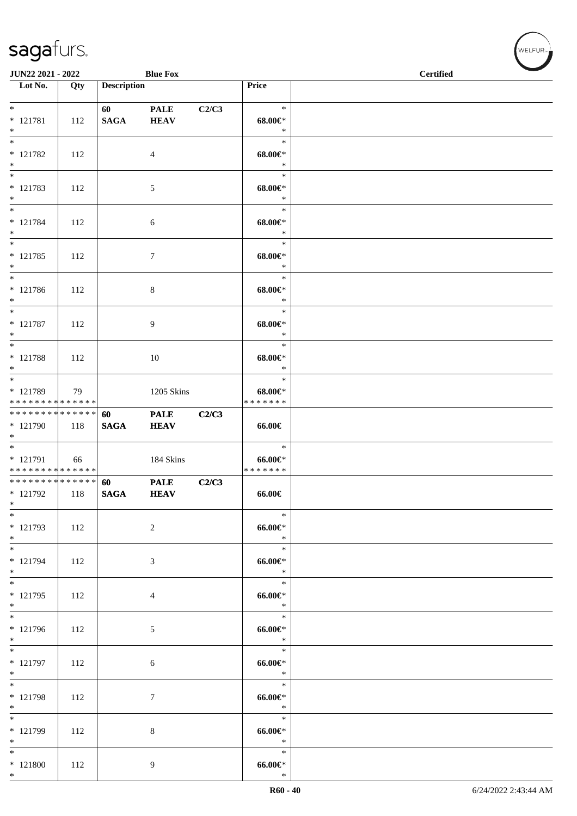| JUN22 2021 - 2022                                             |     |                    | <b>Blue Fox</b>            |       |                                           | <b>Certified</b> | $\overline{\phantom{a}}$ |
|---------------------------------------------------------------|-----|--------------------|----------------------------|-------|-------------------------------------------|------------------|--------------------------|
| Lot No.                                                       | Qty | <b>Description</b> |                            |       | Price                                     |                  |                          |
| $*$<br>$* 121781$<br>$*$                                      | 112 | 60<br><b>SAGA</b>  | <b>PALE</b><br><b>HEAV</b> | C2/C3 | $\ast$<br>$68.00 \text{e}$ *<br>$\ast$    |                  |                          |
| $* 121782$<br>$*$                                             | 112 |                    | 4                          |       | $\ast$<br>$68.00 \in$<br>$\ast$           |                  |                          |
| * 121783<br>$*$                                               | 112 |                    | 5                          |       | $\ast$<br>$68.00 \in$<br>$\ast$           |                  |                          |
| $*$<br>$* 121784$<br>$*$                                      | 112 |                    | 6                          |       | $\ast$<br>$68.00 \text{E}^*$<br>$\ast$    |                  |                          |
| $*$<br>$* 121785$<br>$*$                                      | 112 |                    | $\tau$                     |       | $\ast$<br>$68.00 \in$<br>$\ast$           |                  |                          |
| $*$<br>$* 121786$<br>$*$                                      | 112 |                    | 8                          |       | $\ast$<br>$68.00 \in$<br>$\ast$           |                  |                          |
| $*$<br>$* 121787$<br>$*$                                      | 112 |                    | 9                          |       | $\ast$<br>$68.00 \in$<br>$\ast$           |                  |                          |
| * 121788<br>$*$                                               | 112 |                    | $10\,$                     |       | $\ast$<br>$68.00 \in$<br>$\ast$           |                  |                          |
| * 121789<br>******** <mark>******</mark>                      | 79  |                    | 1205 Skins                 |       | $\ast$<br>$68.00 \in$<br>* * * * * * *    |                  |                          |
| * * * * * * * * <mark>* * * * * * *</mark><br>* 121790<br>$*$ | 118 | 60<br><b>SAGA</b>  | <b>PALE</b><br><b>HEAV</b> | C2/C3 | 66.00€                                    |                  |                          |
| $* 121791$<br>* * * * * * * * <mark>* * * * * * *</mark>      | 66  |                    | 184 Skins                  |       | $\ast$<br>$66.00 \in$<br>* * * * * * *    |                  |                          |
| * * * * * * * * * * * * * * *<br>$* 121792$<br>$*$            | 118 | 60<br><b>SAGA</b>  | <b>PALE</b><br><b>HEAV</b> | C2/C3 | 66.00€                                    |                  |                          |
| $*$<br>* 121793<br>$*$                                        | 112 |                    | 2                          |       | $\ast$<br>$66.00 \in$<br>$\ast$           |                  |                          |
| $*$<br>* 121794<br>$*$                                        | 112 |                    | 3                          |       | $\ast$<br>$66.00 \in$<br>$\ast$           |                  |                          |
| $*$<br>$* 121795$<br>$*$<br>$\overline{\ }$                   | 112 |                    | $\overline{4}$             |       | $\ast$<br>$66.00 \in$<br>$\ast$<br>$\ast$ |                  |                          |
| * 121796<br>$*$                                               | 112 |                    | 5                          |       | $66.00 \in$<br>$\ast$                     |                  |                          |
| $*$<br>$* 121797$<br>$*$                                      | 112 |                    | $6\phantom{.}6$            |       | $\ast$<br>$66.00 \in$<br>$\ast$           |                  |                          |
| $*$<br>* 121798<br>$*$                                        | 112 |                    | $7\phantom{.0}$            |       | $\ast$<br>66.00€*<br>$\ast$               |                  |                          |
| $*$<br>* 121799<br>$*$                                        | 112 |                    | 8                          |       | $\ast$<br>66.00€*<br>$\ast$               |                  |                          |
| $*$<br>$*121800$<br>$*$                                       | 112 |                    | 9                          |       | $\ast$<br>$66.00 \in$<br>$\ast$           |                  |                          |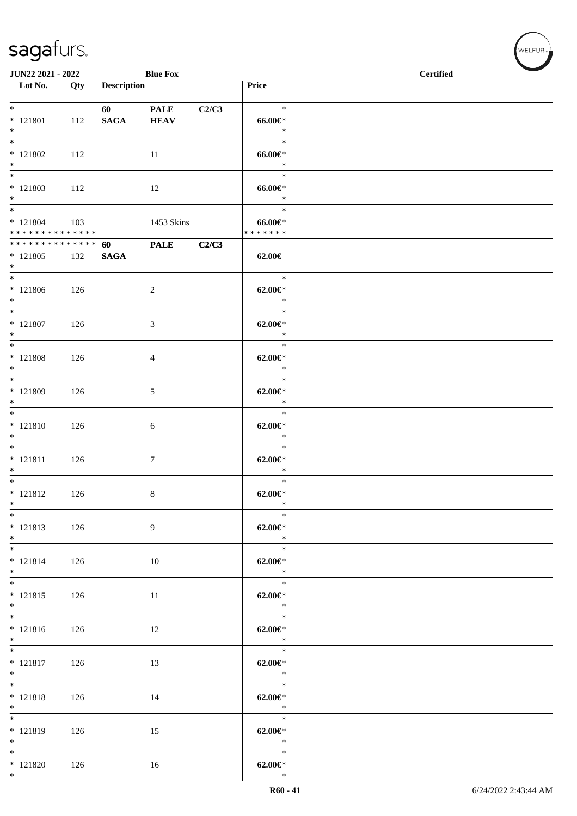|                                                    | JUN22 2021 - 2022<br><b>Blue Fox</b> |                        |                            |       |                                        | <b>Certified</b> |
|----------------------------------------------------|--------------------------------------|------------------------|----------------------------|-------|----------------------------------------|------------------|
| $\overline{\phantom{1}}$ Lot No.                   | Qty                                  | <b>Description</b>     |                            |       | Price                                  |                  |
| $*$ $*$<br>$* 121801$<br>$*$                       | 112                                  | 60 — 10<br><b>SAGA</b> | <b>PALE</b><br><b>HEAV</b> | C2/C3 | $\ast$<br>$66.00 \in$<br>$\ast$        |                  |
| $\overline{\phantom{0}}$<br>$* 121802$<br>$*$      | 112                                  |                        | 11                         |       | $\ast$<br>$66.00 \in$<br>$\ast$        |                  |
| $\overline{\phantom{0}}$<br>$* 121803$<br>$*$      | 112                                  |                        | 12                         |       | $\ast$<br>$66.00 \in$<br>$\ast$        |                  |
| $* 121804$<br>* * * * * * * * * * * * * *          | 103                                  |                        | 1453 Skins                 |       | $\ast$<br>$66.00 \in$<br>* * * * * * * |                  |
| * * * * * * * * * * * * * * *<br>$* 121805$<br>$*$ | 132                                  | 60<br><b>SAGA</b>      | <b>PALE</b>                | C2/C3 | 62.00€                                 |                  |
| $\overline{\phantom{0}}$<br>$* 121806$<br>$*$      | 126                                  |                        | $\sqrt{2}$                 |       | $\ast$<br>$62.00 \in$<br>$\ast$        |                  |
| $*$ $*$<br>$* 121807$<br>$*$                       | 126                                  |                        | $\mathfrak{Z}$             |       | $\ast$<br>$62.00 \in$<br>$\ast$        |                  |
| $*$<br>$* 121808$<br>$*$                           | 126                                  |                        | $\overline{4}$             |       | $\ast$<br>$62.00 \in$ *<br>$\ast$      |                  |
| $*$ $-$<br>* 121809<br>$*$                         | 126                                  |                        | 5                          |       | $\ast$<br>$62.00 \in$ *<br>$\ast$      |                  |
| $*$<br>$* 121810$<br>$*$                           | 126                                  |                        | $\sqrt{6}$                 |       | $\ast$<br>$62.00 \in$<br>$\ast$        |                  |
| $* 121811$<br>$*$                                  | 126                                  |                        | $\tau$                     |       | $\ast$<br>$62.00 \in$<br>$\ast$        |                  |
| $*$<br>$* 121812$<br>$*$                           | 126                                  |                        | $8\,$                      |       | $\ast$<br>$62.00 \in$ *<br>$\ast$      |                  |
| $*$<br>$* 121813$<br>$*$                           | 126                                  |                        | 9                          |       | $\ast$<br>$62.00 \in$ *<br>$\ast$      |                  |
| $\ast$<br>$* 121814$<br>$*$                        | 126                                  |                        | 10                         |       | $\ast$<br>$62.00 \in$<br>$\ast$        |                  |
| $*$ and $*$<br>$* 121815$<br>$*$                   | 126                                  |                        | 11                         |       | $\ast$<br>$62.00 \in$ *<br>$\ast$      |                  |
| $*$ and $*$<br>$* 121816$<br>$*$                   | 126                                  |                        | 12                         |       | 11<br>$\ast$<br>$62.00 \in$<br>$\ast$  |                  |
| $* 121817$<br>$*$                                  | 126                                  |                        | 13                         |       | $\ast$<br>$62.00 \in$<br>$\ast$        |                  |
| $*$<br>$* 121818$<br>$*$                           | 126                                  |                        | 14                         |       | $\ast$<br>$62.00 \in$ *<br>$\ast$      |                  |
| $*$<br>$* 121819$<br>$*$                           | 126                                  |                        | 15                         |       | $\ast$<br>$62.00 \in$ *<br>$\ast$      |                  |
| $*$<br>$* 121820$<br>$*$                           | 126                                  |                        | 16                         |       | $\ast$<br>$62.00 \in$ *<br>$\ast$      |                  |

WELFUR<sub><sup>N</sub></sub></sub></sup>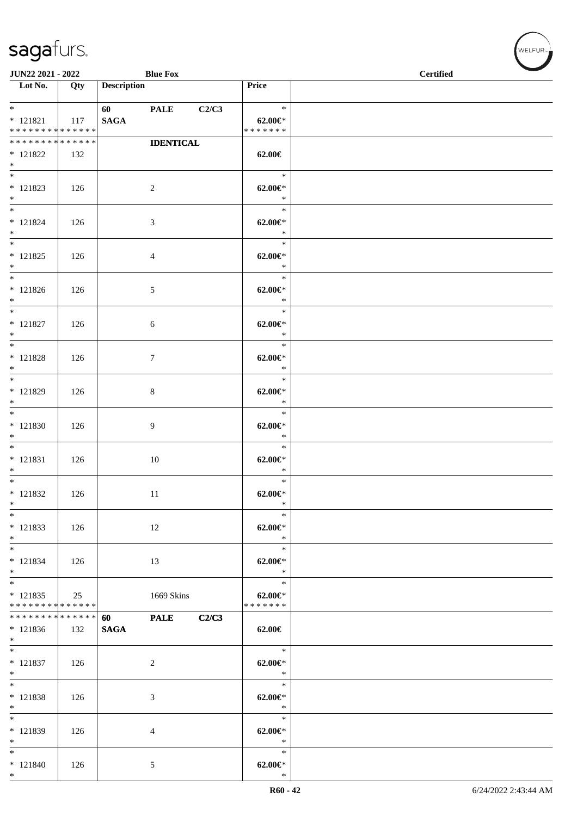| <b>Blue Fox</b><br><b>JUN22 2021 - 2022</b> |     |                    |                  | <b>Contract Contract Contract Contract Contract Contract Contract Contract Contract Contract Contract Contract Contract Contract Contract Contract Contract Contract Contract Contract Contract Contract Contract Contract Contr</b><br><b>Certified</b> |                         |  |
|---------------------------------------------|-----|--------------------|------------------|----------------------------------------------------------------------------------------------------------------------------------------------------------------------------------------------------------------------------------------------------------|-------------------------|--|
| Lot No.                                     | Qty | <b>Description</b> |                  |                                                                                                                                                                                                                                                          | Price                   |  |
|                                             |     |                    |                  |                                                                                                                                                                                                                                                          |                         |  |
| $*$ $\qquad$<br>$* 121821$                  |     | 60 PALE            |                  | C2/C3                                                                                                                                                                                                                                                    | $\ast$<br>62.00 $\in$ * |  |
| * * * * * * * * <mark>* * * * * * *</mark>  | 117 | <b>SAGA</b>        |                  |                                                                                                                                                                                                                                                          | * * * * * * *           |  |
| * * * * * * * * * * * * * *                 |     |                    | <b>IDENTICAL</b> |                                                                                                                                                                                                                                                          |                         |  |
| $* 121822$                                  | 132 |                    |                  |                                                                                                                                                                                                                                                          | 62.00€                  |  |
| $*$                                         |     |                    |                  |                                                                                                                                                                                                                                                          |                         |  |
|                                             |     |                    |                  |                                                                                                                                                                                                                                                          | $\ast$                  |  |
| * 121823                                    | 126 |                    | 2                |                                                                                                                                                                                                                                                          | $62.00 \in$ *           |  |
| $*$                                         |     |                    |                  |                                                                                                                                                                                                                                                          | $\ast$                  |  |
| $*$                                         |     |                    |                  |                                                                                                                                                                                                                                                          | $\ast$                  |  |
| * 121824<br>$*$                             | 126 |                    | 3                |                                                                                                                                                                                                                                                          | $62.00 \in$ *<br>$\ast$ |  |
| $*$                                         |     |                    |                  |                                                                                                                                                                                                                                                          | $\ast$                  |  |
| $* 121825$                                  | 126 |                    | $\overline{4}$   |                                                                                                                                                                                                                                                          | $62.00 \in$             |  |
| $*$                                         |     |                    |                  |                                                                                                                                                                                                                                                          | $\ast$                  |  |
| $*$                                         |     |                    |                  |                                                                                                                                                                                                                                                          | $\ast$                  |  |
| $* 121826$                                  | 126 |                    | 5                |                                                                                                                                                                                                                                                          | $62.00 \in$ *           |  |
| $*$                                         |     |                    |                  |                                                                                                                                                                                                                                                          | $\ast$                  |  |
| $*$                                         |     |                    |                  |                                                                                                                                                                                                                                                          | $\ast$                  |  |
| $* 121827$                                  | 126 |                    | 6                |                                                                                                                                                                                                                                                          | $62.00 \in$ *<br>$\ast$ |  |
| $*$                                         |     |                    |                  |                                                                                                                                                                                                                                                          | $\ast$                  |  |
| * 121828                                    | 126 |                    | $\tau$           |                                                                                                                                                                                                                                                          | $62.00 \in$ *           |  |
| $*$                                         |     |                    |                  |                                                                                                                                                                                                                                                          | $\ast$                  |  |
|                                             |     |                    |                  |                                                                                                                                                                                                                                                          | $\ast$                  |  |
| $* 121829$                                  | 126 |                    | 8                |                                                                                                                                                                                                                                                          | $62.00 \in$ *           |  |
| $*$                                         |     |                    |                  |                                                                                                                                                                                                                                                          | $\ast$                  |  |
|                                             |     |                    |                  |                                                                                                                                                                                                                                                          | $\ast$                  |  |
| $*121830$                                   | 126 |                    | $\overline{9}$   |                                                                                                                                                                                                                                                          | $62.00 \in$ *           |  |
| $*$<br>$*$                                  |     |                    |                  |                                                                                                                                                                                                                                                          | $\ast$<br>$\ast$        |  |
| $* 121831$                                  | 126 |                    | 10               |                                                                                                                                                                                                                                                          | $62.00 \in$ *           |  |
| $*$                                         |     |                    |                  |                                                                                                                                                                                                                                                          | $\ast$                  |  |
|                                             |     |                    |                  |                                                                                                                                                                                                                                                          | $\ast$                  |  |
| * 121832                                    | 126 |                    | 11               |                                                                                                                                                                                                                                                          | $62.00 \in$ *           |  |
| $*$                                         |     |                    |                  |                                                                                                                                                                                                                                                          | $\ast$                  |  |
| $\ast$                                      |     |                    |                  |                                                                                                                                                                                                                                                          | $\ast$                  |  |
| $* 121833$                                  | 126 |                    | 12               |                                                                                                                                                                                                                                                          | $62.00 \in$ *           |  |
| $*$                                         |     |                    |                  |                                                                                                                                                                                                                                                          | $\ast$                  |  |
| $*$<br>$* 121834$                           |     |                    |                  |                                                                                                                                                                                                                                                          | $\ast$                  |  |
| $*$                                         | 126 |                    | 13               |                                                                                                                                                                                                                                                          | $62.00 \in$ *<br>$\ast$ |  |
|                                             |     |                    |                  |                                                                                                                                                                                                                                                          | $\ast$                  |  |
| * 121835                                    | 25  |                    | 1669 Skins       |                                                                                                                                                                                                                                                          | $62.00 \in$ *           |  |
| * * * * * * * * <mark>* * * * * * *</mark>  |     |                    |                  |                                                                                                                                                                                                                                                          | * * * * * * *           |  |
| * * * * * * * * <mark>* * * * * * *</mark>  |     | 60                 | <b>PALE</b>      | C2/C3                                                                                                                                                                                                                                                    |                         |  |
| $*121836$                                   | 132 | <b>SAGA</b>        |                  |                                                                                                                                                                                                                                                          | 62.00€                  |  |
| $*$<br>$*$                                  |     |                    |                  |                                                                                                                                                                                                                                                          | $\ast$                  |  |
|                                             |     |                    |                  |                                                                                                                                                                                                                                                          |                         |  |
| $* 121837$<br>$*$                           | 126 |                    | $\overline{c}$   |                                                                                                                                                                                                                                                          | $62.00 \in$ *<br>$\ast$ |  |
| $*$                                         |     |                    |                  |                                                                                                                                                                                                                                                          | $\ast$                  |  |
| * 121838                                    | 126 |                    | 3                |                                                                                                                                                                                                                                                          | $62.00 \in$ *           |  |
| $*$                                         |     |                    |                  |                                                                                                                                                                                                                                                          | $\ast$                  |  |
| $*$                                         |     |                    |                  |                                                                                                                                                                                                                                                          | $\ast$                  |  |
| $* 121839$                                  | 126 |                    | 4                |                                                                                                                                                                                                                                                          | $62.00 \in$ *           |  |
| $*$                                         |     |                    |                  |                                                                                                                                                                                                                                                          | $\ast$                  |  |
| $*$                                         |     |                    |                  |                                                                                                                                                                                                                                                          | $\ast$                  |  |
| $* 121840$<br>$\ast$                        | 126 |                    | 5                |                                                                                                                                                                                                                                                          | $62.00 \in$ *<br>$\ast$ |  |
|                                             |     |                    |                  |                                                                                                                                                                                                                                                          |                         |  |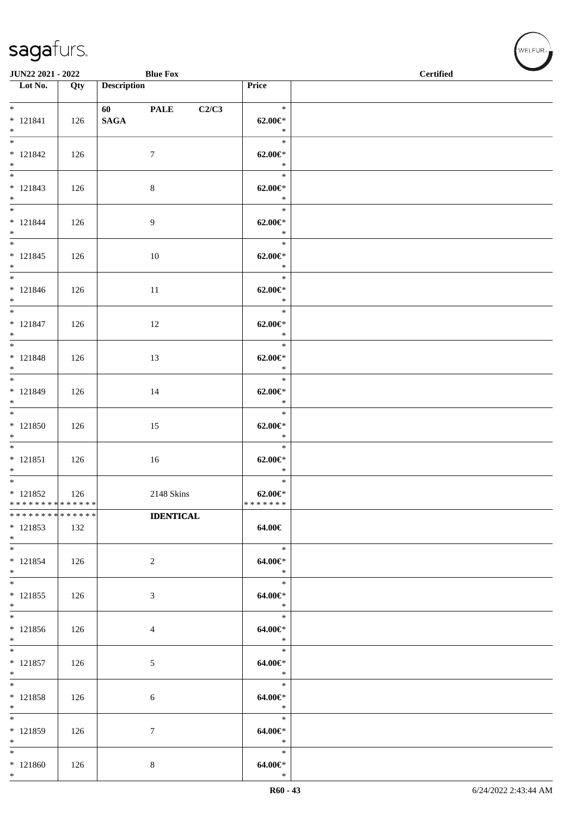| JUN22 2021 - 2022                                  |     |                        | <b>Blue Fox</b>  |                                          | $\operatorname{\bf \mathbf{Certified}}$ |  |  |  |  |
|----------------------------------------------------|-----|------------------------|------------------|------------------------------------------|-----------------------------------------|--|--|--|--|
| $\overline{\phantom{1}}$ Lot No.                   | Qty | <b>Description</b>     |                  | Price                                    |                                         |  |  |  |  |
| $* 121841$<br>$*$                                  | 126 | 60 PALE<br><b>SAGA</b> | C2/C3            | $\ast$<br>$62.00 \in$ *<br>$\ast$        |                                         |  |  |  |  |
| $\overline{\ast}$<br>$* 121842$<br>$*$             | 126 |                        | $\overline{7}$   | $\ast$<br>$62.00 \in$ *<br>$\ast$        |                                         |  |  |  |  |
| $* 121843$<br>$*$                                  | 126 |                        | 8                | $\ast$<br>$62.00 \in$ *<br>$\ast$        |                                         |  |  |  |  |
| $*$<br>$* 121844$<br>$*$                           | 126 |                        | 9                | $\ast$<br>$62.00 \in$ *<br>$\ast$        |                                         |  |  |  |  |
| $* 121845$<br>$*$                                  | 126 |                        | 10               | $\ast$<br>$62.00 \in$ *<br>$\ast$        |                                         |  |  |  |  |
| $*$<br>* 121846<br>$*$                             | 126 |                        | 11               | $\ast$<br>$62.00 \in$ *<br>$\ast$        |                                         |  |  |  |  |
| $*$<br>$* 121847$<br>$*$                           | 126 |                        | 12               | $\ast$<br>$62.00 \in$ *<br>$\ast$        |                                         |  |  |  |  |
| $* 121848$<br>$*$                                  | 126 |                        | 13               | $\ast$<br>$62.00 \in$<br>$\ast$          |                                         |  |  |  |  |
| $*$<br>* 121849<br>$*$                             | 126 |                        | 14               | $\ast$<br>$62.00 \in$<br>$\ast$          |                                         |  |  |  |  |
| $*$<br>$* 121850$<br>$*$                           | 126 |                        | 15               | $\ast$<br>$62.00 \in$ *<br>$\ast$        |                                         |  |  |  |  |
| $* 121851$<br>$*$                                  | 126 |                        | 16               | $\ast$<br>$62.00 \in$ *<br>$\ast$        |                                         |  |  |  |  |
| $*$<br>$* 121852$<br>* * * * * * * * * * * * * * * | 126 |                        | 2148 Skins       | $\ast$<br>$62.00 \in$ *<br>* * * * * * * |                                         |  |  |  |  |
| * * * * * * * * * * * * * *<br>$* 121853$<br>$*$   | 132 |                        | <b>IDENTICAL</b> | 64.00€                                   |                                         |  |  |  |  |
| $*$<br>$* 121854$<br>$*$                           | 126 |                        | $\overline{c}$   | $\ast$<br>64.00€*<br>$\ast$              |                                         |  |  |  |  |
| $*$<br>$* 121855$<br>$*$                           | 126 |                        | 3                | $\ast$<br>64.00€*<br>$\ast$              |                                         |  |  |  |  |
| $\overline{\phantom{0}}$<br>$* 121856$<br>$*$      | 126 |                        | 4                | $\ast$<br>64.00€*<br>$\ast$              |                                         |  |  |  |  |
| $*$<br>$* 121857$<br>$*$                           | 126 |                        | 5                | $\ast$<br>64.00€*<br>$\ast$              |                                         |  |  |  |  |
| $*$<br>$* 121858$<br>$*$                           | 126 |                        | 6                | $\ast$<br>64.00€*<br>$\ast$              |                                         |  |  |  |  |
| $*$<br>* 121859<br>$*$                             | 126 |                        | 7                | $\ast$<br>64.00€*<br>$\ast$              |                                         |  |  |  |  |
| $*$<br>$*121860$<br>$*$                            | 126 |                        | 8                | $\ast$<br>$64.00 \in$<br>$\ast$          |                                         |  |  |  |  |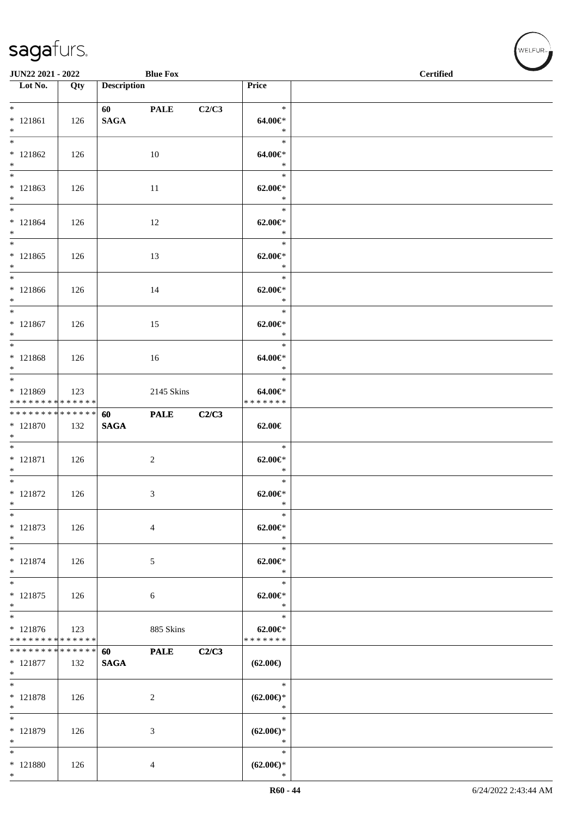| JUN22 2021 - 2022                                           |     |                                        | <b>Blue Fox</b> |       |                                         | <b>Certified</b> |  |
|-------------------------------------------------------------|-----|----------------------------------------|-----------------|-------|-----------------------------------------|------------------|--|
| Lot No.                                                     | Qty | <b>Description</b>                     |                 |       | Price                                   |                  |  |
| $*$<br>$* 121861$<br>$*$                                    | 126 | <b>60</b> and <b>60</b><br><b>SAGA</b> | <b>PALE</b>     | C2/C3 | $\ast$<br>64.00€*<br>$\ast$             |                  |  |
| $\overline{\ast}$<br>$* 121862$<br>$*$<br>$\overline{\ast}$ | 126 |                                        | 10              |       | $\ast$<br>64.00€*<br>$\ast$             |                  |  |
| $* 121863$<br>$*$                                           | 126 |                                        | 11              |       | $\ast$<br>$62.00 \in$ *<br>$\ast$       |                  |  |
| $*$<br>$* 121864$<br>$*$                                    | 126 |                                        | 12              |       | $\ast$<br>$62.00 \text{E}^*$<br>$\ast$  |                  |  |
| $*$<br>$* 121865$<br>$*$                                    | 126 |                                        | 13              |       | $\ast$<br>$62.00 \in$ *<br>$\ast$       |                  |  |
| $*$<br>$* 121866$<br>$*$                                    | 126 |                                        | 14              |       | $\ast$<br>$62.00 \in$ *<br>$\ast$       |                  |  |
| $*$<br>$* 121867$<br>$*$                                    | 126 |                                        | 15              |       | $\ast$<br>$62.00 \in$ *<br>$\ast$       |                  |  |
| $* 121868$<br>$*$                                           | 126 |                                        | 16              |       | $\ast$<br>64.00€*<br>$\ast$             |                  |  |
| $*$<br>* 121869<br>* * * * * * * * * * * * * *              | 123 |                                        | 2145 Skins      |       | $\ast$<br>64.00€*<br>* * * * * * *      |                  |  |
| * * * * * * * * * * * * * *<br>$* 121870$<br>$*$            | 132 | 60<br><b>SAGA</b>                      | <b>PALE</b>     | C2/C3 | 62.00€                                  |                  |  |
| $*$<br>$* 121871$<br>$*$<br>$\overline{\ast}$               | 126 |                                        | $\overline{c}$  |       | $\ast$<br>$62.00 \in$ *<br>$\ast$       |                  |  |
| $* 121872$<br>$*$                                           | 126 |                                        | 3               |       | $\ast$<br>$62.00 \in$ *<br>$*$          |                  |  |
| $\ast$<br>$* 121873$<br>$*$                                 | 126 |                                        | 4               |       | $\ast$<br>$62.00 \in$ *<br>$\ast$       |                  |  |
| $*$<br>$* 121874$<br>$*$<br>$\overline{\ast}$               | 126 |                                        | 5               |       | $\ast$<br>$62.00 \in$ *<br>$\ast$       |                  |  |
| * 121875<br>$*$                                             | 126 |                                        | 6               |       | $\ast$<br>$62.00 \in$ *<br>$\ast$       |                  |  |
| $* 121876$<br>* * * * * * * * * * * * * *                   | 123 |                                        | 885 Skins       |       | $\ast$<br>$62.00 \in$<br>* * * * * * *  |                  |  |
| * * * * * * * * * * * * * *<br>$* 121877$<br>$*$            | 132 | 60<br><b>SAGA</b>                      | <b>PALE</b>     | C2/C3 | $(62.00\epsilon)$                       |                  |  |
| $*$<br>$* 121878$<br>$*$                                    | 126 |                                        | $\overline{c}$  |       | $\ast$<br>$(62.00\epsilon)$ *<br>$\ast$ |                  |  |
| $\ast$<br>* 121879<br>$*$                                   | 126 |                                        | 3               |       | $\ast$<br>$(62.00\epsilon)$ *<br>$\ast$ |                  |  |
| $*$<br>$* 121880$<br>$*$                                    | 126 |                                        | 4               |       | $\ast$<br>$(62.00\epsilon)$ *<br>$\ast$ |                  |  |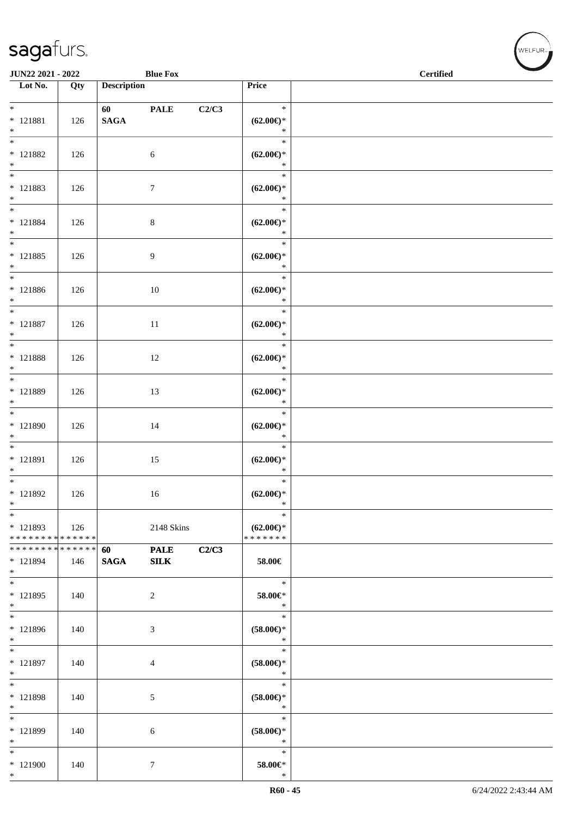\*

| JUN22 2021 - 2022                                             |     |                                                                                                                                                                                                                                                    | <b>Blue Fox</b>    |       |                                                | <b>Contract Contract Contract Contract Contract Contract Contract Contract Contract Contract Contract Contract Contract Contract Contract Contract Contract Contract Contract Contract Contract Contract Contract Contract Contr</b><br><b>Certified</b> |  |
|---------------------------------------------------------------|-----|----------------------------------------------------------------------------------------------------------------------------------------------------------------------------------------------------------------------------------------------------|--------------------|-------|------------------------------------------------|----------------------------------------------------------------------------------------------------------------------------------------------------------------------------------------------------------------------------------------------------------|--|
| Lot No.                                                       | Qty | <b>Description</b>                                                                                                                                                                                                                                 |                    |       | Price                                          |                                                                                                                                                                                                                                                          |  |
| $*$<br>$* 121881$<br>$*$                                      | 126 | 60 — 100 — 100 — 100 — 100 — 100 — 100 — 100 — 100 — 100 — 100 — 100 — 100 — 100 — 100 — 100 — 100 — 100 — 100 — 100 — 100 — 100 — 100 — 100 — 100 — 100 — 100 — 100 — 100 — 100 — 100 — 100 — 100 — 100 — 100 — 100 — 100 — 10<br>$\mathbf{SAGA}$ | <b>PALE</b>        | C2/C3 | $\ast$<br>$(62.00\epsilon)$ *<br>$\ast$        |                                                                                                                                                                                                                                                          |  |
| $*$ 121882<br>$*$                                             | 126 |                                                                                                                                                                                                                                                    | $\sqrt{6}$         |       | $\ast$<br>$(62.00\epsilon)$ *<br>$\ast$        |                                                                                                                                                                                                                                                          |  |
| $*$<br>* 121883<br>$*$                                        | 126 |                                                                                                                                                                                                                                                    | $\overline{7}$     |       | $\ast$<br>$(62.00\epsilon)$ *<br>$\ast$        |                                                                                                                                                                                                                                                          |  |
| $*$<br>$* 121884$<br>$*$                                      | 126 |                                                                                                                                                                                                                                                    | $\,8\,$            |       | $\ast$<br>$(62.00\epsilon)$ *<br>$\ast$        |                                                                                                                                                                                                                                                          |  |
| $*$<br>$* 121885$<br>$*$                                      | 126 |                                                                                                                                                                                                                                                    | 9                  |       | $\ast$<br>$(62.00\epsilon)$ *<br>$\ast$        |                                                                                                                                                                                                                                                          |  |
| $*$<br>$* 121886$<br>$*$                                      | 126 |                                                                                                                                                                                                                                                    | $10\,$             |       | $\ast$<br>$(62.00\epsilon)$ *<br>$\ast$        |                                                                                                                                                                                                                                                          |  |
| $*$<br>$* 121887$<br>$*$                                      | 126 |                                                                                                                                                                                                                                                    | $11\,$             |       | $\ast$<br>$(62.00\epsilon)$ *<br>$\ast$        |                                                                                                                                                                                                                                                          |  |
| $\overline{\ast}$<br>$*$ 121888<br>$*$                        | 126 |                                                                                                                                                                                                                                                    | 12                 |       | $\ast$<br>$(62.00\epsilon)$ *<br>$\ast$        |                                                                                                                                                                                                                                                          |  |
| $*$<br>* 121889<br>$*$                                        | 126 |                                                                                                                                                                                                                                                    | 13                 |       | $\ast$<br>$(62.00\epsilon)$ *<br>$\ast$        |                                                                                                                                                                                                                                                          |  |
| $\overline{\phantom{0}}$<br>* 121890<br>$*$                   | 126 |                                                                                                                                                                                                                                                    | 14                 |       | $\ast$<br>$(62.00\epsilon)$ *<br>$\ast$        |                                                                                                                                                                                                                                                          |  |
| $*$<br>$* 121891$<br>$*$                                      | 126 |                                                                                                                                                                                                                                                    | 15                 |       | $\ast$<br>$(62.00\epsilon)$ *<br>$\ast$        |                                                                                                                                                                                                                                                          |  |
| $*$<br>$* 121892$<br>$*$                                      | 126 |                                                                                                                                                                                                                                                    | 16                 |       | $\ast$<br>$(62.00\epsilon)$ *<br>$\ast$        |                                                                                                                                                                                                                                                          |  |
| $*$<br>* 121893<br>* * * * * * * * * * * * * *                | 126 |                                                                                                                                                                                                                                                    | 2148 Skins         |       | $\ast$<br>$(62.00\epsilon)$ *<br>* * * * * * * |                                                                                                                                                                                                                                                          |  |
| * * * * * * * * <mark>* * * * * * *</mark><br>* 121894<br>$*$ | 146 | 60<br><b>SAGA</b>                                                                                                                                                                                                                                  | <b>PALE</b><br>SLK | C2/C3 | 58.00€                                         |                                                                                                                                                                                                                                                          |  |
| $*$<br>$* 121895$<br>$*$                                      | 140 |                                                                                                                                                                                                                                                    | $\overline{c}$     |       | $\ast$<br>58.00€*<br>$\ast$                    |                                                                                                                                                                                                                                                          |  |
| $*$<br>$* 121896$<br>$*$                                      | 140 |                                                                                                                                                                                                                                                    | 3                  |       | $\ast$<br>$(58.00\in)\!\!^*$<br>$\ast$         |                                                                                                                                                                                                                                                          |  |
| $*$<br>* 121897<br>$*$                                        | 140 |                                                                                                                                                                                                                                                    | 4                  |       | $\ast$<br>$(58.00ε)$ *<br>$\ast$               |                                                                                                                                                                                                                                                          |  |
| $*$<br>* 121898<br>$*$                                        | 140 |                                                                                                                                                                                                                                                    | 5                  |       | $\ast$<br>$(58.00\epsilon)$ *<br>$\ast$        |                                                                                                                                                                                                                                                          |  |
| $*$<br>* 121899<br>$*$                                        | 140 |                                                                                                                                                                                                                                                    | 6                  |       | $\ast$<br>$(58.00\epsilon)$ *<br>$\ast$        |                                                                                                                                                                                                                                                          |  |
| $*$<br>* 121900<br>$*$                                        | 140 |                                                                                                                                                                                                                                                    | $\overline{7}$     |       | $\ast$<br>58.00€*<br>$\ast$                    |                                                                                                                                                                                                                                                          |  |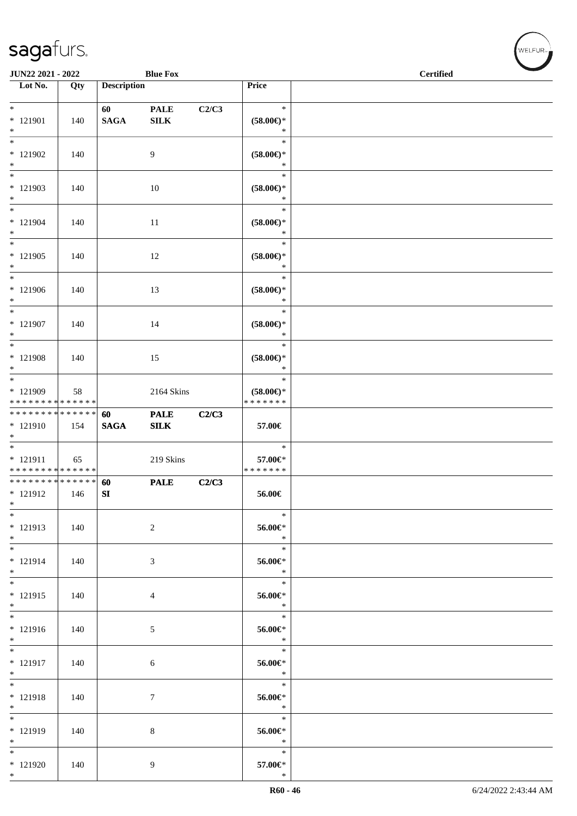| JUN22 2021 - 2022<br><b>Blue Fox</b>                          |     |                    |                             |       |                                                | <b>Certified</b> |
|---------------------------------------------------------------|-----|--------------------|-----------------------------|-------|------------------------------------------------|------------------|
| $\overline{\phantom{a}}$ Lot No.                              | Qty | <b>Description</b> |                             |       | Price                                          |                  |
| $*$<br>* 121901<br>$*$                                        | 140 | 60<br><b>SAGA</b>  | <b>PALE</b><br>${\bf SILK}$ | C2/C3 | $\ast$<br>$(58.00\epsilon)$ *<br>$\ast$        |                  |
| $\ast$<br>* 121902<br>$*$                                     | 140 |                    | 9                           |       | $\ast$<br>$(58.00\epsilon)$ *<br>$\ast$        |                  |
| $*$<br>* 121903<br>$*$                                        | 140 |                    | 10                          |       | $\ast$<br>$(58.00\epsilon)$ *<br>$\ast$        |                  |
| $*$<br>$* 121904$<br>$*$                                      | 140 |                    | 11                          |       | $\ast$<br>$(58.00\in)\!\!^*$<br>$\ast$         |                  |
| $\overline{\phantom{0}}$<br>$*121905$<br>$*$                  | 140 |                    | 12                          |       | $\ast$<br>$(58.00\epsilon)$ *<br>$\ast$        |                  |
| $*$<br>* 121906<br>$*$                                        | 140 |                    | 13                          |       | $\ast$<br>$(58.00\epsilon)$ *<br>$\ast$        |                  |
| $*$<br>* 121907<br>$*$                                        | 140 |                    | 14                          |       | $\ast$<br>$(58.00\epsilon)$ *<br>$\ast$        |                  |
| $*$<br>* 121908<br>$*$                                        | 140 |                    | 15                          |       | $\ast$<br>$(58.00\epsilon)$ *<br>$\ast$        |                  |
| $*$<br>* 121909<br>* * * * * * * * * * * * * *                | 58  |                    | 2164 Skins                  |       | $\ast$<br>$(58.00\epsilon)$ *<br>* * * * * * * |                  |
| * * * * * * * * <mark>* * * * * * *</mark><br>* 121910<br>$*$ | 154 | 60<br><b>SAGA</b>  | <b>PALE</b><br>SLK          | C2/C3 | 57.00€                                         |                  |
| * 121911<br>* * * * * * * * * * * * * *                       | 65  |                    | 219 Skins                   |       | $\ast$<br>57.00€*<br>* * * * * * *             |                  |
| * * * * * * * * * * * * * * *<br>* 121912<br>$*$              | 146 | 60<br>${\bf SI}$   | <b>PALE</b>                 | C2/C3 | 56.00€                                         |                  |
| $\ast$<br>* 121913<br>$*$                                     | 140 |                    | 2                           |       | $\ast$<br>56.00€*<br>$\ast$                    |                  |
| $*$<br>$* 121914$<br>$*$                                      | 140 |                    | 3                           |       | $\ast$<br>56.00€*<br>$\ast$                    |                  |
| $*$<br>$* 121915$<br>$*$                                      | 140 |                    | $\overline{4}$              |       | $\ast$<br>56.00€*<br>$\ast$                    |                  |
| $* 121916$<br>$*$                                             | 140 |                    | 5                           |       | $\ast$<br>56.00€*<br>$\ast$                    |                  |
| * 121917<br>$*$                                               | 140 |                    | $6\phantom{.}6$             |       | $\ast$<br>56.00€*<br>$\ast$                    |                  |
| $*$<br>* 121918<br>$*$                                        | 140 |                    | 7                           |       | $\ast$<br>56.00€*<br>$\ast$                    |                  |
| $*$<br>* 121919<br>$*$                                        | 140 |                    | 8                           |       | $\ast$<br>56.00€*<br>$\ast$                    |                  |
| $*$<br>$*121920$<br>$*$                                       | 140 |                    | 9                           |       | $\ast$<br>57.00€*<br>$\ast$                    |                  |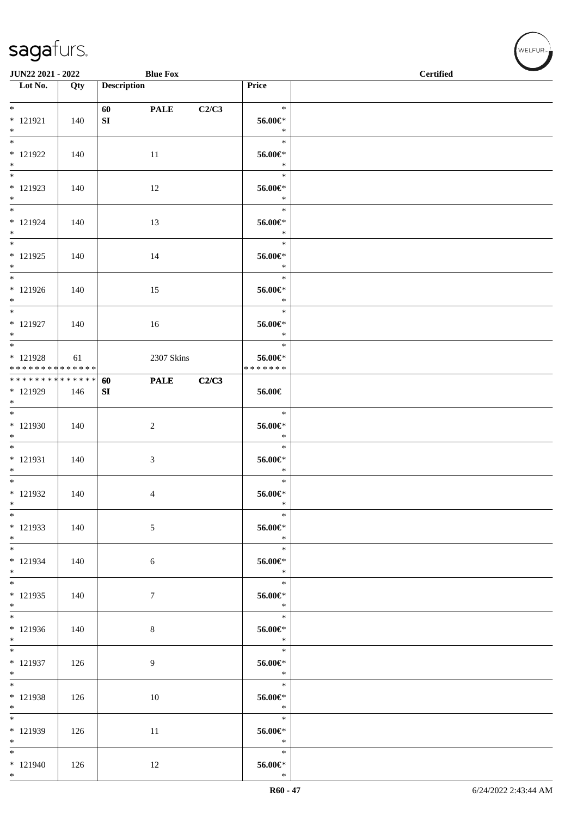| JUN22 2021 - 2022                          |     |                    | <b>Blue Fox</b> |       |               | <b>Certified</b> |
|--------------------------------------------|-----|--------------------|-----------------|-------|---------------|------------------|
| Lot No.                                    | Qty | <b>Description</b> |                 |       | Price         |                  |
|                                            |     |                    |                 |       |               |                  |
| $*$                                        |     | 60                 | <b>PALE</b>     | C2/C3 | $\ast$        |                  |
| $* 121921$                                 | 140 | SI                 |                 |       | 56.00€*       |                  |
| $*$                                        |     |                    |                 |       | $\ast$        |                  |
| $\overline{\ast}$                          |     |                    |                 |       | $\ast$        |                  |
| $* 121922$                                 | 140 |                    | 11              |       | 56.00€*       |                  |
| $*$                                        |     |                    |                 |       | $\ast$        |                  |
| $\overline{\ast}$                          |     |                    |                 |       | $\ast$        |                  |
| $* 121923$                                 | 140 |                    | 12              |       | 56.00€*       |                  |
| $*$                                        |     |                    |                 |       | $\ast$        |                  |
| $*$                                        |     |                    |                 |       | $\ast$        |                  |
| $* 121924$                                 | 140 |                    | 13              |       | 56.00€*       |                  |
| $*$                                        |     |                    |                 |       | $\ast$        |                  |
| $*$                                        |     |                    |                 |       | $\ast$        |                  |
| $* 121925$                                 | 140 |                    | 14              |       | 56.00€*       |                  |
| $*$                                        |     |                    |                 |       | $\ast$        |                  |
| $*$                                        |     |                    |                 |       | $\ast$        |                  |
| $* 121926$                                 | 140 |                    | 15              |       | 56.00€*       |                  |
| $*$                                        |     |                    |                 |       | $\ast$        |                  |
| $*$                                        |     |                    |                 |       | $\ast$        |                  |
| * 121927                                   | 140 |                    | 16              |       | 56.00€*       |                  |
| $*$                                        |     |                    |                 |       | $\ast$        |                  |
|                                            |     |                    |                 |       | $\ast$        |                  |
| * 121928                                   | 61  |                    | 2307 Skins      |       | 56.00€*       |                  |
| * * * * * * * * <mark>* * * * * * *</mark> |     |                    |                 |       | * * * * * * * |                  |
| * * * * * * * * * * * * * * *              |     | 60                 | <b>PALE</b>     | C2/C3 |               |                  |
| * 121929                                   | 146 | SI                 |                 |       | 56.00€        |                  |
| $*$                                        |     |                    |                 |       |               |                  |
| $*$                                        |     |                    |                 |       | $\ast$        |                  |
| $* 121930$                                 | 140 |                    | $\overline{c}$  |       | 56.00€*       |                  |
| $*$                                        |     |                    |                 |       | $\ast$        |                  |
| $*$                                        |     |                    |                 |       | $\ast$        |                  |
| $* 121931$                                 | 140 |                    | 3               |       | 56.00€*       |                  |
| $*$                                        |     |                    |                 |       | $\ast$        |                  |
| $*$                                        |     |                    |                 |       | $\ast$        |                  |
| $* 121932$                                 | 140 |                    | 4               |       | $56.00 \in$   |                  |
| $*$                                        |     |                    |                 |       | $\ast$        |                  |
| $*$                                        |     |                    |                 |       | $\ast$        |                  |
| * 121933                                   | 140 |                    | 5               |       | 56.00€*       |                  |
| $*$                                        |     |                    |                 |       | $\ast$        |                  |
| $*$                                        |     |                    |                 |       | $\ast$        |                  |
| * 121934                                   | 140 |                    | $\sqrt{6}$      |       | 56.00€*       |                  |
| $*$                                        |     |                    |                 |       | $\ast$        |                  |
| $*$                                        |     |                    |                 |       | $\ast$        |                  |
| $* 121935$                                 | 140 |                    | $\tau$          |       | 56.00€*       |                  |
| $*$                                        |     |                    |                 |       | $\ast$        |                  |
| $*$                                        |     |                    |                 |       | $\ast$        |                  |
| $*121936$                                  | 140 |                    | $\,8\,$         |       | 56.00€*       |                  |
| $*$                                        |     |                    |                 |       | $\ast$        |                  |
| $*$                                        |     |                    |                 |       | $\ast$        |                  |
| $* 121937$                                 | 126 |                    | 9               |       | 56.00€*       |                  |
| $*$                                        |     |                    |                 |       | $\ast$        |                  |
| $*$                                        |     |                    |                 |       | $\ast$        |                  |
| $* 121938$                                 | 126 |                    | 10              |       | 56.00€*       |                  |
| $*$                                        |     |                    |                 |       | $\ast$        |                  |
|                                            |     |                    |                 |       | $\ast$        |                  |
| * 121939                                   | 126 |                    | 11              |       | 56.00€*       |                  |
| $*$                                        |     |                    |                 |       | $\ast$        |                  |
| $*$                                        |     |                    |                 |       | $\ast$        |                  |
| $* 121940$                                 | 126 |                    | 12              |       | 56.00€*       |                  |
| $*$                                        |     |                    |                 |       | $\ast$        |                  |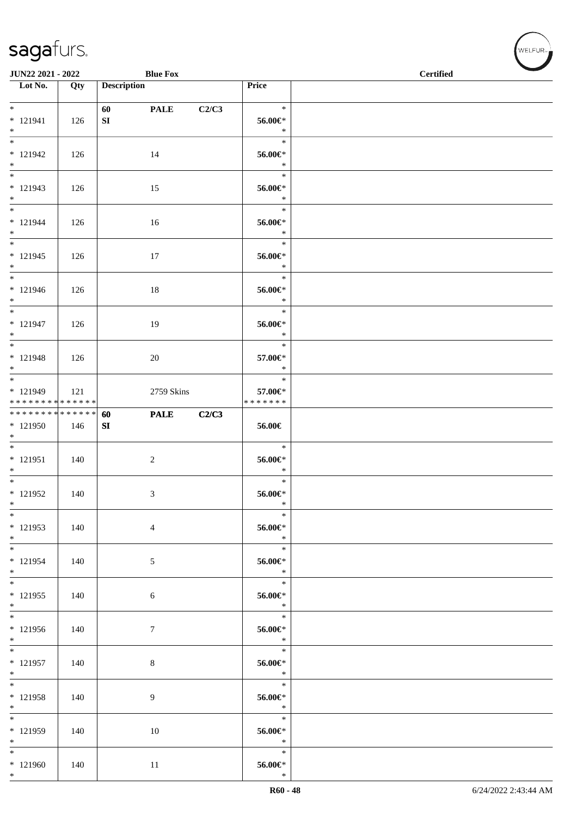| JUN22 2021 - 2022                               |     |                        | <b>Blue Fox</b>  |       |                                    | <b>Certified</b> |
|-------------------------------------------------|-----|------------------------|------------------|-------|------------------------------------|------------------|
| $\overline{\phantom{1}}$ Lot No.                | Qty | <b>Description</b>     |                  |       | Price                              |                  |
| $*$<br>$* 121941$<br>$*$                        | 126 | 60<br>${\bf S}{\bf I}$ | <b>PALE</b>      | C2/C3 | $\ast$<br>56.00€*<br>$\ast$        |                  |
| $\overline{\phantom{0}}$<br>$* 121942$<br>$*$   | 126 |                        | 14               |       | $\ast$<br>56.00€*<br>$\ast$        |                  |
| $\overline{\ast}$<br>$* 121943$<br>$*$          | 126 |                        | 15               |       | $\ast$<br>56.00€*<br>$\ast$        |                  |
| $*$<br>$* 121944$<br>$*$                        | 126 |                        | 16               |       | $\ast$<br>56.00€*<br>$\ast$        |                  |
| $*$<br>$* 121945$<br>$*$                        | 126 |                        | 17               |       | $\ast$<br>56.00€*<br>$\ast$        |                  |
| $*$<br>$* 121946$<br>$*$                        | 126 |                        | 18               |       | $\ast$<br>56.00€*<br>$\ast$        |                  |
| $*$<br>$* 121947$<br>$*$                        | 126 |                        | 19               |       | $\ast$<br>56.00€*<br>$\ast$        |                  |
| * 121948<br>$*$                                 | 126 |                        | $20\,$           |       | $\ast$<br>57.00€*<br>$\ast$        |                  |
| $*$<br>* 121949<br>* * * * * * * * * * * * * *  | 121 |                        | 2759 Skins       |       | $\ast$<br>57.00€*<br>* * * * * * * |                  |
| ******** <mark>******</mark><br>* 121950<br>$*$ | 146 | 60<br>${\bf SI}$       | <b>PALE</b>      | C2/C3 | 56.00€                             |                  |
| $* 121951$<br>$*$                               | 140 |                        | $\boldsymbol{2}$ |       | $\ast$<br>56.00€*<br>$\ast$        |                  |
| $*$<br>$* 121952$<br>$*$                        | 140 |                        | 3                |       | $\ast$<br>$56.00 \in$<br>$\ast$    |                  |
| $*$<br>* 121953<br>$*$                          | 140 |                        | 4                |       | $\ast$<br>56.00€*<br>$\ast$        |                  |
| $*$<br>$* 121954$<br>$*$                        | 140 |                        | 5                |       | $\ast$<br>56.00€*<br>$\ast$        |                  |
| $*$<br>$* 121955$<br>$*$                        | 140 |                        | $\sqrt{6}$       |       | $\ast$<br>56.00€*<br>$\ast$        |                  |
| $\overline{\ast}$<br>$*121956$<br>$*$           | 140 |                        | $\tau$           |       | $\ast$<br>$56.00 \in$<br>$\ast$    |                  |
| $*$<br>$* 121957$<br>$*$                        | 140 |                        | $\,8\,$          |       | $\ast$<br>56.00€*<br>$\ast$        |                  |
| $*$<br>* 121958<br>$*$                          | 140 |                        | 9                |       | $\ast$<br>56.00€*<br>$\ast$        |                  |
| $*$<br>* 121959<br>$*$                          | 140 |                        | 10               |       | $\ast$<br>56.00€*<br>$\ast$        |                  |
| $*$<br>$*121960$<br>$*$                         | 140 |                        | 11               |       | $\ast$<br>$56.00 \in$<br>$\ast$    |                  |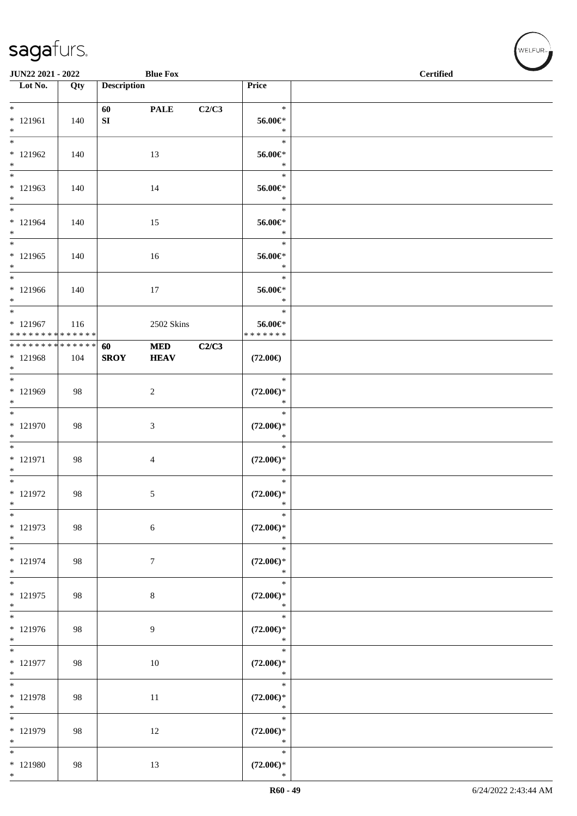| JUN22 2021 - 2022<br><b>Blue Fox</b>                          |     |                        |                           |       |                                         | <b>Certified</b> |  |
|---------------------------------------------------------------|-----|------------------------|---------------------------|-------|-----------------------------------------|------------------|--|
| $\overline{\phantom{1}}$ Lot No.                              | Qty | <b>Description</b>     |                           |       | Price                                   |                  |  |
| $*$<br>$* 121961$<br>$*$                                      | 140 | 60<br>${\bf S}{\bf I}$ | <b>PALE</b>               | C2/C3 | $\ast$<br>56.00€*<br>$\ast$             |                  |  |
| $\overline{\ast}$<br>$* 121962$<br>$*$                        | 140 |                        | 13                        |       | $\ast$<br>56.00€*<br>$\ast$             |                  |  |
| $* 121963$<br>$*$                                             | 140 |                        | 14                        |       | $\ast$<br>56.00€*<br>$\ast$             |                  |  |
| $*$<br>$* 121964$<br>$*$                                      | 140 |                        | 15                        |       | $\ast$<br>56.00€*<br>$\ast$             |                  |  |
| $*$<br>$* 121965$<br>$*$                                      | 140 |                        | 16                        |       | $\ast$<br>56.00€*<br>$\ast$             |                  |  |
| $*$<br>$* 121966$<br>$*$                                      | 140 |                        | 17                        |       | $\ast$<br>56.00€*<br>$\ast$             |                  |  |
| * 121967<br>* * * * * * * * * * * * * *                       | 116 |                        | 2502 Skins                |       | $\ast$<br>56.00€*<br>* * * * * * *      |                  |  |
| * * * * * * * * <mark>* * * * * * *</mark><br>* 121968<br>$*$ | 104 | 60<br><b>SROY</b>      | <b>MED</b><br><b>HEAV</b> | C2/C3 | $(72.00\epsilon)$                       |                  |  |
| $*$<br>* 121969<br>$*$                                        | 98  |                        | $\overline{c}$            |       | $\ast$<br>$(72.00\epsilon)$ *<br>$\ast$ |                  |  |
| $\overline{\phantom{0}}$<br>$* 121970$<br>$*$                 | 98  |                        | 3                         |       | $\ast$<br>$(72.00\epsilon)$ *<br>$\ast$ |                  |  |
| $\overline{\phantom{0}}$<br>$* 121971$<br>$*$                 | 98  |                        | 4                         |       | $\ast$<br>$(72.00\epsilon)$ *<br>$\ast$ |                  |  |
| $*$<br>$* 121972$<br>$\ast$                                   | 98  |                        | 5                         |       | $\ast$<br>$(72.00\epsilon)$ *<br>$\ast$ |                  |  |
| $\ast$<br>* 121973<br>$*$                                     | 98  |                        | 6                         |       | $\ast$<br>$(72.00\epsilon)$ *<br>$\ast$ |                  |  |
| $\ast$<br>* 121974<br>$*$                                     | 98  |                        | $\tau$                    |       | $\ast$<br>$(72.00\epsilon)$ *<br>$\ast$ |                  |  |
| $*$<br>$* 121975$<br>$*$                                      | 98  |                        | $\,8\,$                   |       | $\ast$<br>$(72.00\epsilon)$ *<br>$\ast$ |                  |  |
| $*$<br>* 121976<br>$*$                                        | 98  |                        | 9                         |       | $\ast$<br>$(72.00\epsilon)$ *<br>$\ast$ |                  |  |
| $\overline{\ast}$<br>$* 121977$<br>$*$                        | 98  |                        | 10                        |       | $\ast$<br>$(72.00\epsilon)$ *<br>$\ast$ |                  |  |
| $*$<br>* 121978<br>$*$                                        | 98  |                        | 11                        |       | $\ast$<br>$(72.00\epsilon)$ *<br>$\ast$ |                  |  |
| $\ast$<br>* 121979<br>$*$                                     | 98  |                        | 12                        |       | $\ast$<br>$(72.00\epsilon)$ *<br>$\ast$ |                  |  |
| $*$<br>* 121980<br>$*$                                        | 98  |                        | 13                        |       | $\ast$<br>$(72.00\epsilon)$ *<br>$\ast$ |                  |  |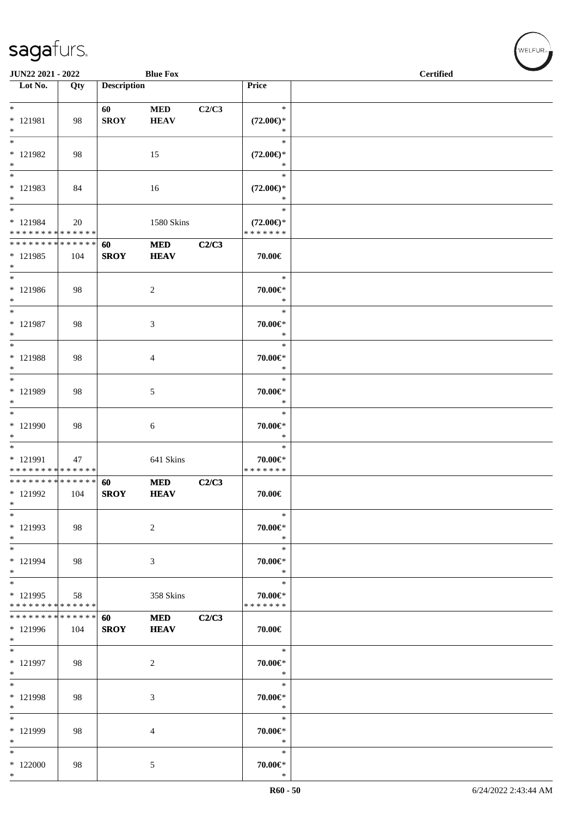| JUN22 2021 - 2022                                                   |     |                    | <b>Blue Fox</b>           |       |                                                | <b>Certified</b> |  |
|---------------------------------------------------------------------|-----|--------------------|---------------------------|-------|------------------------------------------------|------------------|--|
| $\overline{\phantom{1}}$ Lot No.                                    | Qty | <b>Description</b> |                           |       | <b>Price</b>                                   |                  |  |
|                                                                     |     |                    |                           |       |                                                |                  |  |
| $*$<br>$* 121981$<br>$*$                                            | 98  | 60<br><b>SROY</b>  | <b>MED</b><br><b>HEAV</b> | C2/C3 | $\ast$<br>$(72.00\epsilon)$ *<br>$\ast$        |                  |  |
| $*$<br>$* 121982$<br>$*$                                            | 98  |                    | 15                        |       | $\ast$<br>$(72.00\epsilon)$ *<br>$\ast$        |                  |  |
| $\ast$<br>* 121983<br>$*$                                           | 84  |                    | 16                        |       | $\ast$<br>$(72.00\epsilon)$ *<br>$\ast$        |                  |  |
| * 121984<br>* * * * * * * * * * * * * *                             | 20  |                    | 1580 Skins                |       | $\ast$<br>$(72.00\epsilon)$ *<br>* * * * * * * |                  |  |
| * * * * * * * * * * * * * * *<br>* 121985<br>$*$                    | 104 | 60<br><b>SROY</b>  | $\bf MED$<br><b>HEAV</b>  | C2/C3 | 70.00€                                         |                  |  |
| $*$<br>* 121986<br>$*$                                              | 98  |                    | $\overline{c}$            |       | $\ast$<br>70.00€*<br>$\ast$                    |                  |  |
| $*$<br>$* 121987$<br>$*$                                            | 98  |                    | 3                         |       | $\ast$<br>70.00€*<br>$\ast$                    |                  |  |
| $\ast$<br>$* 121988$<br>$*$                                         | 98  |                    | 4                         |       | $\ast$<br>70.00€*<br>$\ast$                    |                  |  |
| $*$<br>* 121989<br>$*$                                              | 98  |                    | 5                         |       | $\ast$<br>70.00€*<br>$\ast$                    |                  |  |
| $*$<br>* 121990<br>$\ast$                                           | 98  |                    | 6                         |       | $\ast$<br>70.00€*<br>$\ast$                    |                  |  |
| $\overline{\phantom{0}}$<br>* 121991<br>* * * * * * * * * * * * * * | 47  |                    | 641 Skins                 |       | $\ast$<br>70.00€*<br>* * * * * * *             |                  |  |
| * * * * * * * * * * * * * * *<br>* 121992<br>$\ast$                 | 104 | 60<br><b>SROY</b>  | <b>MED</b><br><b>HEAV</b> | C2/C3 | 70.00€                                         |                  |  |
| $*$<br>* 121993<br>$*$                                              | 98  |                    | $\overline{c}$            |       | $\ast$<br>70.00€*<br>$\ast$                    |                  |  |
| $\ast$<br>* 121994<br>$*$                                           | 98  |                    | 3                         |       | $\ast$<br>70.00€*<br>$\ast$                    |                  |  |
| $*$<br>* 121995<br>* * * * * * * * * * * * * *                      | 58  |                    | 358 Skins                 |       | $\ast$<br>70.00€*<br>* * * * * * *             |                  |  |
| * * * * * * * * * * * * * * *<br>* 121996<br>$*$                    | 104 | 60<br><b>SROY</b>  | <b>MED</b><br><b>HEAV</b> | C2/C3 | 70.00€                                         |                  |  |
| $*$<br>* 121997<br>$*$                                              | 98  |                    | 2                         |       | $\ast$<br>70.00€*<br>$\ast$                    |                  |  |
| $*$<br>* 121998<br>$\ast$                                           | 98  |                    | 3                         |       | $\ast$<br>70.00€*<br>$\ast$                    |                  |  |
| $*$<br>* 121999<br>$\ast$                                           | 98  |                    | 4                         |       | $\ast$<br>70.00€*<br>$\ast$                    |                  |  |
| $\ast$<br>$*122000$<br>$*$                                          | 98  |                    | 5                         |       | $\ast$<br>70.00€*<br>$\ast$                    |                  |  |

WELFUR<sub><sup>N</sub></sub></sub></sup>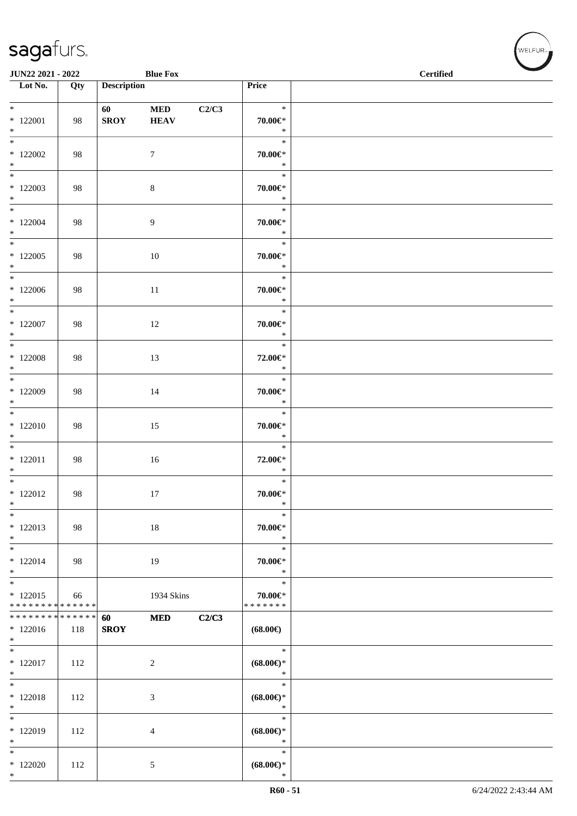| JUN22 2021 - 2022                                                    |                   |                                                                                                                                                                                                                                                | <b>Blue Fox</b>           |       |                                          | <b>Certified</b> | $\overline{\phantom{a}}$ |
|----------------------------------------------------------------------|-------------------|------------------------------------------------------------------------------------------------------------------------------------------------------------------------------------------------------------------------------------------------|---------------------------|-------|------------------------------------------|------------------|--------------------------|
| Lot No.                                                              | $\overline{Q}$ ty | <b>Description</b>                                                                                                                                                                                                                             |                           |       | Price                                    |                  |                          |
| $*$<br>$*122001$<br>$\ast$                                           | 98                | 60 — 100 — 100 — 100 — 100 — 100 — 100 — 100 — 100 — 100 — 100 — 100 — 100 — 100 — 100 — 100 — 100 — 100 — 100 — 100 — 100 — 100 — 100 — 100 — 100 — 100 — 100 — 100 — 100 — 100 — 100 — 100 — 100 — 100 — 100 — 100 — 100 — 10<br><b>SROY</b> | <b>MED</b><br><b>HEAV</b> | C2/C3 | $\ast$<br>$70.00 \in$ *<br>$\ast$        |                  |                          |
| $*$ 122002<br>$*$                                                    | 98                |                                                                                                                                                                                                                                                | $\tau$                    |       | $\ast$<br>$70.00 \in$ *<br>$\ast$        |                  |                          |
| $*122003$<br>$*$                                                     | 98                |                                                                                                                                                                                                                                                | 8                         |       | $\ast$<br>$70.00 \in$ *<br>$\ast$        |                  |                          |
| $*$<br>$*122004$<br>$*$                                              | 98                |                                                                                                                                                                                                                                                | 9                         |       | $\ast$<br>$70.00 \in$ *<br>$\ast$        |                  |                          |
| $*$<br>$*122005$<br>$*$                                              | 98                |                                                                                                                                                                                                                                                | 10                        |       | $\ast$<br>$70.00 \in$ *<br>$\ast$        |                  |                          |
| $*$<br>$*122006$<br>$*$                                              | 98                |                                                                                                                                                                                                                                                | 11                        |       | $\ast$<br>70.00€*<br>$\ast$              |                  |                          |
| $*$<br>$*$ 122007<br>$*$                                             | 98                |                                                                                                                                                                                                                                                | 12                        |       | $\ast$<br>70.00€*<br>$\ast$              |                  |                          |
| $*122008$<br>$*$                                                     | 98                |                                                                                                                                                                                                                                                | 13                        |       | $\ast$<br>72.00€*<br>$\ast$              |                  |                          |
| $*122009$<br>$*$                                                     | 98                |                                                                                                                                                                                                                                                | 14                        |       | $\ast$<br>$70.00 \in$ *<br>$\ast$        |                  |                          |
| $*$<br>$*122010$<br>$*$                                              | 98                |                                                                                                                                                                                                                                                | 15                        |       | $\ast$<br>$70.00 \in$ *<br>$\ast$        |                  |                          |
| $*$<br>$*$ 122011<br>$*$                                             | 98                |                                                                                                                                                                                                                                                | 16                        |       | $\ast$<br>72.00€*<br>$\ast$              |                  |                          |
| $*$<br>$*122012$<br>$\ast$                                           | 98                |                                                                                                                                                                                                                                                | 17                        |       | $\ast$<br>$70.00 \in$ *<br>$*$           |                  |                          |
| $\ast$<br>$*122013$<br>$*$                                           | 98                |                                                                                                                                                                                                                                                | $18\,$                    |       | $\ast$<br>70.00€*<br>$\ast$              |                  |                          |
| $*$<br>$*122014$<br>$*$                                              | 98                |                                                                                                                                                                                                                                                | 19                        |       | $\ast$<br>70.00€*<br>$\ast$              |                  |                          |
| $\overline{\phantom{0}}$<br>$*122015$<br>* * * * * * * * * * * * * * | 66                |                                                                                                                                                                                                                                                | 1934 Skins                |       | $\ast$<br>$70.00 \in$ *<br>* * * * * * * |                  |                          |
| * * * * * * * * <mark>* * * * * * *</mark><br>$*122016$<br>$*$       | 118               | 60<br><b>SROY</b>                                                                                                                                                                                                                              | <b>MED</b>                | C2/C3 | $(68.00\epsilon)$                        |                  |                          |
| $*$<br>$*122017$<br>$*$                                              | 112               |                                                                                                                                                                                                                                                | $\sqrt{2}$                |       | $\ast$<br>$(68.00\epsilon)$ *<br>$\ast$  |                  |                          |
| $*$<br>$* 122018$<br>$*$                                             | 112               |                                                                                                                                                                                                                                                | $\mathfrak{Z}$            |       | $\ast$<br>$(68.00\epsilon)$ *<br>$\ast$  |                  |                          |
| $\ast$<br>* 122019<br>$*$                                            | 112               |                                                                                                                                                                                                                                                | 4                         |       | $\ast$<br>$(68.00\epsilon)$ *<br>$\ast$  |                  |                          |
| $*$<br>$*122020$<br>$\ast$                                           | 112               |                                                                                                                                                                                                                                                | 5                         |       | $\ast$<br>$(68.00\epsilon)$ *<br>$\ast$  |                  |                          |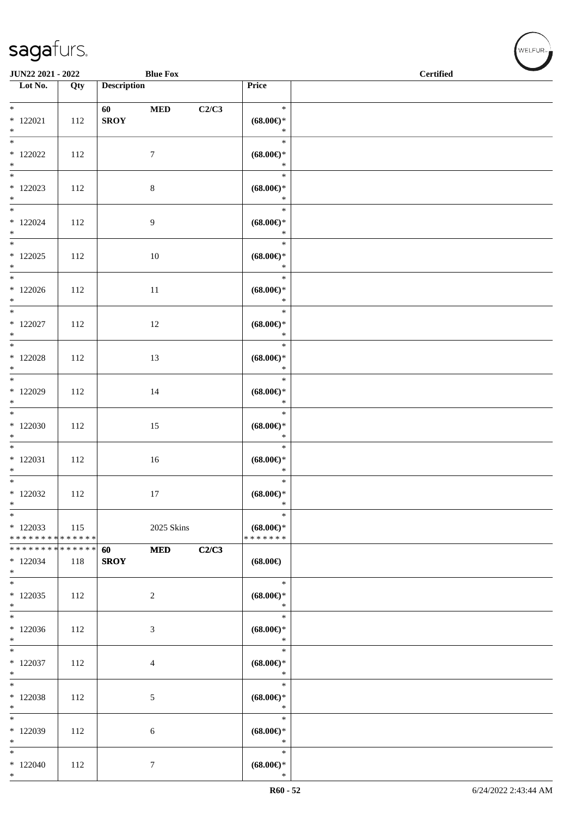\*

| JUN22 2021 - 2022                                  |     |                                                                                                                                                                                                                                                | <b>Blue Fox</b>  |       |                                                    | <b>Certified</b> |  |  |  |  |
|----------------------------------------------------|-----|------------------------------------------------------------------------------------------------------------------------------------------------------------------------------------------------------------------------------------------------|------------------|-------|----------------------------------------------------|------------------|--|--|--|--|
| $\overline{\phantom{1}}$ Lot No.                   | Qty | <b>Description</b>                                                                                                                                                                                                                             |                  |       | Price                                              |                  |  |  |  |  |
| $*$<br>$*122021$<br>$*$                            | 112 | 60 — 100 — 100 — 100 — 100 — 100 — 100 — 100 — 100 — 100 — 100 — 100 — 100 — 100 — 100 — 100 — 100 — 100 — 100 — 100 — 100 — 100 — 100 — 100 — 100 — 100 — 100 — 100 — 100 — 100 — 100 — 100 — 100 — 100 — 100 — 100 — 100 — 10<br><b>SROY</b> | <b>MED</b>       | C2/C3 | $\ast$<br>$(68.00\epsilon)$ *<br>$\ast$            |                  |  |  |  |  |
| $\frac{1}{*}$<br>$*$ 122022<br>$*$                 | 112 |                                                                                                                                                                                                                                                | $\tau$           |       | $\ast$<br>$(68.00\epsilon)$ *<br>$\ast$            |                  |  |  |  |  |
| $*122023$<br>$\ast$                                | 112 |                                                                                                                                                                                                                                                | $\,8\,$          |       | $\ast$<br>$(68.00\epsilon)$ *<br>$\ast$            |                  |  |  |  |  |
| $\overline{\ast}$<br>$*122024$<br>$*$              | 112 |                                                                                                                                                                                                                                                | $\overline{9}$   |       | $\ast$<br>$(68.00\epsilon)$ *<br>$\ast$            |                  |  |  |  |  |
| $\overline{\phantom{0}}$<br>$*$ 122025<br>$*$      | 112 |                                                                                                                                                                                                                                                | $10\,$           |       | $\ast$<br>$(68.00\epsilon)$ *<br>$\ast$            |                  |  |  |  |  |
| $*$<br>$*122026$<br>$*$                            | 112 |                                                                                                                                                                                                                                                | $11\,$           |       | $\ast$<br>$(68.00\epsilon)$ *<br>$\ast$            |                  |  |  |  |  |
| $\ast$<br>$*$ 122027<br>$*$                        | 112 |                                                                                                                                                                                                                                                | 12               |       | $\ast$<br>$(68.00\mathnormal{\infty})^*$<br>$\ast$ |                  |  |  |  |  |
| $\overline{\phantom{0}}$<br>$*122028$<br>$*$       | 112 |                                                                                                                                                                                                                                                | 13               |       | $\ast$<br>$(68.00\epsilon)$ *<br>$\ast$            |                  |  |  |  |  |
| $*122029$<br>$\ast$                                | 112 |                                                                                                                                                                                                                                                | 14               |       | $\ast$<br>$(68.00\epsilon)$ *<br>$\ast$            |                  |  |  |  |  |
| $\overline{\ast}$<br>$*122030$<br>$\ast$           | 112 |                                                                                                                                                                                                                                                | 15               |       | $\ast$<br>$(68.00\epsilon)$ *<br>$\ast$            |                  |  |  |  |  |
| $\overline{\phantom{0}}$<br>$*122031$<br>$*$       | 112 |                                                                                                                                                                                                                                                | 16               |       | $\ast$<br>$(68.00\epsilon)$ *<br>$\ast$            |                  |  |  |  |  |
| $*$<br>$*122032$<br>$\ast$                         | 112 |                                                                                                                                                                                                                                                | 17               |       | $\ast$<br>$(68.00\epsilon)$ *<br>$\ast$            |                  |  |  |  |  |
| $\ast$<br>$*122033$<br>* * * * * * * * * * * * * * | 115 |                                                                                                                                                                                                                                                | 2025 Skins       |       | $\ast$<br>$(68.00\epsilon)$ *<br>* * * * * * *     |                  |  |  |  |  |
| * * * * * * * * * * * * * *<br>$*122034$<br>$*$    | 118 | 60<br><b>SROY</b>                                                                                                                                                                                                                              | <b>MED</b>       | C2/C3 | $(68.00\epsilon)$                                  |                  |  |  |  |  |
| $*$<br>$*122035$<br>$*$                            | 112 |                                                                                                                                                                                                                                                | $\sqrt{2}$       |       | $\ast$<br>$(68.00\epsilon)$ *<br>$\ast$            |                  |  |  |  |  |
| $*$<br>$*122036$<br>$\ast$                         | 112 |                                                                                                                                                                                                                                                | $\mathfrak{Z}$   |       | $\ast$<br>$(68.00\epsilon)$ *<br>$\ast$            |                  |  |  |  |  |
| $\overline{\ast}$<br>$*122037$<br>$\ast$           | 112 |                                                                                                                                                                                                                                                | $\overline{4}$   |       | $\ast$<br>$(68.00\epsilon)$ *<br>$\ast$            |                  |  |  |  |  |
| $\ast$<br>* 122038<br>$\ast$                       | 112 |                                                                                                                                                                                                                                                | $\sqrt{5}$       |       | $\ast$<br>$(68.00\epsilon)$ *<br>$\ast$            |                  |  |  |  |  |
| $\ast$<br>$*122039$<br>$\ast$                      | 112 |                                                                                                                                                                                                                                                | 6                |       | $\ast$<br>$(68.00\epsilon)$ *<br>$\ast$            |                  |  |  |  |  |
| $\ast$<br>$*122040$<br>$*$                         | 112 |                                                                                                                                                                                                                                                | $\boldsymbol{7}$ |       | $\ast$<br>$(68.00\epsilon)$ *<br>$\ast$            |                  |  |  |  |  |

 $(w$ ELFUR<sub><sup>n</sub></sub></sub></sup>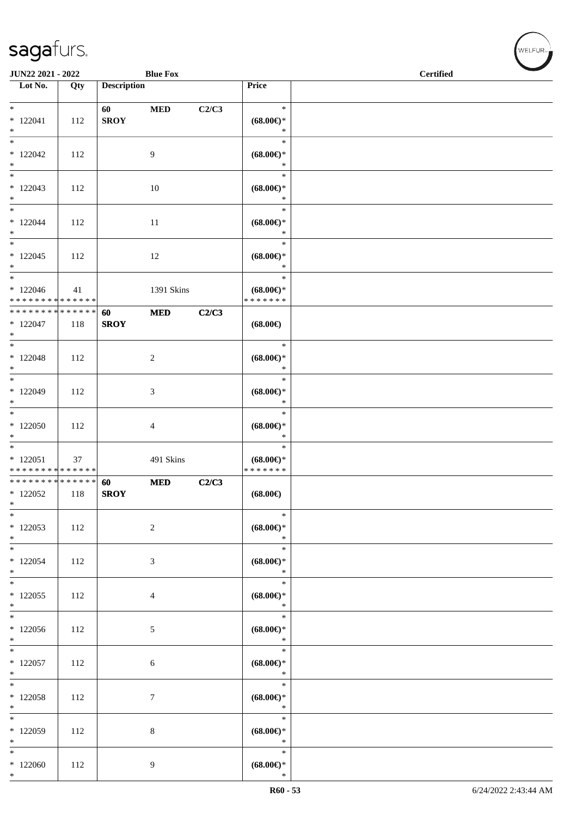| JUN22 2021 - 2022                                              |               |                    | <b>Blue Fox</b>  |       | <b>Certified</b>                                   |  |  |  |
|----------------------------------------------------------------|---------------|--------------------|------------------|-------|----------------------------------------------------|--|--|--|
| Lot No.                                                        | Qty           | <b>Description</b> |                  |       | Price                                              |  |  |  |
| $\ast$<br>$* 122041$<br>$*$                                    | 112           | 60<br><b>SROY</b>  | $\bf MED$        | C2/C3 | $\ast$<br>$(68.00\epsilon)$ *<br>$\ast$            |  |  |  |
| $\overline{\ast}$<br>$*122042$<br>$*$                          | 112           |                    | 9                |       | $\ast$<br>$(68.00\epsilon)$ *<br>$\ast$            |  |  |  |
| $\overline{\ast}$<br>$*122043$<br>$*$                          | 112           |                    | 10               |       | $\ast$<br>$(68.00\epsilon)$ *<br>$\ast$            |  |  |  |
| $\overline{\phantom{0}}$<br>$*122044$<br>$*$                   | 112           |                    | 11               |       | $\ast$<br>$(68.00\epsilon)$ *<br>$\ast$            |  |  |  |
| $\ast$<br>$*122045$<br>$*$                                     | 112           |                    | 12               |       | $\ast$<br>$(68.00\epsilon)$ *<br>$\ast$            |  |  |  |
| $*$<br>$*122046$<br>* * * * * * * * <mark>* * * * * * *</mark> | 41            |                    | 1391 Skins       |       | $\ast$<br>$(68.00\epsilon)$ *<br>* * * * * * *     |  |  |  |
| * * * * * * * *<br>$*122047$<br>$*$                            | ******<br>118 | 60<br><b>SROY</b>  | $\bf MED$        | C2/C3 | $(68.00\epsilon)$                                  |  |  |  |
| $*122048$<br>$\ast$                                            | 112           |                    | $\boldsymbol{2}$ |       | $\ast$<br>$(68.00\epsilon)$ *<br>$\ast$            |  |  |  |
| $*$<br>$*122049$<br>$\ast$                                     | 112           |                    | 3                |       | $\ast$<br>$(68.00\epsilon)$ *<br>$\ast$            |  |  |  |
| $*122050$<br>$\ast$                                            | 112           |                    | 4                |       | $\ast$<br>$(68.00\epsilon)$ *<br>$\ast$            |  |  |  |
| $*122051$<br>* * * * * * * * * * * * * *                       | 37            |                    | 491 Skins        |       | $\ast$<br>$(68.00\epsilon)$ *<br>* * * * * * *     |  |  |  |
| * * * * * * * * * * * * * * *<br>$*122052$<br>$\ast$           | 118           | 60<br><b>SROY</b>  | <b>MED</b>       | C2/C3 | $(68.00\epsilon)$                                  |  |  |  |
| $\ast$<br>$*122053$<br>$*$                                     | 112           |                    | $\boldsymbol{2}$ |       | $\ast$<br>$(68.00\epsilon)$ *<br>$\ast$            |  |  |  |
| $*$<br>$*122054$<br>$*$                                        | 112           |                    | 3                |       | $\ast$<br>$(68.00\epsilon)$ *<br>$\ast$            |  |  |  |
| $*$<br>$*122055$<br>$*$                                        | 112           |                    | 4                |       | $\ast$<br>$(68.00\epsilon)$ *<br>$\ast$            |  |  |  |
| $\overline{\phantom{0}}$<br>$*122056$<br>$*$                   | 112           |                    | 5                |       | $\ast$<br>$(68.00\epsilon)$ *<br>$\ast$            |  |  |  |
| $\ast$<br>$*122057$<br>$*$                                     | 112           |                    | 6                |       | $\ast$<br>$(68.00\mathnormal{\infty})^*$<br>$\ast$ |  |  |  |
| $*$<br>$*122058$<br>$*$                                        | 112           |                    | $\tau$           |       | $\ast$<br>$(68.00\epsilon)$ *<br>$\ast$            |  |  |  |
| $\ast$<br>$*122059$<br>$*$                                     | 112           |                    | 8                |       | $\ast$<br>$(68.00\epsilon)$ *<br>$\ast$            |  |  |  |
| $\ast$<br>$*122060$<br>$*$                                     | 112           |                    | 9                |       | $\ast$<br>$(68.00\epsilon)$ *<br>$\ast$            |  |  |  |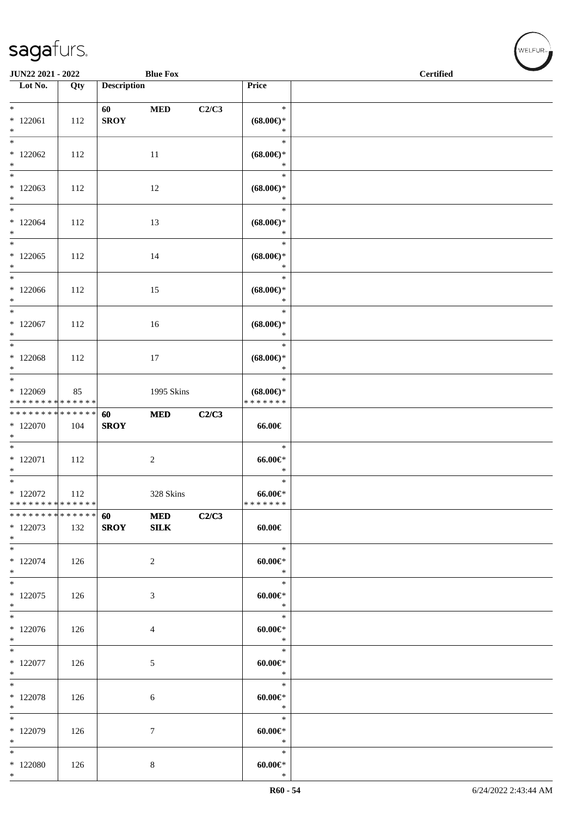| <b>JUN22 2021 - 2022</b>                                     |     |                                                                                                                                                                                                                                                | <b>Blue Fox</b>            |       | $\overline{\phantom{a}}$<br><b>Certified</b>                          |  |  |
|--------------------------------------------------------------|-----|------------------------------------------------------------------------------------------------------------------------------------------------------------------------------------------------------------------------------------------------|----------------------------|-------|-----------------------------------------------------------------------|--|--|
| Lot No.                                                      | Qty | <b>Description</b>                                                                                                                                                                                                                             |                            |       | Price                                                                 |  |  |
| $*$<br>$*122061$<br>$*$                                      | 112 | 60 — 100 — 100 — 100 — 100 — 100 — 100 — 100 — 100 — 100 — 100 — 100 — 100 — 100 — 100 — 100 — 100 — 100 — 100 — 100 — 100 — 100 — 100 — 100 — 100 — 100 — 100 — 100 — 100 — 100 — 100 — 100 — 100 — 100 — 100 — 100 — 100 — 10<br><b>SROY</b> | <b>MED</b>                 | C2/C3 | $\ast$<br>$(68.00\epsilon)$ *<br>$\ast$                               |  |  |
| $\overline{\ }$<br>$*122062$<br>$*$                          | 112 |                                                                                                                                                                                                                                                | 11                         |       | $\ast$<br>$(68.00\epsilon)$ *<br>$\ast$                               |  |  |
| $\overline{\phantom{0}}$<br>$*122063$<br>$*$                 | 112 |                                                                                                                                                                                                                                                | 12                         |       | $\ast$<br>$(68.00\epsilon)$ *<br>$\ast$                               |  |  |
| $\overline{\mathbf{r}}$<br>$*122064$<br>$*$                  | 112 |                                                                                                                                                                                                                                                | 13                         |       | $\ast$<br>$(68.00\in)\!\!^*$<br>$\ast$                                |  |  |
| $\ast$<br>$*122065$<br>$*$                                   | 112 |                                                                                                                                                                                                                                                | 14                         |       | $\ast$<br>$(68.00\mathnormal{\in}\mathcal{)^{\! \! \circ}}$<br>$\ast$ |  |  |
| $*$ $-$<br>$*122066$<br>$*$                                  | 112 |                                                                                                                                                                                                                                                | 15                         |       | $\ast$<br>$(68.00\epsilon)$ *<br>$\ast$                               |  |  |
| $*$<br>$*122067$<br>$*$                                      | 112 |                                                                                                                                                                                                                                                | 16                         |       | $\ast$<br>$(68.00\epsilon)$ *<br>$\ast$                               |  |  |
| $*122068$<br>$*$                                             | 112 |                                                                                                                                                                                                                                                | 17                         |       | $\ast$<br>$(68.00\epsilon)$ *<br>$\ast$                               |  |  |
| $*122069$<br>* * * * * * * * * * * * * *                     | 85  |                                                                                                                                                                                                                                                | 1995 Skins                 |       | $\ast$<br>$(68.00\epsilon)$ *<br>* * * * * * *                        |  |  |
| **************<br>$*122070$<br>$*$                           | 104 | 60<br><b>SROY</b>                                                                                                                                                                                                                              | <b>MED</b>                 | C2/C3 | 66.00€                                                                |  |  |
| $*122071$<br>$*$                                             | 112 |                                                                                                                                                                                                                                                | $\overline{2}$             |       | $\ast$<br>$66.00 \in$<br>$\ast$                                       |  |  |
| $*$<br>$*122072$<br>* * * * * * * * <mark>* * * * * *</mark> | 112 |                                                                                                                                                                                                                                                | 328 Skins                  |       | $\ast$<br>$66.00 \in$<br>*******                                      |  |  |
| * * * * * * * * <mark>* * * * * *</mark><br>* 122073<br>$*$  | 132 | 60<br><b>SROY</b>                                                                                                                                                                                                                              | <b>MED</b><br>${\bf SILK}$ | C2/C3 | $60.00 \in$                                                           |  |  |
| $*$<br>$*122074$<br>$*$                                      | 126 |                                                                                                                                                                                                                                                | 2                          |       | $\ast$<br>$60.00 \in$<br>$\ast$                                       |  |  |
| $*$<br>$*122075$<br>$*$                                      | 126 |                                                                                                                                                                                                                                                | 3                          |       | $\ast$<br>$60.00 \in$<br>$\ast$                                       |  |  |
| $*$<br>$*122076$<br>$*$                                      | 126 |                                                                                                                                                                                                                                                | $\overline{4}$             |       | $\ast$<br>$60.00 \in$<br>$\ast$                                       |  |  |
| $\ast$<br>$*122077$<br>$*$                                   | 126 |                                                                                                                                                                                                                                                | $\mathfrak{S}$             |       | $\ast$<br>$60.00 \in$<br>$\ast$                                       |  |  |
| $*$<br>$* 122078$<br>$\ast$                                  | 126 |                                                                                                                                                                                                                                                | 6                          |       | $\ast$<br>$60.00 \in$<br>$\ast$                                       |  |  |
| $*$<br>* 122079<br>$\ast$                                    | 126 |                                                                                                                                                                                                                                                | $\tau$                     |       | $\ast$<br>$60.00 \in$<br>$\ast$                                       |  |  |
| $*$<br>* 122080<br>$*$                                       | 126 |                                                                                                                                                                                                                                                | 8                          |       | $\ast$<br>$60.00 \in$<br>$\ast$                                       |  |  |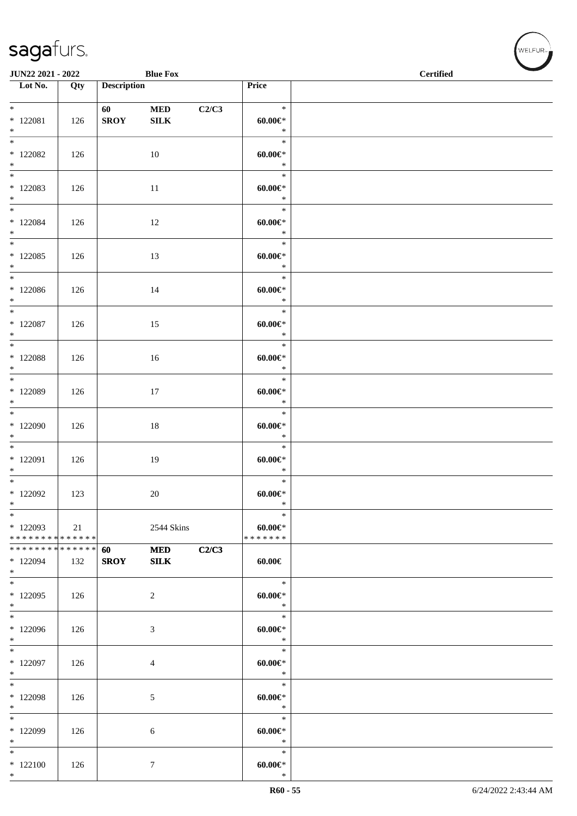| <b>JUN22 2021 - 2022</b>                                      |     |                    | <b>Blue Fox</b>            |       | <b>Certified</b>                       |  |  |  |
|---------------------------------------------------------------|-----|--------------------|----------------------------|-------|----------------------------------------|--|--|--|
| $\overline{\phantom{1}}$ Lot No.                              | Qty | <b>Description</b> |                            |       | Price                                  |  |  |  |
| $*$ $*$<br>$* 122081$<br>$*$                                  | 126 | 60<br><b>SROY</b>  | $\bf MED$<br>${\bf SILK}$  | C2/C3 | $\ast$<br>$60.00 \in$<br>$\ast$        |  |  |  |
| $*$ 122082<br>$*$                                             | 126 |                    | 10                         |       | $\ast$<br>$60.00 \in$<br>$\ast$        |  |  |  |
| $*122083$<br>$*$                                              | 126 |                    | 11                         |       | $\ast$<br>$60.00 \in$<br>$\ast$        |  |  |  |
| $\overline{\ast}$<br>* 122084<br>$*$                          | 126 |                    | 12                         |       | $\ast$<br>$60.00 \in$<br>$\ast$        |  |  |  |
| $*$<br>$*122085$<br>$*$                                       | 126 |                    | 13                         |       | $\ast$<br>$60.00 \text{E}^*$<br>$\ast$ |  |  |  |
| $*$<br>* 122086<br>$*$                                        | 126 |                    | 14                         |       | $\ast$<br>$60.00 \in$<br>$\ast$        |  |  |  |
| $*$ and $*$<br>$*$ 122087<br>$*$                              | 126 |                    | 15                         |       | $\ast$<br>$60.00 \in$<br>$\ast$        |  |  |  |
| $*$<br>* 122088<br>$*$                                        | 126 |                    | 16                         |       | $\ast$<br>$60.00 \in$ *<br>$\ast$      |  |  |  |
| * 122089<br>$*$                                               | 126 |                    | 17                         |       | $\ast$<br>$60.00 \in$<br>$\ast$        |  |  |  |
| $*$<br>* 122090<br>$*$                                        | 126 |                    | $18\,$                     |       | $\ast$<br>$60.00 \in$<br>$\ast$        |  |  |  |
| * 122091<br>$*$                                               | 126 |                    | 19                         |       | $\ast$<br>$60.00 \in$<br>$\ast$        |  |  |  |
| $*$ $*$<br>$*122092$<br>$\ast$                                | 123 |                    | 20                         |       | $\ast$<br>$60.00 \in$<br>$\ast$        |  |  |  |
| $\ast$<br>* 122093<br>* * * * * * * * * * * * * * *           | 21  |                    | 2544 Skins                 |       | $\ast$<br>$60.00 \in$<br>* * * * * * * |  |  |  |
| * * * * * * * * <mark>* * * * * * *</mark><br>* 122094<br>$*$ | 132 | 60<br><b>SROY</b>  | <b>MED</b><br>${\bf SILK}$ | C2/C3 | 60.00€                                 |  |  |  |
| $*$<br>$*122095$<br>$*$                                       | 126 |                    | $\overline{2}$             |       | $\ast$<br>$60.00 \in$<br>$\ast$        |  |  |  |
| * 122096<br>$*$                                               | 126 |                    | 3                          |       | $\ast$<br>$60.00 \in$<br>$\ast$        |  |  |  |
| $*$<br>$*122097$<br>$*$                                       | 126 |                    | 4                          |       | $\ast$<br>$60.00 \in$<br>$\ast$        |  |  |  |
| $*$<br>* 122098<br>$*$                                        | 126 |                    | 5                          |       | $\ast$<br>$60.00 \in$<br>$\ast$        |  |  |  |
| $*$<br>$*122099$<br>$*$                                       | 126 |                    | 6                          |       | $\ast$<br>$60.00 \in$<br>$\ast$        |  |  |  |
| $*$<br>$*122100$<br>$*$                                       | 126 |                    | $\tau$                     |       | $\ast$<br>$60.00 \in$<br>$\ast$        |  |  |  |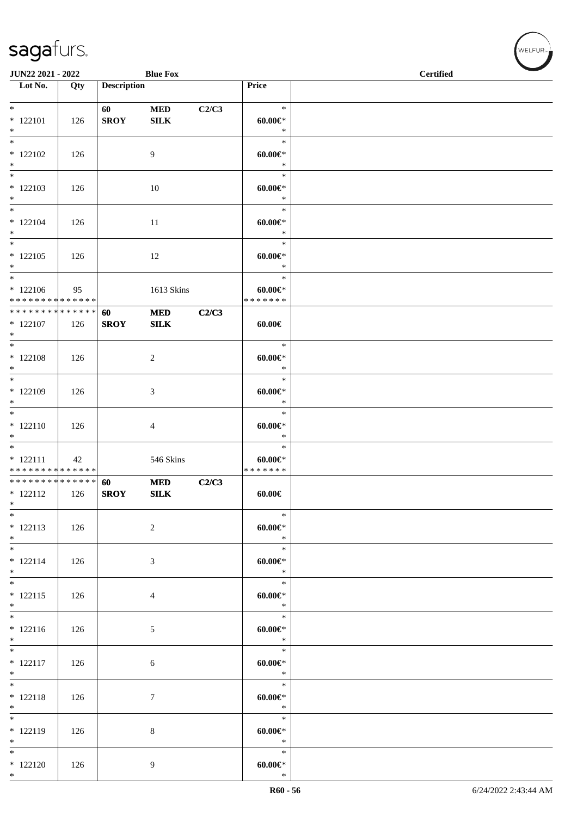| JUN22 2021 - 2022                          |     |                    | <b>Blue Fox</b> |       |                       | $\overline{\phantom{a}}$<br><b>Certified</b> |
|--------------------------------------------|-----|--------------------|-----------------|-------|-----------------------|----------------------------------------------|
| $\overline{\phantom{1}}$ Lot No.           | Qty | <b>Description</b> |                 |       | Price                 |                                              |
|                                            |     |                    |                 |       |                       |                                              |
| $*$                                        |     | 60                 | $\bf MED$       | C2/C3 | $\ast$                |                                              |
| $* 122101$                                 | 126 | <b>SROY</b>        | <b>SILK</b>     |       | $60.00 \in$           |                                              |
| $*$                                        |     |                    |                 |       | $\ast$                |                                              |
| $\overline{\ast}$                          |     |                    |                 |       | $\ast$                |                                              |
| $* 122102$                                 | 126 |                    | 9               |       | $60.00 \in$           |                                              |
| $*$                                        |     |                    |                 |       | $\ast$                |                                              |
| $*$                                        |     |                    |                 |       | $\ast$                |                                              |
| $* 122103$                                 | 126 |                    | 10              |       | $60.00 \in$           |                                              |
| $*$<br>$\overline{\ast}$                   |     |                    |                 |       | $\ast$                |                                              |
|                                            |     |                    |                 |       | $\ast$                |                                              |
| $* 122104$<br>$*$                          | 126 |                    | 11              |       | $60.00 \in$<br>$\ast$ |                                              |
| $\overline{\phantom{0}}$                   |     |                    |                 |       | $\ast$                |                                              |
| $* 122105$                                 |     |                    |                 |       |                       |                                              |
| $*$                                        | 126 |                    | 12              |       | $60.00 \in$<br>$\ast$ |                                              |
| $*$                                        |     |                    |                 |       | $\ast$                |                                              |
| $*122106$                                  | 95  |                    | 1613 Skins      |       | $60.00 \in$           |                                              |
| * * * * * * * * <mark>* * * * * * *</mark> |     |                    |                 |       | * * * * * * *         |                                              |
| * * * * * * * * * * * * * * *              |     | 60                 | <b>MED</b>      | C2/C3 |                       |                                              |
| $*$ 122107                                 | 126 | <b>SROY</b>        | SLK             |       | $60.00 \in$           |                                              |
| $*$                                        |     |                    |                 |       |                       |                                              |
| $\overline{\phantom{0}}$                   |     |                    |                 |       | $\ast$                |                                              |
| $* 122108$                                 | 126 |                    | 2               |       | $60.00 \in$           |                                              |
| $*$                                        |     |                    |                 |       | $\ast$                |                                              |
| $*$                                        |     |                    |                 |       | $\ast$                |                                              |
| $*122109$                                  | 126 |                    | 3               |       | $60.00 \in$           |                                              |
| $\ast$                                     |     |                    |                 |       | $\ast$                |                                              |
|                                            |     |                    |                 |       | $\ast$                |                                              |
| $* 122110$                                 | 126 |                    | 4               |       | $60.00 \in$           |                                              |
| $\ast$<br>$\overline{\phantom{0}}$         |     |                    |                 |       | $\ast$<br>$\ast$      |                                              |
| $* 122111$                                 | 42  |                    | 546 Skins       |       | $60.00 \in$           |                                              |
| * * * * * * * * * * * * * *                |     |                    |                 |       | * * * * * * *         |                                              |
| * * * * * * * * * * * * * * *              |     | 60                 | <b>MED</b>      | C2/C3 |                       |                                              |
| $* 122112$                                 | 126 | <b>SROY</b>        | <b>SILK</b>     |       | $60.00 \in$           |                                              |
| $\ast$                                     |     |                    |                 |       |                       |                                              |
| $*$                                        |     |                    |                 |       | $\ast$                |                                              |
| $* 122113$                                 | 126 |                    | $\overline{c}$  |       | $60.00 \in$           |                                              |
| $*$                                        |     |                    |                 |       | $\ast$                |                                              |
| $*$                                        |     |                    |                 |       | $\ast$                |                                              |
| $* 122114$                                 | 126 |                    | 3               |       | $60.00 \in$           |                                              |
| $*$                                        |     |                    |                 |       | $\ast$                |                                              |
| $*$                                        |     |                    |                 |       | $\ast$                |                                              |
| $* 122115$                                 | 126 |                    | $\overline{4}$  |       | $60.00 \in$           |                                              |
| $*$                                        |     |                    |                 |       | $\ast$<br>$\ast$      |                                              |
|                                            |     |                    |                 |       |                       |                                              |
| $* 122116$<br>$*$                          | 126 |                    | 5               |       | $60.00 \in$<br>$\ast$ |                                              |
| $\overline{\phantom{0}}$                   |     |                    |                 |       | $\ast$                |                                              |
| $* 122117$                                 | 126 |                    | 6               |       | $60.00 \in$           |                                              |
| $*$                                        |     |                    |                 |       | $\ast$                |                                              |
| $*$                                        |     |                    |                 |       | $\ast$                |                                              |
| $* 122118$                                 | 126 |                    | $\tau$          |       | $60.00 \in$           |                                              |
| $*$                                        |     |                    |                 |       | $\ast$                |                                              |
| $*$                                        |     |                    |                 |       | $\ast$                |                                              |
| $* 122119$                                 | 126 |                    | 8               |       | $60.00 \in$           |                                              |
| $*$                                        |     |                    |                 |       | $\ast$                |                                              |
| $*$                                        |     |                    |                 |       | $\ast$                |                                              |
| $*122120$                                  | 126 |                    | 9               |       | $60.00 \in$           |                                              |
| $*$                                        |     |                    |                 |       | $\ast$                |                                              |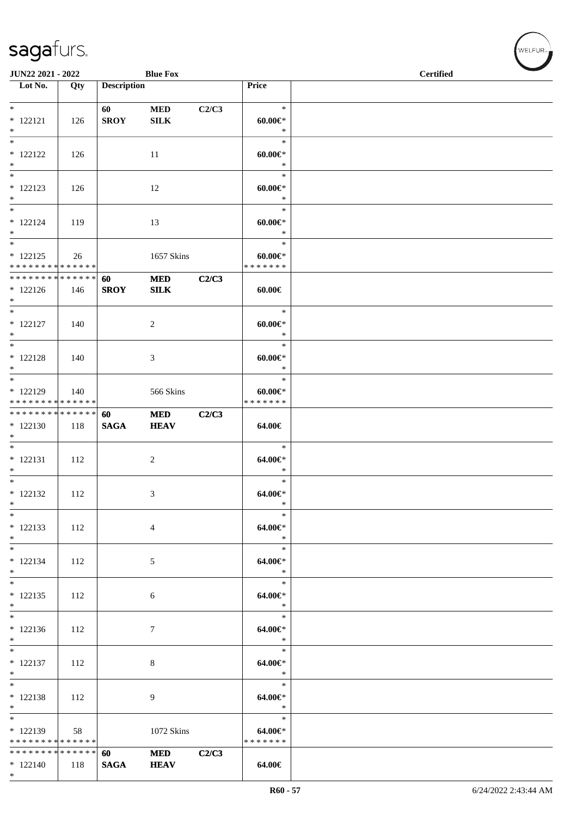| JUN22 2021 - 2022                                        |     |                    | <b>Blue Fox</b>           |       |                                           | <b>Certified</b> |
|----------------------------------------------------------|-----|--------------------|---------------------------|-------|-------------------------------------------|------------------|
| Lot No.                                                  | Qty | <b>Description</b> |                           |       | Price                                     |                  |
| $*$<br>$* 122121$<br>$*$                                 | 126 | 60<br><b>SROY</b>  | <b>MED</b><br><b>SILK</b> | C2/C3 | $\ast$<br>$60.00 \in$<br>$\ast$           |                  |
| $\frac{1}{*}$<br>$* 122122$<br>$*$                       | 126 |                    | 11                        |       | $\ast$<br>$60.00 \in$ *<br>$\ast$         |                  |
| $*$<br>$* 122123$<br>$*$                                 | 126 |                    | 12                        |       | $\ast$<br>$60.00 \in$<br>$\ast$           |                  |
| $*$<br>$* 122124$<br>$*$<br>$\overline{\ast}$            | 119 |                    | 13                        |       | $\ast$<br>$60.00 \in$<br>$\ast$           |                  |
| $* 122125$<br>* * * * * * * * * * * * * *                | 26  |                    | 1657 Skins                |       | $\ast$<br>$60.00 \in$<br>* * * * * * *    |                  |
| * * * * * * * * * * * * * * *<br>$* 122126$<br>$*$       | 146 | 60<br><b>SROY</b>  | $\bf MED$<br><b>SILK</b>  | C2/C3 | $60.00 \in$                               |                  |
| $*$<br>$* 122127$<br>$*$<br>$\overline{\ast}$            | 140 |                    | 2                         |       | $\ast$<br>$60.00 \in$<br>$\ast$           |                  |
| $* 122128$<br>$*$                                        | 140 |                    | 3                         |       | $\ast$<br>$60.00 \in$<br>$\ast$           |                  |
| $*$<br>$* 122129$<br>* * * * * * * * * * * * * *         | 140 |                    | 566 Skins                 |       | $\ast$<br>$60.00 \in$<br>* * * * * * *    |                  |
| * * * * * * * * * * * * * * *<br>$*122130$<br>$*$<br>$*$ | 118 | 60<br><b>SAGA</b>  | <b>MED</b><br><b>HEAV</b> | C2/C3 | 64.00€                                    |                  |
| $* 122131$<br>$*$<br>$*$                                 | 112 |                    | $\overline{c}$            |       | $\ast$<br>$64.00 \in$<br>$\ast$           |                  |
| $* 122132$<br>$\ast$<br>$*$                              | 112 |                    | 3                         |       | $\ast$<br>$64.00 \in$<br>$\ast$<br>$\ast$ |                  |
| $* 122133$<br>$*$                                        | 112 |                    | 4                         |       | 64.00€*<br>$\ast$                         |                  |
| $*$<br>$* 122134$<br>$*$                                 | 112 |                    | 5                         |       | $\ast$<br>64.00€*<br>$\ast$               |                  |
| $*$<br>$* 122135$<br>$*$<br>$\overline{\ast}$            | 112 |                    | 6                         |       | $\ast$<br>64.00€*<br>$\ast$<br>$\ast$     |                  |
| $*122136$<br>$*$                                         | 112 |                    | 7                         |       | 64.00€*<br>$\ast$                         |                  |
| $* 122137$<br>$*$<br>$*$                                 | 112 |                    | $\,8\,$                   |       | $\ast$<br>64.00€*<br>$\ast$               |                  |
| $* 122138$<br>$*$                                        | 112 |                    | 9                         |       | $\ast$<br>$64.00 \in$<br>$\ast$           |                  |
| $* 122139$<br>* * * * * * * * * * * * * * *              | 58  |                    | 1072 Skins                |       | $\ast$<br>64.00€*<br>* * * * * * *        |                  |
| * * * * * * * * * * * * * * *<br>$*122140$<br>$*$        | 118 | 60<br><b>SAGA</b>  | <b>MED</b><br><b>HEAV</b> | C2/C3 | 64.00€                                    |                  |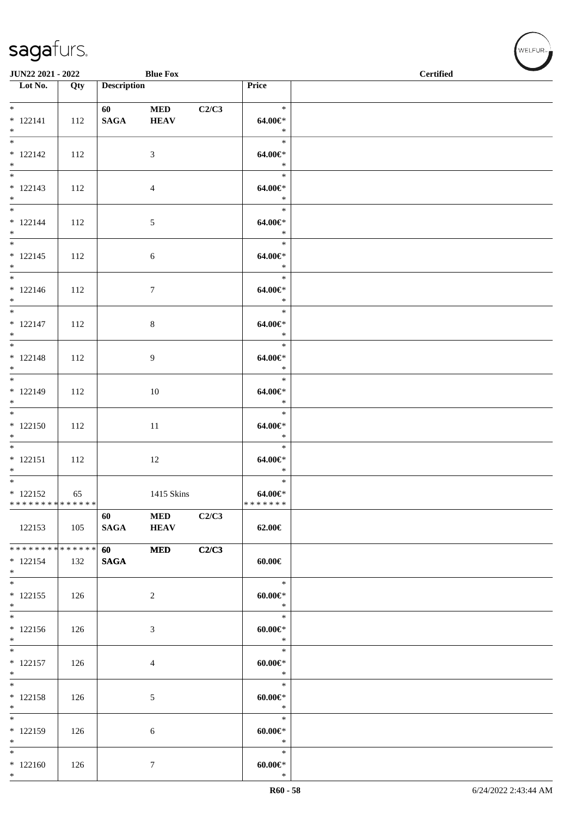| JUN22 2021 - 2022                                  |     |                              | <b>Blue Fox</b>           |       | <b>Certified</b>                 |  |  |  |
|----------------------------------------------------|-----|------------------------------|---------------------------|-------|----------------------------------|--|--|--|
| $\overline{\phantom{1}}$ Lot No.                   | Qty | <b>Description</b>           |                           |       | Price                            |  |  |  |
| $*$<br>$* 122141$<br>$*$                           | 112 | $60$ $\qquad$<br><b>SAGA</b> | <b>MED</b><br><b>HEAV</b> | C2/C3 | $\ast$<br>64.00€*<br>$\ast$      |  |  |  |
| $\overline{\ast}$<br>$* 122142$<br>$*$             | 112 |                              | 3                         |       | $\ast$<br>64.00€*<br>$\ast$      |  |  |  |
| $* 122143$<br>$*$                                  | 112 |                              | $\overline{4}$            |       | $\ast$<br>$64.00 \in$<br>$\ast$  |  |  |  |
| $*$<br>$* 122144$<br>$*$                           | 112 |                              | $\sqrt{5}$                |       | $\ast$<br>$64.00 \in$<br>$\ast$  |  |  |  |
| $\overline{\ast}$<br>$* 122145$<br>$*$             | 112 |                              | 6                         |       | $\ast$<br>$64.00 \in$<br>$\ast$  |  |  |  |
| $*$<br>$* 122146$<br>$*$                           | 112 |                              | $\tau$                    |       | $\ast$<br>64.00€*<br>$\ast$      |  |  |  |
| $*$<br>$* 122147$<br>$*$                           | 112 |                              | $\,8\,$                   |       | $\ast$<br>64.00€*<br>$\ast$      |  |  |  |
| $* 122148$<br>$*$                                  | 112 |                              | 9                         |       | $\ast$<br>$64.00 \in$<br>$\ast$  |  |  |  |
| $*$<br>$* 122149$<br>$*$                           | 112 |                              | 10                        |       | $\ast$<br>$64.00 \in$<br>$\ast$  |  |  |  |
| $*122150$<br>$*$                                   | 112 |                              | 11                        |       | $\ast$<br>$64.00 \in$<br>$\ast$  |  |  |  |
| $* 122151$<br>$*$                                  | 112 |                              | 12                        |       | $\ast$<br>$64.00 \in$<br>$\ast$  |  |  |  |
| $*$<br>$* 122152$<br>* * * * * * * * * * * * * * * | 65  |                              | 1415 Skins                |       | $\ast$<br>$64.00 \in$<br>******* |  |  |  |
| 122153                                             | 105 | 60<br><b>SAGA</b>            | $\bf MED$<br><b>HEAV</b>  | C2/C3 | 62.00€                           |  |  |  |
| * * * * * * * * * * * * * * *<br>$* 122154$<br>$*$ | 132 | 60<br><b>SAGA</b>            | <b>MED</b>                | C2/C3 | $60.00 \in$                      |  |  |  |
| $*$<br>$* 122155$<br>$*$                           | 126 |                              | 2                         |       | $\ast$<br>$60.00 \in$<br>$\ast$  |  |  |  |
| $\overline{\phantom{0}}$<br>$* 122156$<br>$*$      | 126 |                              | 3                         |       | $\ast$<br>$60.00 \in$<br>$\ast$  |  |  |  |
| $*$<br>$* 122157$<br>$*$                           | 126 |                              | 4                         |       | $\ast$<br>$60.00 \in$<br>$\ast$  |  |  |  |
| $*$<br>$* 122158$<br>$*$                           | 126 |                              | 5                         |       | $\ast$<br>$60.00 \in$<br>$\ast$  |  |  |  |
| $*$<br>* 122159<br>$*$                             | 126 |                              | 6                         |       | $\ast$<br>$60.00 \in$<br>$\ast$  |  |  |  |
| $*$<br>$*122160$<br>$*$                            | 126 |                              | $\overline{7}$            |       | $\ast$<br>$60.00 \in$<br>$\ast$  |  |  |  |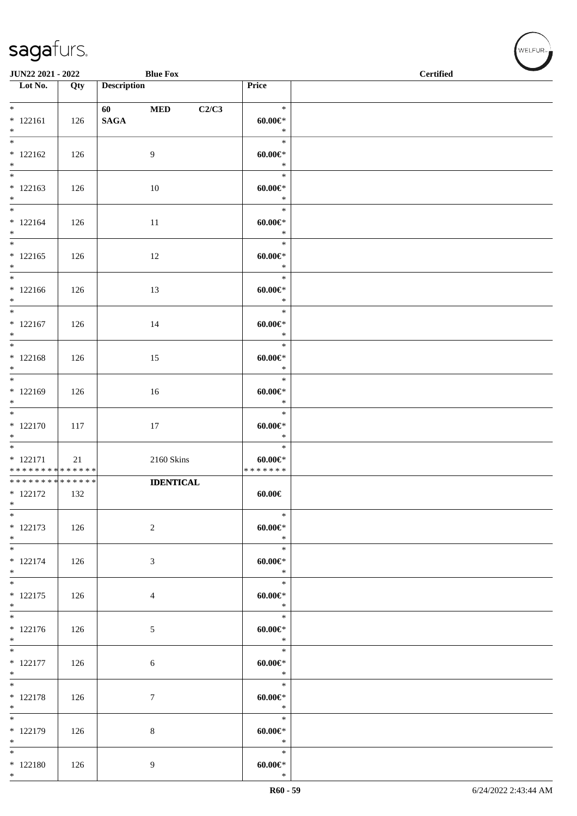| JUN22 2021 - 2022                                                  |     |                    | <b>Blue Fox</b>  |       |                                        | $\overline{\phantom{a}}$<br><b>Certified</b> |
|--------------------------------------------------------------------|-----|--------------------|------------------|-------|----------------------------------------|----------------------------------------------|
| $\overline{\phantom{a}}$ Lot No.                                   | Qty | <b>Description</b> |                  |       | Price                                  |                                              |
| $*$<br>$* 122161$<br>$\ast$                                        | 126 | <b>SAGA</b>        | $\bf MED$        | C2/C3 | $\ast$<br>$60.00 \in$<br>$\ast$        |                                              |
| $* 122162$<br>$*$                                                  | 126 |                    | 9                |       | $\ast$<br>$60.00 \in$<br>$\ast$        |                                              |
| $*$<br>$* 122163$<br>$*$                                           | 126 |                    | 10               |       | $\ast$<br>$60.00 \in$<br>$\ast$        |                                              |
| $*$<br>$* 122164$<br>$*$                                           | 126 |                    | 11               |       | $\ast$<br>$60.00 \in$<br>$\ast$        |                                              |
| $* 122165$<br>$*$                                                  | 126 |                    | 12               |       | $\ast$<br>$60.00 \in$<br>$\ast$        |                                              |
| $*$<br>$* 122166$<br>$*$                                           | 126 |                    | 13               |       | $\ast$<br>$60.00 \in$<br>$\ast$        |                                              |
| $*$<br>$* 122167$<br>$*$                                           | 126 |                    | 14               |       | $\ast$<br>$60.00 \in$<br>$\ast$        |                                              |
| $*$<br>$* 122168$<br>$*$                                           | 126 |                    | 15               |       | $\ast$<br>$60.00 \in$<br>$\ast$        |                                              |
| $*$<br>$* 122169$<br>$*$                                           | 126 |                    | 16               |       | $\ast$<br>$60.00 \in$<br>$\ast$        |                                              |
| $*$<br>$* 122170$<br>$*$                                           | 117 |                    | 17               |       | $\ast$<br>$60.00 \in$<br>$\ast$        |                                              |
| $* 122171$<br>* * * * * * * * * * * * * *                          | 21  |                    | $2160$ Skins     |       | $\ast$<br>$60.00 \in$<br>* * * * * * * |                                              |
| * * * * * * * * <mark>* * * * * * *</mark><br>$* 122172$<br>$\ast$ | 132 |                    | <b>IDENTICAL</b> |       | 60.00€                                 |                                              |
| $\ast$<br>$* 122173$<br>$*$                                        | 126 |                    | 2                |       | $\ast$<br>$60.00 \in$<br>$\ast$        |                                              |
| $*$<br>$* 122174$<br>$*$                                           | 126 |                    | 3                |       | $\ast$<br>$60.00 \in$<br>$\ast$        |                                              |
| $*$<br>$* 122175$<br>$*$                                           | 126 |                    | $\overline{4}$   |       | $\ast$<br>$60.00 \in$<br>$\ast$        |                                              |
| $* 122176$<br>$*$                                                  | 126 |                    | $\mathfrak{S}$   |       | $\ast$<br>$60.00 \in$<br>$\ast$        |                                              |
| $\overline{\ast}$<br>$* 122177$<br>$*$                             | 126 |                    | 6                |       | $\ast$<br>$60.00 \in$<br>$\ast$        |                                              |
| $*$<br>$* 122178$<br>$*$                                           | 126 |                    | $\boldsymbol{7}$ |       | $\ast$<br>$60.00 \in$<br>$\ast$        |                                              |
| $\overline{\ast}$<br>* 122179<br>$*$                               | 126 |                    | $8\,$            |       | $\ast$<br>$60.00 \in$<br>$\ast$        |                                              |
| $*$<br>$* 122180$<br>$*$                                           | 126 |                    | 9                |       | $\ast$<br>$60.00 \in$<br>$\ast$        |                                              |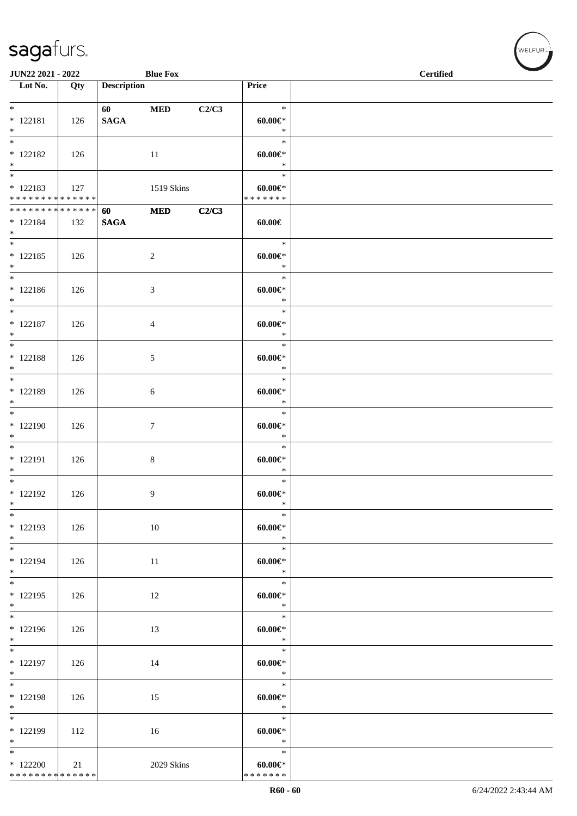| JUN22 2021 - 2022                                                 |     |                    | <b>Blue Fox</b> |       |                                        | <b>Certified</b> |
|-------------------------------------------------------------------|-----|--------------------|-----------------|-------|----------------------------------------|------------------|
| $\overline{\phantom{1}}$ Lot No.                                  | Qty | <b>Description</b> |                 |       | Price                                  |                  |
| $*$<br>$* 122181$<br>$\ast$                                       | 126 | 60<br><b>SAGA</b>  | <b>MED</b>      | C2/C3 | $\ast$<br>$60.00 \in$<br>$\ast$        |                  |
| $_{\ast}^{-}$<br>$* 122182$<br>$\ast$<br>$\overline{\phantom{0}}$ | 126 |                    | 11              |       | $\ast$<br>$60.00 \in$<br>$\ast$        |                  |
| $* 122183$<br>******** <mark>******</mark>                        | 127 |                    | 1519 Skins      |       | $\ast$<br>$60.00 \in$<br>* * * * * * * |                  |
| * * * * * * * * * * * * * *<br>$* 122184$<br>$*$                  | 132 | 60<br><b>SAGA</b>  | $\bf MED$       | C2/C3 | $60.00 \in$                            |                  |
| $_{\ast}^{-}$<br>$* 122185$<br>$*$                                | 126 |                    | $\sqrt{2}$      |       | $\ast$<br>$60.00 \in$<br>$\ast$        |                  |
| $\overline{\ast}$<br>$* 122186$<br>$\ast$                         | 126 |                    | $\mathfrak{Z}$  |       | $\ast$<br>$60.00 \in$<br>$\ast$        |                  |
| $\overline{\ast}$<br>$* 122187$<br>$*$                            | 126 |                    | $\overline{4}$  |       | $\ast$<br>$60.00 \in$<br>$\ast$        |                  |
| $*$<br>$* 122188$<br>$*$                                          | 126 |                    | $\sqrt{5}$      |       | $\ast$<br>$60.00 \in$<br>$\ast$        |                  |
| $\overline{\phantom{0}}$<br>* 122189<br>$\ast$                    | 126 |                    | 6               |       | $\ast$<br>$60.00 \in$<br>$\ast$        |                  |
| $\overline{\phantom{0}}$<br>$*122190$<br>$\ast$                   | 126 |                    | $\tau$          |       | $\ast$<br>$60.00 \in$<br>$\ast$        |                  |
| $\overline{\ast}$<br>$* 122191$<br>$\ast$                         | 126 |                    | $\,8\,$         |       | $\ast$<br>$60.00 \in$<br>$\ast$        |                  |
| $\overline{\phantom{0}}$<br>$* 122192$<br>$*$                     | 126 |                    | $\overline{9}$  |       | $\ast$<br>$60.00 \in$<br>$\ast$        |                  |
| $\overline{\phantom{a}^*}$<br>$* 122193$<br>$*$                   | 126 |                    | 10              |       | $\ast$<br>$60.00 \in$<br>$\ast$        |                  |
| $*$<br>$* 122194$<br>$\ast$                                       | 126 |                    | 11              |       | $\ast$<br>$60.00 \in$<br>$\ast$        |                  |
| $\overline{\ast}$<br>$* 122195$<br>$\ast$                         | 126 |                    | 12              |       | $\ast$<br>$60.00 \in$<br>$\ast$        |                  |
| $\overline{\phantom{a}^*}$<br>* 122196<br>$*$                     | 126 |                    | 13              |       | $\ast$<br>$60.00 \in$<br>$\ast$        |                  |
| $\overline{\phantom{0}}$<br>$* 122197$<br>$\ast$                  | 126 |                    | 14              |       | $\ast$<br>$60.00 \in$<br>$\ast$        |                  |
| $\overline{\ast}$<br>* 122198<br>$\ast$                           | 126 |                    | 15              |       | $\ast$<br>$60.00 \in$<br>$\ast$        |                  |
| $_{\ast}$<br>* 122199<br>$*$                                      | 112 |                    | 16              |       | $\ast$<br>$60.00 \in$<br>$\ast$        |                  |
| $\ast$<br>$*122200$<br>* * * * * * * * * * * * * *                | 21  |                    | 2029 Skins      |       | $\ast$<br>$60.00 \in$<br>* * * * * * * |                  |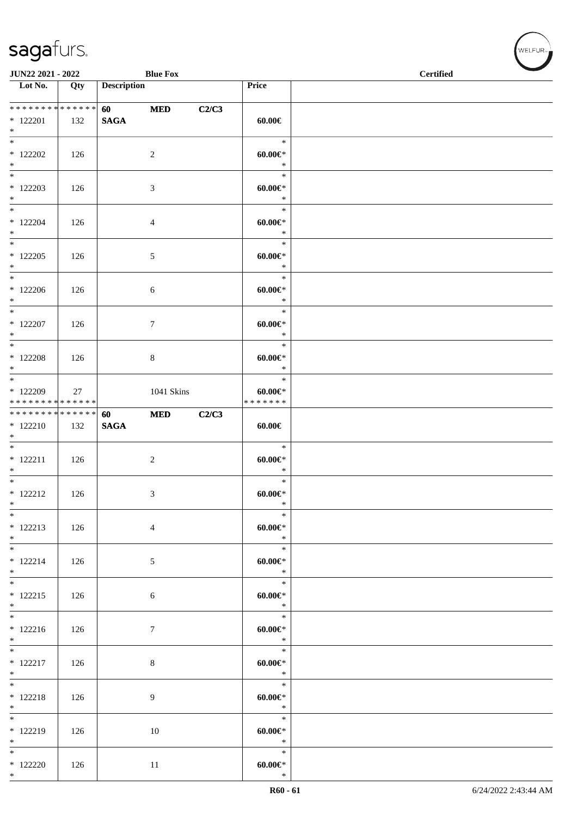| JUN22 2021 - 2022<br><b>Blue Fox</b>             |     |                                        |                  |       | <b>Certified</b>                          |  |  |
|--------------------------------------------------|-----|----------------------------------------|------------------|-------|-------------------------------------------|--|--|
| $\overline{\phantom{1}}$ Lot No.                 | Qty | <b>Description</b>                     |                  |       | Price                                     |  |  |
| ******** <mark>******</mark><br>$*122201$<br>$*$ | 132 | <b>60</b> and <b>60</b><br><b>SAGA</b> | $\bf MED$        | C2/C3 | $60.00 \in$                               |  |  |
| $\overline{\phantom{0}}$<br>$*$ 122202<br>$*$    | 126 |                                        | $\sqrt{2}$       |       | $\ast$<br>$60.00 \in$<br>$\ast$           |  |  |
| $*$<br>$*$ 122203<br>$*$                         | 126 |                                        | 3                |       | $\ast$<br>$60.00 \in$<br>$\ast$           |  |  |
| $*$<br>$*$ 122204<br>$*$                         | 126 |                                        | 4                |       | $\ast$<br>$60.00 \in$<br>$\ast$           |  |  |
| $*$<br>$*122205$<br>$*$                          | 126 |                                        | 5                |       | $\ast$<br>$60.00 \in$<br>$\ast$           |  |  |
| $*$<br>$*122206$<br>$*$                          | 126 |                                        | 6                |       | $\ast$<br>$60.00 \in$<br>$\ast$           |  |  |
| $\overline{\ast}$<br>$*$ 122207<br>$*$           | 126 |                                        | 7                |       | $\ast$<br>$60.00 \in$<br>$\ast$           |  |  |
| $*$ 122208<br>$*$                                | 126 |                                        | 8                |       | $\ast$<br>$60.00 \in$<br>$\ast$           |  |  |
| $*$<br>$*$ 122209<br>* * * * * * * * * * * * * * | 27  |                                        | 1041 Skins       |       | $\ast$<br>$60.00 \in$<br>* * * * * * *    |  |  |
| ******** <mark>******</mark><br>$*122210$<br>$*$ | 132 | 60<br><b>SAGA</b>                      | $\bf MED$        | C2/C3 | $60.00 \in$                               |  |  |
| $* 122211$<br>$*$<br>$*$                         | 126 |                                        | $\boldsymbol{2}$ |       | $\ast$<br>$60.00 \in$<br>$\ast$           |  |  |
| $* 122212$<br>$*$                                | 126 |                                        | 3                |       | $\ast$<br>$60.00 \in$<br>$\ast$<br>$\ast$ |  |  |
| $*$<br>$* 122213$<br>$*$                         | 126 |                                        | 4                |       | $60.00 \in$<br>$\ast$                     |  |  |
| $*$<br>$* 122214$<br>$*$                         | 126 |                                        | 5                |       | $\ast$<br>$60.00 \in$<br>$\ast$           |  |  |
| $*$<br>$* 122215$<br>$*$                         | 126 |                                        | $\sqrt{6}$       |       | $\ast$<br>$60.00 \in$<br>$\ast$<br>$\ast$ |  |  |
| $* 122216$<br>$*$                                | 126 |                                        | $\boldsymbol{7}$ |       | $60.00 \in$<br>$\ast$                     |  |  |
| $*$<br>$* 122217$<br>$*$<br>$*$                  | 126 |                                        | $\,8\,$          |       | $\ast$<br>$60.00 \in$<br>$\ast$           |  |  |
| $* 122218$<br>$*$                                | 126 |                                        | 9                |       | $\ast$<br>$60.00 \in$<br>$\ast$           |  |  |
| * 122219<br>$*$                                  | 126 |                                        | 10               |       | $\ast$<br>$60.00 \in$<br>$\ast$           |  |  |
| $*$<br>$*$ 122220<br>$*$                         | 126 |                                        | 11               |       | $\ast$<br>$60.00 \text{eV}$<br>$\ast$     |  |  |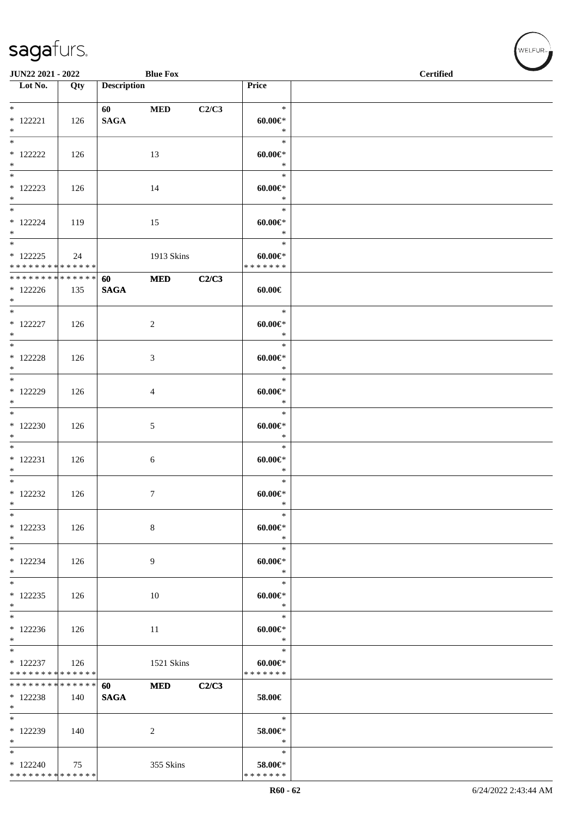| JUN22 2021 - 2022                                                       |     |                                                                                                                                                                                                                                                | <b>Blue Fox</b> |       |                                        | <b>Certified</b> |  |
|-------------------------------------------------------------------------|-----|------------------------------------------------------------------------------------------------------------------------------------------------------------------------------------------------------------------------------------------------|-----------------|-------|----------------------------------------|------------------|--|
| $\overline{\phantom{1}}$ Lot No.                                        | Qty | <b>Description</b>                                                                                                                                                                                                                             |                 |       | Price                                  |                  |  |
|                                                                         |     |                                                                                                                                                                                                                                                |                 |       |                                        |                  |  |
| $\ast$<br>$* 122221$<br>$\ast$                                          | 126 | 60 — 100 — 100 — 100 — 100 — 100 — 100 — 100 — 100 — 100 — 100 — 100 — 100 — 100 — 100 — 100 — 100 — 100 — 100 — 100 — 100 — 100 — 100 — 100 — 100 — 100 — 100 — 100 — 100 — 100 — 100 — 100 — 100 — 100 — 100 — 100 — 100 — 10<br><b>SAGA</b> | <b>MED</b>      | C2/C3 | $\ast$<br>$60.00 \in$<br>$\ast$        |                  |  |
| $_{\ast}^{-}$<br>$*122222$<br>$*$                                       | 126 |                                                                                                                                                                                                                                                | 13              |       | $\ast$<br>$60.00 \in$<br>$\ast$        |                  |  |
| $\overline{\phantom{0}}$<br>$*122223$<br>$\ast$                         | 126 |                                                                                                                                                                                                                                                | 14              |       | $\ast$<br>$60.00 \in$<br>$\ast$        |                  |  |
| $\overline{\phantom{a}^*}$<br>$*$ 122224<br>$\ast$                      | 119 |                                                                                                                                                                                                                                                | 15              |       | $\ast$<br>$60.00 \in$<br>$\ast$        |                  |  |
| $\overline{\phantom{a}^*}$<br>$*122225$<br>* * * * * * * * * * * * * *  | 24  |                                                                                                                                                                                                                                                | 1913 Skins      |       | $\ast$<br>$60.00 \in$<br>* * * * * * * |                  |  |
| * * * * * * * * * * * * * * *<br>$*122226$<br>$*$                       | 135 | 60<br><b>SAGA</b>                                                                                                                                                                                                                              | <b>MED</b>      | C2/C3 | $60.00 \in$                            |                  |  |
| $\ast$<br>$* 122227$<br>$\ast$                                          | 126 |                                                                                                                                                                                                                                                | $\overline{c}$  |       | $\ast$<br>$60.00 \in$<br>$\ast$        |                  |  |
| $\ast$<br>$*$ 122228<br>$*$                                             | 126 |                                                                                                                                                                                                                                                | 3               |       | $\ast$<br>$60.00 \in$<br>$\ast$        |                  |  |
| $*$<br>* 122229<br>$\ast$                                               | 126 |                                                                                                                                                                                                                                                | $\overline{4}$  |       | $\ast$<br>$60.00 \in$<br>$\ast$        |                  |  |
| $\ast$<br>$*122230$<br>$\ast$                                           | 126 |                                                                                                                                                                                                                                                | $\mathfrak{S}$  |       | $\ast$<br>$60.00 \in$<br>$\ast$        |                  |  |
| $\overline{\phantom{0}}$<br>$* 122231$<br>$\ast$                        | 126 |                                                                                                                                                                                                                                                | 6               |       | $\ast$<br>$60.00 \in$<br>$\ast$        |                  |  |
| $\ast$<br>$*122232$<br>$\ast$                                           | 126 |                                                                                                                                                                                                                                                | $\tau$          |       | $\ast$<br>$60.00 \in$<br>$\ast$        |                  |  |
| $\ast$<br>$*122233$<br>$\ast$                                           | 126 |                                                                                                                                                                                                                                                | 8               |       | $\ast$<br>$60.00 \in$<br>$\ast$        |                  |  |
| $\overline{\phantom{0}}$<br>$* 122234$<br>$*$                           | 126 |                                                                                                                                                                                                                                                | 9               |       | $\ast$<br>$60.00 \in$<br>$\ast$        |                  |  |
| $*$<br>$*122235$<br>$\ast$                                              | 126 |                                                                                                                                                                                                                                                | 10              |       | $\ast$<br>$60.00 \in$<br>$\ast$        |                  |  |
| $\ast$<br>$*122236$<br>$\ast$                                           | 126 |                                                                                                                                                                                                                                                | 11              |       | $\ast$<br>$60.00 \in$<br>$\ast$        |                  |  |
| $\overline{\phantom{a}^*}$<br>$* 122237$<br>* * * * * * * * * * * * * * | 126 |                                                                                                                                                                                                                                                | 1521 Skins      |       | $\ast$<br>$60.00 \in$<br>* * * * * * * |                  |  |
| * * * * * * * * * * * * * *<br>* 122238<br>$*$                          | 140 | 60<br><b>SAGA</b>                                                                                                                                                                                                                              | $\bf MED$       | C2/C3 | 58.00€                                 |                  |  |
| $\ast$<br>$*122239$<br>$\ast$                                           | 140 |                                                                                                                                                                                                                                                | 2               |       | $\ast$<br>58.00€*<br>$\ast$            |                  |  |
| $\frac{1}{1}$<br>$*122240$<br>* * * * * * * * * * * * * *               | 75  |                                                                                                                                                                                                                                                | 355 Skins       |       | $\ast$<br>58.00€*<br>* * * * * * *     |                  |  |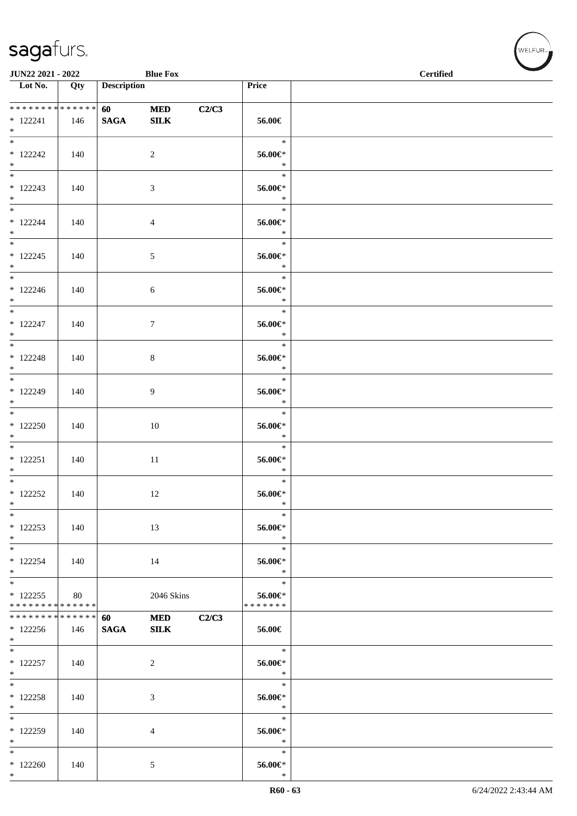| JUN22 2021 - 2022                 |     |                    | <b>Blue Fox</b> |       |                   | <b>Certified</b> |
|-----------------------------------|-----|--------------------|-----------------|-------|-------------------|------------------|
| $\overline{\phantom{1}}$ Lot No.  | Qty | <b>Description</b> |                 |       | Price             |                  |
|                                   |     |                    |                 |       |                   |                  |
| ******** <mark>******</mark>      |     | 60                 | <b>MED</b>      | C2/C3 |                   |                  |
| $* 122241$<br>$*$                 | 146 | <b>SAGA</b>        | <b>SILK</b>     |       | 56.00€            |                  |
|                                   |     |                    |                 |       | $\ast$            |                  |
| $*122242$                         | 140 |                    | $\overline{2}$  |       | 56.00€*           |                  |
| $*$                               |     |                    |                 |       | $\ast$            |                  |
|                                   |     |                    |                 |       | $\ast$            |                  |
| $*122243$                         | 140 |                    | 3               |       | $56.00 \text{eV}$ |                  |
| $*$                               |     |                    |                 |       | $\ast$<br>$\ast$  |                  |
| $* 122244$                        | 140 |                    | $\overline{4}$  |       | 56.00€*           |                  |
| $*$                               |     |                    |                 |       | $\ast$            |                  |
|                                   |     |                    |                 |       | $\ast$            |                  |
| $* 122245$                        | 140 |                    | $\sqrt{5}$      |       | 56.00€*           |                  |
| $*$                               |     |                    |                 |       | $\ast$            |                  |
| $*$ and $*$                       |     |                    |                 |       | $\ast$            |                  |
| $* 122246$<br>$*$                 | 140 |                    | 6               |       | 56.00€*<br>$\ast$ |                  |
| $*$                               |     |                    |                 |       | $\ast$            |                  |
| $* 122247$                        | 140 |                    | $\tau$          |       | 56.00€*           |                  |
| $*$                               |     |                    |                 |       | $\ast$            |                  |
|                                   |     |                    |                 |       | $\ast$            |                  |
| $* 122248$                        | 140 |                    | 8               |       | 56.00€*           |                  |
| $*$<br>$*$                        |     |                    |                 |       | $\ast$<br>$\ast$  |                  |
| $* 122249$                        | 140 |                    | 9               |       | 56.00€*           |                  |
| $*$                               |     |                    |                 |       | $\ast$            |                  |
|                                   |     |                    |                 |       | $\ast$            |                  |
| $*122250$                         | 140 |                    | $10\,$          |       | $56.00 \in$       |                  |
| $*$                               |     |                    |                 |       | $\ast$            |                  |
|                                   |     |                    |                 |       | $\ast$            |                  |
| $* 122251$<br>$*$                 | 140 |                    | $11\,$          |       | 56.00€*<br>$\ast$ |                  |
| $*$                               |     |                    |                 |       | $\ast$            |                  |
| $*$ 122252                        | 140 |                    | 12              |       | $56.00 \in$       |                  |
| $\ast$                            |     |                    |                 |       | $\ast$            |                  |
| $\ast$                            |     |                    |                 |       | $\ast$            |                  |
| $*122253$                         | 140 |                    | 13              |       | 56.00€*           |                  |
| $*$<br>$\overline{\phantom{a}^*}$ |     |                    |                 |       | $\ast$<br>$\ast$  |                  |
| $* 122254$                        | 140 |                    | 14              |       | 56.00€*           |                  |
| $*$                               |     |                    |                 |       | $\ast$            |                  |
| $*$                               |     |                    |                 |       | $\ast$            |                  |
| $* 122255$                        | 80  |                    | 2046 Skins      |       | 56.00€*           |                  |
| * * * * * * * * * * * * * *       |     |                    |                 |       | * * * * * * *     |                  |
| ******** <mark>******</mark>      |     | 60                 | <b>MED</b>      | C2/C3 |                   |                  |
| $*122256$<br>$*$                  | 146 | <b>SAGA</b>        | <b>SILK</b>     |       | 56.00€            |                  |
| $*$                               |     |                    |                 |       | $\ast$            |                  |
| $* 122257$                        | 140 |                    | $\overline{c}$  |       | 56.00€*           |                  |
| $*$                               |     |                    |                 |       | $\ast$            |                  |
| $\ast$                            |     |                    |                 |       | $\ast$            |                  |
| $* 122258$                        | 140 |                    | 3               |       | 56.00€*           |                  |
| $\ast$<br>$\ast$                  |     |                    |                 |       | $\ast$<br>$\ast$  |                  |
| * 122259                          | 140 |                    | 4               |       | 56.00€*           |                  |
| $\ast$                            |     |                    |                 |       | $\ast$            |                  |
| $\ast$                            |     |                    |                 |       | $\ast$            |                  |
| $*122260$                         | 140 |                    | 5               |       | 56.00€*           |                  |
| $*$                               |     |                    |                 |       | $\ast$            |                  |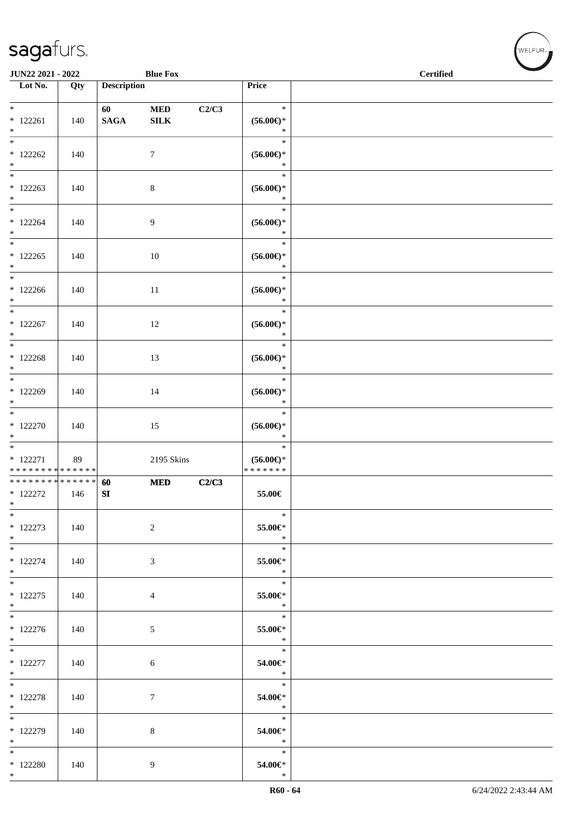| JUN22 2021 - 2022                                 |     |                       | <b>Blue Fox</b>           |       |                                                    | <b>Certified</b> |  |  |
|---------------------------------------------------|-----|-----------------------|---------------------------|-------|----------------------------------------------------|------------------|--|--|
| Lot No.                                           | Qty | <b>Description</b>    |                           |       | Price                                              |                  |  |  |
| $*$<br>$*122261$<br>$*$                           | 140 | 60<br>$\mathbf{SAGA}$ | $\bf MED$<br>${\bf SILK}$ | C2/C3 | $\ast$<br>$(56.00\epsilon)$ *<br>$\ast$            |                  |  |  |
| $*122262$<br>$\ast$                               | 140 |                       | $\tau$                    |       | $\ast$<br>$(56.00\epsilon)$ *<br>$\ast$            |                  |  |  |
| $*$<br>$*122263$<br>$*$                           | 140 |                       | $8\,$                     |       | $\ast$<br>$(56.00\epsilon)$ *<br>$\ast$            |                  |  |  |
| $*122264$<br>$*$                                  | 140 |                       | 9                         |       | $\ast$<br>$(56.00\epsilon)$ *<br>$\ast$            |                  |  |  |
| $\overline{\phantom{0}}$<br>$*122265$<br>$*$      | 140 |                       | $10\,$                    |       | $\ast$<br>$(56.00\epsilon)$ *<br>$\ast$            |                  |  |  |
| $*$<br>$*122266$<br>$\ast$                        | 140 |                       | 11                        |       | $\ast$<br>$(56.00ε)$ *<br>$\ast$                   |                  |  |  |
| $*$<br>$* 122267$<br>$*$                          | 140 |                       | 12                        |       | $\ast$<br>$(56.00ε)$ *<br>$\ast$                   |                  |  |  |
| $*$<br>$* 122268$<br>$*$                          | 140 |                       | 13                        |       | $\ast$<br>$(56.00ε)$ *<br>$\ast$                   |                  |  |  |
| $*$<br>$*122269$<br>$*$                           | 140 |                       | 14                        |       | $\ast$<br>$(56.00\mathnormal{\infty})^*$<br>$\ast$ |                  |  |  |
| $* 122270$<br>$*$                                 | 140 |                       | 15                        |       | $\ast$<br>$(56.00ε)$ *<br>$\ast$                   |                  |  |  |
| $* 122271$<br>* * * * * * * * * * * * * *         | 89  |                       | 2195 Skins                |       | $\ast$<br>$(56.00\epsilon)$ *<br>* * * * * * *     |                  |  |  |
| * * * * * * * * * * * * * * *<br>$*122272$<br>$*$ | 146 | 60<br>${\bf SI}$      | <b>MED</b>                | C2/C3 | 55.00€                                             |                  |  |  |
| $\ast$<br>$* 122273$<br>$*$                       | 140 |                       | 2                         |       | $\ast$<br>55.00€*<br>$\ast$                        |                  |  |  |
| $*$<br>$* 122274$<br>$*$                          | 140 |                       | 3                         |       | $\ast$<br>55.00€*<br>$\ast$                        |                  |  |  |
| $*$<br>$* 122275$<br>$*$                          | 140 |                       | $\overline{4}$            |       | $\ast$<br>55.00€*<br>$\ast$                        |                  |  |  |
| $*122276$<br>$*$                                  | 140 |                       | 5                         |       | $\overline{\phantom{a}}$<br>55.00€*<br>$*$         |                  |  |  |
| $*$<br>$*$ 122277<br>$*$                          | 140 |                       | $6\phantom{.}6$           |       | $\ast$<br>54.00€*<br>$\ast$                        |                  |  |  |
| $*$<br>$* 122278$<br>$*$                          | 140 |                       | $7\phantom{.0}$           |       | $\ast$<br>54.00€*<br>$\ast$                        |                  |  |  |
| * 122279<br>$*$                                   | 140 |                       | 8                         |       | $\ast$<br>54.00€*<br>$\ast$                        |                  |  |  |
| $*$<br>$*$ 122280<br>$*$                          | 140 |                       | 9                         |       | $\ast$<br>54.00€*<br>$\ast$                        |                  |  |  |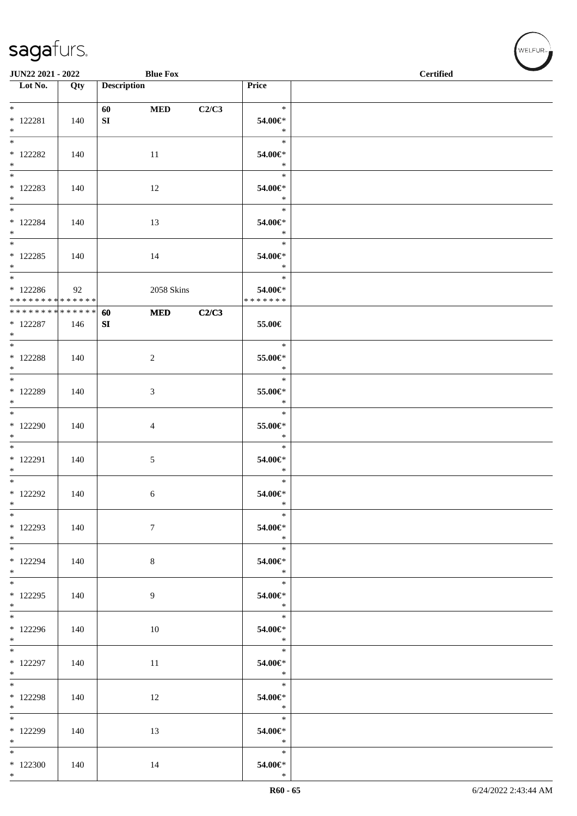| JUN22 2021 - 2022<br><b>Blue Fox</b>                            |     |                        |                |       |                                    | <b>Certified</b> |
|-----------------------------------------------------------------|-----|------------------------|----------------|-------|------------------------------------|------------------|
| $\overline{\phantom{1}}$ Lot No.                                | Qty | <b>Description</b>     |                |       | Price                              |                  |
| $*$<br>$* 122281$<br>$*$                                        | 140 | 60<br>${\bf S}{\bf I}$ | <b>MED</b>     | C2/C3 | $\ast$<br>54.00€*<br>$\ast$        |                  |
| $\overline{\phantom{0}}$<br>$*$ 122282<br>$*$                   | 140 |                        | 11             |       | $\ast$<br>54.00€*<br>$\ast$        |                  |
| $* 122283$<br>$*$                                               | 140 |                        | 12             |       | $\ast$<br>54.00€*<br>$\ast$        |                  |
| $*$<br>$* 122284$<br>$*$                                        | 140 |                        | 13             |       | $\ast$<br>54.00€*<br>$\ast$        |                  |
| $\overline{\ }$<br>$*$ 122285<br>$*$                            | 140 |                        | 14             |       | $\ast$<br>54.00€*<br>$\ast$        |                  |
| $*$<br>$*122286$<br>* * * * * * * * * * * * * * *               | 92  |                        | 2058 Skins     |       | $\ast$<br>54.00€*<br>* * * * * * * |                  |
| * * * * * * * * <mark>* * * * * * *</mark><br>$*$ 122287<br>$*$ | 146 | 60<br>SI               | <b>MED</b>     | C2/C3 | 55.00€                             |                  |
| $*$<br>$*$ 122288<br>$*$                                        | 140 |                        | $\overline{c}$ |       | $\ast$<br>55.00€*<br>$\ast$        |                  |
| $*$<br>$*$ 122289<br>$*$                                        | 140 |                        | 3              |       | $\ast$<br>55.00€*<br>$\ast$        |                  |
| $*122290$<br>$*$                                                | 140 |                        | 4              |       | $\ast$<br>55.00€*<br>$\ast$        |                  |
| $*$<br>$* 122291$<br>$*$                                        | 140 |                        | $\sqrt{5}$     |       | $\ast$<br>54.00€*<br>$\ast$        |                  |
| $*$<br>* 122292<br>$*$                                          | 140 |                        | 6              |       | $\ast$<br>54.00€*<br>$\ast$        |                  |
| $*$<br>$*$ 122293<br>$*$                                        | 140 |                        | $\tau$         |       | $*$<br>54.00€*<br>$\ast$           |                  |
| $*$<br>* 122294<br>$*$                                          | 140 |                        | $8\,$          |       | $\ast$<br>54.00€*<br>$\ast$        |                  |
| $*$ 122295<br>$*$                                               | 140 |                        | 9              |       | $\ast$<br>54.00€*<br>$\ast$        |                  |
| $*122296$<br>$*$                                                | 140 |                        | 10             |       | $\ast$<br>54.00€*<br>$*$           |                  |
| $\overline{\phantom{0}}$<br>$*$ 122297<br>$*$                   | 140 |                        | 11             |       | $\ast$<br>54.00€*<br>$\ast$        |                  |
| $*$<br>$*$ 122298<br>$*$                                        | 140 |                        | 12             |       | $\ast$<br>54.00€*<br>$\ast$        |                  |
| * 122299<br>$*$                                                 | 140 |                        | 13             |       | $\ast$<br>54.00€*<br>$*$           |                  |
| $*$<br>$*122300$<br>$*$                                         | 140 |                        | 14             |       | $\ast$<br>54.00€*<br>$\ast$        |                  |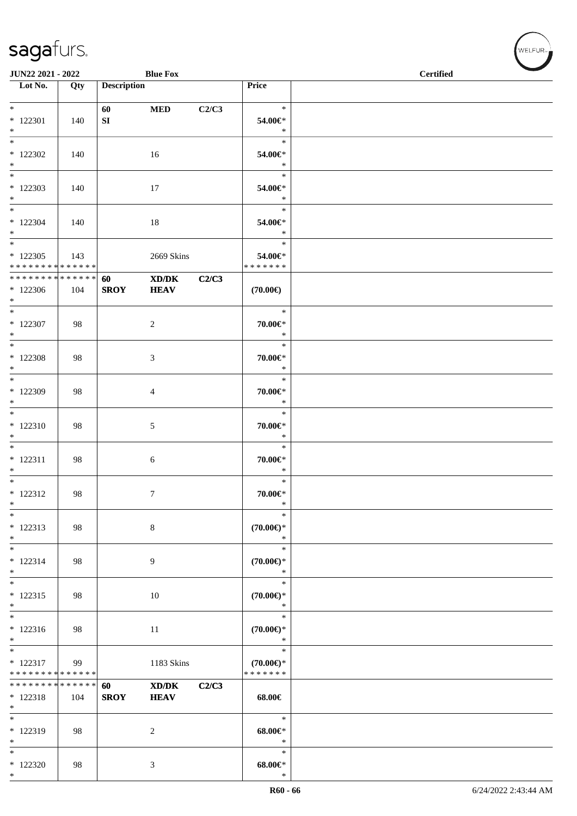|                                                                          | JUN22 2021 - 2022<br><b>Blue Fox</b> |                    |                                                            |       |                                                | <b>Certified</b> |  |  |
|--------------------------------------------------------------------------|--------------------------------------|--------------------|------------------------------------------------------------|-------|------------------------------------------------|------------------|--|--|
| $\overline{\phantom{1}}$ Lot No.                                         | Qty                                  | <b>Description</b> |                                                            |       | Price                                          |                  |  |  |
| $*$<br>$*$ 122301<br>$*$                                                 | 140                                  | 60<br>SI           | $\bf MED$                                                  | C2/C3 | $\ast$<br>54.00€*<br>$\ast$                    |                  |  |  |
| $\overline{\phantom{0}}$<br>$*122302$<br>$\ast$                          | 140                                  |                    | 16                                                         |       | $\ast$<br>54.00€*<br>$\ast$                    |                  |  |  |
| $\ast$<br>$*122303$<br>$\ast$                                            | 140                                  |                    | 17                                                         |       | $\ast$<br>54.00€*<br>$\ast$                    |                  |  |  |
| $\overline{\phantom{0}}$<br>$*122304$<br>$*$<br>$\overline{\phantom{0}}$ | 140                                  |                    | 18                                                         |       | $\ast$<br>54.00€*<br>$\ast$                    |                  |  |  |
| $*122305$<br>* * * * * * * * * * * * * *                                 | 143                                  |                    | 2669 Skins                                                 |       | $\ast$<br>54.00€*<br>* * * * * * *             |                  |  |  |
| ******** <mark>******</mark><br>$*122306$<br>$*$                         | 104                                  | 60<br><b>SROY</b>  | $\mathbf{X}\mathbf{D}/\mathbf{D}\mathbf{K}$<br><b>HEAV</b> | C2/C3 | $(70.00\epsilon)$                              |                  |  |  |
| $*$<br>$*$ 122307<br>$*$                                                 | 98                                   |                    | $\sqrt{2}$                                                 |       | $\ast$<br>70.00€*<br>$\ast$                    |                  |  |  |
| $*$<br>$*$ 122308<br>$*$                                                 | 98                                   |                    | 3                                                          |       | $\ast$<br>70.00€*<br>$\ast$                    |                  |  |  |
| $*$<br>$*122309$<br>$\ast$                                               | 98                                   |                    | $\overline{4}$                                             |       | $\ast$<br>70.00€*<br>$\ast$                    |                  |  |  |
| $*$<br>$*122310$<br>$\ast$                                               | 98                                   |                    | 5                                                          |       | $\ast$<br>70.00€*<br>$\ast$                    |                  |  |  |
| $\overline{\phantom{0}}$<br>$* 122311$<br>$*$                            | 98                                   |                    | 6                                                          |       | $\ast$<br>$70.00 \in$ *<br>$\ast$              |                  |  |  |
| $\overline{\phantom{0}}$<br>$* 122312$<br>$\ast$                         | 98                                   |                    | $\tau$                                                     |       | $\ast$<br>70.00€*<br>$\ast$                    |                  |  |  |
| $\ast$<br>$* 122313$<br>$\ast$                                           | 98                                   |                    | $\,8\,$                                                    |       | $\ast$<br>$(70.00\epsilon)$ *<br>$\ast$        |                  |  |  |
| $\ast$<br>$* 122314$<br>$\ast$                                           | 98                                   |                    | 9                                                          |       | $\ast$<br>$(70.00\epsilon)$ *<br>$\ast$        |                  |  |  |
| $\ast$<br>$* 122315$<br>$\ast$<br>$\overline{\ast}$                      | 98                                   |                    | 10                                                         |       | $\ast$<br>$(70.00\epsilon)$ *<br>$\ast$        |                  |  |  |
| $* 122316$<br>$\ast$                                                     | 98                                   |                    | 11                                                         |       | $\ast$<br>$(70.00\epsilon)$ *<br>$\ast$        |                  |  |  |
| $\overline{\phantom{0}}$<br>$* 122317$<br>* * * * * * * * * * * * * *    | 99                                   |                    | 1183 Skins                                                 |       | $\ast$<br>$(70.00\epsilon)$ *<br>* * * * * * * |                  |  |  |
| * * * * * * * * * * * * * *<br>$* 122318$<br>$\ast$                      | 104                                  | 60<br><b>SROY</b>  | $\bold{X}\bold{D}/\bold{D}\bold{K}$<br><b>HEAV</b>         | C2/C3 | 68.00€                                         |                  |  |  |
| $*$<br>* 122319<br>$\ast$                                                | 98                                   |                    | $\overline{c}$                                             |       | $\ast$<br>$68.00 \in$<br>$\ast$                |                  |  |  |
| $\ast$<br>$*122320$<br>$*$                                               | 98                                   |                    | 3                                                          |       | $\ast$<br>$68.00 \text{E}$<br>$\ast$           |                  |  |  |

WELFUR-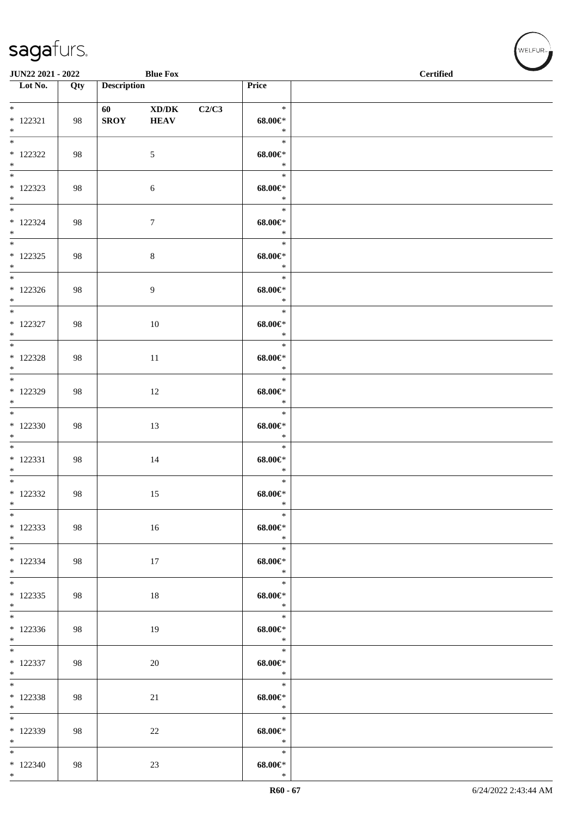| JUN22 2021 - 2022                     |     |                    | <b>Blue Fox</b>      |       |                                        | $\overline{\phantom{a}}$<br>$\operatorname{Certified}$ |
|---------------------------------------|-----|--------------------|----------------------|-------|----------------------------------------|--------------------------------------------------------|
| Lot No.                               | Qty | <b>Description</b> |                      |       | Price                                  |                                                        |
| $*$<br>$* 122321$<br>$*$              | 98  | <b>SROY</b>        | XD/DK<br><b>HEAV</b> | C2/C3 | $\ast$<br>$68.00 \in$<br>$\ast$        |                                                        |
| $*$ 122322<br>$*$                     | 98  |                    | 5                    |       | $\ast$<br>$68.00 \in$<br>$\ast$        |                                                        |
| $*$<br>$*$ 122323<br>$*$              | 98  |                    | 6                    |       | $\ast$<br>$68.00 \in$<br>$\ast$        |                                                        |
| $*$<br>$* 122324$<br>$*$              | 98  |                    | $\tau$               |       | $\ast$<br>$68.00 \in$<br>$\ast$        |                                                        |
| $*$<br>$*$ 122325<br>$*$              | 98  |                    | $\,8\,$              |       | $\ast$<br>$68.00 \in$<br>$\ast$        |                                                        |
| $*$<br>$*122326$<br>$*$               | 98  |                    | 9                    |       | $\ast$<br>$68.00 \in$<br>$\ast$        |                                                        |
| $*$<br>$* 122327$<br>$*$              | 98  |                    | 10                   |       | $\ast$<br>$68.00 \in$<br>$\ast$        |                                                        |
| $*$ 122328<br>$*$                     | 98  |                    | $11\,$               |       | $\ast$<br>$68.00 \in$<br>$\ast$        |                                                        |
| $*122329$<br>$*$                      | 98  |                    | 12                   |       | $\ast$<br>$68.00 \in$<br>$\ast$        |                                                        |
| $*122330$<br>$*$                      | 98  |                    | 13                   |       | $\ast$<br>$68.00 \text{E}^*$<br>$\ast$ |                                                        |
| $*$<br>$* 122331$<br>$*$<br>$*$       | 98  |                    | 14                   |       | $\ast$<br>$68.00 \in$<br>$\ast$        |                                                        |
| $*$ 122332<br>$*$                     | 98  |                    | 15                   |       | $\ast$<br>$68.00 \in$ *<br>$\ast$      |                                                        |
| $\ast$<br>$*122333$<br>$*$            | 98  |                    | 16                   |       | $\ast$<br>$68.00 \in$<br>$\rightarrow$ |                                                        |
| $*$<br>* 122334<br>$*$                | 98  |                    | 17                   |       | $\ast$<br>$68.00 \in$<br>$\ast$        |                                                        |
| $*122335$<br>$*$<br>$\overline{\ast}$ | 98  |                    | 18                   |       | $\ast$<br>$68.00 \in$<br>$*$           |                                                        |
| $*122336$<br>$*$                      | 98  |                    | 19                   |       | $\ast$<br>$68.00 \in$<br>$\ast$        |                                                        |
| $*$<br>$* 122337$<br>$*$              | 98  |                    | 20                   |       | $\ast$<br>$68.00 \in$<br>$\ast$        |                                                        |
| $*$<br>$*122338$<br>$*$               | 98  |                    | 21                   |       | $\ast$<br>$68.00 \in$<br>$\ast$        |                                                        |
| * 122339<br>$*$                       | 98  |                    | 22                   |       | $\ast$<br>$68.00 \in$<br>$\ast$        |                                                        |
| $*$<br>$*122340$<br>$*$               | 98  |                    | $23\,$               |       | $\ast$<br>$68.00 \in$<br>$\ast$        |                                                        |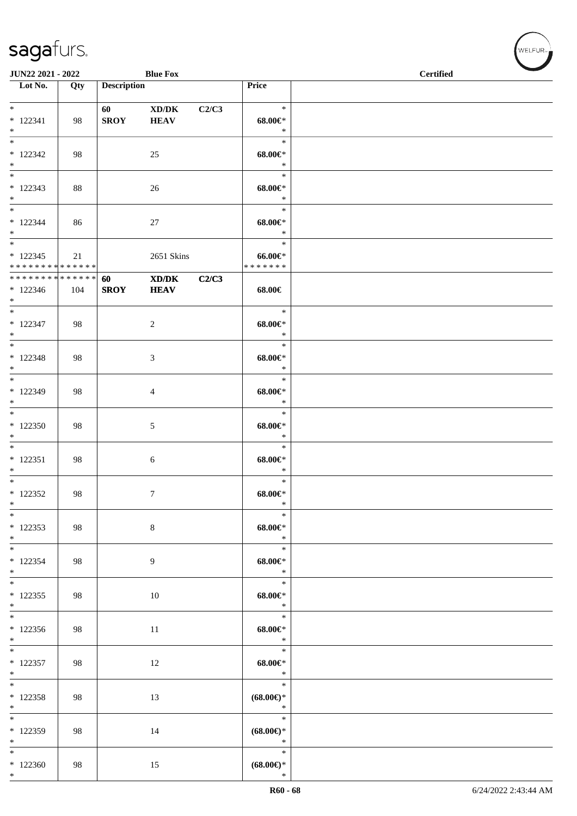| JUN22 2021 - 2022                                                     |     |                        | <b>Blue Fox</b>      |       |                                         | <b>Certified</b> |  |  |  |
|-----------------------------------------------------------------------|-----|------------------------|----------------------|-------|-----------------------------------------|------------------|--|--|--|
| $\overline{\phantom{1}}$ Lot No.                                      | Qty | <b>Description</b>     |                      |       | Price                                   |                  |  |  |  |
|                                                                       |     |                        |                      |       |                                         |                  |  |  |  |
| $*$<br>$* 122341$<br>$*$                                              | 98  | 60 — 10<br><b>SROY</b> | XD/DK<br><b>HEAV</b> | C2/C3 | $\ast$<br>$68.00 \in$<br>$\ast$         |                  |  |  |  |
| $\overline{\phantom{a}^*}$<br>$* 122342$<br>$*$                       | 98  |                        | 25                   |       | $\ast$<br>$68.00 \in$<br>$\ast$         |                  |  |  |  |
| $\overline{\phantom{0}}$<br>$*122343$<br>$\ast$                       | 88  |                        | 26                   |       | $\ast$<br>$68.00 \in$<br>$\ast$         |                  |  |  |  |
| $*$<br>$* 122344$<br>$\ast$                                           | 86  |                        | 27                   |       | $\ast$<br>$68.00 \in$<br>$\ast$         |                  |  |  |  |
| $\overline{\phantom{0}}$<br>$* 122345$<br>* * * * * * * * * * * * * * | 21  |                        | 2651 Skins           |       | $\ast$<br>$66.00 \in$<br>* * * * * * *  |                  |  |  |  |
| **************<br>$*122346$<br>$*$                                    | 104 | 60<br><b>SROY</b>      | XD/DK<br><b>HEAV</b> | C2/C3 | 68.00€                                  |                  |  |  |  |
| $*$<br>$* 122347$<br>$*$                                              | 98  |                        | $\sqrt{2}$           |       | $\ast$<br>$68.00 \in$<br>$\ast$         |                  |  |  |  |
| $\overline{\phantom{0}}$<br>$* 122348$<br>$*$                         | 98  |                        | $\mathfrak{Z}$       |       | $\ast$<br>$68.00 \in$<br>$\ast$         |                  |  |  |  |
| $*$<br>* 122349<br>$\ast$                                             | 98  |                        | $\overline{4}$       |       | $\ast$<br>$68.00 \in$<br>$\ast$         |                  |  |  |  |
| $*$<br>$*122350$<br>$\ast$                                            | 98  |                        | $\sqrt{5}$           |       | $\ast$<br>$68.00 \in$<br>$\ast$         |                  |  |  |  |
| $\overline{\phantom{0}}$<br>$* 122351$<br>$*$                         | 98  |                        | 6                    |       | $\ast$<br>$68.00 \in$<br>$\ast$         |                  |  |  |  |
| $\ast$<br>$*122352$<br>$\ast$                                         | 98  |                        | $\tau$               |       | $\ast$<br>$68.00 \in$<br>$\ast$         |                  |  |  |  |
| $\ast$<br>$*122353$<br>$\ast$                                         | 98  |                        | $\,8\,$              |       | $\ast$<br>$68.00 \in$<br>$\ast$         |                  |  |  |  |
| $\overline{\phantom{a}^*}$<br>* 122354<br>$*$                         | 98  |                        | 9                    |       | $\ast$<br>$68.00 \in$<br>$\ast$         |                  |  |  |  |
| $\overline{\ast}$<br>$*122355$<br>$*$                                 | 98  |                        | 10                   |       | $\ast$<br>$68.00 \in$<br>$\ast$         |                  |  |  |  |
| $\overline{\ast}$<br>$*122356$<br>$*$                                 | 98  |                        | 11                   |       | $\ast$<br>$68.00 \in$<br>$\ast$         |                  |  |  |  |
| $\overline{\phantom{0}}$<br>$* 122357$<br>$*$                         | 98  |                        | 12                   |       | $\ast$<br>$68.00 \in$<br>$\ast$         |                  |  |  |  |
| $\overline{\phantom{0}}$<br>$* 122358$<br>$*$                         | 98  |                        | 13                   |       | $\ast$<br>$(68.00\epsilon)$ *<br>$\ast$ |                  |  |  |  |
| $*$<br>$*122359$<br>$\ast$                                            | 98  |                        | 14                   |       | $\ast$<br>$(68.00\epsilon)$ *<br>$\ast$ |                  |  |  |  |
| $\ast$<br>$*122360$<br>$\ast$                                         | 98  |                        | 15                   |       | $\ast$<br>$(68.00\epsilon)$ *<br>$\ast$ |                  |  |  |  |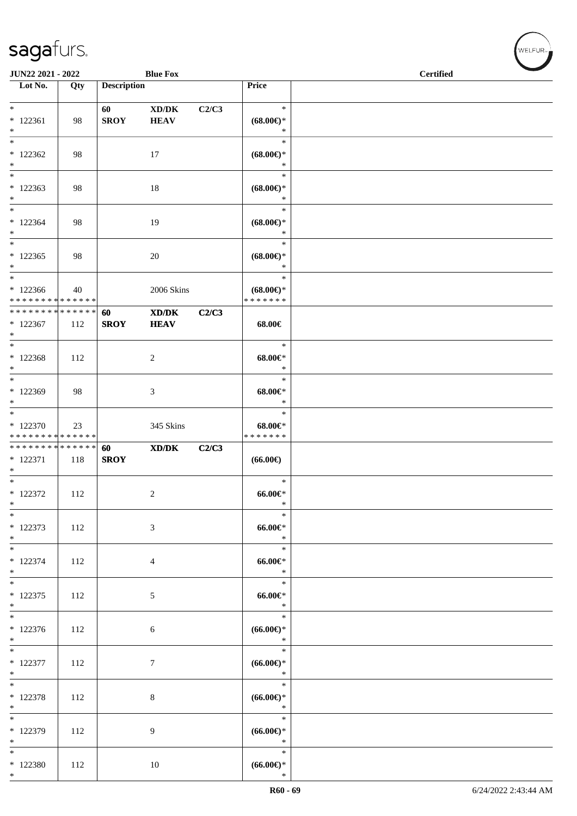| JUN22 2021 - 2022                                              |     |                    | <b>Blue Fox</b>                                                                                      |       |                                                                        | <b>Certified</b> |  |
|----------------------------------------------------------------|-----|--------------------|------------------------------------------------------------------------------------------------------|-------|------------------------------------------------------------------------|------------------|--|
| Lot No.                                                        | Qty | <b>Description</b> |                                                                                                      |       | Price                                                                  |                  |  |
| $\ast$<br>$* 122361$<br>$*$                                    | 98  | 60<br><b>SROY</b>  | $\mathbf{X}\mathbf{D}/\mathbf{D}\mathbf{K}$<br><b>HEAV</b>                                           | C2/C3 | $\ast$<br>$(68.00\epsilon)$ *<br>$\ast$                                |                  |  |
| $\overline{\phantom{0}}$<br>$*122362$<br>$*$                   | 98  |                    | 17                                                                                                   |       | $\ast$<br>$(68.00\epsilon)$ *<br>$\ast$                                |                  |  |
| $\ast$<br>$*122363$<br>$\ast$                                  | 98  |                    | 18                                                                                                   |       | $\ast$<br>$(68.00\mathnormal{\in}\mathcal{)^{\! \! \times}}$<br>$\ast$ |                  |  |
| $*$<br>$* 122364$<br>$*$                                       | 98  |                    | 19                                                                                                   |       | $\ast$<br>$(68.00\epsilon)$ *<br>$\ast$                                |                  |  |
| $\ast$<br>$*122365$<br>$*$                                     | 98  |                    | $20\,$                                                                                               |       | $\ast$<br>$(68.00\epsilon)$ *<br>$\ast$                                |                  |  |
| $*$<br>$*122366$<br>* * * * * * * * <mark>* * * * * * *</mark> | 40  |                    | 2006 Skins                                                                                           |       | $\ast$<br>$(68.00\epsilon)$ *<br>* * * * * * *                         |                  |  |
| * * * * * * * * * * * * * * *<br>$*122367$<br>$*$              | 112 | 60<br><b>SROY</b>  | $\mathbf{X}\mathbf{D}/\mathbf{D}\mathbf{K}$<br><b>HEAV</b>                                           | C2/C3 | 68.00€                                                                 |                  |  |
| $*$<br>$*122368$<br>$\ast$                                     | 112 |                    | $\boldsymbol{2}$                                                                                     |       | $\ast$<br>$68.00 \in$<br>$\ast$                                        |                  |  |
| $*$<br>$*122369$<br>$\ast$                                     | 98  |                    | 3                                                                                                    |       | $\ast$<br>$68.00 \in$<br>$\ast$                                        |                  |  |
| $*$<br>$*122370$<br>* * * * * * * * * * * * * *                | 23  |                    | 345 Skins                                                                                            |       | $\ast$<br>$68.00 \in$<br>* * * * * * *                                 |                  |  |
| * * * * * * * * * * * * * *<br>* 122371<br>$*$                 | 118 | 60<br><b>SROY</b>  | $\boldsymbol{\text{X}}\boldsymbol{\text{D}}\boldsymbol{/}\boldsymbol{\text{D}}\boldsymbol{\text{K}}$ | C2/C3 | $(66.00\epsilon)$                                                      |                  |  |
| $*$<br>$*$ 122372<br>$\ast$<br>$*$                             | 112 |                    | $\overline{c}$                                                                                       |       | $\ast$<br>$66.00 \text{eV}$<br>$\ast$<br>$\ast$                        |                  |  |
| * 122373<br>$*$<br>$\ast$                                      | 112 |                    | 3                                                                                                    |       | $66.00 \in$<br>$\ast$<br>$\ast$                                        |                  |  |
| $* 122374$<br>$*$<br>$*$                                       | 112 |                    | $\overline{4}$                                                                                       |       | $66.00 \in$<br>$\ast$<br>$\ast$                                        |                  |  |
| $* 122375$<br>$*$<br>$\overline{\phantom{0}}$                  | 112 |                    | 5                                                                                                    |       | $66.00 \in$<br>$\ast$<br>$\ast$                                        |                  |  |
| $*122376$<br>$*$                                               | 112 |                    | $\sqrt{6}$                                                                                           |       | $(66.00ε)$ *<br>$\ast$                                                 |                  |  |
| $*$<br>$* 122377$<br>$*$<br>$\overline{\ }$                    | 112 |                    | $\overline{7}$                                                                                       |       | $\ast$<br>$(66.00\mathnormal{\infty})^*$<br>$\ast$                     |                  |  |
| $* 122378$<br>$*$<br>$\overline{\phantom{0}}$                  | 112 |                    | 8                                                                                                    |       | $\ast$<br>$(66.00ε)$ *<br>$\ast$                                       |                  |  |
| * 122379<br>$*$                                                | 112 |                    | 9                                                                                                    |       | $\ast$<br>$(66.00ε)$ *<br>$\ast$                                       |                  |  |
| $*$<br>$*$ 122380<br>$*$                                       | 112 |                    | 10                                                                                                   |       | $\ast$<br>$(66.00\epsilon)$ *<br>$\ast$                                |                  |  |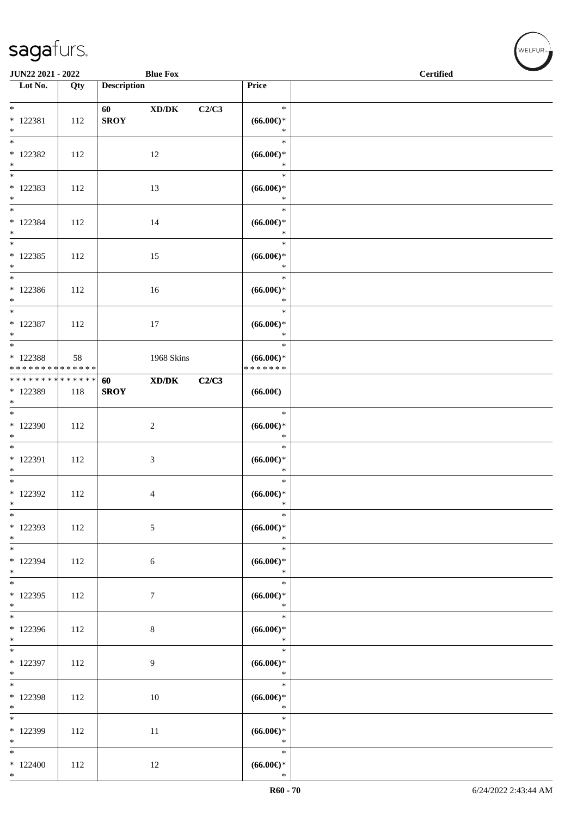| JUN22 2021 - 2022                                |     |                        | <b>Blue Fox</b>  |       |                                         | <b>Certified</b> |
|--------------------------------------------------|-----|------------------------|------------------|-------|-----------------------------------------|------------------|
| Lot No.                                          | Qty | <b>Description</b>     |                  |       | Price                                   |                  |
| $*$<br>$* 122381$<br>$*$                         | 112 | 60 - 10<br><b>SROY</b> | XD/DK            | C2/C3 | $\ast$<br>$(66.00ε)$ *<br>$\ast$        |                  |
| $\overline{\ast}$<br>$*$ 122382<br>$*$           | 112 |                        | 12               |       | $\ast$<br>$(66.00ε)$ *<br>$\ast$        |                  |
| $\overline{\phantom{0}}$<br>$* 122383$<br>$*$    | 112 |                        | 13               |       | $\ast$<br>$(66.00ε)$ *<br>$\ast$        |                  |
| $*$<br>$* 122384$<br>$*$                         | 112 |                        | 14               |       | $\ast$<br>$(66.00ε)$ *<br>$\ast$        |                  |
| $\overline{\phantom{0}}$<br>$*$ 122385<br>$*$    | 112 |                        | 15               |       | $\ast$<br>$(66.00ε)$ *<br>$\ast$        |                  |
| $*$<br>$*122386$<br>$*$                          | 112 |                        | 16               |       | $\ast$<br>$(66.00ε)$ *<br>$\ast$        |                  |
| $*$<br>* 122387<br>$*$                           | 112 |                        | $17\,$           |       | $\ast$<br>$(66.00ε)$ *<br>$\ast$        |                  |
| $*$<br>$* 122388$<br>* * * * * * * * * * * * * * | 58  |                        | 1968 Skins       |       | $\ast$<br>$(66.00ε)$ *<br>* * * * * * * |                  |
| ******** <mark>******</mark><br>* 122389<br>$*$  | 118 | 60<br><b>SROY</b>      | XD/DK            | C2/C3 | $(66.00\epsilon)$                       |                  |
| * 122390<br>$*$                                  | 112 |                        | $\boldsymbol{2}$ |       | $\ast$<br>$(66.00ε)$ *<br>$\ast$        |                  |
| $*$<br>* 122391<br>$*$                           | 112 |                        | $\mathfrak{Z}$   |       | $\ast$<br>$(66.00ε)$ *<br>$\ast$        |                  |
| $*$<br>$*$ 122392<br>$*$                         | 112 |                        | 4                |       | $\ast$<br>$(66.00ε)$ *<br>$\ast$        |                  |
| $\overline{\ast}$<br>* 122393<br>$*$             | 112 |                        | 5                |       | $\ast$<br>$(66.00ε)$ *<br>$\ast$        |                  |
| $*$<br>* 122394<br>$*$                           | 112 |                        | 6                |       | $\ast$<br>$(66.00ε)$ *<br>$\ast$        |                  |
| $\overline{\mathbf{r}}$<br>$*122395$<br>$*$      | 112 |                        | 7                |       | $\ast$<br>$(66.00ε)$ *<br>$\ast$        |                  |
| * 122396<br>$*$                                  | 112 |                        | $\,8\,$          |       | $\ast$<br>$(66.00ε)$ *<br>$\ast$        |                  |
| $*$<br>* 122397<br>$*$                           | 112 |                        | 9                |       | $\ast$<br>$(66.00ε)$ *<br>$\ast$        |                  |
| $*$<br>$* 122398$<br>$*$                         | 112 |                        | 10               |       | $\ast$<br>$(66.00ε)$ *<br>$\ast$        |                  |
| $\overline{\phantom{0}}$<br>* 122399<br>$*$      | 112 |                        | $11\,$           |       | $\ast$<br>$(66.00ε)$ *<br>$\ast$        |                  |
| $\ast$<br>$*122400$<br>$*$                       | 112 |                        | 12               |       | $\ast$<br>$(66.00ε)$ *<br>$\ast$        |                  |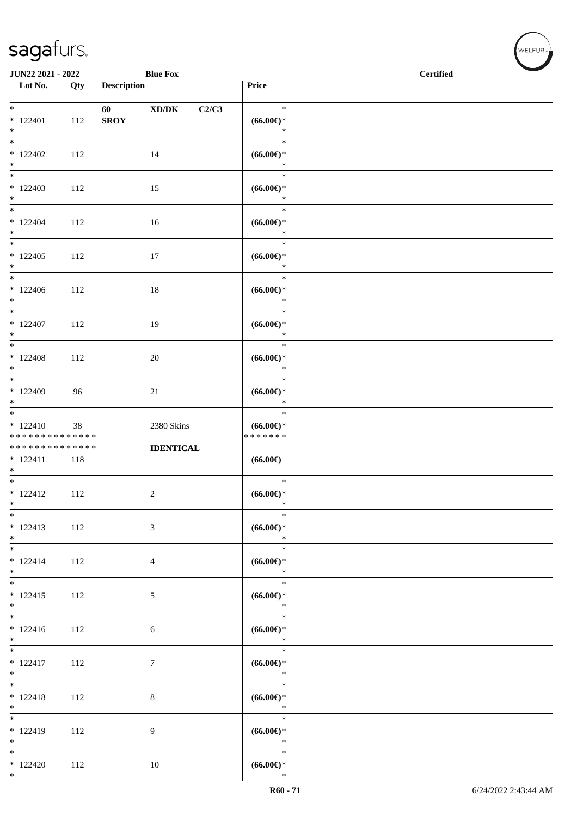| JUN22 2021 - 2022                                                        |     |                        | <b>Blue Fox</b>                                                       |                                                    | <b>Certified</b> |
|--------------------------------------------------------------------------|-----|------------------------|-----------------------------------------------------------------------|----------------------------------------------------|------------------|
| $\overline{\phantom{1}}$ Lot No.                                         | Qty | <b>Description</b>     |                                                                       | Price                                              |                  |
| $\overline{\phantom{0}}$<br>$*122401$<br>$\ast$                          | 112 | 60 - 10<br><b>SROY</b> | $\boldsymbol{\text{XD}}\boldsymbol{/}\boldsymbol{\text{DK}}$<br>C2/C3 | $\ast$<br>$(66.00\epsilon)$ *<br>$\ast$            |                  |
| $\overline{\ast}$<br>$*122402$<br>$\ast$                                 | 112 |                        | 14                                                                    | $\ast$<br>$(66.00ε)$ *<br>$\ast$                   |                  |
| $\overline{\phantom{0}}$<br>$*122403$<br>$*$<br>$_{\ast}^{-}$            | 112 |                        | 15                                                                    | $\ast$<br>$(66.00ε)$ *<br>$\ast$                   |                  |
| $*122404$<br>$\ast$<br>$\overline{\phantom{a}^*}$                        | 112 |                        | 16                                                                    | $\ast$<br>$(66.00ε)$ *<br>$\ast$                   |                  |
| $*122405$<br>$\ast$<br>$\overline{\phantom{0}}$                          | 112 |                        | 17                                                                    | $\ast$<br>$(66.00ε)$ *<br>$\ast$<br>$\ast$         |                  |
| $*122406$<br>$*$<br>$\overline{\phantom{a}^*}$                           | 112 |                        | $18\,$                                                                | $(66.00ε)$ *<br>$\ast$<br>$\ast$                   |                  |
| $*122407$<br>$*$<br>$*$                                                  | 112 |                        | 19                                                                    | $(66.00 \textrm{E})$<br>$\ast$<br>$\ast$           |                  |
| $*122408$<br>$*$<br>$*$                                                  | 112 |                        | 20                                                                    | $(66.00ε)$ *<br>$\ast$<br>$\ast$                   |                  |
| $*122409$<br>$*$<br>$\overline{\phantom{0}}$                             | 96  |                        | 21                                                                    | $(66.00ε)$ *<br>$\ast$                             |                  |
| $* 122410$<br>* * * * * * * * * * * * * *                                | 38  |                        | 2380 Skins                                                            | $\ast$<br>$(66.00ε)$ *<br>* * * * * * *            |                  |
| * * * * * * * * * * * * * *<br>$* 122411$<br>$\ast$<br>$\overline{\ast}$ | 118 |                        | <b>IDENTICAL</b>                                                      | $(66.00\epsilon)$                                  |                  |
| $* 122412$<br>$\ast$<br>$\overline{\phantom{a}^*}$                       | 112 |                        | $\sqrt{2}$                                                            | $\ast$<br>$(66.00\epsilon)$ *<br>$\ast$<br>$\ast$  |                  |
| $* 122413$<br>$*$<br>$\overline{\phantom{0}}$                            | 112 |                        | $\mathfrak{Z}$                                                        | $(66.00\epsilon)$ *<br>$\ast$<br>$\ast$            |                  |
| $* 122414$<br>$*$<br>$\overline{\phantom{0}}$                            | 112 |                        | $\overline{4}$                                                        | $(66.00ε)$ *<br>$\ast$<br>$\ast$                   |                  |
| $* 122415$<br>$*$<br>$*$                                                 | 112 |                        | $\sqrt{5}$                                                            | $(66.00ε)$ *<br>$\ast$                             |                  |
| $* 122416$<br>$*$<br>$\overline{\ast}$                                   | 112 |                        | 6                                                                     | $\ast$<br>$(66.00ε)$ *<br>$\ast$                   |                  |
| $* 122417$<br>$\ast$<br>$\overline{\phantom{0}}$                         | 112 |                        | $\boldsymbol{7}$                                                      | $\ast$<br>$(66.00ε)$ *<br>$\ast$                   |                  |
| $* 122418$<br>$*$                                                        | 112 |                        | $\,8\,$                                                               | $\ast$<br>$(66.00\epsilon)$ *<br>$\ast$            |                  |
| $\overline{\phantom{a}^*}$<br>$* 122419$<br>$\ast$                       | 112 |                        | $\overline{9}$                                                        | $\ast$<br>$(66.00ε)$ *<br>$\ast$                   |                  |
| $\overline{\phantom{a}^*}$<br>$*122420$<br>$\ast$                        | 112 |                        | 10                                                                    | $\ast$<br>$(66.00\mathnormal{\infty})^*$<br>$\ast$ |                  |

 $(\forall ELFUR_{\approx})$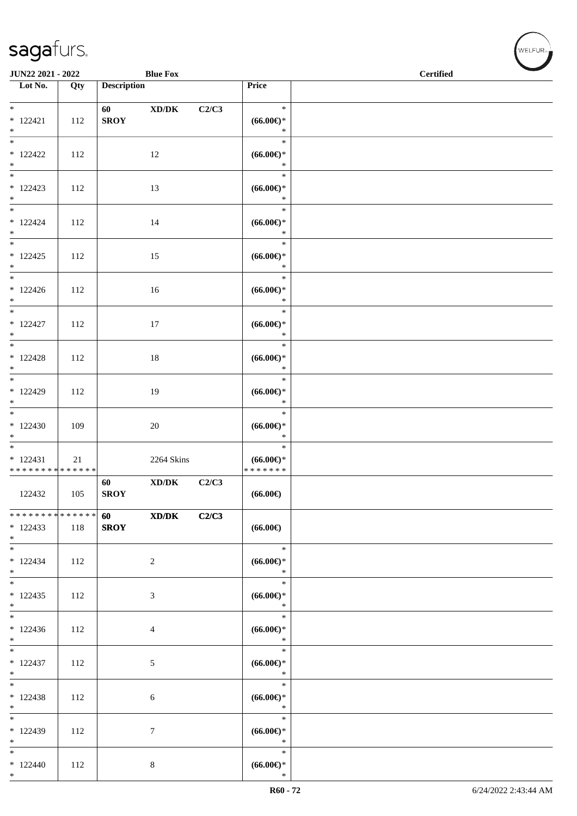| JUN22 2021 - 2022                                   |     |                          | <b>Blue Fox</b>                                              |       |                                         | <b>Certified</b> |
|-----------------------------------------------------|-----|--------------------------|--------------------------------------------------------------|-------|-----------------------------------------|------------------|
| $\overline{\phantom{1}}$ Lot No.                    | Qty | <b>Description</b>       |                                                              |       | Price                                   |                  |
| $*$<br>$* 122421$<br>$\ast$                         | 112 | 60<br><b>SROY</b>        | $\boldsymbol{\text{XD}}\boldsymbol{/}\boldsymbol{\text{DK}}$ | C2/C3 | $\ast$<br>$(66.00ε)$ *<br>$\ast$        |                  |
| $\overline{\phantom{a}^*}$<br>$*122422$<br>$\ast$   | 112 |                          | 12                                                           |       | $\ast$<br>$(66.00ε)$ *<br>$\ast$        |                  |
| $\ast$<br>$*122423$<br>$*$                          | 112 |                          | 13                                                           |       | $\ast$<br>$(66.00ε)$ *<br>$\ast$        |                  |
| $\overline{\phantom{0}}$<br>$* 122424$<br>$*$       | 112 |                          | 14                                                           |       | $\ast$<br>$(66.00ε)$ *<br>$\ast$        |                  |
| $\overline{\phantom{0}}$<br>$* 122425$<br>$*$       | 112 |                          | 15                                                           |       | $\ast$<br>$(66.00ε)$ *<br>$\ast$        |                  |
| $*$<br>$* 122426$<br>$*$                            | 112 |                          | 16                                                           |       | $\ast$<br>$(66.00ε)$ *<br>$\ast$        |                  |
| $*$<br>$* 122427$<br>$*$                            | 112 |                          | 17                                                           |       | $\ast$<br>$(66.00ε)$ *<br>$\ast$        |                  |
| $\overline{\phantom{0}}$<br>$*122428$<br>$\ast$     | 112 |                          | 18                                                           |       | $\ast$<br>$(66.00ε)$ *<br>$\ast$        |                  |
| $*$<br>* 122429<br>$*$<br>$\overline{\phantom{0}}$  | 112 |                          | 19                                                           |       | $\ast$<br>$(66.00ε)$ *<br>$\ast$        |                  |
| $*122430$<br>$\ast$<br>$\overline{\phantom{0}}$     | 109 |                          | $20\,$                                                       |       | $\ast$<br>$(66.00ε)$ *<br>$\ast$        |                  |
| $* 122431$<br>* * * * * * * * * * * * * *           | 21  |                          | 2264 Skins                                                   |       | $\ast$<br>$(66.00ε)$ *<br>* * * * * * * |                  |
| 122432                                              | 105 | 60<br><b>SROY</b>        | $\mathbf{X}\mathbf{D}/\mathbf{D}\mathbf{K}$                  | C2/C3 | $(66.00\epsilon)$                       |                  |
| ******** <mark>******</mark><br>$*122433$<br>$*$    | 118 | <b>60</b><br><b>SROY</b> | XD/DK                                                        | C2/C3 | $(66.00\epsilon)$                       |                  |
| $\ast$<br>$* 122434$<br>$*$                         | 112 |                          | $\overline{2}$                                               |       | $\ast$<br>$(66.00ε)$ *<br>$\ast$        |                  |
| $*$<br>$*122435$<br>$*$<br>$\overline{\phantom{0}}$ | 112 |                          | 3                                                            |       | $\ast$<br>$(66.00ε)$ *<br>$\ast$        |                  |
| $*122436$<br>$*$                                    | 112 |                          | $\overline{4}$                                               |       | $\ast$<br>$(66.00ε)$ *<br>$\ast$        |                  |
| $\overline{\phantom{0}}$<br>$* 122437$<br>$*$       | 112 |                          | $\sqrt{5}$                                                   |       | $\ast$<br>$(66.00ε)$ *<br>$\ast$        |                  |
| $*$<br>$* 122438$<br>$*$                            | 112 |                          | $\sqrt{6}$                                                   |       | $\ast$<br>$(66.00ε)$ *<br>$\ast$        |                  |
| $*$<br>* 122439<br>$*$                              | 112 |                          | $\overline{7}$                                               |       | $\ast$<br>$(66.00ε)$ *<br>$\ast$        |                  |
| $\ast$<br>$*122440$<br>$*$                          | 112 |                          | $8\,$                                                        |       | $\ast$<br>$(66.00\epsilon)$ *<br>$\ast$ |                  |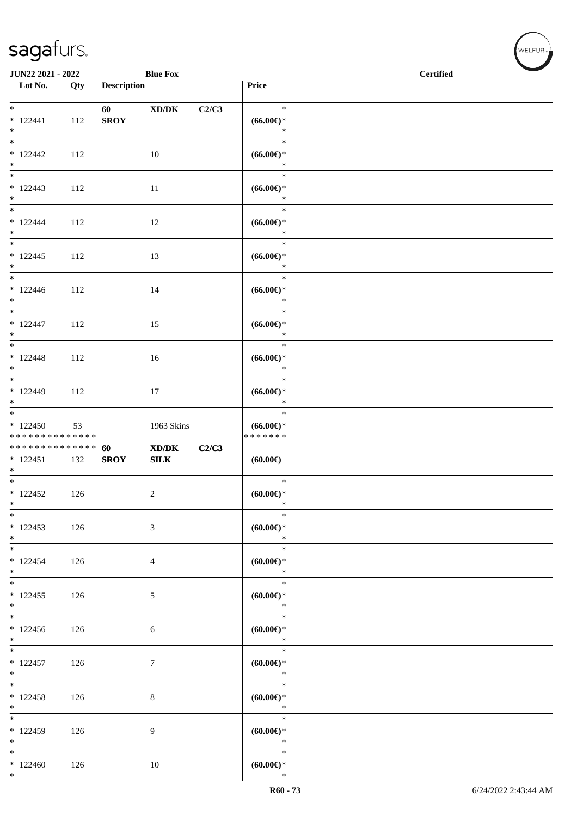\*

| JUN22 2021 - 2022<br><b>Blue Fox</b>             |     |                    |                                                                                                             |       |                                            | <b>Certified</b> |
|--------------------------------------------------|-----|--------------------|-------------------------------------------------------------------------------------------------------------|-------|--------------------------------------------|------------------|
| Lot No.                                          | Qty | <b>Description</b> |                                                                                                             |       | Price                                      |                  |
| $*$<br>$* 122441$<br>$*$                         | 112 | 60<br><b>SROY</b>  | $\boldsymbol{\text{XD}}\boldsymbol{/}\boldsymbol{\text{DK}}$                                                | C2/C3 | $\ast$<br>$(66.00ε)$ *<br>$\ast$           |                  |
| $\overline{\ast}$<br>$*122442$<br>$*$            | 112 |                    | 10                                                                                                          |       | $\ast$<br>$(66.00ε)$ *<br>$\ast$           |                  |
| $\overline{\phantom{0}}$<br>$* 122443$<br>$\ast$ | 112 |                    | 11                                                                                                          |       | $\ast$<br>$(66.00ε)$ *<br>$\ast$           |                  |
| $* 122444$<br>$*$                                | 112 |                    | 12                                                                                                          |       | $\ast$<br>$(66.00ε)$ *<br>$\ast$           |                  |
| $*122445$<br>$*$                                 | 112 |                    | 13                                                                                                          |       | $\ast$<br>$(66.00ε)$ *<br>$\ast$           |                  |
| $*122446$<br>$*$                                 | 112 |                    | 14                                                                                                          |       | $\ast$<br>$(66.00ε)$ *<br>$\ast$           |                  |
| $*$<br>$* 122447$<br>$*$                         | 112 |                    | 15                                                                                                          |       | $\ast$<br>$(66.00ε)$ *<br>$\ast$           |                  |
| $* 122448$<br>$*$                                | 112 |                    | 16                                                                                                          |       | $\ast$<br>$(66.00ε)$ *<br>$\ast$           |                  |
| $* 122449$<br>$*$                                | 112 |                    | 17                                                                                                          |       | $\ast$<br>$(66.00ε)$ *<br>$\ast$           |                  |
| $*122450$<br>* * * * * * * * * * * * * *         | 53  |                    | 1963 Skins                                                                                                  |       | $\ast$<br>$(66.00ε)$ *<br>* * * * * * *    |                  |
| * * * * * * * * * * * * * *<br>$* 122451$<br>$*$ | 132 | 60<br><b>SROY</b>  | $\boldsymbol{\text{X}}\boldsymbol{\text{D}}\boldsymbol{/}\boldsymbol{\text{D}}\boldsymbol{\text{K}}$<br>SLK | C2/C3 | (60.00)                                    |                  |
| $*$<br>$*122452$<br>$\ast$                       | 126 |                    | $\sqrt{2}$                                                                                                  |       | $\ast$<br>$(60.00\varepsilon)$ *<br>$\ast$ |                  |
| $*$<br>$* 122453$<br>$*$                         | 126 |                    | $\mathfrak{Z}$                                                                                              |       | $\ast$<br>(60.00)<br>$\ast$                |                  |
| $\ast$<br>$* 122454$<br>$*$                      | 126 |                    | $\overline{4}$                                                                                              |       | $\ast$<br>$(60.00ε)$ *<br>$\ast$           |                  |
| $*$<br>$* 122455$<br>$*$                         | 126 |                    | $\mathfrak{S}$                                                                                              |       | $\ast$<br>$(60.00ε)$ *<br>$\ast$           |                  |
| $*122456$<br>$*$                                 | 126 |                    | $\sqrt{6}$                                                                                                  |       | $\ast$<br>(60.00)<br>$\ast$                |                  |
| $* 122457$<br>$*$                                | 126 |                    | $\tau$                                                                                                      |       | $\ast$<br>$(60.00ε)$ *<br>$\ast$           |                  |
| $\overline{\ast}$<br>$* 122458$<br>$*$           | 126 |                    | $\,8\,$                                                                                                     |       | $\ast$<br>(60.00)<br>$\ast$                |                  |
| $\ast$<br>$*122459$<br>$*$                       | 126 |                    | 9                                                                                                           |       | $\ast$<br>$(60.00ε)$ *<br>$\ast$           |                  |
| $*$<br>$*122460$<br>$*$                          | 126 |                    | 10                                                                                                          |       | $\ast$<br>$(60.00\epsilon)$ *<br>$\ast$    |                  |

 $(\forall ELFUR$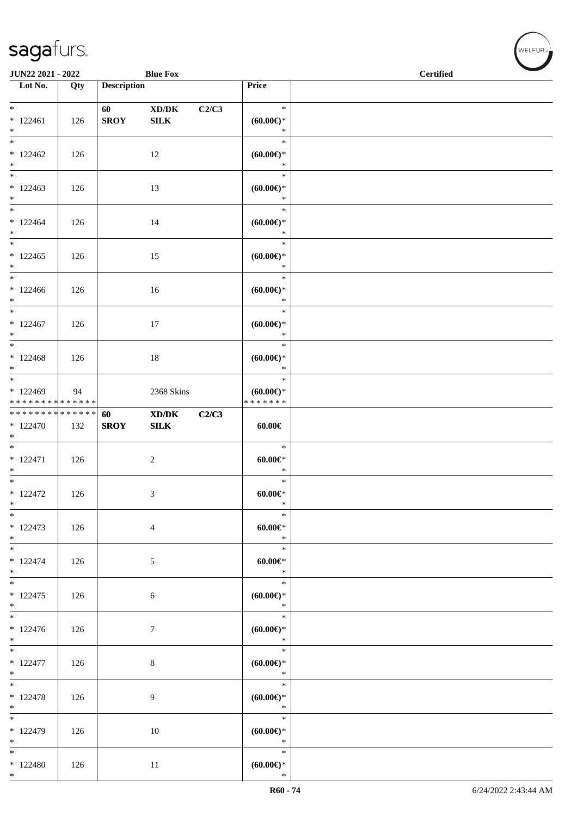| JUN22 2021 - 2022                                                    |     |                    | <b>Blue Fox</b>                                             |       |                                            | <b>Certified</b> |
|----------------------------------------------------------------------|-----|--------------------|-------------------------------------------------------------|-------|--------------------------------------------|------------------|
| Lot No.                                                              | Qty | <b>Description</b> |                                                             |       | Price                                      |                  |
| $\ast$<br>$* 122461$<br>$*$                                          | 126 | 60<br>${\bf SROY}$ | $\bold{X}\bold{D}/\bold{D}\bold{K}$<br>${\bf SILK}$         | C2/C3 | $\ast$<br>$(60.00\epsilon)$ *<br>$\ast$    |                  |
| $*122462$<br>$*$                                                     | 126 |                    | 12                                                          |       | $\ast$<br>$(60.00\varepsilon)$ *<br>$\ast$ |                  |
| $\overline{\phantom{0}}$<br>$*122463$<br>$*$                         | 126 |                    | 13                                                          |       | $\ast$<br>(60.00)<br>$\ast$                |                  |
| $*$<br>$*122464$<br>$*$                                              | 126 |                    | 14                                                          |       | $\ast$<br>$(60.00ε)$ *<br>$\ast$           |                  |
| $*$<br>$*122465$<br>$*$                                              | 126 |                    | 15                                                          |       | $\ast$<br>(60.00)<br>$\ast$                |                  |
| $*$<br>$*122466$<br>$*$                                              | 126 |                    | 16                                                          |       | $\ast$<br>$(60.00ε)$ *<br>$\ast$           |                  |
| $*122467$<br>$*$                                                     | 126 |                    | 17                                                          |       | $\ast$<br>$(60.00ε)$ *<br>$\ast$           |                  |
| $\overline{\ast}$<br>$*122468$<br>$\ast$                             | 126 |                    | $18\,$                                                      |       | $\ast$<br>$(60.00ε)$ *<br>$\ast$           |                  |
| $\overline{\phantom{0}}$<br>$*122469$<br>* * * * * * * * * * * * * * | 94  |                    | 2368 Skins                                                  |       | $\ast$<br>$(60.00ε)$ *<br>* * * * * * *    |                  |
| ******** <mark>******</mark><br>$*122470$<br>$*$                     | 132 | 60<br><b>SROY</b>  | $\mathbf{X}\mathbf{D}/\mathbf{D}\mathbf{K}$<br>${\bf SILK}$ | C2/C3 | $60.00 \in$                                |                  |
| $*$<br>$* 122471$<br>$*$                                             | 126 |                    | $\overline{c}$                                              |       | $\ast$<br>$60.00 \in$<br>$\ast$            |                  |
| $\overline{\phantom{0}}$<br>$*122472$<br>$*$                         | 126 |                    | 3                                                           |       | $\ast$<br>$60.00 \in$<br>$\ast$            |                  |
| $\ast$<br>$* 122473$<br>$*$                                          | 126 |                    | 4                                                           |       | $\ast$<br>$60.00 \in$<br>$\ast$            |                  |
| $*$<br>$* 122474$<br>$*$                                             | 126 |                    | 5                                                           |       | $\ast$<br>$60.00 \in$<br>$\ast$            |                  |
| $* 122475$<br>$*$                                                    | 126 |                    | $\sqrt{6}$                                                  |       | $\ast$<br>$(60.00ε)$ *<br>$\ast$           |                  |
| $* 122476$<br>$*$                                                    | 126 |                    | $\tau$                                                      |       | $\ast$<br>(60.00)<br>$\ast$                |                  |
| $*$<br>$*122477$<br>$*$                                              | 126 |                    | $\,8\,$                                                     |       | $\ast$<br>$(60.00ε)$ *<br>$\ast$           |                  |
| $*$<br>$* 122478$<br>$*$                                             | 126 |                    | 9                                                           |       | $\ast$<br>$(60.00\varepsilon)$ *<br>$\ast$ |                  |
| $\overline{\ast}$<br>$*122479$<br>$*$                                | 126 |                    | 10                                                          |       | $\ast$<br>$(60.00\varepsilon)$ *<br>$\ast$ |                  |
| $*$<br>$*122480$<br>$*$                                              | 126 |                    | 11                                                          |       | $\ast$<br>$(60.00\varepsilon)$ *<br>$\ast$ |                  |

welfur<sub>™</sub>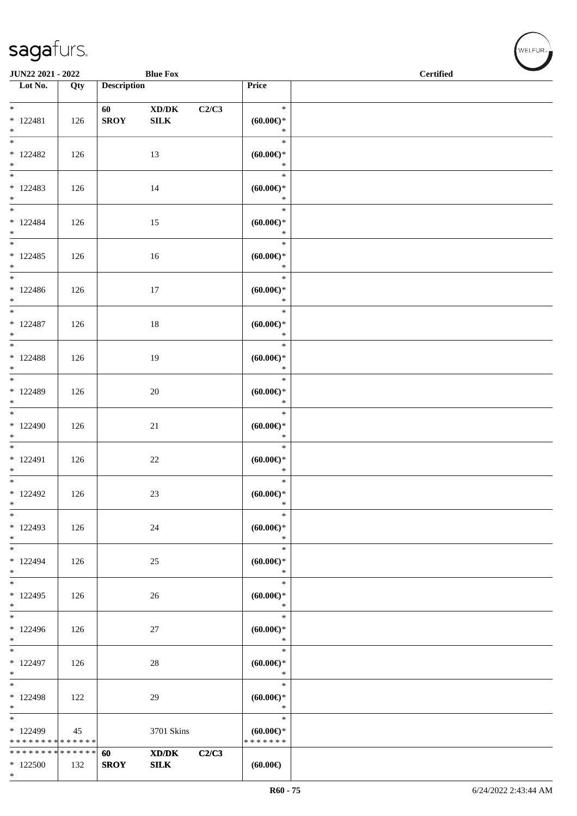#### sag

| <b>saga</b> furs.        |     |                    |                 |       |                             |                  |
|--------------------------|-----|--------------------|-----------------|-------|-----------------------------|------------------|
| <b>JUN22 2021 - 2022</b> |     |                    | <b>Blue Fox</b> |       |                             | <b>Certified</b> |
| Lot No.                  | Qty | <b>Description</b> |                 |       | Price                       |                  |
| *                        |     | 60                 | XD/DK           | C2/C3 | $\ast$                      |                  |
| $* 122481$<br>÷          | 126 | <b>SROY</b>        | <b>SILK</b>     |       | $(60.00\varepsilon)$ *<br>÷ |                  |

| $*$<br>$* 122481$<br>$*$                           | 126 | 60<br><b>SROY</b> | XD/DK<br><b>SILK</b> | C2/C3 | 1995)<br>$\ast$<br>(60.00)<br>$\ast$       |  |
|----------------------------------------------------|-----|-------------------|----------------------|-------|--------------------------------------------|--|
| $\overline{\phantom{a}^*}$<br>$*122482$<br>$*$     | 126 |                   | 13                   |       | $\ast$<br>$(60.00\varepsilon)$ *<br>$\ast$ |  |
| $_{\ast}^{-}$<br>$*122483$<br>$*$                  | 126 |                   | 14                   |       | $\ast$<br>$(60.00ε)$ *<br>$\ast$           |  |
| $*$ and $*$<br>$* 122484$<br>$*$                   | 126 |                   | 15                   |       | $\ast$<br>(60.00)<br>$\ddot{\ast}$         |  |
| $*$<br>$*122485$<br>$*$                            | 126 |                   | 16                   |       | $\ast$<br>$(60.00\varepsilon)$ *<br>$\ast$ |  |
| $\overline{\phantom{0}}$<br>$*122486$<br>$*$       | 126 |                   | 17                   |       | $\ast$<br>$(60.00\varepsilon)$ *<br>$\ast$ |  |
| $*$<br>$* 122487$<br>$*$                           | 126 |                   | 18                   |       | $\ast$<br>$(60.00\varepsilon)$ *<br>$\ast$ |  |
| $\overline{\phantom{0}}$<br>* 122488<br>$*$        | 126 |                   | 19                   |       | $\ast$<br>$(60.00\varepsilon)$ *<br>$\ast$ |  |
| $\overline{\ast}$<br>* 122489<br>$*$               | 126 |                   | 20                   |       | $\ast$<br>$(60.00\varepsilon)$ *<br>$\ast$ |  |
| $*$<br>$*122490$<br>$*$                            | 126 |                   | 21                   |       | $\ast$<br>$(60.00\varepsilon)$ *<br>$\ast$ |  |
| $\overline{\phantom{0}}$<br>$* 122491$<br>$*$      | 126 |                   | 22                   |       | $\ast$<br>$(60.00\varepsilon)$ *<br>$\ast$ |  |
| $\overline{\phantom{a}^*}$<br>* 122492<br>$*$      | 126 |                   | 23                   |       | $\ast$<br>$(60.00\varepsilon)$ *<br>$\ast$ |  |
| $*122493$<br>$*$                                   | 126 |                   | 24                   |       | $\ast$<br>$(60.00\epsilon)$ *              |  |
| $\overline{\phantom{a}^*}$<br>$* 122494$<br>$\ast$ | 126 |                   | $25\,$               |       | $\ast$<br>$(60.00)$ *<br>$\ast$            |  |
| $_{\ast}$<br>$*122495$<br>$\ast$                   | 126 |                   | 26                   |       | $\ast$<br>$(60.00ε)$ *<br>$\ast$           |  |
| $\ast$<br>* 122496<br>$\ast$                       | 126 |                   | 27                   |       | $\ast$<br>$(60.00ε)$ *<br>$\ast$           |  |
| $\overline{\phantom{a}^*}$<br>* 122497<br>$\ast$   | 126 |                   | 28                   |       | $\ast$<br>$(60.00ε)$ *<br>$\ast$           |  |
| $\ast$<br>* 122498<br>$\ast$                       | 122 |                   | 29                   |       | $\ast$<br>$(60.00ε)$ *<br>$\ast$           |  |
| $\ast$<br>* 122499<br>* * * * * * * * * * * * * *  | 45  |                   | 3701 Skins           |       | $\ast$<br>$(60.00ε)$ *<br>* * * * * * *    |  |
| * * * * * * * * * * * * * * *<br>$*122500$<br>$*$  | 132 | 60<br><b>SROY</b> | XD/DK<br><b>SILK</b> | C2/C3 | (60.00)                                    |  |

**NELFUR**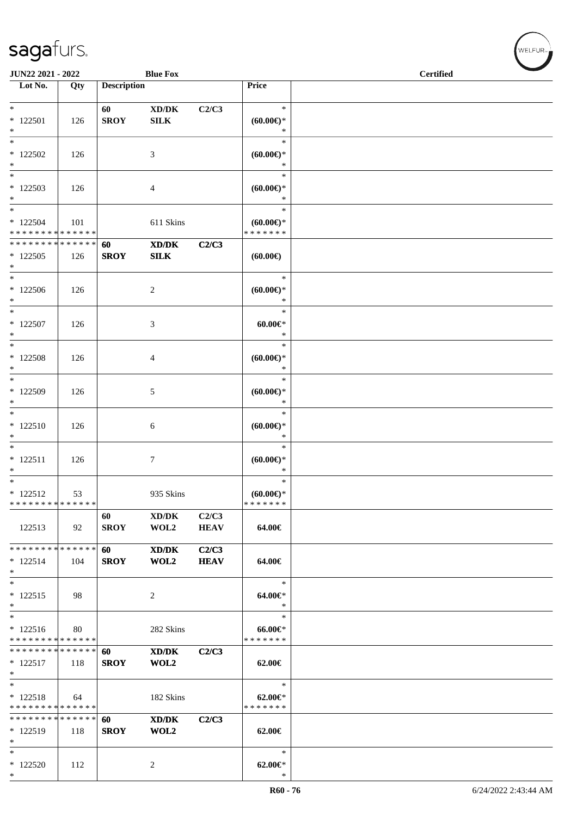| JUN22 2021 - 2022                                  |     |                    | <b>Blue Fox</b>                                                                                              |                      |                                             | <b>Certified</b> |  |
|----------------------------------------------------|-----|--------------------|--------------------------------------------------------------------------------------------------------------|----------------------|---------------------------------------------|------------------|--|
| Lot No.                                            | Qty | <b>Description</b> |                                                                                                              |                      | Price                                       |                  |  |
| $*$<br>$*122501$<br>$\ast$                         | 126 | 60<br><b>SROY</b>  | $\bold{X}\bold{D}/\bold{D}\bold{K}$<br><b>SILK</b>                                                           | C2/C3                | $\ast$<br>$(60.00ε)$ *<br>$\ast$            |                  |  |
| $\overline{\phantom{0}}$<br>$*122502$<br>$*$       | 126 |                    | 3                                                                                                            |                      | $\ast$<br>$(60.00\varepsilon)$ *<br>$\ast$  |                  |  |
| $\ast$<br>$*122503$<br>$*$                         | 126 |                    | 4                                                                                                            |                      | $\ast$<br>$(60.00ε)$ *<br>$\ast$            |                  |  |
| $*$<br>$*$ 122504<br>* * * * * * * * * * * * * *   | 101 |                    | 611 Skins                                                                                                    |                      | $\ast$<br>$(60.00ε)$ *<br>* * * * * * *     |                  |  |
| * * * * * * * * * * * * * * *<br>$*122505$<br>$*$  | 126 | 60<br><b>SROY</b>  | XD/DK<br><b>SILK</b>                                                                                         | C2/C3                | (60.00)                                     |                  |  |
| $\ast$<br>$*122506$<br>$*$                         | 126 |                    | $\overline{c}$                                                                                               |                      | $\ast$<br>$(60.00ε)$ *<br>$\ast$            |                  |  |
| $*$<br>$*$ 122507<br>$\ast$                        | 126 |                    | 3                                                                                                            |                      | $\ast$<br>$60.00 \in$<br>$\ast$             |                  |  |
| $*$<br>$*$ 122508<br>$*$                           | 126 |                    | 4                                                                                                            |                      | $\ast$<br>$(60.00ε)$ *<br>$\ast$            |                  |  |
| $*$<br>$*122509$<br>$\ast$                         | 126 |                    | 5                                                                                                            |                      | $\ast$<br>$(60.00\varepsilon)$ *<br>$\ast$  |                  |  |
| $*$<br>$* 122510$<br>$\ast$                        | 126 |                    | 6                                                                                                            |                      | $\ast$<br>$(60.00\varepsilon)$ *<br>$\ast$  |                  |  |
| $*$<br>$* 122511$<br>$\ast$                        | 126 |                    | 7                                                                                                            |                      | $\ast$<br>$(60.00ε)$ *<br>$\ast$            |                  |  |
| $*$<br>$* 122512$<br>* * * * * * * * * * * * * *   | 53  |                    | 935 Skins                                                                                                    |                      | $\ast$<br>(60.00)<br>*******                |                  |  |
| 122513                                             | 92  | 60<br><b>SROY</b>  | XD/DK<br>WOL2                                                                                                | C2/C3<br><b>HEAV</b> | 64.00€                                      |                  |  |
| * * * * * * * * * * * * * * *<br>$* 122514$<br>$*$ | 104 | 60<br><b>SROY</b>  | $\mathbf{X}\mathbf{D}/\mathbf{D}\mathbf{K}$<br>WOL2                                                          | C2/C3<br><b>HEAV</b> | 64.00€                                      |                  |  |
| $*$<br>$* 122515$<br>$\ast$                        | 98  |                    | 2                                                                                                            |                      | $\ast$<br>64.00€*<br>$\ast$                 |                  |  |
| $*$<br>$* 122516$<br>* * * * * * * * * * * * * *   | 80  |                    | 282 Skins                                                                                                    |                      | $\ast$<br>$66.00 \text{E}$<br>* * * * * * * |                  |  |
| * * * * * * * * * * * * * *<br>$* 122517$<br>$*$   | 118 | 60<br><b>SROY</b>  | XD/DK<br>WOL2                                                                                                | C2/C3                | 62.00€                                      |                  |  |
| $*$<br>$* 122518$<br>* * * * * * * * * * * * * *   | 64  |                    | 182 Skins                                                                                                    |                      | $\ast$<br>$62.00 \in$<br>* * * * * * *      |                  |  |
| * * * * * * * * * * * * * *<br>* 122519<br>$\ast$  | 118 | 60<br><b>SROY</b>  | $\boldsymbol{\text{X}}\boldsymbol{\text{D}}\boldsymbol{/}\boldsymbol{\text{D}}\boldsymbol{\text{K}}$<br>WOL2 | C2/C3                | 62.00€                                      |                  |  |
| $\ast$<br>* 122520<br>$*$                          | 112 |                    | 2                                                                                                            |                      | $\ast$<br>$62.00 \in$ *<br>$\ast$           |                  |  |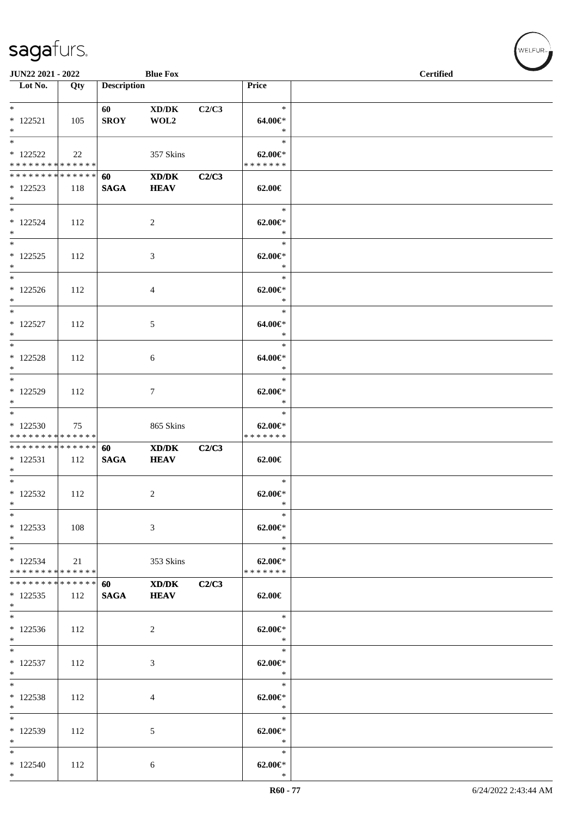| <b>JUN22 2021 - 2022</b>                                        |     |                    | <b>Blue Fox</b>                                            |       |                                             | <b>Certified</b> |
|-----------------------------------------------------------------|-----|--------------------|------------------------------------------------------------|-------|---------------------------------------------|------------------|
| $\overline{\phantom{1}}$ Lot No.                                | Qty | <b>Description</b> |                                                            |       | Price                                       |                  |
| $*$<br>$* 122521$<br>$*$                                        | 105 | 60<br><b>SROY</b>  | $\bold{X}\bold{D}/\bold{D}\bold{K}$<br>WOL2                | C2/C3 | $\ast$<br>64.00€*<br>$\ast$                 |                  |
| $* 122522$<br>* * * * * * * * <mark>* * * * * * *</mark>        | 22  |                    | 357 Skins                                                  |       | $\ast$<br>$62.00 \in$<br>* * * * * * *      |                  |
| * * * * * * * * * * * * * * *<br>* 122523<br>$*$                | 118 | 60<br><b>SAGA</b>  | $\mathbf{X}\mathbf{D}/\mathbf{D}\mathbf{K}$<br><b>HEAV</b> | C2/C3 | 62.00€                                      |                  |
| $*$<br>$*122524$<br>$*$                                         | 112 |                    | 2                                                          |       | $\ast$<br>$62.00 \in$ *<br>$\ast$           |                  |
| $* 122525$<br>$*$                                               | 112 |                    | 3                                                          |       | $\ast$<br>$62.00 \in$<br>$\ast$             |                  |
| $*$<br>$*122526$<br>$*$                                         | 112 |                    | 4                                                          |       | $\ast$<br>$62.00 \in$<br>$\ast$<br>$\ast$   |                  |
| $*$ $*$<br>$* 122527$<br>$*$                                    | 112 |                    | 5                                                          |       | 64.00€*<br>$\ast$                           |                  |
| $*$<br>$*$ 122528<br>$*$                                        | 112 |                    | 6                                                          |       | $\ast$<br>64.00€*<br>$\ast$                 |                  |
| * 122529<br>$*$<br>$*$                                          | 112 |                    | $\tau$                                                     |       | $\ast$<br>$62.00 \in$ *<br>$\ast$<br>$\ast$ |                  |
| $*122530$<br>* * * * * * * * * * * * * *                        | 75  |                    | 865 Skins                                                  |       | $62.00 \in$<br>* * * * * * *                |                  |
| * * * * * * * * <mark>* * * * * * *</mark><br>$* 122531$<br>$*$ | 112 | 60<br><b>SAGA</b>  | $\mathbf{X}\mathbf{D}/\mathbf{D}\mathbf{K}$<br><b>HEAV</b> | C2/C3 | 62.00€                                      |                  |
| $*$ $*$<br>$*122532$<br>$*$                                     | 112 |                    | $\overline{c}$                                             |       | $\ast$<br>$62.00 \in$ *<br>$\ast$           |                  |
| $*$<br>$*122533$<br>$*$                                         | 108 |                    | 3                                                          |       | $\ast$<br>$62.00 \in$<br>$\rightarrow$      |                  |
| $*$<br>$*122534$<br>* * * * * * * * * * * * * * *               | 21  |                    | 353 Skins                                                  |       | $\ast$<br>$62.00 \in$<br>* * * * * * *      |                  |
| * * * * * * * * * * * * * * *<br>$*122535$<br>$*$               | 112 | 60<br><b>SAGA</b>  | XD/DK<br><b>HEAV</b>                                       | C2/C3 | 62.00€                                      |                  |
| $*122536$<br>$*$                                                | 112 |                    | 2                                                          |       | $\ast$<br>$62.00 \in$ *<br>$\ast$           |                  |
| $*$<br>$* 122537$<br>$*$                                        | 112 |                    | 3                                                          |       | $\ast$<br>$62.00 \in$ *<br>$\ast$           |                  |
| $*$<br>$*122538$<br>$*$                                         | 112 |                    | 4                                                          |       | $\ast$<br>$62.00 \in$ *<br>$\ast$           |                  |
| $*$<br>* 122539<br>$*$                                          | 112 |                    | 5                                                          |       | $\ast$<br>$62.00 \in$ *<br>$\ast$           |                  |
| $*$<br>$*122540$<br>$*$                                         | 112 |                    | 6                                                          |       | $\ast$<br>$62.00 \in$ *<br>$\ast$           |                  |

welfur<sub>™</sub>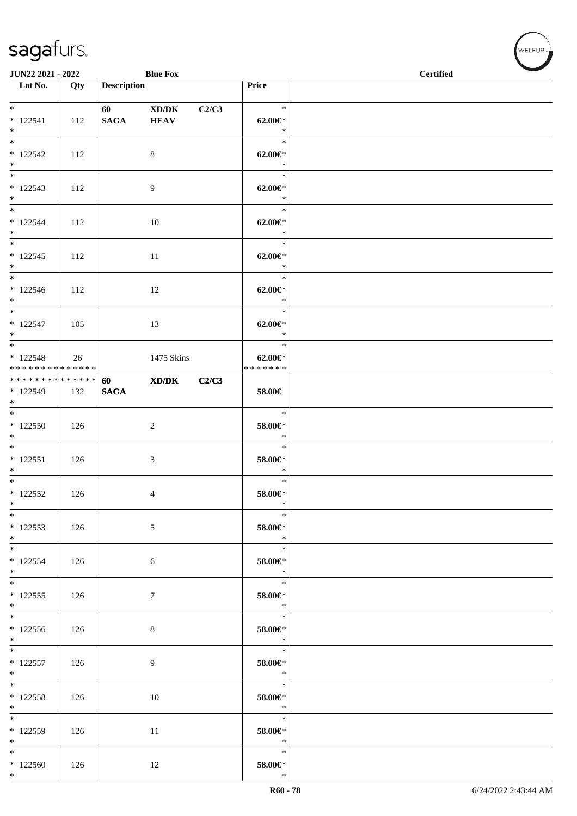| JUN22 2021 - 2022                                |     |                    | <b>Blue Fox</b>      |       |                                          | <b>Certified</b> |  |
|--------------------------------------------------|-----|--------------------|----------------------|-------|------------------------------------------|------------------|--|
| Lot No.                                          | Qty | <b>Description</b> |                      |       | Price                                    |                  |  |
|                                                  |     |                    |                      |       |                                          |                  |  |
| $*$<br>$* 122541$<br>$*$                         | 112 | <b>SAGA</b>        | XD/DK<br><b>HEAV</b> | C2/C3 | $\ast$<br>$62.00 \in$ *<br>$\ast$        |                  |  |
| $*$<br>$* 122542$<br>$*$                         | 112 |                    | 8                    |       | $\ast$<br>$62.00 \in$ *<br>$\ast$        |                  |  |
| $\overline{\ast}$<br>$* 122543$<br>$*$           | 112 |                    | 9                    |       | $\ast$<br>$62.00 \in$ *<br>$\ast$        |                  |  |
| $*$<br>$* 122544$<br>$*$                         | 112 |                    | 10                   |       | $\ast$<br>$62.00 \text{E}^*$<br>$\ast$   |                  |  |
| $*$<br>$* 122545$<br>$*$                         | 112 |                    | 11                   |       | $\ast$<br>$62.00 \in$ *<br>$\ast$        |                  |  |
| $*$<br>$* 122546$<br>$*$                         | 112 |                    | 12                   |       | $\ast$<br>$62.00 \in$ *<br>$\ast$        |                  |  |
| $*$<br>$* 122547$<br>$*$                         | 105 |                    | 13                   |       | $\ast$<br>$62.00 \in$ *<br>$\ast$        |                  |  |
| $* 122548$<br>* * * * * * * * * * * * * * *      | 26  |                    | 1475 Skins           |       | $\ast$<br>$62.00 \in$ *<br>* * * * * * * |                  |  |
| * * * * * * * * * * * * * * *<br>* 122549<br>$*$ | 132 | 60<br><b>SAGA</b>  | XD/DK                | C2/C3 | 58.00€                                   |                  |  |
| $*$<br>$*122550$<br>$*$                          | 126 |                    | $\overline{c}$       |       | $\ast$<br>58.00€*<br>$\ast$              |                  |  |
| $*$<br>$* 122551$<br>$*$                         | 126 |                    | 3                    |       | $\ast$<br>58.00€*<br>$\ast$              |                  |  |
| $*$<br>$*122552$<br>$*$                          | 126 |                    | 4                    |       | $\ast$<br>$58.00 \in$<br>$\ast$          |                  |  |
| $*$<br>$*122553$<br>$*$                          | 126 |                    | 5                    |       | $\ast$<br>58.00€*<br>$\ast$              |                  |  |
| $*$<br>$* 122554$<br>$*$                         | 126 |                    | $\sqrt{6}$           |       | $\ast$<br>58.00€*<br>$\ast$              |                  |  |
| $*$<br>$*122555$<br>$*$                          | 126 |                    | $\tau$               |       | $\ast$<br>58.00€*<br>$*$                 |                  |  |
| $*122556$<br>$*$                                 | 126 |                    | 8                    |       | $\ast$<br>58.00€*<br>$\ast$              |                  |  |
| $*$<br>$* 122557$<br>$*$                         | 126 |                    | 9                    |       | $\ast$<br>58.00€*<br>$\ast$              |                  |  |
| $*$<br>$* 122558$<br>$*$                         | 126 |                    | 10                   |       | $\ast$<br>58.00€*<br>$\ast$              |                  |  |
| * 122559<br>$*$                                  | 126 |                    | 11                   |       | $\ast$<br>58.00€*<br>$*$                 |                  |  |
| $*$<br>$*122560$<br>$*$                          | 126 |                    | 12                   |       | $\ast$<br>58.00€*<br>$\ast$              |                  |  |

welfur<sub>™</sub>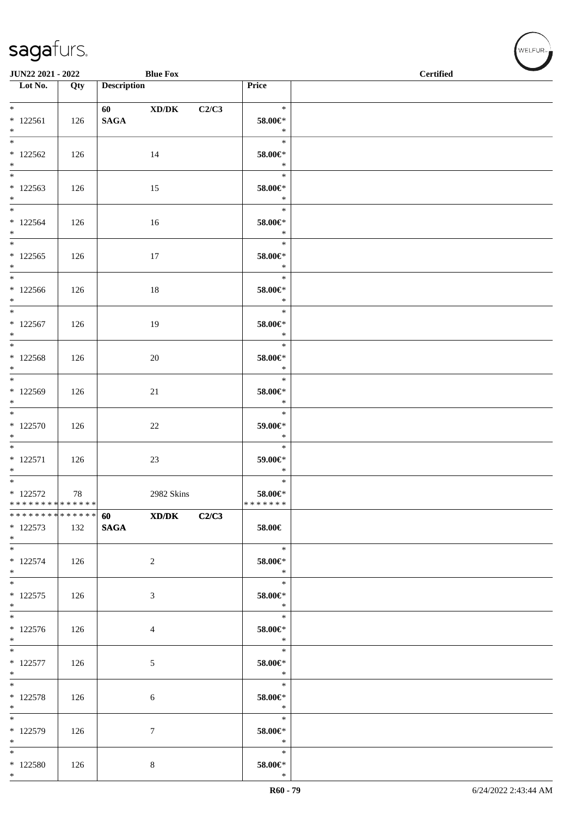| JUN22 2021 - 2022                                               |                   |                                        | <b>Blue Fox</b>  |       |                                          | <b>Certified</b> | $\overline{\phantom{a}}$ |
|-----------------------------------------------------------------|-------------------|----------------------------------------|------------------|-------|------------------------------------------|------------------|--------------------------|
| $\overline{\phantom{1}}$ Lot No.                                | $\overline{Q}$ ty | <b>Description</b>                     |                  |       | Price                                    |                  |                          |
| $*$ $*$<br>$*122561$<br>$*$                                     | 126               | <b>SAGA</b>                            | 60 XD/DK         | C2/C3 | $\ast$<br>58.00€*<br>$\ast$              |                  |                          |
| $*122562$<br>$*$                                                | 126               |                                        | 14               |       | $\ast$<br>58.00€*<br>$\ast$              |                  |                          |
| $*122563$<br>$*$                                                | 126               |                                        | 15               |       | $\ast$<br>58.00€*<br>$\ast$              |                  |                          |
| $*$<br>$*122564$<br>$*$                                         | 126               |                                        | 16               |       | $\ast$<br>58.00€*<br>$\ast$              |                  |                          |
| $\overline{\phantom{0}}$<br>$*122565$<br>$*$                    | 126               |                                        | 17               |       | $\ast$<br>$58.00 \text{E}^*$<br>$\ast$   |                  |                          |
| $*$<br>$*122566$<br>$*$                                         | 126               |                                        | 18               |       | $\ast$<br>58.00€*<br>$\ast$              |                  |                          |
| $*$ $*$<br>$* 122567$<br>$*$                                    | 126               |                                        | 19               |       | $\ast$<br>58.00€*<br>$\ast$              |                  |                          |
| $* 122568$<br>$*$                                               | 126               |                                        | $20\,$           |       | $\ast$<br>58.00€*<br>$\ast$              |                  |                          |
| $*$<br>* 122569<br>$*$                                          | 126               |                                        | 21               |       | $\ast$<br>58.00€*<br>$\ast$              |                  |                          |
| $*$<br>* 122570<br>$*$                                          | 126               |                                        | 22               |       | $\ast$<br>59.00€*<br>$\ast$              |                  |                          |
| $* 122571$<br>$*$                                               | 126               |                                        | 23               |       | $\ast$<br>59.00€*<br>$\ast$              |                  |                          |
| $*$<br>$* 122572$<br>* * * * * * * * <mark>* * * * * * *</mark> | 78                |                                        | 2982 Skins       |       | $\ast$<br>$58.00 \in$ *<br>* * * * * * * |                  |                          |
| ******** <mark>******</mark><br>$*122573$<br>$*$                | 132               | <b>60</b> and <b>60</b><br><b>SAGA</b> | XD/DK            | C2/C3 | 58.00€                                   |                  |                          |
| $*$<br>$* 122574$<br>$*$                                        | 126               |                                        | $\overline{2}$   |       | $\ast$<br>58.00€*<br>$\ast$              |                  |                          |
| $*$<br>$* 122575$<br>$*$                                        | 126               |                                        | 3                |       | $\ast$<br>58.00€*<br>$\ast$              |                  |                          |
| $*122576$<br>$*$                                                | 126               |                                        | 4                |       | $\ast$<br>58.00€*<br>$\ast$              |                  |                          |
| $*$<br>$* 122577$<br>$*$                                        | 126               |                                        | $\sqrt{5}$       |       | $\ast$<br>58.00€*<br>$\ast$              |                  |                          |
| $*$<br>$* 122578$<br>$*$                                        | 126               |                                        | 6                |       | $\ast$<br>58.00€*<br>$\ast$              |                  |                          |
| $*$<br>* 122579<br>$*$                                          | 126               |                                        | $\boldsymbol{7}$ |       | $\ast$<br>58.00€*<br>$\ast$              |                  |                          |
| $*$<br>* 122580<br>$*$                                          | 126               |                                        | 8                |       | $\ast$<br>58.00€*<br>$\ast$              |                  |                          |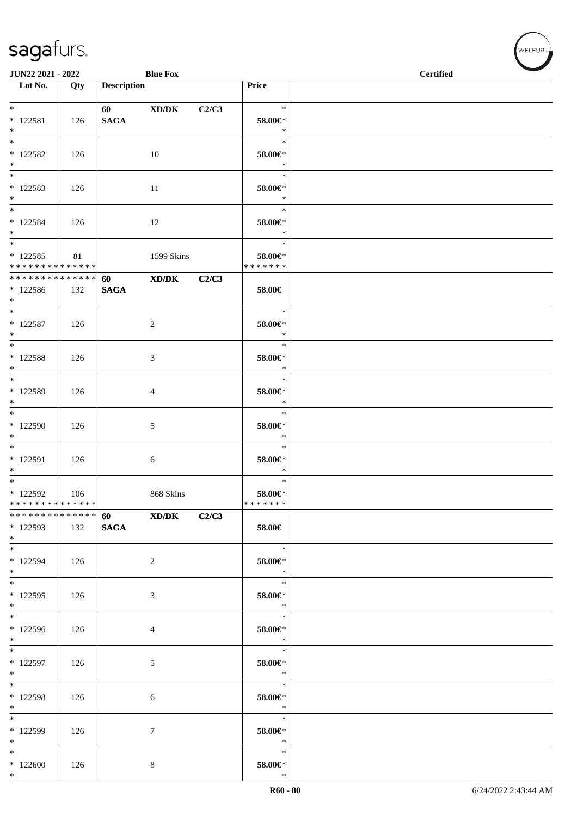| JUN22 2021 - 2022                                              |     |                         | <b>Blue Fox</b> |       |                                       | <b>Certified</b> |
|----------------------------------------------------------------|-----|-------------------------|-----------------|-------|---------------------------------------|------------------|
| Lot No.                                                        | Qty | <b>Description</b>      |                 |       | Price                                 |                  |
| $*$ $*$<br>$* 122581$                                          | 126 | 60 - 100<br><b>SAGA</b> | XD/DK           | C2/C3 | $\ast$<br>58.00€*                     |                  |
| $*$<br>$\overline{\phantom{0}}$<br>* 122582<br>$*$             | 126 |                         | 10              |       | $\ast$<br>$\ast$<br>58.00€*<br>$\ast$ |                  |
| * 122583<br>$*$                                                | 126 |                         | 11              |       | $\ast$<br>58.00€*<br>$\ast$           |                  |
| $*$<br>$* 122584$<br>$*$                                       | 126 |                         | 12              |       | $\ast$<br>58.00€*<br>$\ast$           |                  |
| $\overline{\ast}$<br>$* 122585$<br>* * * * * * * * * * * * * * | 81  |                         | 1599 Skins      |       | $\ast$<br>58.00€*<br>* * * * * * *    |                  |
| * * * * * * * * * * * * * * *<br>$*122586$<br>$*$ $-$          | 132 | 60<br><b>SAGA</b>       | XD/DK           | C2/C3 | 58.00€                                |                  |
| $*$ $*$<br>$* 122587$<br>$*$                                   | 126 |                         | 2               |       | $\ast$<br>58.00€*<br>$\ast$           |                  |
| $*$ and $*$<br>$*$ 122588<br>$*$                               | 126 |                         | 3               |       | $\ast$<br>58.00€*<br>$\ast$           |                  |
| $*$<br>* 122589<br>$\ast$                                      | 126 |                         | 4               |       | $\ast$<br>58.00€*<br>$\ast$           |                  |
| $\overline{\ast}$<br>$*122590$<br>$*$                          | 126 |                         | 5               |       | $\ast$<br>58.00€*<br>$\ast$           |                  |
| * 122591<br>$*$                                                | 126 |                         | 6               |       | $\ast$<br>58.00€*<br>$\ast$           |                  |
| $*$<br>* 122592<br>* * * * * * * * * * * * * *                 | 106 |                         | 868 Skins       |       | $\ast$<br>58.00€*<br>*******          |                  |
| * * * * * * * * * * * * * * *<br>* 122593<br>$*$ $-$           | 132 | 60<br><b>SAGA</b>       | XD/DK           | C2/C3 | 58.00€                                |                  |
| $*$<br>* 122594<br>$*$                                         | 126 |                         | 2               |       | $\ast$<br>58.00€*<br>$\ast$           |                  |
| $*$<br>$*122595$<br>$*$                                        | 126 |                         | 3               |       | $\ast$<br>58.00€*<br>$\ast$           |                  |
| $*$<br>$*122596$<br>$*$                                        | 126 |                         | 4               |       | $\ast$<br>58.00€*<br>$\ast$           |                  |
| $*$<br>* 122597<br>$*$                                         | 126 |                         | 5               |       | $\ast$<br>58.00€*<br>$\ast$           |                  |
| $*$<br>$* 122598$<br>$*$                                       | 126 |                         | 6               |       | $\ast$<br>$58.00 \in$<br>$\ast$       |                  |
| $*122599$<br>$*$                                               | 126 |                         | 7               |       | $\ast$<br>58.00€*<br>$\ast$           |                  |
| $*$<br>$*122600$<br>$*$                                        | 126 |                         | 8               |       | $\ast$<br>58.00€*<br>$\ast$           |                  |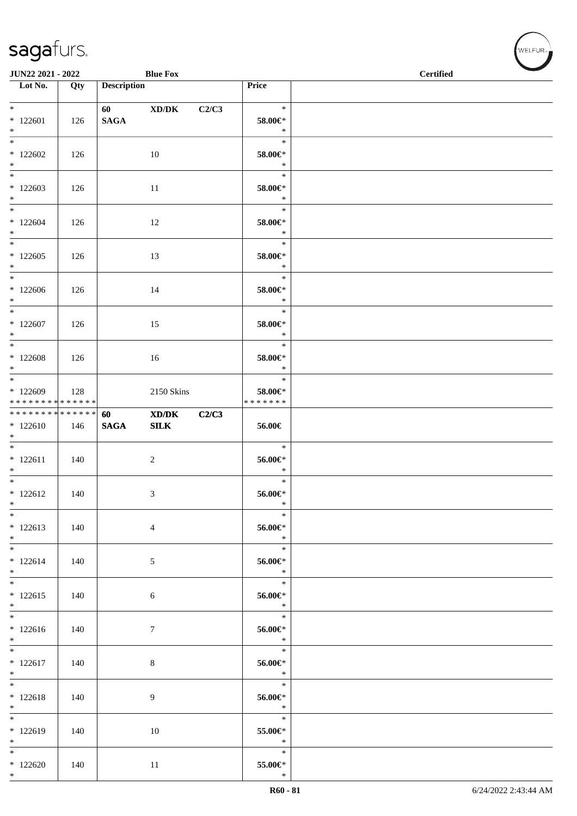| JUN22 2021 - 2022                                                         |     |                    | <b>Blue Fox</b> |       |                                       | <b>Certified</b> | $\overline{\phantom{a}}$ |
|---------------------------------------------------------------------------|-----|--------------------|-----------------|-------|---------------------------------------|------------------|--------------------------|
| $\overline{\phantom{1}}$ Lot No.                                          | Qty | <b>Description</b> |                 |       | Price                                 |                  |                          |
| $*$<br>$*122601$<br>$*$                                                   | 126 | <b>SAGA</b>        | XD/DK           | C2/C3 | $\ast$<br>58.00€*<br>$\ast$           |                  |                          |
| $*122602$<br>$*$                                                          | 126 |                    | 10              |       | $\ast$<br>58.00€*<br>$\ast$           |                  |                          |
| $*$<br>$*122603$<br>$*$                                                   | 126 |                    | 11              |       | $\ast$<br>58.00€*<br>$\ast$           |                  |                          |
| $*$<br>$*122604$<br>$*$                                                   | 126 |                    | 12              |       | $\ast$<br>58.00€*<br>$\ast$           |                  |                          |
| $*122605$<br>$*$                                                          | 126 |                    | 13              |       | $\ast$<br>58.00€*<br>$\ast$           |                  |                          |
| $*$<br>$*122606$<br>$*$                                                   | 126 |                    | 14              |       | $\ast$<br>58.00€*<br>$\ast$           |                  |                          |
| $*$<br>$*122607$<br>$*$                                                   | 126 |                    | 15              |       | $\ast$<br>58.00€*<br>$\ast$           |                  |                          |
| $*$<br>$*122608$<br>$*$<br>$*$ $*$                                        | 126 |                    | 16              |       | $\ast$<br>58.00€*<br>$\ast$<br>$\ast$ |                  |                          |
| * 122609<br>* * * * * * * * * * * * * * *<br>******** <mark>******</mark> | 128 |                    | 2150 Skins      |       | 58.00€*<br>* * * * * * *              |                  |                          |
| $*122610$<br>$*$<br>$*$                                                   | 146 | 60<br><b>SAGA</b>  | XD/DK<br>SLK    | C2/C3 | 56.00€<br>$\ast$                      |                  |                          |
| $* 122611$<br>$*$<br>$*$                                                  | 140 |                    | $\sqrt{2}$      |       | 56.00€*<br>$\ast$<br>$\ast$           |                  |                          |
| $* 122612$<br>$*$<br>$\ast$                                               | 140 |                    | 3               |       | $56.00 \in$<br>$\ast$<br>$\ast$       |                  |                          |
| $*122613$<br>$*$<br>$*$                                                   | 140 |                    | $\overline{4}$  |       | 56.00€*<br>$\ast$<br>$\ast$           |                  |                          |
| $* 122614$<br>$*$<br>$*$                                                  | 140 |                    | $\sqrt{5}$      |       | 56.00€*<br>$\ast$<br>$\ast$           |                  |                          |
| $* 122615$<br>$*$<br>$\overline{\ast}$                                    | 140 |                    | 6               |       | 56.00€*<br>$\ast$<br>1995)<br>$\ast$  |                  |                          |
| $*122616$<br>$*$                                                          | 140 |                    | $\overline{7}$  |       | 56.00€*<br>$\ast$<br>$\ast$           |                  |                          |
| $*122617$<br>$*$<br>$*$                                                   | 140 |                    | $8\,$           |       | 56.00€*<br>$\ast$<br>$\ast$           |                  |                          |
| $* 122618$<br>$*$<br>$*$                                                  | 140 |                    | 9               |       | 56.00€*<br>$\ast$<br>$\ast$           |                  |                          |
| $*122619$<br>$*$<br>$*$                                                   | 140 |                    | 10              |       | 55.00€*<br>$\ast$<br>$\ast$           |                  |                          |
| $*122620$<br>$*$                                                          | 140 |                    | 11              |       | 55.00€*<br>$\ast$                     |                  |                          |

、<br>WELFUR<sub>™</sub>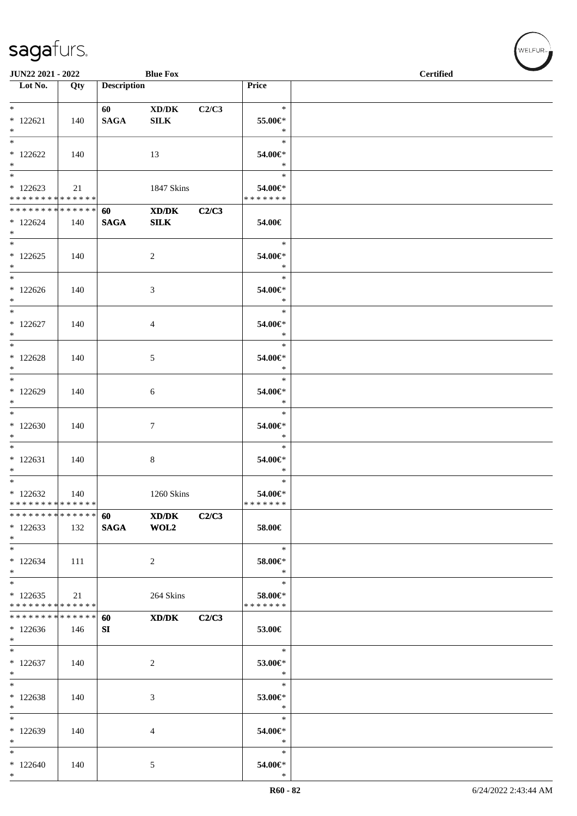| JUN22 2021 - 2022                                 |     |                        | <b>Blue Fox</b>                                            |       |                                       | <b>Certified</b> |
|---------------------------------------------------|-----|------------------------|------------------------------------------------------------|-------|---------------------------------------|------------------|
| Lot No.                                           | Qty | <b>Description</b>     |                                                            |       | Price                                 |                  |
| $*$ $*$<br>$* 122621$<br>$*$                      | 140 | 60 — 10<br><b>SAGA</b> | XD/DK<br>${\bf SILK}$                                      | C2/C3 | $\ast$<br>55.00€*<br>$\ast$           |                  |
| $\overline{\phantom{0}}$<br>$*122622$<br>$*$      | 140 |                        | 13                                                         |       | $\ast$<br>54.00€*<br>$\ast$           |                  |
| $*122623$<br>* * * * * * * * * * * * * * *        | 21  |                        | 1847 Skins                                                 |       | $\ast$<br>54.00€*<br>* * * * * * *    |                  |
| * * * * * * * * * * * * * * *<br>$*122624$<br>$*$ | 140 | 60<br><b>SAGA</b>      | $\mathbf{X}\mathbf{D}/\mathbf{D}\mathbf{K}$<br><b>SILK</b> | C2/C3 | 54.00€                                |                  |
| $\overline{\ast}$<br>$*122625$<br>$*$             | 140 |                        | 2                                                          |       | $\ast$<br>54.00€*<br>$\ast$           |                  |
| $*$<br>$*122626$<br>$*$                           | 140 |                        | 3                                                          |       | $\ast$<br>54.00€*<br>$\ast$           |                  |
| $*$ $*$<br>$*122627$<br>$*$<br>$*$                | 140 |                        | 4                                                          |       | $\ast$<br>54.00€*<br>$\ast$           |                  |
| $*122628$<br>$*$                                  | 140 |                        | 5                                                          |       | $\ast$<br>54.00€*<br>$\ast$           |                  |
| $*$<br>* 122629<br>$*$<br>$*$                     | 140 |                        | 6                                                          |       | $\ast$<br>54.00€*<br>$\ast$<br>$\ast$ |                  |
| $*122630$<br>$*$<br>$*$                           | 140 |                        | $\tau$                                                     |       | 54.00€*<br>$\ast$                     |                  |
| $*122631$<br>$*$<br>$*$                           | 140 |                        | $\,8\,$                                                    |       | $\ast$<br>54.00€*<br>$\ast$           |                  |
| $*122632$<br>* * * * * * * * * * * * * *          | 140 |                        | 1260 Skins                                                 |       | $\ast$<br>54.00€*<br>*******          |                  |
| ******** <mark>******</mark><br>$*122633$<br>$*$  | 132 | 60<br><b>SAGA</b>      | XD/DK<br>WOL2                                              | C2/C3 | 58.00€                                |                  |
| $*$<br>$*122634$<br>$*$                           | 111 |                        | 2                                                          |       | $\ast$<br>58.00€*<br>$\ast$           |                  |
| $*$<br>$*122635$<br>* * * * * * * * * * * * * * * | 21  |                        | 264 Skins                                                  |       | $\ast$<br>58.00€*<br>* * * * * * *    |                  |
| * * * * * * * * * * * * * * *<br>$*122636$<br>$*$ | 146 | 60<br>SI               | XD/DK                                                      | C2/C3 | 53.00€                                |                  |
| $*$<br>$*122637$<br>$*$                           | 140 |                        | 2                                                          |       | $\ast$<br>53.00€*<br>$\ast$           |                  |
| $*$<br>$* 122638$<br>$*$                          | 140 |                        | 3                                                          |       | $\ast$<br>53.00€*<br>$\ast$           |                  |
| $\overline{\phantom{0}}$<br>* 122639<br>$*$       | 140 |                        | 4                                                          |       | $\ast$<br>54.00€*<br>$\ast$           |                  |
| $\ast$<br>$*122640$<br>$*$                        | 140 |                        | 5                                                          |       | $\ast$<br>54.00€*<br>$\ast$           |                  |

√<br>WELFUR<sub>™</sub>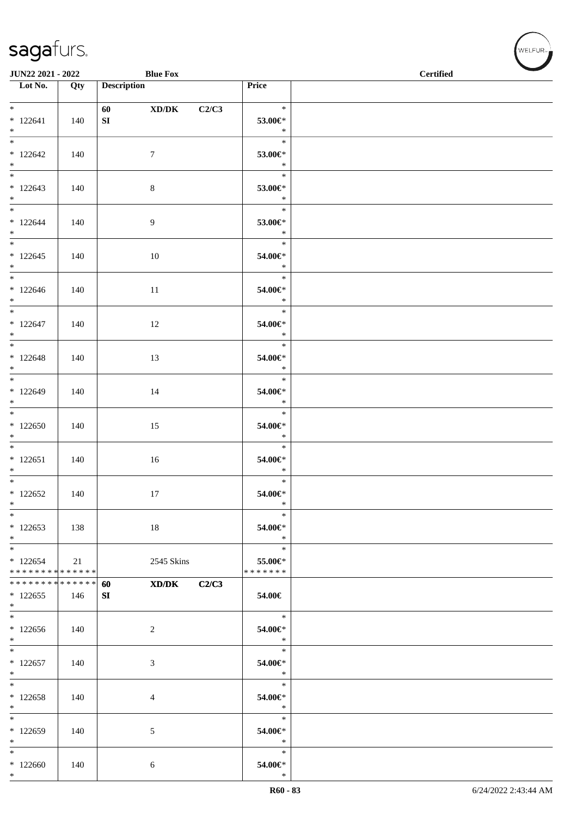| <b>JUN22 2021 - 2022</b>                          |     | <b>Blue Fox</b>    |                                      | <b>Certified</b> |  |  |  |  |
|---------------------------------------------------|-----|--------------------|--------------------------------------|------------------|--|--|--|--|
| Lot No.                                           | Qty | <b>Description</b> | Price                                |                  |  |  |  |  |
| $*$<br>$* 122641$<br>$*$                          | 140 | 60 XD/DK<br>SI     | $\ast$<br>C2/C3<br>53.00€*<br>$\ast$ |                  |  |  |  |  |
| $*122642$<br>$*$                                  | 140 | $7\phantom{.0}$    | $\ast$<br>53.00€*<br>$\ast$          |                  |  |  |  |  |
| $*122643$<br>$*$                                  | 140 | 8                  | $\ast$<br>53.00€*<br>$*$             |                  |  |  |  |  |
| $*$<br>$*122644$<br>$*$                           | 140 | 9                  | $\ast$<br>53.00€*<br>$\ast$          |                  |  |  |  |  |
| $*$<br>$*122645$<br>$*$                           | 140 | 10                 | $\ast$<br>54.00€*<br>$\ast$          |                  |  |  |  |  |
| $*$<br>$*122646$<br>$*$                           | 140 | 11                 | $\ast$<br>54.00€*<br>$*$             |                  |  |  |  |  |
| $*$ and $*$<br>$*122647$<br>$*$ $*$               | 140 | 12                 | $\ast$<br>54.00€*<br>$\ast$          |                  |  |  |  |  |
| $* 122648$<br>$*$                                 | 140 | 13                 | $\ast$<br>54.00€*<br>$\ast$          |                  |  |  |  |  |
| $*122649$<br>$*$                                  | 140 | 14                 | $\ast$<br>54.00€*<br>$\ast$          |                  |  |  |  |  |
| $*$<br>$*122650$<br>$*$                           | 140 | 15                 | $\ast$<br>54.00€*<br>$\ast$          |                  |  |  |  |  |
| $*$<br>$* 122651$<br>$*$                          | 140 | 16                 | $\ast$<br>54.00€*<br>$\ast$          |                  |  |  |  |  |
| $*$ $*$<br>$*122652$<br>$*$                       | 140 | 17                 | $\ast$<br>54.00€*<br>$\ast$          |                  |  |  |  |  |
| $\ast$<br>$*122653$<br>$*$                        | 138 | 18                 | $\ast$<br>54.00€*<br>$\ast$          |                  |  |  |  |  |
| $*$<br>$*122654$<br>* * * * * * * * * * * * * * * | 21  | 2545 Skins         | $\ast$<br>55.00€*<br>*******         |                  |  |  |  |  |
| * * * * * * * * * * * * * * *<br>$*122655$<br>$*$ | 146 | XD/DK<br>60<br>SI  | C2/C3<br>54.00€                      |                  |  |  |  |  |
| $*122656$<br>$*$                                  | 140 | 2                  | $\ast$<br>54.00€*<br>$\ast$          |                  |  |  |  |  |
| $*$<br>$*122657$<br>$*$                           | 140 | 3                  | $\ast$<br>54.00€*<br>$\ast$          |                  |  |  |  |  |
| $*$<br>$*122658$<br>$*$                           | 140 | 4                  | $\ast$<br>54.00€*<br>$\ast$          |                  |  |  |  |  |
| $*$<br>* 122659<br>$*$                            | 140 | 5                  | $\ast$<br>54.00€*<br>$\ast$          |                  |  |  |  |  |
| $*$<br>$*122660$<br>$*$                           | 140 | 6                  | $\ast$<br>54.00€*<br>$\ast$          |                  |  |  |  |  |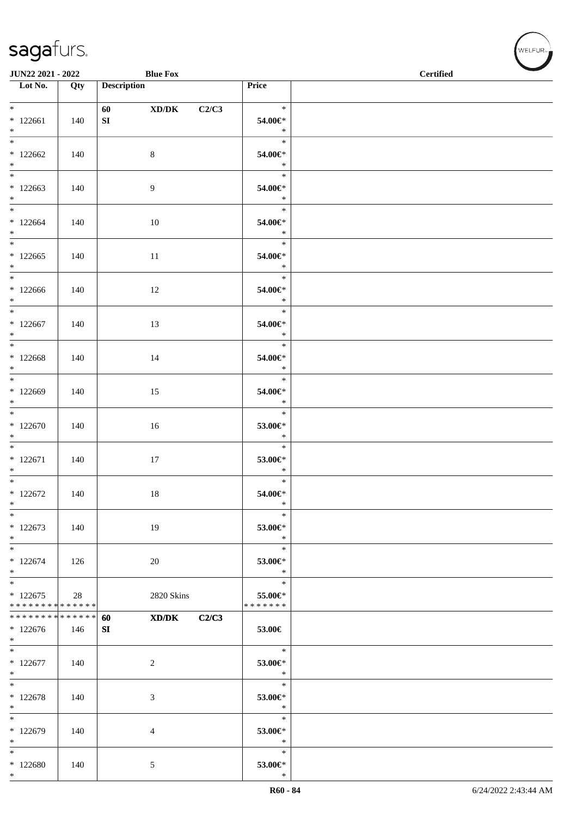| <b>JUN22 2021 - 2022</b>                 |     |                    | <b>Blue Fox</b> |       |                          | $\overline{\phantom{0}}$<br><b>Certified</b> |
|------------------------------------------|-----|--------------------|-----------------|-------|--------------------------|----------------------------------------------|
| $\overline{\phantom{1}}$ Lot No.         | Qty | <b>Description</b> |                 |       | <b>Price</b>             |                                              |
|                                          |     |                    |                 |       |                          |                                              |
| $*$ $*$                                  |     |                    | XD/DK           | C2/C3 | $\ast$                   |                                              |
| $*122661$                                | 140 | SI                 |                 |       | 54.00€*                  |                                              |
| $*$                                      |     |                    |                 |       | $\ast$                   |                                              |
|                                          |     |                    |                 |       | $\ast$                   |                                              |
| $*122662$                                | 140 |                    | $8\,$           |       | 54.00€*                  |                                              |
| $*$                                      |     |                    |                 |       | $\ast$                   |                                              |
|                                          |     |                    |                 |       | $\ast$                   |                                              |
| $*122663$<br>$*$                         | 140 |                    | $\overline{9}$  |       | 54.00€*<br>$\ast$        |                                              |
| $*$                                      |     |                    |                 |       | $\ast$                   |                                              |
| $*122664$                                | 140 |                    | 10              |       | 54.00€*                  |                                              |
| $*$                                      |     |                    |                 |       | $\ast$                   |                                              |
|                                          |     |                    |                 |       | $\ast$                   |                                              |
| $*122665$                                | 140 |                    | 11              |       | 54.00€*                  |                                              |
| $*$                                      |     |                    |                 |       | $\ast$                   |                                              |
| $*$ $*$                                  |     |                    |                 |       | 75<br>$\ast$             |                                              |
| $*122666$                                | 140 |                    | 12              |       | 54.00€*                  |                                              |
| $*$                                      |     |                    |                 |       | $\ast$                   |                                              |
| $*$                                      |     |                    |                 |       | $\ast$                   |                                              |
| $*122667$<br>$*$                         | 140 |                    | 13              |       | 54.00€*<br>$\ast$        |                                              |
| $\overline{\ast}$                        |     |                    |                 |       | $\ast$                   |                                              |
| $*122668$                                | 140 |                    | 14              |       | 54.00€*                  |                                              |
| $*$                                      |     |                    |                 |       | $\ast$                   |                                              |
| $*$ $*$                                  |     |                    |                 |       | $\ast$                   |                                              |
| $*122669$                                | 140 |                    | 15              |       | 54.00€*                  |                                              |
| $*$                                      |     |                    |                 |       | $\ast$                   |                                              |
|                                          |     |                    |                 |       | $\ast$                   |                                              |
| * 122670                                 | 140 |                    | 16              |       | 53.00€*                  |                                              |
| $*$                                      |     |                    |                 |       | $\ast$<br>$\ast$         |                                              |
|                                          |     |                    |                 |       |                          |                                              |
| $* 122671$<br>$*$                        | 140 |                    | 17              |       | 53.00€*<br>$\ast$        |                                              |
| $*$                                      |     |                    |                 |       | $\ast$                   |                                              |
| $*122672$                                | 140 |                    | 18              |       | 54.00€*                  |                                              |
| $\ast$                                   |     |                    |                 |       | $\ast$                   |                                              |
| $*$                                      |     |                    |                 |       | $\ast$                   |                                              |
| $*122673$                                | 140 |                    | 19              |       | 53.00€*                  |                                              |
| $*$                                      |     |                    |                 |       | $\ast$                   |                                              |
| $*$                                      |     |                    |                 |       | $\ast$                   |                                              |
| $*122674$                                | 126 |                    | 20              |       | 53.00€*                  |                                              |
| $*$                                      |     |                    |                 |       | $\ast$                   |                                              |
| $*$                                      |     |                    |                 |       | $\ast$                   |                                              |
| $*122675$<br>* * * * * * * * * * * * * * | 28  |                    | 2820 Skins      |       | 55.00€*<br>* * * * * * * |                                              |
| * * * * * * * * * * * * * * *            |     | 60                 | XD/DK           | C2/C3 |                          |                                              |
| $*122676$                                | 146 | SI                 |                 |       | 53.00€                   |                                              |
| $*$                                      |     |                    |                 |       |                          |                                              |
|                                          |     |                    |                 |       | $\ast$                   |                                              |
| $*122677$                                | 140 |                    | $\overline{2}$  |       | 53.00€*                  |                                              |
| $*$                                      |     |                    |                 |       | $\ast$                   |                                              |
| $*$                                      |     |                    |                 |       | $\ast$                   |                                              |
| $*122678$                                | 140 |                    | 3               |       | 53.00€*                  |                                              |
| $*$<br>$*$                               |     |                    |                 |       | $\ast$<br>$\ast$         |                                              |
| * 122679                                 | 140 |                    |                 |       | 53.00€*                  |                                              |
| $\ast$                                   |     |                    | 4               |       | $\ast$                   |                                              |
| $*$                                      |     |                    |                 |       | $\ast$                   |                                              |
| $*122680$                                | 140 |                    | 5               |       | 53.00€*                  |                                              |
| $*$                                      |     |                    |                 |       | $\ast$                   |                                              |

WELFUR-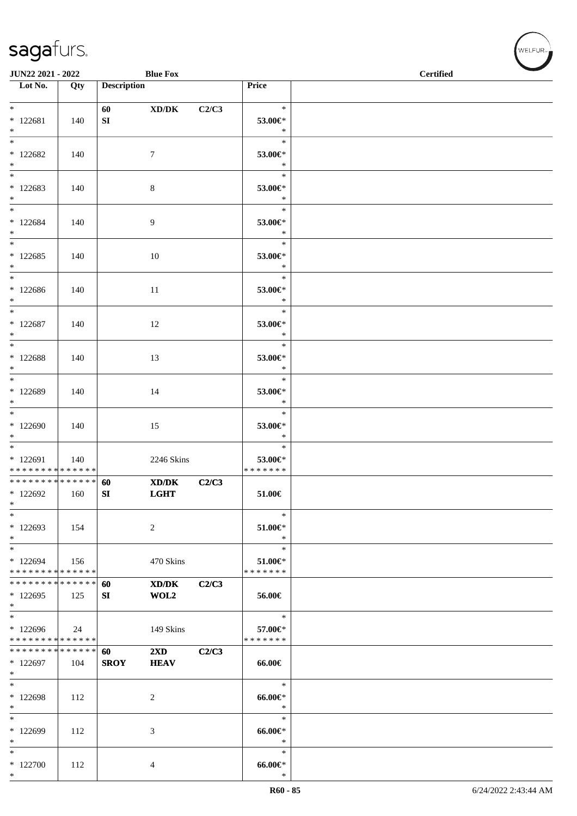| <b>JUN22 2021 - 2022</b>                   |     |                    | <b>Blue Fox</b>         |       |                       | <b>Certified</b> |
|--------------------------------------------|-----|--------------------|-------------------------|-------|-----------------------|------------------|
| $\overline{\phantom{1}}$ Lot No.           | Qty | <b>Description</b> |                         |       | Price                 |                  |
| $*$ $-$                                    |     |                    |                         |       | $\ast$                |                  |
| $* 122681$                                 | 140 | 60<br>SI           | XD/DK                   | C2/C3 | 53.00€*               |                  |
| $*$                                        |     |                    |                         |       | $\ast$                |                  |
| $*$                                        |     |                    |                         |       | $\ast$                |                  |
| $*122682$                                  | 140 |                    | $\tau$                  |       | 53.00€*               |                  |
| $*$                                        |     |                    |                         |       | $\ast$                |                  |
|                                            |     |                    |                         |       | $\ast$                |                  |
| $*122683$<br>$*$                           | 140 |                    | 8                       |       | 53.00€*<br>$\ast$     |                  |
| $\overline{\ast}$                          |     |                    |                         |       | $\ast$                |                  |
| $*122684$                                  | 140 |                    | $\overline{9}$          |       | 53.00€*               |                  |
| $*$                                        |     |                    |                         |       | $\ast$                |                  |
| $*$                                        |     |                    |                         |       | $\ast$                |                  |
| $*122685$                                  | 140 |                    | 10                      |       | $53.00 \text{E}^*$    |                  |
| $*$<br>$*$ $-$                             |     |                    |                         |       | $\ast$<br>$\ast$      |                  |
| $*122686$                                  | 140 |                    | 11                      |       | 53.00€*               |                  |
| $*$                                        |     |                    |                         |       | $\ast$                |                  |
| $*$                                        |     |                    |                         |       | $\ast$                |                  |
| $*122687$                                  | 140 |                    | 12                      |       | 53.00€*               |                  |
| $*$                                        |     |                    |                         |       | $\ast$                |                  |
| $*$                                        |     |                    |                         |       | $\ast$                |                  |
| * 122688<br>$*$                            | 140 |                    | 13                      |       | 53.00€*<br>$\ast$     |                  |
|                                            |     |                    |                         |       | $\ast$                |                  |
| * 122689                                   | 140 |                    | 14                      |       | 53.00€*               |                  |
| $*$                                        |     |                    |                         |       | $\ast$                |                  |
| $*$                                        |     |                    |                         |       | $\ast$                |                  |
| * 122690                                   | 140 |                    | 15                      |       | 53.00€*               |                  |
| $*$<br>$*$                                 |     |                    |                         |       | $\ast$<br>$\ast$      |                  |
| $* 122691$                                 | 140 |                    | 2246 Skins              |       | 53.00€*               |                  |
| * * * * * * * * <mark>* * * * * *</mark>   |     |                    |                         |       | * * * * * * *         |                  |
| * * * * * * * * * * * * * * <mark>*</mark> |     | 60                 | XD/DK                   | C2/C3 |                       |                  |
| $*122692$                                  | 160 | SI                 | <b>LGHT</b>             |       | 51.00€                |                  |
| *                                          |     |                    |                         |       |                       |                  |
| $\ast$<br>* 122693                         |     |                    |                         |       | $\ast$                |                  |
| $*$                                        | 154 |                    | 2                       |       | $51.00 \in$<br>$\ast$ |                  |
| $*$                                        |     |                    |                         |       | $\ast$                |                  |
| $*122694$                                  | 156 |                    | 470 Skins               |       | $51.00 \in$           |                  |
| * * * * * * * * * * * * * *                |     |                    |                         |       | * * * * * * *         |                  |
| * * * * * * * * <mark>* * * * * *</mark>   |     | 60                 | XD/DK                   | C2/C3 |                       |                  |
| $*122695$<br>$\ast$                        | 125 | SI                 | WOL2                    |       | 56.00€                |                  |
| $\ast$                                     |     |                    |                         |       | $\ast$                |                  |
| * 122696                                   | 24  |                    | 149 Skins               |       | 57.00€*               |                  |
| * * * * * * * * * * * * * *                |     |                    |                         |       | * * * * * * *         |                  |
| * * * * * * * * * * * * * *                |     | 60                 | $2\mathbf{X}\mathbf{D}$ | C2/C3 |                       |                  |
| * 122697                                   | 104 | <b>SROY</b>        | <b>HEAV</b>             |       | 66.00€                |                  |
| $\ast$<br>$*$                              |     |                    |                         |       | $\ast$                |                  |
| * 122698                                   | 112 |                    | 2                       |       | $66.00 \in$           |                  |
| $\ast$                                     |     |                    |                         |       | $\ast$                |                  |
| $*$                                        |     |                    |                         |       | $\ast$                |                  |
| * 122699                                   | 112 |                    | 3                       |       | $66.00 \text{e}$      |                  |
| $\ast$                                     |     |                    |                         |       | $\ast$                |                  |
| $*$                                        |     |                    |                         |       | $\ast$                |                  |
| $*122700$<br>$*$                           | 112 |                    | 4                       |       | $66.00 \in$<br>$\ast$ |                  |

、<br>WELFUR<sub>™</sub>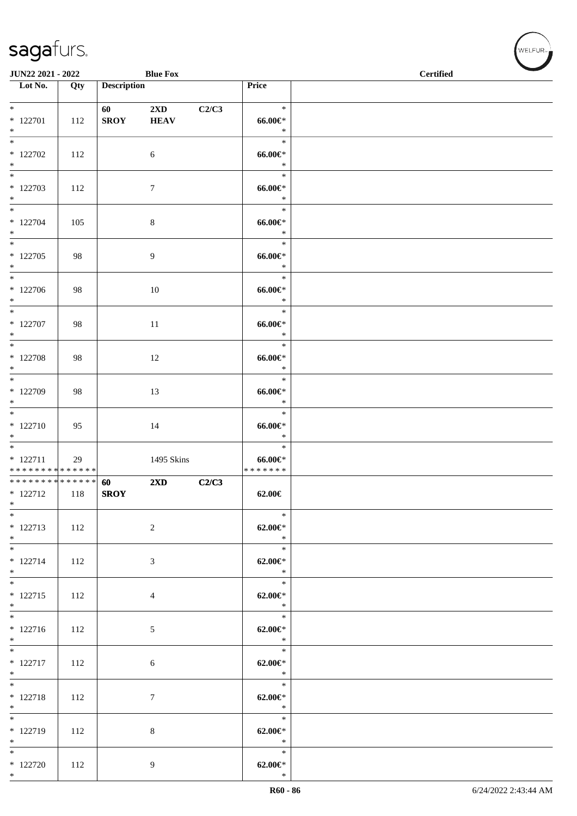| <b>JUN22 2021 - 2022</b>                                 |     |                                                                                                                                                                                                                                                | <b>Blue Fox</b>                        |       |                                                    | $\overline{\phantom{a}}$<br><b>Certified</b> |
|----------------------------------------------------------|-----|------------------------------------------------------------------------------------------------------------------------------------------------------------------------------------------------------------------------------------------------|----------------------------------------|-------|----------------------------------------------------|----------------------------------------------|
| Lot No.                                                  | Qty | <b>Description</b>                                                                                                                                                                                                                             |                                        |       | Price                                              |                                              |
| $*$<br>$*$ 122701<br>$*$                                 | 112 | 60 — 100 — 100 — 100 — 100 — 100 — 100 — 100 — 100 — 100 — 100 — 100 — 100 — 100 — 100 — 100 — 100 — 100 — 100 — 100 — 100 — 100 — 100 — 100 — 100 — 100 — 100 — 100 — 100 — 100 — 100 — 100 — 100 — 100 — 100 — 100 — 100 — 10<br><b>SROY</b> | $2\mathbf{X}\mathbf{D}$<br><b>HEAV</b> | C2/C3 | $\ast$<br>$66.00 \in$<br>$\ast$                    |                                              |
| $*122702$<br>$*$                                         | 112 |                                                                                                                                                                                                                                                | 6                                      |       | $\ast$<br>$66.00 \text{e}$<br>$\ast$               |                                              |
| $*122703$<br>$*$                                         | 112 |                                                                                                                                                                                                                                                | $\tau$                                 |       | $\ast$<br>$66.00 \in$<br>$\ast$                    |                                              |
| $*$<br>* 122704<br>$*$                                   | 105 |                                                                                                                                                                                                                                                | $\,8\,$                                |       | $\ast$<br>$66.00 \in$<br>$\ast$                    |                                              |
| $* 122705$<br>$*$                                        | 98  |                                                                                                                                                                                                                                                | 9                                      |       | $\ast$<br>$66.00 \in$<br>$\ast$                    |                                              |
| $*$<br>$*122706$<br>$*$                                  | 98  |                                                                                                                                                                                                                                                | 10                                     |       | $\ast$<br>$66.00 \in$<br>$\ast$                    |                                              |
| $*$<br>$* 122707$<br>$*$                                 | 98  |                                                                                                                                                                                                                                                | 11                                     |       | $\ast$<br>$66.00 \in$<br>$\ast$                    |                                              |
| $\overline{\ast}$<br>$* 122708$<br>$*$                   | 98  |                                                                                                                                                                                                                                                | 12                                     |       | $\ast$<br>$66.00 \in$<br>$\ast$                    |                                              |
| * 122709<br>$\ast$                                       | 98  |                                                                                                                                                                                                                                                | 13                                     |       | $\ast$<br>$66.00 \text{e}$<br>$\ast$               |                                              |
| $\overline{\ast}$<br>* 122710<br>$*$                     | 95  |                                                                                                                                                                                                                                                | 14                                     |       | $\ast$<br>$66.00 \in$<br>$\ast$                    |                                              |
| $* 122711$<br>* * * * * * * * <mark>* * * * * * *</mark> | 29  |                                                                                                                                                                                                                                                | 1495 Skins                             |       | $\ast$<br>66.00€*<br>* * * * * * *                 |                                              |
| ******** <mark>******</mark><br>$* 122712$<br>$*$        | 118 | 60<br><b>SROY</b>                                                                                                                                                                                                                              | $2\mathbf{X}\mathbf{D}$                | C2/C3 | $62.00 \in$                                        |                                              |
| $\ast$<br>$* 122713$<br>$*$ $-$                          | 112 |                                                                                                                                                                                                                                                | $\sqrt{2}$                             |       | $\ast$<br>$62.00 \in$<br>$\ast$                    |                                              |
| $*$<br>$* 122714$<br>$*$                                 | 112 |                                                                                                                                                                                                                                                | 3                                      |       | $\ast$<br>$62.00 \in$ *<br>$\ast$                  |                                              |
| $*$<br>$* 122715$<br>$*$                                 | 112 |                                                                                                                                                                                                                                                | $\overline{4}$                         |       | $\mathcal{L}$<br>$\ast$<br>$62.00 \in$ *<br>$\ast$ |                                              |
| $\overline{\ast}$<br>$* 122716$<br>$*$                   | 112 |                                                                                                                                                                                                                                                | $\mathfrak{S}$                         |       | $\ast$<br>$62.00 \in$<br>$\rightarrow$             |                                              |
| $* 122717$<br>$*$                                        | 112 |                                                                                                                                                                                                                                                | 6                                      |       | $\ast$<br>$62.00 \in$ *<br>$\ast$                  |                                              |
| $*$<br>$* 122718$<br>$*$                                 | 112 |                                                                                                                                                                                                                                                | $\tau$                                 |       | $\ast$<br>$62.00 \in$ *<br>$\ast$                  |                                              |
| $*$<br>$* 122719$<br>$*$                                 | 112 |                                                                                                                                                                                                                                                | 8                                      |       | $\ast$<br>$62.00 \in$ *<br>$\rightarrow$           |                                              |
| $*$<br>$*$ 122720<br>$*$                                 | 112 |                                                                                                                                                                                                                                                | 9                                      |       | $\ast$<br>$62.00 \in$ *<br>$\ast$                  |                                              |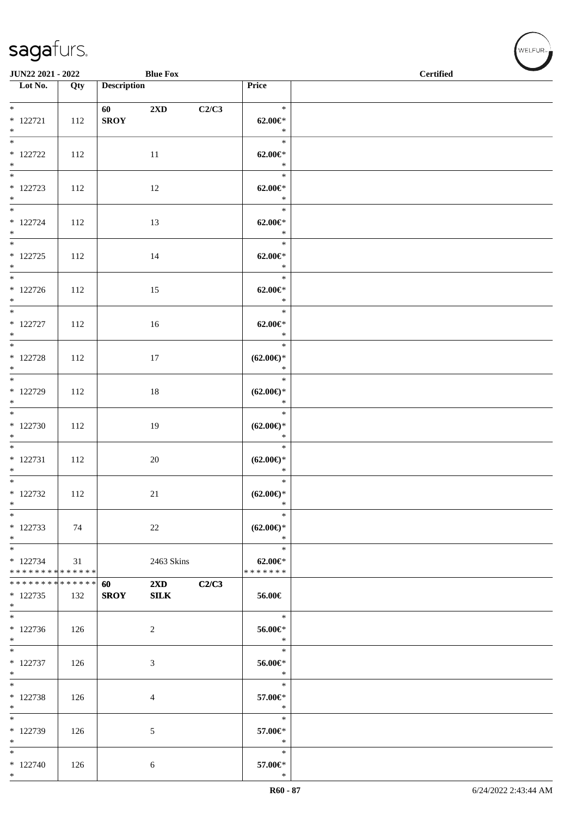|                                                                | <b>Blue Fox</b><br><b>JUN22 2021 - 2022</b> |                                                                                                                                                                                                                                                |                                        |       |                                         | $\operatorname{\bf \mathbf{Certified}}$ | <b>Contract Contract Contract Contract Contract Contract Contract Contract Contract Contract Contract Contract Contract Contract Contract Contract Contract Contract Contract Contract Contract Contract Contract Contract Contr</b> |
|----------------------------------------------------------------|---------------------------------------------|------------------------------------------------------------------------------------------------------------------------------------------------------------------------------------------------------------------------------------------------|----------------------------------------|-------|-----------------------------------------|-----------------------------------------|--------------------------------------------------------------------------------------------------------------------------------------------------------------------------------------------------------------------------------------|
| Lot No.                                                        | Qty                                         | <b>Description</b>                                                                                                                                                                                                                             |                                        |       | Price                                   |                                         |                                                                                                                                                                                                                                      |
| $*$                                                            |                                             |                                                                                                                                                                                                                                                |                                        |       | $\ast$                                  |                                         |                                                                                                                                                                                                                                      |
| $* 122721$<br>$*$                                              | 112                                         | 60 — 100 — 100 — 100 — 100 — 100 — 100 — 100 — 100 — 100 — 100 — 100 — 100 — 100 — 100 — 100 — 100 — 100 — 100 — 100 — 100 — 100 — 100 — 100 — 100 — 100 — 100 — 100 — 100 — 100 — 100 — 100 — 100 — 100 — 100 — 100 — 100 — 10<br><b>SROY</b> | $2\mathbf{X}\mathbf{D}$                | C2/C3 | $62.00 \in$<br>$\ast$                   |                                         |                                                                                                                                                                                                                                      |
| $\overline{\ast}$<br>$* 122722$<br>$*$                         | 112                                         |                                                                                                                                                                                                                                                | 11                                     |       | $\ast$<br>$62.00 \in$ *<br>$\ast$       |                                         |                                                                                                                                                                                                                                      |
| $* 122723$<br>$*$                                              | 112                                         |                                                                                                                                                                                                                                                | 12                                     |       | $\ast$<br>$62.00 \in$ *<br>$\ast$       |                                         |                                                                                                                                                                                                                                      |
| $\overline{\ast}$<br>$* 122724$<br>$*$                         | 112                                         |                                                                                                                                                                                                                                                | 13                                     |       | $\ast$<br>$62.00 \in$<br>$\ast$         |                                         |                                                                                                                                                                                                                                      |
| $*$ and $*$<br>$* 122725$<br>$*$                               | 112                                         |                                                                                                                                                                                                                                                | 14                                     |       | Ξ,<br>$\ast$<br>$62.00 \in$<br>$\ast$   |                                         |                                                                                                                                                                                                                                      |
| $\overline{\mathbf{r}^*}$<br>$* 122726$<br>$*$                 | 112                                         |                                                                                                                                                                                                                                                | 15                                     |       | $\ast$<br>$62.00 \in$ *<br>$\ast$       |                                         |                                                                                                                                                                                                                                      |
| $*$<br>$* 122727$<br>$*$                                       | 112                                         |                                                                                                                                                                                                                                                | 16                                     |       | $\ast$<br>$62.00 \in$ *<br>$\ast$       |                                         |                                                                                                                                                                                                                                      |
| $* 122728$<br>$*$                                              | 112                                         |                                                                                                                                                                                                                                                | 17                                     |       | $\ast$<br>$(62.00\epsilon)$ *<br>$\ast$ |                                         |                                                                                                                                                                                                                                      |
| $\overline{\mathbf{r}^*}$<br>* 122729<br>$*$                   | 112                                         |                                                                                                                                                                                                                                                | 18                                     |       | $\ast$<br>$(62.00\epsilon)$ *<br>$\ast$ |                                         |                                                                                                                                                                                                                                      |
| $*122730$<br>$*$                                               | 112                                         |                                                                                                                                                                                                                                                | 19                                     |       | $\ast$<br>$(62.00\epsilon)$ *<br>$\ast$ |                                         |                                                                                                                                                                                                                                      |
| $* 122731$<br>$*$                                              | 112                                         |                                                                                                                                                                                                                                                | $20\,$                                 |       | $\ast$<br>$(62.00\epsilon)$ *<br>$\ast$ |                                         |                                                                                                                                                                                                                                      |
| $* 122732$<br>$\ast$                                           | 112                                         |                                                                                                                                                                                                                                                | 21                                     |       | $\ast$<br>$(62.00\epsilon)$ *<br>$*$    |                                         |                                                                                                                                                                                                                                      |
| $\ast$<br>* 122733<br>$*$                                      | 74                                          |                                                                                                                                                                                                                                                | 22                                     |       | $\ast$<br>$(62.00\epsilon)$ *<br>$\ast$ |                                         |                                                                                                                                                                                                                                      |
| $*$<br>$* 122734$<br>* * * * * * * * * * * * * *               | 31                                          |                                                                                                                                                                                                                                                | 2463 Skins                             |       | $\ast$<br>$62.00 \in$<br>* * * * * * *  |                                         |                                                                                                                                                                                                                                      |
| * * * * * * * * * * * * * * <mark>*</mark><br>$*122735$<br>$*$ | 132                                         | 60<br><b>SROY</b>                                                                                                                                                                                                                              | $2\mathbf{X}\mathbf{D}$<br><b>SILK</b> | C2/C3 | 56.00€                                  |                                         |                                                                                                                                                                                                                                      |
| $\overline{\phantom{0}}$<br>$*122736$<br>$*$                   | 126                                         |                                                                                                                                                                                                                                                | 2                                      |       | $\ast$<br>56.00€*<br>$\ast$             |                                         |                                                                                                                                                                                                                                      |
| $*$<br>$* 122737$<br>$*$                                       | 126                                         |                                                                                                                                                                                                                                                | 3                                      |       | $\ast$<br>56.00€*<br>$\ast$             |                                         |                                                                                                                                                                                                                                      |
| $\overline{\phantom{0}}$<br>* 122738<br>$*$                    | 126                                         |                                                                                                                                                                                                                                                | $\overline{4}$                         |       | $\ast$<br>57.00€*<br>$\ast$             |                                         |                                                                                                                                                                                                                                      |
| $\ast$<br>* 122739<br>$*$                                      | 126                                         |                                                                                                                                                                                                                                                | 5                                      |       | $\ast$<br>57.00€*<br>$\ast$             |                                         |                                                                                                                                                                                                                                      |
| $*$<br>$*122740$<br>$*$                                        | 126                                         |                                                                                                                                                                                                                                                | 6                                      |       | $\ast$<br>57.00€*<br>$\ast$             |                                         |                                                                                                                                                                                                                                      |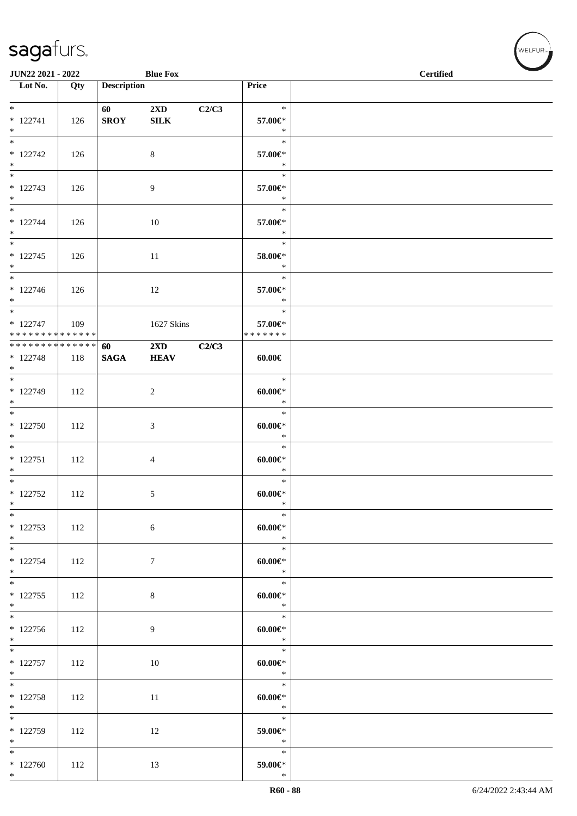| JUN22 2021 - 2022                                  |     |                    | <b>Blue Fox</b>                         |       |                                         | <b>Certified</b> |
|----------------------------------------------------|-----|--------------------|-----------------------------------------|-------|-----------------------------------------|------------------|
| $\overline{\phantom{a}}$ Lot No.                   | Qty | <b>Description</b> |                                         |       | Price                                   |                  |
| $*$<br>$* 122741$<br>$*$                           | 126 | <b>SROY</b>        | $2\mathbf{X}\mathbf{D}$<br>${\bf SILK}$ | C2/C3 | $\ast$<br>57.00€*<br>$\ast$             |                  |
| $* 122742$<br>$*$                                  | 126 |                    | 8                                       |       | $\ast$<br>57.00€*<br>$\ast$             |                  |
| $* 122743$<br>$*$                                  | 126 |                    | 9                                       |       | $\ast$<br>57.00€*<br>$\ast$             |                  |
| $*$<br>$* 122744$<br>$*$                           | 126 |                    | 10                                      |       | $\ast$<br>57.00€*<br>$\ast$             |                  |
| $\overline{\ }$<br>$* 122745$<br>$*$               | 126 |                    | 11                                      |       | $\ast$<br>58.00€*<br>$\ast$             |                  |
| $*$<br>$* 122746$<br>$*$                           | 126 |                    | 12                                      |       | $\ast$<br>57.00€*<br>$\ast$             |                  |
| $*$<br>$* 122747$<br>* * * * * * * * * * * * * * * | 109 |                    | 1627 Skins                              |       | $\ast$<br>57.00€*<br>* * * * * * *      |                  |
| ******** <mark>******</mark><br>$* 122748$<br>$*$  | 118 | 60<br><b>SAGA</b>  | 2XD<br><b>HEAV</b>                      | C2/C3 | $60.00 \in$                             |                  |
| $*$<br>$* 122749$<br>$*$                           | 112 |                    | 2                                       |       | $\ast$<br>$60.00 \in$<br>$\ast$         |                  |
| $*$<br>* 122750<br>$*$                             | 112 |                    | 3                                       |       | $\ast$<br>$60.00 \in$<br>$\ast$         |                  |
| $* 122751$<br>$*$                                  | 112 |                    | $\overline{4}$                          |       | $\ast$<br>$60.00 \in$<br>$\ast$         |                  |
| $*$<br>$* 122752$<br>$*$                           | 112 |                    | 5                                       |       | $\ast$<br>$60.00 \in$<br>$\ast$         |                  |
| $*$<br>$* 122753$<br>$*$                           | 112 |                    | $\sqrt{6}$                              |       | $\ast$<br>$60.00 \in$<br>$\mathbb{R}^n$ |                  |
| $*$<br>$* 122754$<br>$*$                           | 112 |                    | $\boldsymbol{7}$                        |       | $\ast$<br>$60.00 \in$<br>$\ast$         |                  |
| $*$<br>$* 122755$<br>$*$                           | 112 |                    | 8                                       |       | $\ast$<br>$60.00 \in$<br>$\ast$         |                  |
| $*122756$<br>$*$                                   | 112 |                    | 9                                       |       | $\ast$<br>$60.00 \in$<br>$\ast$         |                  |
| $* 122757$<br>$*$                                  | 112 |                    | 10                                      |       | $\ast$<br>$60.00 \in$<br>$\ast$         |                  |
| $*$<br>$* 122758$<br>$*$                           | 112 |                    | 11                                      |       | $\ast$<br>$60.00 \in$<br>$\ast$         |                  |
| $*122759$<br>$*$                                   | 112 |                    | 12                                      |       | $\ast$<br>59.00€*<br>$\ast$             |                  |
| $*$<br>$*122760$<br>$*$                            | 112 |                    | 13                                      |       | $\ast$<br>59.00€*<br>$\ast$             |                  |

、<br>WELFUR<sub>™</sub>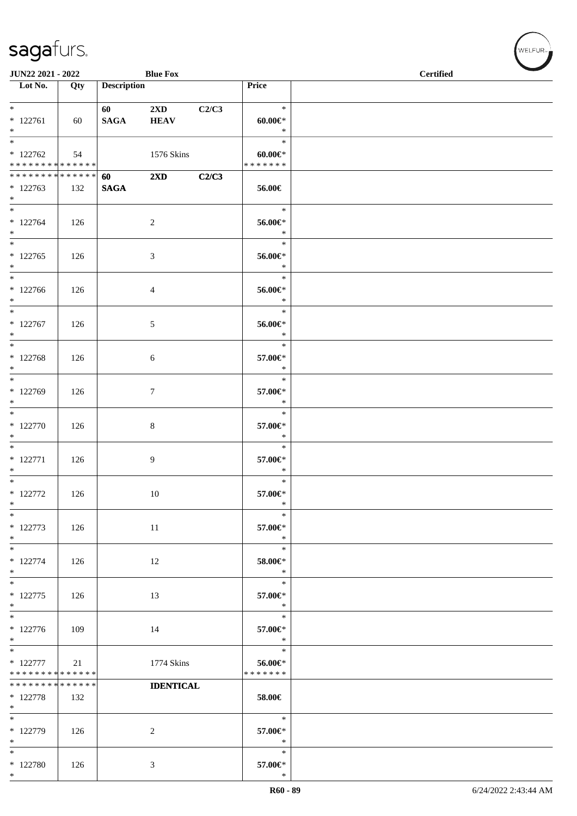| <b>JUN22 2021 - 2022</b>                                                   |     |                       | <b>Blue Fox</b>                        |       |                                        | $\overline{\phantom{a}}$<br><b>Certified</b> |
|----------------------------------------------------------------------------|-----|-----------------------|----------------------------------------|-------|----------------------------------------|----------------------------------------------|
| $\overline{\phantom{1}}$ Lot No.                                           | Qty | <b>Description</b>    |                                        |       | Price                                  |                                              |
| $*$ $*$<br>$* 122761$<br>$*$                                               | 60  | 60 000<br><b>SAGA</b> | $2\mathbf{X}\mathbf{D}$<br><b>HEAV</b> | C2/C3 | $\ast$<br>$60.00 \in$<br>$\ast$        |                                              |
| $\overline{\ }$<br>$*122762$<br>* * * * * * * * <mark>* * * * * * *</mark> | 54  |                       | 1576 Skins                             |       | $\ast$<br>$60.00 \in$<br>* * * * * * * |                                              |
| ******** <mark>******</mark><br>$*122763$<br>$*$                           | 132 | 60<br><b>SAGA</b>     | $2\mathbf{X}\mathbf{D}$                | C2/C3 | 56.00€                                 |                                              |
| $*$<br>$*122764$<br>$*$                                                    | 126 |                       | $\sqrt{2}$                             |       | $\ast$<br>56.00€*<br>$\ast$            |                                              |
| $* 122765$<br>$*$                                                          | 126 |                       | $\mathfrak{Z}$                         |       | $\ast$<br>56.00€*<br>$\ast$            |                                              |
| $*$<br>$*122766$<br>$*$                                                    | 126 |                       | 4                                      |       | $\ast$<br>56.00€*<br>$\ast$            |                                              |
| $*$<br>$* 122767$<br>$*$                                                   | 126 |                       | 5                                      |       | $\ast$<br>56.00€*<br>$\ast$            |                                              |
| * 122768<br>$*$                                                            | 126 |                       | 6                                      |       | $\ast$<br>57.00€*<br>$\ast$            |                                              |
| * 122769<br>$*$                                                            | 126 |                       | $\tau$                                 |       | $\ast$<br>57.00€*<br>$\ast$            |                                              |
| $*$<br>$* 122770$<br>$*$                                                   | 126 |                       | $\,8\,$                                |       | $\ast$<br>57.00€*<br>$\ast$            |                                              |
| $*$<br>$* 122771$<br>$*$                                                   | 126 |                       | 9                                      |       | $\ast$<br>57.00€*<br>$\ast$            |                                              |
| $*$<br>$* 122772$<br>$\ast$                                                | 126 |                       | 10                                     |       | $\ast$<br>57.00€*<br>$\ast$            |                                              |
| $\ast$<br>* 122773<br>$*$                                                  | 126 |                       | 11                                     |       | $\ast$<br>57.00€*<br>$\ast$            |                                              |
| $*$<br>$* 122774$<br>$*$                                                   | 126 |                       | 12                                     |       | $\ast$<br>58.00€*<br>$\ast$            |                                              |
| $*$<br>$* 122775$<br>$*$                                                   | 126 |                       | 13                                     |       | $\ast$<br>57.00€*<br>$\ast$            |                                              |
| $\overline{\phantom{0}}$<br>$* 122776$<br>$*$                              | 109 |                       | 14                                     |       | $\ast$<br>57.00€*<br>$\ast$            |                                              |
| $*$<br>$* 122777$<br>* * * * * * * * * * * * * *                           | 21  |                       | 1774 Skins                             |       | $\ast$<br>56.00€*<br>* * * * * * *     |                                              |
| * * * * * * * * * * * * * *<br>* 122778<br>$\ast$                          | 132 |                       | <b>IDENTICAL</b>                       |       | 58.00€                                 |                                              |
| $*$<br>* 122779<br>$*$                                                     | 126 |                       | 2                                      |       | $\ast$<br>57.00€*<br>$\ast$            |                                              |
| $*$<br>* 122780<br>$*$                                                     | 126 |                       | 3                                      |       | $\ast$<br>57.00€*<br>$\ast$            |                                              |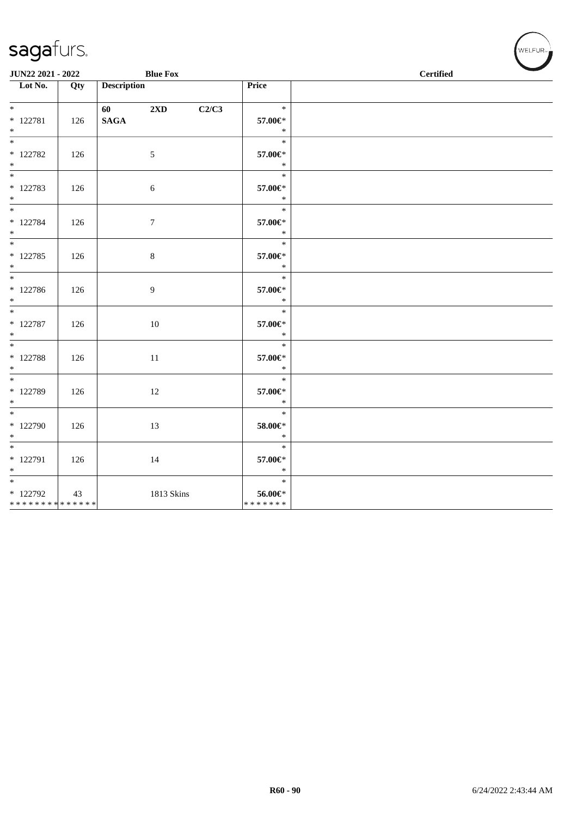| JUN22 2021 - 2022                               |     |                                                                                                                                                                                                                                                    | <b>Blue Fox</b> |       |                                        | <b>Certified</b> |  |  |
|-------------------------------------------------|-----|----------------------------------------------------------------------------------------------------------------------------------------------------------------------------------------------------------------------------------------------------|-----------------|-------|----------------------------------------|------------------|--|--|
| $\overline{\phantom{1}}$ Lot No.                | Qty | <b>Description</b>                                                                                                                                                                                                                                 |                 |       | Price                                  |                  |  |  |
| $*$ $*$<br>$* 122781$<br>$*$                    | 126 | 60 — 100 — 100 — 100 — 100 — 100 — 100 — 100 — 100 — 100 — 100 — 100 — 100 — 100 — 100 — 100 — 100 — 100 — 100 — 100 — 100 — 100 — 100 — 100 — 100 — 100 — 100 — 100 — 100 — 100 — 100 — 100 — 100 — 100 — 100 — 100 — 100 — 10<br>$\mathbf{SAGA}$ | 2XD             | C2/C3 | $\ast$<br>57.00€*<br>$\ast$            |                  |  |  |
| $*$<br>$*$ 122782<br>$*$                        | 126 |                                                                                                                                                                                                                                                    | $\sqrt{5}$      |       | $\ast$<br>57.00€*<br>$\ast$            |                  |  |  |
| $*$ $*$<br>* 122783<br>$*$                      | 126 | $\sqrt{6}$                                                                                                                                                                                                                                         |                 |       | $\ast$<br>57.00€*<br>$\ast$            |                  |  |  |
| $*$<br>$* 122784$<br>$*$                        | 126 |                                                                                                                                                                                                                                                    | $7\phantom{.0}$ |       | $\ast$<br>57.00€*<br>$\ast$            |                  |  |  |
| * 122785<br>$*$                                 | 126 | $\,8\,$                                                                                                                                                                                                                                            |                 |       | $\ast$<br>57.00€*<br>$\ast$            |                  |  |  |
| $*$<br>* 122786<br>$*$                          | 126 |                                                                                                                                                                                                                                                    | 9               |       | $\ast$<br>57.00€*<br>$\ast$            |                  |  |  |
| $\overline{\phantom{0}}$<br>$* 122787$<br>$*$   | 126 |                                                                                                                                                                                                                                                    | 10              |       | $\ast$<br>57.00€*<br>$\ast$            |                  |  |  |
| $\overline{\ast}$<br>$* 122788$<br>$*$          | 126 |                                                                                                                                                                                                                                                    | 11              |       | $\ast$<br>57.00€*<br>$\ast$            |                  |  |  |
| $\overline{\ast}$<br>* 122789<br>$*$            | 126 |                                                                                                                                                                                                                                                    | 12              |       | $\ast$<br>57.00€*<br>$\ast$            |                  |  |  |
| $*$<br>$*122790$<br>$*$                         | 126 |                                                                                                                                                                                                                                                    | 13              |       | $\ast$<br>58.00€*<br>$\ast$            |                  |  |  |
| $*$<br>* 122791<br>$*$                          | 126 |                                                                                                                                                                                                                                                    | 14              |       | $\ast$<br>57.00€*<br>$\ast$            |                  |  |  |
| $*$<br>$*122792$<br>* * * * * * * * * * * * * * | 43  |                                                                                                                                                                                                                                                    | 1813 Skins      |       | $\ast$<br>$56.00 \in$<br>* * * * * * * |                  |  |  |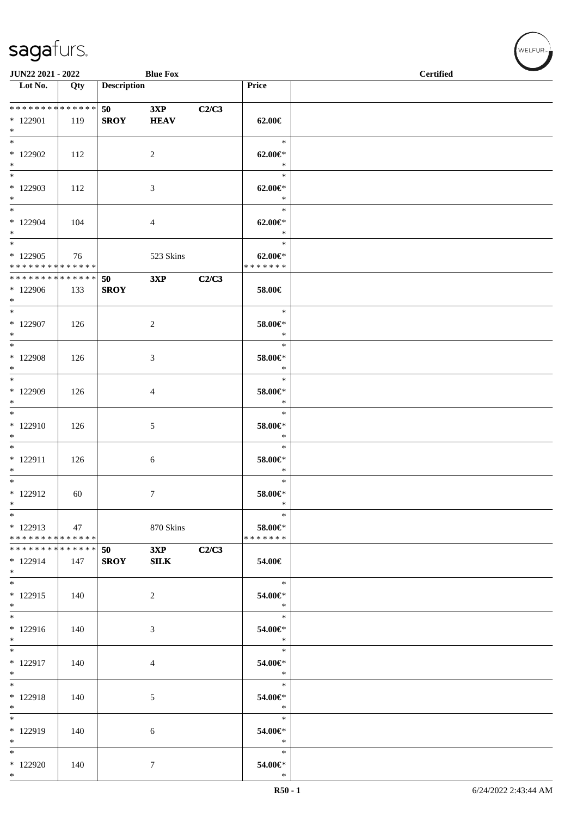| JUN22 2021 - 2022                                   |     |                            | <b>Blue Fox</b>    |       |                                           | <b>Certified</b> |
|-----------------------------------------------------|-----|----------------------------|--------------------|-------|-------------------------------------------|------------------|
| Lot No.                                             | Qty | <b>Description</b>         |                    |       | Price                                     |                  |
| ******** <mark>******</mark><br>$*122901$<br>$*$    | 119 | 50 70 70 71<br><b>SROY</b> | 3XP<br><b>HEAV</b> | C2/C3 | $62.00 \in$                               |                  |
| $\ast$<br>* 122902<br>$\ast$                        | 112 |                            | $\overline{2}$     |       | $\ast$<br>$62.00 \in$<br>$\ast$           |                  |
| $\overline{\phantom{0}}$<br>* 122903<br>$*$         | 112 |                            | 3                  |       | $\ast$<br>$62.00 \in$<br>$\ast$           |                  |
| $*$<br>$*122904$<br>$*$<br>$\ast$                   | 104 |                            | $\overline{4}$     |       | $\ast$<br>$62.00 \in$<br>$\ast$<br>$\ast$ |                  |
| * 122905<br>* * * * * * * * * * * * * *             | 76  |                            | 523 Skins          |       | $62.00 \in$<br>* * * * * * *              |                  |
| * * * * * * * * * * * * * * *<br>* 122906<br>$*$    | 133 | 50<br><b>SROY</b>          | 3XP                | C2/C3 | 58.00€                                    |                  |
| $*$<br>$*$ 122907<br>$*$                            | 126 |                            | $\sqrt{2}$         |       | $\ast$<br>58.00€*<br>$\ast$               |                  |
| $\ast$<br>$*$ 122908<br>$*$                         | 126 |                            | 3                  |       | $\ast$<br>58.00€*<br>$\ast$               |                  |
| $\ast$<br>* 122909<br>$\ast$                        | 126 |                            | $\overline{4}$     |       | $\ast$<br>58.00€*<br>$\ast$               |                  |
| $*$<br>* 122910<br>$\ast$                           | 126 |                            | 5                  |       | $\ast$<br>58.00€*<br>$\ast$               |                  |
| $*$<br>$* 122911$<br>$\ast$                         | 126 |                            | 6                  |       | $\ast$<br>58.00€*<br>$\ast$               |                  |
| $\overline{\phantom{0}}$<br>* 122912<br>$\ast$      | 60  |                            | $\tau$             |       | $\ast$<br>58.00€*<br>$\ast$               |                  |
| $\ast$<br>$* 122913$<br>* * * * * * * * * * * * * * | 47  |                            | 870 Skins          |       | $\ast$<br>58.00€*<br>* * * * * * *        |                  |
| ******** <mark>******</mark><br>* 122914<br>$*$     | 147 | 50<br><b>SROY</b>          | 3XP<br><b>SILK</b> | C2/C3 | 54.00€                                    |                  |
| $*$<br>* 122915<br>$*$                              | 140 |                            | $\overline{2}$     |       | $\ast$<br>54.00€*<br>$\ast$               |                  |
| $\overline{\phantom{0}}$<br>$*122916$<br>$*$        | 140 |                            | 3                  |       | $\ast$<br>54.00€*<br>$\ast$               |                  |
| $\ast$<br>* 122917<br>$*$                           | 140 |                            | 4                  |       | $\ast$<br>54.00€*<br>$\ast$               |                  |
| $*$<br>$* 122918$<br>$*$                            | 140 |                            | 5                  |       | $\ast$<br>54.00€*<br>$\ast$               |                  |
| $*$<br>* 122919<br>$*$                              | 140 |                            | 6                  |       | $\ast$<br>54.00€*<br>$\ast$               |                  |
| $\ast$<br>* 122920<br>$*$                           | 140 |                            | 7                  |       | $\ast$<br>54.00€*<br>$\ast$               |                  |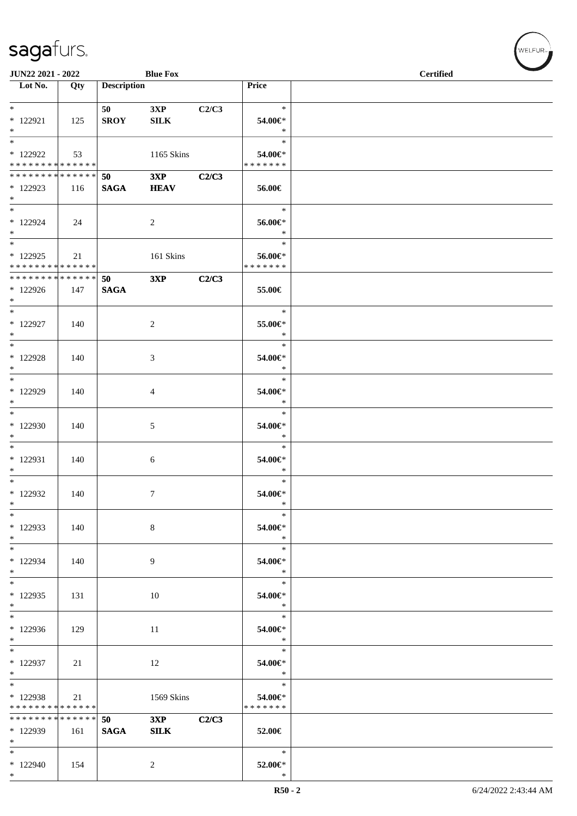| <b>JUN22 2021 - 2022</b>         |     |                    | <b>Blue Fox</b> |       |                   | <b>Certified</b> |
|----------------------------------|-----|--------------------|-----------------|-------|-------------------|------------------|
| $\overline{\phantom{1}}$ Lot No. | Qty | <b>Description</b> |                 |       | Price             |                  |
|                                  |     |                    |                 |       |                   |                  |
| $*$ $*$                          |     | 50                 | 3XP             | C2/C3 | $\ast$            |                  |
| $*$ 122921                       | 125 | <b>SROY</b>        | SILK            |       | 54.00€*           |                  |
| $*$                              |     |                    |                 |       | $\ast$            |                  |
| $\overline{\phantom{0}}$         |     |                    |                 |       |                   |                  |
|                                  |     |                    |                 |       | $\ast$            |                  |
| $*122922$                        | 53  |                    | 1165 Skins      |       | 54.00€*           |                  |
| * * * * * * * * * * * * * * *    |     |                    |                 |       | * * * * * * *     |                  |
| * * * * * * * * * * * * * * *    |     | 50                 | 3XP             | C2/C3 |                   |                  |
| * 122923                         | 116 | <b>SAGA</b>        | <b>HEAV</b>     |       | 56.00€            |                  |
| $\ast$                           |     |                    |                 |       |                   |                  |
| $*$                              |     |                    |                 |       | $\ast$            |                  |
| $*122924$                        | 24  |                    | 2               |       | 56.00€*           |                  |
| $*$                              |     |                    |                 |       | $\ast$            |                  |
|                                  |     |                    |                 |       | $\ast$            |                  |
| $*122925$                        | 21  |                    | 161 Skins       |       | 56.00€*           |                  |
| * * * * * * * * * * * * * * *    |     |                    |                 |       | * * * * * * *     |                  |
| * * * * * * * * * * * * * * *    |     | 50                 | 3XP             | C2/C3 |                   |                  |
| * 122926                         | 147 | <b>SAGA</b>        |                 |       | 55.00€            |                  |
| $*$                              |     |                    |                 |       |                   |                  |
| $*$                              |     |                    |                 |       | $\ast$            |                  |
|                                  |     |                    |                 |       |                   |                  |
| $*$ 122927                       | 140 |                    | $\overline{c}$  |       | 55.00€*           |                  |
| $*$                              |     |                    |                 |       | $\ast$            |                  |
| $\overline{\phantom{0}}$         |     |                    |                 |       | $\ast$            |                  |
| $*122928$                        | 140 |                    | 3               |       | 54.00€*           |                  |
| $*$                              |     |                    |                 |       | $\ast$            |                  |
| $*$                              |     |                    |                 |       | $\ast$            |                  |
| * 122929                         | 140 |                    | 4               |       | 54.00€*           |                  |
| $*$                              |     |                    |                 |       | $\ast$            |                  |
| $*$                              |     |                    |                 |       | $\ast$            |                  |
| * 122930                         | 140 |                    | 5               |       | 54.00€*           |                  |
| $*$                              |     |                    |                 |       | $\ast$            |                  |
|                                  |     |                    |                 |       | $\ast$            |                  |
|                                  |     |                    |                 |       |                   |                  |
| * 122931                         | 140 |                    | 6               |       | 54.00€*<br>$\ast$ |                  |
| $*$                              |     |                    |                 |       |                   |                  |
| $*$                              |     |                    |                 |       | $\ast$            |                  |
| $*122932$                        | 140 |                    | 7               |       | 54.00€*           |                  |
| $\ast$                           |     |                    |                 |       | $\ast$            |                  |
| $*$                              |     |                    |                 |       | $\ast$            |                  |
| * 122933                         | 140 |                    | 8               |       | 54.00€*           |                  |
| $*$                              |     |                    |                 |       | $\ast$            |                  |
| $\ast$                           |     |                    |                 |       | $\ast$            |                  |
| * 122934                         | 140 |                    | 9               |       | 54.00€*           |                  |
| $*$                              |     |                    |                 |       | $\ast$            |                  |
| $*$                              |     |                    |                 |       | $\ast$            |                  |
| $*122935$                        | 131 |                    | 10              |       | 54.00€*           |                  |
| $*$                              |     |                    |                 |       | $\ast$            |                  |
| $*$                              |     |                    |                 |       | $\ast$            |                  |
|                                  |     |                    |                 |       |                   |                  |
| * 122936<br>$\ast$               | 129 |                    | -11             |       | 54.00€*<br>$\ast$ |                  |
| $\overline{\phantom{0}}$         |     |                    |                 |       | $\ast$            |                  |
|                                  |     |                    |                 |       |                   |                  |
| * 122937                         | 21  |                    | 12              |       | 54.00€*           |                  |
| $*$                              |     |                    |                 |       | $\ast$            |                  |
| $*$                              |     |                    |                 |       | $\ast$            |                  |
| * 122938                         | 21  |                    | 1569 Skins      |       | 54.00€*           |                  |
| * * * * * * * * * * * * * * *    |     |                    |                 |       | * * * * * * *     |                  |
| * * * * * * * * * * * * * * *    |     | 50                 | 3XP             | C2/C3 |                   |                  |
| * 122939                         | 161 | <b>SAGA</b>        | ${\bf SILK}$    |       | 52.00€            |                  |
| $*$                              |     |                    |                 |       |                   |                  |
| $*$                              |     |                    |                 |       | $\ast$            |                  |
| $*122940$                        | 154 |                    | $\overline{2}$  |       | 52.00€*           |                  |
| $*$                              |     |                    |                 |       | $\ast$            |                  |

 $(w$ elfur<sub>m</sub>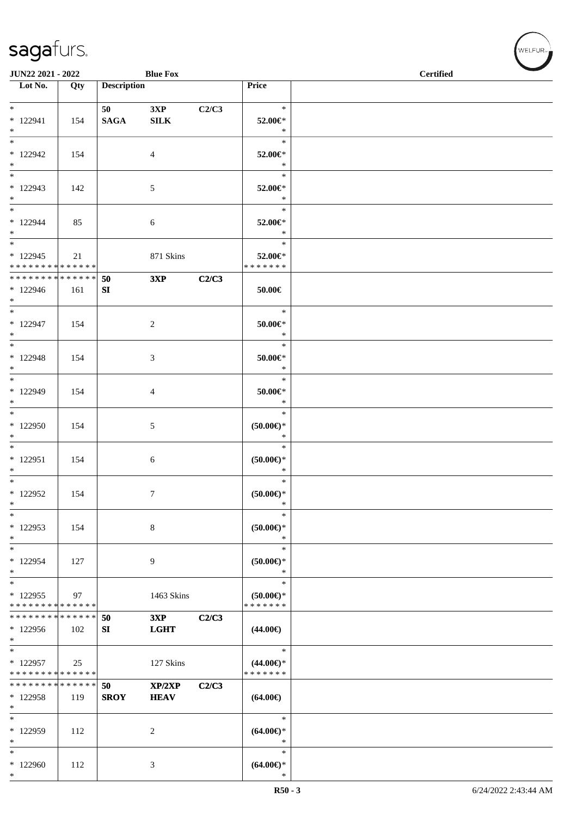| JUN22 2021 - 2022                       |     |                    | <b>Blue Fox</b>    |       |                                   | <b>Certified</b> |
|-----------------------------------------|-----|--------------------|--------------------|-------|-----------------------------------|------------------|
| Lot No.                                 | Qty | <b>Description</b> |                    |       | Price                             |                  |
|                                         |     |                    |                    |       |                                   |                  |
|                                         |     | 50                 | 3XP                | C2/C3 | $\ast$                            |                  |
| $* 122941$                              | 154 | <b>SAGA</b>        | ${\bf SILK}$       |       | 52.00€*                           |                  |
| $*$                                     |     |                    |                    |       | $\ast$                            |                  |
| $\overline{\phantom{0}}$                |     |                    |                    |       | $\ast$                            |                  |
| $*122942$                               | 154 |                    | $\overline{4}$     |       | 52.00€*                           |                  |
| $*$                                     |     |                    |                    |       | $\ast$                            |                  |
| $\overline{\ast}$                       |     |                    |                    |       | $\ast$                            |                  |
| $*122943$                               | 142 |                    | 5                  |       | 52.00€*                           |                  |
| $*$                                     |     |                    |                    |       | $\ast$                            |                  |
|                                         |     |                    |                    |       | $\ast$                            |                  |
| $* 122944$                              | 85  |                    | 6                  |       | 52.00€*                           |                  |
| $*$                                     |     |                    |                    |       | $\ast$                            |                  |
| $\overline{\phantom{0}}$                |     |                    |                    |       | $\ast$                            |                  |
| $*122945$                               | 21  |                    | 871 Skins          |       | 52.00€*                           |                  |
| * * * * * * * * * * * * * *             |     |                    |                    |       | * * * * * * *                     |                  |
| * * * * * * * * * * * * * * *           |     | 50                 | 3XP                | C2/C3 |                                   |                  |
| $*122946$                               | 161 | SI                 |                    |       | $50.00 \in$                       |                  |
| $*$                                     |     |                    |                    |       |                                   |                  |
| $*$                                     |     |                    |                    |       | $\ast$                            |                  |
| $*122947$                               | 154 |                    | 2                  |       | $50.00 \in$ *                     |                  |
| $*$                                     |     |                    |                    |       | $\ast$                            |                  |
| $\overline{\ast}$                       |     |                    |                    |       | $\ast$                            |                  |
| $* 122948$                              | 154 |                    | 3                  |       | 50.00€*                           |                  |
| $*$                                     |     |                    |                    |       | $\ast$                            |                  |
| $*$                                     |     |                    |                    |       | $\ast$                            |                  |
| * 122949                                | 154 |                    | 4                  |       | $50.00 \in$ *                     |                  |
| $*$                                     |     |                    |                    |       | $\ast$                            |                  |
| $\overline{\phantom{0}}$                |     |                    |                    |       | $\ast$                            |                  |
| $*122950$                               | 154 |                    | 5                  |       | $(50.00 \in )^*$                  |                  |
| $*$                                     |     |                    |                    |       | $\ast$                            |                  |
| $\overline{\phantom{0}}$                |     |                    |                    |       | $\ast$                            |                  |
| $*122951$                               | 154 |                    | 6                  |       | $(50.00ε)$ *                      |                  |
| $*$                                     |     |                    |                    |       | $\ast$                            |                  |
| $*$                                     |     |                    |                    |       | $\ast$                            |                  |
| * 122952                                | 154 |                    | 7                  |       | $(50.00\varepsilon)$ *            |                  |
| $\ast$                                  |     |                    |                    |       | $\ast$                            |                  |
| $\ast$                                  |     |                    |                    |       | $\ast$                            |                  |
| $*122953$                               | 154 |                    | 8                  |       | $(50.00)$ *                       |                  |
| $\ast$                                  |     |                    |                    |       | $\ast$                            |                  |
| $\ast$                                  |     |                    |                    |       | $\ast$                            |                  |
| * 122954                                | 127 |                    | 9                  |       | $(50.00ε)$ *                      |                  |
| $*$                                     |     |                    |                    |       | $\ast$<br>$\ast$                  |                  |
| $*$                                     |     |                    |                    |       |                                   |                  |
| * 122955<br>* * * * * * * * * * * * * * | 97  |                    | 1463 Skins         |       | $(50.00 \in )$ *<br>* * * * * * * |                  |
| * * * * * * * * * * * * * *             |     | 50                 |                    | C2/C3 |                                   |                  |
| $*122956$                               | 102 | SI                 | 3XP<br><b>LGHT</b> |       | $(44.00\epsilon)$                 |                  |
| $\ast$                                  |     |                    |                    |       |                                   |                  |
| $\overline{\ast}$                       |     |                    |                    |       | $\ast$                            |                  |
| $*122957$                               | 25  |                    | 127 Skins          |       | $(44.00\epsilon)$ *               |                  |
| * * * * * * * * * * * * * *             |     |                    |                    |       | * * * * * * *                     |                  |
| * * * * * * * * * * * * * *             |     | 50                 | XP/2XP             | C2/C3 |                                   |                  |
| * 122958                                | 119 | <b>SROY</b>        | <b>HEAV</b>        |       | $(64.00\epsilon)$                 |                  |
| $*$                                     |     |                    |                    |       |                                   |                  |
| $\ast$                                  |     |                    |                    |       | $\ast$                            |                  |
| * 122959                                | 112 |                    | $\overline{c}$     |       | $(64.00ε)$ *                      |                  |
| $\ast$                                  |     |                    |                    |       | $\ast$                            |                  |
| $\ast$                                  |     |                    |                    |       | $\ast$                            |                  |
| * 122960                                | 112 |                    | 3                  |       | $(64.00ε)$ *                      |                  |
| $\ast$                                  |     |                    |                    |       | $\ast$                            |                  |

WELFUR<sub><sup>N</sup></sub>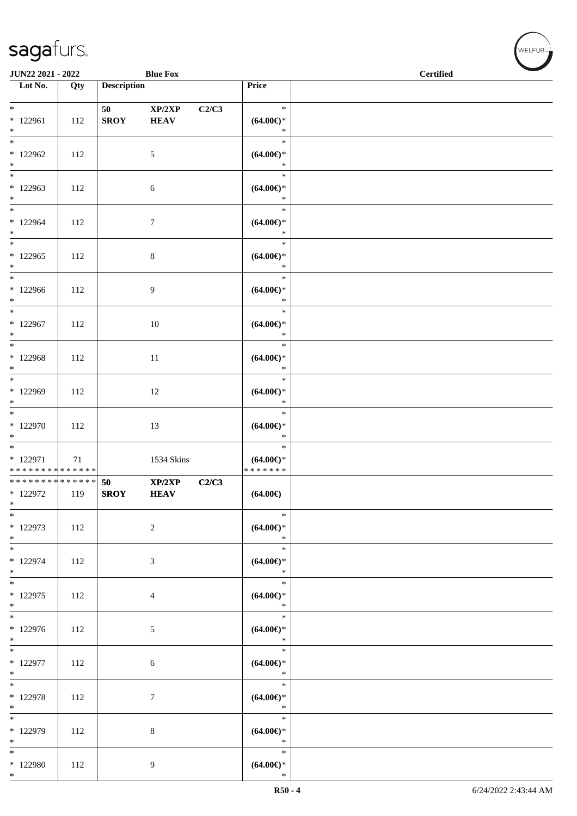\* 122980 112 9

\*

| JUN22 2021 - 2022                                               |     |                    | <b>Blue Fox</b>       |       |                                                    | <b>Certified</b> |  |  |  |
|-----------------------------------------------------------------|-----|--------------------|-----------------------|-------|----------------------------------------------------|------------------|--|--|--|
| Lot No.                                                         | Qty | <b>Description</b> |                       |       | Price                                              |                  |  |  |  |
| $*$<br>$*122961$<br>$*$                                         | 112 | 50<br><b>SROY</b>  | XP/2XP<br><b>HEAV</b> | C2/C3 | $\ast$<br>$(64.00\epsilon)$ *<br>$\ast$            |                  |  |  |  |
| $\overline{\phantom{0}}$<br>$*122962$<br>$*$                    | 112 |                    | 5                     |       | $\ast$<br>$(64.00\mathnormal{\infty})^*$<br>$\ast$ |                  |  |  |  |
| $\overline{\phantom{0}}$<br>* 122963<br>$*$                     | 112 |                    | $\sqrt{6}$            |       | $\ast$<br>$(64.00ε)$ *<br>$\ast$                   |                  |  |  |  |
| $\ast$<br>$*122964$<br>$*$                                      | 112 |                    | $\tau$                |       | $\ast$<br>$(64.00ε)$ *<br>$\ast$                   |                  |  |  |  |
| $\overline{\phantom{0}}$<br>$*122965$<br>$*$                    | 112 |                    | $8\,$                 |       | $\ast$<br>$(64.00ε)$ *<br>$\ast$                   |                  |  |  |  |
| $*122966$<br>$*$                                                | 112 |                    | 9                     |       | $\ast$<br>$(64.00\epsilon)$ *<br>$\ast$            |                  |  |  |  |
| $\overline{\ }$<br>* 122967<br>$*$                              | 112 |                    | 10                    |       | $\ast$<br>$(64.00\epsilon)$ *<br>$\ast$            |                  |  |  |  |
| $\overline{\ }$<br>$*122968$<br>$*$                             | 112 |                    | $11\,$                |       | $\ast$<br>$(64.00ε)$ *<br>$\ast$                   |                  |  |  |  |
| $*$<br>$*122969$<br>$*$                                         | 112 |                    | 12                    |       | $\ast$<br>$(64.00\epsilon)$ *<br>$\ast$            |                  |  |  |  |
| $*$<br>$*122970$<br>$*$                                         | 112 |                    | 13                    |       | $\ast$<br>$(64.00\epsilon)$ *<br>$\ast$            |                  |  |  |  |
| $*$<br>$*$ 122971<br>* * * * * * * * <mark>* * * * * * *</mark> | 71  |                    | 1534 Skins            |       | $\ast$<br>$(64.00\epsilon)$ *<br>* * * * * * *     |                  |  |  |  |
| ************** 50<br>* 122972<br>$\ast$                         | 119 | <b>SROY</b>        | XP/2XP<br><b>HEAV</b> | C2/C3 | $(64.00\epsilon)$                                  |                  |  |  |  |
| $*$<br>* 122973<br>$*$                                          | 112 |                    | $\overline{c}$        |       | $\ast$<br>$(64.00\epsilon)$ *<br>$\ast$            |                  |  |  |  |
| $*$<br>* 122974<br>$*$                                          | 112 |                    | $\mathfrak{Z}$        |       | $\ast$<br>$(64.00ε)$ *<br>$\ast$                   |                  |  |  |  |
| $*$<br>$*122975$<br>$*$                                         | 112 |                    | 4                     |       | $\ast$<br>$(64.00\epsilon)$ *<br>$\ast$            |                  |  |  |  |
| $*$<br>$*122976$<br>$*$                                         | 112 |                    | $5\phantom{.0}$       |       | $\ast$<br>$(64.00\epsilon)$ *<br>$\ast$            |                  |  |  |  |
| $*$<br>* 122977<br>$*$                                          | 112 |                    | 6                     |       | $\ast$<br>$(64.00\epsilon)$ *<br>$\ast$            |                  |  |  |  |
| $*$<br>* 122978<br>$*$                                          | 112 |                    | 7                     |       | $\ast$<br>$(64.00ε)$ *<br>$\ast$                   |                  |  |  |  |
| $\overline{\phantom{0}}$<br>* 122979<br>$*$                     | 112 |                    | $\,8\,$               |       | $\ast$<br>$(64.00ε)$ *<br>$\ast$                   |                  |  |  |  |
| $\ast$                                                          |     |                    |                       |       | $\ast$                                             |                  |  |  |  |

\*

**(64.00€)**

WELFUR<sub><sup>N</sub></sub></sub></sup>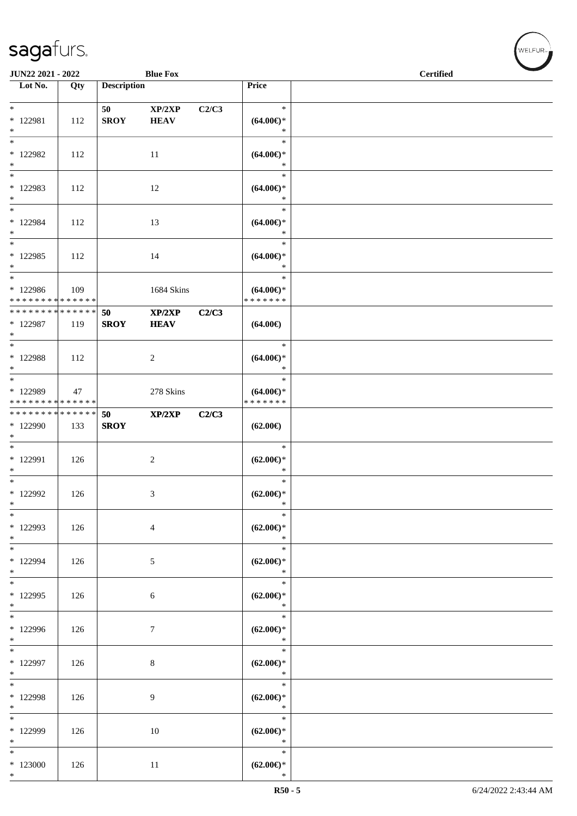| JUN22 2021 - 2022                                             |     |                    | <b>Blue Fox</b>       |       |                                                | <b>Certified</b> |  |
|---------------------------------------------------------------|-----|--------------------|-----------------------|-------|------------------------------------------------|------------------|--|
| $\overline{\phantom{1}}$ Lot No.                              | Qty | <b>Description</b> |                       |       | Price                                          |                  |  |
|                                                               |     |                    |                       |       | $\ast$                                         |                  |  |
| $\ast$<br>* 122981<br>$*$                                     | 112 | 50<br><b>SROY</b>  | XP/2XP<br><b>HEAV</b> | C2/C3 | $(64.00\epsilon)$ *<br>$\ast$                  |                  |  |
| $*$<br>* 122982<br>$*$                                        | 112 |                    | 11                    |       | $\ast$<br>$(64.00ε)$ *<br>$\ast$               |                  |  |
| $*$<br>* 122983<br>$\ast$                                     | 112 |                    | 12                    |       | $\ast$<br>$(64.00ε)$ *<br>$\ast$               |                  |  |
| $*$<br>* 122984<br>$\ast$                                     | 112 |                    | 13                    |       | $\ast$<br>$(64.00\epsilon)$ *<br>$\ast$        |                  |  |
| $\overline{\ast}$<br>$*122985$<br>$*$                         | 112 |                    | 14                    |       | $\ast$<br>$(64.00\epsilon)$ *<br>$\ast$        |                  |  |
| $*$<br>* 122986<br>* * * * * * * * * * * * * *                | 109 |                    | 1684 Skins            |       | $\ast$<br>$(64.00\epsilon)$ *<br>* * * * * * * |                  |  |
| ******** <mark>******</mark><br>* 122987<br>$\ast$            | 119 | 50<br><b>SROY</b>  | XP/2XP<br><b>HEAV</b> | C2/C3 | $(64.00\epsilon)$                              |                  |  |
| $*$<br>* 122988<br>$*$                                        | 112 |                    | $\overline{c}$        |       | $\ast$<br>$(64.00\epsilon)$ *<br>$\ast$        |                  |  |
| $*$<br>* 122989<br>* * * * * * * * * * * * * *                | 47  |                    | 278 Skins             |       | $\ast$<br>$(64.00\epsilon)$ *<br>* * * * * * * |                  |  |
| * * * * * * * * <mark>* * * * * * *</mark><br>* 122990<br>$*$ | 133 | 50<br><b>SROY</b>  | XP/2XP                | C2/C3 | $(62.00\epsilon)$                              |                  |  |
| $\overline{\phantom{0}}$<br>* 122991<br>$*$                   | 126 |                    | $\sqrt{2}$            |       | $\ast$<br>$(62.00\epsilon)$ *<br>$\ast$        |                  |  |
| $*$<br>* 122992<br>$\ast$                                     | 126 |                    | 3                     |       | $\ast$<br>$(62.00\epsilon)$ *<br>$\ast$        |                  |  |
| $*$<br>* 122993<br>$*$                                        | 126 |                    | $\overline{4}$        |       | $\ast$<br>$(62.00\epsilon)$ *<br>$\ast$        |                  |  |
| $*$<br>* 122994<br>$*$                                        | 126 |                    | 5                     |       | $\ast$<br>$(62.00\epsilon)$ *<br>$\ast$        |                  |  |
| $*$<br>* 122995<br>$*$                                        | 126 |                    | $\sqrt{6}$            |       | $\ast$<br>$(62.00\epsilon)$ *<br>$\ast$        |                  |  |
| $\overline{\phantom{0}}$<br>* 122996<br>$*$                   | 126 |                    | $\boldsymbol{7}$      |       | $\ast$<br>$(62.00\epsilon)$ *<br>$\ast$        |                  |  |
| $\overline{\ast}$<br>* 122997<br>$*$                          | 126 |                    | $\,8\,$               |       | $\ast$<br>$(62.00\epsilon)$ *<br>$\ast$        |                  |  |
| $*$<br>* 122998<br>$*$                                        | 126 |                    | 9                     |       | $\ast$<br>$(62.00\epsilon)$ *<br>$\ast$        |                  |  |
| $\overline{\phantom{0}}$<br>* 122999<br>$*$                   | 126 |                    | 10                    |       | $\ast$<br>$(62.00\epsilon)$ *<br>$\ast$        |                  |  |
| $*$<br>$*123000$<br>$*$                                       | 126 |                    | 11                    |       | $\ast$<br>$(62.00\epsilon)$ *<br>$\ast$        |                  |  |

welfur<sub>™</sub>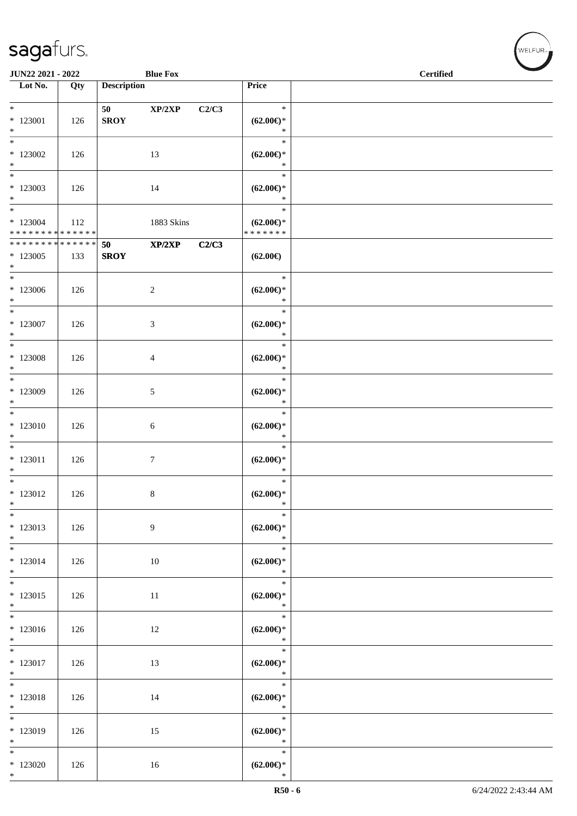| <b>JUN22 2021 - 2022</b><br><b>Blue Fox</b>     |     |                    |                |       |                                                | <b>Certified</b> |
|-------------------------------------------------|-----|--------------------|----------------|-------|------------------------------------------------|------------------|
| $\overline{\phantom{a}}$ Lot No.                | Qty | <b>Description</b> |                |       | Price                                          |                  |
| $*$                                             |     | 50                 | XP/2XP         | C2/C3 | $\ast$                                         |                  |
| $*123001$<br>$*$                                | 126 | <b>SROY</b>        |                |       | $(62.00\epsilon)$ *<br>$\ast$                  |                  |
| $\ast$<br>$*123002$<br>$\ast$                   | 126 |                    | 13             |       | $\ast$<br>$(62.00\epsilon)$ *<br>$\ast$        |                  |
| $*123003$<br>$*$                                | 126 |                    | 14             |       | $\ast$<br>$(62.00\epsilon)$ *<br>$\ast$        |                  |
| $*$<br>$*123004$<br>* * * * * * * * * * * * * * | 112 |                    | 1883 Skins     |       | $\ast$<br>$(62.00\epsilon)$ *<br>* * * * * * * |                  |
| * * * * * * * * <mark>* * * * * * *</mark>      |     | 50                 | XP/2XP         | C2/C3 |                                                |                  |
| $*123005$<br>$*$                                | 133 | <b>SROY</b>        |                |       | $(62.00\epsilon)$                              |                  |
| $*$<br>$*123006$<br>$*$                         | 126 |                    | $\overline{c}$ |       | $\ast$<br>$(62.00\epsilon)$ *<br>$\ast$        |                  |
| $*$<br>$*123007$<br>$*$                         | 126 |                    | 3              |       | $\ast$<br>$(62.00\epsilon)$ *<br>$\ast$        |                  |
| $\ast$<br>$*123008$<br>$*$                      | 126 |                    | 4              |       | $\ast$<br>$(62.00\epsilon)$ *<br>$\ast$        |                  |
| $\overline{\ast}$<br>* 123009<br>$*$            | 126 |                    | 5              |       | $\ast$<br>$(62.00\epsilon)$ *<br>$\ast$        |                  |
| * 123010<br>$*$                                 | 126 |                    | 6              |       | $\ast$<br>$(62.00\epsilon)$ *<br>$\ast$        |                  |
| $*$<br>$* 123011$<br>$*$                        | 126 |                    | $\tau$         |       | $\ast$<br>$(62.00\epsilon)$ *<br>$\ast$        |                  |
| $*$<br>$* 123012$<br>$*$                        | 126 |                    | 8              |       | $\ast$<br>$(62.00\epsilon)$ *<br>$\ast$        |                  |
| $\ast$<br>* 123013<br>$*$                       | 126 |                    | 9              |       | $\ast$<br>$(62.00\epsilon)$ *<br>$\ast$        |                  |
| $*$<br>$* 123014$<br>$*$                        | 126 |                    | 10             |       | $\ast$<br>$(62.00\epsilon)$ *<br>$\ast$        |                  |
| $\overline{\ast}$<br>$* 123015$<br>$*$          | 126 |                    | 11             |       | $\ast$<br>$(62.00\epsilon)$ *<br>$\ast$        |                  |
| $\overline{\ }$<br>$*123016$<br>$\ast$          | 126 |                    | 12             |       | $\ast$<br>$(62.00\epsilon)$ *<br>$\ast$        |                  |
| $* 123017$<br>$*$                               | 126 |                    | 13             |       | $\ast$<br>$(62.00\epsilon)$ *<br>$\ast$        |                  |
| $*$<br>$* 123018$<br>$*$                        | 126 |                    | 14             |       | $\ast$<br>$(62.00\epsilon)$ *<br>$\ast$        |                  |
| * 123019<br>$*$                                 | 126 |                    | 15             |       | $\ast$<br>$(62.00\epsilon)$ *<br>$\ast$        |                  |
| $\ast$<br>$*123020$<br>$*$                      | 126 |                    | 16             |       | $\ast$<br>$(62.00\epsilon)$ *<br>$\ast$        |                  |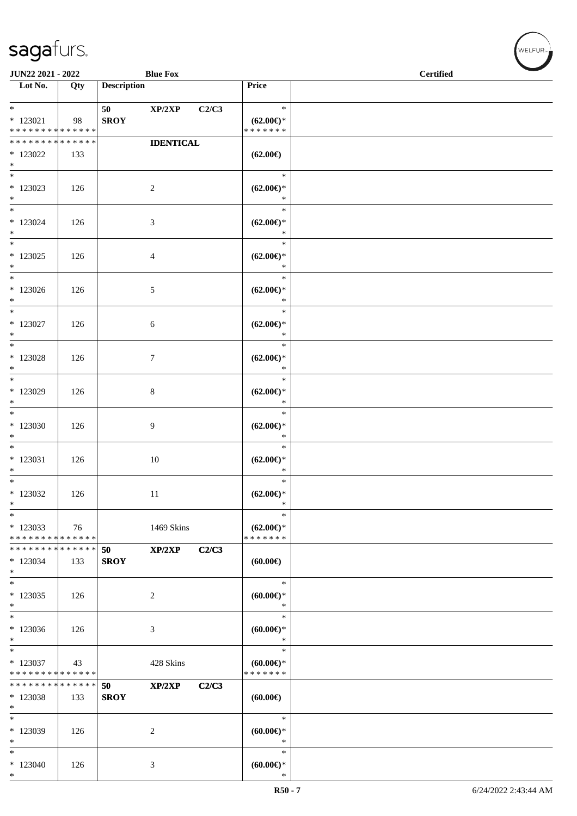\*

| <b>Blue Fox</b><br>JUN22 2021 - 2022                                   |                    |                    |                  |       |                                                | <b>Certified</b> |  |
|------------------------------------------------------------------------|--------------------|--------------------|------------------|-------|------------------------------------------------|------------------|--|
| Lot No.                                                                | Qty                | <b>Description</b> |                  |       | Price                                          |                  |  |
| $*$<br>$*123021$<br>* * * * * * * * * * * * * *                        | 98                 | 50<br><b>SROY</b>  | XP/2XP           | C2/C3 | $\ast$<br>$(62.00\epsilon)$ *<br>* * * * * * * |                  |  |
| * * * * * * * * * * * * * *                                            |                    |                    | <b>IDENTICAL</b> |       |                                                |                  |  |
| $*123022$<br>$*$                                                       | 133                |                    |                  |       | $(62.00\epsilon)$                              |                  |  |
| $*$<br>$*123023$<br>$*$<br>$\overline{\phantom{0}}$                    | 126                |                    | $\overline{c}$   |       | $\ast$<br>$(62.00\epsilon)$ *<br>$\ast$        |                  |  |
| $*$ 123024<br>$*$                                                      | 126                |                    | $\mathfrak{Z}$   |       | $\ast$<br>$(62.00\epsilon)$ *<br>$\ast$        |                  |  |
| $\overline{\ast}$<br>$*$ 123025<br>$*$                                 | 126                |                    | $\overline{4}$   |       | $\ast$<br>$(62.00\epsilon)$ *<br>$\ast$        |                  |  |
| $*$<br>$*123026$<br>$*$                                                | 126                |                    | $\sqrt{5}$       |       | $\ast$<br>$(62.00\epsilon)$ *<br>$\ast$        |                  |  |
| $*$<br>$*$ 123027<br>$*$                                               | 126                |                    | 6                |       | $\ast$<br>$(62.00\epsilon)$ *<br>$\ast$        |                  |  |
| $\overline{\ast}$<br>$*123028$<br>$\ast$                               | 126                |                    | $7\phantom{.0}$  |       | $\ast$<br>$(62.00\epsilon)$ *<br>$\ast$        |                  |  |
| $*$<br>* 123029<br>$*$                                                 | 126                |                    | $\,8\,$          |       | $\ast$<br>$(62.00\epsilon)$ *<br>$\ast$        |                  |  |
| $\overline{\phantom{0}}$<br>$*123030$<br>$\ast$                        | 126                |                    | 9                |       | $\ast$<br>$(62.00\epsilon)$ *<br>$\ast$        |                  |  |
| $\overline{\phantom{0}}$<br>$* 123031$<br>$\ast$                       | 126                |                    | $10\,$           |       | $\ast$<br>$(62.00\epsilon)$ *<br>$\ast$        |                  |  |
| $*$<br>$*123032$<br>$\ast$                                             | 126                |                    | 11               |       | $\ast$<br>$(62.00\epsilon)$ *<br>$\ast$        |                  |  |
| $\ast$<br>* 123033<br>* * * * * * * * * * * * * *                      | 76                 |                    | 1469 Skins       |       | $\ast$<br>$(62.00\epsilon)$ *<br>* * * * * * * |                  |  |
| * * * * * * * * * * * * * *<br>$*123034$<br>$\ast$                     | 133                | 50<br><b>SROY</b>  | XP/2XP           | C2/C3 | $(60.00\epsilon)$                              |                  |  |
| $\ast$<br>$*123035$<br>$\ast$                                          | 126                |                    | $\sqrt{2}$       |       | $\ast$<br>$(60.00ε)$ *<br>$\ast$               |                  |  |
| $\ast$<br>$*123036$<br>$\ast$                                          | 126                |                    | $\mathfrak{Z}$   |       | $\ast$<br>$(60.00ε)$ *<br>$\ast$               |                  |  |
| $\overline{\phantom{a}^*}$<br>$*123037$<br>* * * * * * * * * * * * * * | 43                 |                    | 428 Skins        |       | $\ast$<br>$(60.00\epsilon)$ *<br>* * * * * * * |                  |  |
| * * * * * * * *<br>$*123038$<br>$\ast$                                 | * * * * * *<br>133 | 50<br><b>SROY</b>  | XP/2XP           | C2/C3 | (60.00)                                        |                  |  |
| $\ast$<br>* 123039<br>$\ast$                                           | 126                |                    | 2                |       | $\ast$<br>$(60.00ε)$ *<br>$\ast$               |                  |  |
| $\ast$<br>$*123040$                                                    | 126                |                    | $\mathfrak{Z}$   |       | $\ast$<br>(60.00)                              |                  |  |

 $w$ ELFUR-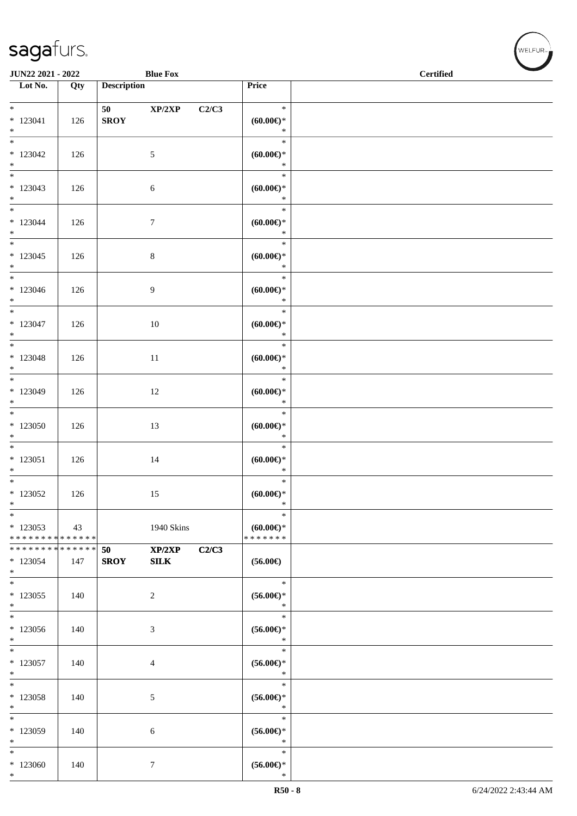\*

| JUN22 2021 - 2022                                  |         |                       | <b>Blue Fox</b>       |       |                                                              | <b>Certified</b> |  |
|----------------------------------------------------|---------|-----------------------|-----------------------|-------|--------------------------------------------------------------|------------------|--|
| $\overline{\phantom{1}}$ Lot No.                   | Qty     | <b>Description</b>    |                       |       | Price                                                        |                  |  |
| $*$<br>$*123041$<br>$*$                            | 126     | 50 (1)<br><b>SROY</b> | XP/2XP                | C2/C3 | $\ast$<br>(60.00)<br>$\ast$                                  |                  |  |
| $\overline{\phantom{0}}$<br>$*123042$<br>$*$       | 126     |                       | $\sqrt{5}$            |       | $\ast$<br>$(60.00ε)$ *<br>$\ast$                             |                  |  |
| $\overline{\phantom{0}}$<br>$*123043$<br>$*$       | 126     |                       | $\sqrt{6}$            |       | $\ast$<br>$(60.00ε)$ *<br>$\ast$                             |                  |  |
| $*$<br>$*123044$<br>$*$                            | 126     |                       | $\tau$                |       | $\ast$<br>$(60.00\epsilon)$ *<br>$\ast$                      |                  |  |
| $*123045$<br>$*$                                   | 126     |                       | $8\,$                 |       | $\ast$<br>$(60.00ε)$ *<br>$\ast$                             |                  |  |
| $*$<br>$*123046$<br>$*$                            | 126     |                       | 9                     |       | $\ast$<br>$(60.00\epsilon)$ *<br>$\ast$                      |                  |  |
| $*$<br>$* 123047$<br>$*$                           | 126     |                       | 10                    |       | $\ast$<br>(60.00)<br>$\ast$                                  |                  |  |
| $*$<br>$* 123048$<br>$*$                           | 126     |                       | 11                    |       | $\ast$<br>$(60.00\epsilon)$ *<br>$\ast$                      |                  |  |
| $*$<br>$*123049$<br>$*$                            | 126     |                       | 12                    |       | $\ast$<br>$(60.00ε)$ *<br>$\ast$                             |                  |  |
| $*$<br>$*123050$<br>$*$ $*$                        | 126     |                       | 13                    |       | $\ast$<br>$(60.00ε)$ *<br>$\ast$                             |                  |  |
| $* 123051$<br>$*$                                  | 126     |                       | 14                    |       | $\ast$<br>$(60.00\varepsilon)$ *<br>$\ast$                   |                  |  |
| $*123052$<br>$\ast$                                | $126\,$ |                       | 15                    |       | $\ast$<br>$(60.00 \in )^*$<br>$\ast$                         |                  |  |
| $\ast$<br>$*123053$<br>* * * * * * * * * * * * * * | 43      |                       | 1940 Skins            |       | $\ast$<br>$(60.00ε)$ *<br>* * * * * * *                      |                  |  |
| * * * * * * * * * * * * * * *<br>$*123054$<br>$*$  | 147     | 50<br><b>SROY</b>     | XP/2XP<br><b>SILK</b> | C2/C3 | $(56.00\epsilon)$                                            |                  |  |
| $*$<br>$*123055$<br>$*$                            | 140     |                       | 2                     |       | $\ast$<br>$(56.00ε)$ *<br>$\ast$                             |                  |  |
| $*$<br>* 123056<br>$\ast$                          | 140     |                       | 3                     |       | $\ast$<br>$(56.00ε)$ *<br>$\ast$                             |                  |  |
| $*$<br>$*123057$<br>$*$                            | 140     |                       | 4                     |       | $\ast$<br>$(56.00\epsilon)$ *<br>$\ast$                      |                  |  |
| $*$<br>* 123058<br>$*$                             | 140     |                       | 5                     |       | $\ast$<br>$(56.00ε)$ *<br>$\ast$                             |                  |  |
| $\ast$<br>* 123059<br>$\ast$                       | 140     |                       | 6                     |       | $\ast$<br>$(56.00\epsilon)$ *<br>$\ast$                      |                  |  |
| $*$<br>$*123060$                                   | 140     |                       | $\tau$                |       | $\ast$<br>$(56.00\mathnormal{\in}\mathcal{)^{\! \! \times}}$ |                  |  |

WELFUR<sub><sup>N</sup></sub>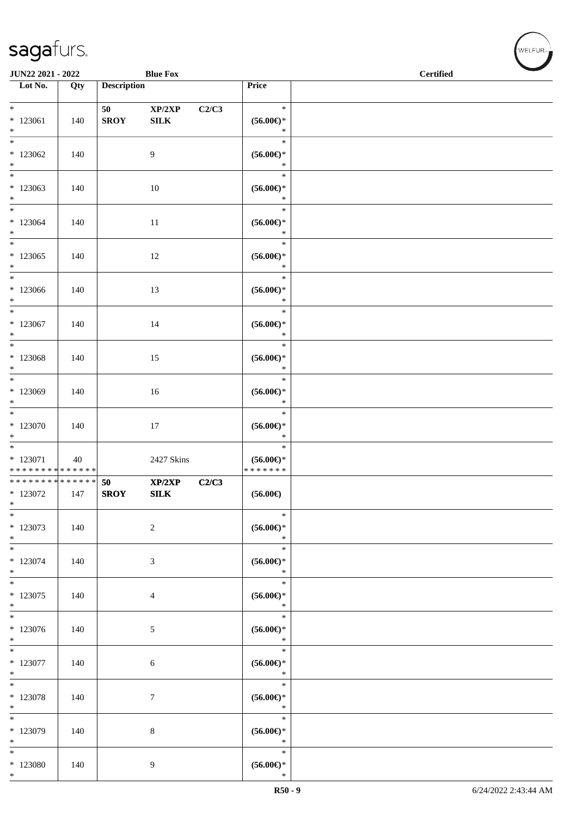| JUN22 2021 - 2022                                                 |     |                    | <b>Blue Fox</b>        |       |                                                    | <b>Certified</b> |  |  |  |
|-------------------------------------------------------------------|-----|--------------------|------------------------|-------|----------------------------------------------------|------------------|--|--|--|
| Lot No.                                                           | Qty | <b>Description</b> |                        |       | Price                                              |                  |  |  |  |
| $*$<br>$*123061$<br>$*$                                           | 140 | 50<br><b>SROY</b>  | XP/2XP<br>${\bf SILK}$ | C2/C3 | $\ast$<br>$(56.00\epsilon)$ *<br>$\ast$            |                  |  |  |  |
| $*$<br>$*123062$<br>$*$                                           | 140 |                    | $\overline{9}$         |       | $\ast$<br>$(56.00\epsilon)$ *<br>$\ast$            |                  |  |  |  |
| $*123063$<br>$*$                                                  | 140 |                    | 10                     |       | $\ast$<br>$(56.00\epsilon)$ *<br>$\ast$            |                  |  |  |  |
| $\ast$<br>$*123064$<br>$*$                                        | 140 |                    | 11                     |       | $\ast$<br>$(56.00ε)$ *<br>$\ast$                   |                  |  |  |  |
| $\ast$<br>$*123065$<br>$*$                                        | 140 |                    | 12                     |       | $\ast$<br>$(56.00\epsilon)$ *<br>$\ast$            |                  |  |  |  |
| $*$<br>$*123066$<br>$*$                                           | 140 |                    | 13                     |       | $\ast$<br>$(56.00ε)$ *<br>$\ast$                   |                  |  |  |  |
| $\overline{\phantom{0}}$<br>$*123067$<br>$\ast$                   | 140 |                    | 14                     |       | $\ast$<br>$(56.00ε)$ *<br>$\ast$                   |                  |  |  |  |
| * 123068<br>$*$                                                   | 140 |                    | 15                     |       | $\ast$<br>$(56.00ε)$ *<br>$\ast$                   |                  |  |  |  |
| * 123069<br>$*$                                                   | 140 |                    | 16                     |       | $\ast$<br>$(56.00ε)$ *<br>$\ast$                   |                  |  |  |  |
| $*$<br>$*123070$<br>$*$                                           | 140 |                    | 17                     |       | $\ast$<br>$(56.00\mathnormal{\infty})^*$<br>$\ast$ |                  |  |  |  |
| $*$ 123071<br>* * * * * * * * * * * * * *                         | 40  |                    | 2427 Skins             |       | $\ast$<br>$(56.00\epsilon)$ *<br>* * * * * * *     |                  |  |  |  |
| * * * * * * * * <mark>* * * * * * *</mark><br>$*123072$<br>$\ast$ | 147 | 50<br><b>SROY</b>  | XP/2XP<br>${\bf SILK}$ | C2/C3 | $(56.00\epsilon)$                                  |                  |  |  |  |
| * 123073<br>$*$                                                   | 140 |                    | 2                      |       | $\ast$<br>$(56.00\epsilon)^\ast$<br>$\ast$         |                  |  |  |  |
| $\ast$<br>* 123074<br>$*$                                         | 140 |                    | $\mathfrak{Z}$         |       | $\ast$<br>$(56.00\epsilon)^\ast$<br>$\ast$         |                  |  |  |  |
| $*123075$<br>$*$                                                  | 140 |                    | $\overline{4}$         |       | $\ast$<br>$(56.00\epsilon)$ *<br>$\ast$            |                  |  |  |  |
| $\overline{\ }$<br>* 123076<br>$*$                                | 140 |                    | $\mathfrak{S}$         |       | $\ast$<br>$(56.00\epsilon)$ *<br>$\ast$            |                  |  |  |  |
| $*$<br>$* 123077$<br>$*$                                          | 140 |                    | $\sqrt{6}$             |       | $\ast$<br>$(56.00\epsilon)$ *<br>$\ast$            |                  |  |  |  |
| $*$<br>* 123078<br>$*$                                            | 140 |                    | $\tau$                 |       | $\ast$<br>$(56.00\epsilon)^\ast$<br>$\ast$         |                  |  |  |  |
| $\overline{\ }$<br>* 123079<br>$*$                                | 140 |                    | $8\,$                  |       | $\ast$<br>$(56.00*)$<br>$\ast$                     |                  |  |  |  |
| $*$<br>* 123080<br>$*$                                            | 140 |                    | 9                      |       | $\ast$<br>$(56.00\epsilon)$ *<br>$\ast$            |                  |  |  |  |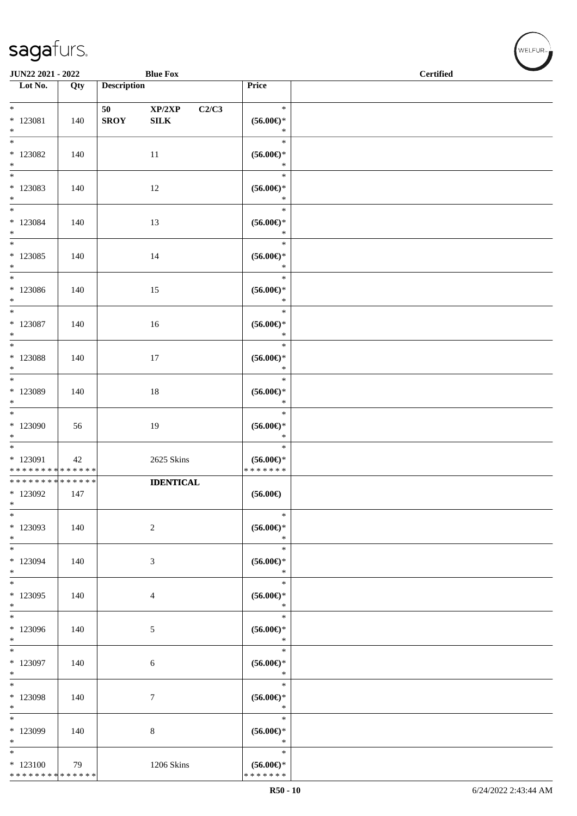| JUN22 2021 - 2022                                   |     |                    | <b>Blue Fox</b>  |                                                                        | <b>Certified</b> |
|-----------------------------------------------------|-----|--------------------|------------------|------------------------------------------------------------------------|------------------|
| Lot No.                                             | Qty | <b>Description</b> |                  | Price                                                                  |                  |
| $\ast$                                              |     |                    | XP/2XP<br>C2/C3  | $\ast$                                                                 |                  |
| $*$ 123081<br>$\ast$                                | 140 | <b>SROY</b>        | ${\bf SILK}$     | $(56.00\epsilon)$ *<br>$\ast$                                          |                  |
| $_{\ast}$<br>$*123082$<br>$\ast$                    | 140 |                    | 11               | $\ast$<br>$(56.00\epsilon)$ *<br>$\ast$                                |                  |
| $\frac{1}{1}$<br>$*123083$<br>$\ast$                | 140 |                    | 12               | $\ast$<br>$(56.00\epsilon)$ *<br>$\ast$                                |                  |
| $_{\ast}^{-}$<br>$*123084$<br>$*$                   | 140 |                    | 13               | $\ast$<br>$(56.00\mathnormal{\in}\mathcal{)^{\! \! \times}}$<br>$\ast$ |                  |
| $\overline{\phantom{a}^*}$<br>$*123085$<br>$\ast$   | 140 |                    | 14               | $\ast$<br>$(56.00ε)$ *<br>$\ast$                                       |                  |
| $\ast$<br>$*123086$<br>$\ast$                       | 140 |                    | 15               | $\ast$<br>$(56.00\epsilon)$ *<br>$\ast$                                |                  |
| $\overline{\ast}$<br>$*123087$<br>$\ast$            | 140 |                    | 16               | $\ast$<br>$(56.00\epsilon)$ *<br>$\ast$                                |                  |
| $\overline{\phantom{0}}$<br>* 123088<br>$\ast$      | 140 |                    | 17               | $\ast$<br>$(56.00\mathnormal{\in}\mathcal{)^{\! \! \times}}$<br>$\ast$ |                  |
| $\overline{\phantom{a}^*}$<br>* 123089<br>$\ast$    | 140 |                    | 18               | $\ast$<br>$(56.00\epsilon)$ *<br>$\ast$                                |                  |
| $\overline{\phantom{a}^*}$<br>$*123090$<br>$\ast$   | 56  |                    | 19               | $\ast$<br>$(56.00\epsilon)$ *<br>$\ast$                                |                  |
| $\ast$<br>$*$ 123091<br>* * * * * * * * * * * * * * | 42  |                    | 2625 Skins       | $\ast$<br>$(56.00ε)$ *<br>* * * * * * *                                |                  |
| **************<br>* 123092<br>$\ast$                | 147 |                    | <b>IDENTICAL</b> | $(56.00\epsilon)$                                                      |                  |
| $\ast$<br>* 123093<br>$\ast$                        | 140 |                    | $\overline{c}$   | $\ast$<br>$(56.00\epsilon)$ *<br>$\ast$                                |                  |
| $\ast$<br>* 123094<br>$\ast$                        | 140 |                    | 3                | $\ast$<br>$(56.00ε)$ *<br>$\ast$                                       |                  |
| $\overline{\ast}$<br>* 123095<br>$\ast$             | 140 |                    | $\overline{4}$   | $\ast$<br>$(56.00\mathnormal{\infty})^*$<br>$\ast$                     |                  |
| $_{\ast}$<br>* 123096<br>$\ast$                     | 140 |                    | 5                | $\ast$<br>$(56.00\epsilon)$ *<br>$\ast$                                |                  |
| $\ast$<br>$*$ 123097<br>$\ast$                      | 140 |                    | 6                | $\ast$<br>$(56.00\mathnormal{\infty})^*$<br>$\ast$                     |                  |
| $\ast$<br>* 123098<br>$\ast$                        | 140 |                    | $\tau$           | $\ast$<br>$(56.00\mathnormal{\infty})^*$<br>$\ast$                     |                  |
| $\ast$<br>* 123099<br>$\ast$                        | 140 |                    | 8                | $\ast$<br>$(56.00ε)$ *<br>$\ast$                                       |                  |
| $\ast$<br>$*123100$<br>* * * * * * * * * * * * * *  | 79  |                    | 1206 Skins       | $\ast$<br>$(56.00\epsilon)$ *<br>* * * * * * *                         |                  |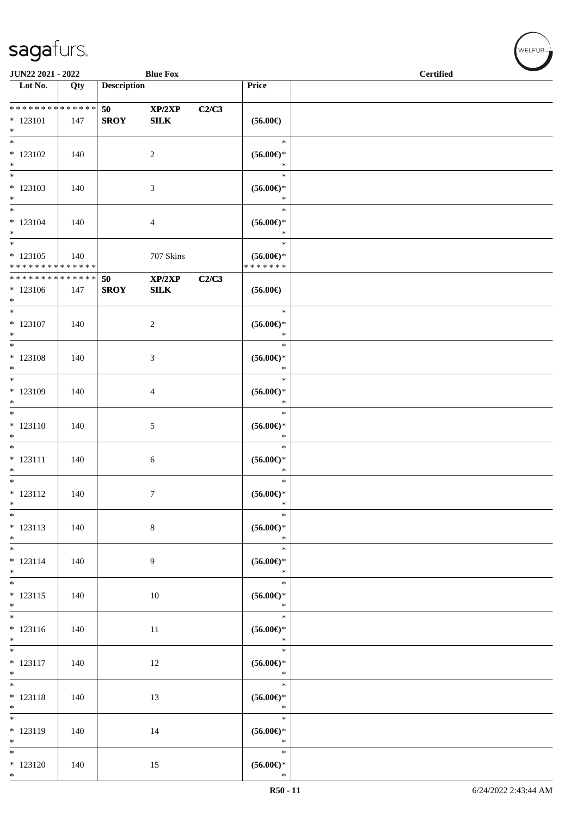| JUN22 2021 - 2022                                            |     |                    | <b>Blue Fox</b>        |       |                                                                        | <b>Certified</b> |
|--------------------------------------------------------------|-----|--------------------|------------------------|-------|------------------------------------------------------------------------|------------------|
| Lot No.                                                      | Qty | <b>Description</b> |                        |       | Price                                                                  |                  |
| ******** <mark>******</mark><br>$*123101$<br>$*$             | 147 | 50<br><b>SROY</b>  | XP/2XP<br>${\bf SILK}$ | C2/C3 | $(56.00\epsilon)$                                                      |                  |
| $\ast$<br>$*123102$<br>$\ast$                                | 140 |                    | $\overline{2}$         |       | $\ast$<br>$(56.00\epsilon)$ *<br>$\ast$                                |                  |
| $\overline{\ast}$<br>$*123103$<br>$*$                        | 140 |                    | 3                      |       | $\ast$<br>$(56.00ε)$ *<br>$\ast$                                       |                  |
| $*$<br>$* 123104$<br>$*$                                     | 140 |                    | $\overline{4}$         |       | $\ast$<br>$(56.00\mathnormal{\in}\mathcal{)^{\! \! \times}}$<br>$\ast$ |                  |
| $\ast$<br>$* 123105$<br>* * * * * * * * * * * * * *          | 140 |                    | 707 Skins              |       | $\ast$<br>$(56.00ε)$ *<br>* * * * * * *                                |                  |
| * * * * * * * * * * * * * *<br>$*123106$<br>$*$              | 147 | 50<br><b>SROY</b>  | XP/2XP<br>SLK          | C2/C3 | $(56.00\epsilon)$                                                      |                  |
| $\overline{\ast}$<br>$* 123107$<br>$\ast$                    | 140 |                    | $\sqrt{2}$             |       | $\ast$<br>$(56.00ε)$ *<br>$\ast$                                       |                  |
| $*$<br>$* 123108$<br>$\ast$                                  | 140 |                    | $\mathfrak{Z}$         |       | $\ast$<br>$(56.00ε)$ *<br>$\ast$                                       |                  |
| $\overline{\ast}$<br>* 123109<br>$\ast$<br>$\overline{\ast}$ | 140 |                    | $\overline{4}$         |       | $\ast$<br>$(56.00ε)$ *<br>$\ast$                                       |                  |
| $* 123110$<br>$\ast$                                         | 140 |                    | 5                      |       | $\ast$<br>$(56.00*)$<br>$\ast$                                         |                  |
| $\ast$<br>$* 123111$<br>$\ast$                               | 140 |                    | $\sqrt{6}$             |       | $\ast$<br>$(56.00*)$<br>$\ast$                                         |                  |
| $*$<br>$* 123112$<br>$*$                                     | 140 |                    | $\tau$                 |       | $\ast$<br>$(56.00*)$<br>$*$                                            |                  |
| $\ast$<br>$* 123113$<br>$*$<br>$\overline{\ }$               | 140 |                    | $\,8\,$                |       | $\ast$<br>$(56.00*)$<br>$\ast$                                         |                  |
| $* 123114$<br>$\ast$                                         | 140 |                    | 9                      |       | $\ast$<br>$(56.00*)$<br>$\ast$                                         |                  |
| $* 123115$<br>$*$<br>$\overline{\phantom{0}}$                | 140 |                    | $10\,$                 |       | $\ast$<br>$(56.00\mathnormal{\infty})^*$<br>$\ast$                     |                  |
| $* 123116$<br>$*$<br>$\overline{\phantom{0}}$                | 140 |                    | $11\,$                 |       | $\ast$<br>$(56.00*)$<br>$\ast$                                         |                  |
| $* 123117$<br>$*$                                            | 140 |                    | 12                     |       | $\ast$<br>$(56.00\mathnormal{\infty})^*$<br>$\ast$                     |                  |
| $\overline{\ast}$<br>$* 123118$<br>$\ast$<br>$\frac{1}{*}$   | 140 |                    | 13                     |       | $\ast$<br>$(56.00ε)$ *<br>$\ast$                                       |                  |
| $* 123119$<br>$*$                                            | 140 |                    | 14                     |       | $\ast$<br>$(56.00ε)$ *<br>$\ast$                                       |                  |
| $\overline{\phantom{0}}$<br>$* 123120$<br>$*$                | 140 |                    | 15                     |       | $\ast$<br>$(56.00\epsilon)$ *<br>$\ast$                                |                  |

welfur<sub>™</sub>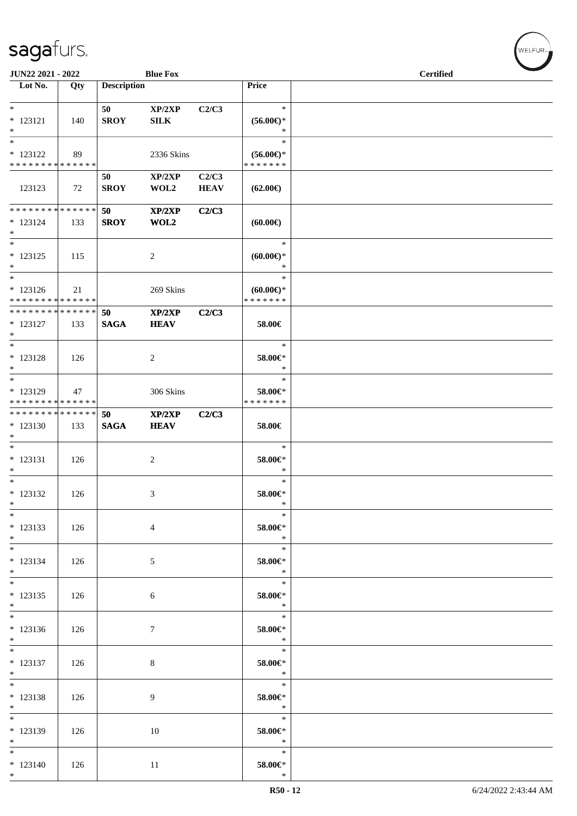| JUN22 2021 - 2022                                            |     |                    | <b>Blue Fox</b>  |                      |                     | <b>Certified</b> |
|--------------------------------------------------------------|-----|--------------------|------------------|----------------------|---------------------|------------------|
| $\overline{\text{Lot No.}}$                                  | Qty | <b>Description</b> |                  |                      | Price               |                  |
| $\ast$                                                       |     | 50                 | XP/2XP           | C2/C3                | $\ast$              |                  |
| $* 123121$                                                   | 140 | <b>SROY</b>        | ${\bf SILK}$     |                      | $(56.00\epsilon)$ * |                  |
| $*$                                                          |     |                    |                  |                      | $\ast$              |                  |
| $*$                                                          |     |                    |                  |                      | $\ast$              |                  |
| $* 123122$                                                   | 89  |                    | 2336 Skins       |                      | $(56.00\epsilon)$ * |                  |
| * * * * * * * * * * * * * *                                  |     |                    |                  |                      | * * * * * * *       |                  |
| 123123                                                       | 72  | 50<br><b>SROY</b>  | XP/2XP<br>WOL2   | C2/C3<br><b>HEAV</b> | $(62.00\epsilon)$   |                  |
|                                                              |     |                    |                  |                      |                     |                  |
| * * * * * * * * * * * * * * *                                |     | 50                 | XP/2XP           | C2/C3                |                     |                  |
| $* 123124$                                                   | 133 | <b>SROY</b>        | WOL2             |                      | (60.00)             |                  |
| $*$<br>$\ast$                                                |     |                    |                  |                      | $\ast$              |                  |
| $* 123125$                                                   | 115 |                    | $\boldsymbol{2}$ |                      | $(60.00ε)$ *        |                  |
| $*$                                                          |     |                    |                  |                      | $\ast$              |                  |
| $*$                                                          |     |                    |                  |                      | $\ast$              |                  |
| $* 123126$                                                   | 21  |                    | 269 Skins        |                      | $(60.00\epsilon)$ * |                  |
| * * * * * * * * * * * * * * *                                |     |                    |                  |                      | * * * * * * *       |                  |
| * * * * * * * * <mark>* * * * * * *</mark>                   |     | 50                 | XP/2XP           | C2/C3                |                     |                  |
| $* 123127$<br>$*$                                            | 133 | <b>SAGA</b>        | <b>HEAV</b>      |                      | 58.00€              |                  |
| $\ast$                                                       |     |                    |                  |                      | $\ast$              |                  |
| $* 123128$                                                   | 126 |                    | 2                |                      | 58.00€*             |                  |
| $*$                                                          |     |                    |                  |                      | $\ast$              |                  |
| $*$                                                          |     |                    |                  |                      | $\ast$              |                  |
| * 123129                                                     | 47  |                    | 306 Skins        |                      | 58.00€*             |                  |
| * * * * * * * * * * * * * *<br>* * * * * * * * * * * * * * * |     | 50                 | XP/2XP           | C2/C3                | * * * * * * *       |                  |
| $*123130$                                                    | 133 | <b>SAGA</b>        | <b>HEAV</b>      |                      | 58.00€              |                  |
| $*$                                                          |     |                    |                  |                      |                     |                  |
| $*$                                                          |     |                    |                  |                      | $\ast$              |                  |
| $* 123131$                                                   | 126 |                    | 2                |                      | 58.00€*             |                  |
| $*$<br>$*$                                                   |     |                    |                  |                      | $\ast$<br>$\ast$    |                  |
| $* 123132$                                                   | 126 |                    | 3                |                      | 58.00€*             |                  |
| $*$                                                          |     |                    |                  |                      | $\ast$              |                  |
| $\ast$                                                       |     |                    |                  |                      | $\ast$              |                  |
| * 123133                                                     | 126 |                    | $\overline{4}$   |                      | 58.00€*             |                  |
| $*$                                                          |     |                    |                  |                      | $\ast$              |                  |
| $*$<br>$* 123134$                                            |     |                    |                  |                      | $\ast$              |                  |
| $*$                                                          | 126 |                    | 5                |                      | 58.00€*<br>$\ast$   |                  |
| $*$                                                          |     |                    |                  |                      | $\ast$              |                  |
| $* 123135$                                                   | 126 |                    | 6                |                      | 58.00€*             |                  |
| $*$                                                          |     |                    |                  |                      | $\ast$              |                  |
|                                                              |     |                    |                  |                      | $\ast$              |                  |
| $* 123136$<br>$*$                                            | 126 |                    | $\tau$           |                      | 58.00€*<br>$\ast$   |                  |
| $*$                                                          |     |                    |                  |                      | $\ast$              |                  |
| $* 123137$                                                   | 126 |                    | $8\,$            |                      | 58.00€*             |                  |
| $*$                                                          |     |                    |                  |                      | $\ast$              |                  |
| $*$                                                          |     |                    |                  |                      | $\ast$              |                  |
| $* 123138$<br>$*$                                            | 126 |                    | 9                |                      | 58.00€*<br>$\ast$   |                  |
| $*$                                                          |     |                    |                  |                      | $\ast$              |                  |
| * 123139                                                     | 126 |                    | 10               |                      | 58.00€*             |                  |
| $*$                                                          |     |                    |                  |                      | $\ast$              |                  |
| $*$                                                          |     |                    |                  |                      | $\ast$              |                  |
| $* 123140$                                                   | 126 |                    | 11               |                      | 58.00€*             |                  |
| $*$                                                          |     |                    |                  |                      | $\ast$              |                  |

welfur<sub>™</sub>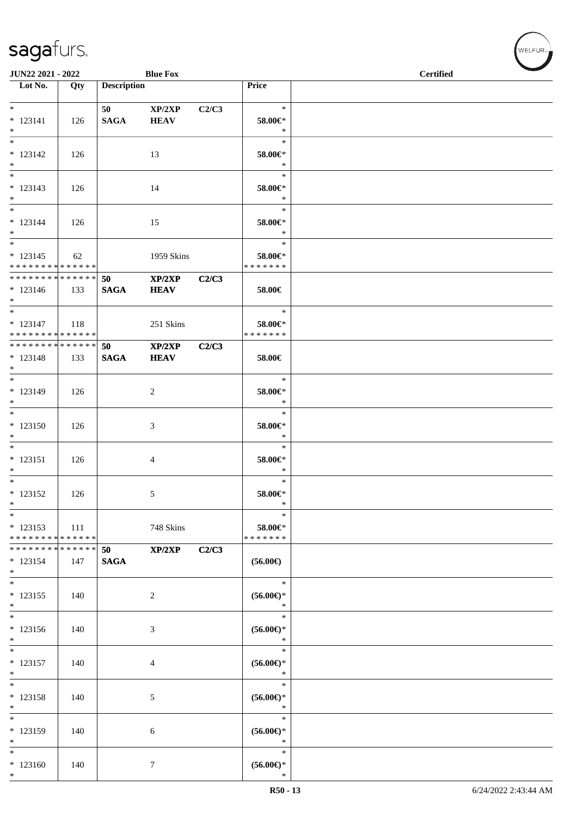| JUN22 2021 - 2022                           |        |                    | <b>Blue Fox</b> |       |                          | <b>Certified</b> |
|---------------------------------------------|--------|--------------------|-----------------|-------|--------------------------|------------------|
| $\overline{\phantom{1}}$ Lot No.            | Qty    | <b>Description</b> |                 |       | Price                    |                  |
|                                             |        |                    |                 |       |                          |                  |
| $*$                                         |        | 50                 | XP/2XP          | C2/C3 | $\ast$                   |                  |
| $* 123141$                                  | 126    | <b>SAGA</b>        | <b>HEAV</b>     |       | 58.00€*                  |                  |
| $*$                                         |        |                    |                 |       | $\ast$                   |                  |
| $\overline{\phantom{0}}$                    |        |                    |                 |       | $\ast$                   |                  |
| $* 123142$                                  | 126    |                    | 13              |       | 58.00€*                  |                  |
| $*$                                         |        |                    |                 |       | $\ast$                   |                  |
|                                             |        |                    |                 |       | $\ast$                   |                  |
| $* 123143$                                  |        |                    |                 |       | 58.00€*                  |                  |
| $*$                                         | 126    |                    | 14              |       | $\ast$                   |                  |
| $*$                                         |        |                    |                 |       | $\ast$                   |                  |
| $* 123144$                                  |        |                    |                 |       | 58.00€*                  |                  |
| $*$                                         | 126    |                    | 15              |       | $\ast$                   |                  |
| $\overline{\phantom{0}}$                    |        |                    |                 |       | $\ast$                   |                  |
|                                             |        |                    |                 |       |                          |                  |
| $* 123145$<br>* * * * * * * * * * * * * *   | 62     |                    | 1959 Skins      |       | 58.00€*<br>* * * * * * * |                  |
| * * * * * * * * * * * * * * *               |        |                    |                 |       |                          |                  |
|                                             |        | 50                 | XP/2XP          | C2/C3 |                          |                  |
| $* 123146$<br>$*$                           | 133    | <b>SAGA</b>        | <b>HEAV</b>     |       | 58.00€                   |                  |
| $*$                                         |        |                    |                 |       | $\ast$                   |                  |
|                                             |        |                    |                 |       |                          |                  |
| $* 123147$<br>* * * * * * * * * * * * * * * | 118    |                    | 251 Skins       |       | 58.00€*<br>* * * * * * * |                  |
| ******** <mark>******</mark>                |        |                    |                 |       |                          |                  |
|                                             |        | 50                 | XP/2XP          | C2/C3 |                          |                  |
| $* 123148$                                  | 133    | <b>SAGA</b>        | <b>HEAV</b>     |       | 58.00€                   |                  |
| $*$<br>$*$                                  |        |                    |                 |       | $\ast$                   |                  |
|                                             |        |                    |                 |       |                          |                  |
| * 123149                                    | 126    |                    | 2               |       | 58.00€*                  |                  |
| $*$<br>$*$                                  |        |                    |                 |       | $\ast$                   |                  |
|                                             |        |                    |                 |       | $\ast$                   |                  |
| $* 123150$                                  | 126    |                    | 3               |       | 58.00€*                  |                  |
| $*$                                         |        |                    |                 |       | $\ast$                   |                  |
|                                             |        |                    |                 |       | $\ast$                   |                  |
| $* 123151$                                  | 126    |                    | 4               |       | 58.00€*                  |                  |
| $*$                                         |        |                    |                 |       | $\ast$                   |                  |
| $*$                                         |        |                    |                 |       | $\ast$                   |                  |
| $* 123152$                                  | 126    |                    | 5               |       | 58.00€*                  |                  |
| $\ast$                                      |        |                    |                 |       | $\ast$                   |                  |
| $*$                                         |        |                    |                 |       | $\ast$                   |                  |
| $* 123153$                                  | 111    |                    | 748 Skins       |       | 58.00€*                  |                  |
| * * * * * * * * * * * * * *                 |        |                    |                 |       | * * * * * * *            |                  |
| * * * * * * * *                             | ****** | 50                 | XP/2XP          | C2/C3 |                          |                  |
| $* 123154$                                  | 147    | <b>SAGA</b>        |                 |       | $(56.00\epsilon)$        |                  |
| $*$                                         |        |                    |                 |       |                          |                  |
| $*$                                         |        |                    |                 |       | $\ast$                   |                  |
| $* 123155$                                  | 140    |                    | 2               |       | $(56.00ε)$ *             |                  |
| $*$                                         |        |                    |                 |       | $\ast$                   |                  |
| $*$                                         |        |                    |                 |       | $\ast$                   |                  |
| * 123156                                    | 140    |                    | 3               |       | $(56.00ε)$ *             |                  |
| $\ast$                                      |        |                    |                 |       | $\ast$                   |                  |
| $\overline{\phantom{0}}$                    |        |                    |                 |       | $\ast$                   |                  |
| $* 123157$                                  | 140    |                    | 4               |       | $(56.00ε)$ *             |                  |
| $*$                                         |        |                    |                 |       | $\ast$                   |                  |
| $*$                                         |        |                    |                 |       | $\ast$                   |                  |
| * 123158                                    | 140    |                    | 5               |       | $(56.00ε)$ *             |                  |
| $*$                                         |        |                    |                 |       | $\ast$                   |                  |
| $*$                                         |        |                    |                 |       | $\ast$                   |                  |
| * 123159                                    | 140    |                    | 6               |       | $(56.00ε)$ *             |                  |
| $\ast$                                      |        |                    |                 |       | $\ast$                   |                  |
| $\ast$                                      |        |                    |                 |       | $\ast$                   |                  |
| $*123160$                                   | 140    |                    | 7               |       | $(56.00\epsilon)$ *      |                  |
| $*$                                         |        |                    |                 |       | $\ast$                   |                  |

V<br>WELFUR<sub>™</sub>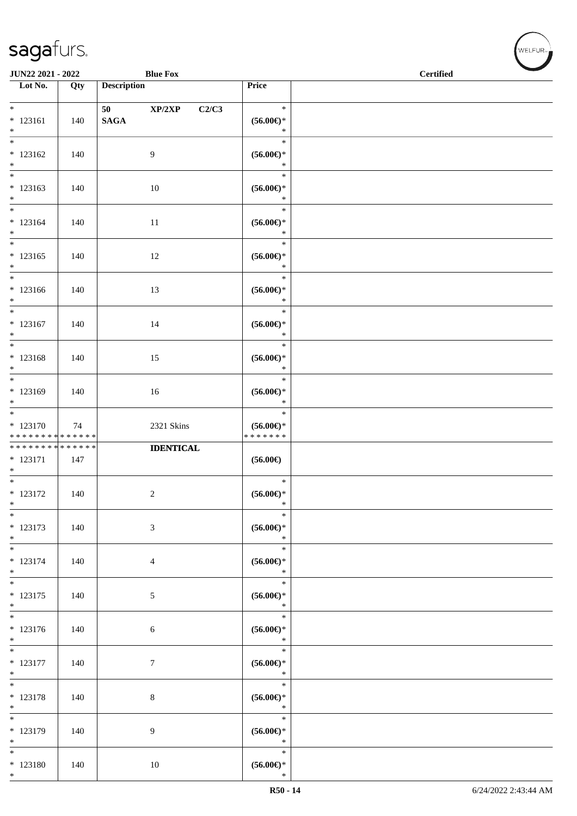| JUN22 2021 - 2022                                 |     | <b>Blue Fox</b>                  |                                                           | <b>Certified</b> | <b>Contract Contract Contract Contract Contract Contract Contract Contract Contract Contract Contract Contract Contract Contract Contract Contract Contract Contract Contract Contract Contract Contract Contract Contract Contr</b> |
|---------------------------------------------------|-----|----------------------------------|-----------------------------------------------------------|------------------|--------------------------------------------------------------------------------------------------------------------------------------------------------------------------------------------------------------------------------------|
| Lot No.                                           | Qty | <b>Description</b>               | Price                                                     |                  |                                                                                                                                                                                                                                      |
| $*$                                               |     | $\mathbf{XP}/2\mathbf{XP}$<br>50 | $\ast$<br>C2/C3                                           |                  |                                                                                                                                                                                                                                      |
| $* 123161$<br>$*$                                 | 140 | <b>SAGA</b>                      | $(56.00ε)$ *<br>$\ast$                                    |                  |                                                                                                                                                                                                                                      |
| $\overline{\ }$<br>$* 123162$<br>$*$              | 140 | 9                                | $\ast$<br>$(56.00\epsilon)$ *<br>$\ast$                   |                  |                                                                                                                                                                                                                                      |
| $* 123163$<br>$*$                                 | 140 | 10                               | $\ast$<br>$(56.00\epsilon)$ *<br>$\ast$                   |                  |                                                                                                                                                                                                                                      |
| $*$<br>$* 123164$<br>$*$                          | 140 | 11                               | $\ast$<br>$(56.00ε)$ *<br>$\ast$                          |                  |                                                                                                                                                                                                                                      |
| $*$<br>$* 123165$<br>$*$                          | 140 | 12                               | $\ast$<br>$(56.00ε)$ *<br>$\ast$                          |                  |                                                                                                                                                                                                                                      |
| $*$<br>$*123166$<br>$*$                           | 140 | 13                               | $\ast$<br>$(56.00ε)$ *<br>$\ast$                          |                  |                                                                                                                                                                                                                                      |
| $*$<br>* 123167<br>$*$                            | 140 | 14                               | $\ast$<br>$(56.00\epsilon)$ *<br>$\ast$                   |                  |                                                                                                                                                                                                                                      |
| $* 123168$<br>$*$                                 | 140 | 15                               | $\ast$<br>$(56.00\epsilon)$ *<br>$\ast$                   |                  |                                                                                                                                                                                                                                      |
| * 123169<br>$*$                                   | 140 | 16                               | $\ast$<br>$(56.00\epsilon)$ *<br>$\ast$                   |                  |                                                                                                                                                                                                                                      |
| $* 123170$<br>* * * * * * * * * * * * * *         | 74  | 2321 Skins                       | $\ast$<br>$(56.00\mathnormal{\infty})^*$<br>* * * * * * * |                  |                                                                                                                                                                                                                                      |
| ******** <mark>******</mark><br>$* 123171$<br>$*$ | 147 | <b>IDENTICAL</b>                 | $(56.00\epsilon)$                                         |                  |                                                                                                                                                                                                                                      |
| $* 123172$<br>$\ast$                              | 140 | $\boldsymbol{2}$                 | $\ast$<br>$(56.00\epsilon)$ *<br>$\ast$                   |                  |                                                                                                                                                                                                                                      |
| $\ast$<br>* 123173<br>$\ast$                      | 140 | $\mathfrak{Z}$                   | $\ast$<br>$(56.00\epsilon)$ *<br>$\ast$                   |                  |                                                                                                                                                                                                                                      |
| $*$<br>* 123174<br>$\ast$                         | 140 | $\overline{4}$                   | $\ast$<br>$(56.00\epsilon)$ *<br>$\ast$                   |                  |                                                                                                                                                                                                                                      |
| $* 123175$<br>$\ast$                              | 140 | 5                                | $\ast$<br>$(56.00\mathnormal{\infty})^*$<br>$\ast$        |                  |                                                                                                                                                                                                                                      |
| $* 123176$<br>$*$                                 | 140 | 6                                | $\ast$<br>$(56.00\mathnormal{\infty})^*$<br>$\ast$        |                  |                                                                                                                                                                                                                                      |
| $*$<br>$* 123177$<br>$*$                          | 140 | 7                                | $\ast$<br>$(56.00\mathnormal{\infty})^*$<br>$\ast$        |                  |                                                                                                                                                                                                                                      |
| $*$<br>$* 123178$<br>$*$                          | 140 | $8\,$                            | $\ast$<br>$(56.00ε)$ *<br>$\ast$                          |                  |                                                                                                                                                                                                                                      |
| $*$<br>* 123179<br>$*$                            | 140 | 9                                | $\ast$<br>$(56.00ε)$ *<br>$\ast$                          |                  |                                                                                                                                                                                                                                      |
| $*$<br>$* 123180$<br>$*$                          | 140 | 10                               | $\ast$<br>$(56.00\mathnormal{\infty})^*$<br>$\ast$        |                  |                                                                                                                                                                                                                                      |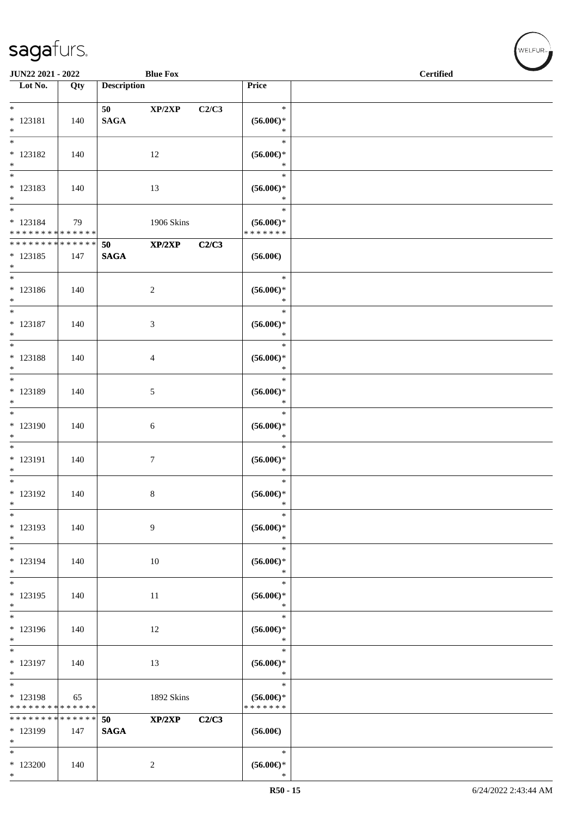| <b>Blue Fox</b><br>JUN22 2021 - 2022                            |     |                    |                |       |                                                    | <b>Certified</b> |  |  |
|-----------------------------------------------------------------|-----|--------------------|----------------|-------|----------------------------------------------------|------------------|--|--|
| Lot No.                                                         | Qty | <b>Description</b> |                |       | Price                                              |                  |  |  |
| $*$<br>$* 123181$<br>$\ast$                                     | 140 | 50<br><b>SAGA</b>  | XP/2XP         | C2/C3 | $\ast$<br>$(56.00*)$<br>$\ast$                     |                  |  |  |
| $\overline{\ast}$<br>$* 123182$<br>$*$                          | 140 |                    | 12             |       | $\ast$<br>$(56.00ε)$ *<br>$\ast$                   |                  |  |  |
| $*$<br>* 123183<br>$*$                                          | 140 |                    | 13             |       | $\ast$<br>$(56.00ε)$ *<br>$\ast$                   |                  |  |  |
| $*$<br>$* 123184$<br>* * * * * * * * * * * * * *                | 79  |                    | 1906 Skins     |       | $\ast$<br>$(56.00ε)$ *<br>* * * * * * *            |                  |  |  |
| * * * * * * * * <mark>* * * * * * *</mark><br>$* 123185$<br>$*$ | 147 | 50<br><b>SAGA</b>  | XP/2XP         | C2/C3 | $(56.00\epsilon)$                                  |                  |  |  |
| $*$<br>* 123186<br>$*$                                          | 140 |                    | $\sqrt{2}$     |       | $\ast$<br>$(56.00\epsilon)$ *<br>$\ast$            |                  |  |  |
| $\ast$<br>$* 123187$<br>$*$                                     | 140 |                    | 3              |       | $\ast$<br>$(56.00\epsilon)$ *<br>$\ast$            |                  |  |  |
| $*$<br>$* 123188$<br>$*$                                        | 140 |                    | 4              |       | $\ast$<br>$(56.00ε)$ *<br>$\ast$                   |                  |  |  |
| $*$<br>* 123189<br>$*$                                          | 140 |                    | 5              |       | $\ast$<br>$(56.00ε)$ *<br>$\ast$                   |                  |  |  |
| $*$<br>* 123190<br>$*$                                          | 140 |                    | 6              |       | $\ast$<br>$(56.00\epsilon)$ *<br>$\ast$            |                  |  |  |
| $*$<br>* 123191<br>$*$                                          | 140 |                    | 7              |       | $\ast$<br>$(56.00ε)$ *<br>$\ast$                   |                  |  |  |
| $*$<br>* 123192<br>$\ast$                                       | 140 |                    | $\,8\,$        |       | $\ast$<br>$(56.00ε)$ *<br>$\ast$                   |                  |  |  |
| $\ast$<br>* 123193<br>$*$                                       | 140 |                    | 9              |       | $\ast$<br>$(56.00\epsilon)$ *<br>$\ast$            |                  |  |  |
| $*$<br>* 123194<br>$*$                                          | 140 |                    | 10             |       | $\ast$<br>$(56.00\epsilon)$ *<br>$\ast$            |                  |  |  |
| $\ast$<br>* 123195<br>$*$                                       | 140 |                    | 11             |       | $\ast$<br>$(56.00ε)$ *<br>$\ast$                   |                  |  |  |
| $\ast$<br>* 123196<br>$*$                                       | 140 |                    | 12             |       | $\ast$<br>$(56.00\mathnormal{\infty})^*$<br>$\ast$ |                  |  |  |
| $\overline{\ast}$<br>* 123197<br>$*$                            | 140 |                    | 13             |       | $\ast$<br>$(56.00\mathnormal{\infty})^*$<br>$\ast$ |                  |  |  |
| $*$<br>* 123198<br>* * * * * * * * * * * * * *                  | 65  |                    | 1892 Skins     |       | $\ast$<br>$(56.00ε)$ *<br>* * * * * * *            |                  |  |  |
| * * * * * * * * * * * * * *<br>* 123199<br>$*$                  | 147 | 50<br><b>SAGA</b>  | XP/2XP         | C2/C3 | $(56.00\epsilon)$                                  |                  |  |  |
| $\ast$<br>$*123200$<br>$*$                                      | 140 |                    | $\overline{c}$ |       | $\ast$<br>$(56.00\mathnormal{\infty})^*$<br>$\ast$ |                  |  |  |

 $(w$ ELFUR<sub><sup>n</sub></sub></sub></sup>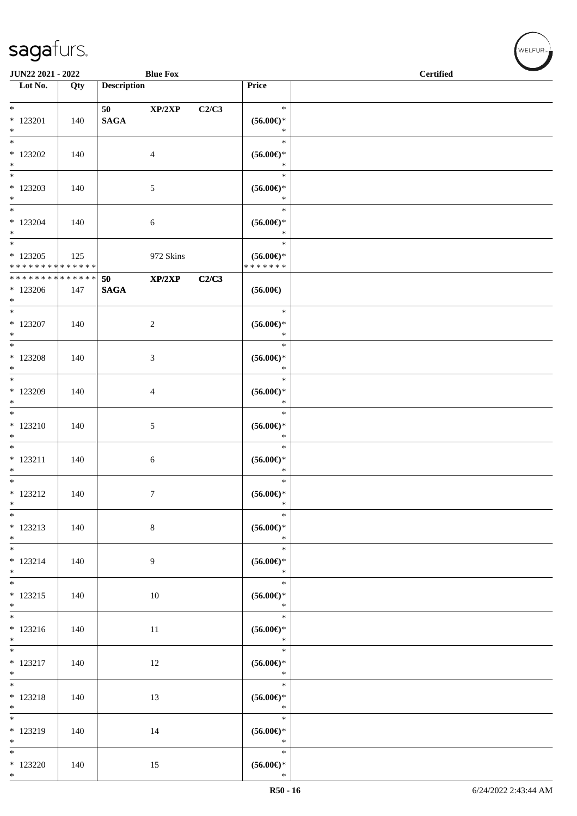|                                                   | <b>JUN22 2021 - 2022</b><br><b>Blue Fox</b> |                       |                |       |                                                    | <b>Certified</b> |
|---------------------------------------------------|---------------------------------------------|-----------------------|----------------|-------|----------------------------------------------------|------------------|
| Lot No.                                           | Qty                                         | <b>Description</b>    |                |       | Price                                              |                  |
| $*$                                               |                                             | 50 70                 | XP/2XP         | C2/C3 | $\ast$                                             |                  |
| $* 123201$<br>$\ast$                              | 140                                         | <b>SAGA</b>           |                |       | $(56.00ε)$ *<br>$\ast$                             |                  |
| $*$<br>$*$ 123202<br>$\ast$                       | 140                                         |                       | $\overline{4}$ |       | $\ast$<br>$(56.00ε)$ *<br>$\ast$                   |                  |
| $*123203$<br>$*$                                  | 140                                         |                       | 5              |       | $\ast$<br>$(56.00ε)$ *<br>$\ast$                   |                  |
| $*$<br>$*123204$<br>$*$                           | 140                                         |                       | 6              |       | $\ast$<br>$(56.00\epsilon)$ *<br>$\ast$            |                  |
| $*$<br>$*123205$<br>* * * * * * * * * * * * * * * | 125                                         |                       | 972 Skins      |       | $\ast$<br>$(56.00ε)$ *<br>* * * * * * *            |                  |
| ******** <mark>******</mark><br>$*123206$<br>$*$  | 147                                         | 50<br>$\mathbf{SAGA}$ | XP/2XP         | C2/C3 | $(56.00\epsilon)$                                  |                  |
| $*$<br>$*123207$<br>$*$                           | 140                                         |                       | $\sqrt{2}$     |       | $\ast$<br>$(56.00ε)$ *<br>$\ast$                   |                  |
| $*$<br>$*$ 123208<br>$*$                          | 140                                         |                       | 3              |       | $\ast$<br>$(56.00\epsilon)$ *<br>$\ast$            |                  |
| * 123209<br>$*$                                   | 140                                         |                       | 4              |       | $\ast$<br>$(56.00ε)$ *<br>$\ast$                   |                  |
| * 123210<br>$*$                                   | 140                                         |                       | $\mathfrak{S}$ |       | $\ast$<br>$(56.00ε)$ *<br>$\ast$                   |                  |
| $\ast$<br>$* 123211$<br>$*$                       | 140                                         |                       | 6              |       | $\ast$<br>$(56.00*)$<br>$\ast$                     |                  |
| $*$<br>$* 123212$<br>$*$                          | 140                                         |                       | 7              |       | $\ast$<br>$(56.00\epsilon)$ *<br>$\ast$            |                  |
| $\ast$<br>$* 123213$<br>$*$                       | 140                                         |                       | $\,8\,$        |       | $\ast$<br>$(56.00\epsilon)$ *<br>$\ast$            |                  |
| $*$<br>$* 123214$<br>$*$                          | 140                                         |                       | 9              |       | $\ast$<br>$(56.00\epsilon)$ *<br>$\ast$            |                  |
| $*$<br>$* 123215$<br>$*$                          | 140                                         |                       | $10\,$         |       | $\ast$<br>$(56.00\mathnormal{\infty})^*$<br>$\ast$ |                  |
| $* 123216$<br>$\ast$                              | 140                                         |                       | 11             |       | $\ast$<br>$(56.00\mathnormal{\infty})^*$<br>$\ast$ |                  |
| $\overline{\phantom{0}}$<br>$* 123217$<br>$*$     | 140                                         |                       | 12             |       | $\ast$<br>$(56.00\mathnormal{\infty})^*$<br>$\ast$ |                  |
| $*$<br>$* 123218$<br>$*$                          | 140                                         |                       | 13             |       | $\ast$<br>$(56.00\mathnormal{\infty})^*$<br>$\ast$ |                  |
| $\overline{\phantom{0}}$<br>* 123219<br>$*$       | 140                                         |                       | 14             |       | $\ast$<br>$(56.00\mathnormal{\infty})^*$<br>$\ast$ |                  |
| $*$<br>$*123220$<br>$*$                           | 140                                         |                       | 15             |       | $\ast$<br>$(56.00\epsilon)$ *<br>$\ast$            |                  |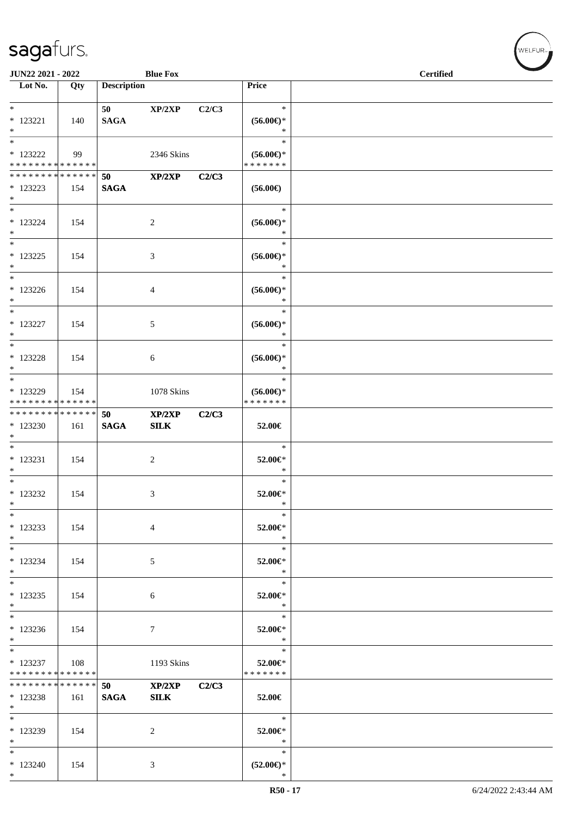| JUN22 2021 - 2022<br><b>Blue Fox</b>                         |     |                    |                            |       |                                          | <b>Certified</b> |
|--------------------------------------------------------------|-----|--------------------|----------------------------|-------|------------------------------------------|------------------|
| Lot No.                                                      | Qty | <b>Description</b> |                            |       | Price                                    |                  |
| $*$                                                          |     | 50 7               | XP/2XP                     | C2/C3 | $\ast$                                   |                  |
| $*$ 123221                                                   | 140 | <b>SAGA</b>        |                            |       | $(56.00\epsilon)$ *                      |                  |
| $*$                                                          |     |                    |                            |       | $\ast$                                   |                  |
| $*$                                                          |     |                    |                            |       | $\ast$                                   |                  |
| $*$ 123222                                                   | 99  |                    | 2346 Skins                 |       | $(56.00ε)$ *                             |                  |
| * * * * * * * * * * * * * *<br>* * * * * * * * * * * * * * * |     |                    |                            |       | * * * * * * *                            |                  |
| * 123223                                                     | 154 | 50<br><b>SAGA</b>  | $\mathbf{XP}/2\mathbf{XP}$ | C2/C3 | $(56.00\epsilon)$                        |                  |
| $*$                                                          |     |                    |                            |       |                                          |                  |
| $*$                                                          |     |                    |                            |       | $\ast$                                   |                  |
| $* 123224$                                                   | 154 |                    | 2                          |       | $(56.00\epsilon)$ *                      |                  |
| $*$                                                          |     |                    |                            |       | $\ast$                                   |                  |
| $\overline{\ }$                                              |     |                    |                            |       | $\ast$                                   |                  |
| $* 123225$<br>$*$                                            | 154 |                    | 3                          |       | $(56.00\mathnormal{\infty})^*$<br>$\ast$ |                  |
| $*$                                                          |     |                    |                            |       | $\ast$                                   |                  |
| $*123226$                                                    | 154 |                    | 4                          |       | $(56.00ε)$ *                             |                  |
| $*$                                                          |     |                    |                            |       | $\ast$                                   |                  |
| $*$                                                          |     |                    |                            |       | $\ast$                                   |                  |
| $* 123227$                                                   | 154 |                    | 5                          |       | $(56.00ε)$ *                             |                  |
| $*$<br>$*$                                                   |     |                    |                            |       | $\ast$<br>$\ast$                         |                  |
| * 123228                                                     | 154 |                    | 6                          |       | $(56.00ε)$ *                             |                  |
| $*$                                                          |     |                    |                            |       | $\ast$                                   |                  |
| $*$                                                          |     |                    |                            |       | $\ast$                                   |                  |
| * 123229                                                     | 154 |                    | 1078 Skins                 |       | $(56.00ε)$ *                             |                  |
| * * * * * * * * * * * * * *                                  |     |                    |                            |       | * * * * * * *                            |                  |
| * * * * * * * * <mark>* * * * * * *</mark><br>* 123230       |     | 50                 | XP/2XP                     | C2/C3 |                                          |                  |
| $*$                                                          | 161 | <b>SAGA</b>        | SLK                        |       | 52.00€                                   |                  |
| $*$                                                          |     |                    |                            |       | $\ast$                                   |                  |
| $* 123231$                                                   | 154 |                    | 2                          |       | 52.00€*                                  |                  |
| $*$                                                          |     |                    |                            |       | $\ast$                                   |                  |
| $*$                                                          |     |                    |                            |       | $\ast$                                   |                  |
| $* 123232$                                                   | 154 |                    | 3                          |       | 52.00€*<br>$\ast$                        |                  |
| $\ast$<br>$*$                                                |     |                    |                            |       | $\ast$                                   |                  |
| * 123233                                                     | 154 |                    | 4                          |       | 52.00€*                                  |                  |
| $*$                                                          |     |                    |                            |       | $\ast$                                   |                  |
| $*$                                                          |     |                    |                            |       | $\ast$                                   |                  |
| $*123234$                                                    | 154 |                    | 5                          |       | 52.00€*                                  |                  |
| $*$                                                          |     |                    |                            |       | $\ast$                                   |                  |
| $*$<br>* 123235                                              | 154 |                    | 6                          |       | $\ast$<br>52.00€*                        |                  |
| $*$                                                          |     |                    |                            |       | $\ast$                                   |                  |
| $\overline{\ast}$                                            |     |                    |                            |       | $\ast$                                   |                  |
| $*123236$                                                    | 154 |                    | $\tau$                     |       | 52.00€*                                  |                  |
| $*$                                                          |     |                    |                            |       | $\ast$                                   |                  |
| $*$                                                          |     |                    |                            |       | $\ast$                                   |                  |
| $*123237$<br>* * * * * * * * * * * * * *                     | 108 |                    | 1193 Skins                 |       | 52.00€*<br>* * * * * * *                 |                  |
| ******** <mark>******</mark>                                 |     | 50                 | XP/2XP                     | C2/C3 |                                          |                  |
| * 123238                                                     | 161 | <b>SAGA</b>        | <b>SILK</b>                |       | 52.00€                                   |                  |
| $*$                                                          |     |                    |                            |       |                                          |                  |
| $*$                                                          |     |                    |                            |       | $\ast$                                   |                  |
| * 123239                                                     | 154 |                    | 2                          |       | 52.00€*<br>$\ast$                        |                  |
| $\ast$<br>$\ast$                                             |     |                    |                            |       | $\ast$                                   |                  |
| $*123240$                                                    | 154 |                    | 3                          |       | $(52.00\epsilon)$ *                      |                  |
| $*$                                                          |     |                    |                            |       | $\ast$                                   |                  |

 $(w$ ELFUR<sub><sup>n</sub></sub></sub></sup>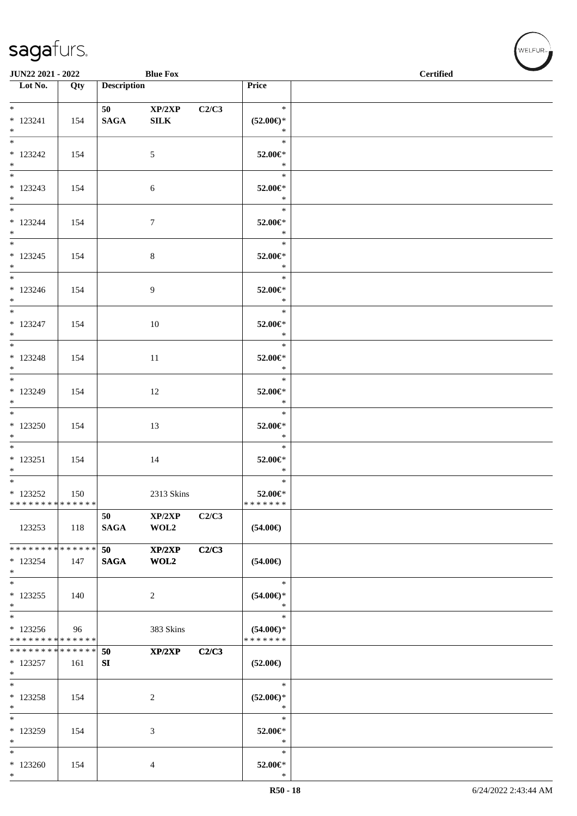| JUN22 2021 - 2022<br><b>Blue Fox</b>                |     |                    |                        |       | <b>Certified</b>                               |  |
|-----------------------------------------------------|-----|--------------------|------------------------|-------|------------------------------------------------|--|
| $\overline{\phantom{a}}$ Lot No.                    | Qty | <b>Description</b> |                        |       | Price                                          |  |
| $*$<br>$* 123241$<br>$*$                            | 154 | 50<br><b>SAGA</b>  | XP/2XP<br>${\bf SILK}$ | C2/C3 | $\ast$<br>$(52.00\epsilon)$ *<br>$\ast$        |  |
| $*123242$<br>$*$                                    | 154 |                    | $\mathfrak{S}$         |       | $\ast$<br>52.00€*<br>$\ast$                    |  |
| $* 123243$<br>$*$                                   | 154 |                    | 6                      |       | $\ast$<br>52.00€*<br>$\ast$                    |  |
| $*$<br>$* 123244$<br>$*$                            | 154 |                    | $\tau$                 |       | $\ast$<br>52.00€*<br>$\ast$                    |  |
| $* 123245$<br>$*$                                   | 154 |                    | $8\,$                  |       | $\ast$<br>52.00€*<br>$\ast$                    |  |
| $*$<br>$*123246$<br>$*$ $-$                         | 154 |                    | 9                      |       | $\ast$<br>52.00€*<br>$\ast$                    |  |
| $*$ and $*$<br>$* 123247$<br>$*$                    | 154 |                    | 10                     |       | $\ast$<br>52.00€*<br>$\ast$                    |  |
| $*$<br>$* 123248$<br>$*$                            | 154 |                    | 11                     |       | $\ast$<br>52.00€*<br>$\ast$                    |  |
| $*$<br>$* 123249$<br>$*$<br>$*$                     | 154 |                    | 12                     |       | $\ast$<br>52.00€*<br>$\ast$                    |  |
| $*123250$<br>$*$                                    | 154 |                    | 13                     |       | $\ast$<br>52.00€*<br>$\ast$                    |  |
| $* 123251$<br>$*$                                   | 154 |                    | 14                     |       | $\ast$<br>52.00€*<br>$\ast$                    |  |
| $*$<br>$*$ 123252<br>* * * * * * * * * * * * * *    | 150 |                    | 2313 Skins             |       | $\ast$<br>52.00€*<br>* * * * * * *             |  |
| 123253                                              | 118 | 50<br><b>SAGA</b>  | XP/2XP<br>WOL2         | C2/C3 | $(54.00\epsilon)$                              |  |
| ******** <mark>******</mark><br>$*123254$<br>$\ast$ | 147 | 50<br><b>SAGA</b>  | XP/2XP<br>WOL2         | C2/C3 | $(54.00\epsilon)$                              |  |
| $*$<br>$*123255$<br>$*$                             | 140 |                    | 2                      |       | $\ast$<br>$(54.00ε)$ *<br>$\ast$               |  |
| $\ast$<br>* 123256<br>* * * * * * * * * * * * * *   | 96  |                    | 383 Skins              |       | $\ast$<br>$(54.00\epsilon)$ *<br>* * * * * * * |  |
| * * * * * * * * * * * * * *<br>$*123257$<br>$\ast$  | 161 | 50<br>${\bf SI}$   | XP/2XP                 | C2/C3 | $(52.00\epsilon)$                              |  |
| $\ast$<br>$* 123258$<br>$\ast$                      | 154 |                    | $\overline{c}$         |       | $\ast$<br>$(52.00\epsilon)$ *<br>$\ast$        |  |
| $\ast$<br>$*123259$<br>$\ast$                       | 154 |                    | $\mathfrak{Z}$         |       | $\ast$<br>52.00€*<br>$\ast$                    |  |
| $\ast$<br>$*123260$<br>$\ast$                       | 154 |                    | 4                      |       | $\ast$<br>52.00€*<br>$\ast$                    |  |

WELFUR<sub><sup>N</sup></sub>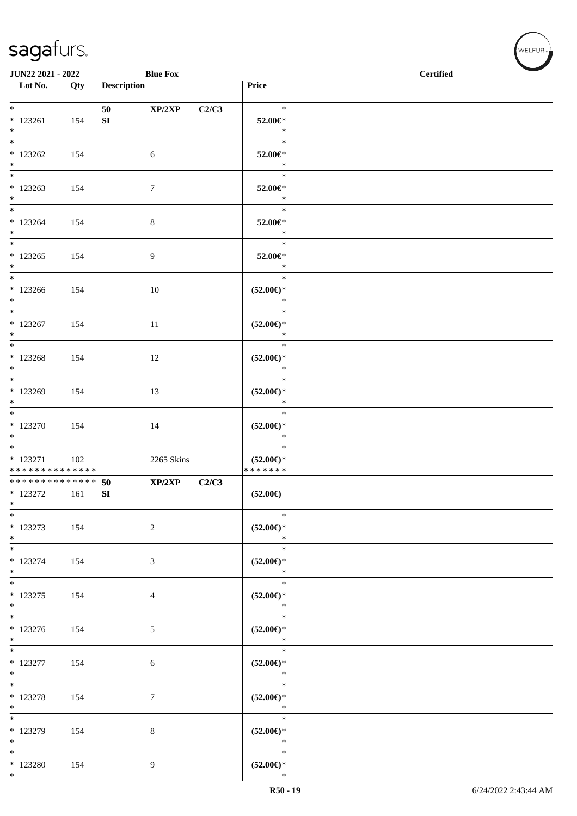| JUN22 2021 - 2022                              |     | <b>Blue Fox</b>            |                                                | <b>Certified</b> |  |
|------------------------------------------------|-----|----------------------------|------------------------------------------------|------------------|--|
| Lot No.                                        | Qty | <b>Description</b>         | Price                                          |                  |  |
| $*$<br>$*123261$<br>$*$                        | 154 | XP/2XP<br>50<br>${\bf SI}$ | $\ast$<br>C2/C3<br>52.00€*<br>$\ast$           |                  |  |
| $*$<br>$*123262$<br>$*$                        | 154 | $\sqrt{6}$                 | $\ast$<br>52.00€*<br>$\ast$                    |                  |  |
| $* 123263$<br>$*$                              | 154 | $\tau$                     | $\ast$<br>52.00€*<br>$\ast$                    |                  |  |
| $*$<br>$* 123264$<br>$*$                       | 154 | $\,8\,$                    | $\ast$<br>52.00€*<br>$\ast$                    |                  |  |
| $*$<br>$*123265$<br>$*$                        | 154 | 9                          | $\ast$<br>52.00€*<br>$\ast$                    |                  |  |
| $*$<br>$*123266$<br>$*$                        | 154 | 10                         | $\ast$<br>$(52.00\epsilon)$ *<br>$\ast$        |                  |  |
| $*123267$<br>$*$                               | 154 | 11                         | $\ast$<br>$(52.00\epsilon)$ *<br>$\ast$        |                  |  |
| $*123268$<br>$*$                               | 154 | 12                         | $\ast$<br>$(52.00\epsilon)$ *<br>$\ast$        |                  |  |
| $*$<br>$*123269$<br>$*$                        | 154 | 13                         | $\ast$<br>$(52.00\epsilon)$ *<br>$\ast$        |                  |  |
| $*$<br>$*123270$<br>$*$                        | 154 | 14                         | $\ast$<br>$(52.00\epsilon)$ *<br>$\ast$        |                  |  |
| $* 123271$<br>* * * * * * * * * * * * * *      | 102 | 2265 Skins                 | $\ast$<br>$(52.00\epsilon)$ *<br>* * * * * * * |                  |  |
| * * * * * * * * * * * * * *<br>* 123272<br>$*$ | 161 | XP/2XP<br>50<br>${\bf SI}$ | C2/C3<br>$(52.00\epsilon)$                     |                  |  |
| $\ast$<br>$* 123273$<br>$*$                    | 154 | $\overline{2}$             | $\ast$<br>$(52.00\epsilon)$ *<br>$\ast$        |                  |  |
| $*$<br>* 123274<br>$*$                         | 154 | 3                          | $\ast$<br>$(52.00\epsilon)$ *<br>$\ast$        |                  |  |
| $* 123275$<br>$*$<br>$\overline{\phantom{0}}$  | 154 | $\overline{4}$             | $\ast$<br>$(52.00\epsilon)$ *<br>$\ast$        |                  |  |
| $*123276$<br>$*$                               | 154 | 5 <sup>5</sup>             | $\ast$<br>$(52.00\epsilon)$ *<br>$\ast$        |                  |  |
| $*$<br>$* 123277$<br>$*$                       | 154 | $6\phantom{.}6$            | $\ast$<br>$(52.00\epsilon)$ *<br>$\ast$        |                  |  |
| $*$<br>$* 123278$<br>$*$                       | 154 | $\boldsymbol{7}$           | $\ast$<br>$(52.00\epsilon)$ *<br>$\ast$        |                  |  |
| $\overline{\phantom{0}}$<br>* 123279<br>$*$    | 154 | 8                          | $\ast$<br>$(52.00\epsilon)$ *<br>$\ast$        |                  |  |
| $*$<br>$*123280$<br>$*$                        | 154 | 9                          | $\ast$<br>$(52.00\epsilon)$ *<br>$\ast$        |                  |  |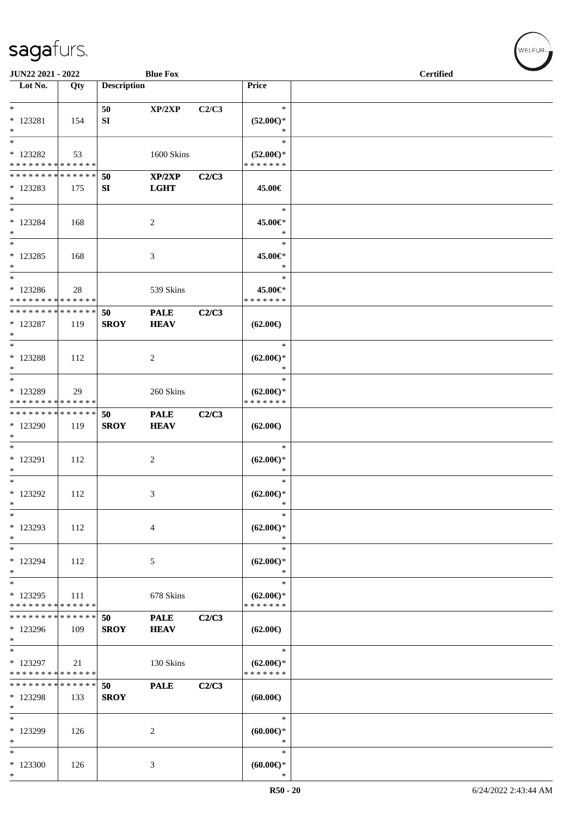| <b>JUN22 2021 - 2022</b>                                              |     |                    | <b>Blue Fox</b>                           |       |                                                | <b>Certified</b> |
|-----------------------------------------------------------------------|-----|--------------------|-------------------------------------------|-------|------------------------------------------------|------------------|
| Lot No.                                                               | Qty | <b>Description</b> |                                           |       | Price                                          |                  |
| $*$<br>$* 123281$<br>$*$                                              | 154 | 50<br>SI           | XP/2XP                                    | C2/C3 | $\ast$<br>$(52.00\epsilon)$ *<br>$\ast$        |                  |
| * 123282<br>* * * * * * * * <mark>* * * * * * *</mark>                | 53  |                    | 1600 Skins                                |       | $\ast$<br>$(52.00\epsilon)$ *<br>* * * * * * * |                  |
| * * * * * * * * * * * * * * *<br>$*123283$<br>$*$                     | 175 | 50<br>SI           | $\mathbf{XP}/2\mathbf{XP}$<br><b>LGHT</b> | C2/C3 | 45.00€                                         |                  |
| * 123284<br>$*$                                                       | 168 |                    | 2                                         |       | $\ast$<br>45.00€*<br>$\ast$                    |                  |
| $*$<br>* 123285<br>$*$<br>$\ast$                                      | 168 |                    | 3                                         |       | $\ast$<br>45.00€*<br>$\ast$                    |                  |
| * 123286<br>* * * * * * * * * * * * * *                               | 28  |                    | 539 Skins                                 |       | $\ast$<br>45.00€*<br>* * * * * * *             |                  |
| * * * * * * * * <mark>* * * * * *</mark><br>* 123287<br>$*$<br>$\ast$ | 119 | 50<br><b>SROY</b>  | <b>PALE</b><br><b>HEAV</b>                | C2/C3 | $(62.00\epsilon)$                              |                  |
| * 123288<br>$*$                                                       | 112 |                    | 2                                         |       | $\ast$<br>$(62.00\epsilon)$ *<br>∗             |                  |
| $*$<br>* 123289<br>* * * * * * * * * * * * * *                        | 29  |                    | 260 Skins                                 |       | $\ast$<br>$(62.00\epsilon)$ *<br>* * * * * * * |                  |
| * * * * * * * * * * * * * * *<br>* 123290<br>$*$                      | 119 | 50<br><b>SROY</b>  | <b>PALE</b><br><b>HEAV</b>                | C2/C3 | $(62.00\epsilon)$                              |                  |
| * 123291<br>$*$                                                       | 112 |                    | 2                                         |       | $\ast$<br>$(62.00\epsilon)$ *<br>$\ast$        |                  |
| $*$<br>* 123292<br>$\ast$                                             | 112 |                    | 3                                         |       | $\ast$<br>$(62.00\epsilon)$ *<br>$\ast$        |                  |
| $\ast$<br>* 123293<br>$\ast$                                          | 112 |                    | 4                                         |       | $\ast$<br>$(62.00\epsilon)$ *<br>$\ast$        |                  |
| $\ast$<br>* 123294<br>$*$                                             | 112 |                    | 5                                         |       | $\ast$<br>$(62.00\epsilon)$ *<br>$\ast$        |                  |
| $*$<br>* 123295<br>* * * * * * * * * * * * * *                        | 111 |                    | 678 Skins                                 |       | $\ast$<br>$(62.00\epsilon)$ *<br>* * * * * * * |                  |
| * * * * * * * * <mark>* * * * * *</mark><br>* 123296<br>$\ast$        | 109 | 50<br><b>SROY</b>  | <b>PALE</b><br><b>HEAV</b>                | C2/C3 | $(62.00\epsilon)$                              |                  |
| $*$<br>* 123297<br>* * * * * * * * * * * * * *                        | 21  |                    | 130 Skins                                 |       | $\ast$<br>$(62.00\epsilon)$ *<br>* * * * * * * |                  |
| * * * * * * * * * * * * * *<br>* 123298<br>$\ast$                     | 133 | 50<br><b>SROY</b>  | <b>PALE</b>                               | C2/C3 | (60.00)                                        |                  |
| $*$<br>* 123299<br>$\ast$                                             | 126 |                    | 2                                         |       | $\ast$<br>$(60.00ε)$ *<br>$\ast$               |                  |
| $\ast$<br>* 123300<br>$*$                                             | 126 |                    | 3                                         |       | $\ast$<br>$(60.00\epsilon)$ *<br>$\ast$        |                  |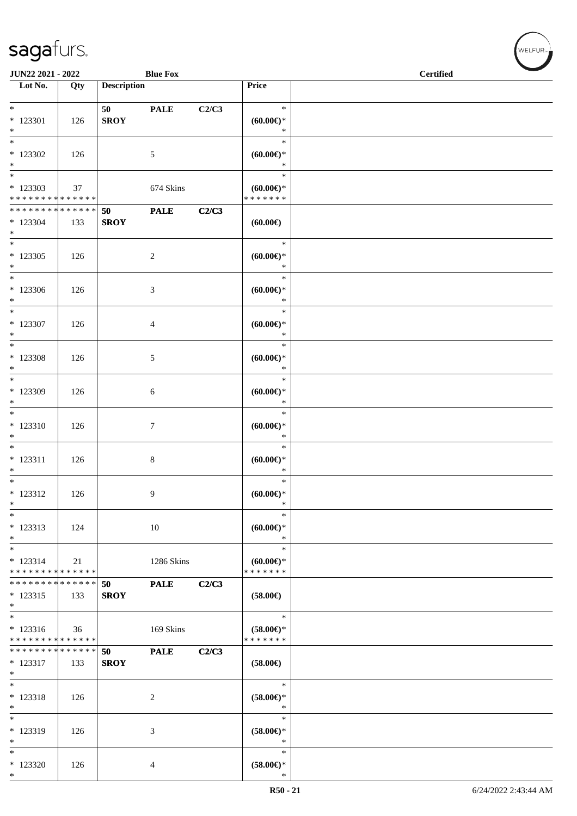| JUN22 2021 - 2022                                   |     | a sa sa            | <b>Blue Fox</b> |       |                                                | <b>Certified</b> |  |  |  |
|-----------------------------------------------------|-----|--------------------|-----------------|-------|------------------------------------------------|------------------|--|--|--|
| Lot No.                                             | Qty | <b>Description</b> |                 |       | Price                                          |                  |  |  |  |
| $*$<br>* 123301<br>$*$                              | 126 | 50<br><b>SROY</b>  | <b>PALE</b>     | C2/C3 | $\ast$<br>$(60.00ε)$ *<br>$\ast$               |                  |  |  |  |
| $\overline{\phantom{0}}$<br>$*123302$<br>$*$        | 126 |                    | $\mathfrak{S}$  |       | $\ast$<br>$(60.00ε)$ *<br>$\ast$               |                  |  |  |  |
| $*$<br>$*123303$<br>* * * * * * * * * * * * * *     | 37  |                    | 674 Skins       |       | $\ast$<br>$(60.00ε)$ *<br>* * * * * * *        |                  |  |  |  |
| ******** <mark>******</mark><br>$*$ 123304<br>$*$   | 133 | 50<br><b>SROY</b>  | <b>PALE</b>     | C2/C3 | (60.00)                                        |                  |  |  |  |
| $\overline{\ast}$<br>$*123305$<br>$*$               | 126 |                    | $\overline{c}$  |       | $\ast$<br>$(60.00ε)$ *<br>$\ast$               |                  |  |  |  |
| $*$<br>$*123306$<br>$*$                             | 126 |                    | 3               |       | $\ast$<br>$(60.00\varepsilon)$ *<br>$\ast$     |                  |  |  |  |
| $\overline{\phantom{0}}$<br>$*$ 123307<br>$*$       | 126 |                    | 4               |       | $\ast$<br>$(60.00ε)$ *<br>$\ast$               |                  |  |  |  |
| $*$<br>$*$ 123308<br>$*$                            | 126 |                    | $\mathfrak{S}$  |       | $\ast$<br>$(60.00ε)$ *<br>$\ast$               |                  |  |  |  |
| $*$<br>$*123309$<br>$*$                             | 126 |                    | $\sqrt{6}$      |       | $\ast$<br>$(60.00ε)$ *<br>$\ast$               |                  |  |  |  |
| $*$<br>$* 123310$<br>$*$                            | 126 |                    | 7               |       | $\ast$<br>$(60.00ε)$ *<br>$\ast$               |                  |  |  |  |
| $*$<br>$* 123311$<br>$\ast$                         | 126 |                    | 8               |       | $\ast$<br>$(60.00\varepsilon)$ *<br>$\ast$     |                  |  |  |  |
| $*$<br>$* 123312$<br>$\ast$                         | 126 |                    | 9               |       | $\ast$<br>$(60.00\epsilon)$ *<br>$\ast$        |                  |  |  |  |
| $\ast$<br>* 123313<br>$*$                           | 124 |                    | 10              |       | $\ast$<br>$(60.00ε)$ *<br>$\ast$               |                  |  |  |  |
| $\ast$<br>$* 123314$<br>* * * * * * * * * * * * * * | 21  |                    | 1286 Skins      |       | $\ast$<br>$(60.00\epsilon)$ *<br>* * * * * * * |                  |  |  |  |
| * * * * * * * * * * * * * *<br>$* 123315$<br>$*$    | 133 | 50<br><b>SROY</b>  | <b>PALE</b>     | C2/C3 | $(58.00\epsilon)$                              |                  |  |  |  |
| $*$<br>$* 123316$<br>* * * * * * * * * * * * * *    | 36  |                    | 169 Skins       |       | $\ast$<br>$(58.00\epsilon)$ *<br>* * * * * * * |                  |  |  |  |
| * * * * * * * * * * * * * *<br>* 123317<br>$\ast$   | 133 | 50<br><b>SROY</b>  | <b>PALE</b>     | C2/C3 | $(58.00\epsilon)$                              |                  |  |  |  |
| $*$<br>* 123318<br>$\ast$                           | 126 |                    | 2               |       | $\ast$<br>$(58.00\in)^\ast$<br>$\ast$          |                  |  |  |  |
| $\ast$<br>* 123319<br>$\ast$                        | 126 |                    | 3               |       | $\ast$<br>$(58.00\epsilon)$ *<br>$\ast$        |                  |  |  |  |
| $\ast$<br>$*123320$<br>$*$                          | 126 |                    | 4               |       | $\ast$<br>$(58.00\in)^\ast$<br>$\ast$          |                  |  |  |  |

 $(\sqrt{\text{WELFUR}_{\text{max}}})$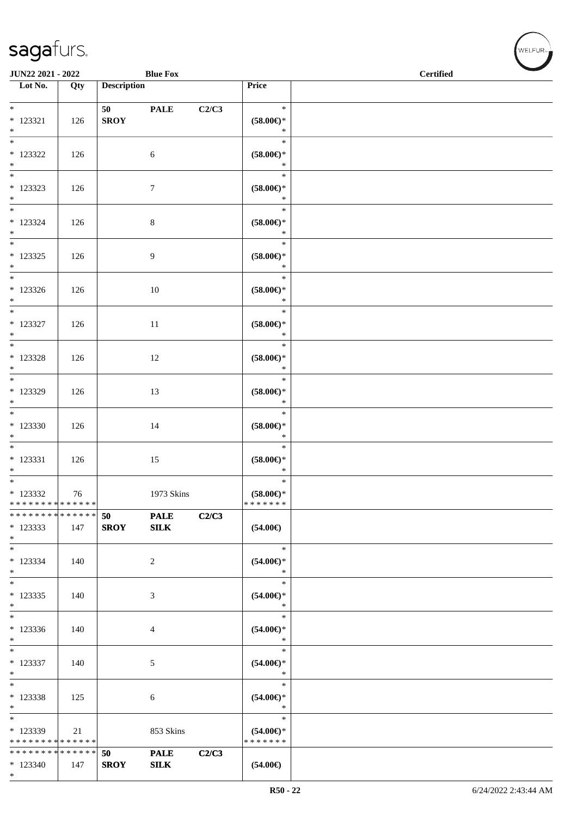\*

\*

\*

\*

\* 123339

\* \* \* \* \* \* \* \* \* \* \* \* \* \*

**\* \* \* \* \* \* \* \* \* \* \* \* \* \*** \* 123340 147

\* 123338 | 125 | 6

21 853 Skins

**SROY** 

**50 PALE C2/C3**

| <b>saga</b> rurs.                                                 |     |                               |                             |       |                                         | $\blacksquare$ WELFUR <sub>™</sub> |
|-------------------------------------------------------------------|-----|-------------------------------|-----------------------------|-------|-----------------------------------------|------------------------------------|
| <b>JUN22 2021 - 2022</b>                                          |     | <b>Blue Fox</b>               |                             |       |                                         | <b>Certified</b>                   |
| Lot No.                                                           | Qty | <b>Description</b>            |                             |       | Price                                   |                                    |
| $*$<br>$* 123321$<br>$*$                                          | 126 | 50 70 70 70 71<br><b>SROY</b> | <b>PALE</b>                 | C2/C3 | $\ast$<br>$(58.00\epsilon)$ *<br>$\ast$ |                                    |
| $\overline{\ast}$<br>* 123322<br>$*$                              | 126 |                               | 6                           |       | $\ast$<br>$(58.00\epsilon)$ *<br>$\ast$ |                                    |
| $\overline{\ast}$<br>* 123323<br>$*$                              | 126 |                               | $\overline{7}$              |       | $\ast$<br>$(58.00\epsilon)$ *<br>$\ast$ |                                    |
| $*$<br>$*123324$<br>$*$                                           | 126 |                               | $8\,$                       |       | $\ast$<br>$(58.00\epsilon)$ *<br>$\ast$ |                                    |
| $\overline{\phantom{0}}$<br>$*123325$<br>$*$                      | 126 |                               | 9                           |       | $\ast$<br>$(58.00\epsilon)$ *<br>$\ast$ |                                    |
| * 123326<br>$*$                                                   | 126 |                               | 10                          |       | $\ast$<br>$(58.00\epsilon)$ *<br>$\ast$ |                                    |
| $\overline{\ast}$<br>* 123327<br>$\ast$                           | 126 |                               | 11                          |       | $\ast$<br>$(58.00\epsilon)$ *<br>$\ast$ |                                    |
| * 123328<br>$*$                                                   | 126 |                               | 12                          |       | $\ast$<br>$(58.00\epsilon)$ *<br>$\ast$ |                                    |
| $*$<br>* 123329<br>$*$                                            | 126 |                               | 13                          |       | $\ast$<br>$(58.00\epsilon)$ *<br>$\ast$ |                                    |
| $\overline{\phantom{0}}$<br>* 123330<br>$*$                       | 126 |                               | 14                          |       | $\ast$<br>$(58.00\epsilon)$ *<br>$\ast$ |                                    |
| $*$<br>$* 123331$<br>$*$                                          | 126 |                               | 15                          |       | $\ast$<br>$(58.00\epsilon)$ *<br>$\ast$ |                                    |
| $*$ $-$<br>* 123332<br>* * * * * * * * <mark>* * * * * * *</mark> | 76  |                               | 1973 Skins                  |       | $\ast$<br>$(58.00ε)$ *<br>* * * * * * * |                                    |
| * * * * * * * * * * * * * * <mark>*</mark><br>* 123333<br>$\ast$  | 147 | 50<br><b>SROY</b>             | <b>PALE</b><br>${\bf SILK}$ | C2/C3 | $(54.00\epsilon)$                       |                                    |
| $\ast$<br>* 123334<br>$\ast$                                      | 140 |                               | 2                           |       | $\ast$<br>$(54.00ε)$ *<br>$\ast$        |                                    |
| $*$<br>$*123335$<br>$*$                                           | 140 |                               | 3                           |       | $\ast$<br>$(54.00\in)^\ast$<br>$\ast$   |                                    |
| $\ast$<br>* 123336<br>$*$                                         | 140 |                               | $\overline{4}$              |       | $\ast$<br>$(54.00\epsilon)$ *<br>$\ast$ |                                    |
| $\ast$<br>$*123337$<br>$\ast$                                     | 140 |                               | 5                           |       | $\ast$<br>$(54.00ε)$ *<br>$\ast$        |                                    |

\*

\*

\* **(54.00€)** \*

\* **(54.00€)** \* \* \* \* \* \* \*

**(54.00€)**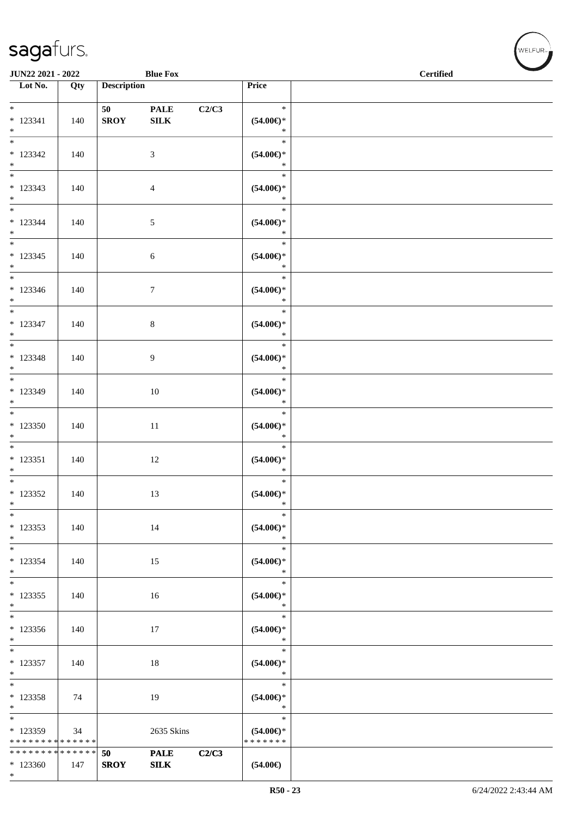\*

| JUN22 2021 - 2022                                              |     |                        | <b>Blue Fox</b>             |       |                                           | <b>Certified</b> |
|----------------------------------------------------------------|-----|------------------------|-----------------------------|-------|-------------------------------------------|------------------|
| $\overline{\phantom{1}}$ Lot No.                               | Qty | <b>Description</b>     |                             |       | Price                                     |                  |
| $*$<br>$* 123341$<br>$*$                                       | 140 | 50 - 10<br><b>SROY</b> | <b>PALE</b><br>${\bf SILK}$ | C2/C3 | $\ast$<br>$(54.00\epsilon)$ *<br>$\ast$   |                  |
| $\overline{\phantom{0}}$<br>$*123342$<br>$*$                   | 140 |                        | $\mathfrak{Z}$              |       | $\ast$<br>$(54.00\mathsf{E})^*$<br>$\ast$ |                  |
| $\overline{\phantom{0}}$<br>$*123343$<br>$*$                   | 140 |                        | 4                           |       | $\ast$<br>$(54.00ε)$ *<br>$\ast$          |                  |
| $\overline{\phantom{0}}$<br>$* 123344$<br>$*$                  | 140 |                        | $\mathfrak{S}$              |       | $\ast$<br>$(54.00ε)$ *<br>$\ast$          |                  |
| $\overline{\ast}$<br>$* 123345$<br>$*$                         | 140 |                        | 6                           |       | $\ast$<br>$(54.00\epsilon)$ *<br>$\ast$   |                  |
| $* 123346$<br>$*$                                              | 140 |                        | $\tau$                      |       | $\ast$<br>$(54.00\epsilon)$ *<br>$\ast$   |                  |
| $*$<br>$* 123347$<br>$*$                                       | 140 |                        | $\,8\,$                     |       | $\ast$<br>$(54.00ε)$ *<br>$\ast$          |                  |
| $*$<br>$* 123348$<br>$*$                                       | 140 |                        | 9                           |       | $\ast$<br>$(54.00\epsilon)$ *<br>$\ast$   |                  |
| $* 123349$<br>$*$                                              | 140 |                        | 10                          |       | $\ast$<br>$(54.00ε)$ *<br>$\ast$          |                  |
| $*$<br>$*123350$<br>$*$                                        | 140 |                        | $11\,$                      |       | $\ast$<br>$(54.00ε)$ *<br>$\ast$          |                  |
| $*$<br>$* 123351$<br>$*$                                       | 140 |                        | 12                          |       | $\ast$<br>$(54.00ε)$ *<br>$\ast$          |                  |
| $*$<br>$* 123352$<br>$\ast$                                    | 140 |                        | 13                          |       | $\ast$<br>$(54.00\epsilon)$ *<br>$\ast$   |                  |
| $\ast$<br>$*123353$<br>$*$                                     | 140 |                        | 14                          |       | $\ast$<br>$(54.00ε)$ *<br>$\ast$          |                  |
| $*$<br>$* 123354$<br>$\ast$                                    | 140 |                        | 15                          |       | $\ast$<br>$(54.00ε)$ *<br>$\ast$          |                  |
| $\ast$<br>$*123355$<br>$*$                                     | 140 |                        | 16                          |       | $\ast$<br>$(54.00ε)$ *<br>$\ast$          |                  |
| $*$<br>* 123356<br>$*$                                         | 140 |                        | 17                          |       | $\ast$<br>$(54.00ε)$ *<br>$\ast$          |                  |
| $*$<br>$*$ 123357<br>$\ast$                                    | 140 |                        | 18                          |       | $\ast$<br>$(54.00ε)$ *<br>$\ast$          |                  |
| * 123358<br>$*$                                                | 74  |                        | 19                          |       | $\ast$<br>$(54.00ε)$ *<br>$\ast$          |                  |
| $\overline{\ast}$<br>$* 123359$<br>* * * * * * * * * * * * * * | 34  |                        | 2635 Skins                  |       | $\ast$<br>$(54.00ε)$ *<br>* * * * * * *   |                  |
| * * * * * * * * * * * * * *<br>$*123360$                       | 147 | 50<br><b>SROY</b>      | <b>PALE</b><br>SLK          | C2/C3 | $(54.00\epsilon)$                         |                  |
|                                                                |     |                        |                             |       |                                           |                  |

V<br>WELFUR<sub>™</sub>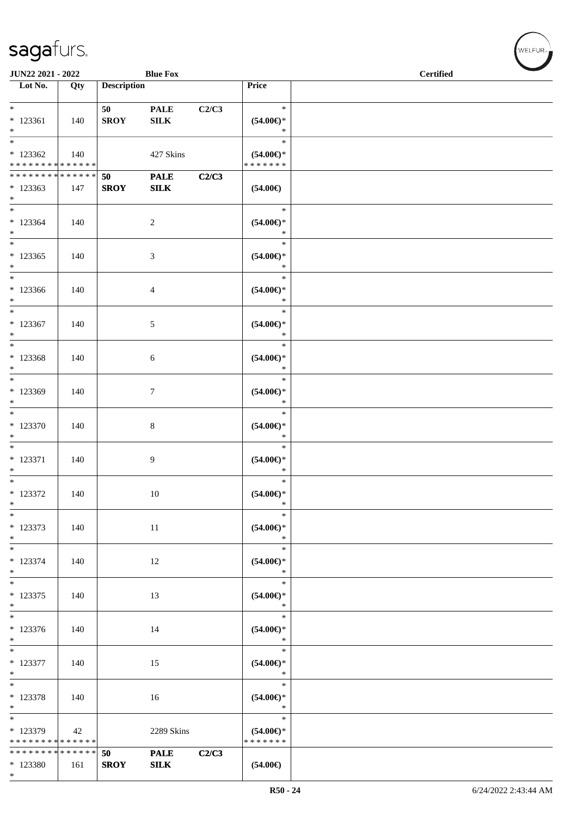\*

| <b>JUN22 2021 - 2022</b><br><b>Blue Fox</b><br>a sa B                        |     |                    |                             |       |                                                | <b>Certified</b> |  |
|------------------------------------------------------------------------------|-----|--------------------|-----------------------------|-------|------------------------------------------------|------------------|--|
| Lot No.                                                                      | Qty | <b>Description</b> |                             |       | Price                                          |                  |  |
| $*$<br>* 123361<br>$*$                                                       | 140 | 50<br><b>SROY</b>  | <b>PALE</b><br>${\bf SILK}$ | C2/C3 | $\ast$<br>$(54.00\epsilon)$ *<br>$\ast$        |                  |  |
| $\overline{\ast}$<br>$*123362$<br>* * * * * * * * <mark>* * * * * * *</mark> | 140 |                    | 427 Skins                   |       | $\ast$<br>$(54.00\epsilon)$ *<br>* * * * * * * |                  |  |
| * * * * * * * * * * * * * *<br>$*123363$<br>$*$                              | 147 | 50<br><b>SROY</b>  | <b>PALE</b><br>SLK          | C2/C3 | $(54.00\epsilon)$                              |                  |  |
| $*123364$<br>$*$                                                             | 140 |                    | 2                           |       | $\ast$<br>$(54.00ε)$ *<br>$\ast$               |                  |  |
| $\overline{\phantom{0}}$<br>$*123365$<br>$\ast$                              | 140 |                    | 3                           |       | $\ast$<br>$(54.00\epsilon)$ *<br>$\ast$        |                  |  |
| $*$<br>$*123366$<br>$*$                                                      | 140 |                    | 4                           |       | $\ast$<br>$(54.00\epsilon)$ *<br>$\ast$        |                  |  |
| $*$<br>$* 123367$<br>$*$                                                     | 140 |                    | 5                           |       | $\ast$<br>$(54.00ε)$ *<br>$\ast$               |                  |  |
| $\overline{\ast}$<br>$*123368$<br>$*$                                        | 140 |                    | 6                           |       | $\ast$<br>$(54.00ε)$ *<br>$\ast$               |                  |  |
| $*$<br>$*123369$<br>$*$                                                      | 140 |                    | $\tau$                      |       | $\ast$<br>$(54.00\epsilon)$ *<br>$\ast$        |                  |  |
| $*$<br>$*123370$<br>$*$                                                      | 140 |                    | 8                           |       | $\ast$<br>$(54.00ε)$ *<br>$\ast$               |                  |  |
| $*$<br>* 123371<br>$*$                                                       | 140 |                    | 9                           |       | $\ast$<br>$(54.00ε)$ *<br>$\ast$               |                  |  |
| $*$<br>* 123372<br>$\ast$                                                    | 140 |                    | 10                          |       | $\ast$<br>$(54.00\epsilon)$ *<br>$\ast$        |                  |  |
| $*$<br>* 123373<br>$*$                                                       | 140 |                    | 11                          |       | $\ast$<br>$(54.00\epsilon)$ *<br>$\ast$        |                  |  |
| $*$<br>$* 123374$<br>$*$                                                     | 140 |                    | 12                          |       | $\ast$<br>$(54.00ε)$ *<br>$\ast$               |                  |  |
| $*$<br>$* 123375$<br>$*$                                                     | 140 |                    | 13                          |       | $\ast$<br>$(54.00\epsilon)$ *<br>$\ast$        |                  |  |
| $*$<br>* 123376<br>$*$                                                       | 140 |                    | 14                          |       | $\ast$<br>$(54.00ε)$ *<br>$\ast$               |                  |  |
| $*$<br>* 123377<br>$*$                                                       | 140 |                    | 15                          |       | $\ast$<br>$(54.00\epsilon)$ *<br>$\ast$        |                  |  |
| $*$<br>$* 123378$<br>$\ast$                                                  | 140 |                    | 16                          |       | $\ast$<br>$(54.00\in)^\ast$<br>$\ast$          |                  |  |
| * 123379<br>* * * * * * * * * * * * * *                                      | 42  |                    | 2289 Skins                  |       | $\ast$<br>$(54.00ε)$ *<br>* * * * * * *        |                  |  |
| * * * * * * * * * * * * * * *<br>$*123380$                                   | 161 | 50<br><b>SROY</b>  | <b>PALE</b><br>SLK          | C2/C3 | $(54.00\epsilon)$                              |                  |  |

 $(\forall ELFUR_{\text{max}})$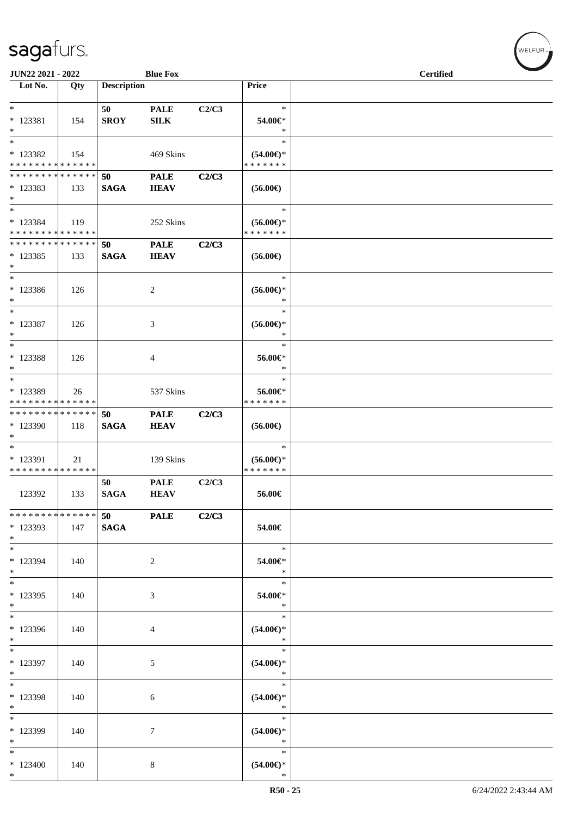| JUN22 2021 - 2022                                              |       |                          | <b>Blue Fox</b>             |       |                                                | <b>Certified</b> |  |  |  |
|----------------------------------------------------------------|-------|--------------------------|-----------------------------|-------|------------------------------------------------|------------------|--|--|--|
| $\overline{\phantom{1}}$ Lot No.                               | Qty   | <b>Description</b>       |                             |       | Price                                          |                  |  |  |  |
| $\ast$<br>* 123381<br>$*$                                      | 154   | 50<br><b>SROY</b>        | <b>PALE</b><br>${\bf SILK}$ | C2/C3 | $\ast$<br>54.00€*<br>$\ast$                    |                  |  |  |  |
| $\ast$<br>* 123382<br>* * * * * * * * * * * * * *              | 154   |                          | 469 Skins                   |       | $\ast$<br>$(54.00\epsilon)$ *<br>* * * * * * * |                  |  |  |  |
| * * * * * * * * * * * * * * *<br>* 123383<br>$*$               | 133   | 50<br><b>SAGA</b>        | <b>PALE</b><br><b>HEAV</b>  | C2/C3 | $(56.00\epsilon)$                              |                  |  |  |  |
| $*$<br>* 123384<br>* * * * * * * * * * * * * *                 | 119   |                          | 252 Skins                   |       | $\ast$<br>$(56.00ε)$ *<br>* * * * * * *        |                  |  |  |  |
| * * * * * * * * <mark>* * * * * * *</mark><br>$*123385$<br>$*$ | 133   | 50<br><b>SAGA</b>        | <b>PALE</b><br><b>HEAV</b>  | C2/C3 | $(56.00\epsilon)$                              |                  |  |  |  |
| $*$<br>$*123386$<br>$*$                                        | 126   |                          | 2                           |       | $\ast$<br>$(56.00ε)$ *<br>$\ast$               |                  |  |  |  |
| $*$<br>* 123387<br>$*$                                         | 126   |                          | 3                           |       | $\ast$<br>$(56.00\epsilon)$ *<br>$\ast$        |                  |  |  |  |
| $*$<br>* 123388<br>$\ast$                                      | 126   |                          | 4                           |       | $\ast$<br>56.00€*<br>$\ast$                    |                  |  |  |  |
| $*$<br>* 123389<br>* * * * * * * * * * * * * *                 | 26    |                          | 537 Skins                   |       | $\ast$<br>56.00€*<br>* * * * * * *             |                  |  |  |  |
| * * * * * * * * * * * * * * *<br>* 123390<br>$*$               | 118   | 50<br><b>SAGA</b>        | <b>PALE</b><br><b>HEAV</b>  | C2/C3 | $(56.00\epsilon)$                              |                  |  |  |  |
| $*$<br>* 123391<br>* * * * * * * * * * * * * *                 | 21    |                          | 139 Skins                   |       | $\ast$<br>$(56.00\epsilon)$ *<br>* * * * * * * |                  |  |  |  |
| 123392                                                         | 133   | 50<br><b>SAGA</b>        | <b>PALE</b><br><b>HEAV</b>  | C2/C3 | 56.00€                                         |                  |  |  |  |
| ******** <mark>******</mark><br>* 123393<br>$*$                | 147   | <b>50</b><br><b>SAGA</b> | <b>PALE</b>                 | C2/C3 | 54.00€                                         |                  |  |  |  |
| $*$<br>* 123394<br>$*$                                         | - 140 |                          | 2                           |       | $\ast$<br>54.00€*<br>$\ast$                    |                  |  |  |  |
| $*$<br>* 123395<br>$*$                                         | 140   |                          | 3                           |       | $\ast$<br>54.00€*<br>$\ast$                    |                  |  |  |  |
| $*$<br>* 123396<br>$*$                                         | 140   |                          | 4                           |       | $\ast$<br>$(54.00ε)$ *<br>$\ast$               |                  |  |  |  |
| $*$<br>* 123397<br>$*$                                         | 140   |                          | 5                           |       | $\ast$<br>$(54.00ε)$ *<br>$\ast$               |                  |  |  |  |
| $*$<br>* 123398<br>$*$                                         | 140   |                          | 6                           |       | $\ast$<br>$(54.00ε)$ *<br>$\ast$               |                  |  |  |  |
| $*$<br>* 123399<br>$*$                                         | 140   |                          | 7                           |       | $\ast$<br>$(54.00\epsilon)$ *<br>$\ast$        |                  |  |  |  |
| $*$<br>$*123400$<br>$*$                                        | 140   |                          | 8                           |       | $\ast$<br>$(54.00\epsilon)$ *<br>$\ast$        |                  |  |  |  |

V<br>WELFUR<sub>™</sub>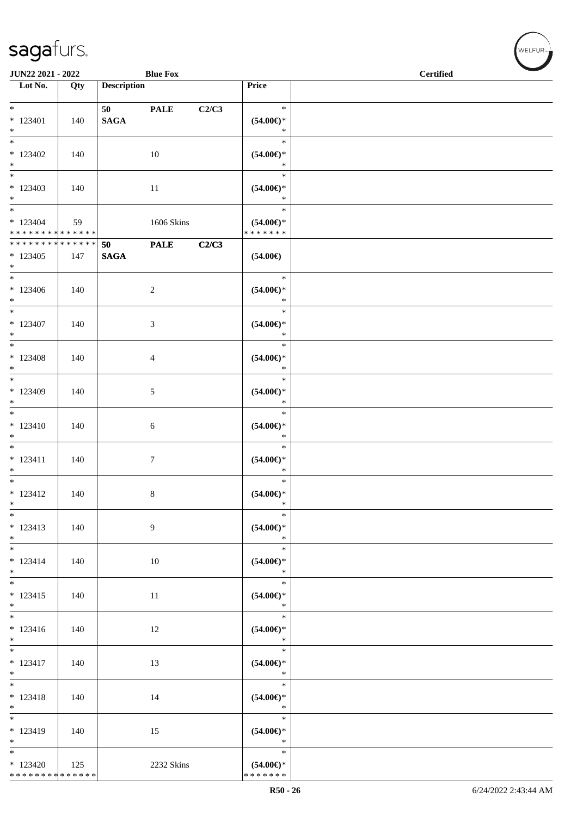|                                                                         | JUN22 2021 - 2022<br><b>Blue Fox</b> |                    |                  |       |                                                    | <b>Certified</b> |  |
|-------------------------------------------------------------------------|--------------------------------------|--------------------|------------------|-------|----------------------------------------------------|------------------|--|
| $\overline{\phantom{1}}$ Lot No.                                        | Qty                                  | <b>Description</b> |                  |       | Price                                              |                  |  |
| $\overline{\ast}$                                                       |                                      | 50 PALE            |                  | C2/C3 | $\ast$                                             |                  |  |
| $*123401$<br>$\ast$                                                     | 140                                  | <b>SAGA</b>        |                  |       | $(54.00ε)$ *<br>$\ast$                             |                  |  |
| $_{\ast}$<br>$*123402$<br>$\ast$                                        | 140                                  |                    | 10               |       | $\ast$<br>$(54.00ε)$ *<br>$\ast$                   |                  |  |
| $*$<br>$*123403$<br>$\ast$                                              | 140                                  |                    | 11               |       | $\ast$<br>$(54.00ε)$ *<br>$\ast$                   |                  |  |
| $_{\ast}^{-}$<br>$* 123404$<br>* * * * * * * * * * * * * *              | 59                                   |                    | 1606 Skins       |       | $\ast$<br>$(54.00\epsilon)$ *<br>* * * * * * *     |                  |  |
| * * * * * * * * * * * * * * *                                           |                                      | 50                 | <b>PALE</b>      | C2/C3 |                                                    |                  |  |
| $*123405$<br>$*$                                                        | 147                                  | <b>SAGA</b>        |                  |       | $(54.00\epsilon)$                                  |                  |  |
| $*$<br>$*123406$<br>$*$                                                 | 140                                  |                    | $\sqrt{2}$       |       | $\ast$<br>$(54.00ε)$ *<br>$\ast$                   |                  |  |
| $\ast$<br>$* 123407$<br>$\ast$                                          | 140                                  |                    | $\mathfrak{Z}$   |       | $\ast$<br>$(54.00ε)$ *<br>$\ast$                   |                  |  |
| $\overline{\phantom{a}^*}$<br>$*123408$<br>$\ast$                       | 140                                  |                    | $\overline{4}$   |       | $\ast$<br>$(54.00\mathnormal{\infty})^*$<br>$\ast$ |                  |  |
| $*$<br>* 123409<br>$\ast$                                               | 140                                  |                    | $\mathfrak{S}$   |       | $\ast$<br>$(54.00ε)$ *<br>$\ast$                   |                  |  |
| $\frac{1}{*}$<br>$* 123410$<br>$\ast$                                   | 140                                  |                    | 6                |       | $\ast$<br>$(54.00\in)^\ast$<br>$\ast$              |                  |  |
| $_{\ast}^{-}$<br>$* 123411$<br>$\ast$                                   | 140                                  |                    | $\boldsymbol{7}$ |       | $\ast$<br>$(54.00\in)^\ast$<br>$\ast$              |                  |  |
| $*$<br>$* 123412$<br>$\ast$                                             | 140                                  |                    | $8\,$            |       | $\ast$<br>$(54.00\epsilon)$ *<br>$\ast$            |                  |  |
| $\ast$<br>$* 123413$<br>$\ast$                                          | 140                                  |                    | 9                |       | $\ast$<br>$(54.00ε)$ *<br>$\ast$                   |                  |  |
| $\overline{\phantom{a}^*}$<br>$* 123414$<br>$\ast$                      | 140                                  |                    | 10               |       | $\ast$<br>$(54.00ε)$ *<br>$\ast$                   |                  |  |
| $\ast$<br>$* 123415$<br>$\ast$                                          | 140                                  |                    | 11               |       | $\ast$<br>$(54.00ε)$ *<br>$\ast$                   |                  |  |
| $\overline{\phantom{a}^*}$<br>$* 123416$<br>$*$                         | 140                                  |                    | 12               |       | $\ast$<br>$(54.00\mathnormal{\infty})^*$<br>$\ast$ |                  |  |
| $_{\ast}^{-}$<br>$* 123417$<br>$\ast$                                   | 140                                  |                    | 13               |       | $\ast$<br>$(54.00\in)^\ast$<br>$\ast$              |                  |  |
| $\overline{\phantom{1}}$<br>$* 123418$<br>$\ast$                        | 140                                  |                    | 14               |       | $\ast$<br>$(54.00\in)^\ast$<br>$\ast$              |                  |  |
| $_{\ast}^{-}$<br>$* 123419$<br>$\ast$                                   | 140                                  |                    | 15               |       | $\ast$<br>$(54.00ε)$ *<br>$\ast$                   |                  |  |
| $\overline{\phantom{a}^*}$<br>$*123420$<br>******** <mark>******</mark> | 125                                  |                    | 2232 Skins       |       | $\ast$<br>$(54.00\epsilon)$ *<br>* * * * * * *     |                  |  |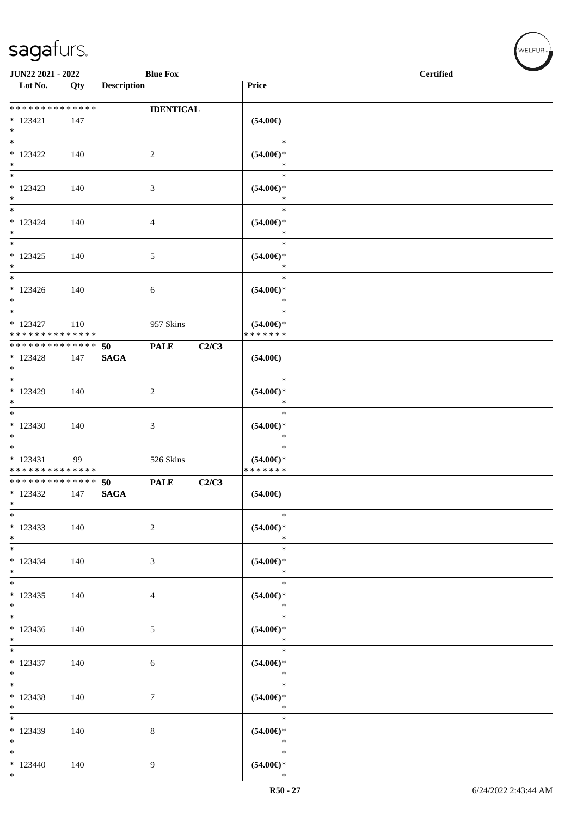| JUN22 2021 - 2022                                    |     | <b>Blue Fox</b>                  |                                                | <b>Certified</b> |  |  |  |
|------------------------------------------------------|-----|----------------------------------|------------------------------------------------|------------------|--|--|--|
| $\overline{\phantom{1}}$ Lot No.                     | Qty | <b>Description</b>               | Price                                          |                  |  |  |  |
| **************<br>$* 123421$                         | 147 | <b>IDENTICAL</b>                 | $(54.00\epsilon)$                              |                  |  |  |  |
| $*$<br>$\overline{\ast}$<br>$* 123422$<br>$*$        | 140 | $\sqrt{2}$                       | $\ast$<br>$(54.00ε)$ *<br>$\ast$               |                  |  |  |  |
| $\ast$<br>* 123423<br>$*$                            | 140 | 3                                | $\ast$<br>$(54.00\in)^\ast$<br>$\ast$          |                  |  |  |  |
| $\overline{\ast}$<br>$* 123424$<br>$*$               | 140 | $\overline{4}$                   | $\ast$<br>$(54.00\in)^\ast$<br>$\ast$          |                  |  |  |  |
| $\overline{\ast}$<br>$* 123425$<br>$*$               | 140 | 5                                | $\ast$<br>$(54.00\in)^\ast$<br>$\ast$          |                  |  |  |  |
| $*$<br>$* 123426$<br>$*$                             | 140 | 6                                | $\ast$<br>$(54.00\epsilon)$ *<br>$\ast$        |                  |  |  |  |
| $*$<br>$* 123427$<br>* * * * * * * * * * * * * *     | 110 | 957 Skins                        | $\ast$<br>$(54.00\epsilon)$ *<br>* * * * * * * |                  |  |  |  |
| * * * * * * * * * * * * * *<br>$* 123428$<br>$*$     | 147 | <b>PALE</b><br>50<br><b>SAGA</b> | C2/C3<br>$(54.00\epsilon)$                     |                  |  |  |  |
| $*$<br>* 123429<br>$*$<br>$\overline{\phantom{0}}$   | 140 | $\overline{c}$                   | $\ast$<br>$(54.00ε)$ *<br>$\ast$               |                  |  |  |  |
| $*123430$<br>$\ast$<br>$\overline{\phantom{0}}$      | 140 | $\mathfrak{Z}$                   | $\ast$<br>$(54.00ε)$ *<br>$\ast$               |                  |  |  |  |
| $* 123431$<br>* * * * * * * * * * * * * *            | 99  | 526 Skins                        | $\ast$<br>$(54.00\epsilon)$ *<br>* * * * * * * |                  |  |  |  |
| * * * * * * * * * * * * * *<br>$*123432$<br>$\ast$   | 147 | <b>PALE</b><br>50<br><b>SAGA</b> | C2/C3<br>$(54.00\epsilon)$                     |                  |  |  |  |
| $*$<br>$*123433$<br>$*$                              | 140 | 2                                | $\ast$<br>$(54.00ε)$ *<br>$\ast$               |                  |  |  |  |
| $\ast$<br>$* 123434$<br>$*$                          | 140 | 3                                | $\ast$<br>$(54.00\epsilon)$ *<br>$\ast$        |                  |  |  |  |
| $*$<br>$* 123435$<br>$*$<br>$\overline{\phantom{0}}$ | 140 | $\overline{4}$                   | $\ast$<br>$(54.00ε)$ *<br>$\ast$<br>$\ast$     |                  |  |  |  |
| $*123436$<br>$*$<br>$\overline{\phantom{0}}$         | 140 | $\mathfrak{S}$                   | $(54.00ε)$ *<br>$\ast$                         |                  |  |  |  |
| $* 123437$<br>$*$                                    | 140 | 6                                | $\ast$<br>$(54.00ε)$ *<br>$\ast$               |                  |  |  |  |
| $*$<br>$* 123438$<br>$*$                             | 140 | $\tau$                           | $\ast$<br>$(54.00ε)$ *<br>$\ast$               |                  |  |  |  |
| $*$<br>* 123439<br>$*$                               | 140 | $8\,$                            | $\ast$<br>$(54.00ε)$ *<br>$\ast$               |                  |  |  |  |
| $\ast$<br>$*123440$<br>$*$                           | 140 | 9                                | $\ast$<br>$(54.00ε)$ *<br>$\ast$               |                  |  |  |  |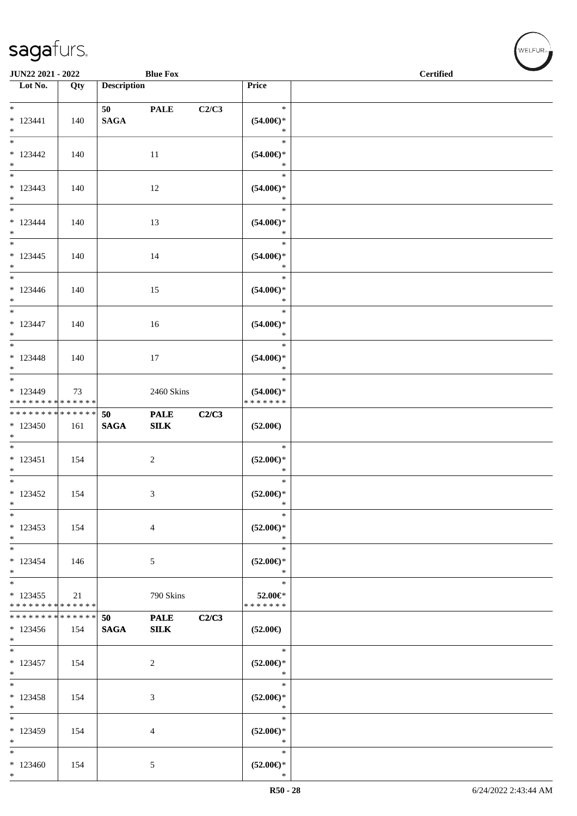| JUN22 2021 - 2022                                              |     |                               | <b>Blue Fox</b>     |       |                                                | <b>Certified</b> |  |
|----------------------------------------------------------------|-----|-------------------------------|---------------------|-------|------------------------------------------------|------------------|--|
| $\overline{\phantom{1}}$ Lot No.                               | Qty | <b>Description</b>            |                     |       | Price                                          |                  |  |
|                                                                |     |                               |                     |       |                                                |                  |  |
| $*$<br>$* 123441$<br>$*$                                       | 140 | 50 70 70 70 71<br><b>SAGA</b> | <b>PALE</b>         | C2/C3 | $\ast$<br>$(54.00\epsilon)$ *<br>$\ast$        |                  |  |
| $*$<br>$*123442$<br>$*$                                        | 140 |                               | 11                  |       | $\ast$<br>$(54.00ε)$ *<br>$\ast$               |                  |  |
| $*$<br>$* 123443$<br>$*$                                       | 140 |                               | 12                  |       | $\ast$<br>$(54.00ε)$ *<br>$\ast$               |                  |  |
| $*$<br>$* 123444$<br>$*$                                       | 140 |                               | 13                  |       | $\ast$<br>$(54.00ε)$ *<br>$\ast$               |                  |  |
| $* 123445$<br>$*$                                              | 140 |                               | 14                  |       | $\ast$<br>$(54.00ε)$ *<br>$\ast$               |                  |  |
| $*$<br>$*123446$<br>$*$                                        | 140 |                               | 15                  |       | $\ast$<br>$(54.00ε)$ *<br>$\ast$               |                  |  |
| $*$<br>$* 123447$<br>$*$                                       | 140 |                               | 16                  |       | $\ast$<br>$(54.00\epsilon)$ *<br>$\ast$        |                  |  |
| $*$<br>$* 123448$<br>$*$                                       | 140 |                               | 17                  |       | $\ast$<br>$(54.00\epsilon)$ *<br>$\ast$        |                  |  |
| $*$<br>* 123449<br>* * * * * * * * * * * * * *                 | 73  |                               | 2460 Skins          |       | $\ast$<br>$(54.00\epsilon)$ *<br>* * * * * * * |                  |  |
| * * * * * * * * <mark>* * * * * * *</mark><br>$*123450$<br>$*$ | 161 | 50<br><b>SAGA</b>             | <b>PALE</b><br>SLK  | C2/C3 | $(52.00\epsilon)$                              |                  |  |
| $*$<br>$* 123451$<br>$*$                                       | 154 |                               | 2                   |       | $\ast$<br>$(52.00\epsilon)$ *<br>$\ast$        |                  |  |
| $*$<br>$* 123452$<br>$\ast$                                    | 154 |                               | 3                   |       | $\ast$<br>$(52.00\epsilon)$ *<br>$\ast$        |                  |  |
| $*$<br>$*123453$<br>$*$                                        | 154 |                               | $\overline{4}$      |       | $\ast$<br>$(52.00\epsilon)$ *<br>$\ast$        |                  |  |
| $*$<br>$* 123454$<br>$*$                                       | 146 |                               | 5                   |       | $\ast$<br>$(52.00\epsilon)$ *<br>$\ast$        |                  |  |
| $*$<br>$* 123455$<br>* * * * * * * * * * * * * *               | 21  |                               | 790 Skins           |       | $\ast$<br>52.00€*<br>* * * * * * *             |                  |  |
| * * * * * * * * <mark>* * * * * * *</mark><br>$*123456$<br>$*$ | 154 | 50<br><b>SAGA</b>             | <b>PALE</b><br>SILK | C2/C3 | $(52.00\epsilon)$                              |                  |  |
| $\overline{\phantom{0}}$<br>$* 123457$<br>$*$                  | 154 |                               | 2                   |       | $\ast$<br>$(52.00*)$<br>$\ast$                 |                  |  |
| $*$<br>$*123458$<br>$*$                                        | 154 |                               | 3                   |       | $\ast$<br>$(52.00\epsilon)$ *<br>$\ast$        |                  |  |
| * 123459<br>$*$                                                | 154 |                               | 4                   |       | $\ast$<br>$(52.00\epsilon)$ *<br>$\ast$        |                  |  |
| $\ast$<br>$*123460$<br>$*$                                     | 154 |                               | 5                   |       | $\ast$<br>$(52.00\epsilon)$ *<br>$\ast$        |                  |  |

 $w$ elfur<sub>m</sub>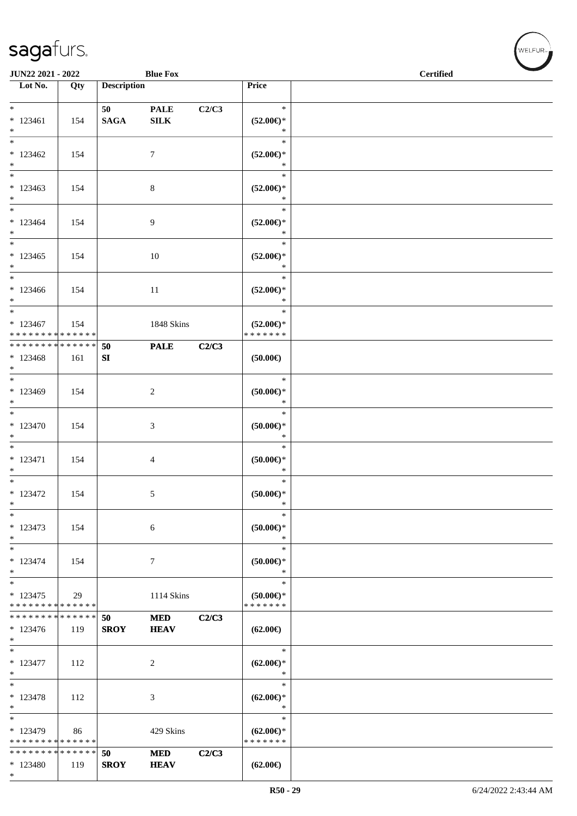| sagafurs.                                          |     |                    |                 |       |                                                | WELFUR <sub>1</sub> |  |  |  |  |
|----------------------------------------------------|-----|--------------------|-----------------|-------|------------------------------------------------|---------------------|--|--|--|--|
| JUN22 2021 - 2022                                  |     |                    | <b>Blue Fox</b> |       | <b>Certified</b>                               |                     |  |  |  |  |
| $\overline{\text{Lot No.}}$                        | Qty | <b>Description</b> |                 |       | Price                                          |                     |  |  |  |  |
| $*$ $*$                                            |     | 50 - 10            | <b>PALE</b>     | C2/C3 | $\ast$                                         |                     |  |  |  |  |
| $*123461$<br>$\ast$                                | 154 | <b>SAGA</b>        | ${\bf SILK}$    |       | $(52.00\epsilon)$ *<br>$\ast$                  |                     |  |  |  |  |
| $\overline{\phantom{1}}$<br>$*123462$<br>$\ast$    | 154 |                    | $\tau$          |       | $\ast$<br>$(52.00\epsilon)$ *<br>$\ast$        |                     |  |  |  |  |
| $\frac{1}{1}$<br>$*123463$<br>$\ast$               | 154 |                    | 8               |       | $\ast$<br>$(52.00\epsilon)$ *<br>$\ast$        |                     |  |  |  |  |
| $\ast$<br>$*123464$<br>$\ast$                      | 154 |                    | 9               |       | $\ast$<br>$(52.00\epsilon)$ *<br>$\ast$        |                     |  |  |  |  |
| $\ast$<br>$*123465$<br>$\ast$                      | 154 |                    | 10              |       | $\ast$<br>$(52.00\epsilon)$ *<br>$\ast$        |                     |  |  |  |  |
| $*$<br>$*123466$<br>$\ast$                         | 154 |                    | 11              |       | $\ast$<br>$(52.00\epsilon)$ *<br>$\ast$        |                     |  |  |  |  |
| $\ast$<br>$*123467$<br>* * * * * * * * * * * * * * | 154 |                    | 1848 Skins      |       | $\ast$<br>$(52.00\epsilon)$ *<br>* * * * * * * |                     |  |  |  |  |
| **************<br>$*123468$<br>$*$                 | 161 | 50<br>SI           | <b>PALE</b>     | C2/C3 | $(50.00\epsilon)$                              |                     |  |  |  |  |
| $\ast$<br>* 123469<br>$\ast$                       | 154 |                    | 2               |       | $\ast$<br>$(50.00ε)$ *<br>$\ast$               |                     |  |  |  |  |
| $\ast$<br>$*123470$<br>$\ast$                      | 154 |                    | 3               |       | $\ast$<br>$(50.00ε)$ *<br>$\ast$               |                     |  |  |  |  |
| $\overline{\phantom{a}}$<br>$* 123471$<br>$\ast$   | 154 |                    | $\overline{4}$  |       | $\ast$<br>$(50.00ε)*$<br>$\ast$                |                     |  |  |  |  |
| $\ast$<br>$*123472$<br>$*$                         | 154 |                    | $5\phantom{.0}$ |       | $\ast$<br>$(50.00\epsilon)$ *<br>$\ast$        |                     |  |  |  |  |
| $_{\ast}$<br>$*123473$<br>$*$                      | 154 |                    | $\sqrt{6}$      |       | $\ast$<br>$(50.00\varepsilon)$ *<br>$\ast$     |                     |  |  |  |  |
| $*$<br>$*123474$                                   | 154 |                    | $\tau$          |       | $\ast$<br>$(50.00 \in )^*$                     |                     |  |  |  |  |

\* \* \* \* \* \* \* \* \* \* \* 123474 154 7 \* \* **(50.00€)** \* \* 123475 \* \* \* \* \* \* \* \* \* \* \* \* \* \* 29 1114 Skins \* \* **(50.00€)** \* \* \* \* \* \* \* **50 MED C2/C3 SROY HEAV** \* \* \* \* \* \* \* \* \* \* \* \* \* \* \* 123476 119 \* **(62.00€)** \* \* 123477 112 2 \* \* \* **(62.00€)** \* \* \* 123478 112 3 \* \* \* **(62.00€)** \* \* \* 123479 \* \* \* \* \* \* \* \* \* \* \* \* \* \* 86 429 Skins \* \* **(62.00€)** \* \* \* \* \* \* \* **50 MED C2/C3 SROY HEAV** \* \* \* \* \* \* \* \* \* \* \* \* \* \* \* 123480 | 119 **(62.00€)**

\*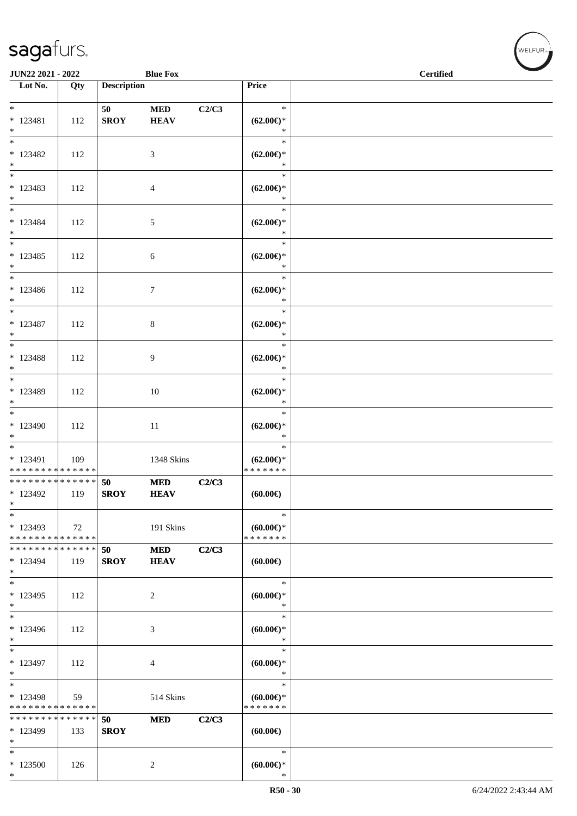\* 123500 126 2

\*

| JUN22 2021 - 2022                                                 |     |                    | <b>Blue Fox</b>          |       |                                                | <b>Certified</b> |  |  |
|-------------------------------------------------------------------|-----|--------------------|--------------------------|-------|------------------------------------------------|------------------|--|--|
| Lot No.                                                           | Qty | <b>Description</b> |                          |       | Price                                          |                  |  |  |
| $*$<br>$* 123481$<br>$\ast$                                       | 112 | 50<br><b>SROY</b>  | $\bf MED$<br><b>HEAV</b> | C2/C3 | $\ast$<br>$(62.00\epsilon)$ *<br>$\ast$        |                  |  |  |
| $\ast$<br>* 123482<br>$\ast$                                      | 112 |                    | 3                        |       | $\ast$<br>$(62.00\epsilon)$ *<br>$\ast$        |                  |  |  |
| $\overline{\phantom{0}}$<br>$* 123483$<br>$\ast$                  | 112 |                    | $\overline{4}$           |       | $\ast$<br>$(62.00\epsilon)$ *<br>$\ast$        |                  |  |  |
| $*$<br>* 123484<br>$*$<br>$\overline{\phantom{0}}$                | 112 |                    | $\sqrt{5}$               |       | $\ast$<br>$(62.00\epsilon)$ *<br>$\ast$        |                  |  |  |
| $* 123485$<br>$*$                                                 | 112 |                    | $\boldsymbol{6}$         |       | $\ast$<br>$(62.00\epsilon)$ *<br>$\ast$        |                  |  |  |
| $\overline{\phantom{0}}$<br>$* 123486$<br>$*$                     | 112 |                    | $\tau$                   |       | $\ast$<br>$(62.00\epsilon)$ *<br>$\ast$        |                  |  |  |
| $*$<br>$* 123487$<br>$\ast$                                       | 112 |                    | $\,8\,$                  |       | $\ast$<br>$(62.00\epsilon)$ *<br>$\ast$        |                  |  |  |
| $*$<br>$* 123488$<br>$*$                                          | 112 |                    | 9                        |       | $\ast$<br>$(62.00\epsilon)$ *<br>$\ast$        |                  |  |  |
| $\overline{\phantom{0}}$<br>* 123489<br>$\ast$                    | 112 |                    | 10                       |       | $\ast$<br>$(62.00\epsilon)$ *<br>$\ast$        |                  |  |  |
| $*$<br>$*123490$<br>$\ast$                                        | 112 |                    | 11                       |       | $\ast$<br>$(62.00\epsilon)$ *<br>$\ast$        |                  |  |  |
| $\overline{\ast}$<br>* 123491<br>* * * * * * * * * * * * * *      | 109 |                    | 1348 Skins               |       | $\ast$<br>$(62.00\epsilon)$ *<br>* * * * * * * |                  |  |  |
| ******** <mark>******</mark><br>* 123492<br>$\ast$                | 119 | 50<br><b>SROY</b>  | $\bf MED$<br><b>HEAV</b> | C2/C3 | (60.00)                                        |                  |  |  |
| $\ast$<br>$*123493$<br>* * * * * * * * <mark>* * * * * * *</mark> | 72  |                    | 191 Skins                |       | $\ast$<br>$(60.00\epsilon)$ *<br>* * * * * * * |                  |  |  |
| * * * * * * * * * * * * * *<br>* 123494<br>$\ast$                 | 119 | 50<br><b>SROY</b>  | $\bf MED$<br><b>HEAV</b> | C2/C3 | (60.00)                                        |                  |  |  |
| $\ast$<br>$*123495$<br>$\ast$                                     | 112 |                    | $\overline{c}$           |       | $\ast$<br>$(60.00\epsilon)$ *<br>$\ast$        |                  |  |  |
| $\ast$<br>* 123496<br>$\ast$                                      | 112 |                    | 3                        |       | $\ast$<br>$(60.00)$ *<br>$\ast$                |                  |  |  |
| $\ast$<br>* 123497<br>$\ast$                                      | 112 |                    | 4                        |       | $\ast$<br>$(60.00)$ *<br>$\ast$                |                  |  |  |
| $\ast$<br>* 123498<br>* * * * * * * * * * * * * *                 | 59  |                    | 514 Skins                |       | $\ast$<br>$(60.00)$ *<br>* * * * * * *         |                  |  |  |
| * * * * * * * * * * * * * *<br>* 123499<br>$\ast$                 | 133 | 50<br><b>SROY</b>  | <b>MED</b>               | C2/C3 | (60.00)                                        |                  |  |  |
| $\ast$                                                            |     |                    |                          |       | $\ast$                                         |                  |  |  |

\*

**(60.00€)**

 $w$ ELFUR<sub>m</sub>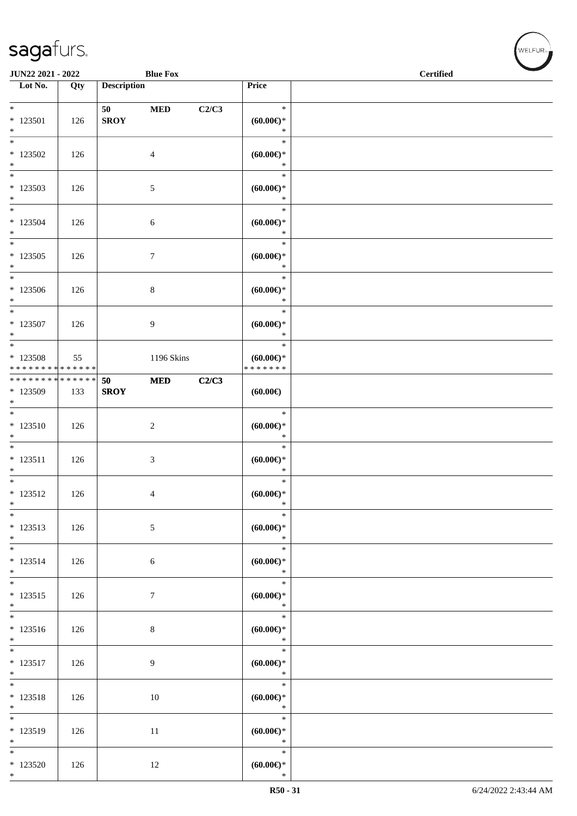\*

| <b>JUN22 2021 - 2022</b>                                      |     |                    | <b>Blue Fox</b> |       |                                            | <b>Certified</b> | $\blacktriangleright$ |
|---------------------------------------------------------------|-----|--------------------|-----------------|-------|--------------------------------------------|------------------|-----------------------|
| Lot No.                                                       | Qty | <b>Description</b> |                 |       | Price                                      |                  |                       |
| $*$ 123501<br>$*$                                             | 126 | 50<br><b>SROY</b>  | $\bf MED$       | C2/C3 | $\ast$<br>$(60.00 \in )$ *<br>$\ast$       |                  |                       |
| $\overline{\ast}$<br>$*123502$<br>$*$                         | 126 |                    | 4               |       | $\ast$<br>$(60.00\varepsilon)$ *<br>$\ast$ |                  |                       |
| $*$<br>$*123503$<br>$*$                                       | 126 |                    | 5               |       | $\ast$<br>$(60.00ε)$ *<br>$\ast$           |                  |                       |
| $\overline{\phantom{0}}$<br>* 123504<br>$*$                   | 126 |                    | 6               |       | $\ast$<br>$(60.00\varepsilon)$ *<br>$\ast$ |                  |                       |
| $*123505$<br>$*$                                              | 126 |                    | $\tau$          |       | $\ast$<br>$(60.00\varepsilon)$ *<br>$\ast$ |                  |                       |
| $*$<br>$*123506$<br>$*$                                       | 126 |                    | 8               |       | $\ast$<br>$(60.00\varepsilon)$ *<br>$\ast$ |                  |                       |
| * 123507<br>$*$                                               | 126 |                    | 9               |       | $\ast$<br>$(60.00\varepsilon)$ *<br>$\ast$ |                  |                       |
| $*$<br>$*123508$<br>* * * * * * * * * * * * * * *             | 55  |                    | 1196 Skins      |       | $\ast$<br>$(60.00ε)$ *<br>* * * * * * *    |                  |                       |
| * * * * * * * * <mark>* * * * * * *</mark><br>* 123509<br>$*$ | 133 | 50<br><b>SROY</b>  | <b>MED</b>      | C2/C3 | (60.00)                                    |                  |                       |
| $*$<br>$* 123510$<br>$*$                                      | 126 |                    | 2               |       | $\ast$<br>$(60.00ε)$ *<br>$\ast$           |                  |                       |
| $*$<br>$* 123511$<br>$\ast$                                   | 126 |                    | 3               |       | $\ast$<br>$(60.00\varepsilon)$ *<br>$\ast$ |                  |                       |
| $*$<br>$* 123512$<br>$\ast$                                   | 126 |                    | 4               |       | $\ast$<br>$(60.00 \in )^*$<br>$\ast$       |                  |                       |
| $\overline{\phantom{0}}$<br>$* 123513$<br>$*$                 | 126 |                    | $\sqrt{5}$      |       | $\ast$<br>(60.00)<br>$\ast$                |                  |                       |
| $*$<br>$* 123514$<br>$*$                                      | 126 |                    | 6               |       | $\ast$<br>(60.00)<br>$\ast$                |                  |                       |
| $*$<br>$* 123515$<br>$*$                                      | 126 |                    | $\tau$          |       | $\ast$<br>(60.00)<br>$\ast$                |                  |                       |
| $*$<br>$* 123516$<br>$*$                                      | 126 |                    | $\,8\,$         |       | $\ast$<br>$(60.00ε)$ *<br>$\ast$           |                  |                       |
| $*$<br>$* 123517$<br>$*$                                      | 126 |                    | 9               |       | $\ast$<br>$(60.00\varepsilon)$ *<br>$\ast$ |                  |                       |
| $*$<br>$* 123518$<br>$*$                                      | 126 |                    | 10              |       | $\ast$<br>(60.00)<br>$\ast$                |                  |                       |
| * 123519<br>$*$                                               | 126 |                    | 11              |       | $\ast$<br>$(60.00\epsilon)$ *<br>$\ast$    |                  |                       |
| $\ast$<br>$*123520$                                           | 126 |                    | 12              |       | $\ast$<br>(60.00)                          |                  |                       |

√<br>WELFUR<sub>™</sub>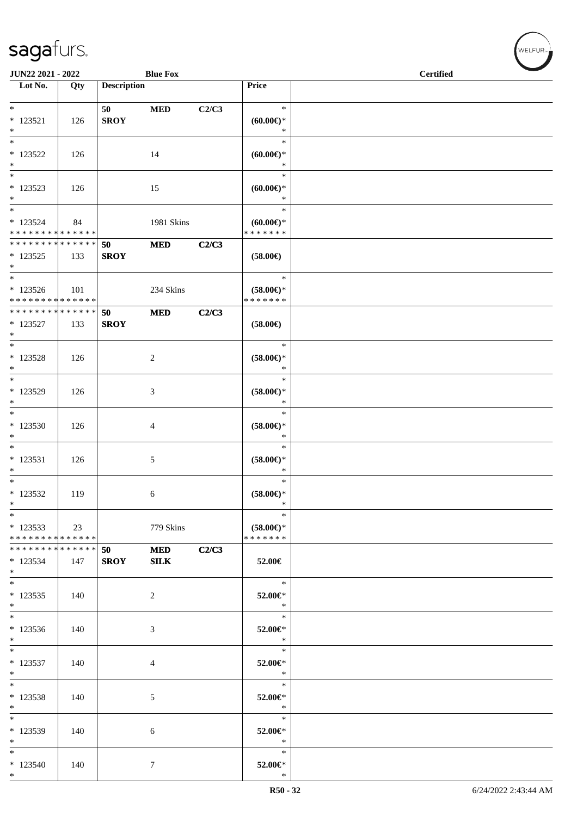| JUN22 2021 - 2022                       |     |                    | <b>Blue Fox</b> |       |                                      | <b>Certified</b> |
|-----------------------------------------|-----|--------------------|-----------------|-------|--------------------------------------|------------------|
| Lot No.                                 | Qty | <b>Description</b> |                 |       | Price                                |                  |
| $*$                                     |     |                    |                 |       | $\ast$                               |                  |
| $*$ 123521                              | 126 | 50<br><b>SROY</b>  | <b>MED</b>      | C2/C3 | $(60.00 \in )$ *                     |                  |
| $*$                                     |     |                    |                 |       | $\ast$                               |                  |
| $*$                                     |     |                    |                 |       | $\ast$                               |                  |
| * 123522                                | 126 |                    | 14              |       | $(60.00ε)$ *                         |                  |
| $*$<br>$*$                              |     |                    |                 |       | $\ast$<br>$\ast$                     |                  |
| $*123523$                               | 126 |                    | 15              |       | $(60.00 \in )^*$                     |                  |
| $*$                                     |     |                    |                 |       | $\ast$                               |                  |
| $*$                                     |     |                    |                 |       | $\ast$                               |                  |
| * 123524<br>* * * * * * * * * * * * * * | 84  |                    | 1981 Skins      |       | $(60.00\epsilon)$ *<br>* * * * * * * |                  |
| * * * * * * * * * * * * * * *           |     | 50                 | <b>MED</b>      | C2/C3 |                                      |                  |
| * 123525                                | 133 | <b>SROY</b>        |                 |       | $(58.00\epsilon)$                    |                  |
| $*$                                     |     |                    |                 |       |                                      |                  |
| $*$<br>* 123526                         | 101 |                    | 234 Skins       |       | $\ast$<br>$(58.00\epsilon)$ *        |                  |
| * * * * * * * * * * * * * *             |     |                    |                 |       | * * * * * * *                        |                  |
| * * * * * * * * * * * * * * *           |     | 50                 | <b>MED</b>      | C2/C3 |                                      |                  |
| $* 123527$                              | 133 | <b>SROY</b>        |                 |       | $(58.00\epsilon)$                    |                  |
| $*$<br>$*$                              |     |                    |                 |       | $\ast$                               |                  |
| $* 123528$                              | 126 |                    | 2               |       | $(58.00\epsilon)$ *                  |                  |
| $*$                                     |     |                    |                 |       | $\ast$                               |                  |
| $*$                                     |     |                    |                 |       | $\ast$                               |                  |
| * 123529<br>$*$                         | 126 |                    | 3               |       | $(58.00\epsilon)$ *<br>$\ast$        |                  |
| $*$                                     |     |                    |                 |       | $\ast$                               |                  |
| $*123530$                               | 126 |                    | 4               |       | $(58.00\epsilon)$ *                  |                  |
| $*$                                     |     |                    |                 |       | $\ast$                               |                  |
| $*$                                     |     |                    |                 |       | $\ast$                               |                  |
| $*$ 123531<br>$\ast$                    | 126 |                    | 5               |       | $(58.00\epsilon)$ *<br>$\ast$        |                  |
| $\ast$                                  |     |                    |                 |       | $\ast$                               |                  |
| $*123532$                               | 119 |                    | 6               |       | $(58.00\epsilon)$ *                  |                  |
| $\ast$<br>$\ast$                        |     |                    |                 |       | $\ast$<br>$\ast$                     |                  |
| $*123533$                               | 23  |                    | 779 Skins       |       | $(58.00\epsilon)$ *                  |                  |
| * * * * * * * * * * * * * * *           |     |                    |                 |       | * * * * * * *                        |                  |
| * * * * * * * * * * * * * * *           |     | 50                 | <b>MED</b>      | C2/C3 |                                      |                  |
| $*123534$                               | 147 | <b>SROY</b>        | SLK             |       | 52.00€                               |                  |
| $*$<br>$*$                              |     |                    |                 |       | $\ast$                               |                  |
| $*123535$                               | 140 |                    | 2               |       | 52.00€*                              |                  |
| $*$                                     |     |                    |                 |       | $\ast$                               |                  |
| $*$                                     |     |                    |                 |       | $\ast$                               |                  |
| $*123536$<br>$*$                        | 140 |                    | 3               |       | 52.00€*<br>$\ast$                    |                  |
| $*$                                     |     |                    |                 |       | $\ast$                               |                  |
| $* 123537$                              | 140 |                    | 4               |       | 52.00€*                              |                  |
| $*$<br>$*$                              |     |                    |                 |       | $\ast$<br>$\ast$                     |                  |
| * 123538                                | 140 |                    | $\mathfrak{S}$  |       | 52.00€*                              |                  |
| $*$                                     |     |                    |                 |       | $\ast$                               |                  |
| $*$                                     |     |                    |                 |       | $\ast$                               |                  |
| * 123539                                | 140 |                    | 6               |       | 52.00€*                              |                  |
| $*$<br>$*$                              |     |                    |                 |       | $\ast$<br>$\ast$                     |                  |
| $*123540$                               | 140 |                    | 7               |       | 52.00€*                              |                  |
| $*$                                     |     |                    |                 |       | $\ast$                               |                  |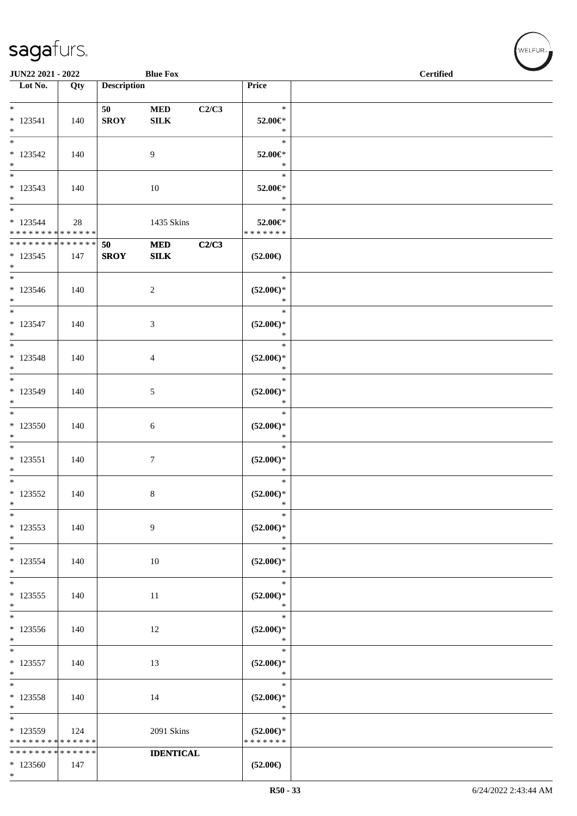|                                                                 | JUN22 2021 - 2022<br><b>Blue Fox</b> |                    |                           |       |                                                | <b>Certified</b> |
|-----------------------------------------------------------------|--------------------------------------|--------------------|---------------------------|-------|------------------------------------------------|------------------|
| $\overline{\phantom{1}}$ Lot No.                                | Qty                                  | <b>Description</b> |                           |       | Price                                          |                  |
| $*$<br>$* 123541$<br>$*$                                        | 140                                  | 50<br><b>SROY</b>  | $\bf MED$<br>${\bf SILK}$ | C2/C3 | $\ast$<br>52.00€*<br>$\ast$                    |                  |
| $*$<br>$* 123542$<br>$*$                                        | 140                                  |                    | 9                         |       | $\ast$<br>52.00€*<br>$\ast$                    |                  |
| $* 123543$<br>$*$                                               | 140                                  |                    | 10                        |       | $\ast$<br>52.00€*<br>$\ast$                    |                  |
| $*$<br>$* 123544$<br>* * * * * * * * <mark>* * * * * * *</mark> | 28                                   |                    | 1435 Skins                |       | $\ast$<br>52.00€*<br>* * * * * * *             |                  |
| * * * * * * * * <mark>* * * * * * *</mark><br>$* 123545$<br>$*$ | 147                                  | 50<br><b>SROY</b>  | $\bf MED$<br>SLK          | C2/C3 | $(52.00\epsilon)$                              |                  |
| $*$<br>$* 123546$<br>$*$                                        | 140                                  |                    | 2                         |       | $\ast$<br>$(52.00ε)$ *<br>$\ast$               |                  |
| $*$<br>$* 123547$<br>$*$                                        | 140                                  |                    | 3                         |       | $\ast$<br>$(52.00\epsilon)$ *<br>$\ast$        |                  |
| $*$<br>$* 123548$<br>$*$                                        | 140                                  |                    | $\overline{4}$            |       | $\ast$<br>$(52.00\epsilon)$ *<br>$\ast$        |                  |
| $* 123549$<br>$*$                                               | 140                                  |                    | 5                         |       | $\ast$<br>$(52.00\epsilon)$ *<br>$\ast$        |                  |
| * 123550<br>$*$                                                 | 140                                  |                    | 6                         |       | $\ast$<br>$(52.00\epsilon)$ *<br>$\ast$        |                  |
| $*$<br>$* 123551$<br>$*$                                        | 140                                  |                    | $\tau$                    |       | $\ast$<br>$(52.00\epsilon)$ *<br>$\ast$        |                  |
| $*$<br>$*$ 123552<br>$\ast$                                     | 140                                  |                    | $\,8\,$                   |       | $\ast$<br>$(52.00\epsilon)$ *<br>$\ast$        |                  |
| $\ast$<br>$* 123553$<br>$*$                                     | 140                                  |                    | 9                         |       | $\ast$<br>$(52.00\epsilon)$ *<br>$\ast$        |                  |
| $\ast$<br>* 123554<br>$*$                                       | 140                                  |                    | 10                        |       | $\ast$<br>$(52.00\epsilon)$ *<br>$\ast$        |                  |
| $\overline{\ast}$<br>$*123555$<br>$\ast$                        | 140                                  |                    | 11                        |       | $\ast$<br>$(52.00\epsilon)$ *<br>$\ast$        |                  |
| $\overline{\ast}$<br>$*123556$<br>$*$                           | 140                                  |                    | 12                        |       | $\ast$<br>$(52.00\in)^\ast$<br>$\ast$          |                  |
| $_{*}$<br>$* 123557$<br>$*$                                     | 140                                  |                    | 13                        |       | $\ast$<br>$(52.00\in)^\ast$<br>$\ast$          |                  |
| $\ast$<br>* 123558<br>$*$                                       | 140                                  |                    | 14                        |       | $\ast$<br>$(52.00*)$<br>$\ast$                 |                  |
| $\ast$<br>$*123559$<br>* * * * * * * * * * * * * *              | 124                                  |                    | 2091 Skins                |       | $\ast$<br>$(52.00\epsilon)$ *<br>* * * * * * * |                  |
| * * * * * * * *<br>$*123560$<br>$*$                             | * * * * * *<br>147                   |                    | <b>IDENTICAL</b>          |       | $(52.00\epsilon)$                              |                  |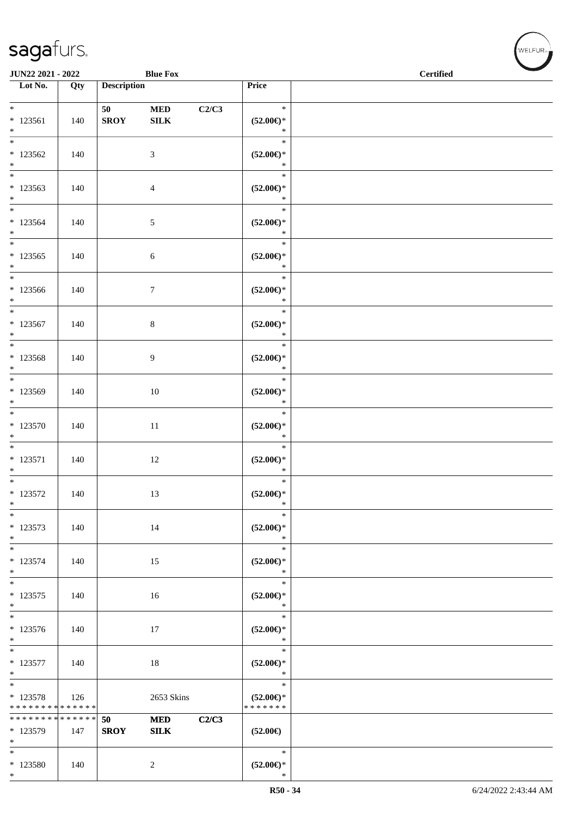\*

| <b>JUN22 2021 - 2022</b>                                       |     |                    | <b>Blue Fox</b>            |       |                                                | $\sim$<br><b>Certified</b> |
|----------------------------------------------------------------|-----|--------------------|----------------------------|-------|------------------------------------------------|----------------------------|
| Lot No.                                                        | Qty | <b>Description</b> |                            |       | Price                                          |                            |
| $*$<br>$* 123561$<br>$*$                                       | 140 | 50<br><b>SROY</b>  | <b>MED</b><br>${\bf SILK}$ | C2/C3 | $\ast$<br>$(52.00\epsilon)$ *<br>$\ast$        |                            |
| $\overline{\ast}$<br>$*123562$<br>$*$                          | 140 |                    | 3                          |       | $\ast$<br>$(52.00\epsilon)$ *<br>$\ast$        |                            |
| * 123563<br>$*$                                                | 140 |                    | $\overline{4}$             |       | $\ast$<br>$(52.00\epsilon)$ *<br>$*$           |                            |
| $*$<br>$*123564$<br>$*$                                        | 140 |                    | $\mathfrak{S}$             |       | $\ast$<br>$(52.00\epsilon)$ *<br>$\ast$        |                            |
| $*$<br>$*123565$<br>$*$                                        | 140 |                    | $\boldsymbol{6}$           |       | $\ast$<br>$(52.00\epsilon)$ *<br>$\ast$        |                            |
| $*$<br>$*123566$<br>$*$                                        | 140 |                    | $7\phantom{.0}$            |       | $\ast$<br>$(52.00\epsilon)$ *<br>$\ast$        |                            |
| $*$<br>$* 123567$<br>$*$                                       | 140 |                    | $\,8\,$                    |       | $\ast$<br>$(52.00\epsilon)$ *<br>$\ast$        |                            |
| * 123568<br>$*$                                                | 140 |                    | 9                          |       | $\ast$<br>$(52.00\epsilon)$ *<br>$\ast$        |                            |
| * 123569<br>$*$                                                | 140 |                    | 10                         |       | $\ast$<br>$(52.00\epsilon)$ *<br>$\ast$        |                            |
| $*123570$<br>$*$                                               | 140 |                    | 11                         |       | $\ast$<br>$(52.00\epsilon)$ *<br>$\ast$        |                            |
| $*$<br>$* 123571$<br>$*$                                       | 140 |                    | 12                         |       | $\ast$<br>$(52.00\epsilon)$ *<br>$\ast$        |                            |
| $* 123572$<br>$\ast$                                           | 140 |                    | 13                         |       | $\ast$<br>$(52.00\epsilon)$ *<br>$\ast$        |                            |
| $*$<br>* 123573<br>$*$                                         | 140 |                    | 14                         |       | $\ast$<br>$(52.00\epsilon)$ *<br>$\ast$        |                            |
| $* 123574$<br>$*$                                              | 140 |                    | 15                         |       | $\ast$<br>$(52.00\epsilon)$ *<br>$\ast$        |                            |
| $* 123575$<br>$*$                                              | 140 |                    | 16                         |       | $\ast$<br>$(52.00\epsilon)$ *<br>$\ast$        |                            |
| $* 123576$<br>$*$                                              | 140 |                    | 17                         |       | $\ast$<br>$(52.00\epsilon)$ *<br>$\ast$        |                            |
| $* 123577$<br>$*$                                              | 140 |                    | 18                         |       | $\ast$<br>$(52.00\epsilon)$ *<br>$\ast$        |                            |
| $* 123578$<br>* * * * * * * * <mark>* * * * * * *</mark>       | 126 |                    | 2653 Skins                 |       | $\ast$<br>$(52.00\epsilon)$ *<br>* * * * * * * |                            |
| * * * * * * * * <mark>* * * * * * *</mark><br>$*123579$<br>$*$ | 147 | 50<br><b>SROY</b>  | <b>MED</b><br>${\bf SILK}$ | C2/C3 | $(52.00\epsilon)$                              |                            |
| $*$<br>$*123580$<br>$*$                                        | 140 |                    | $\overline{2}$             |       | $\ast$<br>$(52.00\epsilon)$ *<br>$\ast$        |                            |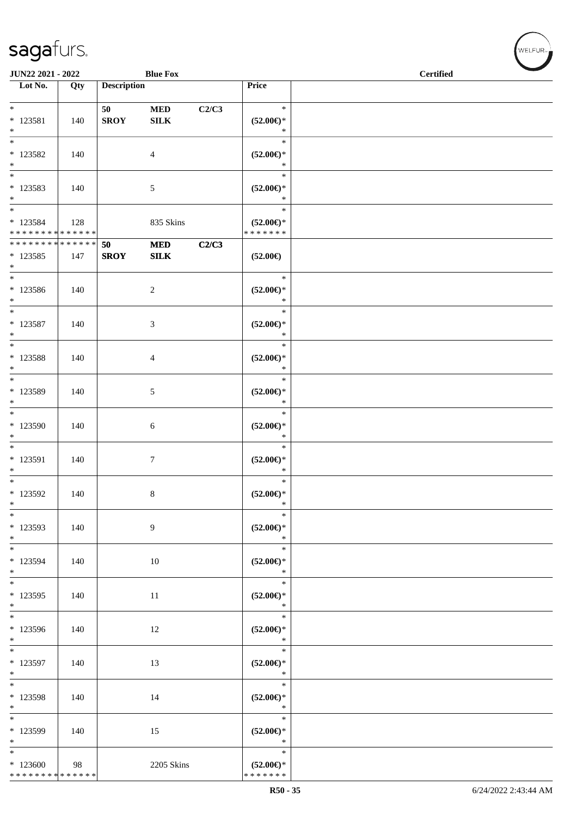| JUN22 2021 - 2022                                                 |     |                    | <b>Blue Fox</b>           |       |                                                    | <b>Certified</b> |  |  |  |  |
|-------------------------------------------------------------------|-----|--------------------|---------------------------|-------|----------------------------------------------------|------------------|--|--|--|--|
| $\overline{\phantom{1}}$ Lot No.                                  | Qty | <b>Description</b> |                           |       | Price                                              |                  |  |  |  |  |
| $*$<br>$* 123581$<br>$\ast$                                       | 140 | 50<br><b>SROY</b>  | $\bf MED$<br>${\bf SILK}$ | C2/C3 | $\ast$<br>$(52.00\epsilon)$ *<br>$\ast$            |                  |  |  |  |  |
| $\overline{\ast}$<br>$*123582$<br>$\ast$                          | 140 |                    | $\overline{4}$            |       | $\ast$<br>$(52.00\epsilon)$ *<br>$\ast$            |                  |  |  |  |  |
| $\ast$<br>$*123583$<br>$\ast$<br>$_{\ast}^{-}$                    | 140 |                    | 5                         |       | $\ast$<br>$(52.00\epsilon)$ *<br>$\ast$            |                  |  |  |  |  |
| $* 123584$<br>* * * * * * * * * * * * * *                         | 128 |                    | 835 Skins                 |       | $\ast$<br>$(52.00\epsilon)$ *<br>* * * * * * *     |                  |  |  |  |  |
| * * * * * * * * * * * * * *<br>$*123585$<br>$*$                   | 147 | 50<br><b>SROY</b>  | $\bf MED$<br>${\bf SILK}$ | C2/C3 | $(52.00\in)$                                       |                  |  |  |  |  |
| $\ast$<br>$*123586$<br>$\ast$                                     | 140 |                    | $\overline{c}$            |       | $\ast$<br>$(52.00\epsilon)$ *<br>$\ast$            |                  |  |  |  |  |
| $\ast$<br>* 123587<br>$\ast$                                      | 140 |                    | $\mathfrak{Z}$            |       | $\ast$<br>$(52.00\epsilon)$ *<br>$\ast$            |                  |  |  |  |  |
| $\overline{\phantom{0}}$<br>* 123588<br>$\ast$                    | 140 |                    | $\overline{4}$            |       | $\ast$<br>$(52.00\epsilon)$ *<br>$\ast$            |                  |  |  |  |  |
| $\ast$<br>* 123589<br>$\ast$                                      | 140 |                    | $\sqrt{5}$                |       | $\ast$<br>$(52.00\epsilon)$ *<br>$\ast$            |                  |  |  |  |  |
| $\overline{\phantom{a}^*}$<br>* 123590<br>$\ast$                  | 140 |                    | 6                         |       | $\ast$<br>$(52.00ε)$ *<br>$\ast$                   |                  |  |  |  |  |
| $_{\ast}^{-}$<br>$* 123591$<br>$\ast$                             | 140 |                    | $\boldsymbol{7}$          |       | $\ast$<br>$(52.00ε)$ *<br>$\ast$                   |                  |  |  |  |  |
| $\ast$<br>$*123592$<br>$\ast$                                     | 140 |                    | $\,8\,$                   |       | $\ast$<br>$(52.00\epsilon)$ *<br>$\ast$            |                  |  |  |  |  |
| $\ast$<br>* 123593<br>$\ast$<br>$\overline{\phantom{a}^*}$        | 140 |                    | 9                         |       | $\ast$<br>$(52.00\epsilon)$ *<br>$\ast$            |                  |  |  |  |  |
| * 123594<br>$\ast$                                                | 140 |                    | 10                        |       | $\ast$<br>$(52.00\epsilon)$ *<br>$\ast$            |                  |  |  |  |  |
| $*$<br>* 123595<br>$\ast$<br>$_{\ast}^{-}$                        | 140 |                    | 11                        |       | $\ast$<br>$(52.00\mathnormal{\infty})^*$<br>$\ast$ |                  |  |  |  |  |
| * 123596<br>$\ast$<br>$_{\rm *}$                                  | 140 |                    | 12                        |       | $\ast$<br>$(52.00*)$<br>$\ast$                     |                  |  |  |  |  |
| $*$ 123597<br>$\ast$                                              | 140 |                    | 13                        |       | $\ast$<br>$(52.00\in)^\ast$<br>$\ast$              |                  |  |  |  |  |
| $\overline{\phantom{a}^*}$<br>* 123598<br>$\ast$<br>$\frac{1}{*}$ | 140 |                    | 14                        |       | $\ast$<br>$(52.00\epsilon)$ *<br>$\ast$            |                  |  |  |  |  |
| * 123599<br>$\ast$<br>$\overline{\phantom{a}^*}$                  | 140 |                    | 15                        |       | $\ast$<br>$(52.00\epsilon)$ *<br>$\ast$            |                  |  |  |  |  |
| $*123600$<br>******** <mark>******</mark>                         | 98  |                    | 2205 Skins                |       | $\ast$<br>$(52.00\epsilon)$ *<br>* * * * * * *     |                  |  |  |  |  |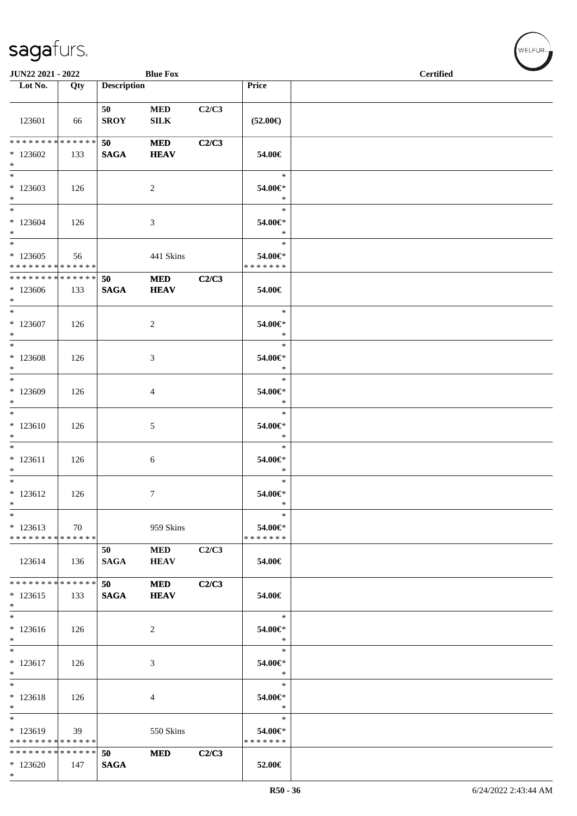| JUN22 2021 - 2022                                             |     |                       | <b>Blue Fox</b>           |       |                                    | <b>Certified</b> |  |
|---------------------------------------------------------------|-----|-----------------------|---------------------------|-------|------------------------------------|------------------|--|
| Lot No.                                                       | Qty | <b>Description</b>    |                           |       | Price                              |                  |  |
| 123601                                                        | 66  | 50<br><b>SROY</b>     | $\bf MED$<br>${\bf SILK}$ | C2/C3 | $(52.00\in)$                       |                  |  |
| ******** <mark>******</mark><br>$*123602$<br>$\ast$           | 133 | 50<br><b>SAGA</b>     | $\bf MED$<br><b>HEAV</b>  | C2/C3 | 54.00€                             |                  |  |
| $\ast$<br>$*123603$<br>$\ast$                                 | 126 |                       | $\overline{2}$            |       | $\ast$<br>54.00€*<br>$\ast$        |                  |  |
| $_{\ast}^{-}$<br>$*123604$<br>$*$<br>$\overline{\phantom{1}}$ | 126 |                       | $\mathfrak{Z}$            |       | $\ast$<br>54.00€*<br>$\ast$        |                  |  |
| $*123605$<br>* * * * * * * * * * * * * *                      | 56  |                       | 441 Skins                 |       | $\ast$<br>54.00€*<br>* * * * * * * |                  |  |
| ******** <mark>******</mark><br>$*123606$<br>$*$              | 133 | 50<br>$\mathbf{SAGA}$ | <b>MED</b><br><b>HEAV</b> | C2/C3 | 54.00€                             |                  |  |
| $\ast$<br>$*123607$<br>$*$                                    | 126 |                       | $\overline{c}$            |       | $\ast$<br>54.00€*<br>$\ast$        |                  |  |
| $\overline{\phantom{a}^*}$<br>$*123608$<br>$\ast$             | 126 |                       | 3                         |       | $\ast$<br>54.00€*<br>$\ast$        |                  |  |
| $*$<br>* 123609<br>$\ast$                                     | 126 |                       | 4                         |       | $\ast$<br>54.00€*<br>$\ast$        |                  |  |
| $\overline{\phantom{0}}$<br>$*123610$<br>$\ast$               | 126 |                       | $\mathfrak{S}$            |       | $\ast$<br>54.00€*<br>$\ast$        |                  |  |
| $_{\ast}^{-}$<br>$* 123611$<br>$\ast$                         | 126 |                       | $\sqrt{6}$                |       | $\ast$<br>54.00€*<br>$\ast$        |                  |  |
| $*$<br>$* 123612$<br>$\ast$                                   | 126 |                       | $\tau$                    |       | $\ast$<br>54.00€*<br>$\ast$        |                  |  |
| $\ast$<br>$*123613$<br>* * * * * * * * * * * * * *            | 70  |                       | 959 Skins                 |       | $\ast$<br>54.00€*<br>* * * * * * * |                  |  |
| 123614                                                        | 136 | 50<br><b>SAGA</b>     | <b>MED</b><br><b>HEAV</b> | C2/C3 | 54.00€                             |                  |  |
| ******** <mark>******</mark><br>$*123615$<br>$\ast$           | 133 | 50<br><b>SAGA</b>     | <b>MED</b><br><b>HEAV</b> | C2/C3 | 54.00€                             |                  |  |
| $\ast$<br>$*123616$<br>$\ast$                                 | 126 |                       | 2                         |       | $\ast$<br>54.00€*<br>$\ast$        |                  |  |
| $\overline{\phantom{a}^*}$<br>$*123617$<br>$\ast$             | 126 |                       | 3                         |       | $\ast$<br>54.00€*<br>$\ast$        |                  |  |
| $\ast$<br>$* 123618$<br>$\ast$                                | 126 |                       | 4                         |       | $\ast$<br>54.00€*<br>$\ast$        |                  |  |
| $\ast$<br>* 123619<br>* * * * * * * * * * * * * * *           | 39  |                       | 550 Skins                 |       | $\ast$<br>54.00€*<br>* * * * * * * |                  |  |
| * * * * * * * * * * * * * *<br>$*123620$<br>$\ast$            | 147 | 50<br><b>SAGA</b>     | <b>MED</b>                | C2/C3 | 52.00€                             |                  |  |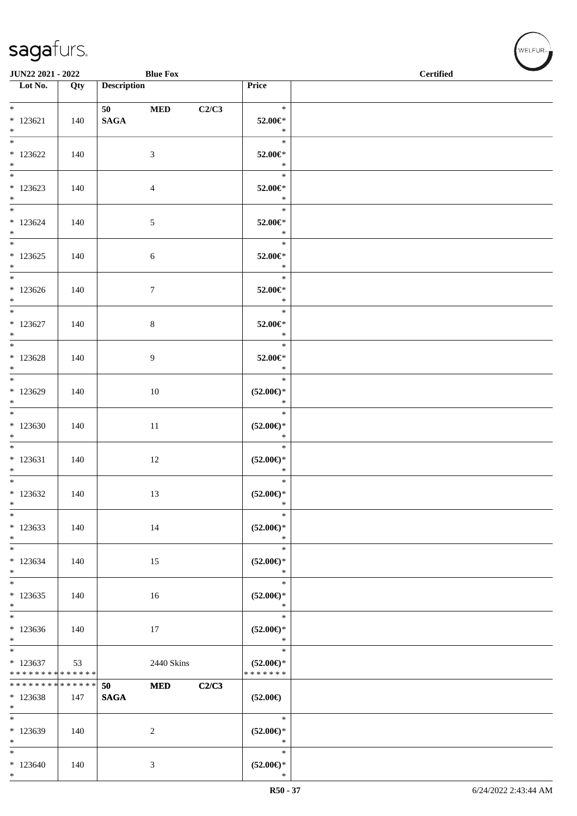\*

| <b>JUN22 2021 - 2022</b>                        |     |                                     | <b>Blue Fox</b> |       |                                                                        | <b>Certified</b> |
|-------------------------------------------------|-----|-------------------------------------|-----------------|-------|------------------------------------------------------------------------|------------------|
| $\overline{\phantom{1}}$ Lot No.                | Qty | <b>Description</b>                  |                 |       | Price                                                                  |                  |
| $*$<br>$* 123621$<br>$*$                        | 140 | 50 70 70 70 71 71 72<br><b>SAGA</b> | $\bf MED$       | C2/C3 | $\ast$<br>52.00€*<br>$\ast$                                            |                  |
| * 123622<br>$*$                                 | 140 |                                     | 3               |       | $\ast$<br>52.00€*<br>$\ast$                                            |                  |
| $*123623$<br>$*$                                | 140 |                                     | $\overline{4}$  |       | $\ast$<br>52.00€*<br>$\ast$                                            |                  |
| $*$<br>$*123624$<br>$*$                         | 140 |                                     | $\sqrt{5}$      |       | $\ast$<br>52.00€*<br>$*$                                               |                  |
| $*$<br>$*123625$<br>$*$                         | 140 |                                     | 6               |       | $\ast$<br>52.00€*<br>$\ast$                                            |                  |
| $*$ and $*$<br>$*123626$<br>$*$                 | 140 |                                     | $\tau$          |       | $\ast$<br>52.00€*<br>$\ast$                                            |                  |
| $*$<br>$*123627$<br>$*$                         | 140 |                                     | 8               |       | $\ast$<br>52.00€*<br>$\ast$                                            |                  |
| $*123628$<br>$*$                                | 140 |                                     | 9               |       | $\ast$<br>52.00€*<br>$\ast$                                            |                  |
| * 123629<br>$*$                                 | 140 |                                     | 10              |       | $\ast$<br>$(52.00\epsilon)$ *<br>$\ast$                                |                  |
| $*123630$<br>$*$                                | 140 |                                     | 11              |       | $\ast$<br>$(52.00\epsilon)$ *<br>$\ast$                                |                  |
| $*$<br>$* 123631$<br>$*$                        | 140 |                                     | 12              |       | $\ast$<br>$(52.00\epsilon)$ *<br>$\ast$                                |                  |
| $*$<br>$*123632$<br>$\ast$                      | 140 |                                     | 13              |       | $\ast$<br>$(52.00\epsilon)$ *<br>$\ast$                                |                  |
| $\ast$<br>$*123633$<br>$\ast$                   | 140 |                                     | 14              |       | $\ast$<br>$(52.00\epsilon)$ *<br>$\ast$                                |                  |
| $*$<br>$*123634$<br>$*$                         | 140 |                                     | 15              |       | $\ast$<br>$(52.00\epsilon)$ *<br>$\ast$                                |                  |
| $*123635$<br>$*$                                | 140 |                                     | 16              |       | $\ast$<br>$(52.00ε)$ *<br>$\ast$                                       |                  |
| $*123636$<br>$*$                                | 140 |                                     | 17              |       | $\ast$<br>$(52.00\mathnormal{\in}\mathcal{)^{\! \! \times}}$<br>$\ast$ |                  |
| $*$<br>$*123637$<br>* * * * * * * * * * * * * * | 53  |                                     | 2440 Skins      |       | $\ast$<br>$(52.00\epsilon)$ *<br>* * * * * * *                         |                  |
| * * * * * * * * * * * * * *<br>$*123638$<br>$*$ | 147 | 50<br><b>SAGA</b>                   | $\bf MED$       | C2/C3 | $(52.00\epsilon)$                                                      |                  |
| $*$<br>* 123639<br>$*$                          | 140 |                                     | 2               |       | $\ast$<br>$(52.00\epsilon)$ *<br>$\ast$                                |                  |
| $*$<br>$*123640$                                | 140 |                                     | 3               |       | $\ast$<br>$(52.00\epsilon)$ *                                          |                  |

 $(w$ ELFUR<sub>m</sub>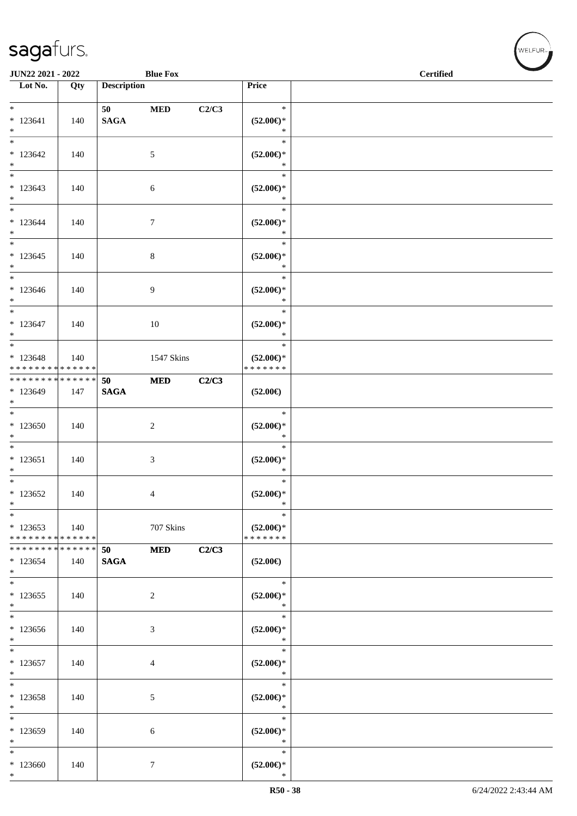| JUN22 2021 - 2022                                              |     |                    | <b>Blue Fox</b> |       |                                                                        | <b>Certified</b> |
|----------------------------------------------------------------|-----|--------------------|-----------------|-------|------------------------------------------------------------------------|------------------|
| $\overline{\phantom{1}}$ Lot No.                               | Qty | <b>Description</b> |                 |       | Price                                                                  |                  |
| $*$                                                            |     |                    |                 |       | $\ast$                                                                 |                  |
| $*123641$<br>$*$                                               | 140 | <b>SAGA</b>        | $\bf MED$       | C2/C3 | $(52.00\epsilon)$ *<br>$\ast$                                          |                  |
| $*123642$<br>$*$                                               | 140 |                    | 5               |       | $\ast$<br>$(52.00\epsilon)$ *<br>$\ast$                                |                  |
| $*$<br>$*123643$<br>$*$                                        | 140 |                    | 6               |       | $\ast$<br>$(52.00\epsilon)$ *<br>$\ast$                                |                  |
| $*$<br>$*123644$<br>$*$                                        | 140 |                    | $\tau$          |       | $\ast$<br>$(52.00\epsilon)$ *<br>$\ast$                                |                  |
| $\overline{\phantom{0}}$<br>$*123645$<br>$*$                   | 140 |                    | $\,8\,$         |       | $\ast$<br>$(52.00\epsilon)$ *<br>$\ast$                                |                  |
| $*$<br>$*123646$<br>$*$                                        | 140 |                    | 9               |       | $\ast$<br>$(52.00\epsilon)$ *<br>$\ast$                                |                  |
| $*$<br>$* 123647$<br>$*$                                       | 140 |                    | 10              |       | $\ast$<br>$(52.00\epsilon)$ *<br>$\ast$                                |                  |
| $*$<br>$*123648$<br>* * * * * * * * * * * * * *                | 140 |                    | 1547 Skins      |       | $\ast$<br>$(52.00\epsilon)$ *<br>* * * * * * *                         |                  |
| * * * * * * * * * * * * * * *<br>* 123649<br>$*$               | 147 | 50<br><b>SAGA</b>  | <b>MED</b>      | C2/C3 | $(52.00\epsilon)$                                                      |                  |
| $*123650$<br>$*$                                               | 140 |                    | $\overline{2}$  |       | $\ast$<br>$(52.00\mathsf{E})^*$<br>$\ast$                              |                  |
| $\overline{\phantom{0}}$<br>$* 123651$<br>$*$                  | 140 |                    | $\mathfrak{Z}$  |       | $\ast$<br>$(52.00\epsilon)$ *<br>$\ast$                                |                  |
| $*$<br>$*123652$<br>$\ast$                                     | 140 |                    | 4               |       | $\ast$<br>$(52.00\epsilon)$ *<br>$\ast$                                |                  |
| $*$<br>$*123653$<br>* * * * * * * * <mark>* * * * * * *</mark> | 140 |                    | 707 Skins       |       | $\ast$<br>$(52.00\epsilon)$ *<br>* * * * * * *                         |                  |
| * * * * * * * * <mark>* * * * * * *</mark><br>$*123654$<br>$*$ | 140 | 50<br><b>SAGA</b>  | <b>MED</b>      | C2/C3 | $(52.00\epsilon)$                                                      |                  |
| $*$<br>$*123655$<br>$*$                                        | 140 |                    | 2               |       | $\ast$<br>$(52.00\epsilon)$ *<br>$\ast$                                |                  |
| $*123656$<br>$*$                                               | 140 |                    | $\mathfrak{Z}$  |       | $\ast$<br>$(52.00\mathnormal{\in}\mathcal{)^{\! \! \times}}$<br>$\ast$ |                  |
| $\overline{\phantom{0}}$<br>$*123657$<br>$*$                   | 140 |                    | $\overline{4}$  |       | $\ast$<br>$(52.00\mathnormal{\in}\mathcal{)^{\! \! \times}}$<br>$\ast$ |                  |
| $\ast$<br>$*123658$<br>$*$                                     | 140 |                    | 5               |       | $\ast$<br>$(52.00\epsilon)$ *<br>$\ast$                                |                  |
| * 123659<br>$*$                                                | 140 |                    | 6               |       | $\ast$<br>$(52.00\epsilon)$ *<br>$\ast$                                |                  |
| $\ast$<br>$*123660$<br>$*$                                     | 140 |                    | $7\phantom{.0}$ |       | $\ast$<br>$(52.00\epsilon)$ *<br>$\ast$                                |                  |

 $w$ elfur<sub>m</sub>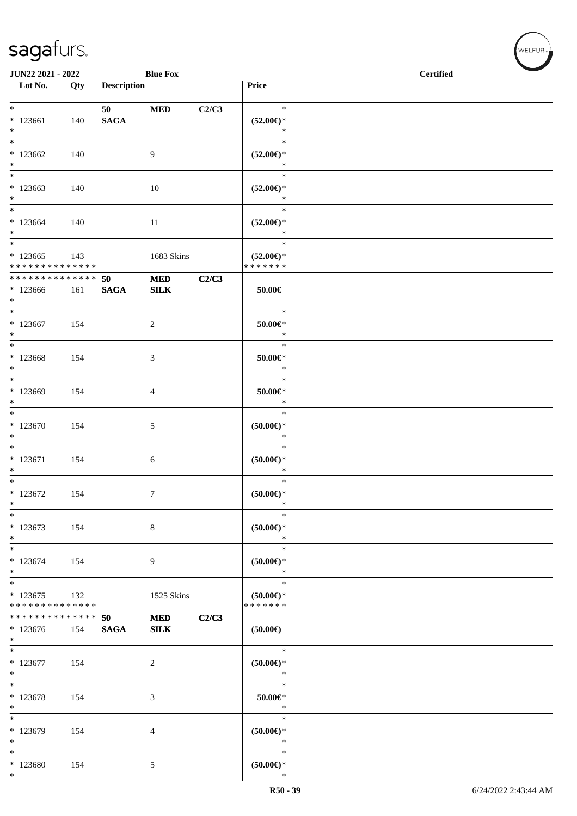| <b>JUN22 2021 - 2022</b>                   |     |                    | <b>Blue Fox</b> |       |                                      | <b>Certified</b> |
|--------------------------------------------|-----|--------------------|-----------------|-------|--------------------------------------|------------------|
| Lot $No.$                                  | Qty | <b>Description</b> |                 |       | Price                                |                  |
|                                            |     |                    |                 |       |                                      |                  |
| $*$ $*$                                    |     | 50 — 10            | $\bf MED$       | C2/C3 | $\ast$                               |                  |
| $*123661$                                  | 140 | <b>SAGA</b>        |                 |       | $(52.00\epsilon)$ *                  |                  |
| $*$                                        |     |                    |                 |       | $\ast$                               |                  |
|                                            |     |                    |                 |       | $\ast$                               |                  |
| $*123662$                                  | 140 |                    | 9               |       | $(52.00\epsilon)$ *                  |                  |
| $*$                                        |     |                    |                 |       | $\ast$                               |                  |
|                                            |     |                    |                 |       | $\ast$                               |                  |
| $*123663$                                  | 140 |                    | 10              |       | $(52.00\epsilon)$ *                  |                  |
| $*$                                        |     |                    |                 |       | $\ast$                               |                  |
|                                            |     |                    |                 |       | $\ast$                               |                  |
| $*123664$                                  | 140 |                    | 11              |       | $(52.00\epsilon)$ *                  |                  |
| $*$                                        |     |                    |                 |       | $\ast$<br>$\ast$                     |                  |
|                                            |     |                    |                 |       |                                      |                  |
| $*123665$<br>* * * * * * * * * * * * * *   | 143 |                    | 1683 Skins      |       | $(52.00\epsilon)$ *<br>* * * * * * * |                  |
| * * * * * * * * <mark>* * * * * * *</mark> |     | 50                 | <b>MED</b>      | C2/C3 |                                      |                  |
| $*123666$                                  | 161 | <b>SAGA</b>        | SLK             |       | 50.00€                               |                  |
| $*$                                        |     |                    |                 |       |                                      |                  |
| $\ast$                                     |     |                    |                 |       | $\ast$                               |                  |
| $*123667$                                  | 154 |                    | $\overline{c}$  |       | $50.00 \in$ *                        |                  |
| $*$                                        |     |                    |                 |       | $\ast$                               |                  |
| $*$                                        |     |                    |                 |       | $\ast$                               |                  |
| $*123668$                                  | 154 |                    | 3               |       | 50.00€*                              |                  |
| $*$                                        |     |                    |                 |       | $\ast$                               |                  |
| $*$                                        |     |                    |                 |       | $\ast$                               |                  |
| * 123669                                   | 154 |                    | 4               |       | $50.00 \in$ *                        |                  |
| $*$                                        |     |                    |                 |       | $\ast$                               |                  |
|                                            |     |                    |                 |       | $\ast$                               |                  |
| $*123670$                                  | 154 |                    | 5               |       | $(50.00ε)$ *                         |                  |
| $\ast$                                     |     |                    |                 |       | $\ast$                               |                  |
|                                            |     |                    |                 |       | $\ast$                               |                  |
| $*123671$                                  | 154 |                    | 6               |       | $(50.00\epsilon)$ *                  |                  |
| $*$<br>$*$                                 |     |                    |                 |       | $\ast$<br>$\ast$                     |                  |
| $*123672$                                  |     |                    |                 |       |                                      |                  |
| $\ast$                                     | 154 |                    | 7               |       | $(50.00\varepsilon)$ *<br>$\ast$     |                  |
| $\ast$                                     |     |                    |                 |       | $\ast$                               |                  |
| $*123673$                                  | 154 |                    | 8               |       | $(50.00\mathnormal{\infty})^*$       |                  |
| $\ast$                                     |     |                    |                 |       | $\ast$                               |                  |
| $\ast$                                     |     |                    |                 |       | $\ast$                               |                  |
| $*123674$                                  | 154 |                    | 9               |       | $(50.00ε)$ *                         |                  |
| $*$                                        |     |                    |                 |       | $\ast$                               |                  |
| $*$                                        |     |                    |                 |       | $\ast$                               |                  |
| $*123675$                                  | 132 |                    | 1525 Skins      |       | $(50.00 \in )^*$                     |                  |
| * * * * * * * * * * * * * *                |     |                    |                 |       | * * * * * * *                        |                  |
| * * * * * * * * * * * * * * *              |     | 50                 | <b>MED</b>      | C2/C3 |                                      |                  |
| $*123676$                                  | 154 | <b>SAGA</b>        | SLK             |       | $(50.00\epsilon)$                    |                  |
| $*$                                        |     |                    |                 |       |                                      |                  |
| $\overline{\phantom{0}}$                   |     |                    |                 |       | $\ast$                               |                  |
| $*123677$                                  | 154 |                    | 2               |       | $(50.00\in)^\ast$                    |                  |
| $*$                                        |     |                    |                 |       | $\ast$                               |                  |
| $*$                                        |     |                    |                 |       | $\ast$                               |                  |
| * 123678                                   | 154 |                    | 3               |       | $50.00 \in$ *<br>$\ast$              |                  |
| $*$<br>$*$                                 |     |                    |                 |       | $\ast$                               |                  |
|                                            |     |                    |                 |       |                                      |                  |
| * 123679<br>$\ast$                         | 154 |                    | 4               |       | $(50.00ε)$ *<br>$\ast$               |                  |
| $\ast$                                     |     |                    |                 |       | $\ast$                               |                  |
| * 123680                                   | 154 |                    | 5               |       | $(50.00\epsilon)$ *                  |                  |
| $\ast$                                     |     |                    |                 |       | $\ast$                               |                  |

、<br>WELFUR<sub>™</sub>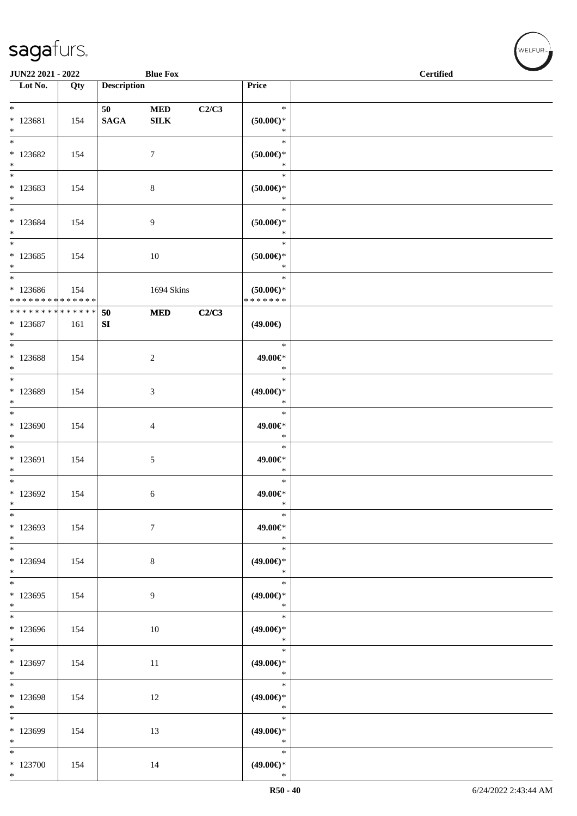| <b>JUN22 2021 - 2022</b>                                        |     |                    | <b>Blue Fox</b>            |       |                                         | <b>Certified</b> |  |
|-----------------------------------------------------------------|-----|--------------------|----------------------------|-------|-----------------------------------------|------------------|--|
| $\overline{\phantom{1}}$ Lot No.                                | Qty | <b>Description</b> |                            |       | Price                                   |                  |  |
|                                                                 |     |                    |                            |       |                                         |                  |  |
| $*$<br>* 123681<br>$*$                                          | 154 | 50<br><b>SAGA</b>  | <b>MED</b><br>${\bf SILK}$ | C2/C3 | $\ast$<br>$(50.00\epsilon)$ *<br>$\ast$ |                  |  |
| * 123682<br>$*$                                                 | 154 |                    | $\tau$                     |       | $\ast$<br>$(50.00ε)$ *<br>$\ast$        |                  |  |
| $\overline{\ast}$<br>* 123683<br>$*$                            | 154 |                    | 8                          |       | $\ast$<br>$(50.00\epsilon)$ *<br>$\ast$ |                  |  |
| $*$<br>* 123684<br>$*$                                          | 154 |                    | $\overline{9}$             |       | $\ast$<br>$(50.00ε)$ *<br>$\ast$        |                  |  |
| $*$ $-$<br>* 123685<br>$*$                                      | 154 |                    | 10                         |       | $\ast$<br>$(50.00ε)$ *<br>$\ast$        |                  |  |
| $*$<br>* 123686<br>* * * * * * * * <mark>* * * * * * *</mark>   | 154 |                    | 1694 Skins                 |       | $\ast$<br>$(50.00)$ *<br>* * * * * * *  |                  |  |
| * * * * * * * * <mark>* * * * * * *</mark><br>$* 123687$<br>$*$ | 161 | 50<br>SI           | <b>MED</b>                 | C2/C3 | $(49.00\epsilon)$                       |                  |  |
| * 123688<br>$\ast$                                              | 154 |                    | 2                          |       | $\ast$<br>49.00€*<br>$\ast$             |                  |  |
| $\overline{\ast}$<br>* 123689<br>$*$                            | 154 |                    | 3                          |       | $\ast$<br>$(49.00\epsilon)$ *<br>$\ast$ |                  |  |
| $*123690$<br>$*$                                                | 154 |                    | $\overline{4}$             |       | $\ast$<br>49.00€*<br>$\ast$             |                  |  |
| $*$<br>$*123691$<br>$\ast$                                      | 154 |                    | 5                          |       | $\ast$<br>49.00€*<br>$\ast$             |                  |  |
| $*$<br>* 123692<br>$\ast$                                       | 154 |                    | 6                          |       | $\ast$<br>49.00€*<br>$\ast$             |                  |  |
| $*$<br>* 123693<br>$*$                                          | 154 |                    | $\tau$                     |       | $\ast$<br>49.00€*<br>$\ast$             |                  |  |
| $*$<br>* 123694<br>$*$                                          | 154 |                    | $\,8\,$                    |       | $\ast$<br>$(49.00ε)$ *<br>$\ast$        |                  |  |
| $\overline{\phantom{0}}$<br>$*123695$<br>$*$                    | 154 |                    | $\boldsymbol{9}$           |       | $\ast$<br>$(49.00\epsilon)$ *<br>$\ast$ |                  |  |
| $*123696$<br>$*$                                                | 154 |                    | 10                         |       | $\ast$<br>$(49.00ε)$ *<br>$\ast$        |                  |  |
| * 123697<br>$*$                                                 | 154 |                    | 11                         |       | $\ast$<br>$(49.00ε)$ *<br>$\ast$        |                  |  |
| $*$<br>* 123698<br>$*$                                          | 154 |                    | 12                         |       | $\ast$<br>$(49.00ε)$ *<br>$\ast$        |                  |  |
| * 123699<br>$*$                                                 | 154 |                    | 13                         |       | $\ast$<br>$(49.00\epsilon)$ *<br>$\ast$ |                  |  |
| $*$<br>$*123700$<br>$*$                                         | 154 |                    | 14                         |       | $\ast$<br>$(49.00\epsilon)$ *<br>$\ast$ |                  |  |

、<br>WELFUR<sub>™</sub>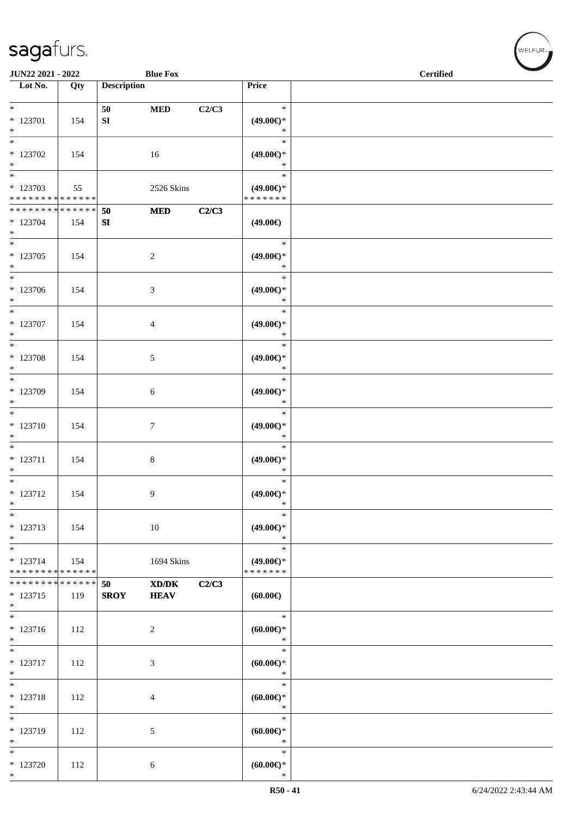#### S

\*

\* 123720 112 6

| sagafurs.                |     |                    |                 |       |                     |                  |
|--------------------------|-----|--------------------|-----------------|-------|---------------------|------------------|
| <b>JUN22 2021 - 2022</b> |     |                    | <b>Blue Fox</b> |       |                     | <b>Certified</b> |
| Lot No.                  | Qty | <b>Description</b> |                 |       | Price               |                  |
|                          |     |                    |                 |       |                     |                  |
| $\ast$                   |     | 50                 | <b>MED</b>      | C2/C3 | $\ast$              |                  |
| * 123701                 | 154 | <b>SI</b>          |                 |       | $(49.00\epsilon)$ * |                  |
| *                        |     |                    |                 |       | $\ast$              |                  |
| $\ast$                   |     |                    |                 |       | $\ast$              |                  |
| * 123702                 | 154 |                    | 16              |       | $(49.00\epsilon)$ * |                  |
| $\ast$                   |     |                    |                 |       | $\ast$              |                  |
| $\ast$                   |     |                    |                 |       | $\ast$              |                  |
| $* 122702$               | 55  |                    | $2526$ Sking    |       | (40.00)             |                  |

| $*123702$<br>$\ast$                  | 154 |             | 16              |       | $(49.00\epsilon)$ *<br>$\ast$            |  |
|--------------------------------------|-----|-------------|-----------------|-------|------------------------------------------|--|
| $\ast$                               |     |             |                 |       | $\ast$                                   |  |
| $*123703$                            | 55  |             | 2526 Skins      |       | $(49.00\epsilon)$ *                      |  |
| ******** <mark>******</mark>         |     |             |                 |       | * * * * * * *                            |  |
| **************                       |     | 50          | <b>MED</b>      | C2/C3 |                                          |  |
| $*123704$                            | 154 | SI          |                 |       | $(49.00\epsilon)$                        |  |
| $*$                                  |     |             |                 |       |                                          |  |
| $_{\ast}^{-}$                        |     |             |                 |       | $\ast$                                   |  |
| $*123705$                            | 154 |             | $\overline{2}$  |       | $(49.00\epsilon)$ *                      |  |
| $*$                                  |     |             |                 |       | $\ast$                                   |  |
| $\overline{\phantom{1}}$             |     |             |                 |       | $\ast$                                   |  |
| * 123706                             | 154 |             | $\mathfrak{Z}$  |       | $(49.00ε)$ *                             |  |
| $\ast$                               |     |             |                 |       | $\ast$                                   |  |
| $\overline{\ast}$                    |     |             |                 |       | $\ast$                                   |  |
| * 123707                             | 154 |             | $\overline{4}$  |       | $(49.00ε)$ *                             |  |
| $*$                                  |     |             |                 |       | $\ast$                                   |  |
| $\overline{\phantom{a}^*}$           |     |             |                 |       | $\ast$                                   |  |
| * 123708                             | 154 |             | $5\overline{)}$ |       | $(49.00\epsilon)$ *                      |  |
| $*$                                  |     |             |                 |       | $\ast$                                   |  |
| $*$                                  |     |             |                 |       | $\ast$                                   |  |
| * 123709                             | 154 |             | 6               |       | $(49.00€)$ *                             |  |
| $\ast$                               |     |             |                 |       | $\ast$                                   |  |
| $\ast$                               |     |             |                 |       | $\ast$                                   |  |
| $* 123710$                           | 154 |             | $\tau$          |       | $(49.00\epsilon)$ *                      |  |
| $\ast$                               |     |             |                 |       | $\ast$                                   |  |
| $\overline{\phantom{a}^*}$           |     |             |                 |       | $\ast$                                   |  |
| $* 123711$                           | 154 |             | $8\,$           |       | $(49.00\epsilon)$ *                      |  |
| $*$                                  |     |             |                 |       | $\ast$                                   |  |
| $\ast$                               |     |             |                 |       | $\ast$                                   |  |
| $* 123712$                           | 154 |             | 9               |       | $(49.00\epsilon)$ *                      |  |
| $*$                                  |     |             |                 |       | $\ast$                                   |  |
| $\ast$                               |     |             |                 |       | $\ast$                                   |  |
| $* 123713$                           | 154 |             | $10\,$          |       | $(49.00ε)$ *                             |  |
| $\ast$                               |     |             |                 |       | $\ast$                                   |  |
| $_{*}^{-}$                           |     |             |                 |       | $\ast$                                   |  |
| $* 123714$                           | 154 |             | 1694 Skins      |       | $(49.00\epsilon)$ *                      |  |
| ******** <mark>******</mark>         |     |             |                 |       | * * * * * * *                            |  |
| *************** 50                   |     |             | $XD/DK$ $C2/C3$ |       |                                          |  |
| $* 123715$                           | 119 | <b>SROY</b> | <b>HEAV</b>     |       | (60.00)                                  |  |
| $\ast$                               |     |             |                 |       |                                          |  |
| $\ast$                               |     |             |                 |       | $\ast$                                   |  |
| $* 123716$                           |     |             |                 |       |                                          |  |
| $\ast$                               | 112 |             | $\overline{2}$  |       | (60.00)<br>$\ast$                        |  |
| $\overline{\phantom{a}^*}$           |     |             |                 |       | $\ast$                                   |  |
| $* 123717$                           |     |             |                 |       |                                          |  |
| $*$                                  | 112 |             | $\mathfrak{Z}$  |       | $(60.00\mathnormal{\infty})^*$<br>$\ast$ |  |
| $\overline{\ast}$                    |     |             |                 |       | $\ast$                                   |  |
|                                      |     |             |                 |       |                                          |  |
| $* 123718$<br>$\ast$                 | 112 |             | $\overline{4}$  |       | $(60.00 \in )^*$<br>$\ast$               |  |
| $\overline{\phantom{1}}$             |     |             |                 |       | $\ast$                                   |  |
|                                      |     |             |                 |       |                                          |  |
| $* 123719$                           | 112 |             | $\sqrt{5}$      |       | (60.00)                                  |  |
| $\ast$<br>$\overline{\phantom{a}^*}$ |     |             |                 |       | $\ast$                                   |  |
|                                      |     |             |                 |       | $\ast$                                   |  |

\*

**(60.00€)**

.<br>WELFUR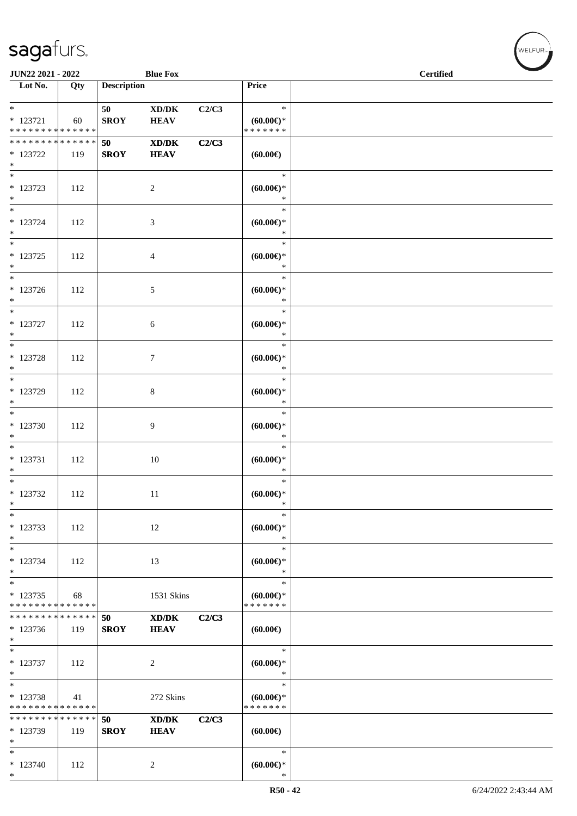#### sa

|     |                                               | <b>Blue Fox</b>             |                    |                        | <b>Certified</b> |
|-----|-----------------------------------------------|-----------------------------|--------------------|------------------------|------------------|
| Qty |                                               |                             |                    | Price                  |                  |
|     | 50                                            | XD/DK                       | C2/C3              | $\ast$                 |                  |
| 60  | <b>SROY</b>                                   | <b>HEAV</b>                 |                    | $(60.00\varepsilon)$ * |                  |
|     |                                               |                             |                    | * * * * * * *          |                  |
|     | <b>saga</b> turs.<br><b>JUN22 2021 - 2022</b> | * * * * * * * * * * * * * * | <b>Description</b> |                        |                  |

| $\ast$<br>$* 123721$<br>* * * * * * * * <mark>* * * * * * *</mark> | 60  | 50<br><b>SROY</b>        | XD/DK<br><b>HEAV</b>                                       | C2/C3 | $\ast$<br>$(60.00\varepsilon)$ *<br>* * * * * * * |  |
|--------------------------------------------------------------------|-----|--------------------------|------------------------------------------------------------|-------|---------------------------------------------------|--|
| * * * * * * * * * * * * * * <mark>*</mark><br>* 123722<br>$*$      | 119 | <b>50</b><br><b>SROY</b> | $\mathbf{X}\mathbf{D}/\mathbf{D}\mathbf{K}$<br><b>HEAV</b> | C2/C3 | (60.00)                                           |  |
| $\overline{\mathbf{r}}$<br>* 123723<br>$\ast$                      | 112 |                          | 2                                                          |       | $\ast$<br>$(60.00\varepsilon)$ *<br>$\ast$        |  |
| $*$<br>* 123724<br>$*$                                             | 112 |                          | $\mathfrak{Z}$                                             |       | $\ast$<br>$(60.00\varepsilon)$ *<br>$\ast$        |  |
| $\overline{\ }$<br>$*123725$<br>$*$                                | 112 |                          | $\overline{4}$                                             |       | $\ast$<br>$(60.00\varepsilon)$ *<br>$\ast$        |  |
| $\overline{\ast}$<br>* 123726<br>$*$                               | 112 |                          | $\sqrt{5}$                                                 |       | $\ast$<br>$(60.00ε)$ *<br>$\ast$                  |  |
| $\ast$<br>* 123727<br>$*$                                          | 112 |                          | $\sqrt{6}$                                                 |       | $\ast$<br>$(60.00\varepsilon)$ *<br>$\ast$        |  |
| $\overline{\ }$<br>* 123728<br>$*$<br>$*$                          | 112 |                          | $\tau$                                                     |       | $\ast$<br>$(60.00\varepsilon)$ *<br>$\ast$        |  |
| * 123729<br>$\ast$<br>$*$                                          | 112 |                          | 8                                                          |       | $\ast$<br>$(60.00\varepsilon)$ *<br>$\ast$        |  |
| * 123730<br>$*$                                                    | 112 |                          | 9                                                          |       | $\ast$<br>$(60.00\varepsilon)$ *<br>$\ast$        |  |
| $*$<br>$* 123731$<br>$*$                                           | 112 |                          | 10                                                         |       | $\ast$<br>$(60.00\varepsilon)$ *<br>$\ast$        |  |
| $\ddot{x}$<br>* 123732<br>$*$                                      | 112 |                          | 11                                                         |       | $\ast$<br>$(60.00\varepsilon)$ *<br>$\ast$        |  |
| $*$<br>* 123733<br>$*$ $-$                                         | 112 |                          | 12                                                         |       | $\ast$<br>(60.00)<br>$\ast$                       |  |
| $\ast$<br>$*123734$<br>$*$                                         | 112 |                          | 13                                                         |       | $\ast$<br>$(60.00\varepsilon)$ *<br>$\ast$        |  |
| $\ast$<br>$*123735$<br>* * * * * * * * * * * * * * *               | 68  |                          | 1531 Skins                                                 |       | $\ast$<br>$(60.00\varepsilon)$ *<br>* * * * * * * |  |
| * * * * * * * * * * * * * * <mark>*</mark><br>* 123736<br>$\ast$   | 119 | 50<br><b>SROY</b>        | $\boldsymbol{\text{XD/DK}}$<br><b>HEAV</b>                 | C2/C3 | (60.00)                                           |  |
| $\ast$<br>* 123737<br>$\ast$                                       | 112 |                          | 2                                                          |       | $\ast$<br>$(60.00ε)$ *<br>$\ast$                  |  |
| $*$<br>* 123738<br>* * * * * * * * <mark>* * * * * *</mark>        | 41  |                          | 272 Skins                                                  |       | $\ast$<br>$(60.00\varepsilon)$ *<br>* * * * * * * |  |
| * * * * * * * * <mark>* * * * * * *</mark><br>* 123739<br>$*$      | 119 | 50<br><b>SROY</b>        | XD/DK<br><b>HEAV</b>                                       | C2/C3 | (60.00)                                           |  |
| $\ast$<br>$*123740$<br>$\ast$                                      | 112 |                          | 2                                                          |       | $\ast$<br>$(60.00\varepsilon)$ *<br>$\ast$        |  |

.<br>Nei eur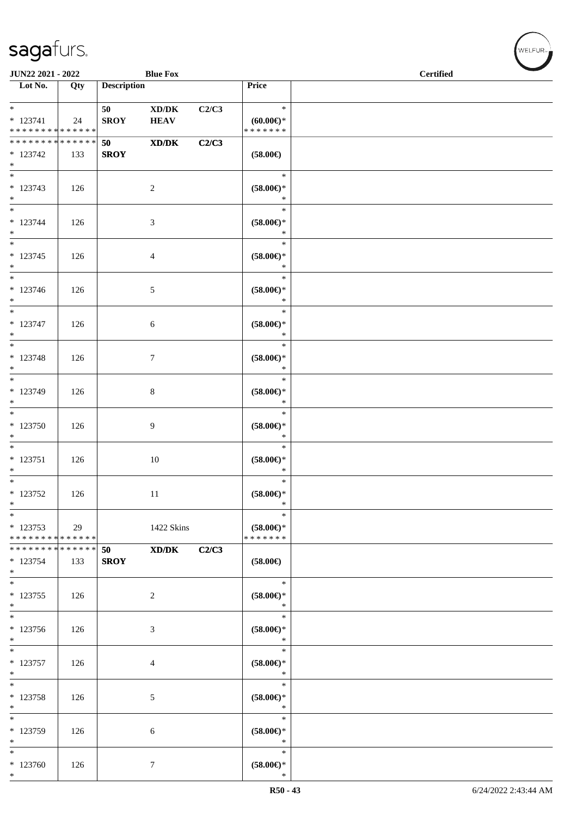| JUN22 2021 - 2022                                    |     |                    | <b>Blue Fox</b>                                    |       |                                                   | <b>Certified</b> | <b>STATE</b> |
|------------------------------------------------------|-----|--------------------|----------------------------------------------------|-------|---------------------------------------------------|------------------|--------------|
| $\overline{\phantom{1}}$ Lot No.                     | Qty | <b>Description</b> |                                                    |       | Price                                             |                  |              |
| $*$<br>$* 123741$<br>* * * * * * * * * * * * * *     | 24  | 50<br><b>SROY</b>  | $\bold{X}\bold{D}/\bold{D}\bold{K}$<br><b>HEAV</b> | C2/C3 | $\ast$<br>(60.00)<br>* * * * * * *                |                  |              |
| * * * * * * * * * * * * * * *<br>$*123742$<br>$\ast$ | 133 | 50<br><b>SROY</b>  | XD/DK                                              | C2/C3 | $(58.00\in)$                                      |                  |              |
| $\overline{\phantom{0}}$<br>* 123743<br>$*$          | 126 |                    | $\overline{2}$                                     |       | $\ast$<br>$(58.00\epsilon)$ *<br>$\ast$           |                  |              |
| $*$<br>$* 123744$<br>$\ast$                          | 126 |                    | $\mathfrak{Z}$                                     |       | $\ast$<br>$(58.00\epsilon)$ *<br>$\ast$           |                  |              |
| $\ast$<br>$* 123745$<br>$*$                          | 126 |                    | 4                                                  |       | $\ast$<br>$(58.00\epsilon)^\ast$<br>$\ast$        |                  |              |
| $*$<br>$* 123746$<br>$*$                             | 126 |                    | $\mathfrak{S}$                                     |       | $\ast$<br>$(58.00\epsilon)$ *<br>$\ast$           |                  |              |
| $*$<br>$* 123747$<br>$*$<br>$\overline{\phantom{0}}$ | 126 |                    | 6                                                  |       | $\ast$<br>$(58.00\epsilon)$ *<br>$\ast$           |                  |              |
| * 123748<br>$*$<br>$\overline{\phantom{0}}$          | 126 |                    | $\tau$                                             |       | $\ast$<br>$(58.00\epsilon)$ *<br>$\ast$           |                  |              |
| * 123749<br>$\ast$<br>$\overline{\ast}$              | 126 |                    | $\,8\,$                                            |       | $\ast$<br>$(58.00\epsilon)$ *<br>$\ast$           |                  |              |
| * 123750<br>$*$                                      | 126 |                    | 9                                                  |       | $\ast$<br>$(58.00\epsilon)$ *<br>$\ast$           |                  |              |
| $\ast$<br>$* 123751$<br>$*$<br>$\overline{\ast}$     | 126 |                    | 10                                                 |       | $\ast$<br>$(58.00\epsilon)$ *<br>$\ast$<br>$\ast$ |                  |              |
| $* 123752$<br>$\ast$<br>$\ast$                       | 126 |                    | 11                                                 |       | $(58.00\epsilon)$ *<br>∗<br>$\ast$                |                  |              |
| $*123753$<br>* * * * * * * * * * * * * *             | 29  |                    | 1422 Skins                                         |       | $(58.00\epsilon)$ *<br>* * * * * * *              |                  |              |
| * * * * * * * * * * * * * * *<br>$* 123754$<br>$*$   | 133 | 50<br><b>SROY</b>  | $\mathbf{X}\mathbf{D}/\mathbf{D}\mathbf{K}$        | C2/C3 | $(58.00\epsilon)$                                 |                  |              |
| $\overline{\phantom{0}}$<br>$*123755$<br>$*$         | 126 |                    | $\overline{2}$                                     |       | $\ast$<br>$(58.00\in)^\ast$<br>$\ast$             |                  |              |
| $\ast$<br>* 123756<br>$*$                            | 126 |                    | 3                                                  |       | $\ast$<br>$(58.00\in)^\ast$<br>$\ast$             |                  |              |
| $*$<br>$* 123757$<br>$*$                             | 126 |                    | 4                                                  |       | $\ast$<br>$(58.00\epsilon)$ *<br>$\ast$           |                  |              |
| $*$<br>* 123758<br>$*$                               | 126 |                    | 5                                                  |       | $\ast$<br>$(58.00\epsilon)$ *<br>$\ast$           |                  |              |
| $\ast$<br>* 123759<br>$*$                            | 126 |                    | 6                                                  |       | $\ast$<br>$(58.00\epsilon)$ *<br>$\ast$           |                  |              |
| $*$<br>$*123760$<br>$*$                              | 126 |                    | $\tau$                                             |       | $\ast$<br>$(58.00\epsilon)$ *<br>$\ast$           |                  |              |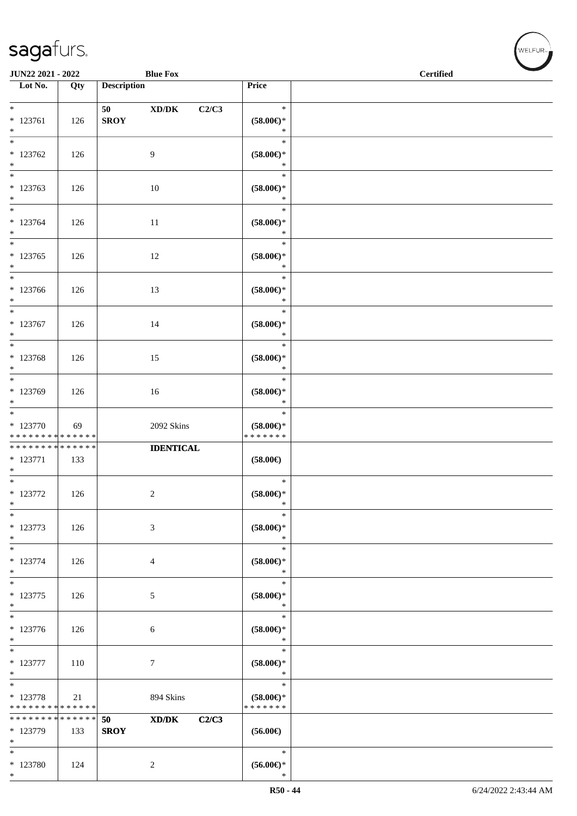\*

| JUN22 2021 - 2022                                                                   |     |                    | <b>Blue Fox</b>                                                       |                                                | <b>Contract Contract Contract Contract Contract Contract Contract Contract Contract Contract Contract Contract Contract Contract Contract Contract Contract Contract Contract Contract Contract Contract Contract Contract Contr</b><br><b>Certified</b> |
|-------------------------------------------------------------------------------------|-----|--------------------|-----------------------------------------------------------------------|------------------------------------------------|----------------------------------------------------------------------------------------------------------------------------------------------------------------------------------------------------------------------------------------------------------|
| Lot No.                                                                             | Qty | <b>Description</b> |                                                                       | Price                                          |                                                                                                                                                                                                                                                          |
| $*$<br>$* 123761$<br>$*$                                                            | 126 | 50<br><b>SROY</b>  | $\boldsymbol{\text{XD}}\boldsymbol{/}\boldsymbol{\text{DK}}$<br>C2/C3 | $\ast$<br>$(58.00\epsilon)$ *<br>$\ast$        |                                                                                                                                                                                                                                                          |
| $*123762$<br>$*$                                                                    | 126 |                    | $\overline{9}$                                                        | $\ast$<br>$(58.00\epsilon)$ *<br>$\ast$        |                                                                                                                                                                                                                                                          |
| * 123763<br>$*$                                                                     | 126 |                    | 10                                                                    | $\ast$<br>$(58.00\epsilon)$ *<br>$\ast$        |                                                                                                                                                                                                                                                          |
| $*$<br>$* 123764$<br>$*$                                                            | 126 |                    | 11                                                                    | $\ast$<br>$(58.00\epsilon)$ *<br>$\ast$        |                                                                                                                                                                                                                                                          |
| $\overline{\ast}$<br>$*123765$<br>$*$                                               | 126 |                    | 12                                                                    | $\ast$<br>$(58.00\epsilon)$ *<br>$\ast$        |                                                                                                                                                                                                                                                          |
| $\frac{1}{2}$<br>$*123766$<br>$*$                                                   | 126 |                    | 13                                                                    | $\ast$<br>$(58.00\epsilon)$ *<br>$\ast$        |                                                                                                                                                                                                                                                          |
| $* 123767$<br>$*$                                                                   | 126 |                    | 14                                                                    | $\ast$<br>$(58.00\epsilon)$ *<br>$\ast$        |                                                                                                                                                                                                                                                          |
| * 123768<br>$*$                                                                     | 126 |                    | 15                                                                    | $\ast$<br>$(58.00\epsilon)$ *<br>$\ast$        |                                                                                                                                                                                                                                                          |
| $\overline{\ast}$<br>* 123769<br>$*$                                                | 126 |                    | 16                                                                    | $\ast$<br>$(58.00\epsilon)$ *<br>$\ast$        |                                                                                                                                                                                                                                                          |
| $\overline{\phantom{0}}$<br>$*123770$<br>* * * * * * * * <mark>* * * * * * *</mark> | 69  |                    | 2092 Skins                                                            | $\ast$<br>$(58.00\epsilon)$ *<br>* * * * * * * |                                                                                                                                                                                                                                                          |
| * * * * * * * * <mark>* * * * * * *</mark><br>$* 123771$<br>$*$                     | 133 |                    | <b>IDENTICAL</b>                                                      | $(58.00\epsilon)$                              |                                                                                                                                                                                                                                                          |
| $* 123772$<br>$\ast$                                                                | 126 |                    | $\overline{c}$                                                        | $\ast$<br>$(58.00\epsilon)$ *<br>$\ast$        |                                                                                                                                                                                                                                                          |
| $\frac{1}{1}$<br>* 123773<br>$*$                                                    | 126 |                    | 3                                                                     | $\ast$<br>$(58.00\epsilon)$ *<br>$\ast$        |                                                                                                                                                                                                                                                          |
| $\overline{\phantom{0}}$<br>$* 123774$<br>$*$                                       | 126 |                    | $\overline{4}$                                                        | $\ast$<br>$(58.00\epsilon)$ *<br>$\ast$        |                                                                                                                                                                                                                                                          |
| $*$<br>* 123775<br>$*$                                                              | 126 |                    | $\mathfrak{S}$                                                        | $\ast$<br>$(58.00\epsilon)$ *<br>$\ast$        |                                                                                                                                                                                                                                                          |
| $_{*}$<br>* 123776<br>$*$                                                           | 126 |                    | 6                                                                     | $\ast$<br>$(58.00\epsilon)$ *<br>$\ast$        |                                                                                                                                                                                                                                                          |
| $*$<br>* 123777<br>$*$                                                              | 110 |                    | $\tau$                                                                | $\ast$<br>$(58.00\epsilon)$ *<br>$\ast$        |                                                                                                                                                                                                                                                          |
| $\overline{\phantom{0}}$<br>* 123778<br>* * * * * * * * <mark>* * * * * *</mark>    | 21  |                    | 894 Skins                                                             | $\ast$<br>$(58.00\epsilon)$ *<br>* * * * * * * |                                                                                                                                                                                                                                                          |
| * * * * * * * * <mark>* * * * * * *</mark><br>* 123779<br>$\ast$                    | 133 | 50<br><b>SROY</b>  | $\mathbf{X}\mathbf{D}/\mathbf{D}\mathbf{K}$<br>C2/C3                  | $(56.00\epsilon)$                              |                                                                                                                                                                                                                                                          |
| $*$<br>* 123780<br>$\ast$                                                           | 124 |                    | $\overline{c}$                                                        | $\ast$<br>$(56.00ε)$ *<br>$\ast$               |                                                                                                                                                                                                                                                          |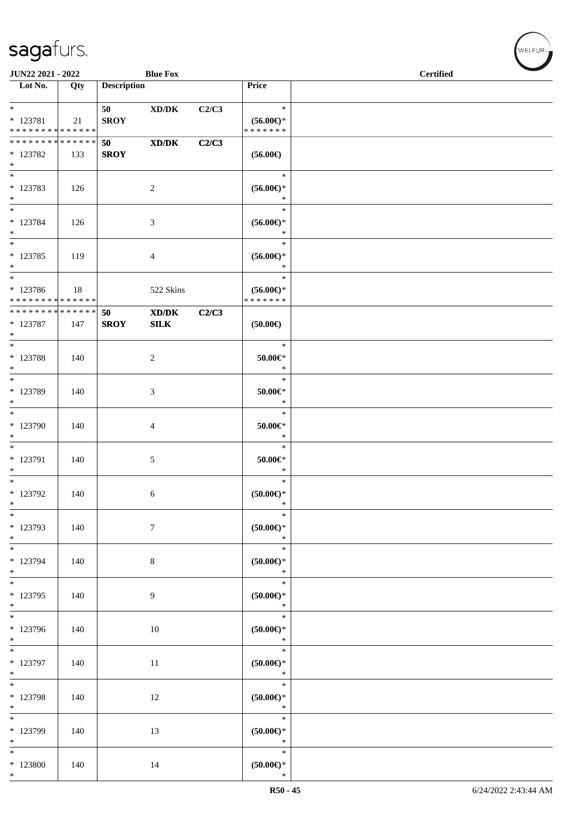| JUN22 2021 - 2022                          |     |                    | <b>Blue Fox</b>                                              |       |                                      | <b>Certified</b> |
|--------------------------------------------|-----|--------------------|--------------------------------------------------------------|-------|--------------------------------------|------------------|
| Lot No.                                    | Qty | <b>Description</b> |                                                              |       | Price                                |                  |
|                                            |     |                    |                                                              |       |                                      |                  |
| $*$                                        |     | 50                 | $\boldsymbol{\text{XD}}\boldsymbol{/}\boldsymbol{\text{DK}}$ | C2/C3 | $\ast$                               |                  |
| * 123781<br>* * * * * * * * * * * * * *    | 21  | <b>SROY</b>        |                                                              |       | $(56.00\epsilon)$ *<br>* * * * * * * |                  |
| * * * * * * * * * * * * * * *              |     | 50                 | $\mathbf{X}\mathbf{D}/\mathbf{D}\mathbf{K}$                  | C2/C3 |                                      |                  |
| * 123782                                   | 133 | <b>SROY</b>        |                                                              |       | $(56.00\epsilon)$                    |                  |
| $*$                                        |     |                    |                                                              |       |                                      |                  |
| $*$                                        |     |                    |                                                              |       | $\ast$                               |                  |
| * 123783                                   | 126 |                    | $\sqrt{2}$                                                   |       | $(56.00\epsilon)$ *                  |                  |
| $\ast$                                     |     |                    |                                                              |       | $\ast$                               |                  |
| $*$                                        |     |                    |                                                              |       | $\ast$                               |                  |
| * 123784                                   | 126 |                    | $\mathfrak{Z}$                                               |       | $(56.00\epsilon)$ *                  |                  |
| $*$                                        |     |                    |                                                              |       | $\ast$                               |                  |
| $\ast$                                     |     |                    |                                                              |       | $\ast$                               |                  |
| $*123785$<br>$*$                           | 119 |                    | $\overline{4}$                                               |       | $(56.00\epsilon)$ *<br>$\ast$        |                  |
| $*$                                        |     |                    |                                                              |       | $\ast$                               |                  |
| * 123786                                   | 18  |                    | 522 Skins                                                    |       | $(56.00ε)$ *                         |                  |
| * * * * * * * * <mark>* * * * * * *</mark> |     |                    |                                                              |       | * * * * * * *                        |                  |
| ******** <mark>******</mark>               |     | 50                 | XD/DK                                                        | C2/C3 |                                      |                  |
| * 123787                                   | 147 | <b>SROY</b>        | <b>SILK</b>                                                  |       | $(50.00\epsilon)$                    |                  |
| $*$                                        |     |                    |                                                              |       |                                      |                  |
|                                            |     |                    |                                                              |       | $\ast$                               |                  |
| * 123788                                   | 140 |                    | 2                                                            |       | $50.00 \in$ *                        |                  |
| $*$<br>$*$                                 |     |                    |                                                              |       | $\ast$<br>$\ast$                     |                  |
| * 123789                                   | 140 |                    | 3                                                            |       | $50.00 \in$ *                        |                  |
| $*$                                        |     |                    |                                                              |       | $\ast$                               |                  |
| $*$                                        |     |                    |                                                              |       | $\ast$                               |                  |
| * 123790                                   | 140 |                    | $\overline{4}$                                               |       | $50.00 \in$ *                        |                  |
| $\ast$                                     |     |                    |                                                              |       | $\ast$                               |                  |
| $*$                                        |     |                    |                                                              |       | $\ast$                               |                  |
| * 123791                                   | 140 |                    | 5                                                            |       | $50.00 \in$ *                        |                  |
| $*$                                        |     |                    |                                                              |       | $\ast$                               |                  |
| $*$                                        |     |                    |                                                              |       | $\ast$                               |                  |
| * 123792                                   | 140 |                    | 6                                                            |       | $(50.00\varepsilon)$ *               |                  |
| $*$<br>$\ast$                              |     |                    |                                                              |       | $\ast$<br>$\ast$                     |                  |
| * 123793                                   | 140 |                    | $\boldsymbol{7}$                                             |       | $(50.00ε)$ *                         |                  |
| $\ast$                                     |     |                    |                                                              |       | $\ast$                               |                  |
|                                            |     |                    |                                                              |       | $\ast$                               |                  |
| * 123794                                   | 140 |                    | $\,8\,$                                                      |       | (50.00)                              |                  |
| $*$                                        |     |                    |                                                              |       | $\ast$                               |                  |
| $*$                                        |     |                    |                                                              |       | $\ast$                               |                  |
| * 123795                                   | 140 |                    | 9                                                            |       | $(50.00 \in )^*$                     |                  |
| $*$<br>$\overline{\phantom{0}}$            |     |                    |                                                              |       | $\ast$                               |                  |
|                                            |     |                    |                                                              |       | $\ast$                               |                  |
| * 123796<br>$*$                            | 140 |                    | 10                                                           |       | $(50.00 \in )^*$<br>$\ast$           |                  |
|                                            |     |                    |                                                              |       | $\ast$                               |                  |
| * 123797                                   | 140 |                    | 11                                                           |       | $(50.00ε)$ *                         |                  |
| $*$                                        |     |                    |                                                              |       | $\ast$                               |                  |
|                                            |     |                    |                                                              |       | $\ast$                               |                  |
| * 123798                                   | 140 |                    | 12                                                           |       | $(50.00\varepsilon)$ *               |                  |
| $*$                                        |     |                    |                                                              |       | $\ast$                               |                  |
| $*$                                        |     |                    |                                                              |       | $\ast$                               |                  |
| * 123799<br>$*$                            | 140 |                    | 13                                                           |       | (50.00)<br>$\ast$                    |                  |
| $*$                                        |     |                    |                                                              |       | $\ast$                               |                  |
| $*123800$                                  | 140 |                    | 14                                                           |       | $(50.00 \in )^*$                     |                  |
| $*$                                        |     |                    |                                                              |       | $\ast$                               |                  |

、<br>WELFUR<sub>™</sub>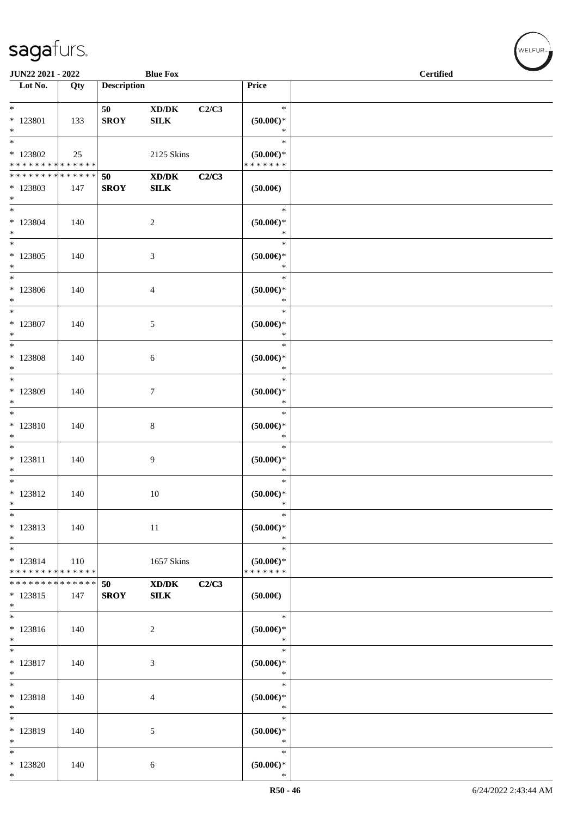| JUN22 2021 - 2022                                               |     |                    | <b>Blue Fox</b>                                     |       | <b>Certified</b>                               |  |  |  |
|-----------------------------------------------------------------|-----|--------------------|-----------------------------------------------------|-------|------------------------------------------------|--|--|--|
| Lot No.                                                         | Qty | <b>Description</b> |                                                     |       | Price                                          |  |  |  |
| $*$<br>$* 123801$<br>$*$                                        | 133 | 50<br><b>SROY</b>  | $\bold{X}\bold{D}/\bold{D}\bold{K}$<br>${\bf SILK}$ | C2/C3 | $\ast$<br>$(50.00\epsilon)$ *<br>$\ast$        |  |  |  |
| $\overline{\ast}$<br>$*123802$<br>* * * * * * * * * * * * * * * | 25  |                    | 2125 Skins                                          |       | $\ast$<br>$(50.00ε)$ *<br>* * * * * * *        |  |  |  |
| * * * * * * * * * * * * * * *<br>* 123803<br>$*$                | 147 | 50<br><b>SROY</b>  | XD/DK<br>${\bf SILK}$                               | C2/C3 | $(50.00\in)$                                   |  |  |  |
| $*$<br>$*123804$<br>$*$                                         | 140 |                    | $\sqrt{2}$                                          |       | $\ast$<br>$(50.00\in)^\ast$<br>$\ast$          |  |  |  |
| $*$<br>$*123805$<br>$\ast$                                      | 140 |                    | 3                                                   |       | $\ast$<br>$(50.00\in)^\ast$<br>$\ast$          |  |  |  |
| $\ast$<br>* 123806<br>$\ast$                                    | 140 |                    | $\overline{4}$                                      |       | $\ast$<br>$(50.00\epsilon)$ *<br>$\ast$        |  |  |  |
| $\ast$<br>* 123807<br>$*$                                       | 140 |                    | 5                                                   |       | $\ast$<br>$(50.00ε)$ *<br>$\ast$               |  |  |  |
| * 123808<br>$*$                                                 | 140 |                    | 6                                                   |       | $\ast$<br>$(50.00ε)$ *<br>$\ast$               |  |  |  |
| * 123809<br>$*$                                                 | 140 |                    | $\tau$                                              |       | $\ast$<br>$(50.00ε)$ *<br>$\ast$               |  |  |  |
| $*$<br>* 123810<br>$\ast$                                       | 140 |                    | $\,8\,$                                             |       | $\ast$<br>$(50.00ε)$ *<br>$\ast$               |  |  |  |
| $*$<br>$* 123811$<br>$*$                                        | 140 |                    | 9                                                   |       | $\ast$<br>$(50.00 \in )^*$<br>$\ast$           |  |  |  |
| $*$<br>$* 123812$<br>$\ast$                                     | 140 |                    | 10                                                  |       | $\ast$<br>$(50.00\epsilon)$ *<br>$\ast$        |  |  |  |
| $\ast$<br>* 123813<br>$*$                                       | 140 |                    | 11                                                  |       | $\ast$<br>$(50.00\epsilon)$ *<br>$\ast$        |  |  |  |
| $*$<br>$* 123814$<br>* * * * * * * * * * * * * *                | 110 |                    | 1657 Skins                                          |       | $\ast$<br>$(50.00\epsilon)$ *<br>* * * * * * * |  |  |  |
| * * * * * * * * * * * * * * *<br>* 123815<br>$*$                | 147 | 50<br><b>SROY</b>  | $\mathbf{X}\mathbf{D}/\mathbf{D}\mathbf{K}$<br>SLK  | C2/C3 | $(50.00\epsilon)$                              |  |  |  |
| * 123816<br>$*$                                                 | 140 |                    | $\overline{c}$                                      |       | $\ast$<br>$(50.00\in)^\ast$<br>$\ast$          |  |  |  |
| $*$<br>$* 123817$<br>$*$                                        | 140 |                    | 3                                                   |       | $\ast$<br>$(50.00ε)$ *<br>$\ast$               |  |  |  |
| $*$<br>* 123818<br>$*$                                          | 140 |                    | 4                                                   |       | $\ast$<br>$(50.00ε)$ *<br>$\ast$               |  |  |  |
| $\ast$<br>* 123819<br>$*$                                       | 140 |                    | 5                                                   |       | $\ast$<br>$(50.00ε)$ *<br>$\ast$               |  |  |  |
| $\ast$<br>$*123820$<br>$\ast$                                   | 140 |                    | 6                                                   |       | $\ast$<br>$(50.00ε)$ *<br>$\ast$               |  |  |  |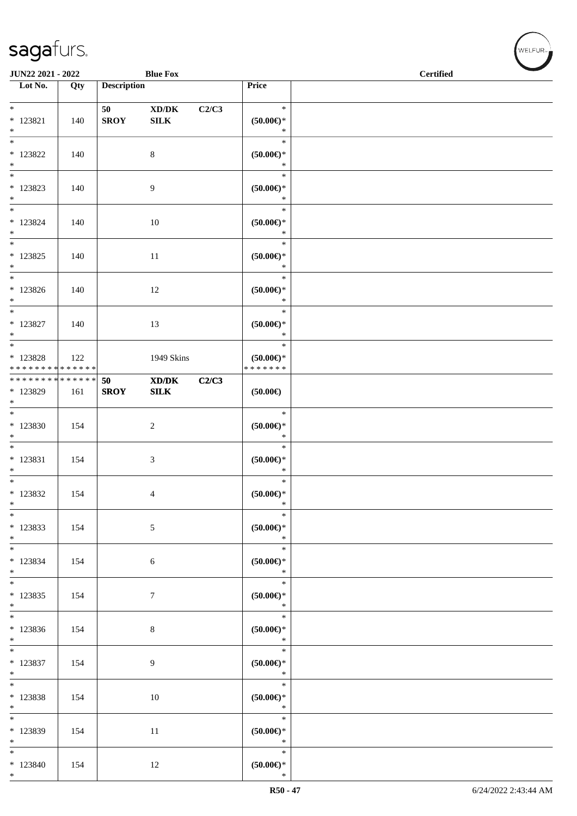| JUN22 2021 - 2022                                             |     |                    | <b>Blue Fox</b>                                    |       |                                         | $\sim$<br><b>Certified</b> |
|---------------------------------------------------------------|-----|--------------------|----------------------------------------------------|-------|-----------------------------------------|----------------------------|
| $\overline{\phantom{1}}$ Lot No.                              | Qty | <b>Description</b> |                                                    |       | Price                                   |                            |
| $\ast$<br>$* 123821$<br>$*$                                   | 140 | 50<br><b>SROY</b>  | $\boldsymbol{\text{XD}/\text{DK}}$<br>${\bf SILK}$ | C2/C3 | $\ast$<br>$(50.00\epsilon)$ *<br>$\ast$ |                            |
| $*$<br>$*$ 123822<br>$*$                                      | 140 |                    | $8\,$                                              |       | $\ast$<br>$(50.00\epsilon)$ *<br>$\ast$ |                            |
| $\overline{\phantom{0}}$<br>$* 123823$<br>$*$                 | 140 |                    | 9                                                  |       | $\ast$<br>$(50.00\epsilon)$ *<br>$\ast$ |                            |
| $*$<br>$*$ 123824<br>$\ast$                                   | 140 |                    | $10\,$                                             |       | $\ast$<br>$(50.00\epsilon)$ *<br>$\ast$ |                            |
| $*$<br>$* 123825$<br>$*$                                      | 140 |                    | 11                                                 |       | $\ast$<br>$(50.00\epsilon)$ *<br>$\ast$ |                            |
| $\ast$<br>$*123826$<br>$\ast$                                 | 140 |                    | 12                                                 |       | $\ast$<br>$(50.00ε)$ *<br>$\ast$        |                            |
| $*$<br>* 123827<br>$*$                                        | 140 |                    | 13                                                 |       | $\ast$<br>$(50.00\epsilon)$ *<br>$\ast$ |                            |
| * 123828<br>* * * * * * * * * * * * * *                       | 122 |                    | 1949 Skins                                         |       | $\ast$<br>$(50.00ε)$ *<br>* * * * * * * |                            |
| * * * * * * * * <mark>* * * * * * *</mark><br>* 123829<br>$*$ | 161 | 50<br><b>SROY</b>  | XD/DK<br>SLK                                       | C2/C3 | $(50.00\epsilon)$                       |                            |
| $*$<br>* 123830<br>$*$                                        | 154 |                    | $\sqrt{2}$                                         |       | $\ast$<br>(50.00)<br>$\ast$             |                            |
| $*$<br>* 123831<br>$*$                                        | 154 |                    | 3                                                  |       | $\ast$<br>$(50.00ε)$ *<br>$\ast$        |                            |
| $*$<br>* 123832<br>$\ast$                                     | 154 |                    | 4                                                  |       | $\ast$<br>$(50.00 \in )^*$<br>$\ast$    |                            |
| $\ast$<br>* 123833<br>$\ast$                                  | 154 |                    | $\sqrt{5}$                                         |       | $\ast$<br>$(50.00 \in )^*$<br>$\ast$    |                            |
| * 123834<br>$*$                                               | 154 |                    | $\sqrt{6}$                                         |       | $\ast$<br>$(50.00 \in )^*$<br>$\ast$    |                            |
| $*$<br>$* 123835$<br>$*$                                      | 154 |                    | $\boldsymbol{7}$                                   |       | $\ast$<br>$(50.00\in)^\ast$<br>$\ast$   |                            |
| $\overline{\phantom{0}}$<br>* 123836<br>$*$                   | 154 |                    | $\,8\,$                                            |       | $\ast$<br>$(50.00 \in )^*$<br>$\ast$    |                            |
| $*$<br>$*123837$<br>$*$                                       | 154 |                    | 9                                                  |       | $\ast$<br>(50.00)<br>$\ast$             |                            |
| $*$<br>* 123838<br>$*$                                        | 154 |                    | 10                                                 |       | $\ast$<br>$(50.00ε)$ *<br>$\ast$        |                            |
| $*$<br>* 123839<br>$*$                                        | 154 |                    | 11                                                 |       | $\ast$<br>$(50.00ε)$ *<br>$\ast$        |                            |
| $*$<br>* 123840<br>$*$                                        | 154 |                    | 12                                                 |       | $\ast$<br>$(50.00ε)$ *<br>$\ast$        |                            |

WELFUR<sub><sup>12</sup></sub>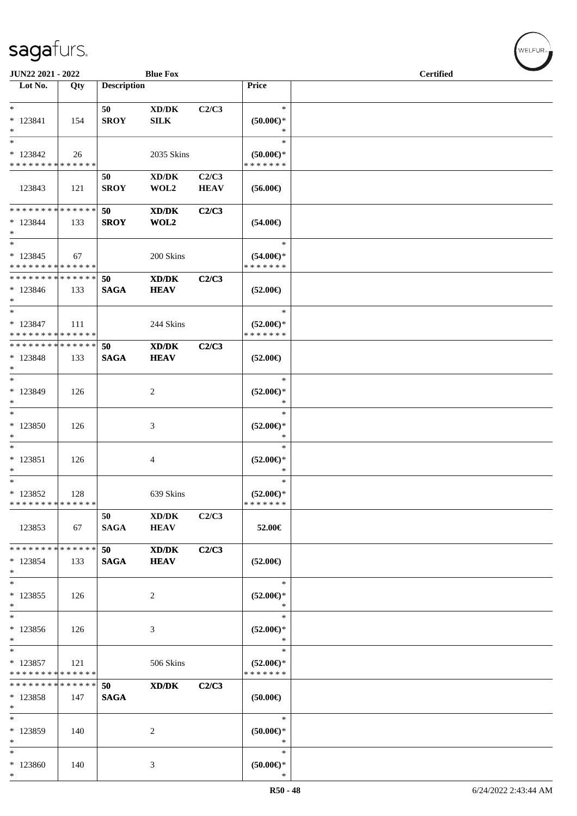| JUN22 2021 - 2022             |     |                    | <b>Blue Fox</b>                                                                                      |             |                                   | <b>Certified</b> |
|-------------------------------|-----|--------------------|------------------------------------------------------------------------------------------------------|-------------|-----------------------------------|------------------|
| Lot No.                       | Qty | <b>Description</b> |                                                                                                      |             | Price                             |                  |
|                               |     |                    |                                                                                                      |             |                                   |                  |
| $\ast$                        |     | 50                 | $\bold{X}\bold{D}/\bold{D}\bold{K}$                                                                  | C2/C3       | $\ast$                            |                  |
| $* 123841$                    | 154 | <b>SROY</b>        | SILK                                                                                                 |             | $(50.00ε)$ *                      |                  |
| $*$                           |     |                    |                                                                                                      |             | $\ast$                            |                  |
| $\ast$                        |     |                    |                                                                                                      |             | $\ast$                            |                  |
| * 123842                      | 26  |                    | 2035 Skins                                                                                           |             | $(50.00 \in )$ *<br>* * * * * * * |                  |
| * * * * * * * * * * * * * *   |     |                    |                                                                                                      |             |                                   |                  |
|                               |     | 50                 | XD/DK                                                                                                | C2/C3       |                                   |                  |
| 123843                        | 121 | <b>SROY</b>        | WOL2                                                                                                 | <b>HEAV</b> | $(56.00\epsilon)$                 |                  |
| * * * * * * * * * * * * * * * |     | 50                 | XD/DK                                                                                                | C2/C3       |                                   |                  |
| $* 123844$                    | 133 | <b>SROY</b>        | WOL2                                                                                                 |             | $(54.00\epsilon)$                 |                  |
| $*$                           |     |                    |                                                                                                      |             |                                   |                  |
| $*$                           |     |                    |                                                                                                      |             | $\ast$                            |                  |
| $* 123845$                    | 67  |                    | 200 Skins                                                                                            |             | $(54.00\epsilon)$ *               |                  |
| * * * * * * * * * * * * * *   |     |                    |                                                                                                      |             | * * * * * * *                     |                  |
| * * * * * * * * * * * * * * * |     | 50                 | XD/DK                                                                                                | C2/C3       |                                   |                  |
| $*123846$                     | 133 | <b>SAGA</b>        | <b>HEAV</b>                                                                                          |             | $(52.00\epsilon)$                 |                  |
| $*$                           |     |                    |                                                                                                      |             |                                   |                  |
| $*$                           |     |                    |                                                                                                      |             | $\ast$                            |                  |
| $* 123847$                    | 111 |                    | 244 Skins                                                                                            |             | $(52.00\epsilon)$ *               |                  |
| * * * * * * * * * * * * * *   |     |                    |                                                                                                      |             | * * * * * * *                     |                  |
| * * * * * * * * * * * * * * * |     | 50                 | XD/DK                                                                                                | C2/C3       |                                   |                  |
| * 123848                      | 133 | <b>SAGA</b>        | <b>HEAV</b>                                                                                          |             | $(52.00\epsilon)$                 |                  |
| $*$                           |     |                    |                                                                                                      |             |                                   |                  |
| $*$                           |     |                    |                                                                                                      |             | $\ast$                            |                  |
| * 123849                      | 126 |                    | 2                                                                                                    |             | $(52.00\epsilon)$ *               |                  |
| $\ast$                        |     |                    |                                                                                                      |             | $\ast$                            |                  |
| $\ast$                        |     |                    |                                                                                                      |             | $\ast$                            |                  |
| $*123850$                     | 126 |                    | 3                                                                                                    |             | $(52.00\epsilon)$ *               |                  |
| $\ast$                        |     |                    |                                                                                                      |             | $\ast$                            |                  |
| $*$                           |     |                    |                                                                                                      |             | $\ast$                            |                  |
| $* 123851$                    | 126 |                    | $\overline{4}$                                                                                       |             | $(52.00\epsilon)$ *<br>$\ast$     |                  |
| $*$<br>$*$                    |     |                    |                                                                                                      |             | $\ast$                            |                  |
| * 123852                      | 128 |                    | 639 Skins                                                                                            |             | $(52.00\epsilon)$ *               |                  |
| * * * * * * * * * * * * * * * |     |                    |                                                                                                      |             | * * * * * * *                     |                  |
|                               |     | 50                 | $\bold{X}\bold{D}/\bold{D}\bold{K}$                                                                  | C2/C3       |                                   |                  |
| 123853                        | 67  | <b>SAGA</b>        | <b>HEAV</b>                                                                                          |             | 52.00€                            |                  |
|                               |     |                    |                                                                                                      |             |                                   |                  |
| * * * * * * * * * * * * * *   |     | 50                 | $\boldsymbol{\text{X}}\boldsymbol{\text{D}}\boldsymbol{/}\boldsymbol{\text{D}}\boldsymbol{\text{K}}$ | C2/C3       |                                   |                  |
| * 123854                      | 133 | <b>SAGA</b>        | <b>HEAV</b>                                                                                          |             | $(52.00\epsilon)$                 |                  |
| $*$                           |     |                    |                                                                                                      |             |                                   |                  |
| $*$                           |     |                    |                                                                                                      |             | $\ast$                            |                  |
| $* 123855$                    | 126 |                    | 2                                                                                                    |             | $(52.00\epsilon)$ *               |                  |
| $\ast$                        |     |                    |                                                                                                      |             | $\ast$                            |                  |
| $\ast$                        |     |                    |                                                                                                      |             | $\ast$                            |                  |
| * 123856                      | 126 |                    | 3                                                                                                    |             | $(52.00\epsilon)$ *               |                  |
| $\ast$                        |     |                    |                                                                                                      |             | $\ast$                            |                  |
| $\ast$                        |     |                    |                                                                                                      |             | $\ast$                            |                  |
| $* 123857$                    | 121 |                    | 506 Skins                                                                                            |             | $(52.00\epsilon)$ *               |                  |
| * * * * * * * * * * * * * *   |     |                    |                                                                                                      |             | * * * * * * *                     |                  |
| * * * * * * * * * * * * * *   |     | 50                 | XD/DK                                                                                                | C2/C3       |                                   |                  |
| * 123858                      | 147 | <b>SAGA</b>        |                                                                                                      |             | $(50.00\epsilon)$                 |                  |
| $\ast$<br>$*$                 |     |                    |                                                                                                      |             | $\ast$                            |                  |
|                               |     |                    |                                                                                                      |             |                                   |                  |
| * 123859<br>$\ast$            | 140 |                    | 2                                                                                                    |             | $(50.00 \in )^*$<br>∗             |                  |
| $\ast$                        |     |                    |                                                                                                      |             | $\ast$                            |                  |
| * 123860                      | 140 |                    | 3                                                                                                    |             | $(50.00 \in )^*$                  |                  |
| $*$                           |     |                    |                                                                                                      |             | $\ast$                            |                  |
|                               |     |                    |                                                                                                      |             |                                   |                  |

WELFUR<sub><sup>N</sup></sub>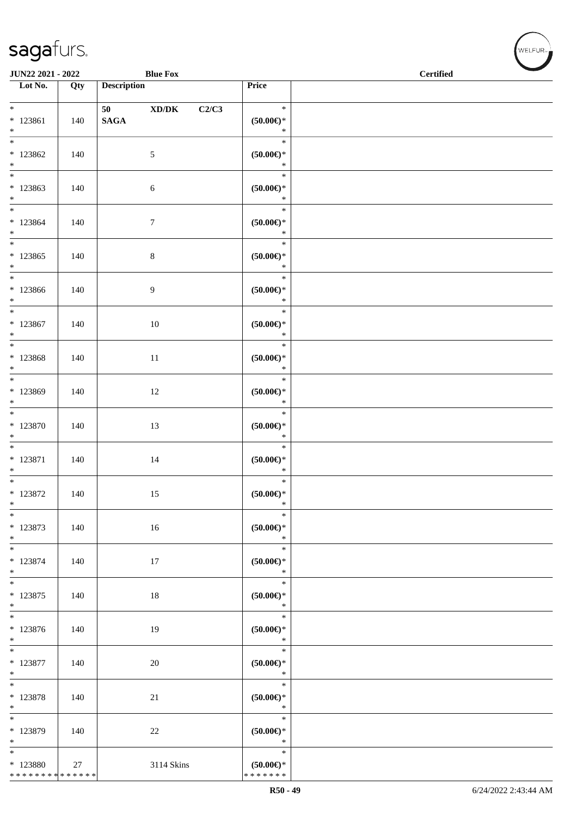| JUN22 2021 - 2022                                             |     |                    | <b>Blue Fox</b> |       |                                            | <b>Contract Contract Contract Contract Contract Contract Contract Contract Contract Contract Contract Contract Contract Contract Contract Contract Contract Contract Contract Contract Contract Contract Contract Contract Contr</b><br><b>Certified</b> |
|---------------------------------------------------------------|-----|--------------------|-----------------|-------|--------------------------------------------|----------------------------------------------------------------------------------------------------------------------------------------------------------------------------------------------------------------------------------------------------------|
| $\overline{\phantom{1}}$ Lot No.                              | Qty | <b>Description</b> |                 |       | Price                                      |                                                                                                                                                                                                                                                          |
| $*$<br>$* 123861$<br>$*$                                      | 140 | $\mathbf{SAGA}$    | XD/DK           | C2/C3 | $\ast$<br>$(50.00ε)$ *<br>$\ast$           |                                                                                                                                                                                                                                                          |
| $\overline{\phantom{0}}$<br>$*123862$<br>$*$                  | 140 |                    | $\mathfrak{S}$  |       | $\ast$<br>$(50.00ε)$ *<br>$\ast$           |                                                                                                                                                                                                                                                          |
| $*$<br>$*123863$<br>$*$                                       | 140 |                    | 6               |       | $\ast$<br>$(50.00ε)$ *<br>$\ast$           |                                                                                                                                                                                                                                                          |
| $*$<br>$* 123864$<br>$*$                                      | 140 |                    | $\tau$          |       | $\ast$<br>$(50.00ε)$ *<br>$\ast$           |                                                                                                                                                                                                                                                          |
| $*$<br>$*123865$<br>$*$                                       | 140 |                    | $\,8\,$         |       | $\ast$<br>$(50.00ε)$ *<br>$\ast$           |                                                                                                                                                                                                                                                          |
| $*$<br>$*123866$<br>$*$                                       | 140 |                    | 9               |       | $\ast$<br>$(50.00ε)$ *<br>$\ast$           |                                                                                                                                                                                                                                                          |
| * 123867<br>$*$                                               | 140 |                    | $10\,$          |       | $\ast$<br>$(50.00ε)$ *<br>$\ast$           |                                                                                                                                                                                                                                                          |
| $* 123868$<br>$*$                                             | 140 |                    | $11\,$          |       | $\ast$<br>$(50.00ε)$ *<br>$\ast$           |                                                                                                                                                                                                                                                          |
| $\overline{\ast}$<br>* 123869<br>$*$                          | 140 |                    | 12              |       | $\ast$<br>$(50.00ε)$ *<br>$\ast$           |                                                                                                                                                                                                                                                          |
| $*$<br>$*123870$<br>$*$                                       | 140 |                    | 13              |       | $\ast$<br>$(50.00 \in )^*$<br>$\ast$       |                                                                                                                                                                                                                                                          |
| $*$<br>$* 123871$<br>$*$                                      | 140 |                    | 14              |       | $\ast$<br>$(50.00ε)$ *<br>$\ast$           |                                                                                                                                                                                                                                                          |
| $*$<br>$*$ 123872<br>$*$                                      | 140 |                    | 15              |       | $\ast$<br>$(50.00\varepsilon)$ *<br>$\ast$ |                                                                                                                                                                                                                                                          |
| $\ast$<br>* 123873<br>$*$                                     | 140 |                    | 16              |       | $\ast$<br>$(50.00ε)$ *<br>$\ast$           |                                                                                                                                                                                                                                                          |
| * 123874<br>$*$                                               | 140 |                    | 17              |       | $\ast$<br>$(50.00ε)$ *<br>$\ast$           |                                                                                                                                                                                                                                                          |
| $*$<br>$*$ 123875<br>$*$                                      | 140 |                    | 18              |       | $\ast$<br>$(50.00)$ *<br>$\ast$            |                                                                                                                                                                                                                                                          |
| $\overline{\phantom{0}}$<br>$* 123876$<br>$*$                 | 140 |                    | 19              |       | $\ast$<br>$(50.00 \in )^*$<br>$\ast$       |                                                                                                                                                                                                                                                          |
| $\overline{\phantom{0}}$<br>$* 123877$<br>$*$                 | 140 |                    | 20              |       | $\ast$<br>$(50.00ε)$ *<br>$\ast$           |                                                                                                                                                                                                                                                          |
| $*$<br>* 123878<br>$*$                                        | 140 |                    | 21              |       | $\ast$<br>$(50.00ε)$ *<br>$\ast$           |                                                                                                                                                                                                                                                          |
| $*$<br>* 123879<br>$*$                                        | 140 |                    | 22              |       | $\ast$<br>$(50.00ε)$ *<br>$\ast$           |                                                                                                                                                                                                                                                          |
| $*$<br>* 123880<br>* * * * * * * * <mark>* * * * * * *</mark> | 27  |                    | 3114 Skins      |       | $\ast$<br>$(50.00ε)$ *<br>* * * * * * *    |                                                                                                                                                                                                                                                          |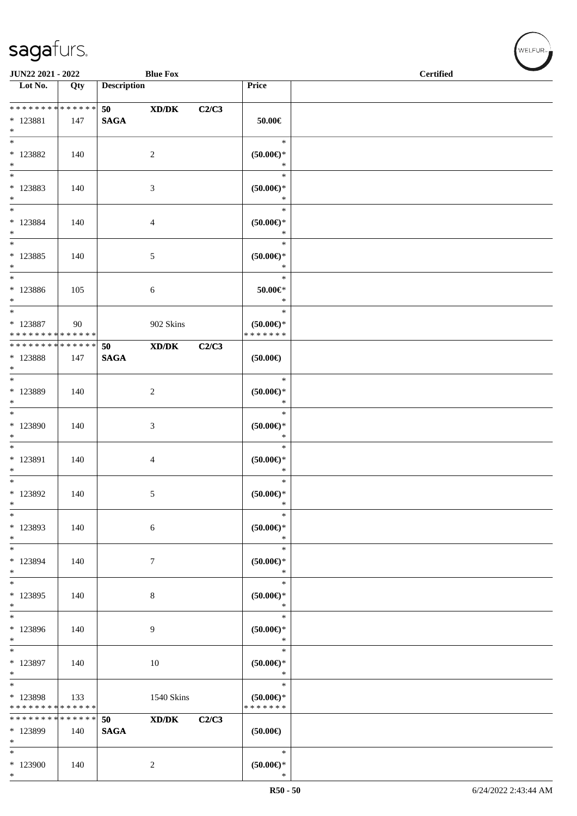| JUN22 2021 - 2022                                 |                    |                    | <b>Blue Fox</b>             |       |                                                   | <b>Certified</b> |  |
|---------------------------------------------------|--------------------|--------------------|-----------------------------|-------|---------------------------------------------------|------------------|--|
| Lot No.                                           | Qty                | <b>Description</b> |                             |       | Price                                             |                  |  |
| ******** <mark>******</mark><br>$*$ 123881<br>$*$ | 147                | 50<br><b>SAGA</b>  | XD/DK                       | C2/C3 | $50.00\in$                                        |                  |  |
| $*$<br>$* 123882$<br>$*$                          | 140                |                    | $\overline{c}$              |       | $\ast$<br>$(50.00ε)$ *<br>$\ast$                  |                  |  |
| $\overline{\phantom{0}}$<br>* 123883<br>$*$       | 140                |                    | 3                           |       | $\ast$<br>$(50.00ε)$ *<br>$\ast$                  |                  |  |
| $*$<br>$* 123884$<br>$*$                          | 140                |                    | 4                           |       | $\ast$<br>$(50.00ε)$ *<br>$\ast$                  |                  |  |
| $*$<br>$* 123885$<br>$*$                          | 140                |                    | 5                           |       | $\ast$<br>$(50.00ε)$ *<br>$\ast$                  |                  |  |
| $*$<br>$*123886$<br>$*$                           | 105                |                    | 6                           |       | $\ast$<br>$50.00 \in$<br>$\ast$                   |                  |  |
| $*$<br>* 123887<br>* * * * * * * * * * * * * *    | 90                 |                    | 902 Skins                   |       | $\ast$<br>$(50.00\varepsilon)$ *<br>* * * * * * * |                  |  |
| * * * * * * * * * * * * * * *<br>* 123888<br>$*$  | 147                | 50<br><b>SAGA</b>  | XD/DK                       | C2/C3 | $(50.00\epsilon)$                                 |                  |  |
| $\overline{\phantom{0}}$<br>* 123889<br>$*$       | 140                |                    | 2                           |       | $\ast$<br>$(50.00 \in )^*$<br>$\ast$              |                  |  |
| $\overline{\phantom{0}}$<br>$*123890$<br>$*$      | 140                |                    | 3                           |       | $\ast$<br>$(50.00\epsilon)$ *<br>$\ast$           |                  |  |
| $*$<br>* 123891<br>$*$                            | 140                |                    | 4                           |       | $\ast$<br>$(50.00ε)$ *<br>$\ast$                  |                  |  |
| $*$<br>* 123892<br>$\ast$                         | 140                |                    | 5                           |       | $\ast$<br>$(50.00\epsilon)$ *<br>$\ast$           |                  |  |
| $\ast$<br>* 123893<br>$*$                         | 140                |                    | 6                           |       | $\ast$<br>$(50.00ε)$ *<br>$\ast$                  |                  |  |
| $*$<br>* 123894<br>$\ast$<br>$\overline{\ast}$    | 140                |                    | 7                           |       | $\ast$<br>$(50.00 \in )^*$<br>$\ast$              |                  |  |
| * 123895<br>$*$<br>$\overline{\phantom{1}}$       | 140                |                    | 8                           |       | $\ast$<br>$(50.00 \in )^*$<br>$\ast$              |                  |  |
| * 123896<br>$*$                                   | 140                |                    | 9                           |       | $\ast$<br>$(50.00 \in )^*$<br>$\ast$              |                  |  |
| $\ast$<br>* 123897<br>$*$                         | 140                |                    | 10                          |       | $\ast$<br>(50.00)<br>$\ast$                       |                  |  |
| $*$<br>$* 123898$<br>* * * * * * * * * * * * * *  | 133                |                    | 1540 Skins                  |       | $\ast$<br>(50.00)<br>* * * * * * *                |                  |  |
| * * * * * * * *<br>* 123899<br>$*$                | * * * * * *<br>140 | 50<br><b>SAGA</b>  | $\boldsymbol{\text{XD/DK}}$ | C2/C3 | $(50.00\epsilon)$                                 |                  |  |
| $*$<br>* 123900<br>$*$                            | 140                |                    | $\overline{c}$              |       | $\ast$<br>$(50.00\in)^\ast$<br>$\ast$             |                  |  |

 $(w$ ELFUR<sub><sup>n</sub></sub></sub></sup>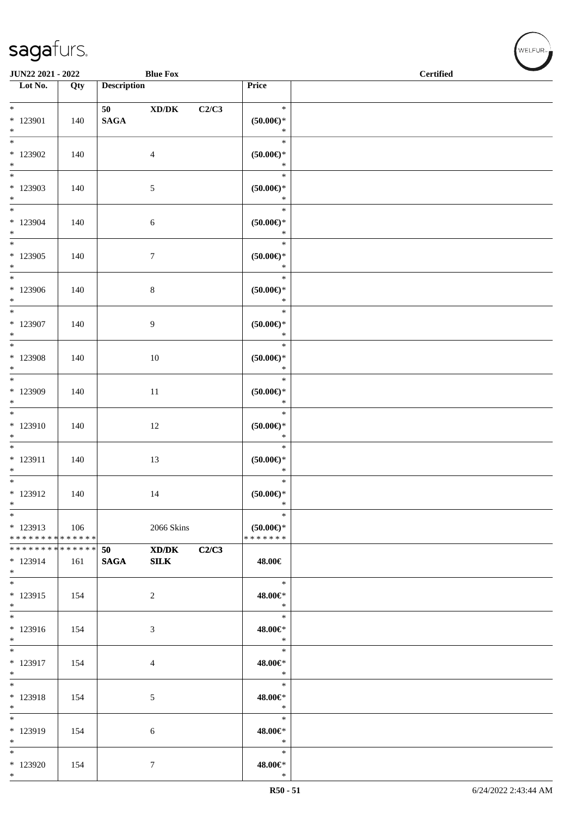| <b>JUN22 2021 - 2022</b>                         |     |                                     | <b>Blue Fox</b>                        |       |                                         | <b>Certified</b> |  |  |  |
|--------------------------------------------------|-----|-------------------------------------|----------------------------------------|-------|-----------------------------------------|------------------|--|--|--|
| Lot No.                                          | Qty | <b>Description</b>                  |                                        |       | Price                                   |                  |  |  |  |
| $*$<br>* 123901                                  | 140 | 50 70 70 70 71 71 72<br><b>SAGA</b> | $\boldsymbol{\mathrm{XD}/\mathrm{DK}}$ | C2/C3 | $\ast$<br>$(50.00ε)$ *                  |                  |  |  |  |
| $*$<br>$\overline{\ast}$                         |     |                                     |                                        |       | $\ast$<br>$\ast$                        |                  |  |  |  |
| * 123902<br>$*$<br>$\overline{\phantom{0}}$      | 140 |                                     | $\overline{4}$                         |       | $(50.00\epsilon)$ *<br>$\ast$<br>$\ast$ |                  |  |  |  |
| * 123903<br>$*$                                  | 140 |                                     | 5                                      |       | $(50.00ε)$ *<br>$\ast$                  |                  |  |  |  |
| $\overline{\ast}$<br>* 123904<br>$*$             | 140 |                                     | 6                                      |       | $\ast$<br>$(50.00ε)$ *<br>$\ast$        |                  |  |  |  |
| $\ast$<br>* 123905<br>$*$                        | 140 |                                     | $\tau$                                 |       | $\ast$<br>$(50.00ε)$ *<br>$\ast$        |                  |  |  |  |
| $*$<br>$*123906$<br>$*$                          | 140 |                                     | $\,8\,$                                |       | $\ast$<br>$(50.00ε)$ *<br>$\ast$        |                  |  |  |  |
| $*$<br>* 123907<br>$*$                           | 140 |                                     | 9                                      |       | $\ast$<br>$(50.00ε)$ *<br>$\ast$        |                  |  |  |  |
| * 123908<br>$*$                                  | 140 |                                     | 10                                     |       | $\ast$<br>$(50.00ε)$ *<br>$\ast$        |                  |  |  |  |
| * 123909<br>$*$                                  | 140 |                                     | 11                                     |       | $\ast$<br>$(50.00ε)$ *<br>$\ast$        |                  |  |  |  |
| * 123910<br>$*$                                  | 140 |                                     | 12                                     |       | $\ast$<br>$(50.00ε)$ *<br>$\ast$        |                  |  |  |  |
| $\overline{\ }$<br>$* 123911$<br>$*$             | 140 |                                     | 13                                     |       | $\ast$<br>(50.00)<br>$\ast$             |                  |  |  |  |
| $*$<br>* 123912<br>$\ast$                        | 140 |                                     | 14                                     |       | $\ast$<br>$(50.00 \in )^*$<br>$\ast$    |                  |  |  |  |
| $*$<br>$*123913$<br>* * * * * * * * * * * * * *  | 106 |                                     | 2066 Skins                             |       | $\ast$<br>$(50.00ε)$ *<br>* * * * * * * |                  |  |  |  |
| * * * * * * * * * * * * * * *<br>* 123914<br>$*$ | 161 | 50 — 10<br><b>SAGA</b>              | XD/DK<br>${\bf SILK}$                  | C2/C3 | 48.00€                                  |                  |  |  |  |
| $*$<br>* 123915<br>$*$                           | 154 |                                     | 2                                      |       | $*$<br>48.00€*<br>$\ast$                |                  |  |  |  |
| $*$<br>$* 123916$<br>$*$                         | 154 |                                     | 3                                      |       | $\ast$<br>48.00€*<br>$\ast$             |                  |  |  |  |
| $*$<br>$* 123917$<br>$*$                         | 154 |                                     | $\overline{4}$                         |       | $\ast$<br>48.00€*<br>$\ast$             |                  |  |  |  |
| $*$<br>* 123918<br>$*$                           | 154 |                                     | 5                                      |       | $\ast$<br>48.00€*<br>$\ast$             |                  |  |  |  |
| $*$<br>* 123919<br>$*$                           | 154 |                                     | 6                                      |       | $\ast$<br>48.00€*<br>$\ast$             |                  |  |  |  |
| $*$<br>* 123920<br>$*$                           | 154 |                                     | $\tau$                                 |       | $\ast$<br>48.00€*<br>$\ast$             |                  |  |  |  |

 $w$ elfur<sub>m</sub>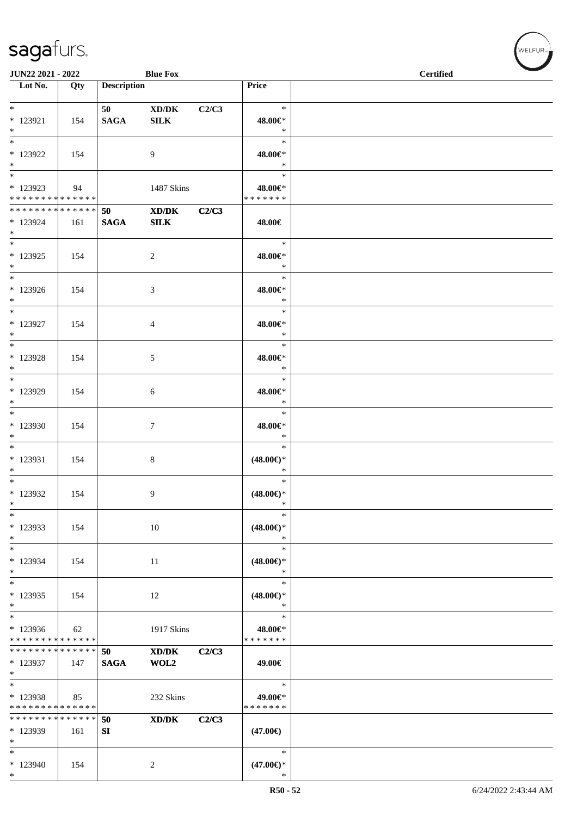| JUN22 2021 - 2022                                                   |                    |                        | <b>Blue Fox</b>                             |       |                                         | <b>Certified</b> |
|---------------------------------------------------------------------|--------------------|------------------------|---------------------------------------------|-------|-----------------------------------------|------------------|
| $\overline{\phantom{1}}$ Lot No.                                    | Qty                | <b>Description</b>     |                                             |       | Price                                   |                  |
| $*$<br>$* 123921$<br>$*$                                            | 154                | 50 — 10<br><b>SAGA</b> | XD/DK<br><b>SILK</b>                        | C2/C3 | $\ast$<br>48.00€*<br>$\ast$             |                  |
| $\overline{\phantom{0}}$<br>* 123922<br>$*$                         | 154                |                        | 9                                           |       | $\ast$<br>48.00€*<br>$\ast$             |                  |
| * 123923<br>* * * * * * * * * * * * * *                             | 94                 |                        | 1487 Skins                                  |       | $\ast$<br>48.00€*<br>* * * * * * *      |                  |
| * * * * * * * * * * * * * * *<br>* 123924<br>$*$                    | 161                | 50<br>$\mathbf{SAGA}$  | XD/DK<br><b>SILK</b>                        | C2/C3 | 48.00€                                  |                  |
| $*$<br>$*$ 123925<br>$*$                                            | 154                |                        | $\overline{c}$                              |       | $\ast$<br>48.00€*<br>$\ast$             |                  |
| $*$<br>$*123926$<br>$*$                                             | 154                |                        | 3                                           |       | $\ast$<br>48.00€*<br>$\ast$             |                  |
| $*$<br>* 123927<br>$*$                                              | 154                |                        | 4                                           |       | $\ast$<br>48.00€*<br>$\ast$             |                  |
| $*$<br>* 123928<br>$*$                                              | 154                |                        | 5                                           |       | $\ast$<br>48.00€*<br>$\ast$             |                  |
| $*$ 123929<br>$*$                                                   | 154                |                        | 6                                           |       | $\ast$<br>48.00€*<br>$\ast$             |                  |
| * 123930<br>$*$                                                     | 154                |                        | 7                                           |       | $\ast$<br>48.00€*<br>$\ast$             |                  |
| $*$<br>* 123931<br>$*$                                              | 154                |                        | 8                                           |       | $\ast$<br>$(48.00\epsilon)$ *<br>$\ast$ |                  |
| $*$<br>* 123932<br>$\ast$                                           | 154                |                        | 9                                           |       | $\ast$<br>$(48.00\epsilon)$ *<br>$\ast$ |                  |
| $\ast$<br>* 123933<br>$*$                                           | 154                |                        | $10\,$                                      |       | $\ast$<br>$(48.00\epsilon)$ *<br>$\ast$ |                  |
| $\ast$<br>* 123934<br>$\ast$                                        | 154                |                        | 11                                          |       | $\ast$<br>$(48.00\epsilon)$ *<br>$\ast$ |                  |
| $*$<br>* 123935<br>$\ast$                                           | 154                |                        | 12                                          |       | $\ast$<br>$(48.00\epsilon)$ *<br>$\ast$ |                  |
| $\overline{\phantom{0}}$<br>* 123936<br>* * * * * * * * * * * * * * | 62                 |                        | 1917 Skins                                  |       | $\ast$<br>48.00€*<br>* * * * * * *      |                  |
| * * * * * * * * * * * * * *<br>* 123937<br>$*$                      | 147                | 50<br><b>SAGA</b>      | $\bold{X}\bold{D}/\bold{D}\bold{K}$<br>WOL2 | C2/C3 | 49.00€                                  |                  |
| $*$<br>* 123938<br>* * * * * * * * * * * * * *                      | 85                 |                        | 232 Skins                                   |       | $\ast$<br>49.00€*<br>* * * * * * *      |                  |
| * * * * * * * *<br>* 123939<br>$*$                                  | * * * * * *<br>161 | 50<br>${\bf S}{\bf I}$ | $\mathbf{X}\mathbf{D}/\mathbf{D}\mathbf{K}$ | C2/C3 | $(47.00\epsilon)$                       |                  |
| $\ast$<br>* 123940<br>$\ast$                                        | 154                |                        | $\overline{c}$                              |       | $\ast$<br>$(47.00\epsilon)$ *<br>$\ast$ |                  |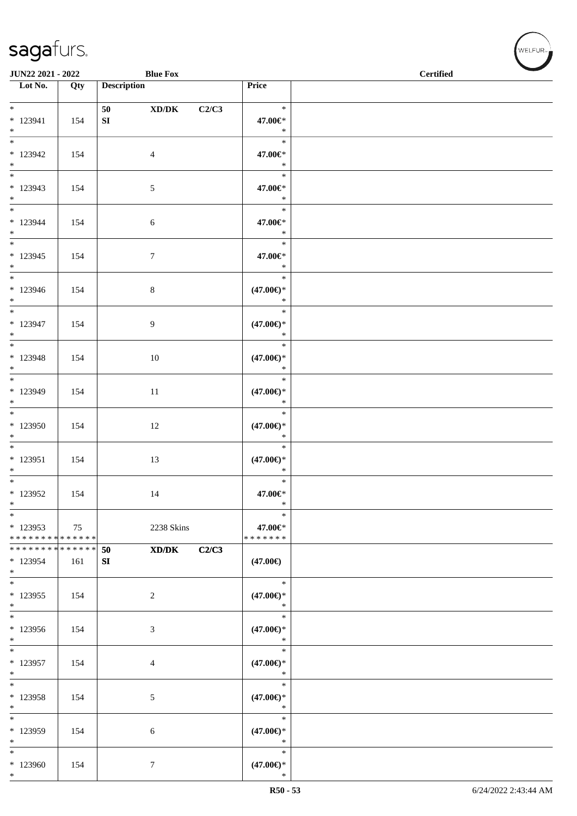| <b>JUN22 2021 - 2022</b>                          |     | <b>Blue Fox</b>           |                                         | <b>Certified</b> |  |
|---------------------------------------------------|-----|---------------------------|-----------------------------------------|------------------|--|
| $\overline{\phantom{1}}$ Lot No.                  | Qty | <b>Description</b>        | Price                                   |                  |  |
| $*$<br>$* 123941$<br>$*$                          | 154 | 50<br>XD/DK<br>${\bf SI}$ | $\ast$<br>C2/C3<br>47.00€*<br>$\ast$    |                  |  |
| * 123942<br>$*$                                   | 154 | $\overline{4}$            | $\ast$<br>47.00€*<br>$\ast$             |                  |  |
| $\overline{\ast}$<br>* 123943<br>$*$              | 154 | 5                         | $\ast$<br>47.00€*<br>$\ast$             |                  |  |
| $*$<br>* 123944<br>$*$                            | 154 | 6                         | $\ast$<br>47.00€*<br>$\ast$             |                  |  |
| $\overline{\ast}$<br>$*123945$<br>$*$             | 154 | $7\phantom{.0}$           | $\ast$<br>47.00€*<br>$\ast$             |                  |  |
| $*$<br>$*123946$<br>$*$                           | 154 | $8\,$                     | $\ast$<br>$(47.00\epsilon)$ *<br>$\ast$ |                  |  |
| $*$<br>* 123947<br>$*$                            | 154 | 9                         | $\ast$<br>$(47.00\epsilon)$ *<br>$\ast$ |                  |  |
| * 123948<br>$*$                                   | 154 | 10                        | $\ast$<br>$(47.00\epsilon)$ *<br>$\ast$ |                  |  |
| * 123949<br>$*$                                   | 154 | 11                        | $\ast$<br>$(47.00\epsilon)$ *<br>$\ast$ |                  |  |
| $*$<br>* 123950<br>$*$                            | 154 | 12                        | $\ast$<br>$(47.00\epsilon)$ *<br>$\ast$ |                  |  |
| $*$ 123951<br>$*$                                 | 154 | 13                        | $\ast$<br>$(47.00\epsilon)$ *<br>$\ast$ |                  |  |
| $*$<br>$*123952$<br>$\ast$                        | 154 | 14                        | $\ast$<br>47.00€*<br>$\ast$             |                  |  |
| $*$<br>$*123953$<br>* * * * * * * * * * * * * * * | 75  | 2238 Skins                | $\ast$<br>47.00€*<br>*******            |                  |  |
| ******** <mark>******</mark><br>* 123954<br>$*$   | 161 | XD/DK<br>50<br>SI         | C2/C3<br>$(47.00\epsilon)$              |                  |  |
| $*$<br>$*123955$<br>$\ast$                        | 154 | 2                         | $\ast$<br>$(47.00\epsilon)$ *<br>$\ast$ |                  |  |
| * 123956<br>$*$                                   | 154 | 3                         | $\ast$<br>$(47.00\epsilon)$ *<br>$\ast$ |                  |  |
| $*$<br>$*123957$<br>$*$                           | 154 | $\overline{4}$            | $\ast$<br>$(47.00\epsilon)$ *<br>$\ast$ |                  |  |
| $*$<br>* 123958<br>$*$                            | 154 | 5                         | $\ast$<br>$(47.00\epsilon)$ *<br>$\ast$ |                  |  |
| $*$<br>* 123959<br>$*$                            | 154 | $\sqrt{6}$                | $\ast$<br>$(47.00\epsilon)$ *<br>$\ast$ |                  |  |
| $*$<br>* 123960<br>$*$                            | 154 | $\tau$                    | $\ast$<br>$(47.00\epsilon)$ *<br>$\ast$ |                  |  |

 $w$ elfur<sub>m</sub>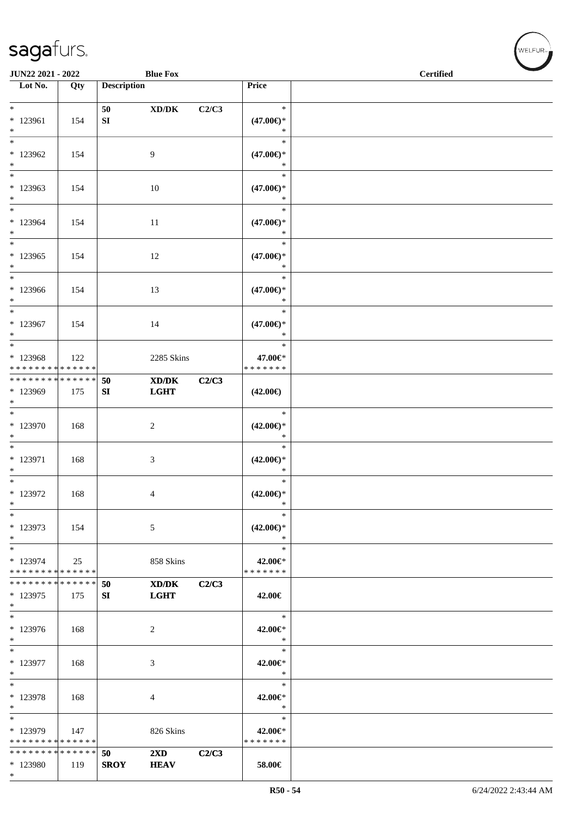| JUN22 2021 - 2022                                                               |     |                    | <b>Blue Fox</b>                                            |       | <b>Certified</b>                                  |  |
|---------------------------------------------------------------------------------|-----|--------------------|------------------------------------------------------------|-------|---------------------------------------------------|--|
| Lot No.                                                                         | Qty | <b>Description</b> |                                                            |       | Price                                             |  |
| $\ast$<br>* 123961                                                              | 154 | 50<br>${\bf SI}$   | $\boldsymbol{\mathrm{XD}/\mathrm{DK}}$                     | C2/C3 | $\ast$<br>$(47.00\epsilon)$ *                     |  |
| $*$<br>$\overline{\ast}$<br>$*123962$                                           | 154 |                    | 9                                                          |       | $\ast$<br>$\ast$<br>$(47.00\epsilon)$ *           |  |
| $*$<br>$\ast$<br>* 123963<br>$*$                                                | 154 |                    | 10                                                         |       | $\ast$<br>$\ast$<br>$(47.00\epsilon)$ *<br>$\ast$ |  |
| $*$<br>$*123964$<br>$*$                                                         | 154 |                    | 11                                                         |       | $\ast$<br>$(47.00\epsilon)$ *<br>$\ast$           |  |
| $\ast$<br>$*123965$<br>$*$                                                      | 154 |                    | 12                                                         |       | $\ast$<br>$(47.00\epsilon)$ *<br>$\ast$           |  |
| $*$<br>$*123966$<br>$*$                                                         | 154 |                    | 13                                                         |       | $\ast$<br>$(47.00\epsilon)$ *<br>$\ast$           |  |
| $\ast$<br>$*123967$<br>$*$                                                      | 154 |                    | 14                                                         |       | $\ast$<br>$(47.00\epsilon)$ *<br>$\ast$           |  |
| $\overline{\ }$<br>* 123968<br>* * * * * * * * * * * * * *                      | 122 |                    | 2285 Skins                                                 |       | $\ast$<br>47.00€*<br>* * * * * * *                |  |
| * * * * * * * * * * * * * * *<br>* 123969<br>$\ast$<br>$\overline{\phantom{0}}$ | 175 | 50<br>SI           | $\mathbf{X}\mathbf{D}/\mathbf{D}\mathbf{K}$<br><b>LGHT</b> | C2/C3 | $(42.00\epsilon)$<br>$\ast$                       |  |
| $*123970$<br>$\ast$<br>$*$                                                      | 168 |                    | $\overline{c}$                                             |       | $(42.00\epsilon)$ *<br>$\ast$<br>$\ast$           |  |
| * 123971<br>$*$<br>$*$                                                          | 168 |                    | 3                                                          |       | $(42.00\epsilon)$ *<br>$\ast$<br>$\ast$           |  |
| $*$ 123972<br>$\ast$<br>$\ast$                                                  | 168 |                    | 4                                                          |       | $(42.00\epsilon)$ *<br>$\ast$<br>$\ast$           |  |
| * 123973<br>$\ast$<br>$\ast$                                                    | 154 |                    | 5                                                          |       | $(42.00\epsilon)$ *<br>$\ast$<br>$\ast$           |  |
| * 123974<br>* * * * * * * * * * * * * *<br>* * * * * * * * * * * * * *          | 25  | 50                 | 858 Skins<br>XD/DK                                         | C2/C3 | 42.00€*<br>* * * * * * *                          |  |
| * 123975<br>$*$                                                                 | 175 | SI                 | <b>LGHT</b>                                                |       | 42.00€<br>$\ast$                                  |  |
| $* 123976$<br>$*$<br>$*$                                                        | 168 |                    | 2                                                          |       | 42.00€*<br>$\ast$<br>$\ast$                       |  |
| * 123977<br>$*$<br>$*$                                                          | 168 |                    | 3                                                          |       | 42.00€*<br>$\ast$<br>$\ast$                       |  |
| * 123978<br>$*$<br>$\ast$                                                       | 168 |                    | 4                                                          |       | 42.00€*<br>$\ast$<br>$\ast$                       |  |
| * 123979<br>* * * * * * * * * * * * * * *<br>* * * * * * * * * * * * * * *      | 147 | 50                 | 826 Skins<br>$2\mathbf{X}\mathbf{D}$                       | C2/C3 | 42.00€*<br>* * * * * * *                          |  |
| * 123980<br>$*$                                                                 | 119 | <b>SROY</b>        | <b>HEAV</b>                                                |       | 58.00€                                            |  |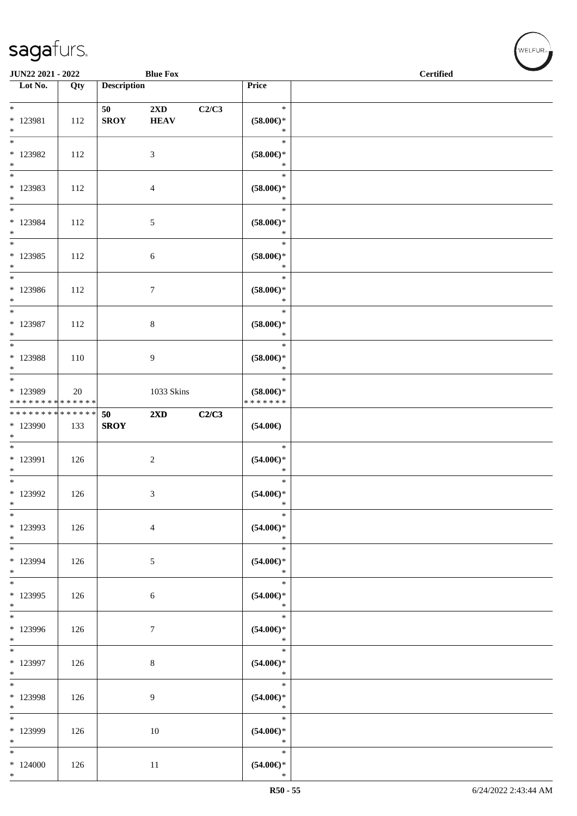| <b>JUN22 2021 - 2022</b>                                                                             |     |                    | <b>Blue Fox</b>                        |       |                                                    | <b>Certified</b> |
|------------------------------------------------------------------------------------------------------|-----|--------------------|----------------------------------------|-------|----------------------------------------------------|------------------|
| Lot No.                                                                                              | Qty | <b>Description</b> |                                        |       | Price                                              |                  |
| $*$<br>* 123981<br>$*$                                                                               | 112 | 50<br><b>SROY</b>  | $2\mathbf{X}\mathbf{D}$<br><b>HEAV</b> | C2/C3 | $\ast$<br>$(58.00\epsilon)$ *<br>$\ast$            |                  |
| * 123982<br>$*$                                                                                      | 112 |                    | 3                                      |       | $\ast$<br>$(58.00\epsilon)$ *<br>$\ast$            |                  |
| $\overline{\ast}$<br>* 123983<br>$*$                                                                 | 112 |                    | $\overline{4}$                         |       | $\ast$<br>$(58.00\epsilon)$ *<br>$\ast$            |                  |
| $*$<br>* 123984<br>$*$<br>$\overline{\ }$                                                            | 112 |                    | $\mathfrak{S}$                         |       | $\ast$<br>$(58.00\epsilon)$ *<br>$\ast$            |                  |
| * 123985<br>$*$                                                                                      | 112 |                    | $\sqrt{6}$                             |       | $\ast$<br>$(58.00\epsilon)$ *<br>$\ast$            |                  |
| * 123986<br>$*$                                                                                      | 112 |                    | $7\phantom{.0}$                        |       | $\ast$<br>$(58.00\epsilon)$ *<br>$\ast$            |                  |
| * 123987<br>$*$                                                                                      | 112 |                    | 8                                      |       | $\ast$<br>$(58.00\epsilon)$ *<br>$\ast$<br>$\ast$  |                  |
| * 123988<br>$*$<br>$\overline{\ast}$                                                                 | 110 |                    | 9                                      |       | $(58.00\epsilon)$ *<br>$\ast$<br>$\ast$            |                  |
| * 123989<br>* * * * * * * * <mark>* * * * * * *</mark><br>* * * * * * * * <mark>* * * * * * *</mark> | 20  |                    | 1033 Skins                             |       | $(58.00\epsilon)$ *<br>* * * * * * *               |                  |
| $*123990$<br>$*$                                                                                     | 133 | 50<br><b>SROY</b>  | $2\mathbf{X}\mathbf{D}$                | C2/C3 | $(54.00\epsilon)$<br>$\ast$                        |                  |
| * 123991<br>$*$                                                                                      | 126 |                    | $\overline{c}$                         |       | $(54.00ε)$ *<br>$\ast$<br>$\ast$                   |                  |
| * 123992<br>$\ast$<br>$\frac{1}{1}$                                                                  | 126 |                    | 3                                      |       | $(54.00ε)$ *<br>$\ast$<br>$\ast$                   |                  |
| * 123993<br>$*$                                                                                      | 126 |                    | $\overline{4}$                         |       | $(54.00\epsilon)$ *<br>$\ast$<br>$\ast$            |                  |
| * 123994<br>$*$<br>$*$                                                                               | 126 |                    | $\mathfrak{S}$                         |       | $(54.00\epsilon)$ *<br>$\ast$<br>$\ast$            |                  |
| * 123995<br>$*$                                                                                      | 126 |                    | $\sqrt{6}$                             |       | $(54.00\mathnormal{\infty})^*$<br>$\ast$<br>$\ast$ |                  |
| * 123996<br>$*$                                                                                      | 126 |                    | $\boldsymbol{7}$                       |       | $(54.00\mathnormal{\infty})^*$<br>$\ast$<br>$\ast$ |                  |
| * 123997<br>$*$                                                                                      | 126 |                    | $8\,$                                  |       | $(54.00ε)$ *<br>$\ast$<br>$\ast$                   |                  |
| * 123998<br>$*$                                                                                      | 126 |                    | 9                                      |       | $(54.00\epsilon)$ *<br>$\ast$                      |                  |
| $*$<br>* 123999<br>$*$                                                                               | 126 |                    | 10                                     |       | $\ast$<br>$(54.00\epsilon)$ *<br>$\ast$            |                  |
| $*$<br>$*124000$<br>$*$                                                                              | 126 |                    | 11                                     |       | $\ast$<br>$(54.00\epsilon)$ *<br>$\ast$            |                  |

、<br>WELFUR<sub>™</sub>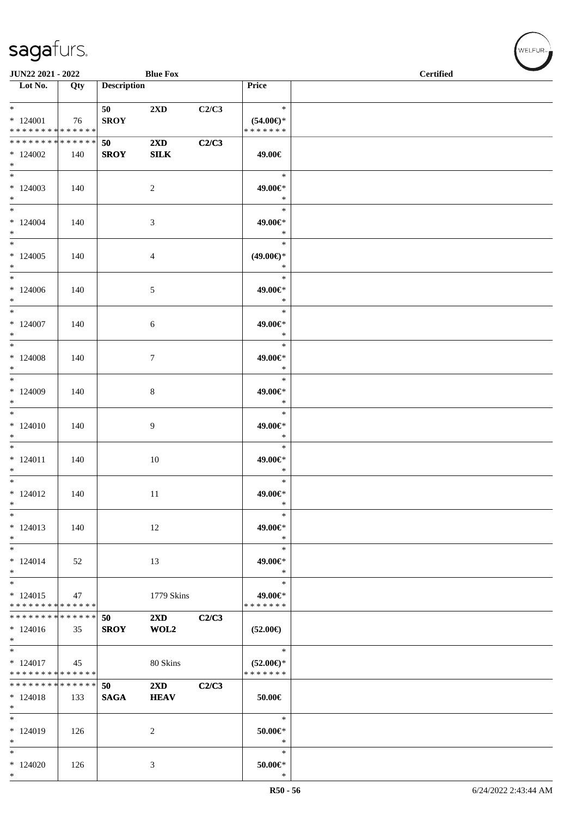| <b>JUN22 2021 - 2022</b>                                     |     |                    | <b>Blue Fox</b>         |       |                                      | <b>Certified</b> |
|--------------------------------------------------------------|-----|--------------------|-------------------------|-------|--------------------------------------|------------------|
| $\overline{\phantom{1}}$ Lot No.                             | Qty | <b>Description</b> |                         |       | Price                                |                  |
|                                                              |     |                    |                         |       |                                      |                  |
| $*$                                                          |     | 50                 | 2XD                     | C2/C3 | $\star$                              |                  |
| $*124001$                                                    | 76  | <b>SROY</b>        |                         |       | $(54.00\epsilon)$ *<br>* * * * * * * |                  |
| * * * * * * * * * * * * * *<br>* * * * * * * * * * * * * * * |     |                    |                         |       |                                      |                  |
|                                                              |     | 50                 | $2\mathbf{X}\mathbf{D}$ | C2/C3 |                                      |                  |
| $*124002$<br>$*$                                             | 140 | <b>SROY</b>        | <b>SILK</b>             |       | 49.00€                               |                  |
|                                                              |     |                    |                         |       | $\ast$                               |                  |
| $*124003$                                                    | 140 |                    | 2                       |       | 49.00€*                              |                  |
| $*$                                                          |     |                    |                         |       | $\ast$                               |                  |
| $*$                                                          |     |                    |                         |       | $\ast$                               |                  |
| $*124004$                                                    | 140 |                    | 3                       |       | 49.00€*                              |                  |
| $*$                                                          |     |                    |                         |       | $\ast$                               |                  |
| $*$                                                          |     |                    |                         |       | $\ast$                               |                  |
| $*124005$                                                    | 140 |                    | $\overline{4}$          |       | $(49.00\epsilon)$ *                  |                  |
| $*$                                                          |     |                    |                         |       | $\ast$                               |                  |
| $*$ $-$                                                      |     |                    |                         |       | $\ast$                               |                  |
| $*124006$                                                    | 140 |                    | 5                       |       | 49.00€*                              |                  |
| $*$<br>$*$ $-$                                               |     |                    |                         |       | $\ast$<br>$\ast$                     |                  |
| $*124007$                                                    | 140 |                    |                         |       | 49.00€*                              |                  |
| $*$                                                          |     |                    | 6                       |       | $\ast$                               |                  |
| $*$                                                          |     |                    |                         |       | $\ast$                               |                  |
| $*124008$                                                    | 140 |                    | $\tau$                  |       | 49.00€*                              |                  |
| $*$                                                          |     |                    |                         |       | $\ast$                               |                  |
|                                                              |     |                    |                         |       | $\ast$                               |                  |
| $*124009$                                                    | 140 |                    | 8                       |       | 49.00€*                              |                  |
| $*$                                                          |     |                    |                         |       | $\ast$                               |                  |
| $\overline{\ast}$                                            |     |                    |                         |       | $\ast$                               |                  |
| $*124010$                                                    | 140 |                    | 9                       |       | 49.00€*                              |                  |
| $*$<br>$*$                                                   |     |                    |                         |       | $\ast$<br>$\ast$                     |                  |
|                                                              |     |                    |                         |       |                                      |                  |
| $* 124011$<br>$*$                                            | 140 |                    | 10                      |       | 49.00€*<br>$\ast$                    |                  |
| $*$                                                          |     |                    |                         |       | $\ast$                               |                  |
| $* 124012$                                                   | 140 |                    | 11                      |       | 49.00€*                              |                  |
| $\ast$                                                       |     |                    |                         |       | $\ast$                               |                  |
| $\ast$                                                       |     |                    |                         |       | $\ast$                               |                  |
| $*124013$                                                    | 140 |                    | 12                      |       | 49.00€*                              |                  |
| $*$                                                          |     |                    |                         |       | $\ast$                               |                  |
| $*$                                                          |     |                    |                         |       | $\ast$                               |                  |
| $* 124014$                                                   | 52  |                    | 13                      |       | 49.00€*                              |                  |
| $*$                                                          |     |                    |                         |       | $\ast$<br>$\ast$                     |                  |
| $* 124015$                                                   |     |                    | 1779 Skins              |       | 49.00€*                              |                  |
| * * * * * * * * * * * * * *                                  | 47  |                    |                         |       | * * * * * * *                        |                  |
| * * * * * * * * * * * * * *                                  |     | 50                 | $2\mathbf{X}\mathbf{D}$ | C2/C3 |                                      |                  |
| $* 124016$                                                   | 35  | <b>SROY</b>        | WOL2                    |       | $(52.00\epsilon)$                    |                  |
| $*$                                                          |     |                    |                         |       |                                      |                  |
| $*$                                                          |     |                    |                         |       | $\ast$                               |                  |
| $*124017$                                                    | 45  |                    | 80 Skins                |       | $(52.00\epsilon)$ *                  |                  |
| * * * * * * * * * * * * * *                                  |     |                    |                         |       | * * * * * * *                        |                  |
| * * * * * * * * * * * * * *                                  |     | 50                 | $2\mathbf{X}\mathbf{D}$ | C2/C3 |                                      |                  |
| $* 124018$<br>$*$                                            | 133 | <b>SAGA</b>        | <b>HEAV</b>             |       | $50.00 \in$                          |                  |
| $*$                                                          |     |                    |                         |       | $\ast$                               |                  |
| $*124019$                                                    | 126 |                    | 2                       |       | $50.00 \in$ *                        |                  |
| $\ast$                                                       |     |                    |                         |       | $\ast$                               |                  |
| $*$                                                          |     |                    |                         |       | $\ast$                               |                  |
| $*124020$                                                    | 126 |                    | 3                       |       | $50.00 \in$ *                        |                  |
| $*$                                                          |     |                    |                         |       | $\ast$                               |                  |

 $w$ elfur<sub>m</sub>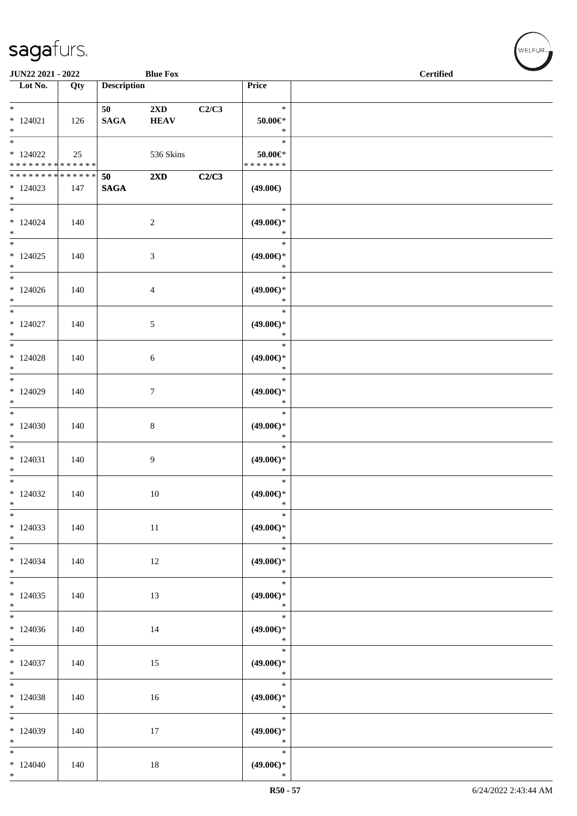| <b>JUN22 2021 - 2022</b>                          |     |                                     | <b>Blue Fox</b>                        |       |                                                   | <b>Certified</b> |  |
|---------------------------------------------------|-----|-------------------------------------|----------------------------------------|-------|---------------------------------------------------|------------------|--|
| Lot No.                                           | Qty | <b>Description</b>                  |                                        |       | Price                                             |                  |  |
| $*$<br>$*124021$<br>$*$                           | 126 | 50 70 70 70 71 71 72<br><b>SAGA</b> | $2\mathbf{X}\mathbf{D}$<br><b>HEAV</b> | C2/C3 | $\ast$<br>$50.00 \in$ *<br>$\ast$                 |                  |  |
| $*124022$<br>* * * * * * * * * * * * * * *        | 25  |                                     | 536 Skins                              |       | $\ast$<br>$50.00 \in$ *<br>* * * * * * *          |                  |  |
| * * * * * * * * * * * * * * *<br>$*124023$<br>$*$ | 147 | 50<br><b>SAGA</b>                   | $2\mathbf{X}\mathbf{D}$                | C2/C3 | $(49.00\epsilon)$                                 |                  |  |
| $*$<br>$*124024$<br>$*$                           | 140 |                                     | 2                                      |       | $\ast$<br>$(49.00\epsilon)$ *<br>$\ast$           |                  |  |
| $*$ $*$<br>$*124025$<br>$*$<br>$*$                | 140 |                                     | 3                                      |       | $\ast$<br>$(49.00\epsilon)$ *<br>$\ast$           |                  |  |
| $*124026$<br>$*$<br>$*$                           | 140 |                                     | $\overline{4}$                         |       | $\ast$<br>$(49.00\epsilon)$ *<br>$\ast$           |                  |  |
| $*124027$<br>$*$                                  | 140 |                                     | 5                                      |       | $\ast$<br>$(49.00\epsilon)$ *<br>$\ast$<br>$\ast$ |                  |  |
| $*124028$<br>$*$                                  | 140 |                                     | 6                                      |       | $(49.00\epsilon)$ *<br>$\ast$<br>$\ast$           |                  |  |
| $*124029$<br>$*$<br>$*$                           | 140 |                                     | $\tau$                                 |       | $(49.00\epsilon)$ *<br>$\ast$<br>$\ast$           |                  |  |
| $*124030$<br>$*$<br>$*$                           | 140 |                                     | $\,8\,$                                |       | $(49.00\epsilon)$ *<br>$\ast$                     |                  |  |
| $*124031$<br>$*$<br>$*$                           | 140 |                                     | 9                                      |       | $\ast$<br>$(49.00\epsilon)$ *<br>$\ast$<br>$\ast$ |                  |  |
| $*124032$<br>$*$                                  | 140 |                                     | 10                                     |       | $(49.00\epsilon)$ *<br>$*$<br>$\ast$              |                  |  |
| $*$<br>$*124033$<br>$*$                           | 140 |                                     | 11                                     |       | $(49.00\epsilon)$ *<br>$\ast$                     |                  |  |
| $*$<br>$*124034$<br>$*$<br>$\overline{\ast}$      | 140 |                                     | 12                                     |       | $\ast$<br>$(49.00\epsilon)$ *<br>$\ast$           |                  |  |
| $*124035$<br>$*$                                  | 140 |                                     | 13                                     |       | $\ast$<br>$(49.00ε)$ *<br>$\ast$                  |                  |  |
| $*124036$<br>$*$                                  | 140 |                                     | 14                                     |       | $\ast$<br>$(49.00ε)$ *<br>$\ast$                  |                  |  |
| $*124037$<br>$*$                                  | 140 |                                     | 15                                     |       | $\ast$<br>$(49.00ε)$ *<br>$\ast$                  |                  |  |
| $*124038$<br>$*$                                  | 140 |                                     | 16                                     |       | $\ast$<br>$(49.00\epsilon)$ *<br>$\ast$           |                  |  |
| $*124039$<br>$*$                                  | 140 |                                     | 17                                     |       | $\ast$<br>$(49.00\epsilon)$ *<br>$\ast$           |                  |  |
| $*$<br>$*124040$<br>$*$                           | 140 |                                     | 18                                     |       | $\ast$<br>$(49.00\epsilon)$ *<br>$\ast$           |                  |  |

welfur<sub>™</sub>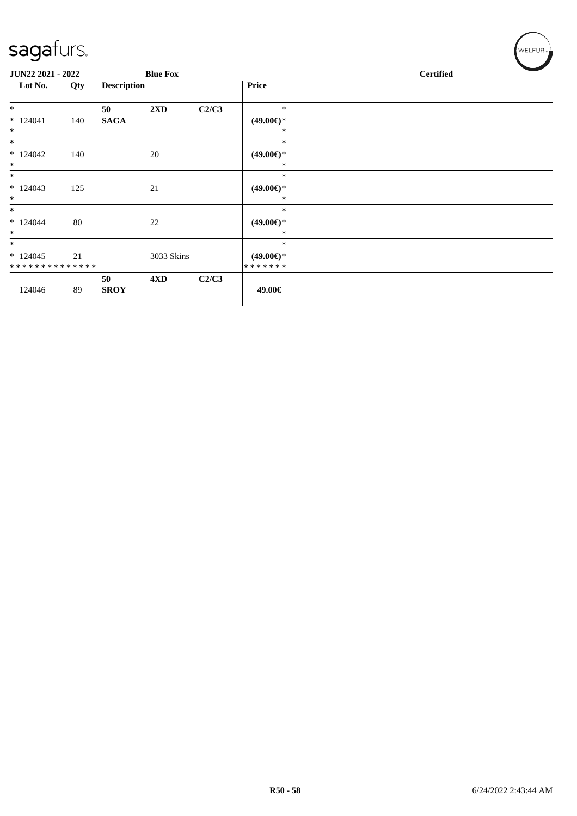| JUN22 2021 - 2022                               |     |                    | <b>Blue Fox</b> |       |                                          | <b>Certified</b> |
|-------------------------------------------------|-----|--------------------|-----------------|-------|------------------------------------------|------------------|
| Lot No.                                         | Qty | <b>Description</b> |                 |       | <b>Price</b>                             |                  |
| $\ast$                                          |     | 50                 | 2XD             | C2/C3 | $\ast$                                   |                  |
| $*124041$<br>$*$                                | 140 | <b>SAGA</b>        |                 |       | $(49.00€)$ *<br>$\ast$                   |                  |
| $*$                                             |     |                    |                 |       | $\ast$                                   |                  |
| $*124042$<br>$\ast$                             | 140 |                    | $20\,$          |       | $(49.00\epsilon)$ *<br>$\ast$            |                  |
| $\ast$<br>$*124043$                             |     |                    |                 |       | $\ast$<br>$(49.00\epsilon)$ *            |                  |
| $\ast$                                          | 125 |                    | 21              |       | $\ast$                                   |                  |
| $*$<br>$*124044$<br>$\ast$                      | 80  |                    | $22\,$          |       | $\ast$<br>$(49.00\epsilon)$ *<br>*       |                  |
| $*$<br>$*124045$<br>* * * * * * * * * * * * * * | 21  |                    | 3033 Skins      |       | $\ast$<br>$(49.00\epsilon)$ *<br>******* |                  |
| 124046                                          | 89  | 50<br><b>SROY</b>  | 4XD             | C2/C3 | 49.00€                                   |                  |

 $(\forall ELFUR_{\approx})$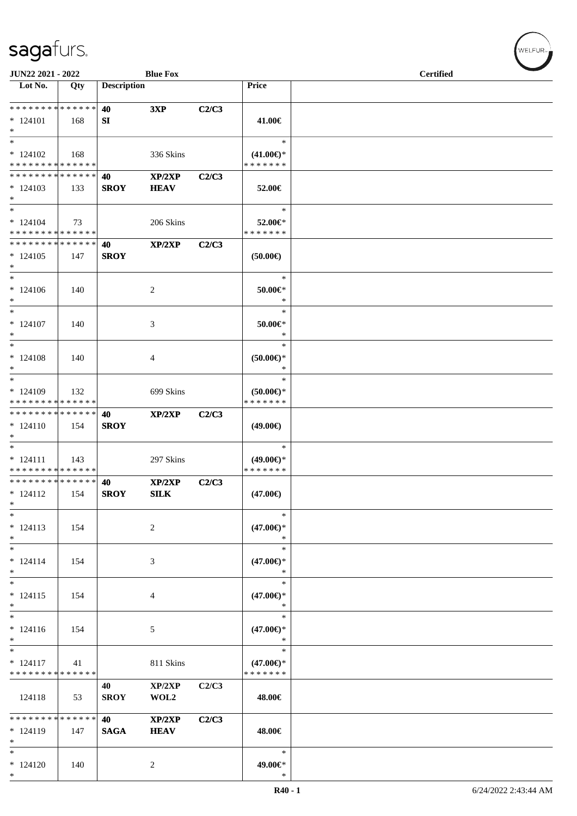\*

| JUN22 2021 - 2022                                         |                   |                    | <b>Blue Fox</b>       |       |                                                | <b>Certified</b> |  |
|-----------------------------------------------------------|-------------------|--------------------|-----------------------|-------|------------------------------------------------|------------------|--|
| $\overline{\phantom{1}}$ Lot No.                          | Qty               | <b>Description</b> |                       |       | Price                                          |                  |  |
| * * * * * * * * * * * * * *<br>$* 124101$<br>$*$          | 168               | 40<br>SI           | 3XP                   | C2/C3 | 41.00€                                         |                  |  |
| $*$<br>$*124102$<br>* * * * * * * * * * * * * *           | 168               |                    | 336 Skins             |       | $\ast$<br>$(41.00\epsilon)$ *<br>* * * * * * * |                  |  |
| * * * * * * * * * * * * * *<br>$*124103$<br>$*$           | 133               | 40<br><b>SROY</b>  | XP/2XP<br><b>HEAV</b> | C2/C3 | 52.00€                                         |                  |  |
| $*$<br>$* 124104$<br>* * * * * * * * * * * * * *          | 73                |                    | 206 Skins             |       | $\ast$<br>52.00€*<br>* * * * * * *             |                  |  |
| * * * * * * * * * * * * * *<br>$*124105$<br>$*$           | 147               | 40<br><b>SROY</b>  | XP/2XP                | C2/C3 | (50.00)                                        |                  |  |
| $*$<br>$* 124106$<br>$*$                                  | 140               |                    | 2                     |       | $\ast$<br>$50.00 \in$<br>$\ast$                |                  |  |
| $*$<br>$* 124107$<br>$*$                                  | 140               |                    | 3                     |       | $\ast$<br>50.00€*<br>$\ast$                    |                  |  |
| $*$<br>$* 124108$<br>$*$                                  | 140               |                    | 4                     |       | $\ast$<br>$(50.00 \in )^*$<br>$\ast$           |                  |  |
| $*$<br>* 124109<br>* * * * * * * * * * * * * *            | 132               |                    | 699 Skins             |       | $\ast$<br>$(50.00\epsilon)$ *<br>* * * * * * * |                  |  |
| * * * * * * * * * * * * * *<br>$* 124110$<br>$*$          | 154               | 40<br><b>SROY</b>  | XP/2XP                | C2/C3 | $(49.00\epsilon)$                              |                  |  |
| $*$<br>$* 124111$<br>* * * * * * * * * * * * * *          | 143               |                    | 297 Skins             |       | $\ast$<br>$(49.00\epsilon)$ *<br>* * * * * * * |                  |  |
| * * * * * * * * * * * * * *<br>$* 124112$<br>$\ast$       | 154               | 40<br><b>SROY</b>  | XP/2XP<br><b>SILK</b> | C2/C3 | $(47.00\epsilon)$                              |                  |  |
| $\ast$<br>$* 124113$<br>$\ast$                            | 154               |                    | $\overline{c}$        |       | $\ast$<br>$(47.00\epsilon)$ *<br>$\ast$        |                  |  |
| $*$<br>$* 124114$<br>$*$                                  | 154               |                    | 3                     |       | $\ast$<br>$(47.00\epsilon)$ *<br>$\ast$        |                  |  |
| $*$<br>$* 124115$<br>$*$                                  | 154               |                    | 4                     |       | $\ast$<br>$(47.00\epsilon)$ *<br>$\ast$        |                  |  |
| $*$<br>$* 124116$<br>$\ast$                               | 154               |                    | 5                     |       | $\ast$<br>$(47.00\epsilon)$ *<br>$\ast$        |                  |  |
| $\overline{\phantom{0}}$<br>$* 124117$<br>* * * * * * * * | 41<br>* * * * * * |                    | 811 Skins             |       | $\ast$<br>$(47.00\epsilon)$ *<br>* * * * * * * |                  |  |
| 124118                                                    | 53                | 40<br><b>SROY</b>  | XP/2XP<br>WOL2        | C2/C3 | 48.00€                                         |                  |  |
| * * * * * * * * * * * * * *<br>$* 124119$<br>$*$          | 147               | 40<br><b>SAGA</b>  | XP/2XP<br><b>HEAV</b> | C2/C3 | 48.00€                                         |                  |  |
| $*$<br>$*124120$<br>$*$                                   | 140               |                    | $\overline{2}$        |       | $\ast$<br>49.00€*<br>$\ast$                    |                  |  |

 $\left(\mathsf{WELFUR}_{\mathsf{P}}\right)$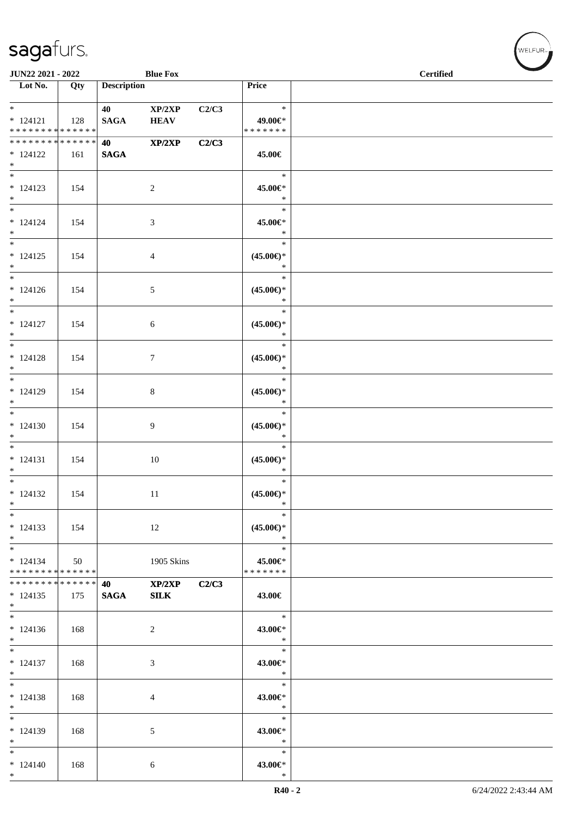| JUN22 2021 - 2022                                                                  |     |                          | <b>Blue Fox</b>       |       |                                                   | <b>Certified</b> |
|------------------------------------------------------------------------------------|-----|--------------------------|-----------------------|-------|---------------------------------------------------|------------------|
| $\overline{\phantom{1}}$ Lot No.                                                   | Qty | <b>Description</b>       |                       |       | Price                                             |                  |
| $*$<br>$* 124121$<br>* * * * * * * * * * * * * *                                   | 128 | 40 — 10<br><b>SAGA</b>   | XP/2XP<br><b>HEAV</b> | C2/C3 | $\ast$<br>49.00€*<br>* * * * * * *                |                  |
| * * * * * * * * * * * * * * *<br>$* 124122$<br>$*$                                 | 161 | <b>40</b><br><b>SAGA</b> | XP/2XP                | C2/C3 | 45.00€                                            |                  |
| $* 124123$<br>$*$                                                                  | 154 |                          | 2                     |       | $\ast$<br>45.00€*<br>$\ast$                       |                  |
| $*$<br>$* 124124$<br>$*$                                                           | 154 |                          | 3                     |       | $\ast$<br>45.00€*<br>$\ast$                       |                  |
| $*$<br>$* 124125$<br>$\ast$                                                        | 154 |                          | 4                     |       | $\ast$<br>$(45.00\epsilon)$ *<br>$\ast$           |                  |
| $*$<br>$* 124126$<br>$*$                                                           | 154 |                          | 5                     |       | $\ast$<br>$(45.00\epsilon)$ *<br>$\ast$           |                  |
| $*$<br>$* 124127$<br>$*$<br>$*$                                                    | 154 |                          | 6                     |       | $\ast$<br>$(45.00\epsilon)$ *<br>$\ast$<br>$\ast$ |                  |
| $* 124128$<br>$*$<br>$*$                                                           | 154 |                          | $\tau$                |       | $(45.00\epsilon)$ *<br>$\ast$<br>$\ast$           |                  |
| $* 124129$<br>$*$<br>$*$                                                           | 154 |                          | $\,8\,$               |       | $(45.00\epsilon)$ *<br>$\ast$<br>$\ast$           |                  |
| $*124130$<br>$*$<br>$*$                                                            | 154 |                          | 9                     |       | $(45.00\epsilon)$ *<br>$\ast$<br>$\ast$           |                  |
| $* 124131$<br>$*$<br>$*$                                                           | 154 |                          | 10                    |       | $(45.00\epsilon)$ *<br>$\ast$<br>$\ast$           |                  |
| $* 124132$<br>$\ast$                                                               | 154 |                          | 11                    |       | $(45.00\epsilon)$ *<br>$\ast$<br>$\ast$           |                  |
| $\ast$<br>$*124133$<br>$*$                                                         | 154 |                          | 12                    |       | $(45.00\epsilon)$ *<br>$\ast$<br>$\ast$           |                  |
| $*$<br>$* 124134$<br>* * * * * * * * * * * * * * *<br>******** <mark>******</mark> | 50  |                          | 1905 Skins            |       | 45.00€*<br>* * * * * * *                          |                  |
| $*124135$<br>$*$<br>$*$                                                            | 175 | 40<br><b>SAGA</b>        | XP/2XP<br>SLK         | C2/C3 | 43.00€<br>$\ast$                                  |                  |
| $*124136$<br>$*$                                                                   | 168 |                          | 2                     |       | 43.00€*<br>$\ast$                                 |                  |
| $*$<br>$* 124137$<br>$*$                                                           | 168 |                          | 3                     |       | $\ast$<br>43.00€*<br>$\ast$                       |                  |
| $*$<br>$* 124138$<br>$*$                                                           | 168 |                          | 4                     |       | $\ast$<br>43.00€*<br>$\ast$                       |                  |
| $\ast$<br>$*124139$<br>$*$                                                         | 168 |                          | 5                     |       | $\ast$<br>43.00€*<br>$\ast$                       |                  |
| $*$<br>$* 124140$<br>$*$                                                           | 168 |                          | 6                     |       | $\ast$<br>43.00€*<br>$\ast$                       |                  |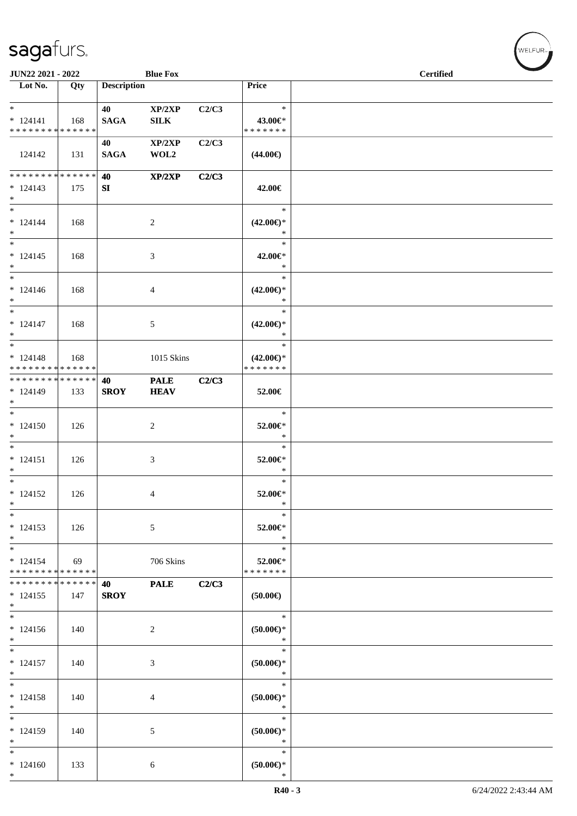| JUN22 2021 - 2022                                 |               |                    | <b>Blue Fox</b>            |       |                                                | <b>Certified</b> |  |
|---------------------------------------------------|---------------|--------------------|----------------------------|-------|------------------------------------------------|------------------|--|
| $\overline{\phantom{1}}$ Lot No.                  | Qty           | <b>Description</b> |                            |       | Price                                          |                  |  |
| $*$<br>$* 124141$<br>* * * * * * * * * * * * * *  | 168           | 40<br><b>SAGA</b>  | XP/2XP<br>${\bf SILK}$     | C2/C3 | $\ast$<br>43.00€*<br>*******                   |                  |  |
| 124142                                            | 131           | 40<br><b>SAGA</b>  | XP/2XP<br>WOL2             | C2/C3 | $(44.00\epsilon)$                              |                  |  |
| * * * * * * * *<br>$* 124143$<br>$*$              | ******<br>175 | 40<br>SI           | XP/2XP                     | C2/C3 | 42.00€                                         |                  |  |
| $*$<br>$* 124144$<br>$*$                          | 168           |                    | $\boldsymbol{2}$           |       | $\ast$<br>$(42.00\epsilon)$ *<br>$\ast$        |                  |  |
| $*$<br>$* 124145$<br>$*$                          | 168           |                    | 3                          |       | $\ast$<br>42.00€*<br>$\ast$                    |                  |  |
| $*$<br>$* 124146$<br>$*$                          | 168           |                    | 4                          |       | $\ast$<br>$(42.00\epsilon)$ *<br>$\ast$        |                  |  |
| $*$<br>$* 124147$<br>$*$                          | 168           |                    | 5                          |       | $\ast$<br>$(42.00\epsilon)$ *<br>$\ast$        |                  |  |
| $* 124148$<br>* * * * * * * * * * * * * *         | 168           |                    | 1015 Skins                 |       | $\ast$<br>$(42.00\epsilon)$ *<br>* * * * * * * |                  |  |
| ******** <mark>******</mark><br>$* 124149$<br>$*$ | 133           | 40<br><b>SROY</b>  | <b>PALE</b><br><b>HEAV</b> | C2/C3 | 52.00€                                         |                  |  |
| $*$<br>$* 124150$<br>$*$                          | 126           |                    | $\overline{c}$             |       | $\ast$<br>52.00€*<br>$\ast$                    |                  |  |
| $*$<br>$* 124151$<br>$*$                          | 126           |                    | 3                          |       | $\ast$<br>52.00€*<br>$\ast$                    |                  |  |
| $*$<br>$* 124152$<br>$\ast$                       | 126           |                    | 4                          |       | $\ast$<br>52.00€*<br>$\ast$                    |                  |  |
| $\ast$<br>$* 124153$<br>$*$                       | 126           |                    | 5                          |       | $\ast$<br>52.00€*<br>$\ast$                    |                  |  |
| $*$<br>$* 124154$<br>* * * * * * * * * * * * * *  | 69            |                    | 706 Skins                  |       | $\ast$<br>52.00€*<br>* * * * * * *             |                  |  |
| * * * * * * * * * * * * * *<br>$*124155$<br>$*$   | 147           | 40<br><b>SROY</b>  | <b>PALE</b>                | C2/C3 | $(50.00\epsilon)$                              |                  |  |
| $\overline{\phantom{0}}$<br>$* 124156$<br>$*$     | 140           |                    | $\overline{c}$             |       | $\ast$<br>$(50.00ε)$ *<br>$\ast$               |                  |  |
| $*$<br>$* 124157$<br>$*$                          | 140           |                    | 3                          |       | $\ast$<br>$(50.00*)$<br>$\ast$                 |                  |  |
| $\ast$<br>$* 124158$<br>$*$                       | 140           |                    | 4                          |       | $\ast$<br>$(50.00ε)$ *<br>$\ast$               |                  |  |
| $*$<br>$*124159$<br>$*$                           | 140           |                    | 5                          |       | $\ast$<br>$(50.00ε)$ *<br>$\ast$               |                  |  |
| $*$<br>$*124160$<br>$*$                           | 133           |                    | 6                          |       | $\ast$<br>$(50.00ε)$ *<br>$\ast$               |                  |  |

welfur<sub>™</sub>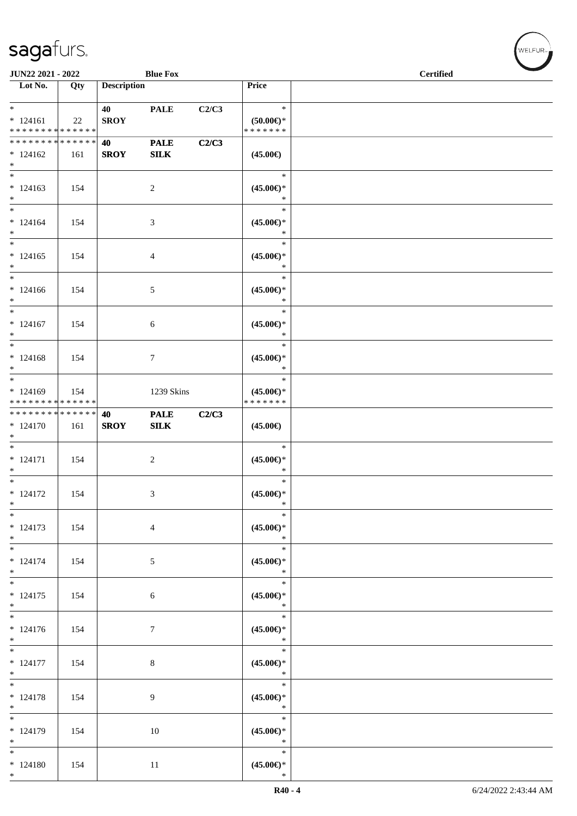| JUN22 2021 - 2022                                               |     |                    | <b>Blue Fox</b>    |       |                                             | <b>Certified</b> |
|-----------------------------------------------------------------|-----|--------------------|--------------------|-------|---------------------------------------------|------------------|
| $\overline{\phantom{1}}$ Lot No.                                | Qty | <b>Description</b> |                    |       | Price                                       |                  |
| $*$<br>$* 124161$<br>* * * * * * * * <mark>* * * * * * *</mark> | 22  | 40<br><b>SROY</b>  | <b>PALE</b>        | C2/C3 | $\ast$<br>$(50.00 \in )^*$<br>* * * * * * * |                  |
| * * * * * * * * * * * * * * *<br>$*124162$<br>$*$               | 161 | 40<br><b>SROY</b>  | <b>PALE</b><br>SLK | C2/C3 | $(45.00\epsilon)$                           |                  |
| $*$<br>$* 124163$<br>$*$                                        | 154 |                    | $\overline{c}$     |       | $\ast$<br>$(45.00\epsilon)$ *<br>$\ast$     |                  |
| $*$<br>$* 124164$<br>$*$                                        | 154 |                    | 3                  |       | $\ast$<br>$(45.00\epsilon)$ *<br>$\ast$     |                  |
| $*$<br>$*124165$<br>$*$                                         | 154 |                    | 4                  |       | $\ast$<br>$(45.00\epsilon)$ *<br>$\ast$     |                  |
| $*$<br>$* 124166$<br>$*$                                        | 154 |                    | 5                  |       | $\ast$<br>$(45.00\epsilon)$ *<br>$\ast$     |                  |
| $*$<br>$* 124167$<br>$*$                                        | 154 |                    | 6                  |       | $\ast$<br>$(45.00\epsilon)$ *<br>$\ast$     |                  |
| $* 124168$<br>$*$                                               | 154 |                    | 7                  |       | $\ast$<br>$(45.00\epsilon)$ *<br>$\ast$     |                  |
| $*$<br>$* 124169$<br>* * * * * * * * * * * * * *                | 154 |                    | 1239 Skins         |       | $\ast$<br>$(45.00\epsilon)$ *<br>*******    |                  |
| * * * * * * * * <mark>* * * * * * *</mark><br>$* 124170$<br>$*$ | 161 | 40<br><b>SROY</b>  | <b>PALE</b><br>SLK | C2/C3 | $(45.00\epsilon)$                           |                  |
| $*$<br>$* 124171$<br>$*$                                        | 154 |                    | 2                  |       | $\ast$<br>$(45.00\epsilon)$ *<br>$\ast$     |                  |
| $*$<br>$* 124172$<br>$\ast$                                     | 154 |                    | 3                  |       | $\ast$<br>$(45.00\epsilon)$ *<br>$\ast$     |                  |
| $* 124173$<br>$*$                                               | 154 |                    | $\overline{4}$     |       | $\ast$<br>$(45.00\epsilon)$ *<br>$\ast$     |                  |
| $* 124174$<br>$*$                                               | 154 |                    | 5                  |       | $\ast$<br>$(45.00\epsilon)$ *<br>$\ast$     |                  |
| $*$<br>$* 124175$<br>$*$                                        | 154 |                    | 6                  |       | $\ast$<br>$(45.00\epsilon)$ *<br>$\ast$     |                  |
| $* 124176$<br>$*$                                               | 154 |                    | 7                  |       | $\ast$<br>$(45.00\epsilon)$ *<br>$\ast$     |                  |
| $\overline{\phantom{0}}$<br>$* 124177$<br>$*$                   | 154 |                    | 8                  |       | $\ast$<br>$(45.00\epsilon)$ *<br>$\ast$     |                  |
| $*$<br>$* 124178$<br>$*$                                        | 154 |                    | 9                  |       | $\ast$<br>$(45.00\epsilon)$ *<br>$\ast$     |                  |
| $*$<br>$* 124179$<br>$*$                                        | 154 |                    | 10                 |       | $\ast$<br>$(45.00\epsilon)$ *<br>$\ast$     |                  |
| $*$<br>$*124180$<br>$*$                                         | 154 |                    | 11                 |       | $\ast$<br>$(45.00\epsilon)$ *<br>$\ast$     |                  |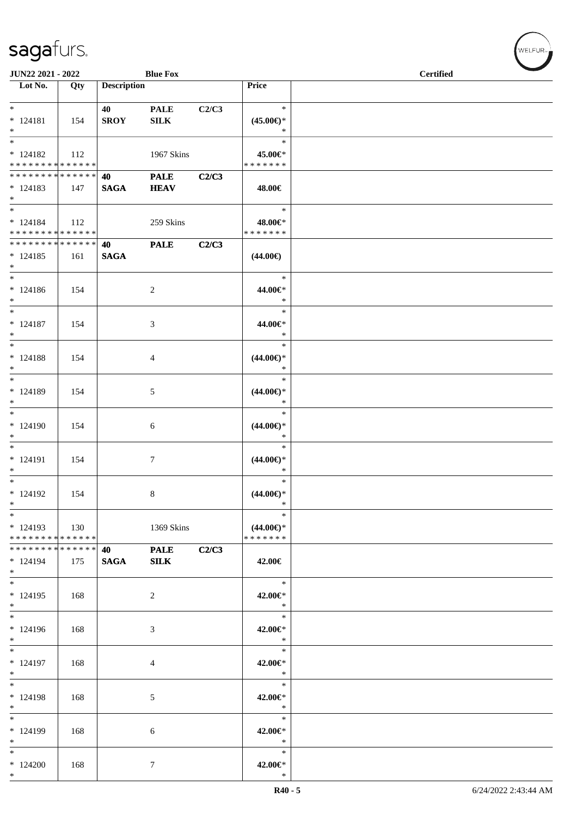| <b>JUN22 2021 - 2022</b>                                       |     |                       | <b>Blue Fox</b>             |       |                                                | <b>Certified</b> |
|----------------------------------------------------------------|-----|-----------------------|-----------------------------|-------|------------------------------------------------|------------------|
| Lot No.                                                        | Qty | <b>Description</b>    |                             |       | Price                                          |                  |
| $*$<br>$* 124181$<br>$*$                                       | 154 | 40<br><b>SROY</b>     | <b>PALE</b><br>${\bf SILK}$ | C2/C3 | $\ast$<br>$(45.00\epsilon)$ *<br>$\ast$        |                  |
| $*$<br>$* 124182$<br>* * * * * * * * * * * * * * *             | 112 |                       | 1967 Skins                  |       | $\ast$<br>45.00€*<br>* * * * * * *             |                  |
| ******** <mark>******</mark><br>$*124183$<br>$*$               | 147 | 40<br><b>SAGA</b>     | <b>PALE</b><br><b>HEAV</b>  | C2/C3 | 48.00€                                         |                  |
| $*$<br>$* 124184$<br>* * * * * * * * * * * * * * *             | 112 |                       | 259 Skins                   |       | $\ast$<br>48.00€*<br>* * * * * * *             |                  |
| * * * * * * * * <mark>* * * * * * *</mark><br>$*124185$<br>$*$ | 161 | 40<br>$\mathbf{SAGA}$ | <b>PALE</b>                 | C2/C3 | $(44.00\epsilon)$                              |                  |
| $*$<br>$*124186$<br>$*$                                        | 154 |                       | 2                           |       | $\ast$<br>44.00€*<br>$\ast$                    |                  |
| $*$<br>$* 124187$<br>$*$                                       | 154 |                       | 3                           |       | $\ast$<br>44.00€*<br>$\ast$                    |                  |
| $*$<br>$* 124188$<br>$*$                                       | 154 |                       | 4                           |       | $\ast$<br>$(44.00\epsilon)$ *<br>$\ast$        |                  |
| $*$<br>* 124189<br>$*$                                         | 154 |                       | 5                           |       | $\ast$<br>$(44.00\epsilon)$ *<br>$\ast$        |                  |
| $*$<br>$*124190$<br>$*$                                        | 154 |                       | 6                           |       | $\ast$<br>$(44.00ε)$ *<br>$\ast$               |                  |
| $*$<br>$* 124191$<br>$*$                                       | 154 |                       | $\tau$                      |       | $\ast$<br>$(44.00\epsilon)$ *<br>$\ast$        |                  |
| $*$<br>* 124192<br>$\ast$                                      | 154 |                       | 8                           |       | $\ast$<br>$(44.00\epsilon)$ *<br>$\ast$        |                  |
| $*$<br>$*124193$<br>* * * * * * * * * * * * * * *              | 130 |                       | 1369 Skins                  |       | $\ast$<br>$(44.00\epsilon)$ *<br>* * * * * * * |                  |
| * * * * * * * * <mark>* * * * * * *</mark><br>$*124194$<br>$*$ | 175 | 40 —<br><b>SAGA</b>   | <b>PALE</b><br>${\bf SILK}$ | C2/C3 | 42.00€                                         |                  |
| $*$<br>$*124195$<br>$*$                                        | 168 |                       | 2                           |       | $\ast$<br>42.00€*<br>$\ast$                    |                  |
| * 124196<br>$*$                                                | 168 |                       | 3                           |       | $\ast$<br>42.00€*<br>$\ast$                    |                  |
| $*$<br>$* 124197$<br>$*$                                       | 168 |                       | 4                           |       | $\ast$<br>42.00€*<br>$\ast$                    |                  |
| $*$<br>$* 124198$<br>$*$                                       | 168 |                       | 5                           |       | $\ast$<br>42.00€*<br>$\ast$                    |                  |
| $*$<br>* 124199<br>$*$                                         | 168 |                       | 6                           |       | $\ast$<br>42.00€*<br>$\ast$                    |                  |
| $*$<br>$*124200$<br>$*$                                        | 168 |                       | 7                           |       | $\ast$<br>42.00€*<br>$\ast$                    |                  |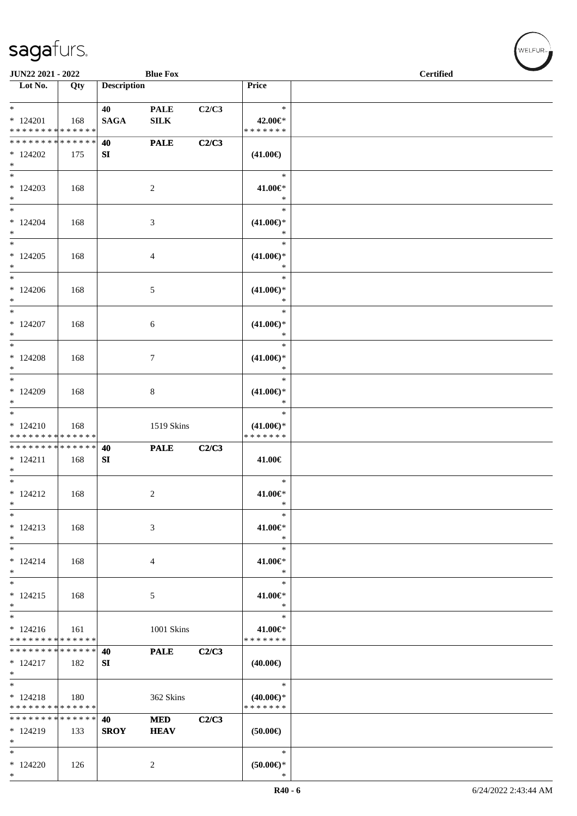| JUN22 2021 - 2022                                       |     |                    | <b>Blue Fox</b>             |       |                                                   | <b>Certified</b> |  |
|---------------------------------------------------------|-----|--------------------|-----------------------------|-------|---------------------------------------------------|------------------|--|
| $\overline{\phantom{1}}$ Lot No.                        | Qty | <b>Description</b> |                             |       | Price                                             |                  |  |
| $*$<br>$* 124201$<br>* * * * * * * * * * * * * *        | 168 | 40<br><b>SAGA</b>  | <b>PALE</b><br>${\bf SILK}$ | C2/C3 | $\ast$<br>42.00€*<br>* * * * * * *                |                  |  |
| * * * * * * * * * * * * * * *<br>$*124202$<br>$\ast$    | 175 | 40<br>SI           | <b>PALE</b>                 | C2/C3 | $(41.00\epsilon)$                                 |                  |  |
| $*124203$<br>$*$                                        | 168 |                    | 2                           |       | $\ast$<br>41.00€*<br>$\ast$                       |                  |  |
| $*$<br>$*124204$<br>$\ast$<br>$*$                       | 168 |                    | 3                           |       | $\ast$<br>$(41.00\epsilon)$ *<br>$\ast$<br>$\ast$ |                  |  |
| $*124205$<br>$*$<br>$*$                                 | 168 |                    | 4                           |       | $(41.00\epsilon)$ *<br>$\ast$<br>$\ast$           |                  |  |
| $*124206$<br>$*$<br>$*$                                 | 168 |                    | 5                           |       | $(41.00\epsilon)$ *<br>$\ast$<br>$\ast$           |                  |  |
| $*124207$<br>$*$<br>$*$                                 | 168 |                    | 6                           |       | $(41.00\epsilon)$ *<br>$\ast$<br>$\ast$           |                  |  |
| $*124208$<br>$*$                                        | 168 |                    | $\tau$                      |       | $(41.00\epsilon)$ *<br>$\ast$<br>$\ast$           |                  |  |
| * 124209<br>$*$<br>$*$                                  | 168 |                    | 8                           |       | $(41.00\epsilon)$ *<br>$\ast$<br>$\ast$           |                  |  |
| $* 124210$<br>* * * * * * * * * * * * * *               | 168 |                    | 1519 Skins                  |       | $(41.00\epsilon)$ *<br>* * * * * * *              |                  |  |
| * * * * * * * * * * * * * * *<br>$* 124211$<br>$*$      | 168 | 40<br>SI           | <b>PALE</b>                 | C2/C3 | 41.00€                                            |                  |  |
| $*$<br>$* 124212$<br>$\ast$<br>$\ast$                   | 168 |                    | 2                           |       | $\ast$<br>41.00€*<br>$\ast$<br>$\ast$             |                  |  |
| $* 124213$<br>$\ast$                                    | 168 |                    | 3                           |       | 41.00€*<br>$\ast$<br>$\ast$                       |                  |  |
| $*$<br>$* 124214$<br>$\ast$<br>$\overline{\phantom{0}}$ | 168 |                    | 4                           |       | 41.00€*<br>$\ast$<br>$\ast$                       |                  |  |
| $* 124215$<br>$*$<br>$*$                                | 168 |                    | 5                           |       | 41.00€*<br>$\ast$<br>$\ast$                       |                  |  |
| $* 124216$<br>* * * * * * * * * * * * * *               | 161 |                    | 1001 Skins                  |       | 41.00€*<br>* * * * * * *                          |                  |  |
| * * * * * * * * * * * * * * *<br>$*124217$<br>$*$       | 182 | 40<br>SI           | <b>PALE</b>                 | C2/C3 | $(40.00\epsilon)$                                 |                  |  |
| $\ast$<br>$* 124218$<br>* * * * * * * * * * * * * * *   | 180 |                    | 362 Skins                   |       | $\ast$<br>$(40.00\epsilon)$ *<br>* * * * * * *    |                  |  |
| * * * * * * * * * * * * * * *<br>$*124219$<br>$*$       | 133 | 40<br><b>SROY</b>  | <b>MED</b><br><b>HEAV</b>   | C2/C3 | $(50.00\epsilon)$                                 |                  |  |
| $*$<br>$*124220$<br>$*$                                 | 126 |                    | 2                           |       | $\ast$<br>$(50.00ε)$ *<br>$\ast$                  |                  |  |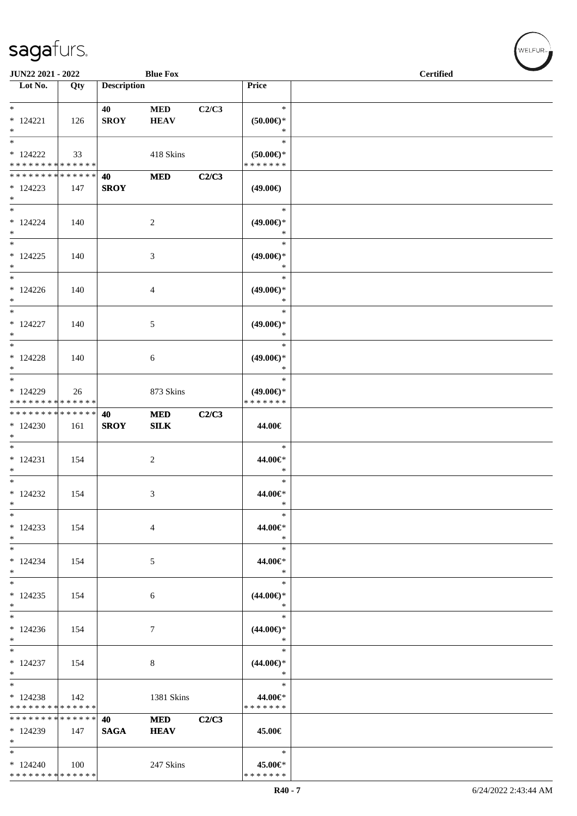| JUN22 2021 - 2022                                                    |     |                    | <b>Blue Fox</b>           |       |                                                   | <b>Certified</b> |  |
|----------------------------------------------------------------------|-----|--------------------|---------------------------|-------|---------------------------------------------------|------------------|--|
| Lot No.                                                              | Qty | <b>Description</b> |                           |       | Price                                             |                  |  |
| $\ast$<br>$* 124221$<br>$\ast$                                       | 126 | 40<br><b>SROY</b>  | <b>MED</b><br><b>HEAV</b> | C2/C3 | $\ast$<br>$(50.00ε)$ *<br>$\ast$                  |                  |  |
| $\overline{\phantom{a}}$<br>$*124222$<br>* * * * * * * * * * * * * * | 33  |                    | 418 Skins                 |       | $\ast$<br>$(50.00ε)$ *<br>* * * * * * *           |                  |  |
| * * * * * * * * * * * * * *<br>$*124223$<br>$*$<br>$_{\ast}^{-}$     | 147 | 40<br><b>SROY</b>  | <b>MED</b>                | C2/C3 | $(49.00\epsilon)$                                 |                  |  |
| $* 124224$<br>$*$<br>$\overline{\phantom{a}^*}$                      | 140 |                    | $\sqrt{2}$                |       | $\ast$<br>$(49.00\epsilon)$ *<br>$\ast$           |                  |  |
| $*124225$<br>$*$                                                     | 140 |                    | $\mathfrak{Z}$            |       | $\ast$<br>$(49.00\epsilon)$ *<br>$\ast$           |                  |  |
| $\ast$<br>$*124226$<br>$\ast$<br>$\ast$                              | 140 |                    | 4                         |       | $\ast$<br>$(49.00\epsilon)$ *<br>$\ast$<br>$\ast$ |                  |  |
| $* 124227$<br>$\ast$<br>$\overline{\ast}$                            | 140 |                    | $\sqrt{5}$                |       | $(49.00\epsilon)$ *<br>$\ast$<br>$\ast$           |                  |  |
| $* 124228$<br>$\ast$<br>$*$                                          | 140 |                    | 6                         |       | $(49.00\epsilon)$ *<br>$\ast$<br>$\ast$           |                  |  |
| * 124229<br>* * * * * * * * * * * * * *                              | 26  |                    | 873 Skins                 |       | $(49.00\epsilon)$ *<br>* * * * * * *              |                  |  |
| **************<br>$*124230$<br>$\ast$<br>$\overline{\phantom{0}}$    | 161 | 40<br><b>SROY</b>  | <b>MED</b><br><b>SILK</b> | C2/C3 | 44.00€<br>$\ast$                                  |                  |  |
| $* 124231$<br>$\ast$<br>$*$                                          | 154 |                    | $\sqrt{2}$                |       | 44.00€*<br>$\ast$<br>$\ast$                       |                  |  |
| $*124232$<br>$\ast$<br>$\ast$                                        | 154 |                    | 3                         |       | 44.00€*<br>$\ast$<br>$\ast$                       |                  |  |
| $*124233$<br>$\ast$<br>$\ast$                                        | 154 |                    | $\overline{4}$            |       | 44.00€*<br>$\ast$<br>$\ast$                       |                  |  |
| $*124234$<br>$\ast$<br>$*$                                           | 154 |                    | 5                         |       | 44.00€*<br>$\ast$<br>$\ast$                       |                  |  |
| $*124235$<br>$\ast$<br>$_{\ast}^{-}$                                 | 154 |                    | 6                         |       | $(44.00\epsilon)$ *<br>$\ast$<br>$\ast$           |                  |  |
| $*124236$<br>$\ast$<br>$_{\ast}^{-}$                                 | 154 |                    | 7                         |       | $(44.00\epsilon)$ *<br>$\ast$<br>$\ast$           |                  |  |
| $*124237$<br>$\ast$<br>$*$                                           | 154 |                    | 8                         |       | $(44.00\epsilon)$ *<br>$\ast$<br>$\ast$           |                  |  |
| $*124238$<br>* * * * * * * * * * * * * *                             | 142 |                    | 1381 Skins                |       | 44.00€*<br>* * * * * * *                          |                  |  |
| * * * * * * * * * * * * * *<br>$*124239$<br>$\ast$                   | 147 | 40<br><b>SAGA</b>  | <b>MED</b><br><b>HEAV</b> | C2/C3 | 45.00€                                            |                  |  |
| $\ast$<br>$*124240$<br>* * * * * * * * * * * * * *                   | 100 |                    | 247 Skins                 |       | $\ast$<br>45.00€*<br>* * * * * * *                |                  |  |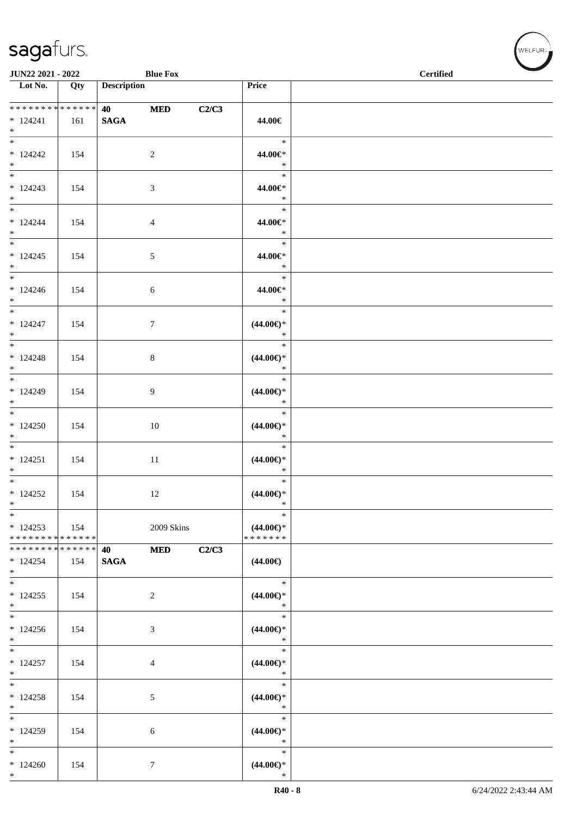| JUN22 2021 - 2022                                  |     |                    | <b>Blue Fox</b> |       |                                                | <b>Certified</b> |
|----------------------------------------------------|-----|--------------------|-----------------|-------|------------------------------------------------|------------------|
| $\overline{\phantom{1}}$ Lot No.                   | Qty | <b>Description</b> |                 |       | Price                                          |                  |
| * * * * * * * * * * * * * *<br>$* 124241$<br>$*$   | 161 | <b>SAGA</b>        | <b>MED</b>      | C2/C3 | 44.00€                                         |                  |
| $*$<br>$*124242$<br>$*$                            | 154 |                    | $\overline{2}$  |       | $\ast$<br>44.00€*<br>$\ast$                    |                  |
| $* 124243$<br>$*$                                  | 154 |                    | $\mathfrak{Z}$  |       | $\ast$<br>44.00€*<br>$\ast$                    |                  |
| $*$<br>$* 124244$<br>$*$                           | 154 |                    | $\overline{4}$  |       | $\ast$<br>44.00€*<br>$\ast$                    |                  |
| $*$<br>$*124245$<br>$*$                            | 154 |                    | $5\phantom{.0}$ |       | $\ast$<br>44.00€*<br>$\ast$                    |                  |
| $*$<br>$*124246$<br>$*$                            | 154 |                    | 6               |       | $\ast$<br>44.00€*<br>$\ast$                    |                  |
| $*$<br>$* 124247$<br>$*$<br>$\overline{\ast}$      | 154 |                    | $7\phantom{.0}$ |       | $\ast$<br>$(44.00\epsilon)$ *<br>$\ast$        |                  |
| $* 124248$<br>$*$                                  | 154 |                    | $8\,$           |       | $\ast$<br>$(44.00\epsilon)$ *<br>$\ast$        |                  |
| $* 124249$<br>$*$                                  | 154 |                    | 9               |       | $\ast$<br>$(44.00\epsilon)$ *<br>$\ast$        |                  |
| $*$<br>$*124250$<br>$*$                            | 154 |                    | 10              |       | $\ast$<br>$(44.00\epsilon)$ *<br>$\ast$        |                  |
| $*$<br>$* 124251$<br>$*$                           | 154 |                    | 11              |       | $\ast$<br>$(44.00\epsilon)$ *<br>$\ast$        |                  |
| $*124252$<br>$\ast$                                | 154 |                    | 12              |       | $\ast$<br>$(44.00\epsilon)$ *<br>$\ast$        |                  |
| $\ast$<br>$*124253$<br>* * * * * * * * * * * * * * | 154 |                    | 2009 Skins      |       | $\ast$<br>$(44.00\epsilon)$ *<br>* * * * * * * |                  |
| * * * * * * * * * * * * * * *<br>$* 124254$<br>$*$ | 154 | 40<br><b>SAGA</b>  | <b>MED</b>      | C2/C3 | $(44.00\epsilon)$                              |                  |
| $*124255$<br>$*$                                   | 154 |                    | $\overline{c}$  |       | $\ast$<br>$(44.00\epsilon)$ *<br>$\ast$        |                  |
| $\overline{\phantom{0}}$<br>$*124256$<br>$*$       | 154 |                    | $\mathfrak{Z}$  |       | $\ast$<br>$(44.00ε)$ *<br>$\ast$               |                  |
| $*$<br>$* 124257$<br>$*$                           | 154 |                    | 4               |       | $\ast$<br>$(44.00\epsilon)$ *<br>$\ast$        |                  |
| $*$<br>$*124258$<br>$*$                            | 154 |                    | 5               |       | $\ast$<br>$(44.00\epsilon)$ *<br>$\ast$        |                  |
| $*$<br>* 124259<br>$*$                             | 154 |                    | 6               |       | $\ast$<br>$(44.00\epsilon)$ *<br>$\ast$        |                  |
| $*$<br>$*124260$<br>$*$                            | 154 |                    | $7\phantom{.0}$ |       | $\ast$<br>$(44.00\epsilon)$ *<br>$\ast$        |                  |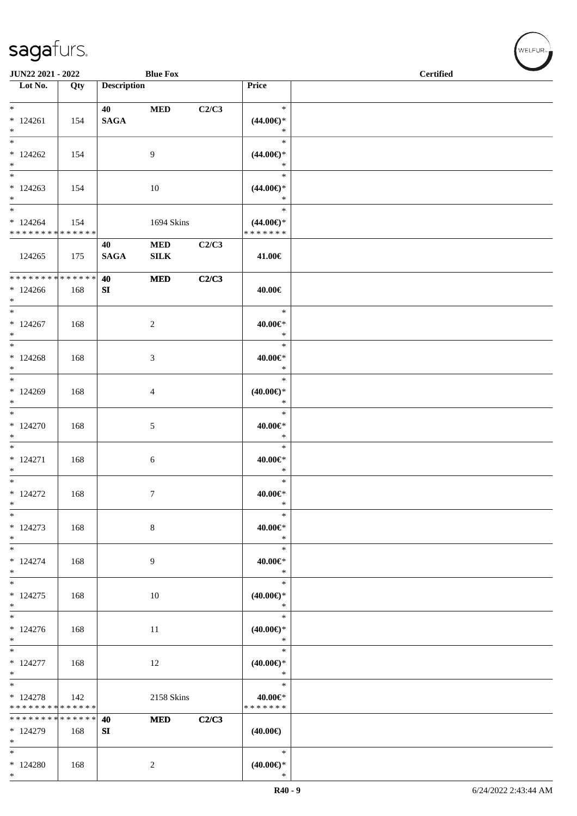\*

| <b>Blue Fox</b><br>JUN22 2021 - 2022               |     |                       |                          |       |                                                | <b>Certified</b> |
|----------------------------------------------------|-----|-----------------------|--------------------------|-------|------------------------------------------------|------------------|
| Lot No.                                            | Qty | <b>Description</b>    |                          |       | Price                                          |                  |
| $*$<br>$*124261$<br>$\ast$                         | 154 | 40<br><b>SAGA</b>     | <b>MED</b>               | C2/C3 | $\ast$<br>$(44.00\epsilon)$ *<br>$\ast$        |                  |
| $\ast$<br>$*124262$<br>$*$                         | 154 |                       | 9                        |       | $\ast$<br>$(44.00\epsilon)$ *<br>$\ast$        |                  |
| $\overline{\phantom{0}}$<br>$*124263$<br>$*$       | 154 |                       | 10                       |       | $\ast$<br>$(44.00\epsilon)$ *<br>$\ast$        |                  |
| $\ast$<br>$*124264$<br>* * * * * * * * * * * * * * | 154 |                       | 1694 Skins               |       | $\ast$<br>$(44.00\epsilon)$ *<br>* * * * * * * |                  |
| 124265                                             | 175 | 40<br>$\mathbf{SAGA}$ | $\bf MED$<br><b>SILK</b> | C2/C3 | 41.00€                                         |                  |
| ******** <mark>******</mark><br>$*124266$<br>$*$   | 168 | 40<br>SI              | $\bf MED$                | C2/C3 | 40.00€                                         |                  |
| $\ast$<br>$*124267$<br>$\ast$                      | 168 |                       | $\sqrt{2}$               |       | $\ast$<br>40.00€*<br>$\ast$                    |                  |
| $*$<br>$*124268$<br>$*$                            | 168 |                       | 3                        |       | $\ast$<br>40.00€*<br>$\ast$                    |                  |
| $*$<br>$*124269$<br>$\ast$                         | 168 |                       | $\overline{4}$           |       | $\ast$<br>$(40.00\epsilon)$ *<br>$\ast$        |                  |
| $*$<br>$*124270$<br>$\ast$                         | 168 |                       | 5                        |       | $\ast$<br>40.00€*<br>$\ast$                    |                  |
| $*$<br>$* 124271$<br>$*$                           | 168 |                       | $\sqrt{6}$               |       | $\ast$<br>40.00€*<br>$\ast$                    |                  |
| $\overline{\ast}$<br>$*124272$<br>$\ast$           | 168 |                       | $\tau$                   |       | $\ast$<br>40.00€*<br>$\ast$                    |                  |
| $\ast$<br>$*124273$<br>$\ast$                      | 168 |                       | $\,8\,$                  |       | $\ast$<br>$40.00 \in$<br>$\ast$                |                  |
| $\ast$<br>$* 124274$<br>$\ast$                     | 168 |                       | 9                        |       | $\ast$<br>40.00€*<br>$\ast$                    |                  |
| $\overline{\ast}$<br>$*124275$<br>$\ast$           | 168 |                       | 10                       |       | $\ast$<br>(40.00)<br>$\ast$                    |                  |
| $\overline{\phantom{a}^*}$<br>$*124276$<br>$\ast$  | 168 |                       | 11                       |       | $\ast$<br>$(40.00\epsilon)$ *<br>$\ast$        |                  |
| $\ast$<br>$* 124277$<br>$*$                        | 168 |                       | 12                       |       | $\ast$<br>$(40.00\epsilon)$ *<br>$\ast$        |                  |
| $*$<br>$* 124278$<br>* * * * * * * * * * * * * *   | 142 |                       | 2158 Skins               |       | $\ast$<br>40.00€*<br>* * * * * * *             |                  |
| * * * * * * * * * * * * * *<br>* 124279<br>$\ast$  | 168 | 40<br>${\bf SI}$      | <b>MED</b>               | C2/C3 | $(40.00\epsilon)$                              |                  |
| $\ast$<br>$*124280$<br>$\ast$                      | 168 |                       | $\overline{c}$           |       | $\ast$<br>$(40.00\in)^\ast$<br>$\ast$          |                  |

 $\left(\mathsf{WELFUR}_{\mathsf{m}}\right)$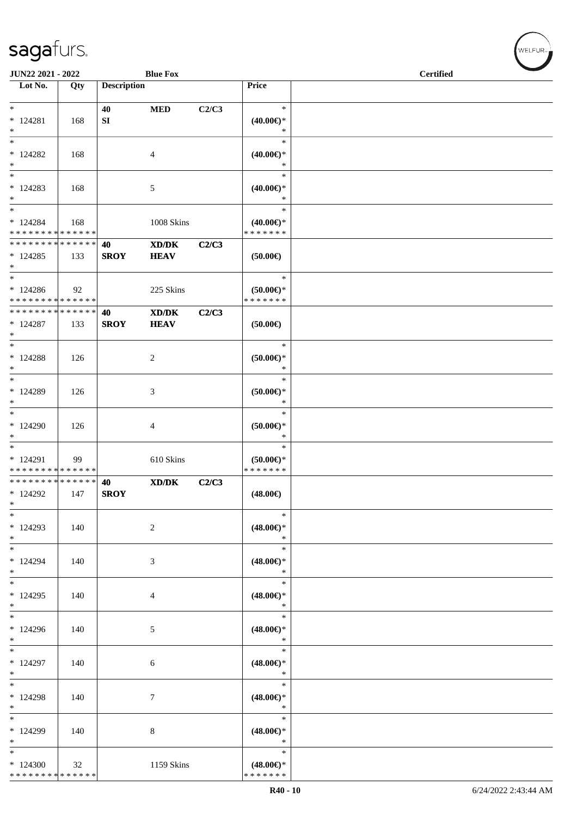| JUN22 2021 - 2022                                                       |     |                    | <b>Blue Fox</b>                                                                                      |       |                                                | <b>Certified</b> |
|-------------------------------------------------------------------------|-----|--------------------|------------------------------------------------------------------------------------------------------|-------|------------------------------------------------|------------------|
| Lot No.                                                                 | Qty | <b>Description</b> |                                                                                                      |       | Price                                          |                  |
| $*$<br>$* 124281$<br>$*$                                                | 168 | 40<br>SI           | <b>MED</b>                                                                                           | C2/C3 | $\ast$<br>$(40.00\epsilon)$ *<br>$\ast$        |                  |
| $\ast$<br>$*124282$<br>$\ast$                                           | 168 |                    | $\overline{4}$                                                                                       |       | $\ast$<br>$(40.00\epsilon)$ *<br>$\ast$        |                  |
| $*$<br>$* 124283$<br>$*$                                                | 168 |                    | 5                                                                                                    |       | $\ast$<br>$(40.00\epsilon)$ *<br>$\ast$        |                  |
| $*$<br>$* 124284$<br>* * * * * * * * * * * * * *                        | 168 |                    | 1008 Skins                                                                                           |       | $\ast$<br>$(40.00\epsilon)$ *<br>* * * * * * * |                  |
| * * * * * * * * * * * * * * *<br>$*124285$<br>$*$                       | 133 | 40<br><b>SROY</b>  | XD/DK<br><b>HEAV</b>                                                                                 | C2/C3 | $(50.00\epsilon)$                              |                  |
| $\ast$<br>$*124286$<br>* * * * * * * * * * * * * *                      | 92  |                    | 225 Skins                                                                                            |       | $\ast$<br>$(50.00 \in )$ *<br>* * * * * * *    |                  |
| * * * * * * * * * * * * * *<br>$* 124287$<br>$*$                        | 133 | 40<br><b>SROY</b>  | $\mathbf{X}\mathbf{D}/\mathbf{D}\mathbf{K}$<br><b>HEAV</b>                                           | C2/C3 | (50.00)                                        |                  |
| $*$<br>$* 124288$<br>$\ast$                                             | 126 |                    | $\overline{c}$                                                                                       |       | $\ast$<br>$(50.00ε)$ *<br>$\ast$               |                  |
| $*124289$<br>$\ast$<br>$\ast$                                           | 126 |                    | 3                                                                                                    |       | $\ast$<br>$(50.00ε)$ *<br>$\ast$               |                  |
| $*124290$<br>$*$<br>$\ast$                                              | 126 |                    | $\overline{4}$                                                                                       |       | $\ast$<br>$(50.00ε)$ *<br>$\ast$               |                  |
| $*124291$<br>* * * * * * * * * * * * * *<br>* * * * * * * * * * * * * * | 99  |                    | 610 Skins                                                                                            |       | $\ast$<br>$(50.00\epsilon)$ *<br>* * * * * * * |                  |
| $*124292$<br>$\ast$<br>$\ast$                                           | 147 | 40<br><b>SROY</b>  | $\boldsymbol{\text{X}}\boldsymbol{\text{D}}\boldsymbol{/}\boldsymbol{\text{D}}\boldsymbol{\text{K}}$ | C2/C3 | $(48.00\epsilon)$<br>$\ast$                    |                  |
| * 124293<br>$*$<br>$*$                                                  | 140 |                    | 2                                                                                                    |       | $(48.00\epsilon)$ *<br>$\ast$<br>$\ast$        |                  |
| * 124294<br>$*$<br>$*$                                                  | 140 |                    | 3                                                                                                    |       | $(48.00\epsilon)$ *<br>$\ast$<br>$\ast$        |                  |
| $*124295$<br>$*$<br>$\overline{\ast}$                                   | 140 |                    | 4                                                                                                    |       | $(48.00\epsilon)$ *<br>$\ast$<br>$\ast$        |                  |
| $*124296$<br>$*$<br>$*$                                                 | 140 |                    | 5                                                                                                    |       | $(48.00\epsilon)$ *<br>$\ast$<br>$\ast$        |                  |
| * 124297<br>$*$<br>$*$                                                  | 140 |                    | 6                                                                                                    |       | $(48.00\in)^\ast$<br>$\ast$<br>$\ast$          |                  |
| * 124298<br>$*$<br>$\ast$                                               | 140 |                    | 7                                                                                                    |       | $(48.00\epsilon)$ *<br>$\ast$<br>$\ast$        |                  |
| $*124299$<br>$*$                                                        | 140 |                    | 8                                                                                                    |       | $(48.00\epsilon)$ *<br>$\ast$                  |                  |
| $*$<br>$*124300$<br>* * * * * * * * * * * * * *                         | 32  |                    | 1159 Skins                                                                                           |       | $\ast$<br>$(48.00\epsilon)$ *<br>* * * * * * * |                  |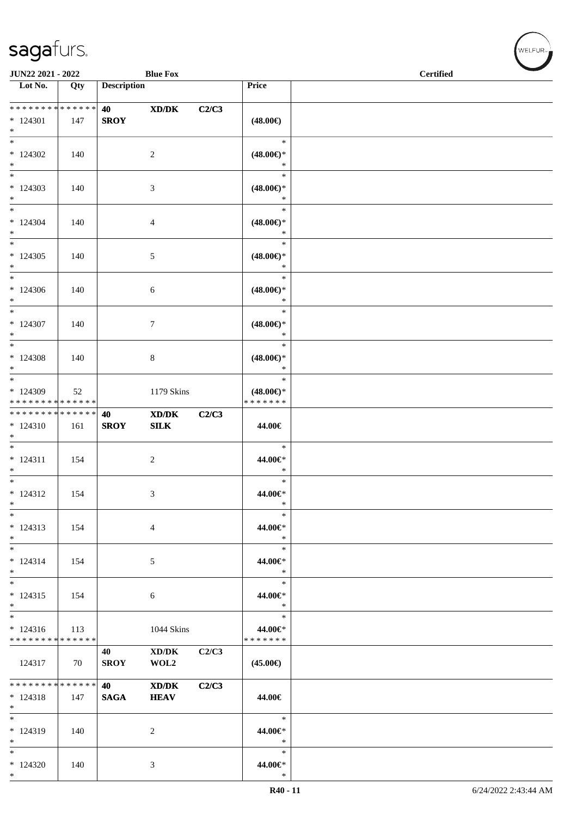| JUN22 2021 - 2022                                                     |     |                    | <b>Blue Fox</b>                                            |       |                                                | <b>Certified</b> |  |
|-----------------------------------------------------------------------|-----|--------------------|------------------------------------------------------------|-------|------------------------------------------------|------------------|--|
| Lot No.                                                               | Qty | <b>Description</b> |                                                            |       | Price                                          |                  |  |
|                                                                       |     |                    |                                                            |       |                                                |                  |  |
| * * * * * * * * * * * * * *<br>* 124301<br>$*$                        | 147 | 40<br><b>SROY</b>  | XD/DK                                                      | C2/C3 | $(48.00\epsilon)$                              |                  |  |
| $*$<br>$*124302$<br>$*$                                               | 140 |                    | $\overline{c}$                                             |       | $\ast$<br>$(48.00\epsilon)$ *<br>$\ast$        |                  |  |
| $\overline{\phantom{0}}$<br>$*124303$<br>$*$                          | 140 |                    | 3                                                          |       | $\ast$<br>$(48.00\epsilon)$ *<br>$\ast$        |                  |  |
| $*$<br>$*124304$<br>$*$                                               | 140 |                    | 4                                                          |       | $\ast$<br>$(48.00\in)^\ast$<br>$\ast$          |                  |  |
| $*$<br>$*124305$<br>$*$                                               | 140 |                    | 5                                                          |       | $\ast$<br>$(48.00\epsilon)$ *<br>$\ast$        |                  |  |
| $*$<br>$*124306$<br>$*$                                               | 140 |                    | 6                                                          |       | $\ast$<br>$(48.00\epsilon)$ *<br>$\ast$        |                  |  |
| $*124307$<br>$*$                                                      | 140 |                    | 7                                                          |       | $\ast$<br>$(48.00\epsilon)$ *<br>$\ast$        |                  |  |
| $*$<br>$*124308$<br>$*$                                               | 140 |                    | 8                                                          |       | $\ast$<br>$(48.00\epsilon)$ *<br>$\ast$        |                  |  |
| $\overline{\phantom{0}}$<br>$*124309$<br>* * * * * * * * * * * * * *  | 52  |                    | 1179 Skins                                                 |       | $\ast$<br>$(48.00\epsilon)$ *<br>* * * * * * * |                  |  |
| ******** <mark>******</mark><br>$* 124310$<br>$*$                     | 161 | 40<br><b>SROY</b>  | XD/DK<br>${\bf SILK}$                                      | C2/C3 | 44.00€                                         |                  |  |
| $*$<br>$* 124311$<br>$*$                                              | 154 |                    | $\overline{c}$                                             |       | $\ast$<br>44.00€*<br>$\ast$                    |                  |  |
| $\overline{\ast}$<br>$* 124312$<br>$*$                                | 154 |                    | 3                                                          |       | $\ast$<br>44.00€*<br>$*$                       |                  |  |
| $*$<br>$* 124313$<br>$*$                                              | 154 |                    | 4                                                          |       | $\ast$<br>44.00€*<br>$\ast$                    |                  |  |
| $*$<br>$* 124314$<br>$*$                                              | 154 |                    | 5                                                          |       | $\ast$<br>44.00€*<br>$\ast$                    |                  |  |
| $\overline{\ast}$<br>$* 124315$<br>$*$                                | 154 |                    | 6                                                          |       | $\ast$<br>44.00€*<br>$\ast$                    |                  |  |
| $\overline{\phantom{0}}$<br>$* 124316$<br>* * * * * * * * * * * * * * | 113 |                    | 1044 Skins                                                 |       | $\ast$<br>44.00€*<br>* * * * * * *             |                  |  |
| 124317                                                                | 70  | 40<br><b>SROY</b>  | $\bold{X}\bold{D}/\bold{D}\bold{K}$<br>WOL2                | C2/C3 | $(45.00\epsilon)$                              |                  |  |
| * * * * * * * * * * * * * * *<br>$* 124318$<br>$*$                    | 147 | 40<br><b>SAGA</b>  | $\mathbf{X}\mathbf{D}/\mathbf{D}\mathbf{K}$<br><b>HEAV</b> | C2/C3 | 44.00€                                         |                  |  |
| $\ast$<br>$* 124319$<br>$*$                                           | 140 |                    | 2                                                          |       | $\ast$<br>44.00€*<br>$\ast$                    |                  |  |
| $*$<br>$*124320$<br>$*$                                               | 140 |                    | 3                                                          |       | $\ast$<br>44.00€*<br>$\ast$                    |                  |  |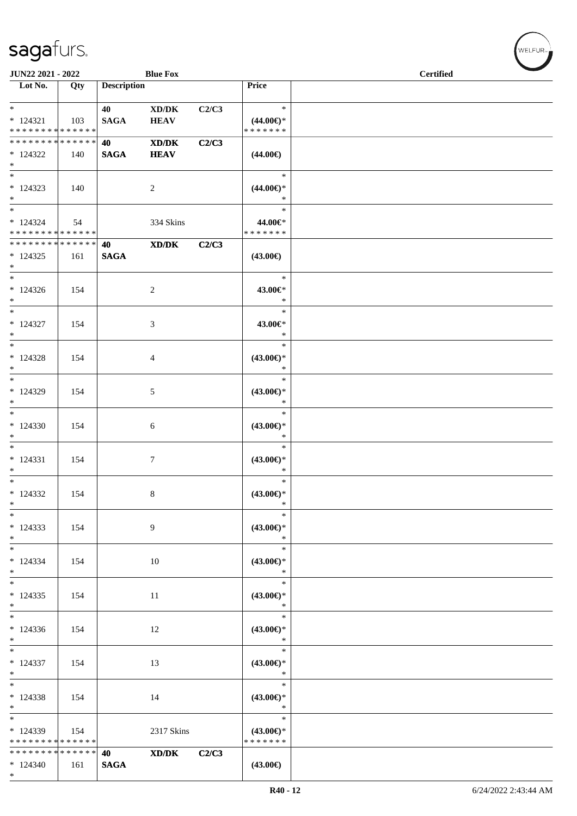| JUN22 2021 - 2022                                                     |                      |                       | <b>Blue Fox</b>                                    |       |                                                | <b>Certified</b> |
|-----------------------------------------------------------------------|----------------------|-----------------------|----------------------------------------------------|-------|------------------------------------------------|------------------|
| $\overline{\phantom{1}}$ Lot No.                                      | Qty                  | <b>Description</b>    |                                                    |       | Price                                          |                  |
| $*$<br>$* 124321$<br>* * * * * * * * * * * * * *                      | 103                  | 40<br><b>SAGA</b>     | $\bold{X}\bold{D}/\bold{D}\bold{K}$<br><b>HEAV</b> | C2/C3 | $\ast$<br>$(44.00\epsilon)$ *<br>* * * * * * * |                  |
| * * * * * * * * * * * * * * *<br>$*124322$<br>$*$                     | 140                  | 40<br><b>SAGA</b>     | XD/DK<br><b>HEAV</b>                               | C2/C3 | $(44.00\epsilon)$                              |                  |
| $*$<br>$* 124323$<br>$*$                                              | 140                  |                       | 2                                                  |       | $\ast$<br>$(44.00\epsilon)$ *<br>$\ast$        |                  |
| $\overline{\phantom{0}}$<br>$* 124324$<br>* * * * * * * * * * * * * * | 54                   |                       | 334 Skins                                          |       | $\ast$<br>44.00€*<br>* * * * * * *             |                  |
| * * * * * * * * * * * * * * *<br>$*124325$<br>$*$                     | 161                  | 40<br>$\mathbf{SAGA}$ | XD/DK                                              | C2/C3 | $(43.00\epsilon)$                              |                  |
| $*$<br>$*124326$<br>$*$                                               | 154                  |                       | 2                                                  |       | $\ast$<br>43.00€*<br>$\ast$                    |                  |
| $*$<br>$* 124327$<br>$\ast$                                           | 154                  |                       | 3                                                  |       | $\ast$<br>43.00€*<br>$\ast$                    |                  |
| $\overline{\phantom{0}}$<br>$* 124328$<br>$*$                         | 154                  |                       | 4                                                  |       | $\ast$<br>$(43.00\epsilon)$ *<br>$\ast$        |                  |
| $*$<br>$*124329$<br>$*$                                               | 154                  |                       | 5                                                  |       | $\ast$<br>$(43.00\epsilon)$ *<br>$\ast$        |                  |
| $*$<br>$*124330$<br>$\ast$                                            | 154                  |                       | 6                                                  |       | $\ast$<br>$(43.00\epsilon)$ *<br>$\ast$        |                  |
| $*$<br>$* 124331$<br>$*$                                              | 154                  |                       | 7                                                  |       | $\ast$<br>$(43.00\epsilon)$ *<br>$\ast$        |                  |
| $*$<br>$*124332$<br>$*$                                               | 154                  |                       | 8                                                  |       | $\ast$<br>$(43.00€)$ *<br>$\ast$               |                  |
| $*$<br>$*124333$<br>$*$                                               | 154                  |                       | 9                                                  |       | $\ast$<br>$(43.00\epsilon)$ *<br>$\ast$        |                  |
| $*$<br>$* 124334$<br>$*$                                              | 154                  |                       | 10                                                 |       | $\ast$<br>$(43.00€)$ *<br>$\ast$               |                  |
| $*$<br>$*124335$<br>$*$<br>$\overline{\phantom{0}}$                   | 154                  |                       | 11                                                 |       | $\ast$<br>$(43.00€)$ *<br>$\ast$               |                  |
| $*124336$<br>$*$                                                      | 154                  |                       | 12                                                 |       | $\ast$<br>$(43.00\epsilon)$ *<br>$\ast$        |                  |
| $* 124337$<br>$*$                                                     | 154                  |                       | 13                                                 |       | $\ast$<br>$(43.00\epsilon)$ *<br>$\ast$        |                  |
| $*$<br>$*124338$<br>$*$                                               | 154                  |                       | 14                                                 |       | $\ast$<br>$(43.00€)$ *<br>$\ast$               |                  |
| $*$<br>$*124339$<br>* * * * * * * * * * * * * * *                     | 154                  |                       | 2317 Skins                                         |       | $\ast$<br>$(43.00\epsilon)$ *<br>* * * * * * * |                  |
| * * * * * * * *<br>$*124340$<br>$*$                                   | * * * * * *  <br>161 | 40<br><b>SAGA</b>     | XD/DK                                              | C2/C3 | $(43.00\epsilon)$                              |                  |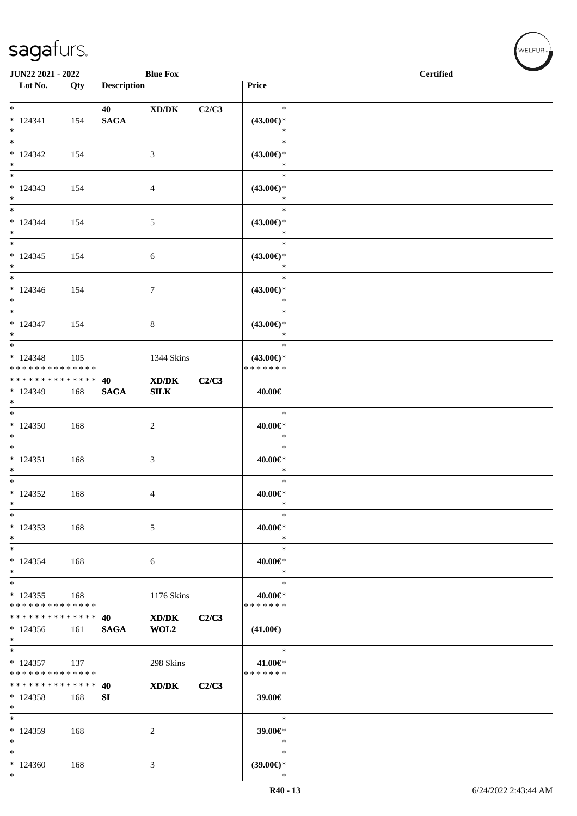| JUN22 2021 - 2022             |     |                    | <b>Blue Fox</b>                             |       |                      | <b>Certified</b> |
|-------------------------------|-----|--------------------|---------------------------------------------|-------|----------------------|------------------|
| Lot No.                       | Qty | <b>Description</b> |                                             |       | Price                |                  |
|                               |     |                    |                                             |       |                      |                  |
| $*$                           |     | 40 — 20            | XD/DK                                       | C2/C3 | $\ast$               |                  |
| $* 124341$                    | 154 | <b>SAGA</b>        |                                             |       | $(43.00\epsilon)$ *  |                  |
| $*$                           |     |                    |                                             |       | $\ast$               |                  |
| $\overline{\ast}$             |     |                    |                                             |       | $\ast$               |                  |
| $*124342$                     | 154 |                    | 3                                           |       | $(43.00\epsilon)$ *  |                  |
| $*$                           |     |                    |                                             |       | $\ast$               |                  |
|                               |     |                    |                                             |       | $\ast$               |                  |
| $*124343$                     | 154 |                    | 4                                           |       | $(43.00\epsilon)$ *  |                  |
| $*$                           |     |                    |                                             |       | $\ast$               |                  |
| $*$                           |     |                    |                                             |       | $\ast$               |                  |
| $* 124344$                    | 154 |                    | 5                                           |       | $(43.00\epsilon)$ *  |                  |
| $*$                           |     |                    |                                             |       | $\ast$               |                  |
| $*$                           |     |                    |                                             |       | $\ast$               |                  |
| $* 124345$                    | 154 |                    | $\sqrt{6}$                                  |       | $(43.00\epsilon)$ *  |                  |
| $*$                           |     |                    |                                             |       | $\ast$               |                  |
| $*$                           |     |                    |                                             |       | $\ast$               |                  |
| $*124346$                     | 154 |                    | $\boldsymbol{7}$                            |       | $(43.00€)$ *         |                  |
| $*$                           |     |                    |                                             |       | $\ast$               |                  |
| $*$                           |     |                    |                                             |       | $\ast$               |                  |
| $* 124347$                    | 154 |                    | 8                                           |       | $(43.00\epsilon)$ *  |                  |
| $*$                           |     |                    |                                             |       | $\ast$               |                  |
| $\overline{\ast}$             |     |                    |                                             |       | $\ast$               |                  |
| $* 124348$                    | 105 |                    | 1344 Skins                                  |       | $(43.00\epsilon)$ *  |                  |
| * * * * * * * * * * * * * *   |     |                    |                                             |       | * * * * * * *        |                  |
| ******** <mark>******</mark>  |     | 40                 | XD/DK                                       | C2/C3 |                      |                  |
| * 124349                      | 168 | <b>SAGA</b>        | SLK                                         |       | 40.00€               |                  |
| $*$                           |     |                    |                                             |       |                      |                  |
| $*$                           |     |                    |                                             |       | $\ast$               |                  |
| $*124350$                     | 168 |                    | 2                                           |       | 40.00€*              |                  |
| $*$                           |     |                    |                                             |       | $\ast$               |                  |
| $*$                           |     |                    |                                             |       | $\ast$               |                  |
| $* 124351$                    | 168 |                    | 3                                           |       | 40.00€*              |                  |
| $*$                           |     |                    |                                             |       | $\ast$               |                  |
| $*$                           |     |                    |                                             |       | $\ast$               |                  |
| $*124352$                     | 168 |                    | 4                                           |       | $40.00 \in$ *<br>$*$ |                  |
| $\ast$<br>$\ast$              |     |                    |                                             |       | $\ast$               |                  |
|                               |     |                    |                                             |       |                      |                  |
| $* 124353$<br>$*$             | 168 |                    | 5                                           |       | 40.00€*<br>$\ast$    |                  |
| $*$                           |     |                    |                                             |       | $\ast$               |                  |
| $*124354$                     |     |                    |                                             |       | 40.00€*              |                  |
| $\ast$                        | 168 |                    | 6                                           |       | $\ast$               |                  |
| $*$                           |     |                    |                                             |       | $\ast$               |                  |
| $* 124355$                    | 168 |                    | 1176 Skins                                  |       | 40.00€*              |                  |
| * * * * * * * * * * * * * *   |     |                    |                                             |       | * * * * * * *        |                  |
| * * * * * * * * * * * * * *   |     | 40                 | $\mathbf{X}\mathbf{D}/\mathbf{D}\mathbf{K}$ | C2/C3 |                      |                  |
| $*124356$                     | 161 | <b>SAGA</b>        | WOL2                                        |       | $(41.00\epsilon)$    |                  |
| $*$                           |     |                    |                                             |       |                      |                  |
| $*$                           |     |                    |                                             |       | $\ast$               |                  |
| $*124357$                     | 137 |                    | 298 Skins                                   |       | 41.00€*              |                  |
| * * * * * * * * * * * * * *   |     |                    |                                             |       | * * * * * * *        |                  |
| * * * * * * * * * * * * * * * |     | 40                 | $\mathbf{X}\mathbf{D}/\mathbf{D}\mathbf{K}$ | C2/C3 |                      |                  |
| $*124358$                     | 168 | SI                 |                                             |       | 39.00€               |                  |
| $*$                           |     |                    |                                             |       |                      |                  |
| $\ast$                        |     |                    |                                             |       | $\ast$               |                  |
| $*124359$                     | 168 |                    | 2                                           |       | 39.00€*              |                  |
| $*$                           |     |                    |                                             |       | $\ast$               |                  |
| $*$                           |     |                    |                                             |       | $\ast$               |                  |
| $*124360$                     | 168 |                    | 3                                           |       | $(39.00\epsilon)$ *  |                  |
| $\ast$                        |     |                    |                                             |       | $\ast$               |                  |

 $(w$ ELFUR<sub><sup>n</sub></sub></sub></sup>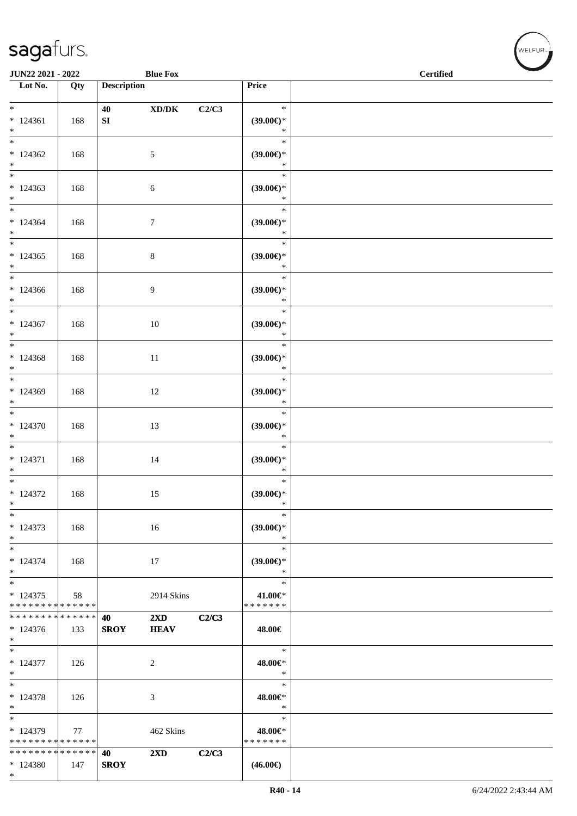\*

| JUN22 2021 - 2022                                 |     |                        | <b>Blue Fox</b>                        |       |                                         | <b>Certified</b> |
|---------------------------------------------------|-----|------------------------|----------------------------------------|-------|-----------------------------------------|------------------|
| Lot No.                                           | Qty | <b>Description</b>     |                                        |       | Price                                   |                  |
| $\ast$<br>$* 124361$<br>$*$                       | 168 | 40<br>${\bf S}{\bf I}$ | $\boldsymbol{\mathrm{XD}/\mathrm{DK}}$ | C2/C3 | $\ast$<br>$(39.00\epsilon)$ *<br>$\ast$ |                  |
| $\overline{\phantom{0}}$<br>$*124362$<br>$\ast$   | 168 |                        | 5                                      |       | $\ast$<br>$(39.00\epsilon)$ *<br>$\ast$ |                  |
| $*$<br>$*124363$<br>$*$                           | 168 |                        | 6                                      |       | $\ast$<br>$(39.00\epsilon)$ *<br>$\ast$ |                  |
| $*124364$<br>$*$                                  | 168 |                        | $\overline{7}$                         |       | $\ast$<br>$(39.00\epsilon)$ *<br>$\ast$ |                  |
| $*$<br>$*124365$<br>$*$                           | 168 |                        | $\,8\,$                                |       | $\ast$<br>$(39.00\epsilon)$ *<br>$\ast$ |                  |
| $\ast$<br>$*124366$<br>$*$                        | 168 |                        | 9                                      |       | $\ast$<br>(39.00)<br>$\ast$             |                  |
| $*$<br>$*124367$<br>$\ast$                        | 168 |                        | $10\,$                                 |       | $\ast$<br>$(39.00\epsilon)$ *<br>$\ast$ |                  |
| $\overline{\phantom{0}}$<br>$*124368$<br>$*$      | 168 |                        | $11\,$                                 |       | $\ast$<br>$(39.00\epsilon)$ *<br>$\ast$ |                  |
| $*$<br>* 124369<br>$*$                            | 168 |                        | 12                                     |       | $\ast$<br>$(39.00\epsilon)$ *<br>$\ast$ |                  |
| $*$<br>$* 124370$<br>$*$                          | 168 |                        | 13                                     |       | $\ast$<br>$(39.00\epsilon)$ *<br>$\ast$ |                  |
| $*$<br>$* 124371$<br>$*$                          | 168 |                        | 14                                     |       | $\ast$<br>$(39.00\epsilon)$ *<br>$\ast$ |                  |
| $*$<br>$* 124372$<br>$\ast$                       | 168 |                        | 15                                     |       | $\ast$<br>$(39.00\epsilon)$ *<br>$\ast$ |                  |
| $\ast$<br>* 124373<br>$*$                         | 168 |                        | 16                                     |       | $\ast$<br>$(39.00\epsilon)$ *<br>$\ast$ |                  |
| $*$<br>$* 124374$<br>$*$                          | 168 |                        | 17                                     |       | $\ast$<br>$(39.00\epsilon)$ *<br>$\ast$ |                  |
| $*$<br>$*124375$<br>* * * * * * * * * * * * * *   | 58  |                        | 2914 Skins                             |       | $\ast$<br>41.00€*<br>* * * * * * *      |                  |
| * * * * * * * * * * * * * * *<br>$*124376$<br>$*$ | 133 | 40<br><b>SROY</b>      | $2\mathbf{X}\mathbf{D}$<br><b>HEAV</b> | C2/C3 | 48.00€                                  |                  |
| $* 124377$<br>$*$                                 | 126 |                        | $\overline{c}$                         |       | $\ast$<br>48.00€*<br>$\ast$             |                  |
| $\ast$<br>$* 124378$<br>$*$                       | 126 |                        | 3                                      |       | $\ast$<br>48.00€*<br>$\ast$             |                  |
| $*$<br>* 124379<br>* * * * * * * * * * * * * * *  | 77  |                        | 462 Skins                              |       | $\ast$<br>48.00€*<br>* * * * * * *      |                  |
| * * * * * * * * * * * * * * *<br>$*124380$        | 147 | 40<br><b>SROY</b>      | 2XD                                    | C2/C3 | $(46.00\epsilon)$                       |                  |

 $(w$ ELFUR<sub>m</sub>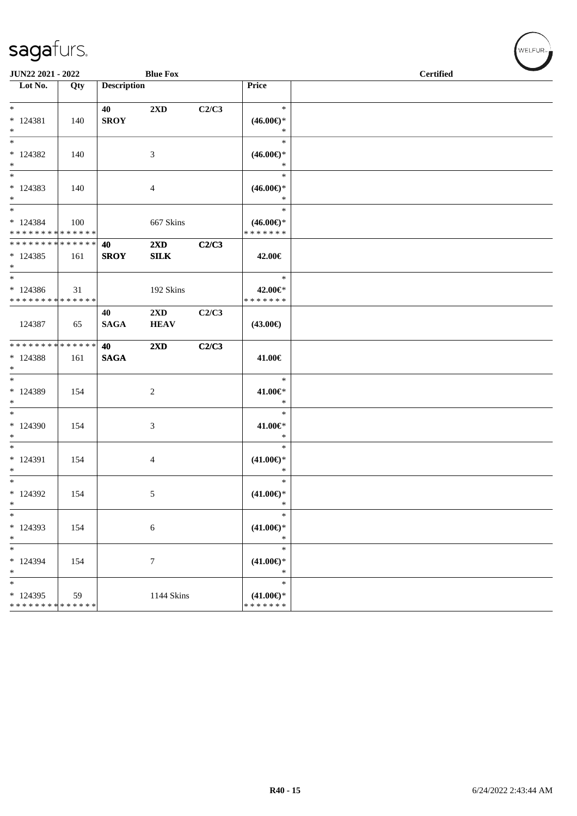| <b>JUN22 2021 - 2022</b>                                                     |     |                    | <b>Blue Fox</b>                        |       |                                                | <b>Certified</b> |
|------------------------------------------------------------------------------|-----|--------------------|----------------------------------------|-------|------------------------------------------------|------------------|
| Lot No.                                                                      | Qty | <b>Description</b> |                                        |       | Price                                          |                  |
| $*$<br>* 124381<br>$*$                                                       | 140 | 40<br><b>SROY</b>  | $2\rm{XD}$                             | C2/C3 | $\ast$<br>$(46.00\epsilon)$ *<br>$\ast$        |                  |
| $*$<br>* 124382<br>$*$                                                       | 140 |                    | 3                                      |       | $\ast$<br>$(46.00\epsilon)$ *<br>$\ast$        |                  |
| $*$<br>* 124383<br>$*$                                                       | 140 |                    | $\overline{4}$                         |       | $\ast$<br>$(46.00\epsilon)$ *<br>$\ast$        |                  |
| $*$<br>$* 124384$<br>* * * * * * * * * * * * * * *                           | 100 |                    | 667 Skins                              |       | $\ast$<br>$(46.00\epsilon)$ *<br>* * * * * * * |                  |
| * * * * * * * * <mark>* * * * * * *</mark><br>$*124385$<br>$*$               | 161 | 40<br><b>SROY</b>  | $2\mathbf{X}\mathbf{D}$<br><b>SILK</b> | C2/C3 | 42.00€                                         |                  |
| $*$<br>$*124386$<br>* * * * * * * * <mark>* * * * * * *</mark>               | 31  |                    | 192 Skins                              |       | $\ast$<br>42.00€*<br>* * * * * * *             |                  |
| 124387                                                                       | 65  | 40<br><b>SAGA</b>  | $2\mathbf{X}\mathbf{D}$<br><b>HEAV</b> | C2/C3 | $(43.00\epsilon)$                              |                  |
| * * * * * * * * <mark>* * * * * * *</mark><br>* 124388<br>$*$                | 161 | 40<br><b>SAGA</b>  | $2\mathbf{X}\mathbf{D}$                | C2/C3 | 41.00€                                         |                  |
| $*$ $-$<br>* 124389<br>$*$                                                   | 154 |                    | 2                                      |       | $\ast$<br>41.00€*<br>$\ast$                    |                  |
| $\overline{\ast}$<br>$*124390$<br>$*$                                        | 154 |                    | 3                                      |       | $\ast$<br>41.00€*<br>$\ast$                    |                  |
| $*$<br>* 124391<br>$*$                                                       | 154 |                    | $\overline{4}$                         |       | $\ast$<br>$(41.00\epsilon)$ *<br>$\ast$        |                  |
| $*$ $-$<br>* 124392<br>$\ast$                                                | 154 |                    | 5                                      |       | $\ast$<br>$(41.00\epsilon)$ *<br>$\ast$        |                  |
| $\ast$<br>* 124393<br>$\ast$                                                 | 154 |                    | $\boldsymbol{6}$                       |       | $\ast$<br>$(41.00\epsilon)$ *<br>$\ast$        |                  |
| $\ast$<br>* 124394<br>$\ast$                                                 | 154 |                    | $\tau$                                 |       | $\ast$<br>$(41.00\epsilon)$ *<br>$\ast$        |                  |
| $\overline{\ast}$<br>$*124395$<br>* * * * * * * * <mark>* * * * * * *</mark> | 59  |                    | 1144 Skins                             |       | $\ast$<br>$(41.00\epsilon)$ *<br>* * * * * * * |                  |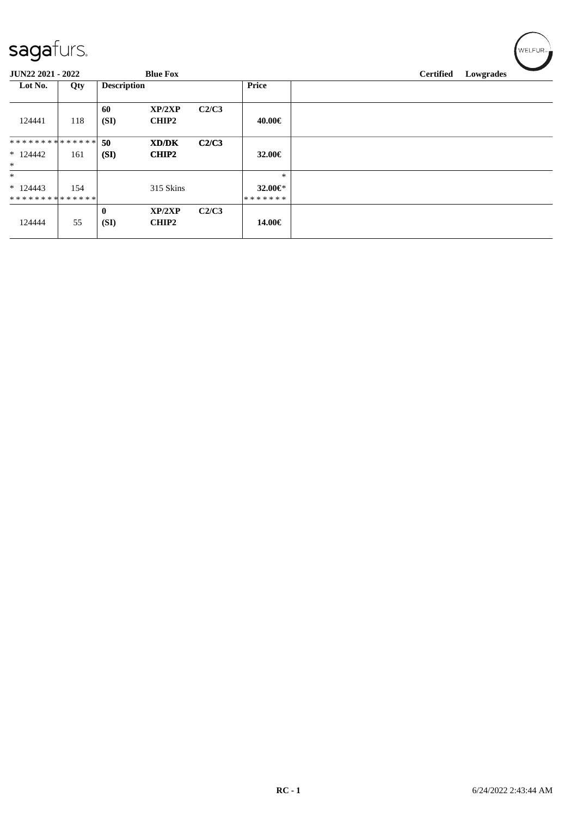| sagafurs.<br>JUN22 2021 - 2022        |     |                    | <b>Blue Fox</b>        |       |                                    |  | <b>Certified</b> | Lowgrades |  |
|---------------------------------------|-----|--------------------|------------------------|-------|------------------------------------|--|------------------|-----------|--|
| Lot No.                               | Qty | <b>Description</b> |                        |       | Price                              |  |                  |           |  |
| 124441                                | 118 | 60<br>(SI)         | XP/2XP<br><b>CHIP2</b> | C2/C3 | 40.00€                             |  |                  |           |  |
| **************<br>$*124442$<br>$*$    | 161 | 50<br>(SI)         | XD/DK<br><b>CHIP2</b>  | C2/C3 | 32.00€                             |  |                  |           |  |
| $\ast$<br>$*124443$<br>************** | 154 |                    | 315 Skins              |       | $\ast$<br>32.00 $\in$ *<br>******* |  |                  |           |  |
| 124444                                | 55  | $\bf{0}$<br>(SI)   | XP/2XP<br><b>CHIP2</b> | C2/C3 | 14.00€                             |  |                  |           |  |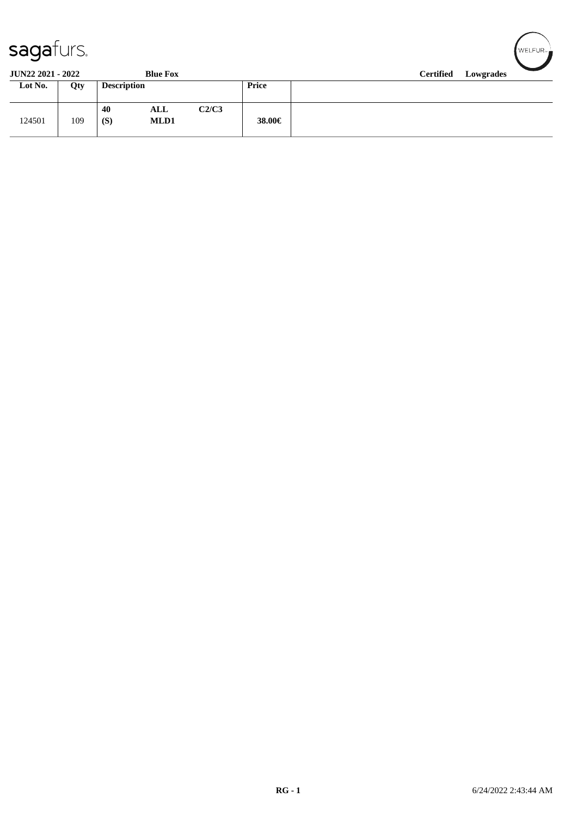| <b>saga</b> furs. |  |
|-------------------|--|
|-------------------|--|

| Sayarurs.                                   |     |                    |             |       |        |                  |           | ∎ WELFUR≂ <del>L</del> |
|---------------------------------------------|-----|--------------------|-------------|-------|--------|------------------|-----------|------------------------|
| <b>JUN22 2021 - 2022</b><br><b>Blue Fox</b> |     |                    |             |       |        | <b>Certified</b> | Lowgrades |                        |
| Lot No.                                     | Qty | <b>Description</b> |             |       | Price  |                  |           |                        |
| 124501                                      | 109 | 40<br>(S)          | ALL<br>MLD1 | C2/C3 | 38.00€ |                  |           |                        |

 $\sqrt{2}$